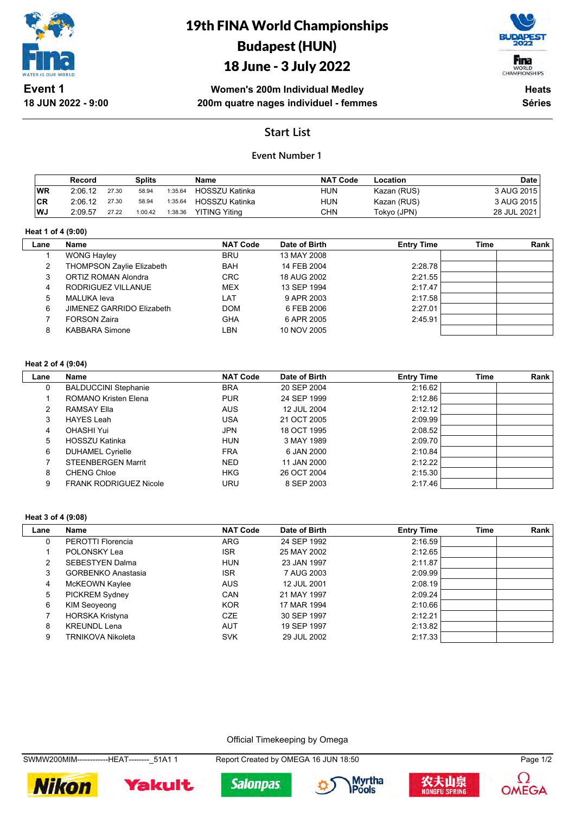

19th FINA World Championships Budapest (HUN)

# 18 June - 3 July 2022



**Women's 200m Individual Medley 200m quatre nages individuel - femmes**

**Heats Séries**

## **Start List**

### **Event Number 1**

|     | Record  |       | Splits  |         | Name                 | <b>NAT Code</b> | Location    | <b>Date</b> |
|-----|---------|-------|---------|---------|----------------------|-----------------|-------------|-------------|
| WR  | 2:06.12 | 27.30 | 58.94   | 1:35.64 | HOSSZU Katinka       | hun             | Kazan (RUS) | 3 AUG 2015  |
| ∣CR | 2:06.12 | 27.30 | 58.94   | 1:35.64 | HOSSZU Katinka       | HUN             | Kazan (RUS) | 3 AUG 2015  |
| WJ  | 2:09.57 | 27.22 | 1:00.42 | 1:38.36 | <b>YITING Yiting</b> | CHN             | Tokyo (JPN) | 28 JUL 2021 |

#### **Heat 1 of 4 (9:00)**

| Lane | <b>Name</b>                      | <b>NAT Code</b> | Date of Birth | <b>Entry Time</b> | Time | Rank |
|------|----------------------------------|-----------------|---------------|-------------------|------|------|
|      | <b>WONG Hayley</b>               | <b>BRU</b>      | 13 MAY 2008   |                   |      |      |
| 2    | <b>THOMPSON Zaylie Elizabeth</b> | BAH             | 14 FEB 2004   | 2:28.78           |      |      |
| 3    | ORTIZ ROMAN Alondra              | <b>CRC</b>      | 18 AUG 2002   | 2:21.55           |      |      |
| 4    | RODRIGUEZ VILLANUE               | <b>MEX</b>      | 13 SEP 1994   | 2:17.47           |      |      |
| 5    | MALUKA leva                      | LAT             | 9 APR 2003    | 2:17.58           |      |      |
| 6    | JIMENEZ GARRIDO Elizabeth        | <b>DOM</b>      | 6 FEB 2006    | 2:27.01           |      |      |
|      | <b>FORSON Zaira</b>              | <b>GHA</b>      | 6 APR 2005    | 2:45.91           |      |      |
| 8    | <b>KABBARA Simone</b>            | LBN             | 10 NOV 2005   |                   |      |      |
|      |                                  |                 |               |                   |      |      |

#### **Heat 2 of 4 (9:04)**

| Lane | <b>Name</b>                   | <b>NAT Code</b> | Date of Birth | <b>Entry Time</b> | <b>Time</b> | Rank |
|------|-------------------------------|-----------------|---------------|-------------------|-------------|------|
| 0    | <b>BALDUCCINI Stephanie</b>   | <b>BRA</b>      | 20 SEP 2004   | 2:16.62           |             |      |
|      | ROMANO Kristen Elena          | <b>PUR</b>      | 24 SEP 1999   | 2:12.86           |             |      |
| 2    | <b>RAMSAY Ella</b>            | <b>AUS</b>      | 12 JUL 2004   | 2:12.12           |             |      |
| 3    | <b>HAYES Leah</b>             | <b>USA</b>      | 21 OCT 2005   | 2:09.99           |             |      |
| 4    | OHASHI Yui                    | JPN             | 18 OCT 1995   | 2:08.52           |             |      |
| 5    | HOSSZU Katinka                | <b>HUN</b>      | 3 MAY 1989    | 2:09.70           |             |      |
| 6    | <b>DUHAMEL Cyrielle</b>       | <b>FRA</b>      | 6 JAN 2000    | 2:10.84           |             |      |
|      | <b>STEENBERGEN Marrit</b>     | <b>NED</b>      | 11 JAN 2000   | 2:12.22           |             |      |
| 8    | <b>CHENG Chloe</b>            | <b>HKG</b>      | 26 OCT 2004   | 2:15.30           |             |      |
| 9    | <b>FRANK RODRIGUEZ Nicole</b> | URU             | 8 SEP 2003    | 2:17.46           |             |      |

#### **Heat 3 of 4 (9:08)**

| Lane | Name                      | <b>NAT Code</b> | Date of Birth | <b>Entry Time</b> | Time | Rank |
|------|---------------------------|-----------------|---------------|-------------------|------|------|
| 0    | PEROTTI Florencia         | <b>ARG</b>      | 24 SEP 1992   | 2:16.59           |      |      |
|      | POLONSKY Lea              | <b>ISR</b>      | 25 MAY 2002   | 2:12.65           |      |      |
| 2    | SEBESTYEN Dalma           | <b>HUN</b>      | 23 JAN 1997   | 2:11.87           |      |      |
| 3    | <b>GORBENKO Anastasia</b> | <b>ISR</b>      | 7 AUG 2003    | 2:09.99           |      |      |
| 4    | McKEOWN Kaylee            | <b>AUS</b>      | 12 JUL 2001   | 2:08.19           |      |      |
| 5    | <b>PICKREM Sydney</b>     | CAN             | 21 MAY 1997   | 2:09.24           |      |      |
| 6    | KIM Seoyeong              | <b>KOR</b>      | 17 MAR 1994   | 2:10.66           |      |      |
|      | <b>HORSKA Kristyna</b>    | <b>CZE</b>      | 30 SEP 1997   | 2:12.21           |      |      |
| 8    | <b>KREUNDL Lena</b>       | <b>AUT</b>      | 19 SEP 1997   | 2:13.82           |      |      |
| 9    | TRNIKOVA Nikoleta         | <b>SVK</b>      | 29 JUL 2002   | 2:17.33           |      |      |

Official Timekeeping by Omega

SWMW200MIM-------------HEAT--------\_51A1 1 Report Created by OMEGA 16 JUN 18:50 Page 1/2









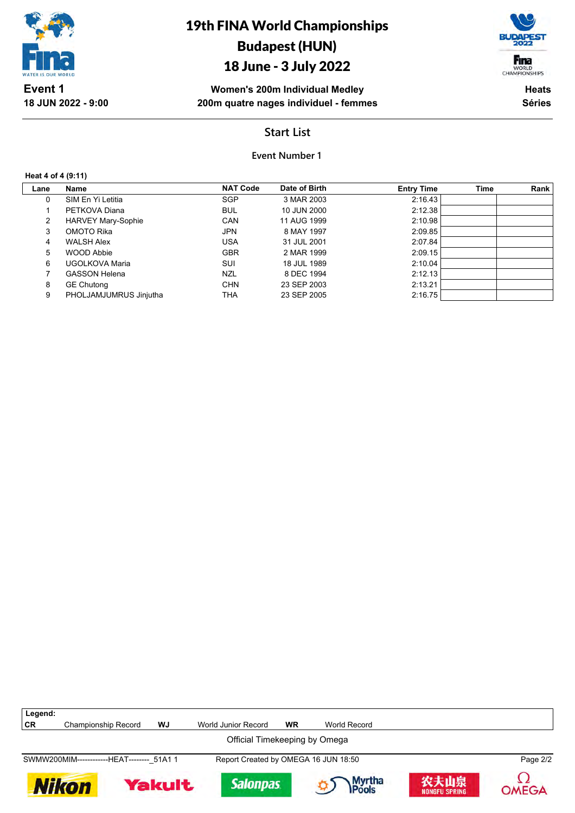

# 18 June - 3 July 2022



**Women's 200m Individual Medley 200m quatre nages individuel - femmes**

**Heats Séries**

## **Start List**

### **Event Number 1**

#### **Heat 4 of 4 (9:11)**

**18 JUN 2022 - 9:00**

| SIM En Yi Letitia         | <b>NAT Code</b> | Date of Birth | <b>Entry Time</b> | <b>Time</b> | Rank    |
|---------------------------|-----------------|---------------|-------------------|-------------|---------|
|                           |                 |               |                   |             |         |
|                           | SGP             | 3 MAR 2003    | 2:16.43           |             |         |
| PETKOVA Diana             | <b>BUL</b>      | 10 JUN 2000   | 2:12.38           |             |         |
| <b>HARVEY Mary-Sophie</b> | <b>CAN</b>      | 11 AUG 1999   |                   |             |         |
| OMOTO Rika                | <b>JPN</b>      | 8 MAY 1997    | 2:09.85           |             |         |
| <b>WALSH Alex</b>         | <b>USA</b>      | 31 JUL 2001   | 2:07.84           |             |         |
| <b>WOOD Abbie</b>         | <b>GBR</b>      | 2 MAR 1999    | 2:09.15           |             |         |
| UGOLKOVA Maria            | SUI             | 18 JUL 1989   | 2:10.04           |             |         |
| <b>GASSON Helena</b>      | <b>NZL</b>      | 8 DEC 1994    | 2:12.13           |             |         |
| <b>GE Chutong</b>         | <b>CHN</b>      | 23 SEP 2003   | 2:13.21           |             |         |
| PHOLJAMJUMRUS Jinjutha    | THA             | 23 SEP 2005   | 2:16.75           |             |         |
|                           |                 |               |                   |             | 2:10.98 |

| Legend:   |                                            |               |                                      |           |                 |                              |          |  |  |
|-----------|--------------------------------------------|---------------|--------------------------------------|-----------|-----------------|------------------------------|----------|--|--|
| <b>CR</b> | Championship Record                        | WJ            | World Junior Record                  | <b>WR</b> | World Record    |                              |          |  |  |
|           | Official Timekeeping by Omega              |               |                                      |           |                 |                              |          |  |  |
|           | SWMW200MIM-------------HEAT-------- 51A1 1 |               | Report Created by OMEGA 16 JUN 18:50 |           |                 |                              | Page 2/2 |  |  |
|           | Nikon                                      | <b>Yakult</b> | <b>Salonpas</b>                      |           | Myrtha<br>Pools | 农夫山泉<br><b>NONGFU SPRING</b> | OMEGA    |  |  |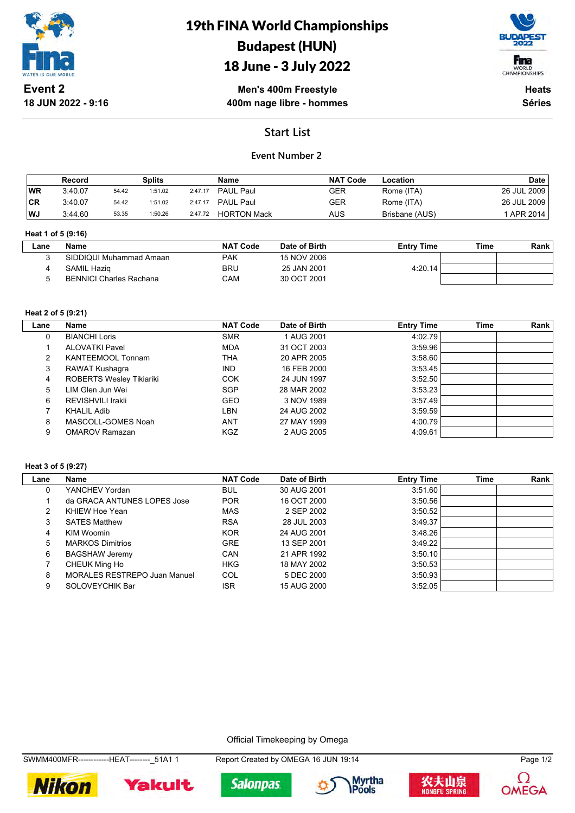

# 19th FINA World Championships Budapest (HUN)

# 18 June - 3 July 2022



**Men's 400m Freestyle 400m nage libre - hommes**

**Heats Séries**

## **Start List**

### **Event Number 2**

|           | Record  |       | Splits  |         | <b>Name</b>        | <b>NAT Code</b> | Location       | <b>Date</b> |
|-----------|---------|-------|---------|---------|--------------------|-----------------|----------------|-------------|
| <b>WR</b> | 3:40.07 | 54.42 | 1:51.02 | 2:47.17 | PAUL Paul          | GER             | Rome (ITA)     | 26 JUL 2009 |
| <b>CR</b> | 3:40.07 | 54.42 | 1:51.02 | 2:47.17 | PAUL Paul          | GER             | Rome (ITA)     | 26 JUL 2009 |
| WJ        | 3:44.60 | 53.35 | 1:50.26 | 2:47.72 | <b>HORTON Mack</b> | AUS             | Brisbane (AUS) | APR 2014    |

#### **Heat 1 of 5 (9:16)**

| Lane | <b>Name</b>                    | <b>NAT Code</b> | Date of Birth | <b>Entry Time</b> | Time | Rank |
|------|--------------------------------|-----------------|---------------|-------------------|------|------|
|      | SIDDIQUI Muhammad Amaan        | PAK             | 15 NOV 2006   |                   |      |      |
|      | SAMIL Hazig                    | <b>BRU</b>      | 25 JAN 2001   | 4:20.14           |      |      |
|      | <b>BENNICI Charles Rachana</b> | CAM             | 30 OCT 2001   |                   |      |      |
|      |                                |                 |               |                   |      |      |

#### **Heat 2 of 5 (9:21)**

| Lane | Name                            | <b>NAT Code</b> | Date of Birth | <b>Entry Time</b> | Time | Rank |
|------|---------------------------------|-----------------|---------------|-------------------|------|------|
|      | <b>BIANCHI Loris</b>            | <b>SMR</b>      | 1 AUG 2001    | 4:02.79           |      |      |
|      | ALOVATKI Pavel                  | <b>MDA</b>      | 31 OCT 2003   | 3:59.96           |      |      |
| 2    | KANTEEMOOL Tonnam               | THA             | 20 APR 2005   | 3:58.60           |      |      |
| 3    | RAWAT Kushagra                  | <b>IND</b>      | 16 FEB 2000   | 3:53.45           |      |      |
| 4    | <b>ROBERTS Wesley Tikiariki</b> | <b>COK</b>      | 24 JUN 1997   | 3:52.50           |      |      |
| 5    | LIM Glen Jun Wei                | <b>SGP</b>      | 28 MAR 2002   | 3:53.23           |      |      |
| 6    | REVISHVILI Irakli               | <b>GEO</b>      | 3 NOV 1989    | 3:57.49           |      |      |
|      | <b>KHALIL Adib</b>              | LBN             | 24 AUG 2002   | 3:59.59           |      |      |
| 8    | MASCOLL-GOMES Noah              | ANT             | 27 MAY 1999   | 4:00.79           |      |      |
| 9    | <b>OMAROV Ramazan</b>           | KGZ             | 2 AUG 2005    | 4:09.61           |      |      |

#### **Heat 3 of 5 (9:27)**

| Lane | Name                                | <b>NAT Code</b> | Date of Birth | <b>Entry Time</b> | Time | Rank |
|------|-------------------------------------|-----------------|---------------|-------------------|------|------|
| 0    | YANCHEV Yordan                      | <b>BUL</b>      | 30 AUG 2001   | 3:51.60           |      |      |
|      | da GRACA ANTUNES LOPES Jose         | <b>POR</b>      | 16 OCT 2000   | 3:50.56           |      |      |
| 2    | KHIEW Hoe Yean                      | <b>MAS</b>      | 2 SEP 2002    | 3:50.52           |      |      |
| 3    | <b>SATES Matthew</b>                | <b>RSA</b>      | 28 JUL 2003   | 3:49.37           |      |      |
| 4    | KIM Woomin                          | <b>KOR</b>      | 24 AUG 2001   | 3:48.26           |      |      |
| 5    | <b>MARKOS Dimitrios</b>             | <b>GRE</b>      | 13 SEP 2001   | 3:49.22           |      |      |
| 6    | <b>BAGSHAW Jeremy</b>               | CAN             | 21 APR 1992   | 3:50.10           |      |      |
|      | CHEUK Ming Ho                       | <b>HKG</b>      | 18 MAY 2002   | 3:50.53           |      |      |
| 8    | <b>MORALES RESTREPO Juan Manuel</b> | COL             | 5 DEC 2000    | 3:50.93           |      |      |
| 9    | SOLOVEYCHIK Bar                     | <b>ISR</b>      | 15 AUG 2000   | 3:52.05           |      |      |

Official Timekeeping by Omega

SWMM400MFR------------HEAT--------\_51A1 1 Report Created by OMEGA 16 JUN 19:14 Page 1/2











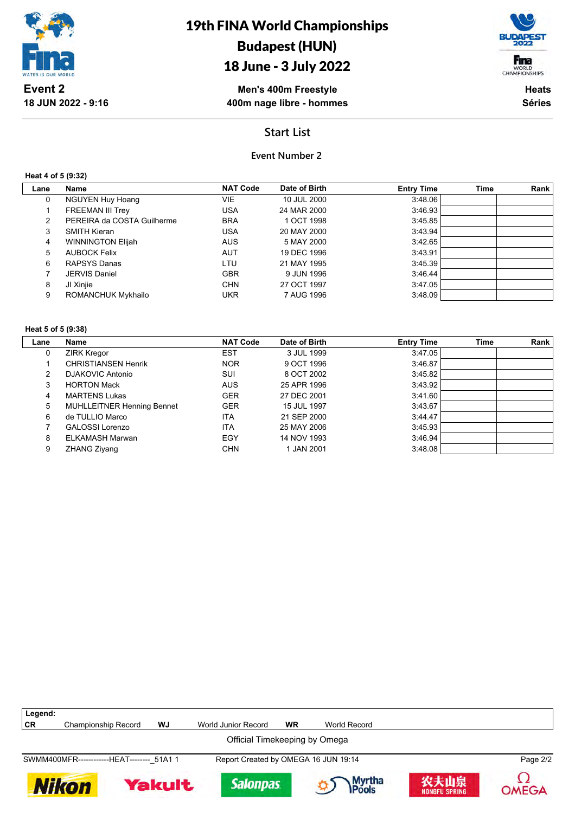

# 19th FINA World Championships Budapest (HUN)

# 18 June - 3 July 2022



**Men's 400m Freestyle 400m nage libre - hommes**

**Heats Séries**

## **Start List**

### **Event Number 2**

**Heat 4 of 5 (9:32)**

| Lane | Name                       | <b>NAT Code</b> | Date of Birth | <b>Entry Time</b> | Time | Rank |
|------|----------------------------|-----------------|---------------|-------------------|------|------|
| 0    | <b>NGUYEN Huy Hoang</b>    | VIE             | 10 JUL 2000   | 3:48.06           |      |      |
|      | <b>FREEMAN III Trey</b>    | USA             | 24 MAR 2000   | 3:46.93           |      |      |
| 2    | PEREIRA da COSTA Guilherme | <b>BRA</b>      | 1 OCT 1998    | 3:45.85           |      |      |
| 3    | <b>SMITH Kieran</b>        | <b>USA</b>      | 20 MAY 2000   | 3:43.94           |      |      |
| 4    | <b>WINNINGTON Elijah</b>   | <b>AUS</b>      | 5 MAY 2000    | 3:42.65           |      |      |
| 5    | <b>AUBOCK Felix</b>        | <b>AUT</b>      | 19 DEC 1996   | 3:43.91           |      |      |
| 6    | RAPSYS Danas               | LTU             | 21 MAY 1995   | 3:45.39           |      |      |
|      | JERVIS Daniel              | <b>GBR</b>      | 9 JUN 1996    | 3:46.44           |      |      |
| 8    | JI Xinjie                  | <b>CHN</b>      | 27 OCT 1997   | 3:47.05           |      |      |
| 9    | ROMANCHUK Mykhailo         | <b>UKR</b>      | 7 AUG 1996    | 3:48.09           |      |      |
|      |                            |                 |               |                   |      |      |

#### **Heat 5 of 5 (9:38)**

| Lane | Name                              | <b>NAT Code</b> | Date of Birth | <b>Entry Time</b> | <b>Time</b> | Rank |
|------|-----------------------------------|-----------------|---------------|-------------------|-------------|------|
| 0    | <b>ZIRK Kregor</b>                | <b>EST</b>      | 3 JUL 1999    | 3:47.05           |             |      |
|      | <b>CHRISTIANSEN Henrik</b>        | <b>NOR</b>      | 9 OCT 1996    | 3:46.87           |             |      |
| 2    | <b>DJAKOVIC Antonio</b>           | SUI             | 8 OCT 2002    | 3.45.82           |             |      |
| 3    | <b>HORTON Mack</b>                | <b>AUS</b>      | 25 APR 1996   | 3:43.92           |             |      |
| 4    | <b>MARTENS Lukas</b>              | <b>GER</b>      | 27 DEC 2001   | 3.41.60           |             |      |
| 5    | <b>MUHLLEITNER Henning Bennet</b> | <b>GER</b>      | 15 JUL 1997   | 3:43.67           |             |      |
| 6    | de TULLIO Marco                   | <b>ITA</b>      | 21 SEP 2000   | 3:44.47           |             |      |
|      | <b>GALOSSI Lorenzo</b>            | <b>ITA</b>      | 25 MAY 2006   | 3:45.93           |             |      |
| 8    | ELKAMASH Marwan                   | EGY             | 14 NOV 1993   | 3:46.94           |             |      |
| 9    | ZHANG Ziyang                      | <b>CHN</b>      | 1 JAN 2001    | 3:48.08           |             |      |

| Legend:                                    |                     |        |                                      |           |                  |                       |          |  |
|--------------------------------------------|---------------------|--------|--------------------------------------|-----------|------------------|-----------------------|----------|--|
| <b>CR</b>                                  | Championship Record | WJ     | World Junior Record                  | <b>WR</b> | World Record     |                       |          |  |
| Official Timekeeping by Omega              |                     |        |                                      |           |                  |                       |          |  |
| SWMM400MFR-------------HEAT-------- 51A1 1 |                     |        | Report Created by OMEGA 16 JUN 19:14 |           |                  |                       | Page 2/2 |  |
| Nikon                                      |                     | Yakult | <b>Salonpas</b>                      |           | Myrtha<br>IPools | 农夫山泉<br>NONGFU SPRING | OMEGA    |  |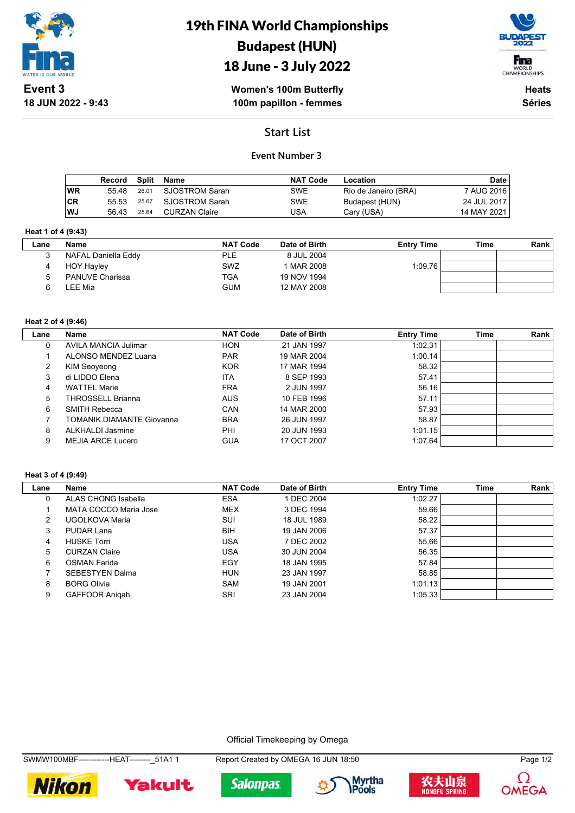

19th FINA World Championships Budapest (HUN)



18 June - 3 July 2022

**Women's 100m Butterfly 100m papillon - femmes**

**Heats Séries**

# **Start List**

### **Event Number 3**

|           | Record Split |       | Name           | <b>NAT Code</b> | Location             | Date        |
|-----------|--------------|-------|----------------|-----------------|----------------------|-------------|
| WR        | 55 48        | 26.01 | SJOSTROM Sarah | <b>SWE</b>      | Rio de Janeiro (BRA) | 7 AUG 2016  |
| ∣CR       | 55.53        | 25.67 | SJOSTROM Sarah | <b>SWE</b>      | Budapest (HUN)       | 24 JUL 2017 |
| <b>WJ</b> | 56.43        | 25.64 | CURZAN Claire  | USA             | Cary (USA)           | 14 MAY 2021 |

#### **Heat 1 of 4 (9:43)**

| Lane | <b>Name</b>            | <b>NAT Code</b> | Date of Birth | <b>Entry Time</b> | Time | <b>Rank</b> |
|------|------------------------|-----------------|---------------|-------------------|------|-------------|
|      | NAFAL Daniella Eddy    | <b>PLE</b>      | 8 JUL 2004    |                   |      |             |
|      | <b>HOY Hayley</b>      | <b>SWZ</b>      | 1 MAR 2008    | 1:09.76           |      |             |
|      | <b>PANUVE Charissa</b> | <b>TGA</b>      | 19 NOV 1994   |                   |      |             |
|      | _EE Mia                | <b>GUM</b>      | 12 MAY 2008   |                   |      |             |

#### **Heat 2 of 4 (9:46)**

| Lane | Name                      | <b>NAT Code</b> | Date of Birth | <b>Entry Time</b> | <b>Time</b> | Rank |
|------|---------------------------|-----------------|---------------|-------------------|-------------|------|
| 0    | AVILA MANCIA Julimar      | <b>HON</b>      | 21 JAN 1997   | 1:02.31           |             |      |
|      | ALONSO MENDEZ Luana       | <b>PAR</b>      | 19 MAR 2004   | 1:00.14           |             |      |
| 2    | KIM Seoyeong              | <b>KOR</b>      | 17 MAR 1994   | 58.32             |             |      |
| 3    | di LIDDO Elena            | <b>ITA</b>      | 8 SEP 1993    | 57.41             |             |      |
| 4    | <b>WATTEL Marie</b>       | <b>FRA</b>      | 2 JUN 1997    | 56.16             |             |      |
| 5    | THROSSELL Brianna         | <b>AUS</b>      | 10 FEB 1996   | 57.11             |             |      |
| 6    | <b>SMITH Rebecca</b>      | CAN             | 14 MAR 2000   | 57.93             |             |      |
|      | TOMANIK DIAMANTE Giovanna | <b>BRA</b>      | 26 JUN 1997   | 58.87             |             |      |
| 8    | ALKHALDI Jasmine          | PHI             | 20 JUN 1993   | 1:01.15           |             |      |
| 9    | MEJIA ARCE Lucero         | <b>GUA</b>      | 17 OCT 2007   | 1:07.64           |             |      |

#### **Heat 3 of 4 (9:49)**

| Lane | Name                   | <b>NAT Code</b> | Date of Birth | <b>Entry Time</b> | <b>Time</b> | Rank |
|------|------------------------|-----------------|---------------|-------------------|-------------|------|
| 0    | ALAS CHONG Isabella    | <b>ESA</b>      | 1 DEC 2004    | 1:02.27           |             |      |
|      | MATA COCCO Maria Jose  | <b>MEX</b>      | 3 DEC 1994    | 59.66             |             |      |
| 2    | UGOLKOVA Maria         | SUI             | 18 JUL 1989   | 58.22             |             |      |
| 3    | PUDAR Lana             | <b>BIH</b>      | 19 JAN 2006   | 57.37             |             |      |
| 4    | <b>HUSKE Torri</b>     | USA             | 7 DEC 2002    | 55.66             |             |      |
| 5    | <b>CURZAN Claire</b>   | USA             | 30 JUN 2004   | 56.35             |             |      |
| 6    | <b>OSMAN Farida</b>    | EGY             | 18 JAN 1995   | 57.84             |             |      |
|      | <b>SEBESTYEN Dalma</b> | <b>HUN</b>      | 23 JAN 1997   | 58.85             |             |      |
| 8    | <b>BORG Olivia</b>     | <b>SAM</b>      | 19 JAN 2001   | 1:01.13           |             |      |
| 9    | <b>GAFFOOR Anigah</b>  | SRI             | 23 JAN 2004   | 1:05.33           |             |      |

Official Timekeeping by Omega

SWMW100MBF------------HEAT--------\_51A1 1 Report Created by OMEGA 16 JUN 18:50 Page 1/2











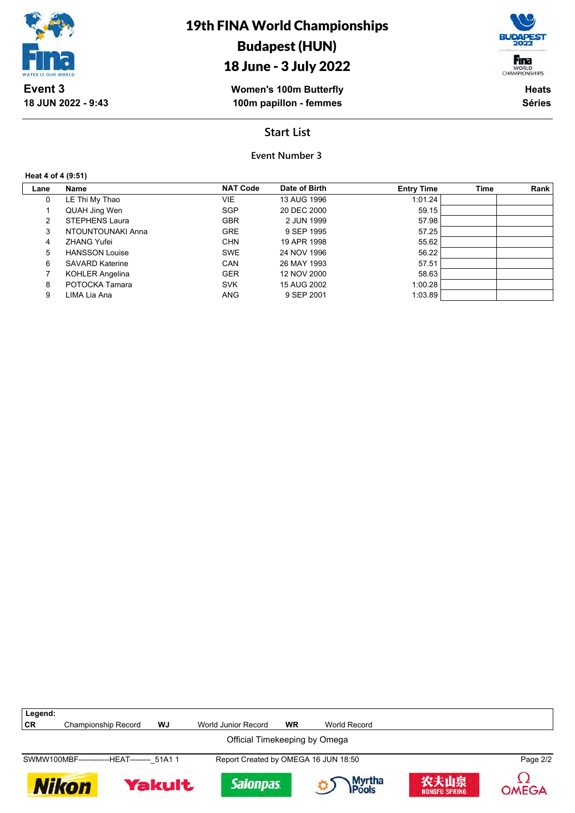

19th FINA World Championships Budapest (HUN)

# 18 June - 3 July 2022

**Women's 100m Butterfly 100m papillon - femmes**

WORLD<br>CHAMPIONSHIPS **Heats Séries**

Fina

**Start List**

**Event Number 3**

**Heat 4 of 4 (9:51)**

**Legend:**

| Lane         | Name                   | <b>NAT Code</b> | Date of Birth | <b>Entry Time</b> | Time | <b>Rank</b> |
|--------------|------------------------|-----------------|---------------|-------------------|------|-------------|
| $\mathbf{0}$ | LE Thi My Thao         | VIE.            | 13 AUG 1996   | 1:01.24           |      |             |
|              | QUAH Jing Wen          | <b>SGP</b>      | 20 DEC 2000   | 59.15             |      |             |
| 2            | STEPHENS Laura         | <b>GBR</b>      | 2 JUN 1999    | 57.98             |      |             |
| 3            | NTOUNTOUNAKI Anna      | <b>GRE</b>      | 9 SEP 1995    | 57.25             |      |             |
| 4            | <b>ZHANG Yufei</b>     | <b>CHN</b>      | 19 APR 1998   | 55.62             |      |             |
| 5            | <b>HANSSON Louise</b>  | <b>SWE</b>      | 24 NOV 1996   | 56.22             |      |             |
| 6            | <b>SAVARD Katerine</b> | <b>CAN</b>      | 26 MAY 1993   | 57.51             |      |             |
|              | <b>KOHLER Angelina</b> | <b>GER</b>      | 12 NOV 2000   | 58.63             |      |             |
| 8            | POTOCKA Tamara         | <b>SVK</b>      | 15 AUG 2002   | 1:00.28           |      |             |
| 9            | LIMA Lia Ana           | <b>ANG</b>      | 9 SEP 2001    | 1:03.89           |      |             |

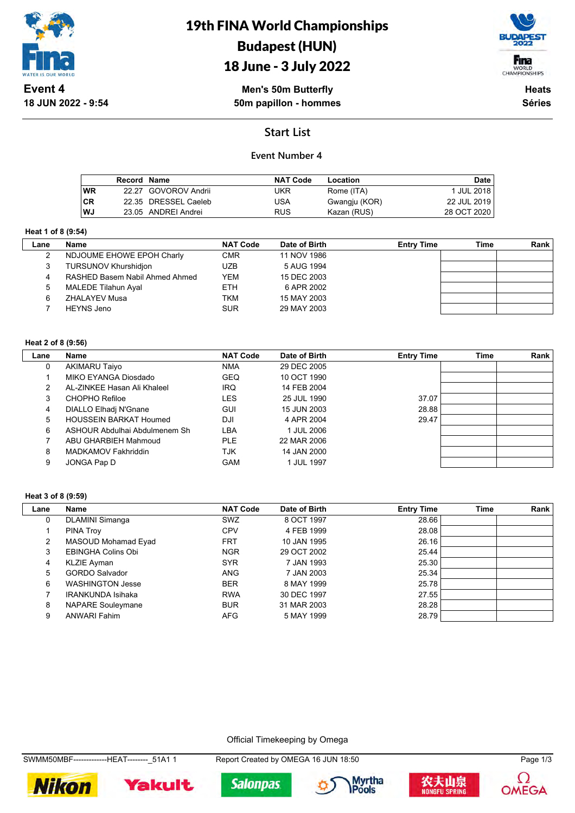

# 19th FINA World Championships Budapest (HUN)





**Men's 50m Butterfly 50m papillon - hommes**

**Heats Séries**

# **Start List**

### **Event Number 4**

|           | <b>Record Name</b> |                      | <b>NAT Code</b> | Location      | Date        |
|-----------|--------------------|----------------------|-----------------|---------------|-------------|
| <b>WR</b> |                    | 22.27 GOVOROV Andrii | UKR             | Rome (ITA)    | 1 JUL 2018  |
| <b>CR</b> |                    | 22.35 DRESSEL Caeleb | USA             | Gwangju (KOR) | 22 JUL 2019 |
| WJ        |                    | 23.05 ANDREI Andrei  | <b>RUS</b>      | Kazan (RUS)   | 28 OCT 2020 |

#### **Heat 1 of 8 (9:54)**

 $\mathbf{L}$ 

| Lane | Name                           | <b>NAT Code</b> | Date of Birth | <b>Entry Time</b> | Time | <b>Rank</b> |
|------|--------------------------------|-----------------|---------------|-------------------|------|-------------|
|      | NDJOUME EHOWE EPOH Charly      | <b>CMR</b>      | 11 NOV 1986   |                   |      |             |
| 3    | TURSUNOV Khurshidjon           | <b>UZB</b>      | 5 AUG 1994    |                   |      |             |
|      | RASHED Basem Nabil Ahmed Ahmed | <b>YEM</b>      | 15 DEC 2003   |                   |      |             |
| 5    | MALEDE Tilahun Ayal            | <b>ETH</b>      | 6 APR 2002    |                   |      |             |
| 6    | <b>ZHALAYEV Musa</b>           | <b>TKM</b>      | 15 MAY 2003   |                   |      |             |
|      | <b>HEYNS Jeno</b>              | <b>SUR</b>      | 29 MAY 2003   |                   |      |             |

#### **Heat 2 of 8 (9:56)**

| Lane | Name                          | <b>NAT Code</b> | Date of Birth | <b>Entry Time</b> | Time | Rank |
|------|-------------------------------|-----------------|---------------|-------------------|------|------|
| 0    | <b>AKIMARU Taiyo</b>          | <b>NMA</b>      | 29 DEC 2005   |                   |      |      |
|      | MIKO EYANGA Diosdado          | <b>GEQ</b>      | 10 OCT 1990   |                   |      |      |
|      | AL-ZINKEE Hasan Ali Khaleel   | <b>IRQ</b>      | 14 FEB 2004   |                   |      |      |
| 3    | CHOPHO Refiloe                | LES             | 25 JUL 1990   | 37.07             |      |      |
| 4    | DIALLO Elhadj N'Gnane         | <b>GUI</b>      | 15 JUN 2003   | 28.88             |      |      |
| 5    | <b>HOUSSEIN BARKAT Houmed</b> | DJI             | 4 APR 2004    | 29.47             |      |      |
| 6    | ASHOUR Abdulhai Abdulmenem Sh | LBA             | 1 JUL 2006    |                   |      |      |
|      | ABU GHARBIEH Mahmoud          | PLE.            | 22 MAR 2006   |                   |      |      |
| 8    | MADKAMOV Fakhriddin           | TJK             | 14 JAN 2000   |                   |      |      |
| 9    | JONGA Pap D                   | <b>GAM</b>      | 1 JUL 1997    |                   |      |      |

#### **Heat 3 of 8 (9:59)**

| Lane | Name                      | <b>NAT Code</b> | Date of Birth | <b>Entry Time</b> | Time | Rank |
|------|---------------------------|-----------------|---------------|-------------------|------|------|
| 0    | <b>DLAMINI Simanga</b>    | <b>SWZ</b>      | 8 OCT 1997    | 28.66             |      |      |
|      | PINA Troy                 | <b>CPV</b>      | 4 FEB 1999    | 28.08             |      |      |
| 2    | MASOUD Mohamad Eyad       | <b>FRT</b>      | 10 JAN 1995   | 26.16             |      |      |
| 3    | <b>EBINGHA Colins Obi</b> | <b>NGR</b>      | 29 OCT 2002   | 25.44             |      |      |
| 4    | KLZIE Ayman               | <b>SYR</b>      | 7 JAN 1993    | 25.30             |      |      |
| 5    | <b>GORDO Salvador</b>     | <b>ANG</b>      | 7 JAN 2003    | 25.34             |      |      |
| 6    | <b>WASHINGTON Jesse</b>   | <b>BER</b>      | 8 MAY 1999    | 25.78             |      |      |
|      | <b>IRANKUNDA Isihaka</b>  | <b>RWA</b>      | 30 DEC 1997   | 27.55             |      |      |
| 8    | <b>NAPARE Souleymane</b>  | <b>BUR</b>      | 31 MAR 2003   | 28.28             |      |      |
| 9    | <b>ANWARI Fahim</b>       | <b>AFG</b>      | 5 MAY 1999    | 28.79             |      |      |

Official Timekeeping by Omega

SWMM50MBF-------------HEAT---------\_51A1 1 Report Created by OMEGA 16 JUN 18:50 Page 1/3











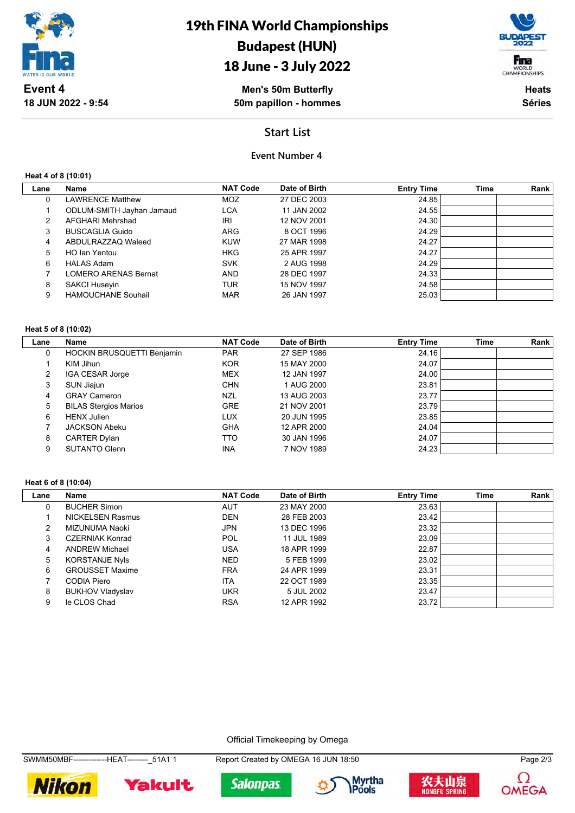

# 18 June - 3 July 2022

Fina WORLD<br>CHAMPIONSHIPS

**Men's 50m Butterfly 50m papillon - hommes**

**Heats Séries**

## **Start List**

### **Event Number 4**

**Heat 4 of 8 (10:01)**

**18 JUN 2022 - 9:54**

| Lane | <b>Name</b>                 | <b>NAT Code</b> | Date of Birth | <b>Entry Time</b> | Time | Rank |
|------|-----------------------------|-----------------|---------------|-------------------|------|------|
| 0    | <b>LAWRENCE Matthew</b>     | MOZ             | 27 DEC 2003   | 24.85             |      |      |
|      | ODLUM-SMITH Jayhan Jamaud   | <b>LCA</b>      | 11 JAN 2002   | 24.55             |      |      |
| 2    | AFGHARI Mehrshad            | IRI             | 12 NOV 2001   | 24.30             |      |      |
| 3    | <b>BUSCAGLIA Guido</b>      | <b>ARG</b>      | 8 OCT 1996    | 24.29             |      |      |
| 4    | ABDULRAZZAQ Waleed          | <b>KUW</b>      | 27 MAR 1998   | 24.27             |      |      |
| 5    | HO Ian Yentou               | <b>HKG</b>      | 25 APR 1997   | 24.27             |      |      |
| 6    | <b>HALAS Adam</b>           | <b>SVK</b>      | 2 AUG 1998    | 24.29             |      |      |
|      | <b>LOMERO ARENAS Bernat</b> | <b>AND</b>      | 28 DEC 1997   | 24.33             |      |      |
| 8    | SAKCI Huseyin               | <b>TUR</b>      | 15 NOV 1997   | 24.58             |      |      |
| 9    | <b>HAMOUCHANE Souhail</b>   | <b>MAR</b>      | 26 JAN 1997   | 25.03             |      |      |
|      |                             |                 |               |                   |      |      |

#### **Heat 5 of 8 (10:02)**

| Lane          | <b>Name</b>                  | <b>NAT Code</b> | Date of Birth | <b>Entry Time</b> | <b>Time</b> | Rank |
|---------------|------------------------------|-----------------|---------------|-------------------|-------------|------|
| 0             | HOCKIN BRUSQUETTI Benjamin   | <b>PAR</b>      | 27 SEP 1986   | 24.16             |             |      |
|               | KIM Jihun                    | <b>KOR</b>      | 15 MAY 2000   | 24.07             |             |      |
| $\mathcal{P}$ | IGA CESAR Jorge              | <b>MEX</b>      | 12 JAN 1997   | 24.00             |             |      |
| 3             | SUN Jiajun                   | <b>CHN</b>      | 1 AUG 2000    | 23.81             |             |      |
| 4             | <b>GRAY Cameron</b>          | NZL             | 13 AUG 2003   | 23.77             |             |      |
| 5             | <b>BILAS Stergios Marios</b> | <b>GRE</b>      | 21 NOV 2001   | 23.79             |             |      |
| 6             | <b>HENX Julien</b>           | <b>LUX</b>      | 20 JUN 1995   | 23.85             |             |      |
|               | <b>JACKSON Abeku</b>         | <b>GHA</b>      | 12 APR 2000   | 24.04             |             |      |
| 8             | <b>CARTER Dylan</b>          | TTO             | 30 JAN 1996   | 24.07             |             |      |
| 9             | <b>SUTANTO Glenn</b>         | <b>INA</b>      | 7 NOV 1989    | 24.23             |             |      |

#### **Heat 6 of 8 (10:04)**

| Lane | <b>Name</b>             | <b>NAT Code</b> | Date of Birth | <b>Entry Time</b> | <b>Time</b> | Rank |
|------|-------------------------|-----------------|---------------|-------------------|-------------|------|
| 0    | <b>BUCHER Simon</b>     | <b>AUT</b>      | 23 MAY 2000   | 23.63             |             |      |
|      | <b>NICKELSEN Rasmus</b> | <b>DEN</b>      | 28 FEB 2003   | 23.42             |             |      |
| 2    | MIZUNUMA Naoki          | <b>JPN</b>      | 13 DEC 1996   | 23.32             |             |      |
| 3    | <b>CZERNIAK Konrad</b>  | POL             | 11 JUL 1989   | 23.09             |             |      |
| 4    | <b>ANDREW Michael</b>   | USA             | 18 APR 1999   | 22.87             |             |      |
| 5    | <b>KORSTANJE Nyls</b>   | <b>NED</b>      | 5 FEB 1999    | 23.02             |             |      |
| 6    | <b>GROUSSET Maxime</b>  | <b>FRA</b>      | 24 APR 1999   | 23.31             |             |      |
|      | CODIA Piero             | <b>ITA</b>      | 22 OCT 1989   | 23.35             |             |      |
| 8    | <b>BUKHOV Vladyslav</b> | <b>UKR</b>      | 5 JUL 2002    | 23.47             |             |      |
| 9    | le CLOS Chad            | <b>RSA</b>      | 12 APR 1992   | 23.72             |             |      |

Official Timekeeping by Omega

**Salonpas** 











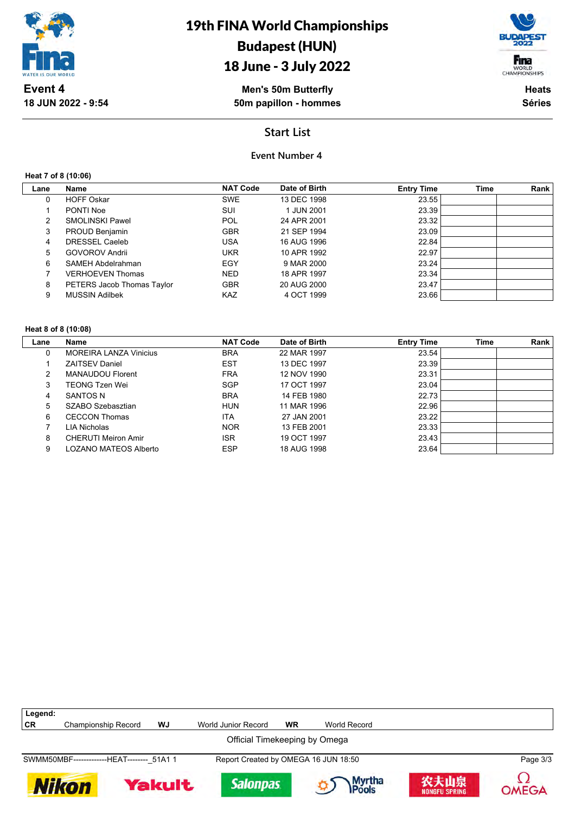

# 18 June - 3 July 2022



**Men's 50m Butterfly 50m papillon - hommes**

**Heats Séries**

## **Start List**

### **Event Number 4**

#### **Heat 7 of 8 (10:06)**

**18 JUN 2022 - 9:54**

| Lane | Name                       | <b>NAT Code</b> | Date of Birth | <b>Entry Time</b> | <b>Time</b> | Rank |
|------|----------------------------|-----------------|---------------|-------------------|-------------|------|
| 0    | <b>HOFF Oskar</b>          | <b>SWE</b>      | 13 DEC 1998   | 23.55             |             |      |
|      | PONTI Noe                  | SUI             | 1 JUN 2001    | 23.39             |             |      |
| 2    | SMOLINSKI Pawel            | POL             | 24 APR 2001   | 23.32             |             |      |
| 3    | PROUD Benjamin             | <b>GBR</b>      | 21 SEP 1994   | 23.09             |             |      |
| 4    | <b>DRESSEL Caeleb</b>      | USA             | 16 AUG 1996   | 22.84             |             |      |
| 5    | <b>GOVOROV Andrii</b>      | <b>UKR</b>      | 10 APR 1992   | 22.97             |             |      |
| 6    | SAMEH Abdelrahman          | EGY             | 9 MAR 2000    | 23.24             |             |      |
|      | <b>VERHOEVEN Thomas</b>    | <b>NED</b>      | 18 APR 1997   | 23.34             |             |      |
| 8    | PETERS Jacob Thomas Taylor | <b>GBR</b>      | 20 AUG 2000   | 23.47             |             |      |
| 9    | <b>MUSSIN Adilbek</b>      | KAZ.            | 4 OCT 1999    | 23.66             |             |      |

#### **Heat 8 of 8 (10:08)**

| Lane | <b>Name</b>                   | <b>NAT Code</b> | Date of Birth | <b>Entry Time</b> | <b>Time</b> | Rank |
|------|-------------------------------|-----------------|---------------|-------------------|-------------|------|
| 0    | <b>MOREIRA LANZA Vinicius</b> | <b>BRA</b>      | 22 MAR 1997   | 23.54             |             |      |
|      | <b>ZAITSEV Daniel</b>         | <b>EST</b>      | 13 DEC 1997   | 23.39             |             |      |
| 2    | <b>MANAUDOU Florent</b>       | <b>FRA</b>      | 12 NOV 1990   | 23.31             |             |      |
| 3    | <b>TEONG Tzen Wei</b>         | <b>SGP</b>      | 17 OCT 1997   | 23.04             |             |      |
| 4    | SANTOS N                      | <b>BRA</b>      | 14 FEB 1980   | 22.73             |             |      |
| 5    | SZABO Szebasztian             | <b>HUN</b>      | 11 MAR 1996   | 22.96             |             |      |
| 6    | <b>CECCON Thomas</b>          | <b>ITA</b>      | 27 JAN 2001   | 23.22             |             |      |
|      | LIA Nicholas                  | <b>NOR</b>      | 13 FEB 2001   | 23.33             |             |      |
| 8    | <b>CHERUTI Meiron Amir</b>    | <b>ISR</b>      | 19 OCT 1997   | 23.43             |             |      |
| 9    | LOZANO MATEOS Alberto         | <b>ESP</b>      | 18 AUG 1998   | 23.64             |             |      |

| Legend:                                    |                     |               |                                      |           |                 |                              |              |  |
|--------------------------------------------|---------------------|---------------|--------------------------------------|-----------|-----------------|------------------------------|--------------|--|
| CR                                         | Championship Record | WJ            | World Junior Record                  | <b>WR</b> | World Record    |                              |              |  |
| Official Timekeeping by Omega              |                     |               |                                      |           |                 |                              |              |  |
| SWMM50MBF--------------HEAT-------- 51A1 1 |                     |               | Report Created by OMEGA 16 JUN 18:50 |           |                 |                              | Page 3/3     |  |
| Nikon                                      |                     | <b>Yakult</b> | <b>Salonpas</b>                      |           | Myrtha<br>Pools | 农夫山泉<br><b>NONGFU SPRING</b> | <b>OMEGA</b> |  |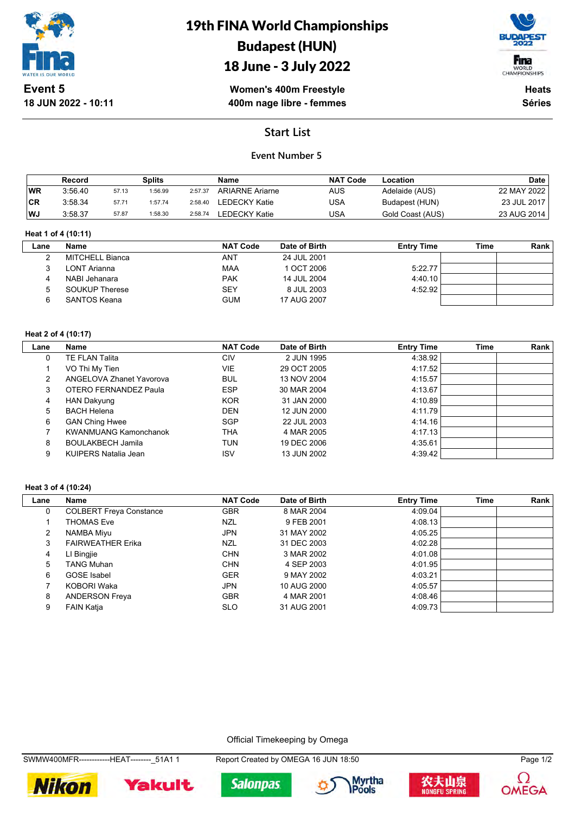

# 19th FINA World Championships Budapest (HUN)

# 18 June - 3 July 2022



**Women's 400m Freestyle 400m nage libre - femmes**

**Heats Séries**

### **Start List**

### **Event Number 5**

|           | Record  |       | <b>Splits</b> |         | Name                   | <b>NAT Code</b> | Location         | <b>Date</b> |
|-----------|---------|-------|---------------|---------|------------------------|-----------------|------------------|-------------|
| <b>WR</b> | 3:56.40 | 57.13 | 1:56.99       | 2:57.37 | <b>ARIARNE Ariarne</b> | AUS             | Adelaide (AUS)   | 22 MAY 2022 |
| <b>CR</b> | 3:58.34 | 57.71 | 1:57.74       | 2:58.40 | LEDECKY Katie          | USA             | Budapest (HUN)   | 23 JUL 2017 |
| WJ        | 3:58.37 | 57.87 | 1:58.30       | 2:58.74 | <b>LEDECKY Katie</b>   | USA             | Gold Coast (AUS) | 23 AUG 2014 |

#### **Heat 1 of 4 (10:11)**

| Lane | Name                  | <b>NAT Code</b> | Date of Birth | <b>Entry Time</b> | Time | Rank |
|------|-----------------------|-----------------|---------------|-------------------|------|------|
|      | MITCHELL Bianca       | ANT             | 24 JUL 2001   |                   |      |      |
|      | LONT Arianna          | MAA             | 1 OCT 2006    | 5:22.77           |      |      |
|      | NABI Jehanara         | <b>PAK</b>      | 14 JUL 2004   | 4:40.10           |      |      |
|      | <b>SOUKUP Therese</b> | <b>SEY</b>      | 8 JUL 2003    | 4:52.92           |      |      |
|      | SANTOS Keana          | <b>GUM</b>      | 17 AUG 2007   |                   |      |      |
|      |                       |                 |               |                   |      |      |

#### **Heat 2 of 4 (10:17)**

| Lane | Name                         | <b>NAT Code</b> | Date of Birth | <b>Entry Time</b> | <b>Time</b> | Rank |
|------|------------------------------|-----------------|---------------|-------------------|-------------|------|
| 0    | <b>TE FLAN Talita</b>        | CIV             | 2 JUN 1995    | 4:38.92           |             |      |
|      | VO Thi My Tien               | <b>VIE</b>      | 29 OCT 2005   | 4:17.52           |             |      |
| 2    | ANGELOVA Zhanet Yavorova     | <b>BUL</b>      | 13 NOV 2004   | 4:15.57           |             |      |
| 3    | OTERO FERNANDEZ Paula        | <b>ESP</b>      | 30 MAR 2004   | 4:13.67           |             |      |
| 4    | <b>HAN Dakyung</b>           | <b>KOR</b>      | 31 JAN 2000   | 4:10.89           |             |      |
| 5    | <b>BACH Helena</b>           | <b>DEN</b>      | 12 JUN 2000   | 4:11.79           |             |      |
| 6    | <b>GAN Ching Hwee</b>        | <b>SGP</b>      | 22 JUL 2003   | 4:14.16           |             |      |
|      | <b>KWANMUANG Kamonchanok</b> | THA             | 4 MAR 2005    | 4:17.13           |             |      |
| 8    | <b>BOULAKBECH Jamila</b>     | TUN             | 19 DEC 2006   | 4:35.61           |             |      |
| 9    | KUIPERS Natalia Jean         | <b>ISV</b>      | 13 JUN 2002   | 4:39.42           |             |      |

#### **Heat 3 of 4 (10:24)**

| Lane | Name                           | <b>NAT Code</b> | Date of Birth | <b>Entry Time</b> | Time | Rank |
|------|--------------------------------|-----------------|---------------|-------------------|------|------|
| 0    | <b>COLBERT Freya Constance</b> | <b>GBR</b>      | 8 MAR 2004    | 4:09.04           |      |      |
|      | <b>THOMAS Eve</b>              | NZL             | 9 FEB 2001    | 4:08.13           |      |      |
| 2    | NAMBA Miyu                     | <b>JPN</b>      | 31 MAY 2002   | 4:05.25           |      |      |
| 3    | <b>FAIRWEATHER Erika</b>       | NZL             | 31 DEC 2003   | 4:02.28           |      |      |
| 4    | LI Bingjie                     | <b>CHN</b>      | 3 MAR 2002    | 4:01.08           |      |      |
| 5    | <b>TANG Muhan</b>              | <b>CHN</b>      | 4 SEP 2003    | 4:01.95           |      |      |
| 6    | <b>GOSE</b> Isabel             | <b>GER</b>      | 9 MAY 2002    | 4:03.21           |      |      |
|      | KOBORI Waka                    | <b>JPN</b>      | 10 AUG 2000   | 4:05.57           |      |      |
| 8    | <b>ANDERSON Freya</b>          | <b>GBR</b>      | 4 MAR 2001    | 4:08.46           |      |      |
| 9    | <b>FAIN Katja</b>              | <b>SLO</b>      | 31 AUG 2001   | 4:09.73           |      |      |

#### Official Timekeeping by Omega

SWMW400MFR-------------HEAT--------\_51A1 1 Report Created by OMEGA 16 JUN 18:50 Page 1/2











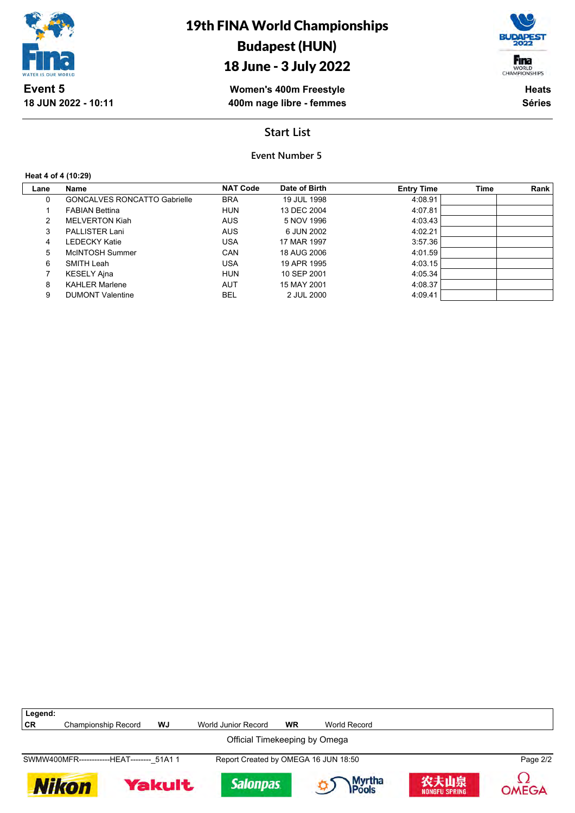

# 19th FINA World Championships Budapest (HUN)

# 18 June - 3 July 2022

Fina WORLD<br>CHAMPIONSHIPS

**Women's 400m Freestyle 400m nage libre - femmes**

**Heats Séries**

## **Start List**

### **Event Number 5**

#### **Heat 4 of 4 (10:29)**

| Lane | Name                                | <b>NAT Code</b> | Date of Birth | <b>Entry Time</b> | <b>Time</b> | Rank |
|------|-------------------------------------|-----------------|---------------|-------------------|-------------|------|
| 0    | <b>GONCALVES RONCATTO Gabrielle</b> | <b>BRA</b>      | 19 JUL 1998   | 4:08.91           |             |      |
|      | <b>FABIAN Bettina</b>               | <b>HUN</b>      | 13 DEC 2004   | 4:07.81           |             |      |
| 2    | <b>MELVERTON Kiah</b>               | <b>AUS</b>      | 5 NOV 1996    | 4:03.43           |             |      |
| 3    | <b>PALLISTER Lani</b>               | <b>AUS</b>      | 6 JUN 2002    | 4:02.21           |             |      |
| 4    | LEDECKY Katie                       | USA             | 17 MAR 1997   | 3:57.36           |             |      |
| 5    | McINTOSH Summer                     | CAN             | 18 AUG 2006   | 4:01.59           |             |      |
| 6    | SMITH Leah                          | USA             | 19 APR 1995   | 4:03.15           |             |      |
|      | <b>KESELY Ajna</b>                  | <b>HUN</b>      | 10 SEP 2001   | 4:05.34           |             |      |
| 8    | <b>KAHLER Marlene</b>               | <b>AUT</b>      | 15 MAY 2001   | 4:08.37           |             |      |
| 9    | <b>DUMONT Valentine</b>             | <b>BEL</b>      | 2 JUL 2000    | 4:09.41           |             |      |

| Legend:                       |                                            |               |                                      |    |                         |                              |          |  |  |
|-------------------------------|--------------------------------------------|---------------|--------------------------------------|----|-------------------------|------------------------------|----------|--|--|
| <b>CR</b>                     | <b>Championship Record</b>                 | WJ            | World Junior Record                  | WR | World Record            |                              |          |  |  |
| Official Timekeeping by Omega |                                            |               |                                      |    |                         |                              |          |  |  |
|                               | SWMW400MFR-------------HEAT-------- 51A1 1 |               | Report Created by OMEGA 16 JUN 18:50 |    |                         |                              | Page 2/2 |  |  |
|                               | Nikon                                      | <b>Yakult</b> | <b>Salonpas</b>                      |    | Myrtha<br><b>IPools</b> | 农夫山泉<br><b>NONGFU SPRING</b> | OMEGA    |  |  |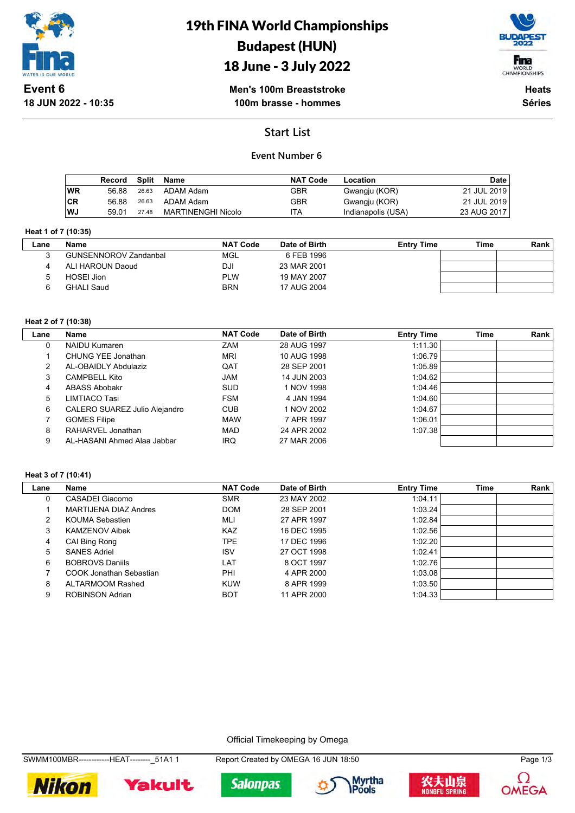

# 19th FINA World Championships Budapest (HUN)





**Men's 100m Breaststroke 100m brasse - hommes**

**Heats Séries**

## **Start List**

### **Event Number 6**

|     | Record | Split | Name               | <b>NAT Code</b> | Location           | <b>Date</b> |
|-----|--------|-------|--------------------|-----------------|--------------------|-------------|
| ∣WR | 56.88  | 26.63 | ADAM Adam          | GBR             | Gwangju (KOR)      | 21 JUL 2019 |
| ∣CR | 56.88  | 26.63 | ADAM Adam          | GBR             | Gwangju (KOR)      | 21 JUL 2019 |
| WJ. | 59.01  | 27.48 | MARTINENGHI Nicolo | ITA             | Indianapolis (USA) | 23 AUG 2017 |

#### **Heat 1 of 7 (10:35)**

| ∟ane | <b>Name</b>                  | <b>NAT Code</b> | Date of Birth | <b>Entry Time</b> | Time | Rank |
|------|------------------------------|-----------------|---------------|-------------------|------|------|
|      | <b>GUNSENNOROV Zandanbal</b> | MGL             | 6 FEB 1996    |                   |      |      |
|      | ALI HAROUN Daoud             | DJI             | 23 MAR 2001   |                   |      |      |
|      | HOSEI Jion                   | PLW             | 19 MAY 2007   |                   |      |      |
|      | GHALI Saud                   | <b>BRN</b>      | 17 AUG 2004   |                   |      |      |

#### **Heat 2 of 7 (10:38)**

| Lane | Name                          | <b>NAT Code</b> | Date of Birth | <b>Entry Time</b> | <b>Time</b> | Rank |
|------|-------------------------------|-----------------|---------------|-------------------|-------------|------|
| 0    | NAIDU Kumaren                 | ZAM             | 28 AUG 1997   | 1:11.30           |             |      |
|      | CHUNG YEE Jonathan            | <b>MRI</b>      | 10 AUG 1998   | 1:06.79           |             |      |
| 2    | AL-OBAIDLY Abdulaziz          | QAT             | 28 SEP 2001   | 1:05.89           |             |      |
| 3    | <b>CAMPBELL Kito</b>          | <b>JAM</b>      | 14 JUN 2003   | 1:04.62           |             |      |
| 4    | <b>ABASS Abobakr</b>          | <b>SUD</b>      | 1 NOV 1998    | 1:04.46           |             |      |
| 5    | LIMTIACO Tasi                 | <b>FSM</b>      | 4 JAN 1994    | 1:04.60           |             |      |
| 6    | CALERO SUAREZ Julio Alejandro | <b>CUB</b>      | 1 NOV 2002    | 1:04.67           |             |      |
|      | <b>GOMES Filipe</b>           | <b>MAW</b>      | 7 APR 1997    | 1:06.01           |             |      |
| 8    | RAHARVEL Jonathan             | <b>MAD</b>      | 24 APR 2002   | 1:07.38           |             |      |
| 9    | AL-HASANI Ahmed Alaa Jabbar   | <b>IRQ</b>      | 27 MAR 2006   |                   |             |      |

#### **Heat 3 of 7 (10:41)**

| Lane | Name                    | <b>NAT Code</b> | Date of Birth | <b>Entry Time</b> | <b>Time</b> | Rank |
|------|-------------------------|-----------------|---------------|-------------------|-------------|------|
| 0    | CASADEI Giacomo         | <b>SMR</b>      | 23 MAY 2002   | 1:04.11           |             |      |
|      | MARTIJENA DIAZ Andres   | <b>DOM</b>      | 28 SEP 2001   | 1:03.24           |             |      |
| 2    | KOUMA Sebastien         | MLI             | 27 APR 1997   | 1:02.84           |             |      |
| 3    | <b>KAMZENOV Aibek</b>   | <b>KAZ</b>      | 16 DEC 1995   | 1:02.56           |             |      |
| 4    | CAI Bing Rong           | TPE.            | 17 DEC 1996   | 1:02.20           |             |      |
| 5    | <b>SANES Adriel</b>     | <b>ISV</b>      | 27 OCT 1998   | 1:02.41           |             |      |
| 6    | <b>BOBROVS Daniils</b>  | LAT             | 8 OCT 1997    | 1:02.76           |             |      |
|      | COOK Jonathan Sebastian | PHI             | 4 APR 2000    | 1:03.08           |             |      |
| 8    | ALTARMOOM Rashed        | <b>KUW</b>      | 8 APR 1999    | 1:03.50           |             |      |
| 9    | ROBINSON Adrian         | <b>BOT</b>      | 11 APR 2000   | 1:04.33           |             |      |

Official Timekeeping by Omega

**Nikon** 







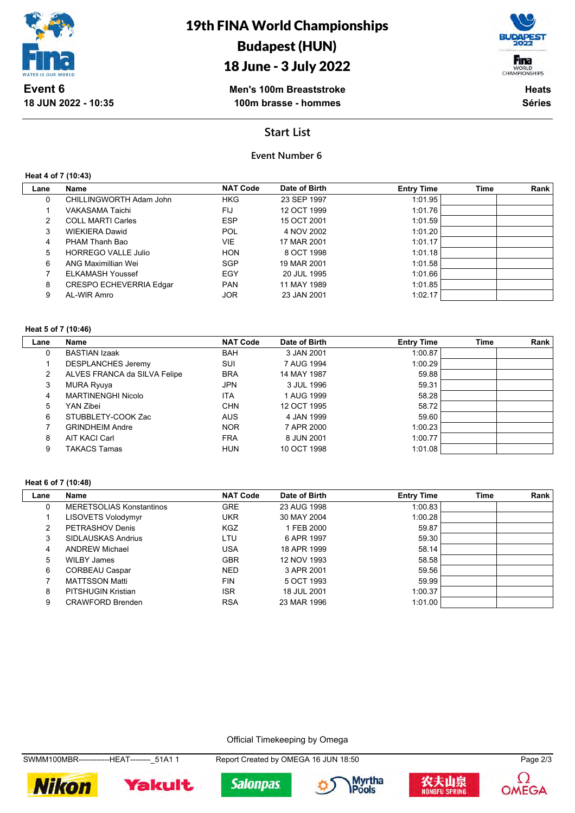

# 18 June - 3 July 2022



**Men's 100m Breaststroke 100m brasse - hommes**

**Heats Séries**

### **Start List**

### **Event Number 6**

**Heat 4 of 7 (10:43)**

**18 JUN 2022 - 10:35**

| Name<br>CHILLINGWORTH Adam John | <b>NAT Code</b><br><b>HKG</b> | Date of Birth | <b>Entry Time</b> | Time | Rank |
|---------------------------------|-------------------------------|---------------|-------------------|------|------|
|                                 |                               |               |                   |      |      |
|                                 |                               | 23 SEP 1997   | 1:01.95           |      |      |
| VAKASAMA Taichi                 | FIJ                           | 12 OCT 1999   | 1:01.76           |      |      |
| <b>COLL MARTI Carles</b>        | <b>ESP</b>                    | 15 OCT 2001   | 1:01.59           |      |      |
| <b>WIEKIERA Dawid</b>           | <b>POL</b>                    | 4 NOV 2002    | 1:01.20           |      |      |
| PHAM Thanh Bao                  | VIE.                          | 17 MAR 2001   | 1:01.17           |      |      |
| <b>HORREGO VALLE Julio</b>      | <b>HON</b>                    | 8 OCT 1998    | 1:01.18           |      |      |
| ANG Maximillian Wei             | <b>SGP</b>                    | 19 MAR 2001   | 1:01.58           |      |      |
| <b>ELKAMASH Youssef</b>         | EGY                           | 20 JUL 1995   | 1:01.66           |      |      |
| CRESPO ECHEVERRIA Edgar         | <b>PAN</b>                    | 11 MAY 1989   | 1:01.85           |      |      |
|                                 | <b>JOR</b>                    | 23 JAN 2001   | 1:02.17           |      |      |
|                                 | AL-WIR Amro                   |               |                   |      |      |

#### **Heat 5 of 7 (10:46)**

| Lane | Name                         | <b>NAT Code</b> | Date of Birth | <b>Entry Time</b> | <b>Time</b> | Rank |
|------|------------------------------|-----------------|---------------|-------------------|-------------|------|
| 0    | <b>BASTIAN Izaak</b>         | <b>BAH</b>      | 3 JAN 2001    | 1:00.87           |             |      |
|      | <b>DESPLANCHES Jeremy</b>    | SUI             | 7 AUG 1994    | 1:00.29           |             |      |
| 2    | ALVES FRANCA da SILVA Felipe | <b>BRA</b>      | 14 MAY 1987   | 59.88             |             |      |
| 3    | MURA Ryuya                   | <b>JPN</b>      | 3 JUL 1996    | 59.31             |             |      |
| 4    | <b>MARTINENGHI Nicolo</b>    | <b>ITA</b>      | 1 AUG 1999    | 58.28             |             |      |
| 5    | YAN Zibei                    | <b>CHN</b>      | 12 OCT 1995   | 58.72             |             |      |
| 6    | STUBBLETY-COOK Zac           | <b>AUS</b>      | 4 JAN 1999    | 59.60             |             |      |
|      | <b>GRINDHEIM Andre</b>       | <b>NOR</b>      | 7 APR 2000    | 1:00.23           |             |      |
| 8    | <b>AIT KACI Carl</b>         | <b>FRA</b>      | 8 JUN 2001    | 1:00.77           |             |      |
| 9    | <b>TAKACS Tamas</b>          | <b>HUN</b>      | 10 OCT 1998   | 1:01.08           |             |      |

#### **Heat 6 of 7 (10:48)**

| Lane | Name                            | <b>NAT Code</b> | Date of Birth | <b>Entry Time</b> | <b>Time</b> | Rank |
|------|---------------------------------|-----------------|---------------|-------------------|-------------|------|
| 0    | <b>MERETSOLIAS Konstantinos</b> | <b>GRE</b>      | 23 AUG 1998   | 1:00.83           |             |      |
|      | LISOVETS Volodymyr              | <b>UKR</b>      | 30 MAY 2004   | 1:00.28           |             |      |
| 2    | PETRASHOV Denis                 | <b>KGZ</b>      | 1 FEB 2000    | 59.87             |             |      |
| 3    | SIDLAUSKAS Andrius              | LTU             | 6 APR 1997    | 59.30             |             |      |
| 4    | <b>ANDREW Michael</b>           | USA             | 18 APR 1999   | 58.14             |             |      |
| 5    | <b>WILBY James</b>              | <b>GBR</b>      | 12 NOV 1993   | 58.58             |             |      |
| 6    | <b>CORBEAU Caspar</b>           | <b>NED</b>      | 3 APR 2001    | 59.56             |             |      |
|      | <b>MATTSSON Matti</b>           | <b>FIN</b>      | 5 OCT 1993    | 59.99             |             |      |
| 8    | PITSHUGIN Kristian              | <b>ISR</b>      | 18 JUL 2001   | 1:00.37           |             |      |
| 9    | <b>CRAWFORD Brenden</b>         | <b>RSA</b>      | 23 MAR 1996   | 1:01.00           |             |      |

Official Timekeeping by Omega











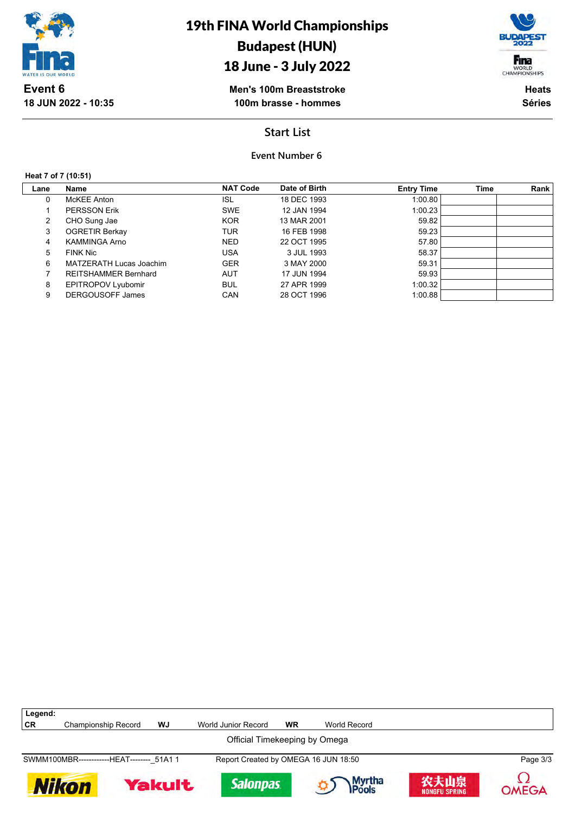

# 18 June - 3 July 2022

Fina WORLD<br>CHAMPIONSHIPS

**Men's 100m Breaststroke 100m brasse - hommes**

**Heats Séries**

### **Start List**

### **Event Number 6**

#### **Heat 7 of 7 (10:51)**

 $\lceil$ 

**18 JUN 2022 - 10:35**

| Lane | Name                        | <b>NAT Code</b> | Date of Birth | <b>Entry Time</b> | Time | Rank |
|------|-----------------------------|-----------------|---------------|-------------------|------|------|
| 0    | McKEE Anton                 | ISL             | 18 DEC 1993   | 1:00.80           |      |      |
|      | <b>PERSSON Erik</b>         | <b>SWE</b>      | 12 JAN 1994   | 1:00.23           |      |      |
| 2    | CHO Sung Jae                | <b>KOR</b>      | 13 MAR 2001   | 59.82             |      |      |
| 3    | <b>OGRETIR Berkay</b>       | TUR             | 16 FEB 1998   | 59.23             |      |      |
| 4    | KAMMINGA Arno               | <b>NED</b>      | 22 OCT 1995   | 57.80             |      |      |
| 5    | <b>FINK Nic</b>             | USA             | 3 JUL 1993    | 58.37             |      |      |
| 6    | MATZERATH Lucas Joachim     | <b>GER</b>      | 3 MAY 2000    | 59.31             |      |      |
|      | <b>REITSHAMMER Bernhard</b> | <b>AUT</b>      | 17 JUN 1994   | 59.93             |      |      |
| 8    | <b>EPITROPOV Lyubomir</b>   | <b>BUL</b>      | 27 APR 1999   | 1:00.32           |      |      |
| 9    | <b>DERGOUSOFF James</b>     | CAN             | 28 OCT 1996   | 1:00.88           |      |      |
|      |                             |                 |               |                   |      |      |

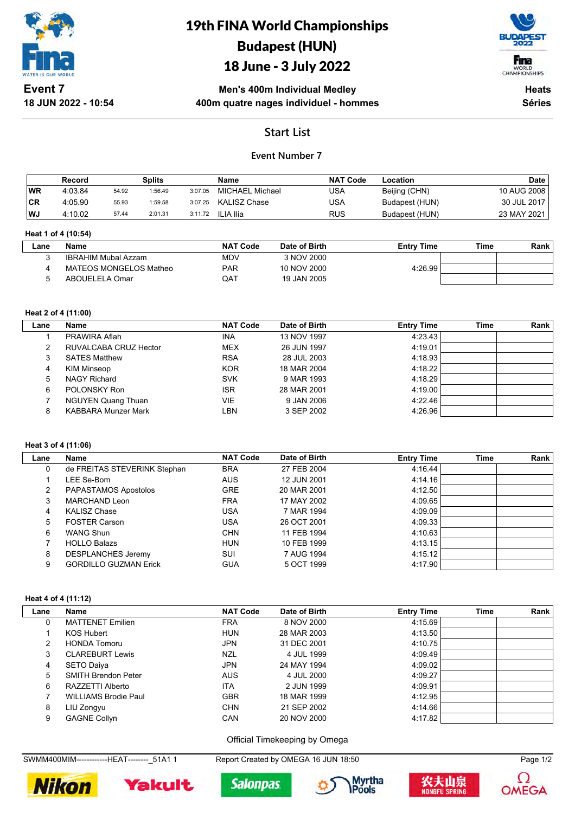

# 19th FINA World Championships Budapest (HUN)

# 18 June - 3 July 2022



**Men's 400m Individual Medley 400m quatre nages individuel - hommes**

**Heats Séries**

## **Start List**

### **Event Number 7**

|           | Record  |       | <b>Splits</b> |         | Name            | <b>NAT Code</b> | Location       | <b>Date</b> |
|-----------|---------|-------|---------------|---------|-----------------|-----------------|----------------|-------------|
| <b>WR</b> | 4:03.84 | 54.92 | 1:56.49       | 3:07.05 | MICHAEL Michael | USA             | Beijing (CHN)  | 10 AUG 2008 |
| <b>CR</b> | 4:05.90 | 55.93 | 1:59.58       | 3:07.25 | KALISZ Chase    | USA             | Budapest (HUN) | 30 JUL 2017 |
| WJ        | 4:10.02 | 57.44 | 2:01.31       | 3:11.72 | ILIA Ilia       | <b>RUS</b>      | Budapest (HUN) | 23 MAY 2021 |

#### **Heat 1 of 4 (10:54)**

| _ane | <b>Name</b>            | <b>NAT Code</b> | Date of Birth | <b>Entry Time</b> | Time | Rank |
|------|------------------------|-----------------|---------------|-------------------|------|------|
|      | IBRAHIM Mubal Azzam    | <b>MDV</b>      | 3 NOV 2000    |                   |      |      |
|      | MATEOS MONGELOS Matheo | <b>PAR</b>      | 10 NOV 2000   | 4.26.99           |      |      |
|      | ABOUELELA Omar         | QAT             | 19 JAN 2005   |                   |      |      |

#### **Heat 2 of 4 (11:00)**

| Lane | Name                       | <b>NAT Code</b> | Date of Birth | <b>Entry Time</b> | Time | Rank |
|------|----------------------------|-----------------|---------------|-------------------|------|------|
|      | PRAWIRA Aflah              | <b>INA</b>      | 13 NOV 1997   | 4:23.43           |      |      |
| 2    | RUVALCABA CRUZ Hector      | <b>MEX</b>      | 26 JUN 1997   | 4:19.01           |      |      |
| 3    | <b>SATES Matthew</b>       | <b>RSA</b>      | 28 JUL 2003   | 4:18.93           |      |      |
| 4    | KIM Minseop                | <b>KOR</b>      | 18 MAR 2004   | 4:18.22           |      |      |
| 5    | <b>NAGY Richard</b>        | <b>SVK</b>      | 9 MAR 1993    | 4:18.29           |      |      |
| 6    | POLONSKY Ron               | <b>ISR</b>      | 28 MAR 2001   | 4:19.00           |      |      |
|      | <b>NGUYEN Quang Thuan</b>  | VIE             | 9 JAN 2006    | 4:22.46           |      |      |
| 8    | <b>KABBARA Munzer Mark</b> | LBN             | 3 SEP 2002    | 4:26.96           |      |      |

#### **Heat 3 of 4 (11:06)**

| Lane | Name                         | <b>NAT Code</b> | Date of Birth | <b>Entry Time</b> | Time | Rank |
|------|------------------------------|-----------------|---------------|-------------------|------|------|
| 0    | de FREITAS STEVERINK Stephan | <b>BRA</b>      | 27 FEB 2004   | 4:16.44           |      |      |
|      | L <b>EE Se-Bom</b>           | <b>AUS</b>      | 12 JUN 2001   | 4:14.16           |      |      |
| 2    | PAPASTAMOS Apostolos         | <b>GRE</b>      | 20 MAR 2001   | 4:12.50           |      |      |
| 3    | MARCHAND Leon                | <b>FRA</b>      | 17 MAY 2002   | 4:09.65           |      |      |
| 4    | <b>KALISZ Chase</b>          | <b>USA</b>      | 7 MAR 1994    | 4:09.09           |      |      |
| 5    | <b>FOSTER Carson</b>         | <b>USA</b>      | 26 OCT 2001   | 4:09.33           |      |      |
| 6    | WANG Shun                    | <b>CHN</b>      | 11 FEB 1994   | 4:10.63           |      |      |
|      | <b>HOLLO Balazs</b>          | <b>HUN</b>      | 10 FEB 1999   | 4:13.15           |      |      |
| 8    | <b>DESPLANCHES Jeremy</b>    | SUI             | 7 AUG 1994    | 4:15.12           |      |      |
| 9    | <b>GORDILLO GUZMAN Erick</b> | <b>GUA</b>      | 5 OCT 1999    | 4:17.90           |      |      |

#### **Heat 4 of 4 (11:12)**

| Lane | Name                        | <b>NAT Code</b> | Date of Birth | <b>Entry Time</b> | Time | <b>Rank</b> |
|------|-----------------------------|-----------------|---------------|-------------------|------|-------------|
| 0    | <b>MATTENET Emilien</b>     | <b>FRA</b>      | 8 NOV 2000    | 4:15.69           |      |             |
|      | KOS Hubert                  | <b>HUN</b>      | 28 MAR 2003   | 4:13.50           |      |             |
| 2    | <b>HONDA Tomoru</b>         | JPN             | 31 DEC 2001   | 4:10.75           |      |             |
| 3    | <b>CLAREBURT Lewis</b>      | NZL             | 4 JUL 1999    | 4:09.49           |      |             |
| 4    | <b>SETO Daiya</b>           | JPN             | 24 MAY 1994   | 4:09.02           |      |             |
| 5    | <b>SMITH Brendon Peter</b>  | <b>AUS</b>      | 4 JUL 2000    | 4:09.27           |      |             |
| 6    | RAZZETTI Alberto            | <b>ITA</b>      | 2 JUN 1999    | 4:09.91           |      |             |
|      | <b>WILLIAMS Brodie Paul</b> | <b>GBR</b>      | 18 MAR 1999   | 4:12.95           |      |             |
| 8    | LIU Zongyu                  | <b>CHN</b>      | 21 SEP 2002   | 4:14.66           |      |             |
| 9    | <b>GAGNE Collyn</b>         | CAN             | 20 NOV 2000   | 4:17.82           |      |             |

Official Timekeeping by Omega

SWMM400MIM-------------HEAT---------\_51A1 1 Report Created by OMEGA 16 JUN 18:50 Page 1/2









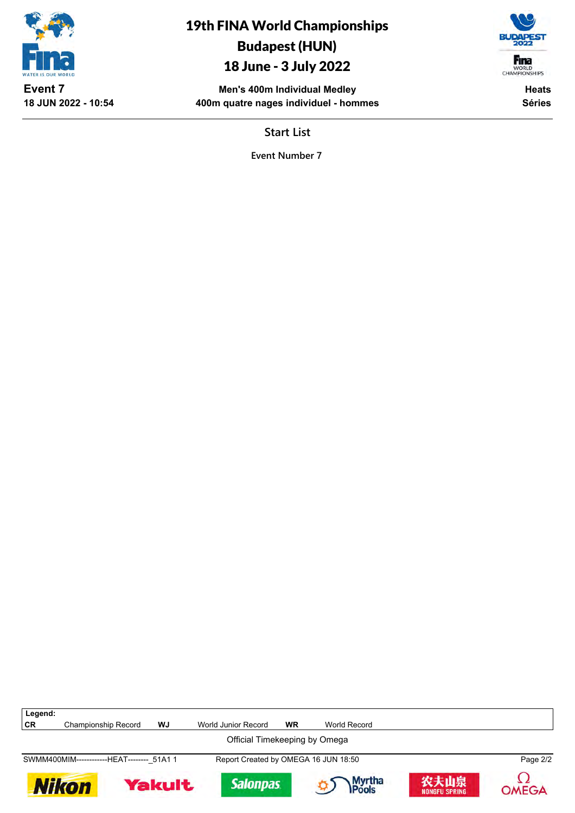

Budapest (HUN) 18 June - 3 July 2022

> **Men's 400m Individual Medley 400m quatre nages individuel - hommes**

19th FINA World Championships

Fina WORLD<br>CHAMPIONSHIPS

> **Heats Séries**

**Start List**

**Event Number 7**

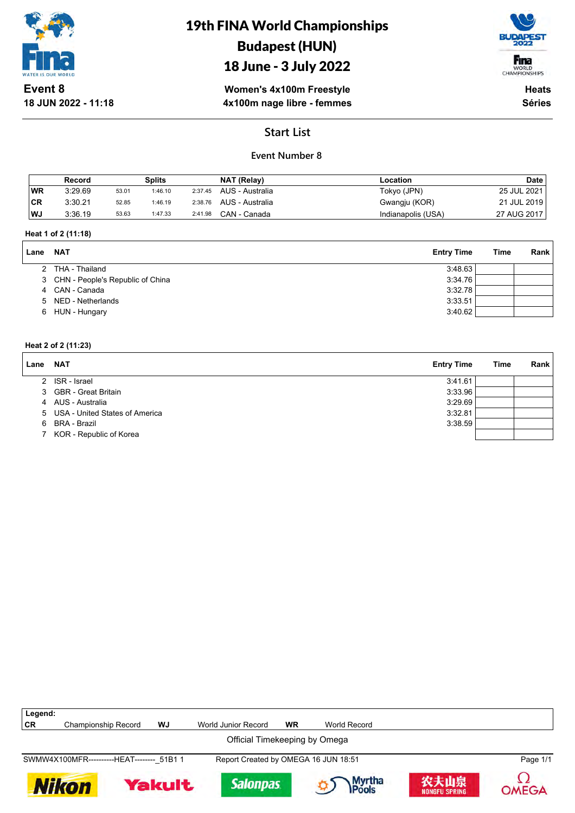

# 19th FINA World Championships Budapest (HUN)

# 18 June - 3 July 2022



**Women's 4x100m Freestyle 4x100m nage libre - femmes**

**Heats Séries**

# **Start List**

### **Event Number 8**

|           | Record  |       | <b>Splits</b> |         | NAT (Relay)             | Location           | <b>Date</b> |
|-----------|---------|-------|---------------|---------|-------------------------|--------------------|-------------|
| <b>WR</b> | 3:29.69 | 53.01 | 1:46.10       | 2:37.45 | AUS - Australia         | Tokyo (JPN)        | 25 JUL 2021 |
| 'CR       | 3:30.21 | 52.85 | 1:46.19       |         | 2:38.76 AUS - Australia | Gwangju (KOR)      | 21 JUL 2019 |
| WJ        | 3:36.19 | 53.63 | 1:47.33       | 2:41.98 | CAN - Canada            | Indianapolis (USA) | 27 AUG 2017 |

#### **Heat 1 of 2 (11:18)**

| Lane | NAT                                | <b>Entry Time</b> | <b>Time</b> | Rank |
|------|------------------------------------|-------------------|-------------|------|
|      | 2 THA - Thailand                   | 3:48.63           |             |      |
|      | 3 CHN - People's Republic of China | 3:34.76           |             |      |
|      | 4 CAN - Canada                     | 3:32.78           |             |      |
|      | 5 NED - Netherlands                | 3:33.51           |             |      |
| 6.   | HUN - Hungary                      | 3:40.62           |             |      |

#### **Heat 2 of 2 (11:23)**

| Lane | <b>NAT</b>                       | <b>Entry Time</b> | <b>Time</b> | Rank |
|------|----------------------------------|-------------------|-------------|------|
|      | 2 ISR - Israel                   | 3:41.61           |             |      |
|      | 3 GBR - Great Britain            | 3:33.96           |             |      |
|      | 4 AUS - Australia                | 3:29.69           |             |      |
|      | 5 USA - United States of America | 3:32.81           |             |      |
|      | 6 BRA - Brazil                   | 3:38.59           |             |      |
|      | 7 KOR - Republic of Korea        |                   |             |      |

| Legend: |                                            |               |                                      |           |                        |                              |              |
|---------|--------------------------------------------|---------------|--------------------------------------|-----------|------------------------|------------------------------|--------------|
| CR      | <b>Championship Record</b>                 | WJ            | World Junior Record                  | <b>WR</b> | World Record           |                              |              |
|         |                                            |               | Official Timekeeping by Omega        |           |                        |                              |              |
|         | SWMW4X100MFR-----------HEAT-------- 51B1 1 |               | Report Created by OMEGA 16 JUN 18:51 |           |                        |                              | Page 1/1     |
|         | <b>Nikon</b>                               | <b>Yakult</b> | <b>Salonpas</b>                      |           | <b>Myrtha</b><br>Pools | 农夫山泉<br><b>NONGFU SPRING</b> | <b>OMEGA</b> |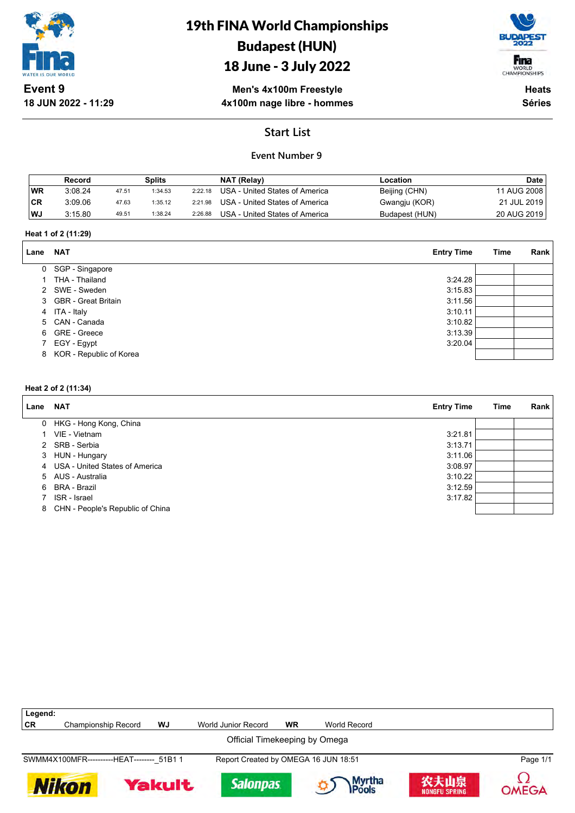

# 19th FINA World Championships Budapest (HUN)

# 18 June - 3 July 2022



**Men's 4x100m Freestyle 4x100m nage libre - hommes**

**Heats Séries**

# **Start List**

### **Event Number 9**

|           | Record  |       | Splits  |         | NAT (Relay)                    | Location       | <b>Date</b>   |
|-----------|---------|-------|---------|---------|--------------------------------|----------------|---------------|
| <b>WR</b> | 3:08.24 | 47.51 | 1:34.53 | 2:22.18 | USA - United States of America | Beijing (CHN)  | 11 AUG 2008 i |
| 'CR       | 3:09.06 | 47.63 | 1:35.12 | 2:21.98 | USA - United States of America | Gwangju (KOR)  | 21 JUL 2019   |
| WJ        | 3:15.80 | 49.51 | 1:38.24 | 2:26.88 | USA - United States of America | Budapest (HUN) | 20 AUG 2019   |

#### **Heat 1 of 2 (11:29)**

| Lane | <b>NAT</b>              | <b>Entry Time</b> | Time | <b>Rank</b> |
|------|-------------------------|-------------------|------|-------------|
|      | 0 SGP - Singapore       |                   |      |             |
|      | THA - Thailand          | 3:24.28           |      |             |
|      | 2 SWE - Sweden          | 3:15.83           |      |             |
|      | 3 GBR - Great Britain   | 3:11.56           |      |             |
|      | 4 ITA - Italy           | 3:10.11           |      |             |
|      | 5 CAN - Canada          | 3:10.82           |      |             |
|      | 6 GRE - Greece          | 3:13.39           |      |             |
|      | 7 EGY - Egypt           | 3:20.04           |      |             |
| 8    | KOR - Republic of Korea |                   |      |             |

#### **Heat 2 of 2 (11:34)**

| Lane | <b>NAT</b>                         | <b>Entry Time</b> | Time | Rank |
|------|------------------------------------|-------------------|------|------|
|      | 0 HKG - Hong Kong, China           |                   |      |      |
|      | VIE - Vietnam                      | 3:21.81           |      |      |
|      | 2 SRB - Serbia                     | 3:13.71           |      |      |
|      | 3 HUN - Hungary                    | 3:11.06           |      |      |
|      | 4 USA - United States of America   | 3:08.97           |      |      |
|      | 5 AUS - Australia                  | 3:10.22           |      |      |
|      | 6 BRA - Brazil                     | 3:12.59           |      |      |
|      | ISR - Israel                       | 3:17.82           |      |      |
|      | 8 CHN - People's Republic of China |                   |      |      |

| Legend: |                                            |               |                                      |           |               |                              |              |
|---------|--------------------------------------------|---------------|--------------------------------------|-----------|---------------|------------------------------|--------------|
| CR      | Championship Record                        | WJ            | World Junior Record                  | <b>WR</b> | World Record  |                              |              |
|         |                                            |               | Official Timekeeping by Omega        |           |               |                              |              |
|         | SWMM4X100MFR-----------HEAT-------- 51B1 1 |               | Report Created by OMEGA 16 JUN 18:51 |           |               |                              | Page 1/1     |
|         | <b>Nikon</b>                               | <b>Yakult</b> | <b>Salonpas</b>                      |           | <b>Myrtha</b> | 农夫山泉<br><b>NONGFU SPRING</b> | <b>OMEGA</b> |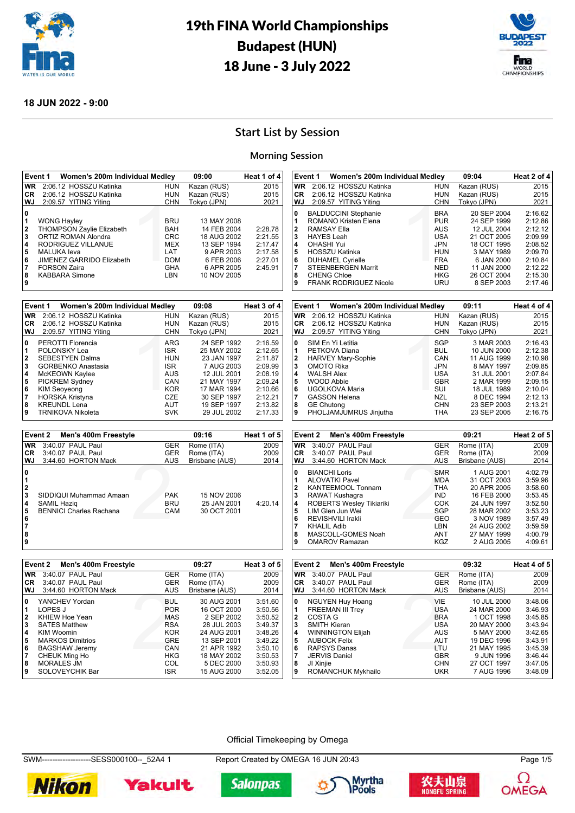



#### **18 JUN 2022 - 9:00**

# **Start List by Session**

#### **Morning Session**

|                                       | Women's 200m Individual Medley<br>Event 1 |                          | 09:00                     | Heat 1 of 4        | Event 1                          | Women's 200m Individual Medley  |                          | 09:04                     | Heat 2 of 4        |
|---------------------------------------|-------------------------------------------|--------------------------|---------------------------|--------------------|----------------------------------|---------------------------------|--------------------------|---------------------------|--------------------|
| <b>WR</b>                             | 2:06.12 HOSSZU Katinka                    | <b>HUN</b>               | Kazan (RUS)               | 2015               | W <sub>R</sub>                   | 2:06.12 HOSSZU Katinka          | <b>HUN</b>               | Kazan (RUS)               | 2015               |
| <b>CR</b>                             | 2:06.12 HOSSZU Katinka                    | <b>HUN</b>               | Kazan (RUS)               | 2015               | CR.                              | 2:06.12 HOSSZU Katinka          | <b>HUN</b>               | Kazan (RUS)               | 2015               |
| WJ                                    | 2:09.57 YITING Yiting                     | <b>CHN</b>               | Tokyo (JPN)               | 2021               | <b>WJ</b>                        | 2:09.57 YITING Yiting           | <b>CHN</b>               | Tokyo (JPN)               | 2021               |
| 0                                     |                                           |                          |                           |                    | $\mathbf{0}$                     | <b>BALDUCCINI Stephanie</b>     | <b>BRA</b>               | 20 SEP 2004               | 2:16.62            |
| 1                                     | <b>WONG Hayley</b>                        | <b>BRU</b>               | 13 MAY 2008               |                    | 1                                | ROMANO Kristen Elena            | <b>PUR</b>               | 24 SEP 1999               | 2:12.86            |
| $\overline{\mathbf{2}}$               | THOMPSON Zaylie Elizabeth                 | <b>BAH</b>               | 14 FEB 2004               | 2:28.78            | $\overline{\mathbf{2}}$          | <b>RAMSAY Ella</b>              | AUS                      | 12 JUL 2004               | 2:12.12            |
| 3                                     | ORTIZ ROMAN Alondra                       | <b>CRC</b>               | 18 AUG 2002               | 2:21.55            | 3                                | <b>HAYES Leah</b>               | <b>USA</b>               | 21 OCT 2005               | 2:09.99            |
| 4                                     | RODRIGUEZ VILLANUE                        | <b>MEX</b>               | 13 SEP 1994               | 2:17.47            | 4                                | <b>OHASHI Yui</b>               | <b>JPN</b>               | 18 OCT 1995               | 2:08.52            |
| 5                                     | <b>MALUKA</b> leva                        | LAT                      |                           |                    | 5                                | HOSSZU Katinka                  | <b>HUN</b>               |                           | 2:09.70            |
|                                       |                                           | <b>DOM</b>               | 9 APR 2003                | 2:17.58            |                                  |                                 | <b>FRA</b>               | 3 MAY 1989                |                    |
| 6                                     | JIMENEZ GARRIDO Elizabeth                 |                          | 6 FEB 2006                | 2:27.01            | 6                                | <b>DUHAMEL Cyrielle</b>         |                          | 6 JAN 2000                | 2:10.84            |
| 7                                     | <b>FORSON Zaira</b>                       | <b>GHA</b>               | 6 APR 2005                | 2:45.91            | 7                                | <b>STEENBERGEN Marrit</b>       | <b>NED</b>               | 11 JAN 2000               | 2:12.22            |
| 8                                     | <b>KABBARA Simone</b>                     | <b>LBN</b>               | 10 NOV 2005               |                    | 8                                | <b>CHENG Chloe</b>              | <b>HKG</b>               | 26 OCT 2004               | 2:15.30            |
| 9                                     |                                           |                          |                           |                    | 9                                | <b>FRANK RODRIGUEZ Nicole</b>   | <b>URU</b>               | 8 SEP 2003                | 2:17.46            |
|                                       |                                           |                          |                           |                    |                                  |                                 |                          |                           |                    |
|                                       | Event 1<br>Women's 200m Individual Medley |                          | 09:08                     | Heat 3 of 4        | Event 1                          | Women's 200m Individual Medley  |                          | 09:11                     | Heat 4 of 4        |
| <b>WR</b>                             | 2:06.12 HOSSZU Katinka                    | <b>HUN</b>               | Kazan (RUS)               | 2015               | $\overline{\textsf{WR}}$         | 2:06.12 HOSSZU Katinka          | <b>HUN</b>               | Kazan (RUS)               | 2015               |
| <b>CR</b>                             | 2:06.12 HOSSZU Katinka                    | <b>HUN</b>               | Kazan (RUS)               | 2015               | CR.                              | 2:06.12 HOSSZU Katinka          | <b>HUN</b>               | Kazan (RUS)               | 2015               |
| WJ                                    | 2:09.57 YITING Yiting                     | <b>CHN</b>               | Tokyo (JPN)               | 2021               | WJ                               | 2:09.57 YITING Yiting           | <b>CHN</b>               | Tokyo (JPN)               | 2021               |
| $\mathbf{0}$                          | PEROTTI Florencia                         | <b>ARG</b>               | 24 SEP 1992               | 2:16.59            | $\mathbf{0}$                     | SIM En Yi Letitia               | <b>SGP</b>               | 3 MAR 2003                | 2:16.43            |
| 1                                     | POLONSKY Lea                              | <b>ISR</b>               | 25 MAY 2002               | 2:12.65            | 1                                | PETKOVA Diana                   | <b>BUL</b>               | 10 JUN 2000               | 2:12.38            |
| 2                                     | <b>SEBESTYEN Dalma</b>                    | <b>HUN</b>               | 23 JAN 1997               | 2:11.87            | 2                                | <b>HARVEY Mary-Sophie</b>       | CAN                      | 11 AUG 1999               | 2:10.98            |
| 3                                     | GORBENKO Anastasia                        | <b>ISR</b>               | 7 AUG 2003                | 2:09.99            | 3                                | OMOTO Rika                      | <b>JPN</b>               | 8 MAY 1997                | 2:09.85            |
|                                       |                                           |                          |                           |                    |                                  |                                 |                          |                           |                    |
| 4                                     | McKEOWN Kaylee                            | <b>AUS</b>               | 12 JUL 2001               | 2:08.19            | 4<br>5                           | <b>WALSH Alex</b>               | <b>USA</b>               | 31 JUL 2001               | 2:07.84            |
| 5                                     | <b>PICKREM Sydney</b>                     | CAN                      | 21 MAY 1997               | 2:09.24            |                                  | <b>WOOD Abbie</b>               | <b>GBR</b>               | 2 MAR 1999                | 2:09.15            |
| 6                                     | <b>KIM Seoyeong</b>                       | <b>KOR</b>               | 17 MAR 1994               | 2:10.66            | $6\phantom{a}6$                  | UGOLKOVA Maria                  | SUI                      | 18 JUL 1989               | 2:10.04            |
| 17                                    | <b>HORSKA Kristyna</b>                    | CZE                      | 30 SEP 1997               | 2:12.21            | $\overline{7}$                   | <b>GASSON Helena</b>            | <b>NZL</b>               | 8 DEC 1994                | 2:12.13            |
| 8                                     | <b>KREUNDL Lena</b>                       | AUT                      | 19 SEP 1997               | 2:13.82            | 8                                | <b>GE Chutong</b>               | <b>CHN</b>               | 23 SEP 2003               | 2:13.21            |
| 9                                     | TRNIKOVA Nikoleta                         | <b>SVK</b>               | 29 JUL 2002               | 2:17.33            | 9                                | PHOLJAMJUMRUS Jinjutha          | <b>THA</b>               | 23 SEP 2005               | 2:16.75            |
|                                       |                                           |                          |                           |                    |                                  |                                 |                          |                           |                    |
|                                       |                                           |                          |                           |                    |                                  |                                 |                          |                           |                    |
|                                       | Men's 400m Freestyle<br>Event 2           |                          | 09:16                     | Heat 1 of 5        | Event 2                          | Men's 400m Freestyle            |                          | 09:21                     | Heat 2 of 5        |
| <b>WR</b>                             | 3:40.07 PAUL Paul                         | <b>GER</b>               | Rome (ITA)                | 2009               | $\overline{\text{WR}}$           | 3:40.07 PAUL Paul               | <b>GER</b>               | Rome (ITA)                | 2009               |
| <b>CR</b>                             | 3:40.07 PAUL Paul                         | <b>GER</b>               | Rome (ITA)                | 2009               | CR                               | 3:40.07 PAUL Paul               | <b>GER</b>               | Rome (ITA)                | 2009               |
| <b>WJ</b>                             | 3:44.60 HORTON Mack                       | AUS                      | Brisbane (AUS)            | 2014               | WJ                               | 3:44.60 HORTON Mack             | <b>AUS</b>               | Brisbane (AUS)            | 2014               |
|                                       |                                           |                          |                           |                    |                                  |                                 |                          |                           |                    |
| $\mathbf{0}$                          |                                           |                          |                           |                    | $\mathbf 0$                      | <b>BIANCHI Loris</b>            | <b>SMR</b>               | 1 AUG 2001                | 4:02.79            |
| 1                                     |                                           |                          |                           |                    | 1                                | <b>ALOVATKI Pavel</b>           | <b>MDA</b>               | 31 OCT 2003               | 3:59.96            |
| 2                                     |                                           |                          |                           |                    | $\overline{\mathbf{2}}$          | KANTEEMOOL Tonnam               | <b>THA</b>               | 20 APR 2005               | 3:58.60            |
| 3                                     | SIDDIQUI Muhammad Amaan                   | <b>PAK</b>               | 15 NOV 2006               |                    | 3                                | RAWAT Kushagra                  | <b>IND</b>               | 16 FEB 2000               | 3:53.45            |
|                                       | <b>SAMIL Haziq</b>                        | <b>BRU</b>               | 25 JAN 2001               | 4:20.14            | 4                                | <b>ROBERTS Wesley Tikiariki</b> | <b>COK</b>               | 24 JUN 1997               | 3:52.50            |
| $\begin{array}{c} 4 \\ 5 \end{array}$ | <b>BENNICI Charles Rachana</b>            | CAM                      | 30 OCT 2001               |                    | 5                                | LIM Glen Jun Wei                | <b>SGP</b>               | 28 MAR 2002               | 3:53.23            |
| 6                                     |                                           |                          |                           |                    | 6                                | REVISHVILI Irakli               | <b>GEO</b>               | 3 NOV 1989                | 3:57.49            |
| 7                                     |                                           |                          |                           |                    | 7                                | <b>KHALIL Adib</b>              | LBN                      | 24 AUG 2002               | 3:59.59            |
| 8                                     |                                           |                          |                           |                    | 8                                | MASCOLL-GOMES Noah              | <b>ANT</b>               | 27 MAY 1999               | 4:00.79            |
| 9                                     |                                           |                          |                           |                    | 9                                | <b>OMAROV Ramazan</b>           | KGZ                      | 2 AUG 2005                | 4:09.61            |
|                                       |                                           |                          |                           |                    |                                  |                                 |                          |                           |                    |
|                                       | Men's 400m Freestyle<br>Event 2           |                          | 09:27                     | Heat 3 of 5        | Event 2                          | Men's 400m Freestyle            |                          | 09:32                     | Heat 4 of 5        |
| <b>WR</b>                             | 3:40.07 PAUL Paul                         | <b>GER</b>               | Rome (ITA)                | 2009               | <b>WR</b>                        | 3:40.07 PAUL Paul               | <b>GER</b>               | Rome (ITA)                | 2009               |
| <b>CR</b>                             | 3:40.07 PAUL Paul                         | <b>GER</b>               | Rome (ITA)                | 2009               | CR                               | 3:40.07 PAUL Paul               | <b>GER</b>               | Rome (ITA)                | 2009               |
| WJ                                    | 3:44.60 HORTON Mack                       | <b>AUS</b>               | Brisbane (AUS)            | 2014               | <b>WJ</b>                        | 3:44.60 HORTON Mack             | <b>AUS</b>               | Brisbane (AUS)            | 2014               |
| $\bf{0}$                              | YANCHEV Yordan                            | <b>BUL</b>               | 30 AUG 2001               | 3:51.60            | $\mathbf{0}$                     | <b>NGUYEN Huy Hoang</b>         | VIE                      | 10 JUL 2000               | 3:48.06            |
| 1                                     | LOPES J                                   | <b>POR</b>               | 16 OCT 2000               | 3:50.56            | $\mathbf{1}$                     | <b>FREEMAN III Trey</b>         | <b>USA</b>               | 24 MAR 2000               | 3:46.93            |
| 2                                     |                                           | <b>MAS</b>               | 2 SEP 2002                | 3:50.52            | $\overline{\mathbf{2}}$          | <b>COSTA G</b>                  | <b>BRA</b>               | 1 OCT 1998                | 3:45.85            |
|                                       | KHIEW Hoe Yean<br><b>SATES Matthew</b>    |                          |                           |                    | 3                                |                                 |                          |                           | 3:43.94            |
| 3<br>14                               | <b>KIM Woomin</b>                         | <b>RSA</b><br><b>KOR</b> | 28 JUL 2003               | 3:49.37<br>3:48.26 | $\overline{\mathbf{4}}$          | SMITH Kieran                    | <b>USA</b><br><b>AUS</b> | 20 MAY 2000               | 3:42.65            |
|                                       |                                           |                          | 24 AUG 2001               |                    |                                  | <b>WINNINGTON Elijah</b>        |                          | 5 MAY 2000                |                    |
| 5                                     | <b>MARKOS Dimitrios</b>                   | <b>GRE</b>               | 13 SEP 2001               | 3:49.22            | 5                                | <b>AUBOCK Felix</b>             | AUT                      | 19 DEC 1996               | 3:43.91            |
| 6                                     | <b>BAGSHAW Jeremy</b>                     | CAN                      | 21 APR 1992               | 3:50.10            | 6                                | <b>RAPSYS Danas</b>             | LTU                      | 21 MAY 1995               | 3:45.39            |
| 7<br>8                                | CHEUK Ming Ho<br><b>MORALES JM</b>        | <b>HKG</b><br>COL        | 18 MAY 2002<br>5 DEC 2000 | 3:50.53<br>3:50.93 | $\overline{7}$<br>8<br>JI Xinjie | <b>JERVIS Daniel</b>            | <b>GBR</b><br><b>CHN</b> | 9 JUN 1996<br>27 OCT 1997 | 3:46.44<br>3:47.05 |

#### Official Timekeeping by Omega

SWM-------------------SESS000100--\_52A4 1 Report Created by OMEGA 16 JUN 20:43 Page 1/5

**Salonpas** 









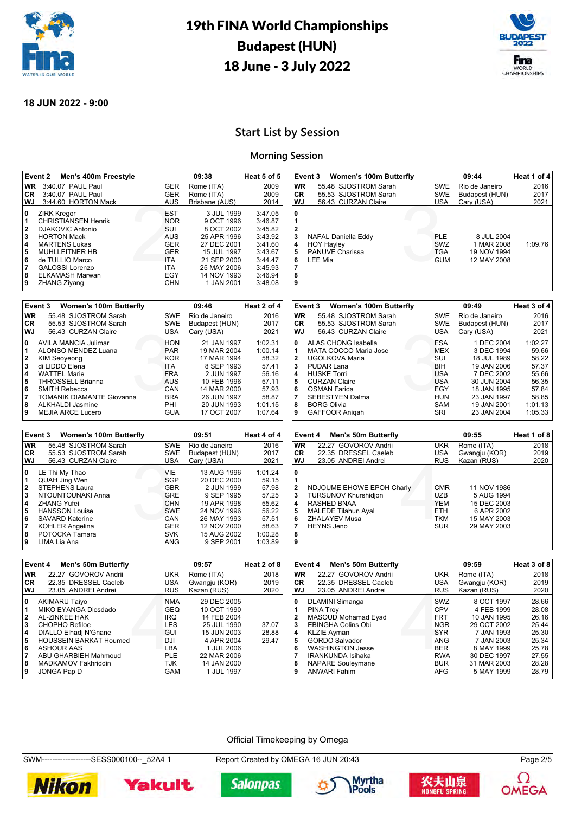



#### **18 JUN 2022 - 9:00**

# **Start List by Session**

#### **Morning Session**

|                                                | Event 2<br>Men's 400m Freestyle                                                                                                                                                                                                    |                                                                                                              | 09:38                                                                                                                                          | Heat 5 of 5                                                                                                |
|------------------------------------------------|------------------------------------------------------------------------------------------------------------------------------------------------------------------------------------------------------------------------------------|--------------------------------------------------------------------------------------------------------------|------------------------------------------------------------------------------------------------------------------------------------------------|------------------------------------------------------------------------------------------------------------|
| <b>WR</b>                                      | 3:40.07 PAUL Paul                                                                                                                                                                                                                  | <b>GER</b>                                                                                                   | Rome (ITA)                                                                                                                                     | 2009                                                                                                       |
| <b>CR</b>                                      | 3:40.07 PAUL Paul                                                                                                                                                                                                                  | <b>GER</b>                                                                                                   | Rome (ITA)                                                                                                                                     | 2009                                                                                                       |
| WJ                                             | 3:44.60 HORTON Mack                                                                                                                                                                                                                | AUS                                                                                                          | Brisbane (AUS)                                                                                                                                 | 2014                                                                                                       |
| 0<br>1<br>2<br>3<br>4<br>5<br>6<br>7<br>8<br>9 | <b>ZIRK Kregor</b><br><b>CHRISTIANSEN Henrik</b><br><b>DJAKOVIC Antonio</b><br><b>HORTON Mack</b><br><b>MARTENS Lukas</b><br><b>MUHLLEITNER HB</b><br>de TULLIO Marco<br>GALOSSI Lorenzo<br>ELKAMASH Marwan<br><b>ZHANG Ziyang</b> | <b>EST</b><br><b>NOR</b><br>SUI<br>AUS<br><b>GER</b><br><b>GER</b><br><b>ITA</b><br><b>ITA</b><br>EGY<br>CHN | 3 JUL 1999<br>9 OCT 1996<br>8 OCT 2002<br>25 APR 1996<br>27 DEC 2001<br>15 JUL 1997<br>21 SEP 2000<br>25 MAY 2006<br>14 NOV 1993<br>1 JAN 2001 | 3:47.05<br>3:46.87<br>3:45.82<br>3:43.92<br>3:41.60<br>3:43.67<br>3:44.47<br>3:45.93<br>3:46.94<br>3:48.08 |
|                                                |                                                                                                                                                                                                                                    |                                                                                                              |                                                                                                                                                |                                                                                                            |

|           | <b>Women's 100m Butterfly</b><br>Event 3 |            | 09:46          | Heat 2 of 4 |
|-----------|------------------------------------------|------------|----------------|-------------|
| <b>WR</b> | 55.48 SJOSTROM Sarah                     | <b>SWE</b> | Rio de Janeiro | 2016        |
| CR.       | 55.53 SJOSTROM Sarah                     | <b>SWE</b> | Budapest (HUN) | 2017        |
| WJ        | 56.43 CURZAN Claire                      | <b>USA</b> | Cary (USA)     | 2021        |
| 0         | AVILA MANCIA Julimar                     | <b>HON</b> | 21 JAN 1997    | 1:02.31     |
| 1         | ALONSO MENDEZ Luana                      | <b>PAR</b> | 19 MAR 2004    | 1:00.14     |
| 2         | <b>KIM Seoveong</b>                      | <b>KOR</b> | 17 MAR 1994    | 58.32       |
| 3         | di LIDDO Elena                           | ITA.       | 8 SEP 1993     | 57.41       |
| 4         | <b>WATTEL Marie</b>                      | <b>FRA</b> | 2 JUN 1997     | 56.16       |
| 5         | <b>THROSSELL Brianna</b>                 | <b>AUS</b> | 10 FEB 1996    | 57.11       |
| 6         | <b>SMITH Rebecca</b>                     | CAN        | 14 MAR 2000    | 57.93       |
| 7         | <b>TOMANIK DIAMANTE Giovanna</b>         | <b>BRA</b> | 26 JUN 1997    | 58.87       |
| 8         | ALKHALDI Jasmine                         | PHI        | 20 JUN 1993    | 1:01.15     |
| 9         | MEJIA ARCE Lucero                        | <b>GUA</b> | 17 OCT 2007    | 1:07.64     |

|              | Event 3<br><b>Women's 100m Butterfly</b> |            | 09:51          | Heat 4 of 4 |
|--------------|------------------------------------------|------------|----------------|-------------|
| <b>WR</b>    | 55.48 SJOSTROM Sarah                     | SWE        | Rio de Janeiro | 2016        |
| CR.          | 55.53 SJOSTROM Sarah                     | SWE        | Budapest (HUN) | 2017        |
| WJ           | 56.43 CURZAN Claire                      | <b>USA</b> | Cary (USA)     | 2021        |
| 0            | LE Thi My Thao                           | VIE        | 13 AUG 1996    | 1:01.24     |
| 1            | <b>QUAH Jing Wen</b>                     | SGP        | 20 DEC 2000    | 59.15       |
| $\mathbf{2}$ | <b>STEPHENS Laura</b>                    | <b>GBR</b> | 2 JUN 1999     | 57.98       |
| 3            | NTOUNTOUNAKI Anna                        | <b>GRE</b> | 9 SEP 1995     | 57.25       |
| 4            | <b>ZHANG Yufei</b>                       | <b>CHN</b> | 19 APR 1998    | 55.62       |
| 5            | <b>HANSSON Louise</b>                    | <b>SWE</b> | 24 NOV 1996    | 56.22       |
| 6            | <b>SAVARD Katerine</b>                   | CAN        | 26 MAY 1993    | 57.51       |
| 7            | <b>KOHLER Angelina</b>                   | <b>GER</b> | 12 NOV 2000    | 58.63       |
| 8            | POTOCKA Tamara                           | <b>SVK</b> | 15 AUG 2002    | 1:00.28     |
| 9            | LIMA Lia Ana                             | ANG        | 9 SEP 2001     | 1:03.89     |

|                                 | Event 3 Women's 100m Butterfly                                                |                                               | 09:44                                                  | Heat 1 of 4 |
|---------------------------------|-------------------------------------------------------------------------------|-----------------------------------------------|--------------------------------------------------------|-------------|
| <b>WR</b>                       | 55.48 SJOSTROM Sarah                                                          | <b>SWE</b>                                    | Rio de Janeiro                                         | 2016        |
| CR.                             | 55.53 SJOSTROM Sarah                                                          | <b>SWE</b>                                    | Budapest (HUN)                                         | 2017        |
| <b>WJ</b>                       | 56.43 CURZAN Claire                                                           | USA                                           | Cary (USA)                                             | 2021        |
| 0<br>2<br>3<br>4<br>5<br>6<br>8 | NAFAL Daniella Eddy<br><b>HOY Hayley</b><br><b>PANUVE Charissa</b><br>LEE Mia | <b>PLE</b><br>SWZ<br><b>TGA</b><br><b>GUM</b> | 8 JUL 2004<br>1 MAR 2008<br>19 NOV 1994<br>12 MAY 2008 | 1:09.76     |

|              | Event 3<br><b>Women's 100m Butterfly</b> |            | 09:49          | Heat 3 of 4 |
|--------------|------------------------------------------|------------|----------------|-------------|
| <b>WR</b>    | 55.48 SJOSTROM Sarah                     | <b>SWE</b> | Rio de Janeiro | 2016        |
| CR.          | 55.53 SJOSTROM Sarah                     | <b>SWE</b> | Budapest (HUN) | 2017        |
| WJ           | 56.43 CURZAN Claire                      | <b>USA</b> | Cary (USA)     | 2021        |
| 0            | ALAS CHONG Isabella                      | <b>ESA</b> | 1 DEC 2004     | 1:02.27     |
| 1            | MATA COCCO Maria Jose                    | <b>MEX</b> | 3 DEC 1994     | 59.66       |
| $\mathbf{2}$ | UGOLKOVA Maria                           | SUI        | 18 JUL 1989    | 58.22       |
| 3            | PUDAR Lana                               | <b>BIH</b> | 19 JAN 2006    | 57.37       |
| 4            | <b>HUSKE Torri</b>                       | <b>USA</b> | 7 DEC 2002     | 55.66       |
| 5            | <b>CURZAN Claire</b>                     | <b>USA</b> | 30 JUN 2004    | 56.35       |
| 6            | OSMAN Farida                             | EGY        | 18 JAN 1995    | 57.84       |
| 7            | <b>SEBESTYEN Dalma</b>                   | <b>HUN</b> | 23 JAN 1997    | 58.85       |
| 8            | <b>BORG Olivia</b>                       | SAM        | 19 JAN 2001    | 1:01.13     |
| 9            | <b>GAFFOOR Anigah</b>                    | SRI        | 23 JAN 2004    | 1:05.33     |

|                                                        | Event 4<br>Men's 50m Butterfly                                                                                                                     |                                                                                  | 09:55                                                                                | Heat 1 of 8 |
|--------------------------------------------------------|----------------------------------------------------------------------------------------------------------------------------------------------------|----------------------------------------------------------------------------------|--------------------------------------------------------------------------------------|-------------|
| <b>WR</b>                                              | 22.27 GOVOROV Andrii                                                                                                                               | <b>UKR</b>                                                                       | Rome (ITA)                                                                           | 2018        |
| <b>CR</b>                                              | 22.35 DRESSEL Caeleb                                                                                                                               | <b>USA</b>                                                                       | Gwangju (KOR)                                                                        | 2019        |
| <b>WJ</b>                                              | 23.05 ANDREI Andrei                                                                                                                                | <b>RUS</b>                                                                       | Kazan (RUS)                                                                          | 2020        |
| 0<br>$\overline{2}$<br>3<br>4<br>5<br>6<br>7<br>8<br>9 | NDJOUME EHOWE EPOH Charly<br>TURSUNOV Khurshidjon<br><b>RASHED BNAA</b><br><b>MALEDE Tilahun Ayal</b><br><b>ZHALAYEV Musa</b><br><b>HEYNS</b> Jeno | <b>CMR</b><br><b>UZB</b><br><b>YEM</b><br><b>ETH</b><br><b>TKM</b><br><b>SUR</b> | 11 NOV 1986<br>5 AUG 1994<br>15 DEC 2003<br>6 APR 2002<br>15 MAY 2003<br>29 MAY 2003 |             |

|                | Event 4<br>Men's 50m Butterfly |            | 09:57         | Heat 2 of 8 |
|----------------|--------------------------------|------------|---------------|-------------|
| <b>WR</b>      | 22.27 GOVOROV Andrii           | <b>UKR</b> | Rome (ITA)    | 2018        |
| CR.            | 22.35 DRESSEL Caeleb           | USA        | Gwangju (KOR) | 2019        |
| WJ             | 23.05 ANDREI Andrei            | <b>RUS</b> | Kazan (RUS)   | 2020        |
| 0              | <b>AKIMARU Taiyo</b>           | <b>NMA</b> | 29 DEC 2005   |             |
| 11             | MIKO EYANGA Diosdado           | GEQ        | 10 OCT 1990   |             |
| $\overline{2}$ | <b>AL-ZINKEE HAK</b>           | <b>IRQ</b> | 14 FEB 2004   |             |
| 3              | CHOPHO Refiloe                 | <b>LES</b> | 25 JUL 1990   | 37.07       |
| 4              | DIALLO Elhadj N'Gnane          | GUI        | 15 JUN 2003   | 28.88       |
| 5              | <b>HOUSSEIN BARKAT Houmed</b>  | DJI        | 4 APR 2004    | 29.47       |
| 6              | <b>ASHOUR AAS</b>              | LBA        | 1 JUL 2006    |             |
| 17             | ABU GHARBIEH Mahmoud           | <b>PLE</b> | 22 MAR 2006   |             |
| 8              | <b>MADKAMOV Fakhriddin</b>     | TJK        | 14 JAN 2000   |             |
| و ا            | JONGA Pap D                    | GAM        | 1 JUL 1997    |             |

|              | Event 4<br>Men's 50m Butterfly |            | 09:59         | Heat 3 of 8 |
|--------------|--------------------------------|------------|---------------|-------------|
| <b>WR</b>    | 22.27 GOVOROV Andrii           | <b>UKR</b> | Rome (ITA)    | 2018        |
| CR.          | 22.35 DRESSEL Caeleb           | <b>USA</b> | Gwangju (KOR) | 2019        |
| <b>WJ</b>    | 23.05 ANDREI Andrei            | <b>RUS</b> | Kazan (RUS)   | 2020        |
| 0            | <b>DLAMINI Simanga</b>         | SWZ        | 8 OCT 1997    | 28.66       |
| 1            | <b>PINA Troy</b>               | <b>CPV</b> | 4 FEB 1999    | 28.08       |
| $\mathbf{2}$ | MASOUD Mohamad Eyad            | <b>FRT</b> | 10 JAN 1995   | 26.16       |
| 3            | <b>EBINGHA Colins Obi</b>      | <b>NGR</b> | 29 OCT 2002   | 25.44       |
| 4            | <b>KLZIE Ayman</b>             | <b>SYR</b> | 7 JAN 1993    | 25.30       |
| 5            | <b>GORDO Salvador</b>          | ANG        | 7 JAN 2003    | 25.34       |
| 6            | <b>WASHINGTON Jesse</b>        | <b>BER</b> | 8 MAY 1999    | 25.78       |
| 7            | <b>IRANKUNDA Isihaka</b>       | <b>RWA</b> | 30 DEC 1997   | 27.55       |
| 8            | <b>NAPARE Souleymane</b>       | <b>BUR</b> | 31 MAR 2003   | 28.28       |
| 9            | <b>ANWARI Fahim</b>            | AFG        | 5 MAY 1999    | 28.79       |

#### Official Timekeeping by Omega

SWM-------------------SESS000100--\_52A4 1 Report Created by OMEGA 16 JUN 20:43 Page 2/5









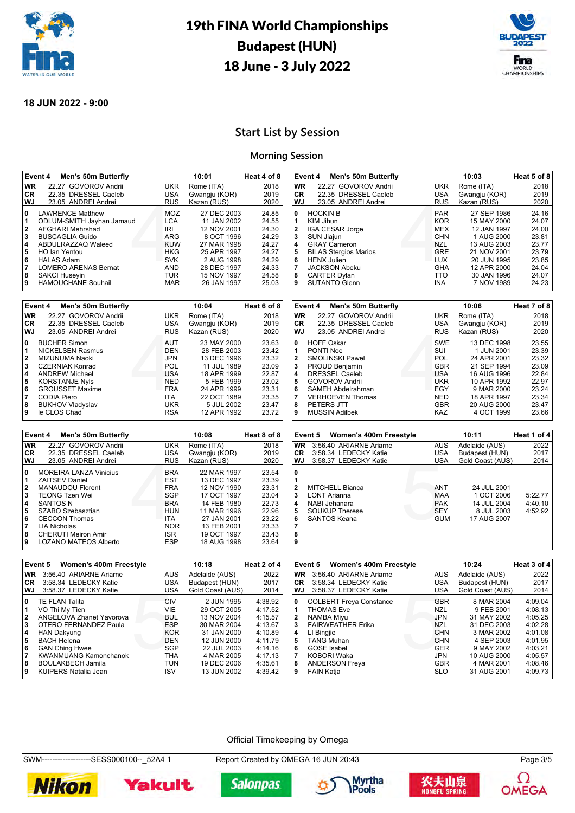



#### **18 JUN 2022 - 9:00**

## **Start List by Session**

#### **Morning Session**

|                                    | Event 4<br><b>Men's 50m Butterfly</b>                                                                                    |                                               | 10:01                                                                  | Heat 4 of 8                               |
|------------------------------------|--------------------------------------------------------------------------------------------------------------------------|-----------------------------------------------|------------------------------------------------------------------------|-------------------------------------------|
| <b>WR</b>                          | 22.27 GOVOROV Andrii                                                                                                     | <b>UKR</b>                                    | Rome (ITA)                                                             | 2018                                      |
| CR.                                | 22.35 DRESSEL Caeleb                                                                                                     | <b>USA</b>                                    | Gwangju (KOR)                                                          | 2019                                      |
| WJ                                 | 23.05 ANDREI Andrei                                                                                                      | <b>RUS</b>                                    | Kazan (RUS)                                                            | 2020                                      |
| 0<br>1<br>$\overline{2}$<br>3<br>4 | <b>LAWRENCE Matthew</b><br>ODLUM-SMITH Jayhan Jamaud<br>AFGHARI Mehrshad<br><b>BUSCAGLIA Guido</b><br>ABDULRAZZAQ Waleed | MOZ<br><b>LCA</b><br>IRI<br>ARG<br><b>KUW</b> | 27 DEC 2003<br>11 JAN 2002<br>12 NOV 2001<br>8 OCT 1996<br>27 MAR 1998 | 24.85<br>24.55<br>24.30<br>24.29<br>24.27 |
| 5                                  | HO Ian Yentou                                                                                                            | <b>HKG</b>                                    | 25 APR 1997                                                            | 24.27                                     |
| 6                                  | <b>HALAS Adam</b>                                                                                                        | <b>SVK</b>                                    | 2 AUG 1998                                                             | 24.29                                     |
| 7                                  | <b>LOMERO ARENAS Bernat</b>                                                                                              | <b>AND</b>                                    | 28 DEC 1997                                                            | 24.33                                     |
| 8                                  | <b>SAKCI Huseyin</b>                                                                                                     | <b>TUR</b>                                    | 15 NOV 1997                                                            | 24.58                                     |
| 9                                  | <b>HAMOUCHANE Souhail</b>                                                                                                | <b>MAR</b>                                    | 26 JAN 1997                                                            | 25.03                                     |

|                                  | Event 4<br><b>Men's 50m Butterfly</b>                                                                               |                                               | 10:04                                                                   | Heat 6 of 8                               |
|----------------------------------|---------------------------------------------------------------------------------------------------------------------|-----------------------------------------------|-------------------------------------------------------------------------|-------------------------------------------|
| <b>WR</b>                        | 22.27 GOVOROV Andrii                                                                                                | <b>UKR</b>                                    | Rome (ITA)                                                              | 2018                                      |
| CR.                              | 22.35 DRESSEL Caeleb                                                                                                | <b>USA</b>                                    | Gwangju (KOR)                                                           | 2019                                      |
| WJ                               | 23.05 ANDREI Andrei                                                                                                 | <b>RUS</b>                                    | Kazan (RUS)                                                             | 2020                                      |
| 0<br>1<br>$\mathbf{2}$<br>3<br>4 | <b>BUCHER Simon</b><br><b>NICKELSEN Rasmus</b><br>MIZUNUMA Naoki<br><b>CZERNIAK Konrad</b><br><b>ANDREW Michael</b> | <b>AUT</b><br>DEN<br><b>JPN</b><br>POL<br>USA | 23 MAY 2000<br>28 FEB 2003<br>13 DEC 1996<br>11 JUL 1989<br>18 APR 1999 | 23.63<br>23.42<br>23.32<br>23.09<br>22.87 |
| 5                                | <b>KORSTANJE Nyls</b>                                                                                               | <b>NED</b>                                    | 5 FEB 1999                                                              | 23.02                                     |
| 6                                | <b>GROUSSET Maxime</b>                                                                                              | <b>FRA</b>                                    | 24 APR 1999                                                             | 23.31                                     |
| 7                                | CODIA Piero                                                                                                         | <b>ITA</b>                                    | 22 OCT 1989                                                             | 23.35                                     |
| 8                                | <b>BUKHOV Vladyslav</b>                                                                                             | UKR                                           | 5 JUL 2002                                                              | 23.47                                     |
| 9                                | le CLOS Chad                                                                                                        | <b>RSA</b>                                    | 12 APR 1992                                                             | 23.72                                     |

|              | Event 4<br><b>Men's 50m Butterfly</b> |            | 10:08         | Heat 8 of 8 |
|--------------|---------------------------------------|------------|---------------|-------------|
| <b>WR</b>    | 22.27 GOVOROV Andrii                  | <b>UKR</b> | Rome (ITA)    | 2018        |
| <b>CR</b>    | 22.35 DRESSEL Caeleb                  | USA        | Gwangju (KOR) | 2019        |
| WJ           | 23.05 ANDREI Andrei                   | <b>RUS</b> | Kazan (RUS)   | 2020        |
| 0            | <b>MOREIRA LANZA Vinicius</b>         | <b>BRA</b> | 22 MAR 1997   | 23.54       |
| 1            | <b>ZAITSEV Daniel</b>                 | <b>EST</b> | 13 DEC 1997   | 23.39       |
| $\mathbf{2}$ | <b>MANAUDOU Florent</b>               | <b>FRA</b> | 12 NOV 1990   | 23.31       |
| 3            | <b>TEONG Tzen Wei</b>                 | SGP        | 17 OCT 1997   | 23.04       |
| 4            | <b>SANTOS N</b>                       | <b>BRA</b> | 14 FEB 1980   | 22.73       |
| 5            | SZABO Szebasztian                     | <b>HUN</b> | 11 MAR 1996   | 22.96       |
| 6            | <b>CECCON Thomas</b>                  | <b>ITA</b> | 27 JAN 2001   | 23.22       |
|              | LIA Nicholas                          | <b>NOR</b> | 13 FEB 2001   | 23.33       |
| 8            | <b>CHERUTI Meiron Amir</b>            | ISR        | 19 OCT 1997   | 23.43       |
| 9            | LOZANO MATEOS Alberto                 | <b>ESP</b> | 18 AUG 1998   | 23.64       |

|                                                           | Event 4<br><b>Men's 50m Butterfly</b>                                                                                                                                                                             |                                                                                                               | 10:03                                                                                                                                            | Heat 5 of 8                                                                            |
|-----------------------------------------------------------|-------------------------------------------------------------------------------------------------------------------------------------------------------------------------------------------------------------------|---------------------------------------------------------------------------------------------------------------|--------------------------------------------------------------------------------------------------------------------------------------------------|----------------------------------------------------------------------------------------|
| <b>WR</b>                                                 | 22.27 GOVOROV Andrii                                                                                                                                                                                              | <b>UKR</b>                                                                                                    | Rome (ITA)                                                                                                                                       | 2018                                                                                   |
| CR.                                                       | 22.35 DRESSEL Caeleb                                                                                                                                                                                              | <b>USA</b>                                                                                                    | Gwangju (KOR)                                                                                                                                    | 2019                                                                                   |
| WJ                                                        | 23.05 ANDREI Andrei                                                                                                                                                                                               | <b>RUS</b>                                                                                                    | Kazan (RUS)                                                                                                                                      | 2020                                                                                   |
| 0<br>1<br>$\mathbf{2}$<br>3<br>4<br>5<br>6<br>7<br>8<br>9 | <b>HOCKIN B</b><br>KIM Jihun<br>IGA CESAR Jorge<br>SUN Jiajun<br><b>GRAY Cameron</b><br><b>BILAS Stergios Marios</b><br><b>HENX Julien</b><br><b>JACKSON Abeku</b><br><b>CARTER Dylan</b><br><b>SUTANTO Glenn</b> | <b>PAR</b><br><b>KOR</b><br>MEX<br><b>CHN</b><br>NZL<br><b>GRE</b><br>LUX.<br><b>GHA</b><br>TTO<br><b>INA</b> | 27 SEP 1986<br>15 MAY 2000<br>12 JAN 1997<br>1 AUG 2000<br>13 AUG 2003<br>21 NOV 2001<br>20 JUN 1995<br>12 APR 2000<br>30 JAN 1996<br>7 NOV 1989 | 24.16<br>24.07<br>24.00<br>23.81<br>23.77<br>23.79<br>23.85<br>24.04<br>24.07<br>24.23 |
|                                                           |                                                                                                                                                                                                                   |                                                                                                               |                                                                                                                                                  |                                                                                        |

|                                                             | Event 4<br><b>Men's 50m Butterfly</b>                                                                                                                                                                               |                                                                                                              | 10:06                                                                                                                                           | Heat 7 of 8                                                                            |
|-------------------------------------------------------------|---------------------------------------------------------------------------------------------------------------------------------------------------------------------------------------------------------------------|--------------------------------------------------------------------------------------------------------------|-------------------------------------------------------------------------------------------------------------------------------------------------|----------------------------------------------------------------------------------------|
| <b>WR</b>                                                   | 22.27 GOVOROV Andrii                                                                                                                                                                                                | <b>UKR</b>                                                                                                   | Rome (ITA)                                                                                                                                      | 2018                                                                                   |
| <b>CR</b>                                                   | 22.35 DRESSEL Caeleb                                                                                                                                                                                                | <b>USA</b>                                                                                                   | Gwangju (KOR)                                                                                                                                   | 2019                                                                                   |
| WJ                                                          | 23.05 ANDREI Andrei                                                                                                                                                                                                 | <b>RUS</b>                                                                                                   | Kazan (RUS)                                                                                                                                     | 2020                                                                                   |
| 0<br>1<br>$\overline{2}$<br>3<br>4<br>5<br>6<br>7<br>8<br>9 | <b>HOFF Oskar</b><br>PONTI Noe<br><b>SMOLINSKI Pawel</b><br>PROUD Benjamin<br><b>DRESSEL Caeleb</b><br><b>GOVOROV Andrii</b><br>SAMEH Abdelrahman<br><b>VERHOEVEN Thomas</b><br>PETERS JTT<br><b>MUSSIN Adilbek</b> | <b>SWE</b><br>SUI<br><b>POL</b><br><b>GBR</b><br><b>USA</b><br>UKR<br>EGY<br><b>NED</b><br><b>GBR</b><br>KAZ | 13 DEC 1998<br>1 JUN 2001<br>24 APR 2001<br>21 SEP 1994<br>16 AUG 1996<br>10 APR 1992<br>9 MAR 2000<br>18 APR 1997<br>20 AUG 2000<br>4 OCT 1999 | 23.55<br>23.39<br>23.32<br>23.09<br>22.84<br>22.97<br>23.24<br>23.34<br>23.47<br>23.66 |

|                                            | Event 5 Women's 400m Freestyle                                                                   |                                                             | 10:11                                                                 | Heat 1 of 4                   |
|--------------------------------------------|--------------------------------------------------------------------------------------------------|-------------------------------------------------------------|-----------------------------------------------------------------------|-------------------------------|
| WR                                         | 3:56.40 ARIARNE Ariarne                                                                          | AUS                                                         | Adelaide (AUS)                                                        | 2022                          |
| <b>CR</b>                                  | 3:58.34 LEDECKY Katie                                                                            | <b>USA</b>                                                  | Budapest (HUN)                                                        | 2017                          |
| WJ                                         | 3:58.37 LEDECKY Katie                                                                            | USA                                                         | Gold Coast (AUS)                                                      | 2014                          |
| 0<br>$\mathbf{2}$<br>3<br>4<br>5<br>6<br>8 | <b>MITCHELL Bianca</b><br>LONT Arianna<br>NABI Jehanara<br><b>SOUKUP Therese</b><br>SANTOS Keana | ANT<br><b>MAA</b><br><b>PAK</b><br><b>SEY</b><br><b>GUM</b> | 24 JUL 2001<br>1 OCT 2006<br>14 JUL 2004<br>8 JUL 2003<br>17 AUG 2007 | 5:22.77<br>4:40.10<br>4:52.92 |

|              | Event 5 Women's 400m Freestyle |            | 10:18            | Heat 2 of 4 |
|--------------|--------------------------------|------------|------------------|-------------|
| <b>WR</b>    | 3:56.40 ARIARNE Ariarne        | <b>AUS</b> | Adelaide (AUS)   | 2022        |
| CR.          | 3:58.34 LEDECKY Katie          | <b>USA</b> | Budapest (HUN)   | 2017        |
| WJ.          | 3:58.37 LEDECKY Katie          | <b>USA</b> | Gold Coast (AUS) | 2014        |
| 0            | <b>TE FLAN Talita</b>          | CIV        | 2 JUN 1995       | 4:38.92     |
| 1            | VO Thi My Tien                 | VIE        | 29 OCT 2005      | 4:17.52     |
| $\mathbf{2}$ | ANGELOVA Zhanet Yavorova       | <b>BUL</b> | 13 NOV 2004      | 4:15.57     |
| 3            | OTERO FERNANDEZ Paula          | <b>ESP</b> | 30 MAR 2004      | 4:13.67     |
| 4            | <b>HAN Dakyung</b>             | <b>KOR</b> | 31 JAN 2000      | 4:10.89     |
| 5            | <b>BACH Helena</b>             | DEN        | 12 JUN 2000      | 4:11.79     |
| 6            | <b>GAN Ching Hwee</b>          | SGP        | 22 JUL 2003      | 4:14.16     |
| 7            | <b>KWANMUANG Kamonchanok</b>   | <b>THA</b> | 4 MAR 2005       | 4:17.13     |
| 8            | <b>BOULAKBECH Jamila</b>       | <b>TUN</b> | 19 DEC 2006      | 4:35.61     |
| 9            | KUIPERS Natalia Jean           | ISV        | 13 JUN 2002      | 4:39.42     |

|           | Event 5 Women's 400m Freestyle |            | 10:24            | Heat 3 of 4 |
|-----------|--------------------------------|------------|------------------|-------------|
| <b>WR</b> | 3:56.40 ARIARNE Ariarne        | <b>AUS</b> | Adelaide (AUS)   | 2022        |
| CR.       | 3:58.34 LEDECKY Katie          | USA        | Budapest (HUN)   | 2017        |
| WJ.       | 3:58.37 LEDECKY Katie          | USA        | Gold Coast (AUS) | 2014        |
| 0         | <b>COLBERT Freya Constance</b> | <b>GBR</b> | 8 MAR 2004       | 4:09.04     |
| 1         | <b>THOMAS Eve</b>              | <b>NZL</b> | 9 FEB 2001       | 4:08.13     |
| 2         | <b>NAMBA Miyu</b>              | <b>JPN</b> | 31 MAY 2002      | 4:05.25     |
| 3         | <b>FAIRWEATHER Erika</b>       | <b>NZL</b> | 31 DEC 2003      | 4:02.28     |
| 4         | LI Bingjie                     | <b>CHN</b> | 3 MAR 2002       | 4:01.08     |
| 5         | <b>TANG Muhan</b>              | <b>CHN</b> | 4 SEP 2003       | 4:01.95     |
| 6         | <b>GOSE</b> Isabel             | <b>GER</b> | 9 MAY 2002       | 4:03.21     |
| 7         | KOBORI Waka                    | <b>JPN</b> | 10 AUG 2000      | 4:05.57     |
| 8         | <b>ANDERSON Freya</b>          | <b>GBR</b> | 4 MAR 2001       | 4:08.46     |
| 9         | <b>FAIN Katja</b>              | <b>SLO</b> | 31 AUG 2001      | 4:09.73     |

#### Official Timekeeping by Omega

SWM-------------------SESS000100--\_52A4 1 Report Created by OMEGA 16 JUN 20:43 Page 3/5











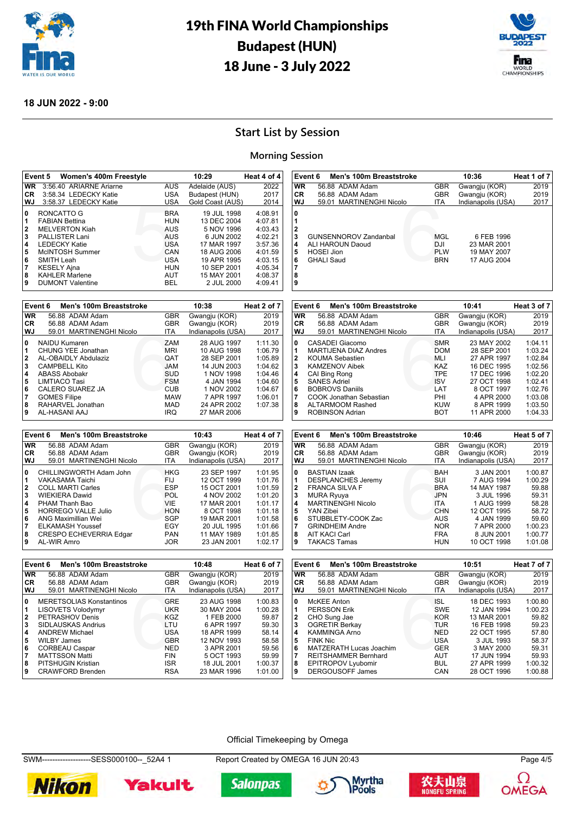



#### **18 JUN 2022 - 9:00**

# **Start List by Session**

#### **Morning Session**

|                                           | Women's 400m Freestyle<br>Event 5                                                                                                                                                             |                                                                                  | 10:29                                                                                                                             | Heat 4 of 4                                                                                     |
|-------------------------------------------|-----------------------------------------------------------------------------------------------------------------------------------------------------------------------------------------------|----------------------------------------------------------------------------------|-----------------------------------------------------------------------------------------------------------------------------------|-------------------------------------------------------------------------------------------------|
| <b>WR</b>                                 | 3:56.40 ARIARNE Ariarne                                                                                                                                                                       | <b>AUS</b>                                                                       | Adelaide (AUS)                                                                                                                    | 2022                                                                                            |
| CR.                                       | 3:58.34 LEDECKY Katie                                                                                                                                                                         | USA                                                                              | Budapest (HUN)                                                                                                                    | 2017                                                                                            |
| WJ.                                       | 3:58.37 LEDECKY Katie                                                                                                                                                                         | USA                                                                              | Gold Coast (AUS)                                                                                                                  | 2014                                                                                            |
| 0<br>1<br>2<br>3<br>4<br>5<br>6<br>7<br>8 | RONCATTO G<br><b>FABIAN Bettina</b><br><b>MELVERTON Kiah</b><br><b>PALLISTER Lani</b><br><b>LEDECKY Katie</b><br>McINTOSH Summer<br>SMITH Leah<br><b>KESELY Ajna</b><br><b>KAHLER Marlene</b> | <b>BRA</b><br>HUN<br>AUS<br>AUS<br><b>USA</b><br>CAN<br><b>USA</b><br>HUN<br>AUT | 19 JUL 1998<br>13 DEC 2004<br>5 NOV 1996<br>6 JUN 2002<br>17 MAR 1997<br>18 AUG 2006<br>19 APR 1995<br>10 SEP 2001<br>15 MAY 2001 | 4:08.91<br>4:07.81<br>4:03.43<br>4:02.21<br>3:57.36<br>4:01.59<br>4:03.15<br>4:05.34<br>4:08.37 |
| 9                                         | <b>DUMONT Valentine</b>                                                                                                                                                                       | BEL                                                                              | 2 JUL 2000                                                                                                                        | 4:09.41                                                                                         |

|           | Event 6<br>Men's 100m Breaststroke           |                          | 10:38                      | Heat 2 of 7        |
|-----------|----------------------------------------------|--------------------------|----------------------------|--------------------|
| <b>WR</b> | 56.88 ADAM Adam                              | <b>GBR</b>               | Gwangju (KOR)              | 2019               |
| CR.       | 56.88 ADAM Adam                              | <b>GBR</b>               | Gwangju (KOR)              | 2019               |
| WJ        | 59.01 MARTINENGHI Nicolo                     | <b>ITA</b>               | Indianapolis (USA)         | 2017               |
| 0<br>1    | <b>NAIDU Kumaren</b><br>CHUNG YEE Jonathan   | ZAM<br><b>MRI</b>        | 28 AUG 1997<br>10 AUG 1998 | 1:11.30<br>1:06.79 |
| 2         | <b>AL-OBAIDLY Abdulaziz</b>                  | <b>OAT</b>               | 28 SEP 2001                | 1:05.89            |
| 3<br>4    | <b>CAMPBELL Kito</b><br><b>ABASS Abobakr</b> | <b>JAM</b><br><b>SUD</b> | 14 JUN 2003<br>1 NOV 1998  | 1:04.62<br>1:04.46 |
| 5         | LIMTIACO Tasi                                | <b>FSM</b>               | 4 JAN 1994                 | 1:04.60            |
| 6         | CALERO SUAREZ JA                             | <b>CUB</b>               | 1 NOV 2002                 | 1:04.67            |
| 7         | <b>GOMES Filipe</b>                          | <b>MAW</b>               | 7 APR 1997                 | 1:06.01            |
| 8         | RAHARVEL Jonathan                            | <b>MAD</b>               | 24 APR 2002                | 1:07.38            |
| 9         | AL-HASANI AAJ                                | IRQ                      | 27 MAR 2006                |                    |

|           | Event 6<br>Men's 100m Breaststroke |            | 10:43              | Heat 4 of 7 |
|-----------|------------------------------------|------------|--------------------|-------------|
| <b>WR</b> | 56.88 ADAM Adam                    | <b>GBR</b> | Gwangju (KOR)      | 2019        |
| CR.       | 56.88 ADAM Adam                    | <b>GBR</b> | Gwangju (KOR)      | 2019        |
| WJ        | 59.01 MARTINENGHI Nicolo           | ITA        | Indianapolis (USA) | 2017        |
| 0         | CHILLINGWORTH Adam John            | <b>HKG</b> | 23 SEP 1997        | 1:01.95     |
| 1         | VAKASAMA Taichi                    | FIJ        | 12 OCT 1999        | 1:01.76     |
| 2         | <b>COLL MARTI Carles</b>           | <b>ESP</b> | 15 OCT 2001        | 1:01.59     |
| 3         | <b>WIEKIERA Dawid</b>              | <b>POL</b> | 4 NOV 2002         | 1:01.20     |
| 4         | PHAM Thanh Bao                     | <b>VIE</b> | 17 MAR 2001        | 1:01.17     |
| 5         | <b>HORREGO VALLE Julio</b>         | <b>HON</b> | 8 OCT 1998         | 1:01.18     |
| 6         | ANG Maximillian Wei                | SGP        | 19 MAR 2001        | 1:01.58     |
| 7         | <b>ELKAMASH Youssef</b>            | EGY        | 20 JUL 1995        | 1:01.66     |
| 8         | CRESPO ECHEVERRIA Edgar            | <b>PAN</b> | 11 MAY 1989        | 1:01.85     |
| 9         | AL-WIR Amro                        | <b>JOR</b> | 23 JAN 2001        | 1:02.17     |

|           | Event 6<br>Men's 100m Breaststroke |            | 10:48              | Heat 6 of 7 |
|-----------|------------------------------------|------------|--------------------|-------------|
| <b>WR</b> | 56.88 ADAM Adam                    | <b>GBR</b> | Gwangju (KOR)      | 2019        |
| CR        | 56.88 ADAM Adam                    | <b>GBR</b> | Gwangju (KOR)      | 2019        |
| WJ        | 59.01 MARTINENGHI Nicolo           | <b>ITA</b> | Indianapolis (USA) | 2017        |
| 0         | <b>MERETSOLIAS Konstantinos</b>    | <b>GRE</b> | 23 AUG 1998        | 1:00.83     |
| 1         | LISOVETS Volodymyr                 | <b>UKR</b> | 30 MAY 2004        | 1:00.28     |
| 2         | PETRASHOV Denis                    | <b>KGZ</b> | 1 FEB 2000         | 59.87       |
| 3         | SIDLAUSKAS Andrius                 | LTU        | 6 APR 1997         | 59.30       |
| 4         | <b>ANDREW Michael</b>              | <b>USA</b> | 18 APR 1999        | 58.14       |
| 5         | <b>WILBY James</b>                 | <b>GBR</b> | 12 NOV 1993        | 58.58       |
| 6         | <b>CORBEAU Caspar</b>              | <b>NED</b> | 3 APR 2001         | 59.56       |
| 7         | <b>MATTSSON Matti</b>              | <b>FIN</b> | 5 OCT 1993         | 59.99       |
| 8         | <b>PITSHUGIN Kristian</b>          | <b>ISR</b> | 18 JUL 2001        | 1:00.37     |
| 9         | <b>CRAWFORD Brenden</b>            | <b>RSA</b> | 23 MAR 1996        | 1:01.00     |
|           |                                    |            |                    |             |

|                                       | Event 6<br><b>Men's 100m Breaststroke</b> |            | 10:51              | Heat 7 of 7 |
|---------------------------------------|-------------------------------------------|------------|--------------------|-------------|
| WR.                                   | 56.88 ADAM Adam                           | <b>GBR</b> | Gwangju (KOR)      | 2019        |
| CR.                                   | 56.88 ADAM Adam                           | <b>GBR</b> | Gwangju (KOR)      | 2019        |
| l WJ                                  | 59.01 MARTINENGHI Nicolo                  | <b>ITA</b> | Indianapolis (USA) | 2017        |
| ۱٥                                    | <b>McKEE</b> Anton                        | <b>ISL</b> | 18 DEC 1993        | 1:00.80     |
|                                       | <b>PERSSON Erik</b>                       | <b>SWE</b> | 12 JAN 1994        | 1:00.23     |
| $\begin{array}{c} 1 \\ 2 \end{array}$ | CHO Sung Jae                              | <b>KOR</b> | 13 MAR 2001        | 59.82       |
| 3                                     | <b>OGRETIR Berkay</b>                     | <b>TUR</b> | 16 FEB 1998        | 59.23       |
| 4                                     | <b>KAMMINGA Arno</b>                      | <b>NED</b> | 22 OCT 1995        | 57.80       |
| 5                                     | <b>FINK Nic</b>                           | <b>USA</b> | 3 JUL 1993         | 58.37       |
| l 6                                   | MATZERATH Lucas Joachim                   | <b>GER</b> | 3 MAY 2000         | 59.31       |
| 17                                    | <b>REITSHAMMER Bernhard</b>               | <b>AUT</b> | 17 JUN 1994        | 59.93       |
| 8                                     | <b>EPITROPOV Lyubomir</b>                 | <b>BUL</b> | 27 APR 1999        | 1:00.32     |
| 9١                                    | <b>DERGOUSOFF James</b>                   | CAN        | 28 OCT 1996        | 1:00.88     |

#### Official Timekeeping by Omega

SWM-------------------SESS000100--\_52A4 1 Report Created by OMEGA 16 JUN 20:43 Page 4/5













| <b>WR</b>                       | 56.88 ADAM Adam                                                              | <b>GBR</b>                             | Gwangju (KOR)                                           | 2019 |
|---------------------------------|------------------------------------------------------------------------------|----------------------------------------|---------------------------------------------------------|------|
| <b>CR</b>                       | 56.88 ADAM Adam                                                              | <b>GBR</b>                             | Gwangju (KOR)                                           | 2019 |
| WJ                              | 59.01 MARTINENGHI Nicolo                                                     | ITA.                                   | Indianapolis (USA)                                      | 2017 |
| 0<br>3<br>4<br>5<br>6<br>8<br>9 | GUNSENNOROV Zandanbal<br>ALI HAROUN Daoud<br>HOSEI Jion<br><b>GHALI Saud</b> | MGL<br>DJI<br><b>PLW</b><br><b>BRN</b> | 6 FEB 1996<br>23 MAR 2001<br>19 MAY 2007<br>17 AUG 2004 |      |

**Event 6 Men's 100m Breaststroke** 10:36 Heat 1 of 7

|                                           | Event 6<br>Men's 100m Breaststroke                                                                                                                                                                                  |                                                                                                       | 10:41                                                                                                                            | Heat 3 of 7                                                                                     |
|-------------------------------------------|---------------------------------------------------------------------------------------------------------------------------------------------------------------------------------------------------------------------|-------------------------------------------------------------------------------------------------------|----------------------------------------------------------------------------------------------------------------------------------|-------------------------------------------------------------------------------------------------|
| <b>WR</b>                                 | 56.88 ADAM Adam                                                                                                                                                                                                     | <b>GBR</b>                                                                                            | Gwangju (KOR)                                                                                                                    | 2019                                                                                            |
| <b>CR</b>                                 | 56.88 ADAM Adam                                                                                                                                                                                                     | <b>GBR</b>                                                                                            | Gwangju (KOR)                                                                                                                    | 2019                                                                                            |
| <b>WJ</b>                                 | 59.01 MARTINENGHI Nicolo                                                                                                                                                                                            | ITA.                                                                                                  | Indianapolis (USA)                                                                                                               | 2017                                                                                            |
| 0<br>1<br>2<br>3<br>4<br>5<br>6<br>7<br>8 | CASADEI Giacomo<br>MARTIJENA DIAZ Andres<br><b>KOUMA Sebastien</b><br><b>KAMZENOV Aibek</b><br>CAI Bing Rong<br><b>SANES Adriel</b><br><b>BOBROVS Daniils</b><br>COOK Jonathan Sebastian<br><b>ALTARMOOM Rashed</b> | <b>SMR</b><br><b>DOM</b><br>MLI<br><b>KAZ</b><br><b>TPE</b><br><b>ISV</b><br>LAT<br>PHI<br><b>KUW</b> | 23 MAY 2002<br>28 SEP 2001<br>27 APR 1997<br>16 DEC 1995<br>17 DEC 1996<br>27 OCT 1998<br>8 OCT 1997<br>4 APR 2000<br>8 APR 1999 | 1:04.11<br>1:03.24<br>1:02.84<br>1:02.56<br>1:02.20<br>1:02.41<br>1:02.76<br>1:03.08<br>1:03.50 |
| 9                                         | ROBINSON Adrian                                                                                                                                                                                                     | <b>BOT</b>                                                                                            | 11 APR 2000                                                                                                                      | 1:04.33                                                                                         |

| Event 6<br><b>Men's 100m Breaststroke</b><br>10:46<br><b>WR</b><br>56.88 ADAM Adam<br><b>GBR</b><br>Gwangju (KOR)<br>56.88 ADAM Adam<br><b>GBR</b><br>Gwangju (KOR)<br><b>CR</b><br>Indianapolis (USA)<br>59.01 MARTINENGHI Nicolo<br>WJ<br>ITA<br>0<br><b>BASTIAN Izaak</b><br><b>BAH</b><br>3 JAN 2001<br>7 AUG 1994<br><b>DESPLANCHES Jeremy</b><br>SUI<br>1<br><b>FRANCA SILVA F</b><br>$\mathbf{2}$<br><b>BRA</b><br>14 MAY 1987<br>3<br><b>JPN</b><br>3 JUL 1996<br><b>MURA Ryuya</b><br><b>MARTINENGHI Nicolo</b><br>1 AUG 1999<br>4<br><b>ITA</b><br><b>CHN</b><br>12 OCT 1995<br>5<br>YAN Zibei<br>6<br>STUBBLETY-COOK Zac<br>4 JAN 1999<br>AUS<br>7<br><b>GRINDHEIM Andre</b><br><b>NOR</b><br>7 APR 2000<br><b>AIT KACI Carl</b><br><b>FRA</b><br>8 JUN 2001<br>8 |   |                     |     |             |                                                                                                  |
|------------------------------------------------------------------------------------------------------------------------------------------------------------------------------------------------------------------------------------------------------------------------------------------------------------------------------------------------------------------------------------------------------------------------------------------------------------------------------------------------------------------------------------------------------------------------------------------------------------------------------------------------------------------------------------------------------------------------------------------------------------------------------|---|---------------------|-----|-------------|--------------------------------------------------------------------------------------------------|
|                                                                                                                                                                                                                                                                                                                                                                                                                                                                                                                                                                                                                                                                                                                                                                              |   |                     |     |             | Heat 5 of 7                                                                                      |
|                                                                                                                                                                                                                                                                                                                                                                                                                                                                                                                                                                                                                                                                                                                                                                              |   |                     |     |             | 2019                                                                                             |
|                                                                                                                                                                                                                                                                                                                                                                                                                                                                                                                                                                                                                                                                                                                                                                              |   |                     |     |             | 2019                                                                                             |
|                                                                                                                                                                                                                                                                                                                                                                                                                                                                                                                                                                                                                                                                                                                                                                              |   |                     |     |             | 2017                                                                                             |
|                                                                                                                                                                                                                                                                                                                                                                                                                                                                                                                                                                                                                                                                                                                                                                              | 9 | <b>TAKACS Tamas</b> | HUN | 10 OCT 1998 | 1:00.87<br>1:00.29<br>59.88<br>59.31<br>58.28<br>58.72<br>59.60<br>1:00.23<br>1:00.77<br>1:01.08 |
|                                                                                                                                                                                                                                                                                                                                                                                                                                                                                                                                                                                                                                                                                                                                                                              |   |                     |     |             |                                                                                                  |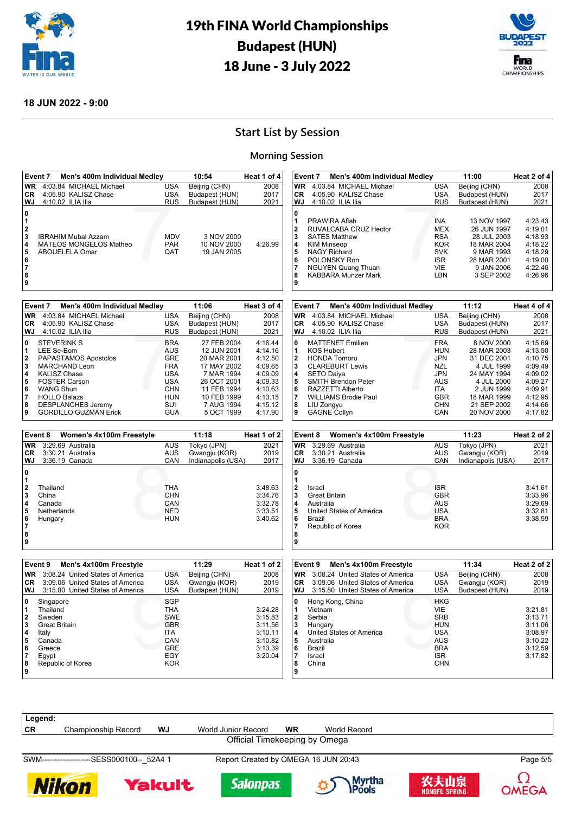



#### **18 JUN 2022 - 9:00**

# **Start List by Session**

#### **Morning Session**

|                                        | Event 7<br>Men's 400m Individual Medley |            | 10:54              | Heat 1 of 4 |                             | Event 7 | Men's 400m Individual Medley                                   |                                 | 11:00                                     | Heat 2 of 4                   |
|----------------------------------------|-----------------------------------------|------------|--------------------|-------------|-----------------------------|---------|----------------------------------------------------------------|---------------------------------|-------------------------------------------|-------------------------------|
| <b>WR</b>                              | 4:03.84 MICHAEL Michael                 | <b>USA</b> | Beijing (CHN)      | 2008        |                             |         | WR 4:03.84 MICHAEL Michael                                     | <b>USA</b>                      | Beijing (CHN)                             | 2008                          |
| CR                                     | 4:05.90 KALISZ Chase                    | <b>USA</b> | Budapest (HUN)     | 2017        | <b>CR</b>                   |         | 4:05.90 KALISZ Chase                                           | <b>USA</b>                      | Budapest (HUN)                            | 2017                          |
| WJ                                     | 4:10.02 ILIA Ilia                       | <b>RUS</b> | Budapest (HUN)     | 2021        | WJ                          |         | 4:10.02 ILIA Ilia                                              | <b>RUS</b>                      | Budapest (HUN)                            | 2021                          |
| 0<br>1<br>$\overline{\mathbf{2}}$<br>3 | <b>IBRAHIM Mubal Azzam</b>              | <b>MDV</b> | 3 NOV 2000         |             | 0<br>1<br>$\mathbf{2}$<br>3 |         | PRAWIRA Aflah<br>RUVALCABA CRUZ Hector<br><b>SATES Matthew</b> | INA<br><b>MEX</b><br><b>RSA</b> | 13 NOV 1997<br>26 JUN 1997<br>28 JUL 2003 | 4:23.43<br>4:19.01<br>4:18.93 |
| 4                                      | MATEOS MONGELOS Matheo                  | <b>PAR</b> | 10 NOV 2000        | 4:26.99     | 4                           |         | <b>KIM Minseop</b>                                             | <b>KOR</b>                      | 18 MAR 2004                               | 4:18.22                       |
| 5                                      | ABOUELELA Omar                          | QAT        | 19 JAN 2005        |             | 5                           |         | <b>NAGY Richard</b>                                            | <b>SVK</b>                      | 9 MAR 1993                                | 4:18.29                       |
| 6                                      |                                         |            |                    |             | 6                           |         | POLONSKY Ron                                                   | <b>ISR</b>                      | 28 MAR 2001                               | 4:19.00                       |
| $\overline{\mathbf{7}}$                |                                         |            |                    |             | $\overline{7}$              |         | <b>NGUYEN Quang Thuan</b>                                      | VIE                             | 9 JAN 2006                                | 4:22.46                       |
| 8                                      |                                         |            |                    |             | 8                           |         | <b>KABBARA Munzer Mark</b>                                     | LBN                             | 3 SEP 2002                                | 4:26.96                       |
| 9                                      |                                         |            |                    |             | 9                           |         |                                                                |                                 |                                           |                               |
|                                        |                                         |            |                    |             |                             |         |                                                                |                                 |                                           |                               |
|                                        | Event 7<br>Men's 400m Individual Medley |            | 11:06              | Heat 3 of 4 |                             | Event 7 | Men's 400m Individual Medley                                   |                                 | 11:12                                     | Heat 4 of 4                   |
| <b>WR</b>                              | 4:03.84 MICHAEL Michael                 | <b>USA</b> | Beijing (CHN)      | 2008        |                             |         | WR 4:03.84 MICHAEL Michael                                     | <b>USA</b>                      | Beijing (CHN)                             | 2008                          |
| CR                                     | 4:05.90 KALISZ Chase                    | <b>USA</b> | Budapest (HUN)     | 2017        | <b>CR</b>                   |         | 4:05.90 KALISZ Chase                                           | <b>USA</b>                      | Budapest (HUN)                            | 2017                          |
| WJ                                     | 4:10.02 ILIA Ilia                       | <b>RUS</b> | Budapest (HUN)     | 2021        | WJ                          |         | 4:10.02 ILIA Ilia                                              | <b>RUS</b>                      | Budapest (HUN)                            | 2021                          |
| 0                                      | <b>STEVERINK S</b>                      | <b>BRA</b> | 27 FEB 2004        | 4:16.44     | 0                           |         | <b>MATTENET Emilien</b>                                        | <b>FRA</b>                      | 8 NOV 2000                                | 4:15.69                       |
| 1                                      | LEE Se-Bom                              | AUS        | 12 JUN 2001        | 4:14.16     | 1                           |         | <b>KOS Hubert</b>                                              | <b>HUN</b>                      | 28 MAR 2003                               | 4:13.50                       |
| $\mathbf{2}$                           | PAPASTAMOS Apostolos                    | <b>GRE</b> | 20 MAR 2001        | 4:12.50     | 2                           |         | <b>HONDA Tomoru</b>                                            | <b>JPN</b>                      | 31 DEC 2001                               | 4:10.75                       |
| 3                                      | MARCHAND Leon                           | <b>FRA</b> | 17 MAY 2002        | 4:09.65     | 3                           |         | <b>CLAREBURT Lewis</b>                                         | <b>NZL</b>                      | 4 JUL 1999                                | 4:09.49                       |
| 4                                      | <b>KALISZ Chase</b>                     | <b>USA</b> | 7 MAR 1994         | 4:09.09     | 4                           |         | <b>SETO Daiya</b>                                              | <b>JPN</b>                      | 24 MAY 1994                               | 4:09.02                       |
| 5                                      | <b>FOSTER Carson</b>                    | <b>USA</b> | 26 OCT 2001        | 4:09.33     | 5                           |         | <b>SMITH Brendon Peter</b>                                     | AUS                             | 4 JUL 2000                                | 4:09.27                       |
| 6                                      | <b>WANG Shun</b>                        | <b>CHN</b> | 11 FEB 1994        | 4:10.63     | 6                           |         | RAZZETTI Alberto                                               | ITA                             | 2 JUN 1999                                | 4:09.91                       |
| $\overline{7}$                         | <b>HOLLO Balazs</b>                     | <b>HUN</b> | 10 FEB 1999        | 4:13.15     | 7                           |         | <b>WILLIAMS Brodie Paul</b>                                    | <b>GBR</b>                      | 18 MAR 1999                               | 4:12.95                       |
| 8                                      | <b>DESPLANCHES Jeremy</b>               | SUI        | 7 AUG 1994         | 4:15.12     | 8                           |         | LIU Zongyu                                                     | <b>CHN</b>                      | 21 SEP 2002                               | 4:14.66                       |
| 9                                      | <b>GORDILLO GUZMAN Erick</b>            | <b>GUA</b> | 5 OCT 1999         | 4:17.90     | 9                           |         | <b>GAGNE Collyn</b>                                            | CAN                             | 20 NOV 2000                               | 4:17.82                       |
|                                        |                                         |            |                    |             |                             |         |                                                                |                                 |                                           |                               |
|                                        | Event 8<br>Women's 4x100m Freestyle     |            | 11:18              | Heat 1 of 2 |                             | Event 8 | Women's 4x100m Freestyle                                       |                                 | 11:23                                     | Heat 2 of 2                   |
| <b>WR</b>                              | 3:29.69 Australia                       | <b>AUS</b> | Tokyo (JPN)        | 2021        | <b>WR</b>                   |         | 3:29.69 Australia                                              | <b>AUS</b>                      | Tokyo (JPN)                               | 2021                          |
| СR                                     | 3:30.21 Australia                       | <b>AUS</b> | Gwangju (KOR)      | 2019        | <b>CR</b>                   |         | 3:30.21 Australia                                              | AUS                             | Gwangju (KOR)                             | 2019                          |
| WJ                                     | 3:36.19 Canada                          | CAN        | Indianapolis (USA) | 2017        | <b>WJ</b>                   |         | 3:36.19 Canada                                                 | CAN                             | Indianapolis (USA)                        | 2017                          |
| 0<br>1                                 |                                         |            |                    |             | 0<br>1                      |         |                                                                |                                 |                                           |                               |
| $\bf{2}$                               | Thailand                                | <b>THA</b> |                    | 3:48.63     | $\bf{2}$                    | Israel  |                                                                | <b>ISR</b>                      |                                           | 3:41.61                       |
| 3                                      | China                                   | <b>CHN</b> |                    | 3:34.76     | 3                           |         | <b>Great Britain</b>                                           | <b>GBR</b>                      |                                           | 3:33.96                       |
| 4                                      | Canada                                  | CAN        |                    | 3:32.78     | 4                           |         | Australia                                                      | <b>AUS</b>                      |                                           | 3:29.69                       |
| 5                                      | Netherlands                             | <b>NED</b> |                    | 3:33.51     | 5                           |         | United States of America                                       | <b>USA</b>                      |                                           | 3:32.81                       |
| 6                                      | Hungary                                 | <b>HUN</b> |                    | 3:40.62     | 6                           | Brazil  |                                                                | <b>BRA</b>                      |                                           | 3:38.59                       |
| $\overline{7}$                         |                                         |            |                    |             | 7                           |         | Republic of Korea                                              | <b>KOR</b>                      |                                           |                               |
| 8<br>9                                 |                                         |            |                    |             | 8<br>9                      |         |                                                                |                                 |                                           |                               |
|                                        |                                         |            |                    |             |                             |         |                                                                |                                 |                                           |                               |
|                                        | Event 9<br>Men's 4x100m Freestyle       |            | 11:29              | Heat 1 of 2 |                             | Event 9 | Men's 4x100m Freestyle                                         |                                 | 11:34                                     | Heat 2 of 2                   |
| <b>WR</b>                              | 3:08.24 United States of America        | <b>USA</b> | Beijing (CHN)      | 2008        |                             |         | WR 3:08.24 United States of America                            | <b>USA</b>                      | Beijing (CHN)                             | 2008                          |
| CR                                     | 3:09.06 United States of America        | <b>USA</b> | Gwangju (KOR)      | 2019        | CR.                         |         | 3:09.06 United States of America                               | USA                             | Gwangju (KOR)                             | 2019                          |
| WJ                                     | 3:15.80 United States of America        | <b>USA</b> | Budapest (HUN)     | 2019        | WJ                          |         | 3:15.80 United States of America                               | <b>USA</b>                      | Budapest (HUN)                            | 2019                          |
| $\mathbf{0}$                           | Singapore                               | SGP        |                    |             | $\mathbf{0}$                |         | Hong Kong, China                                               | <b>HKG</b>                      |                                           |                               |
| 1                                      | Thailand                                | <b>THA</b> |                    | 3:24.28     | $\vert$ 1                   |         | Vietnam                                                        | VIE                             |                                           | 3:21.81                       |
| 2                                      | Sweden                                  | <b>SWE</b> |                    | 3:15.83     | 2                           |         | Serbia                                                         | <b>SRB</b>                      |                                           | 3:13.71                       |
| 3                                      | <b>Great Britain</b>                    | <b>GBR</b> |                    | 3:11.56     | 3                           |         | Hungary                                                        | <b>HUN</b>                      |                                           | 3:11.06                       |
| 4                                      | Italy                                   | ITA        |                    | 3:10.11     | 4                           |         | <b>United States of America</b>                                | <b>USA</b>                      |                                           | 3:08.97                       |
| 5                                      | Canada                                  | CAN        |                    | 3:10.82     | 5                           |         | Australia                                                      | <b>AUS</b>                      |                                           | 3:10.22                       |
| 6                                      | Greece                                  | <b>GRE</b> |                    | 3:13.39     | 6                           | Brazil  |                                                                | <b>BRA</b>                      |                                           | 3:12.59                       |
| $\overline{\mathbf{r}}$                | Egypt                                   | EGY        |                    | 3:20.04     | 7                           | Israel  |                                                                | <b>ISR</b>                      |                                           | 3:17.82                       |
| 8                                      | Republic of Korea                       | <b>KOR</b> |                    |             | 8                           | China   |                                                                | <b>CHN</b>                      |                                           |                               |
| 9                                      |                                         |            |                    |             | 9                           |         |                                                                |                                 |                                           |                               |
|                                        |                                         |            |                    |             |                             |         |                                                                |                                 |                                           |                               |
|                                        |                                         |            |                    |             |                             |         |                                                                |                                 |                                           |                               |
|                                        |                                         |            |                    |             |                             |         |                                                                |                                 |                                           |                               |
|                                        |                                         |            |                    |             |                             |         |                                                                |                                 |                                           |                               |

**Legend:**

**CR** Championship Record **WJ** World Junior Record **WR** World Record Official Timekeeping by Omega

**Salonpas** 

SWM-------------------SESS000100--\_52A4 1 Report Created by OMEGA 16 JUN 20:43 Page 5/5











**OMEGA**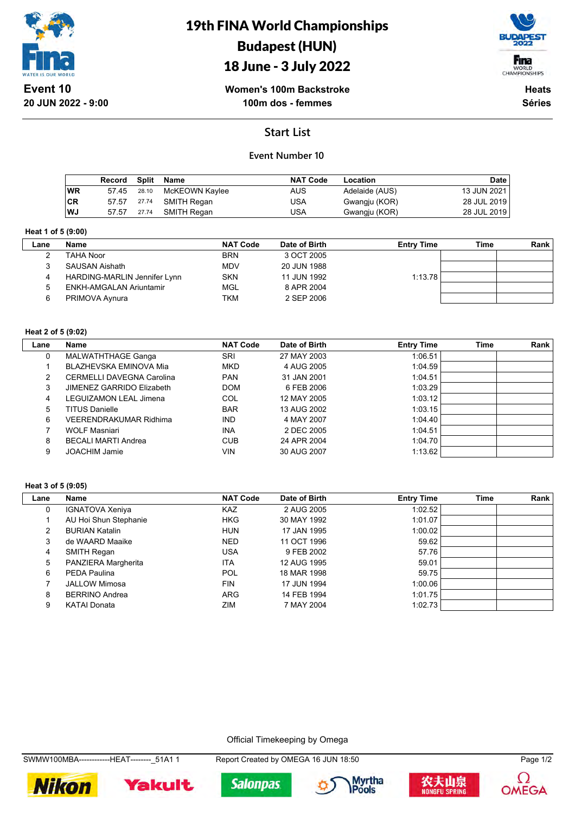

19th FINA World Championships Budapest (HUN)

# 18 June - 3 July 2022



**Women's 100m Backstroke 100m dos - femmes**

**Heats Séries**

# **Start List**

### **Event Number 10**

|           | Record Split |       | Name           | <b>NAT Code</b> | Location       | Date        |
|-----------|--------------|-------|----------------|-----------------|----------------|-------------|
| WR        | 57.45        | 28.10 | McKEOWN Kaylee | AUS             | Adelaide (AUS) | 13 JUN 2021 |
| <b>CR</b> | 57.57        | 27.74 | SMITH Regan    | USA             | Gwangju (KOR)  | 28 JUL 2019 |
| WJ        | 57.57        | 27.74 | SMITH Regan    | USA             | Gwangju (KOR)  | 28 JUL 2019 |

#### **Heat 1 of 5 (9:00)**

| Lane | <b>Name</b>                  | <b>NAT Code</b> | Date of Birth | <b>Entry Time</b> | Time | <b>Rank</b> |
|------|------------------------------|-----------------|---------------|-------------------|------|-------------|
|      | TAHA Noor                    | <b>BRN</b>      | 3 OCT 2005    |                   |      |             |
|      | <b>SAUSAN Aishath</b>        | <b>MDV</b>      | 20 JUN 1988   |                   |      |             |
| 4    | HARDING-MARLIN Jennifer Lynn | <b>SKN</b>      | 11 JUN 1992   | 1:13.78           |      |             |
|      | ENKH-AMGALAN Ariuntamir      | MGL             | 8 APR 2004    |                   |      |             |
|      | PRIMOVA Aynura               | TKM             | 2 SEP 2006    |                   |      |             |

#### **Heat 2 of 5 (9:02)**

| Lane | Name                             | <b>NAT Code</b> | Date of Birth | <b>Entry Time</b> | <b>Time</b> | Rank |
|------|----------------------------------|-----------------|---------------|-------------------|-------------|------|
| 0    | MALWATHTHAGE Ganga               | SRI             | 27 MAY 2003   | 1:06.51           |             |      |
|      | BLAZHEVSKA EMINOVA Mia           | <b>MKD</b>      | 4 AUG 2005    | 1.04.59           |             |      |
| 2    | <b>CERMELLI DAVEGNA Carolina</b> | <b>PAN</b>      | 31 JAN 2001   | 1:04.51           |             |      |
| 3    | JIMENEZ GARRIDO Elizabeth        | <b>DOM</b>      | 6 FEB 2006    | 1:03.29           |             |      |
| 4    | LEGUIZAMON LEAL Jimena           | COL             | 12 MAY 2005   | 1:03.12           |             |      |
| 5    | <b>TITUS Danielle</b>            | <b>BAR</b>      | 13 AUG 2002   | 1:03.15           |             |      |
| 6    | VEERENDRAKUMAR Ridhima           | <b>IND</b>      | 4 MAY 2007    | 1.04.40           |             |      |
|      | <b>WOLF Masniari</b>             | <b>INA</b>      | 2 DEC 2005    | 1:04.51           |             |      |
| 8    | <b>BECALI MARTI Andrea</b>       | <b>CUB</b>      | 24 APR 2004   | 1:04.70           |             |      |
| 9    | <b>JOACHIM Jamie</b>             | VIN             | 30 AUG 2007   | 1:13.62           |             |      |

#### **Heat 3 of 5 (9:05)**

| Lane | Name                   | <b>NAT Code</b> | Date of Birth | <b>Entry Time</b> | Time | Rank |
|------|------------------------|-----------------|---------------|-------------------|------|------|
| 0    | <b>IGNATOVA Xeniya</b> | KAZ             | 2 AUG 2005    | 1:02.52           |      |      |
|      | AU Hoi Shun Stephanie  | <b>HKG</b>      | 30 MAY 1992   | 1:01.07           |      |      |
|      | <b>BURIAN Katalin</b>  | <b>HUN</b>      | 17 JAN 1995   | 1:00.02           |      |      |
| 3    | de WAARD Maaike        | <b>NED</b>      | 11 OCT 1996   | 59.62             |      |      |
| 4    | SMITH Regan            | USA             | 9 FEB 2002    | 57.76             |      |      |
| 5    | PANZIERA Margherita    | <b>ITA</b>      | 12 AUG 1995   | 59.01             |      |      |
| 6    | PEDA Paulina           | POL             | 18 MAR 1998   | 59.75             |      |      |
|      | <b>JALLOW Mimosa</b>   | <b>FIN</b>      | 17 JUN 1994   | 1:00.06           |      |      |
| 8    | <b>BERRINO Andrea</b>  | <b>ARG</b>      | 14 FEB 1994   | 1:01.75           |      |      |
| 9    | <b>KATAI Donata</b>    | ZIM             | 7 MAY 2004    | 1:02.73           |      |      |

#### Official Timekeeping by Omega

SWMW100MBA-------------HEAT--------\_51A1 1 Report Created by OMEGA 16 JUN 18:50 Page 1/2











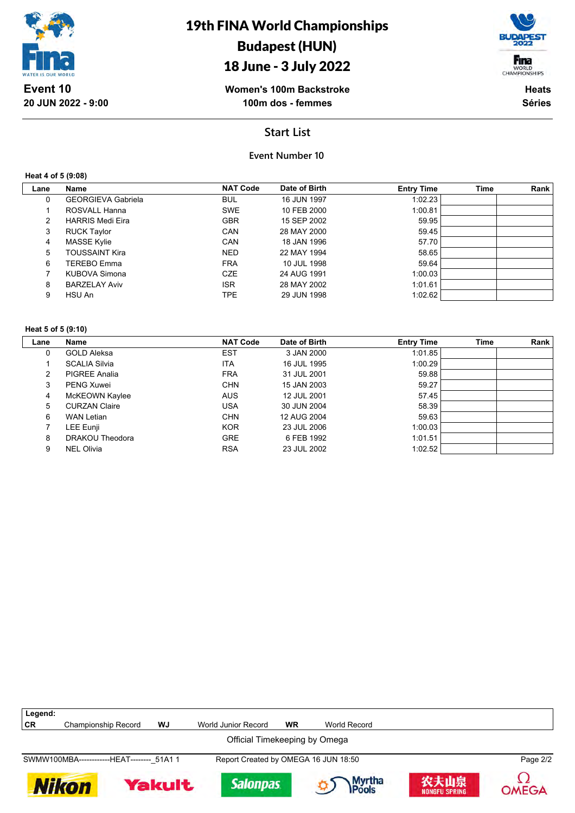

# 18 June - 3 July 2022



Fina WORLD<br>CHAMPIONSHIPS **Heats**

**Séries**

## **Start List**

### **Event Number 10**

#### **Heat 4 of 5 (9:08)**

| Lane | Name                      | <b>NAT Code</b> | Date of Birth | <b>Entry Time</b> | Time | Rank |
|------|---------------------------|-----------------|---------------|-------------------|------|------|
| 0    | <b>GEORGIEVA Gabriela</b> | <b>BUL</b>      | 16 JUN 1997   | 1:02.23           |      |      |
|      | ROSVALL Hanna             | <b>SWE</b>      | 10 FEB 2000   | 1:00.81           |      |      |
| 2    | <b>HARRIS Medi Eira</b>   | <b>GBR</b>      | 15 SEP 2002   | 59.95             |      |      |
| 3    | <b>RUCK Taylor</b>        | CAN             | 28 MAY 2000   | 59.45             |      |      |
| 4    | <b>MASSE Kylie</b>        | CAN             | 18 JAN 1996   | 57.70             |      |      |
| 5    | <b>TOUSSAINT Kira</b>     | <b>NED</b>      | 22 MAY 1994   | 58.65             |      |      |
| 6    | TEREBO Emma               | <b>FRA</b>      | 10 JUL 1998   | 59.64             |      |      |
|      | KUBOVA Simona             | <b>CZE</b>      | 24 AUG 1991   | 1:00.03           |      |      |
| 8    | <b>BARZELAY Aviv</b>      | <b>ISR</b>      | 28 MAY 2002   | 1:01.61           |      |      |
| 9    | HSU An                    | TPE             | 29 JUN 1998   | 1:02.62           |      |      |

#### **Heat 5 of 5 (9:10)**

| Lane | <b>Name</b>          | <b>NAT Code</b> | Date of Birth | <b>Entry Time</b> | <b>Time</b> | Rank |
|------|----------------------|-----------------|---------------|-------------------|-------------|------|
| 0    | <b>GOLD Aleksa</b>   | <b>EST</b>      | 3 JAN 2000    | 1:01.85           |             |      |
|      | <b>SCALIA Silvia</b> | <b>ITA</b>      | 16 JUL 1995   | 1:00.29           |             |      |
| 2    | <b>PIGREE Analia</b> | <b>FRA</b>      | 31 JUL 2001   | 59.88             |             |      |
| 3    | <b>PENG Xuwei</b>    | <b>CHN</b>      | 15 JAN 2003   | 59.27             |             |      |
| 4    | McKEOWN Kaylee       | <b>AUS</b>      | 12 JUL 2001   | 57.45             |             |      |
| 5    | <b>CURZAN Claire</b> | <b>USA</b>      | 30 JUN 2004   | 58.39             |             |      |
| 6    | WAN Letian           | <b>CHN</b>      | 12 AUG 2004   | 59.63             |             |      |
|      | LEE Eunji            | <b>KOR</b>      | 23 JUL 2006   | 1:00.03           |             |      |
| 8    | DRAKOU Theodora      | <b>GRE</b>      | 6 FEB 1992    | 1:01.51           |             |      |
| 9    | <b>NEL Olivia</b>    | <b>RSA</b>      | 23 JUL 2002   | 1:02.52           |             |      |

| Legend:                                                      |                                            |    |                                      |           |              |                       |              |  |
|--------------------------------------------------------------|--------------------------------------------|----|--------------------------------------|-----------|--------------|-----------------------|--------------|--|
| CR                                                           | <b>Championship Record</b>                 | WJ | World Junior Record                  | <b>WR</b> | World Record |                       |              |  |
|                                                              | Official Timekeeping by Omega              |    |                                      |           |              |                       |              |  |
|                                                              | SWMW100MBA-------------HEAT-------- 51A1 1 |    | Report Created by OMEGA 16 JUN 18:50 |           |              |                       | Page 2/2     |  |
| Myrtha<br><b>Pools</b><br><b>Salonpas</b><br>Yakult<br>Nikon |                                            |    |                                      |           |              | 农夫山泉<br>NONGFU SPRING | <b>OMEGA</b> |  |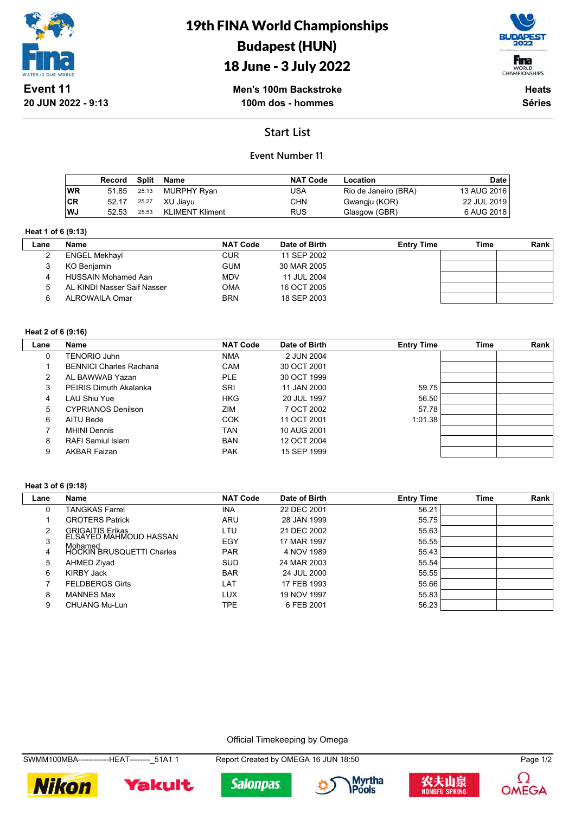

# 19th FINA World Championships Budapest (HUN)





**Men's 100m Backstroke 100m dos - hommes**

**Heats Séries**

# **Start List**

### **Event Number 11**

|           | Record | Split | Name                   | <b>NAT Code</b> | Location             | Date        |
|-----------|--------|-------|------------------------|-----------------|----------------------|-------------|
| <b>WR</b> | 51.85  | 25.13 | MURPHY Ryan            | USA             | Rio de Janeiro (BRA) | 13 AUG 2016 |
| ∣CR       | 52.17  | 25.27 | XU Jiavu               | <b>CHN</b>      | Gwangju (KOR)        | 22 JUL 2019 |
| WJ        | 52.53  | 25.53 | <b>KLIMENT Kliment</b> | <b>RUS</b>      | Glasgow (GBR)        | 6 AUG 2018  |

#### **Heat 1 of 6 (9:13)**

| Lane | <b>Name</b>                 | <b>NAT Code</b> | Date of Birth | <b>Entry Time</b> | Time | Rank |
|------|-----------------------------|-----------------|---------------|-------------------|------|------|
|      | <b>ENGEL Mekhayl</b>        | <b>CUR</b>      | 11 SEP 2002   |                   |      |      |
|      | KO Benjamin                 | <b>GUM</b>      | 30 MAR 2005   |                   |      |      |
|      | <b>HUSSAIN Mohamed Aan</b>  | <b>MDV</b>      | 11 JUL 2004   |                   |      |      |
|      | AL KINDI Nasser Saif Nasser | <b>OMA</b>      | 16 OCT 2005   |                   |      |      |
| ี    | ALROWAILA Omar              | <b>BRN</b>      | 18 SEP 2003   |                   |      |      |

#### **Heat 2 of 6 (9:16)**

| Lane | Name                           | <b>NAT Code</b> | Date of Birth | <b>Entry Time</b> | <b>Time</b> | Rank |
|------|--------------------------------|-----------------|---------------|-------------------|-------------|------|
| 0    | <b>TENORIO Juhn</b>            | <b>NMA</b>      | 2 JUN 2004    |                   |             |      |
|      | <b>BENNICI Charles Rachana</b> | CAM             | 30 OCT 2001   |                   |             |      |
| 2    | AL BAWWAB Yazan                | <b>PLE</b>      | 30 OCT 1999   |                   |             |      |
| 3    | <b>PEIRIS Dimuth Akalanka</b>  | <b>SRI</b>      | 11 JAN 2000   | 59.75             |             |      |
| 4    | LAU Shiu Yue                   | <b>HKG</b>      | 20 JUL 1997   | 56.50             |             |      |
| 5    | <b>CYPRIANOS Denilson</b>      | ZIM             | 7 OCT 2002    | 57.78             |             |      |
| 6    | AITU Bede                      | <b>COK</b>      | 11 OCT 2001   | 1:01.38           |             |      |
|      | <b>MHINI Dennis</b>            | <b>TAN</b>      | 10 AUG 2001   |                   |             |      |
| 8    | RAFI Samiul Islam              | <b>BAN</b>      | 12 OCT 2004   |                   |             |      |
| 9    | <b>AKBAR Faizan</b>            | <b>PAK</b>      | 15 SEP 1999   |                   |             |      |

#### **Heat 3 of 6 (9:18)**

| Lane | Name                                       | <b>NAT Code</b> | Date of Birth | <b>Entry Time</b> | Time | Rank |
|------|--------------------------------------------|-----------------|---------------|-------------------|------|------|
|      | TANGKAS Farrel                             | <b>INA</b>      | 22 DEC 2001   | 56.21             |      |      |
|      | <b>GROTERS Patrick</b>                     | ARU             | 28 JAN 1999   | 55.75             |      |      |
|      | GRIGAITIS Erikas<br>ELSAYED MAHMOUD HASSAN | LTU             | 21 DEC 2002   | 55.63             |      |      |
|      | Mohamed                                    | EGY             | 17 MAR 1997   | 55.55             |      |      |
| 4    | <b>HOCKIN BRUSQUETTI Charles</b>           | <b>PAR</b>      | 4 NOV 1989    | 55.43             |      |      |
| 5    | AHMED Ziyad                                | <b>SUD</b>      | 24 MAR 2003   | 55.54             |      |      |
| 6    | KIRBY Jack                                 | <b>BAR</b>      | 24 JUL 2000   | 55.55             |      |      |
|      | <b>FELDBERGS Girts</b>                     | LAT             | 17 FEB 1993   | 55.66             |      |      |
| 8    | <b>MANNES Max</b>                          | LUX             | 19 NOV 1997   | 55.83             |      |      |
| 9    | <b>CHUANG Mu-Lun</b>                       | TPE             | 6 FEB 2001    | 56.23             |      |      |

#### Official Timekeeping by Omega

SWMM100MBA------------HEAT--------\_51A1 1 Report Created by OMEGA 16 JUN 18:50 Page 1/2









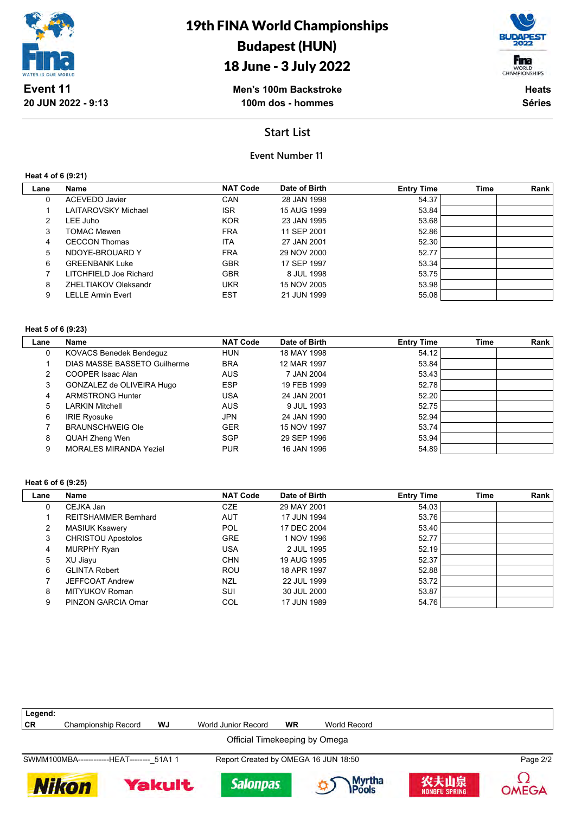

# 18 June - 3 July 2022



**Men's 100m Backstroke 100m dos - hommes**

**Heats Séries**

### **Start List**

### **Event Number 11**

**Heat 4 of 6 (9:21)**

| Lane | Name                   | <b>NAT Code</b> | Date of Birth | <b>Entry Time</b> | <b>Time</b> | Rank |
|------|------------------------|-----------------|---------------|-------------------|-------------|------|
| 0    | ACEVEDO Javier         | <b>CAN</b>      | 28 JAN 1998   | 54.37             |             |      |
|      | LAITAROVSKY Michael    | <b>ISR</b>      | 15 AUG 1999   | 53.84             |             |      |
| 2    | LEE Juho               | <b>KOR</b>      | 23 JAN 1995   | 53.68             |             |      |
| 3    | <b>TOMAC Mewen</b>     | <b>FRA</b>      | 11 SEP 2001   | 52.86             |             |      |
| 4    | <b>CECCON Thomas</b>   | <b>ITA</b>      | 27 JAN 2001   | 52.30             |             |      |
| 5    | NDOYE-BROUARD Y        | <b>FRA</b>      | 29 NOV 2000   | 52.77             |             |      |
| 6    | <b>GREENBANK Luke</b>  | <b>GBR</b>      | 17 SEP 1997   | 53.34             |             |      |
|      | LITCHFIELD Joe Richard | <b>GBR</b>      | 8 JUL 1998    | 53.75             |             |      |
| 8    | ZHELTIAKOV Oleksandr   | <b>UKR</b>      | 15 NOV 2005   | 53.98             |             |      |
| 9    | LELLE Armin Evert      | <b>EST</b>      | 21 JUN 1999   | 55.08             |             |      |
|      |                        |                 |               |                   |             |      |

#### **Heat 5 of 6 (9:23)**

| Lane | <b>Name</b>                    | <b>NAT Code</b> | Date of Birth | <b>Entry Time</b> | <b>Time</b> | Rank |
|------|--------------------------------|-----------------|---------------|-------------------|-------------|------|
| 0    | <b>KOVACS Benedek Bendeguz</b> | HUN             | 18 MAY 1998   | 54.12             |             |      |
|      | DIAS MASSE BASSETO Guilherme   | <b>BRA</b>      | 12 MAR 1997   | 53.84             |             |      |
| 2    | COOPER Isaac Alan              | <b>AUS</b>      | 7 JAN 2004    | 53.43             |             |      |
| 3    | GONZALEZ de OLIVEIRA Hugo      | <b>ESP</b>      | 19 FEB 1999   | 52.78             |             |      |
| 4    | <b>ARMSTRONG Hunter</b>        | <b>USA</b>      | 24 JAN 2001   | 52.20             |             |      |
| 5    | <b>LARKIN Mitchell</b>         | <b>AUS</b>      | 9 JUL 1993    | 52.75             |             |      |
| 6    | <b>IRIE Ryosuke</b>            | <b>JPN</b>      | 24 JAN 1990   | 52.94             |             |      |
|      | <b>BRAUNSCHWEIG Ole</b>        | <b>GER</b>      | 15 NOV 1997   | 53.74             |             |      |
| 8    | QUAH Zheng Wen                 | SGP             | 29 SEP 1996   | 53.94             |             |      |
| 9    | <b>MORALES MIRANDA Yeziel</b>  | <b>PUR</b>      | 16 JAN 1996   | 54.89             |             |      |

#### **Heat 6 of 6 (9:25)**

| Lane | <b>Name</b>                 | <b>NAT Code</b> | Date of Birth | <b>Entry Time</b> | <b>Time</b> | Rank |
|------|-----------------------------|-----------------|---------------|-------------------|-------------|------|
| 0    | CEJKA Jan                   | <b>CZE</b>      | 29 MAY 2001   | 54.03             |             |      |
|      | <b>REITSHAMMER Bernhard</b> | <b>AUT</b>      | 17 JUN 1994   | 53.76             |             |      |
| 2    | <b>MASIUK Ksawery</b>       | POL             | 17 DEC 2004   | 53.40             |             |      |
| 3    | <b>CHRISTOU Apostolos</b>   | <b>GRE</b>      | 1 NOV 1996    | 52.77             |             |      |
| 4    | <b>MURPHY Ryan</b>          | USA             | 2 JUL 1995    | 52.19             |             |      |
| 5    | XU Jiayu                    | <b>CHN</b>      | 19 AUG 1995   | 52.37             |             |      |
| 6    | <b>GLINTA Robert</b>        | <b>ROU</b>      | 18 APR 1997   | 52.88             |             |      |
|      | <b>JEFFCOAT Andrew</b>      | <b>NZL</b>      | 22 JUL 1999   | 53.72             |             |      |
| 8    | MITYUKOV Roman              | SUI             | 30 JUL 2000   | 53.87             |             |      |
| 9    | PINZON GARCIA Omar          | COL             | 17 JUN 1989   | 54.76             |             |      |

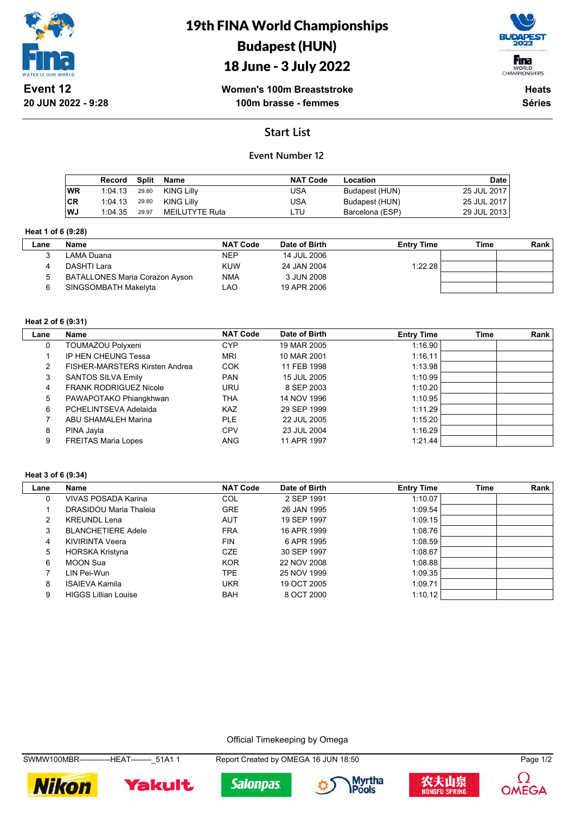

# 19th FINA World Championships Budapest (HUN)

# 18 June - 3 July 2022



**Women's 100m Breaststroke 100m brasse - femmes**

**Heats Séries**

# **Start List**

### **Event Number 12**

|           | Record Split |       | Name           | <b>NAT Code</b> | Location        | <b>Date</b> |
|-----------|--------------|-------|----------------|-----------------|-----------------|-------------|
| <b>WR</b> | 1:04.13      | 29.80 | KING Lilly     | USA             | Budapest (HUN)  | 25 JUL 2017 |
| ∣CR       | 1:04.13      | 29.80 | KING Lilly     | USA             | Budapest (HUN)  | 25 JUL 2017 |
| ∣wJ       | 1:04.35      | 29.97 | MEILUTYTE Ruta | ∟TU             | Barcelona (ESP) | 29 JUL 2013 |

#### **Heat 1 of 6 (9:28)**

| Lane | Name                           | <b>NAT Code</b> | Date of Birth | <b>Entry Time</b> | Time | Rank |
|------|--------------------------------|-----------------|---------------|-------------------|------|------|
|      | LAMA Duana                     | <b>NEP</b>      | 14 JUL 2006   |                   |      |      |
|      | DASHTI Lara                    | <b>KUW</b>      | 24 JAN 2004   | 1:22.28           |      |      |
|      | BATALLONES Maria Corazon Ayson | <b>NMA</b>      | 3 JUN 2008    |                   |      |      |
|      | SINGSOMBATH Makelyta           | LAO             | 19 APR 2006   |                   |      |      |

#### **Heat 2 of 6 (9:31)**

| Lane | Name                                  | <b>NAT Code</b> | Date of Birth | <b>Entry Time</b> | <b>Time</b> | Rank |
|------|---------------------------------------|-----------------|---------------|-------------------|-------------|------|
| 0    | TOUMAZOU Polyxeni                     | <b>CYP</b>      | 19 MAR 2005   | 1:16.90           |             |      |
|      | IP HEN CHEUNG Tessa                   | <b>MRI</b>      | 10 MAR 2001   | 1:16.11           |             |      |
|      | <b>FISHER-MARSTERS Kirsten Andrea</b> | <b>COK</b>      | 11 FEB 1998   | 1:13.98           |             |      |
| 3    | SANTOS SILVA Emily                    | <b>PAN</b>      | 15 JUL 2005   | 1:10.99           |             |      |
| 4    | <b>FRANK RODRIGUEZ Nicole</b>         | <b>URU</b>      | 8 SEP 2003    | 1:10.20           |             |      |
| 5    | PAWAPOTAKO Phiangkhwan                | THA             | 14 NOV 1996   | 1:10.95           |             |      |
| 6    | PCHELINTSEVA Adelaida                 | <b>KAZ</b>      | 29 SEP 1999   | 1:11.29           |             |      |
|      | <b>ABU SHAMALEH Marina</b>            | <b>PLE</b>      | 22 JUL 2005   | 1:15.20           |             |      |
| 8    | PINA Jayla                            | <b>CPV</b>      | 23 JUL 2004   | 1:16.29           |             |      |
| 9    | <b>FREITAS Maria Lopes</b>            | <b>ANG</b>      | 11 APR 1997   | 1:21.44           |             |      |

#### **Heat 3 of 6 (9:34)**

| Lane | Name                        | <b>NAT Code</b> | Date of Birth | <b>Entry Time</b> | <b>Time</b> | Rank |
|------|-----------------------------|-----------------|---------------|-------------------|-------------|------|
| 0    | VIVAS POSADA Karina         | COL             | 2 SEP 1991    | 1:10.07           |             |      |
|      | DRASIDOU Maria Thaleia      | <b>GRE</b>      | 26 JAN 1995   | 1:09.54           |             |      |
| 2    | <b>KREUNDL Lena</b>         | <b>AUT</b>      | 19 SEP 1997   | 1:09.15           |             |      |
| 3    | <b>BLANCHETIERE Adele</b>   | <b>FRA</b>      | 16 APR 1999   | 1:08.76           |             |      |
| 4    | KIVIRINTA Veera             | <b>FIN</b>      | 6 APR 1995    | 1:08.59           |             |      |
| 5    | HORSKA Kristyna             | <b>CZE</b>      | 30 SEP 1997   | 1:08.67           |             |      |
| 6    | MOON Sua                    | <b>KOR</b>      | 22 NOV 2008   | 1:08.88           |             |      |
|      | LIN Pei-Wun                 | TPE.            | 25 NOV 1999   | 1:09.35           |             |      |
| 8    | <b>ISAIEVA Kamila</b>       | UKR             | 19 OCT 2005   | 1:09.71           |             |      |
| 9    | <b>HIGGS Lillian Louise</b> | <b>BAH</b>      | 8 OCT 2000    | 1:10.12           |             |      |

Official Timekeeping by Omega

SWMW100MBR------------HEAT--------\_51A1 1 Report Created by OMEGA 16 JUN 18:50 Page 1/2











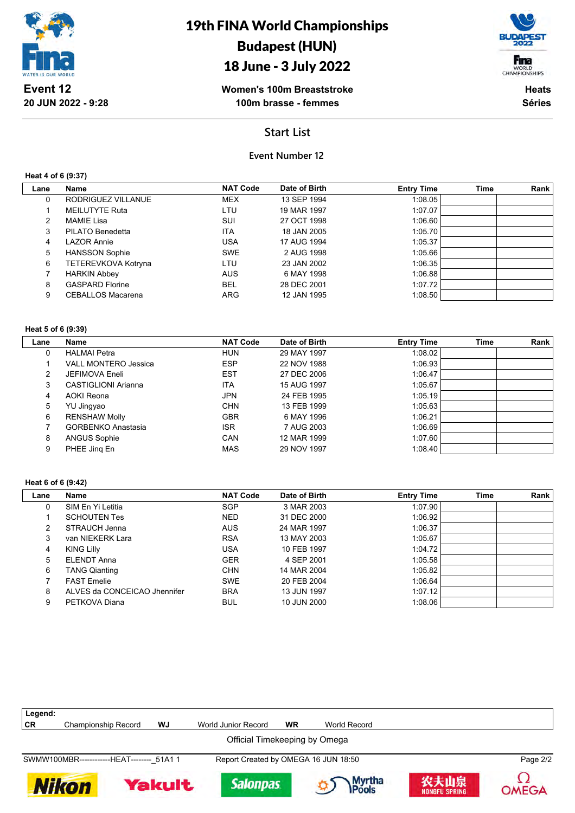

# 18 June - 3 July 2022

**Women's 100m Breaststroke 100m brasse - femmes**

Fina WORLD<br>CHAMPIONSHIPS

**Heats Séries**

### **Start List**

### **Event Number 12**

**Heat 4 of 6 (9:37)**

| Lane | Name                     | <b>NAT Code</b> | Date of Birth | <b>Entry Time</b> | <b>Time</b> | Rank |
|------|--------------------------|-----------------|---------------|-------------------|-------------|------|
| 0    | RODRIGUEZ VILLANUE       | <b>MEX</b>      | 13 SEP 1994   | 1:08.05           |             |      |
|      | MEILUTYTE Ruta           | LTU             | 19 MAR 1997   | 1:07.07           |             |      |
| 2    | MAMIE Lisa               | SUI             | 27 OCT 1998   | 1:06.60           |             |      |
| 3    | PILATO Benedetta         | <b>ITA</b>      | 18 JAN 2005   | 1:05.70           |             |      |
| 4    | <b>LAZOR Annie</b>       | <b>USA</b>      | 17 AUG 1994   | 1:05.37           |             |      |
| 5    | <b>HANSSON Sophie</b>    | <b>SWE</b>      | 2 AUG 1998    | 1:05.66           |             |      |
| 6    | TETEREVKOVA Kotryna      | LTU             | 23 JAN 2002   | 1:06.35           |             |      |
|      | <b>HARKIN Abbey</b>      | <b>AUS</b>      | 6 MAY 1998    | 1.06.88           |             |      |
| 8    | <b>GASPARD Florine</b>   | <b>BEL</b>      | 28 DEC 2001   | 1:07.72           |             |      |
| 9    | <b>CEBALLOS Macarena</b> | ARG             | 12 JAN 1995   | 1:08.50           |             |      |
|      |                          |                 |               |                   |             |      |

#### **Heat 5 of 6 (9:39)**

| Lane | Name                        | <b>NAT Code</b> | Date of Birth | <b>Entry Time</b> | Time | Rank |
|------|-----------------------------|-----------------|---------------|-------------------|------|------|
| 0    | <b>HALMAI Petra</b>         | <b>HUN</b>      | 29 MAY 1997   | 1:08.02           |      |      |
|      | <b>VALL MONTERO Jessica</b> | <b>ESP</b>      | 22 NOV 1988   | 1:06.93           |      |      |
| 2    | JEFIMOVA Eneli              | <b>EST</b>      | 27 DEC 2006   | 1:06.47           |      |      |
| 3    | <b>CASTIGLIONI Arianna</b>  | <b>ITA</b>      | 15 AUG 1997   | 1:05.67           |      |      |
| 4    | AOKI Reona                  | <b>JPN</b>      | 24 FEB 1995   | 1:05.19           |      |      |
| 5    | YU Jingyao                  | <b>CHN</b>      | 13 FEB 1999   | 1:05.63           |      |      |
| 6    | <b>RENSHAW Molly</b>        | <b>GBR</b>      | 6 MAY 1996    | 1:06.21           |      |      |
|      | <b>GORBENKO Anastasia</b>   | <b>ISR</b>      | 7 AUG 2003    | 1:06.69           |      |      |
| 8    | <b>ANGUS Sophie</b>         | CAN             | 12 MAR 1999   | 1:07.60           |      |      |
| 9    | PHEE Jing En                | <b>MAS</b>      | 29 NOV 1997   | 1:08.40           |      |      |

#### **Heat 6 of 6 (9:42)**

| Lane | <b>Name</b>                  | <b>NAT Code</b> | Date of Birth | <b>Entry Time</b> | <b>Time</b> | Rank |
|------|------------------------------|-----------------|---------------|-------------------|-------------|------|
| 0    | SIM En Yi Letitia            | <b>SGP</b>      | 3 MAR 2003    | 1:07.90           |             |      |
|      | <b>SCHOUTEN Tes</b>          | <b>NED</b>      | 31 DEC 2000   | 1.06.92           |             |      |
| 2    | STRAUCH Jenna                | <b>AUS</b>      | 24 MAR 1997   | 1:06.37           |             |      |
| 3    | van NIEKERK Lara             | <b>RSA</b>      | 13 MAY 2003   | 1:05.67           |             |      |
| 4    | <b>KING Lilly</b>            | USA             | 10 FEB 1997   | 1:04.72           |             |      |
| 5    | <b>ELENDT Anna</b>           | <b>GER</b>      | 4 SEP 2001    | 1:05.58           |             |      |
| 6    | <b>TANG Qianting</b>         | <b>CHN</b>      | 14 MAR 2004   | 1:05.82           |             |      |
|      | <b>FAST Emelie</b>           | <b>SWE</b>      | 20 FEB 2004   | 1.06.64           |             |      |
| 8    | ALVES da CONCEICAO Jhennifer | <b>BRA</b>      | 13 JUN 1997   | 1:07.12           |             |      |
| 9    | PETKOVA Diana                | <b>BUL</b>      | 10 JUN 2000   | 1:08.06           |             |      |

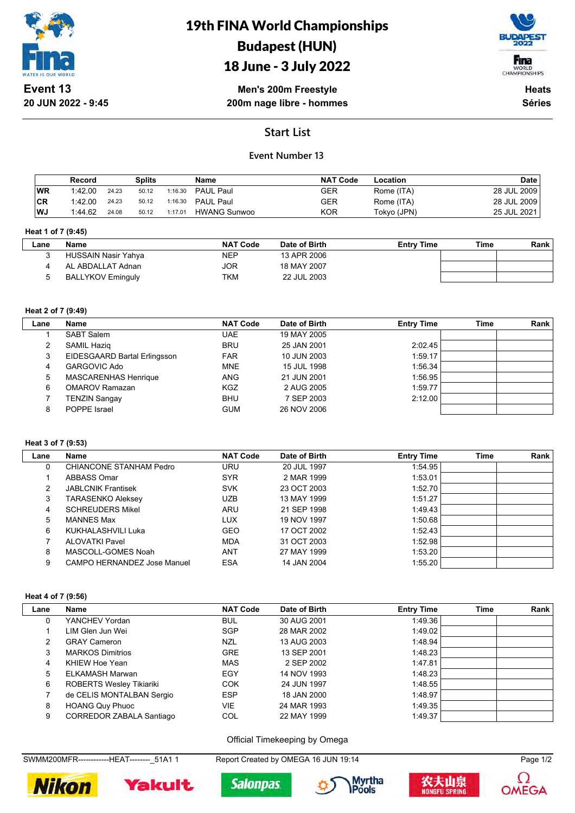

# 19th FINA World Championships Budapest (HUN)

# 18 June - 3 July 2022



**Men's 200m Freestyle 200m nage libre - hommes**

**Heats Séries**

# **Start List**

### **Event Number 13**

|           | Record  |       | Splits |         | Name                | <b>NAT Code</b> | Location    | <b>Date</b> |
|-----------|---------|-------|--------|---------|---------------------|-----------------|-------------|-------------|
| <b>WR</b> | 1:42.00 | 24.23 | 50.12  | 1:16.30 | PAUL Paul           | GER             | Rome (ITA)  | 28 JUL 2009 |
| <b>CR</b> | 1:42.00 | 24.23 | 50.12  | 1:16.30 | PAUL Paul           | GER             | Rome (ITA)  | 28 JUL 2009 |
| WJ        | 1:44.62 | 24.08 | 50.12  | 1:17.01 | <b>HWANG Sunwoo</b> | <b>KOR</b>      | Tokyo (JPN) | 25 JUL 2021 |

#### **Heat 1 of 7 (9:45)**

| Lane | Name                     | <b>NAT Code</b> | Date of Birth | <b>Entry Time</b> | Time | Rank |
|------|--------------------------|-----------------|---------------|-------------------|------|------|
|      | HUSSAIN Nasir Yahya      | <b>NEP</b>      | 13 APR 2006   |                   |      |      |
|      | AL ABDALLAT Adnan        | JOR             | 18 MAY 2007   |                   |      |      |
|      | <b>BALLYKOV Eminguly</b> | TKM             | 22 JUL 2003   |                   |      |      |

#### **Heat 2 of 7 (9:49)**

| Lane | Name                         | <b>NAT Code</b> | Date of Birth | <b>Entry Time</b> | Time | Rank |
|------|------------------------------|-----------------|---------------|-------------------|------|------|
|      | <b>SABT Salem</b>            | UAE.            | 19 MAY 2005   |                   |      |      |
| 2    | SAMIL Hazig                  | <b>BRU</b>      | 25 JAN 2001   | 2:02.45           |      |      |
| 3    | EIDESGAARD Bartal Erlingsson | <b>FAR</b>      | 10 JUN 2003   | 1:59.17           |      |      |
| 4    | GARGOVIC Ado                 | <b>MNE</b>      | 15 JUL 1998   | 1:56.34           |      |      |
| 5    | <b>MASCARENHAS Henrique</b>  | <b>ANG</b>      | 21 JUN 2001   | 1:56.95           |      |      |
| 6    | <b>OMAROV Ramazan</b>        | <b>KGZ</b>      | 2 AUG 2005    | 1:59.77           |      |      |
|      | <b>TENZIN Sangay</b>         | <b>BHU</b>      | 7 SEP 2003    | 2:12.00           |      |      |
| 8    | POPPE Israel                 | <b>GUM</b>      | 26 NOV 2006   |                   |      |      |

#### **Heat 3 of 7 (9:53)**

 $\mathbb{R}$ 

| Lane | Name                        | <b>NAT Code</b> | Date of Birth | <b>Entry Time</b> | Time | Rank |
|------|-----------------------------|-----------------|---------------|-------------------|------|------|
| 0    | CHIANCONE STANHAM Pedro     | URU             | 20 JUL 1997   | 1:54.95           |      |      |
|      | ABBASS Omar                 | <b>SYR</b>      | 2 MAR 1999    | 1:53.01           |      |      |
| 2    | <b>JABLCNIK Frantisek</b>   | <b>SVK</b>      | 23 OCT 2003   | 1:52.70           |      |      |
| 3    | TARASENKO Aleksey           | <b>UZB</b>      | 13 MAY 1999   | 1:51.27           |      |      |
| 4    | <b>SCHREUDERS Mikel</b>     | ARU             | 21 SEP 1998   | 1.49.43           |      |      |
| 5    | <b>MANNES Max</b>           | LUX             | 19 NOV 1997   | 1:50.68           |      |      |
| 6    | KUKHALASHVILI Luka          | <b>GEO</b>      | 17 OCT 2002   | 1:52.43           |      |      |
|      | <b>ALOVATKI Pavel</b>       | <b>MDA</b>      | 31 OCT 2003   | 1:52.98           |      |      |
| 8    | MASCOLL-GOMES Noah          | <b>ANT</b>      | 27 MAY 1999   | 1:53.20           |      |      |
| 9    | CAMPO HERNANDEZ Jose Manuel | <b>ESA</b>      | 14 JAN 2004   | 1:55.20           |      |      |

#### **Heat 4 of 7 (9:56)**

| Lane | Name                            | <b>NAT Code</b> | Date of Birth | <b>Entry Time</b> | <b>Time</b> | Rank |
|------|---------------------------------|-----------------|---------------|-------------------|-------------|------|
| 0    | YANCHEV Yordan                  | <b>BUL</b>      | 30 AUG 2001   | 1:49.36           |             |      |
|      | LIM Glen Jun Wei                | <b>SGP</b>      | 28 MAR 2002   | 1:49.02           |             |      |
| 2    | <b>GRAY Cameron</b>             | <b>NZL</b>      | 13 AUG 2003   | 1:48.94           |             |      |
| 3    | <b>MARKOS Dimitrios</b>         | <b>GRE</b>      | 13 SEP 2001   | 1:48.23           |             |      |
| 4    | KHIEW Hoe Yean                  | <b>MAS</b>      | 2 SEP 2002    | 1:47.81           |             |      |
| 5    | ELKAMASH Marwan                 | EGY             | 14 NOV 1993   | 1:48.23           |             |      |
| 6    | <b>ROBERTS Wesley Tikiariki</b> | <b>COK</b>      | 24 JUN 1997   | 1:48.55           |             |      |
|      | de CELIS MONTALBAN Sergio       | <b>ESP</b>      | 18 JAN 2000   | 1:48.97           |             |      |
| 8    | <b>HOANG Quy Phuoc</b>          | <b>VIE</b>      | 24 MAR 1993   | 1:49.35           |             |      |
| 9    | <b>CORREDOR ZABALA Santiago</b> | COL             | 22 MAY 1999   | 1:49.37           |             |      |

Official Timekeeping by Omega

SWMM200MFR------------HEAT--------\_51A1 1 Report Created by OMEGA 16 JUN 19:14 Page 1/2









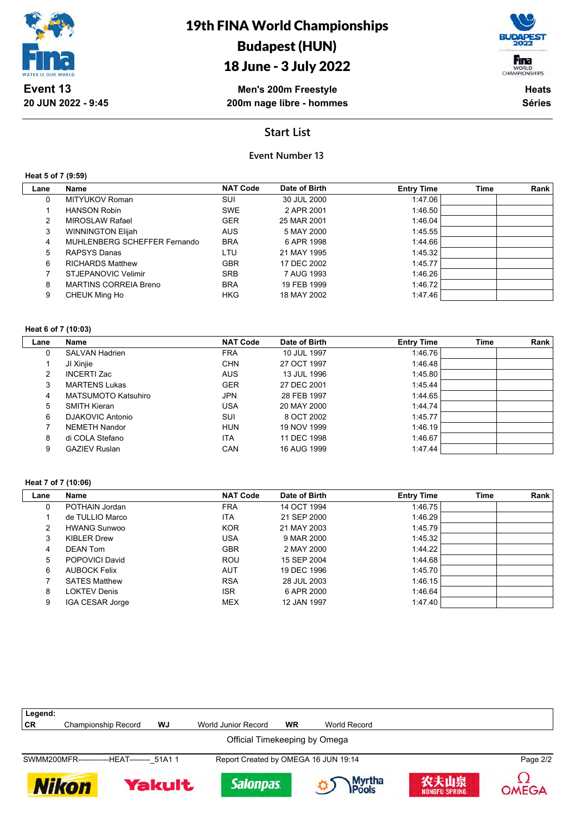

# 18 June - 3 July 2022



**Men's 200m Freestyle 200m nage libre - hommes**

**Heats Séries**

## **Start List**

### **Event Number 13**

**Heat 5 of 7 (9:59)**

| Lane | Name                         | <b>NAT Code</b> | Date of Birth | <b>Entry Time</b> | <b>Time</b> | Rank |
|------|------------------------------|-----------------|---------------|-------------------|-------------|------|
| 0    | MITYUKOV Roman               | SUI             | 30 JUL 2000   | 1:47.06           |             |      |
|      | <b>HANSON Robin</b>          | <b>SWE</b>      | 2 APR 2001    | 1:46.50           |             |      |
| 2    | <b>MIROSLAW Rafael</b>       | <b>GER</b>      | 25 MAR 2001   | 1.46.04           |             |      |
| 3    | <b>WINNINGTON Elijah</b>     | <b>AUS</b>      | 5 MAY 2000    | 1:45.55           |             |      |
| 4    | MUHLENBERG SCHEFFER Fernando | <b>BRA</b>      | 6 APR 1998    | 1:44.66           |             |      |
| 5    | RAPSYS Danas                 | LTU             | 21 MAY 1995   | 1:45.32           |             |      |
| 6    | <b>RICHARDS Matthew</b>      | <b>GBR</b>      | 17 DEC 2002   | 1:45.77           |             |      |
|      | STJEPANOVIC Velimir          | <b>SRB</b>      | 7 AUG 1993    | 1:46.26           |             |      |
| 8    | <b>MARTINS CORREIA Breno</b> | <b>BRA</b>      | 19 FEB 1999   | 1:46.72           |             |      |
| 9    | CHEUK Ming Ho                | <b>HKG</b>      | 18 MAY 2002   | 1.47.46           |             |      |

#### **Heat 6 of 7 (10:03)**

| Lane | Name                       | <b>NAT Code</b> | Date of Birth | <b>Entry Time</b> | Time | Rank |
|------|----------------------------|-----------------|---------------|-------------------|------|------|
| 0    | <b>SALVAN Hadrien</b>      | <b>FRA</b>      | 10 JUL 1997   | 1:46.76           |      |      |
|      | JI Xinjie                  | <b>CHN</b>      | 27 OCT 1997   | 1:46.48           |      |      |
| 2    | <b>INCERTI Zac</b>         | <b>AUS</b>      | 13 JUL 1996   | 1:45.80           |      |      |
| 3    | <b>MARTENS Lukas</b>       | <b>GER</b>      | 27 DEC 2001   | 1:45.44           |      |      |
| 4    | <b>MATSUMOTO Katsuhiro</b> | <b>JPN</b>      | 28 FEB 1997   | 1:44.65           |      |      |
| 5    | <b>SMITH Kieran</b>        | <b>USA</b>      | 20 MAY 2000   | 1:44.74           |      |      |
| 6    | DJAKOVIC Antonio           | SUI             | 8 OCT 2002    | 1:45.77           |      |      |
|      | <b>NEMETH Nandor</b>       | <b>HUN</b>      | 19 NOV 1999   | 1.46.19           |      |      |
| 8    | di COLA Stefano            | <b>ITA</b>      | 11 DEC 1998   | 1:46.67           |      |      |
| 9    | <b>GAZIEV Ruslan</b>       | CAN             | 16 AUG 1999   | 1:47.44           |      |      |

#### **Heat 7 of 7 (10:06)**

| Lane | Name                 | <b>NAT Code</b> | Date of Birth | <b>Entry Time</b> | <b>Time</b> | Rank |
|------|----------------------|-----------------|---------------|-------------------|-------------|------|
| 0    | POTHAIN Jordan       | <b>FRA</b>      | 14 OCT 1994   | 1:46.75           |             |      |
|      | de TULLIO Marco      | ITA             | 21 SEP 2000   | 1.46.29           |             |      |
| 2    | <b>HWANG Sunwoo</b>  | <b>KOR</b>      | 21 MAY 2003   | 1:45.79           |             |      |
| 3    | <b>KIBLER Drew</b>   | USA             | 9 MAR 2000    | 1:45.32           |             |      |
| 4    | <b>DEAN Tom</b>      | <b>GBR</b>      | 2 MAY 2000    | 1.44.22           |             |      |
| 5    | POPOVICI David       | <b>ROU</b>      | 15 SEP 2004   | 1:44.68           |             |      |
| 6    | <b>AUBOCK Felix</b>  | <b>AUT</b>      | 19 DEC 1996   | 1.45.70           |             |      |
|      | <b>SATES Matthew</b> | <b>RSA</b>      | 28 JUL 2003   | 1.46.15           |             |      |
| 8    | <b>LOKTEV Denis</b>  | <b>ISR</b>      | 6 APR 2000    | 1.46.64           |             |      |
| 9    | IGA CESAR Jorge      | <b>MEX</b>      | 12 JAN 1997   | 1:47.40           |             |      |

| Legend:      |                                            |               |                                      |           |                 |                       |              |
|--------------|--------------------------------------------|---------------|--------------------------------------|-----------|-----------------|-----------------------|--------------|
| <b>CR</b>    | Championship Record                        | WJ            | World Junior Record                  | <b>WR</b> | World Record    |                       |              |
|              |                                            |               | Official Timekeeping by Omega        |           |                 |                       |              |
|              | SWMM200MFR-------------HEAT-------- 51A1 1 |               | Report Created by OMEGA 16 JUN 19:14 |           |                 |                       | Page 2/2     |
| <b>Nikon</b> |                                            | <b>Yakult</b> | <b>Salonpas</b>                      |           | Myrtha<br>Pools | 农夫山泉<br>NONGFU SPRING | <b>OMEGA</b> |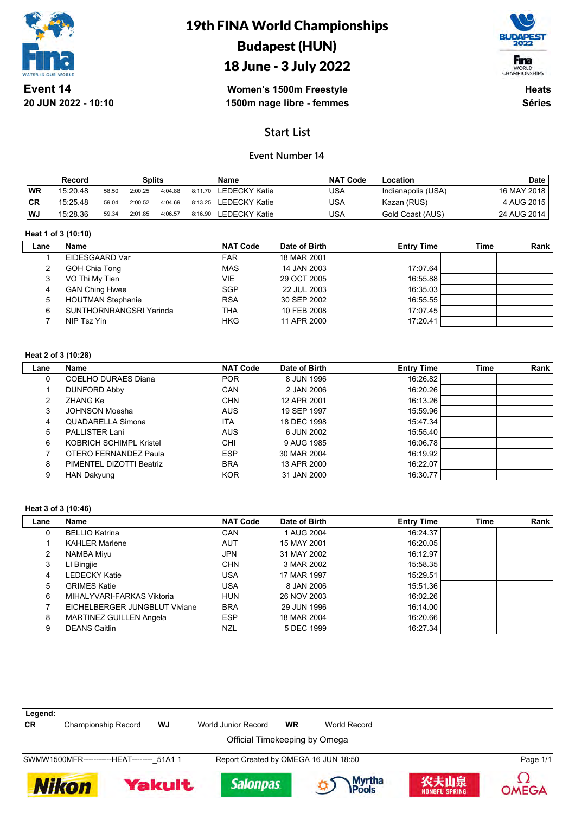

# 19th FINA World Championships Budapest (HUN)





**Women's 1500m Freestyle 1500m nage libre - femmes**

**Heats Séries**

## **Start List**

### **Event Number 14**

|           | Record   |       | Splits  |         |         | Name                  | <b>NAT Code</b> | Location           | <b>Date</b> |
|-----------|----------|-------|---------|---------|---------|-----------------------|-----------------|--------------------|-------------|
| <b>WR</b> | 15:20.48 | 58.50 | 2:00.25 | 4:04.88 |         | 8:11.70 LEDECKY Katie | USA             | Indianapolis (USA) | 16 MAY 2018 |
| ∣CR       | 15:25.48 | 59.04 | 2:00.52 | 4:04.69 |         | 8:13.25 LEDECKY Katie | USA             | Kazan (RUS)        | 4 AUG 2015  |
| WJ        | 15:28.36 | 59.34 | 2:01.85 | 4:06.57 | 8:16.90 | LEDECKY Katie         | USA             | Gold Coast (AUS)   | 24 AUG 2014 |

#### **Heat 1 of 3 (10:10)**

 $\overline{\phantom{a}}$ 

| Lane | Name                     | <b>NAT Code</b> | Date of Birth | <b>Entry Time</b> | Time | Rank |
|------|--------------------------|-----------------|---------------|-------------------|------|------|
|      | EIDESGAARD Var           | <b>FAR</b>      | 18 MAR 2001   |                   |      |      |
|      | GOH Chia Tong            | <b>MAS</b>      | 14 JAN 2003   | 17:07.64          |      |      |
|      | VO Thi My Tien           | VIE             | 29 OCT 2005   | 16:55.88          |      |      |
|      | <b>GAN Ching Hwee</b>    | <b>SGP</b>      | 22 JUL 2003   | 16:35.03          |      |      |
| 5    | <b>HOUTMAN Stephanie</b> | <b>RSA</b>      | 30 SEP 2002   | 16:55.55          |      |      |
| 6    | SUNTHORNRANGSRI Yarinda  | <b>THA</b>      | 10 FEB 2008   | 17:07.45          |      |      |
|      | NIP Tsz Yin              | <b>HKG</b>      | 11 APR 2000   | 17:20.41          |      |      |
|      |                          |                 |               |                   |      |      |

#### **Heat 2 of 3 (10:28)**

| Lane | Name                     | <b>NAT Code</b> | Date of Birth | <b>Entry Time</b> | Time | Rank |
|------|--------------------------|-----------------|---------------|-------------------|------|------|
| 0    | COELHO DURAES Diana      | <b>POR</b>      | 8 JUN 1996    | 16:26.82          |      |      |
|      | <b>DUNFORD Abby</b>      | CAN             | 2 JAN 2006    | 16:20.26          |      |      |
|      | ZHANG Ke                 | <b>CHN</b>      | 12 APR 2001   | 16:13.26          |      |      |
| 3    | JOHNSON Moesha           | <b>AUS</b>      | 19 SEP 1997   | 15:59.96          |      |      |
| 4    | QUADARELLA Simona        | <b>ITA</b>      | 18 DEC 1998   | 15:47.34          |      |      |
| 5    | PALLISTER Lani           | <b>AUS</b>      | 6 JUN 2002    | 15:55.40          |      |      |
| 6    | KOBRICH SCHIMPL Kristel  | <b>CHI</b>      | 9 AUG 1985    | 16:06.78          |      |      |
|      | OTERO FERNANDEZ Paula    | <b>ESP</b>      | 30 MAR 2004   | 16:19.92          |      |      |
| 8    | PIMENTEL DIZOTTI Beatriz | <b>BRA</b>      | 13 APR 2000   | 16:22.07          |      |      |
| 9    | <b>HAN Dakyung</b>       | <b>KOR</b>      | 31 JAN 2000   | 16:30.77          |      |      |

#### **Heat 3 of 3 (10:46)**

| Lane | <b>Name</b>                    | <b>NAT Code</b> | Date of Birth | <b>Entry Time</b> | <b>Time</b> | Rank |
|------|--------------------------------|-----------------|---------------|-------------------|-------------|------|
| 0    | <b>BELLIO Katrina</b>          | <b>CAN</b>      | 1 AUG 2004    | 16:24.37          |             |      |
|      | <b>KAHLER Marlene</b>          | <b>AUT</b>      | 15 MAY 2001   | 16:20.05          |             |      |
| 2    | NAMBA Miyu                     | <b>JPN</b>      | 31 MAY 2002   | 16:12.97          |             |      |
| 3    | LI Bingjie                     | <b>CHN</b>      | 3 MAR 2002    | 15:58.35          |             |      |
| 4    | LEDECKY Katie                  | USA             | 17 MAR 1997   | 15:29.51          |             |      |
| 5    | <b>GRIMES Katie</b>            | USA             | 8 JAN 2006    | 15:51.36          |             |      |
| 6    | MIHALYVARI-FARKAS Viktoria     | <b>HUN</b>      | 26 NOV 2003   | 16:02.26          |             |      |
|      | EICHELBERGER JUNGBLUT Viviane  | <b>BRA</b>      | 29 JUN 1996   | 16:14.00          |             |      |
| 8    | <b>MARTINEZ GUILLEN Angela</b> | <b>ESP</b>      | 18 MAR 2004   | 16:20.66          |             |      |
| 9    | <b>DEANS Caitlin</b>           | NZL             | 5 DEC 1999    | 16:27.34          |             |      |

| Legend: |                                            |               |                                      |           |                  |                              |          |
|---------|--------------------------------------------|---------------|--------------------------------------|-----------|------------------|------------------------------|----------|
| CR      | Championship Record                        | WJ            | World Junior Record                  | <b>WR</b> | World Record     |                              |          |
|         |                                            |               | Official Timekeeping by Omega        |           |                  |                              |          |
|         | SWMW1500MFR------------HEAT-------- 51A1 1 |               | Report Created by OMEGA 16 JUN 18:50 |           |                  |                              | Page 1/1 |
|         | Nikon                                      | <b>Yakult</b> | <b>Salonpas</b>                      |           | Myrtha<br>IPools | 农夫山泉<br><b>NONGFU SPRING</b> | OMEGA    |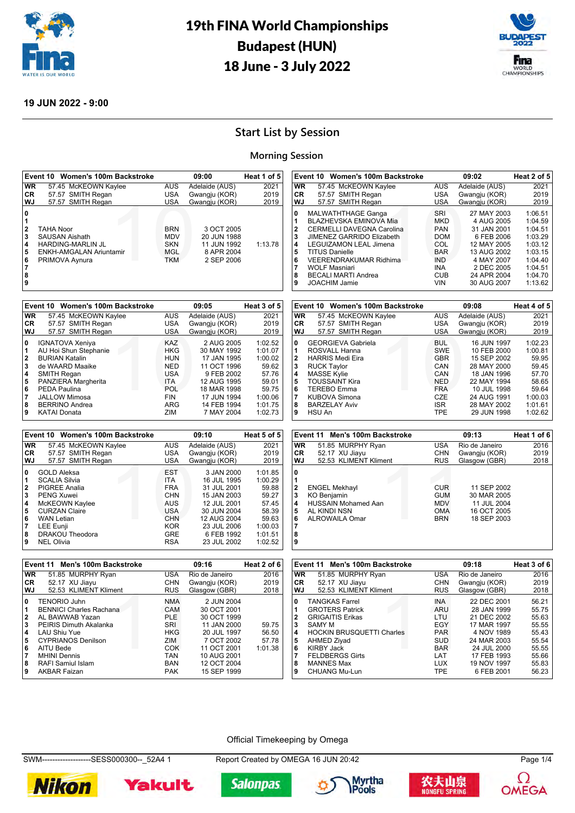



#### **19 JUN 2022 - 9:00**

# **Start List by Session**

#### **Morning Session**

|                | Event 10 Women's 100m Backstroke             |                          | 09:00                      | Heat 1 of 5    | 09:02<br>Event 10 Women's 100m Backstroke                                         | Heat 2 of 5 |
|----------------|----------------------------------------------|--------------------------|----------------------------|----------------|-----------------------------------------------------------------------------------|-------------|
| <b>WR</b>      | 57.45 McKEOWN Kaylee                         | <b>AUS</b>               | Adelaide (AUS)             | 2021           | 57.45 McKEOWN Kaylee<br>Adelaide (AUS)<br>WR<br><b>AUS</b>                        | 2021        |
| CR             | 57.57 SMITH Regan                            | <b>USA</b>               | Gwangju (KOR)              | 2019           | <b>CR</b><br><b>USA</b><br>57.57 SMITH Regan<br>Gwangju (KOR)                     | 2019        |
| WJ             | 57.57 SMITH Regan                            | <b>USA</b>               | Gwangju (KOR)              | 2019           | WJ<br>57.57 SMITH Regan<br><b>USA</b><br>Gwangju (KOR)                            | 2019        |
| 0              |                                              |                          |                            |                | 0<br><b>MALWATHTHAGE Ganga</b><br>SRI<br>27 MAY 2003                              | 1:06.51     |
| 1              |                                              |                          |                            |                | 1<br>BLAZHEVSKA EMINOVA Mia<br><b>MKD</b><br>4 AUG 2005                           | 1:04.59     |
| $\mathbf 2$    | <b>TAHA Noor</b>                             | <b>BRN</b>               | 3 OCT 2005                 |                | $\overline{\mathbf{2}}$<br><b>CERMELLI DAVEGNA Carolina</b><br>PAN<br>31 JAN 2001 | 1:04.51     |
| 3              | <b>SAUSAN Aishath</b>                        | <b>MDV</b>               | 20 JUN 1988                |                | 3<br><b>DOM</b><br>6 FEB 2006<br>JIMENEZ GARRIDO Elizabeth                        | 1:03.29     |
| 4              | <b>HARDING-MARLIN JL</b>                     | <b>SKN</b>               | 11 JUN 1992                | 1:13.78        | 4<br>COL<br>LEGUIZAMON LEAL Jimena<br>12 MAY 2005                                 | 1:03.12     |
| 5              | ENKH-AMGALAN Ariuntamir                      | MGL                      | 8 APR 2004                 |                | 5<br><b>TITUS Danielle</b><br><b>BAR</b><br>13 AUG 2002                           | 1:03.15     |
| 6              | PRIMOVA Aynura                               | <b>TKM</b>               | 2 SEP 2006                 |                | 6<br>VEERENDRAKUMAR Ridhima<br><b>IND</b><br>4 MAY 2007                           | 1:04.40     |
| $\overline{7}$ |                                              |                          |                            |                | 7<br><b>INA</b><br><b>WOLF Masniari</b><br>2 DEC 2005                             | 1:04.51     |
| 8              |                                              |                          |                            |                | 8<br><b>CUB</b><br><b>BECALI MARTI Andrea</b><br>24 APR 2004                      | 1:04.70     |
| 9              |                                              |                          |                            |                | 9<br><b>VIN</b><br><b>JOACHIM Jamie</b><br>30 AUG 2007                            | 1:13.62     |
|                |                                              |                          |                            |                |                                                                                   |             |
|                | Event 10 Women's 100m Backstroke             |                          | 09:05                      | Heat 3 of 5    | Event 10 Women's 100m Backstroke<br>09:08                                         | Heat 4 of 5 |
| <b>WR</b>      | 57.45 McKEOWN Kaylee                         | <b>AUS</b>               | Adelaide (AUS)             | 2021           | <b>AUS</b><br><b>WR</b><br>57.45 McKEOWN Kaylee<br>Adelaide (AUS)                 | 2021        |
| CR             | 57.57 SMITH Regan                            | <b>USA</b>               | Gwangju (KOR)              | 2019           | CR<br>57.57 SMITH Regan<br><b>USA</b><br>Gwangju (KOR)                            | 2019        |
| WJ             | 57.57 SMITH Regan                            | <b>USA</b>               | Gwangju (KOR)              | 2019           | WJ<br><b>USA</b><br>57.57 SMITH Regan<br>Gwangju (KOR)                            | 2019        |
| 0              | <b>IGNATOVA Xeniya</b>                       | KAZ                      | 2 AUG 2005                 | 1:02.52        | 0<br><b>GEORGIEVA Gabriela</b><br><b>BUL</b><br>16 JUN 1997                       | 1:02.23     |
| 1              | AU Hoi Shun Stephanie                        | <b>HKG</b>               | 30 MAY 1992                | 1:01.07        | 1<br><b>ROSVALL Hanna</b><br><b>SWE</b><br>10 FEB 2000                            | 1:00.81     |
| $\bf 2$        | <b>BURIAN Katalin</b>                        | <b>HUN</b>               | 17 JAN 1995                | 1:00.02        | $\overline{\mathbf{2}}$<br><b>HARRIS Medi Eira</b><br><b>GBR</b><br>15 SEP 2002   | 59.95       |
| 3              | de WAARD Maaike                              | <b>NED</b>               | 11 OCT 1996                | 59.62          | 3<br><b>RUCK Taylor</b><br>CAN<br>28 MAY 2000                                     | 59.45       |
| 4              | SMITH Regan                                  | <b>USA</b>               | 9 FEB 2002                 | 57.76          | 4<br><b>MASSE Kylie</b><br>CAN<br>18 JAN 1996                                     | 57.70       |
| 5              | PANZIERA Margherita                          | <b>ITA</b>               | 12 AUG 1995                | 59.01          | 5<br><b>TOUSSAINT Kira</b><br><b>NED</b><br>22 MAY 1994                           | 58.65       |
| 6              | <b>PEDA Paulina</b>                          | <b>POL</b>               | 18 MAR 1998                | 59.75          | 6<br><b>FRA</b><br><b>TEREBO Emma</b><br>10 JUL 1998                              | 59.64       |
| $\overline{7}$ | <b>JALLOW Mimosa</b>                         | <b>FIN</b>               | 17 JUN 1994                | 1:00.06        | $\overline{7}$<br>CZE<br><b>KUBOVA Simona</b><br>24 AUG 1991                      | 1:00.03     |
| 8              | <b>BERRINO Andrea</b>                        | <b>ARG</b>               | 14 FEB 1994                | 1:01.75        | 8<br><b>ISR</b><br><b>BARZELAY Aviv</b><br>28 MAY 2002                            | 1:01.61     |
| 9              | <b>KATAI Donata</b>                          | ZIM                      | 7 MAY 2004                 | 1:02.73        | 9<br><b>TPE</b><br>HSU An<br>29 JUN 1998                                          | 1:02.62     |
|                | Event 10 Women's 100m Backstroke             |                          | 09:10                      | Heat 5 of 5    | Event 11 Men's 100m Backstroke<br>09:13                                           | Heat 1 of 6 |
| <b>WR</b>      | 57.45 McKEOWN Kaylee                         | <b>AUS</b>               | Adelaide (AUS)             | 2021           | <b>WR</b><br>51.85 MURPHY Ryan<br><b>USA</b><br>Rio de Janeiro                    | 2016        |
| CR             | 57.57 SMITH Regan                            | <b>USA</b>               | Gwangju (KOR)              | 2019           | CR<br>52.17 XU Jiayu<br><b>CHN</b><br>Gwangju (KOR)                               | 2019        |
| WJ             | 57.57 SMITH Regan                            | <b>USA</b>               | Gwangju (KOR)              | 2019           | WJ<br>52.53 KLIMENT Kliment<br><b>RUS</b><br>Glasgow (GBR)                        | 2018        |
|                |                                              |                          |                            |                | 0                                                                                 |             |
| 0<br>1         | <b>GOLD Aleksa</b>                           | <b>EST</b>               | 3 JAN 2000                 | 1:01.85        | 1                                                                                 |             |
| $\bf{2}$       | <b>SCALIA Silvia</b><br><b>PIGREE Analia</b> | <b>ITA</b><br><b>FRA</b> | 16 JUL 1995                | 1:00.29        | $\mathbf 2$<br><b>ENGEL Mekhayl</b><br><b>CUR</b>                                 |             |
| 3              | <b>PENG Xuwei</b>                            | <b>CHN</b>               | 31 JUL 2001<br>15 JAN 2003 | 59.88<br>59.27 | 11 SEP 2002<br>$\mathbf 3$<br><b>GUM</b><br><b>KO Benjamin</b><br>30 MAR 2005     |             |
| 4              | McKEOWN Kaylee                               | <b>AUS</b>               | 12 JUL 2001                | 57.45          | <b>HUSSAIN Mohamed Aan</b><br>4<br><b>MDV</b><br>11 JUL 2004                      |             |
| 5              | <b>CURZAN Claire</b>                         | <b>USA</b>               | 30 JUN 2004                | 58.39          | 5<br>AL KINDI NSN<br><b>OMA</b><br>16 OCT 2005                                    |             |
| 6              | <b>WAN Letian</b>                            | <b>CHN</b>               | 12 AUG 2004                | 59.63          | 6<br><b>BRN</b><br>ALROWAILA Omar<br>18 SEP 2003                                  |             |
| $\overline{7}$ | <b>LEE Eunji</b>                             | <b>KOR</b>               | 23 JUL 2006                | 1:00.03        | 7                                                                                 |             |
| 8              | DRAKOU Theodora                              | <b>GRE</b>               | 6 FEB 1992                 | 1:01.51        | 8                                                                                 |             |
| 9              | <b>NEL Olivia</b>                            | <b>RSA</b>               | 23 JUL 2002                | 1:02.52        | 9                                                                                 |             |
|                |                                              |                          |                            |                |                                                                                   |             |
|                | Event 11 Men's 100m Backstroke               |                          | 09:16                      | Heat 2 of 6    | Event 11 Men's 100m Backstroke<br>09:18                                           | Heat 3 of 6 |
| <b>WR</b>      | 51.85 MURPHY Ryan                            | <b>USA</b>               | Rio de Janeiro             | 2016           | <b>WR</b><br>51.85 MURPHY Ryan<br><b>USA</b><br>Rio de Janeiro                    | 2016        |
| СR             | 52.17 XU Jiayu                               | <b>CHN</b>               | Gwangju (KOR)              | 2019           | CR<br><b>CHN</b><br>52.17 XU Jiayu<br>Gwangju (KOR)                               | 2019        |
| WJ             | 52.53 KLIMENT Kliment                        | <b>RUS</b>               | Glasgow (GBR)              | 2018           | WJ<br>52.53 KLIMENT Kliment<br><b>RUS</b><br>Glasgow (GBR)                        | 2018        |
| 0              | <b>TENORIO Juhn</b>                          | <b>NMA</b>               | 2 JUN 2004                 |                | 22 DEC 2001<br>0<br><b>TANGKAS Farrel</b><br><b>INA</b>                           | 56.21       |

|              | Event 11 Men's 100m Backstroke   |            | 09:18          | Heat 3 of 6 |
|--------------|----------------------------------|------------|----------------|-------------|
| <b>WR</b>    | 51.85 MURPHY Ryan                | USA        | Rio de Janeiro | 2016        |
| CR.          | 52.17 XU Jiayu                   | <b>CHN</b> | Gwangju (KOR)  | 2019        |
| WJ           | 52.53 KLIMENT Kliment            | <b>RUS</b> | Glasgow (GBR)  | 2018        |
| 0            | <b>TANGKAS Farrel</b>            | <b>INA</b> | 22 DEC 2001    | 56.21       |
| 1            | <b>GROTERS Patrick</b>           | ARU        | 28 JAN 1999    | 55.75       |
| $\mathbf{2}$ | <b>GRIGAITIS Erikas</b>          | LTU        | 21 DEC 2002    | 55.63       |
| 3            | SAMY M                           | <b>EGY</b> | 17 MAR 1997    | 55.55       |
| 4            | <b>HOCKIN BRUSQUETTI Charles</b> | <b>PAR</b> | 4 NOV 1989     | 55.43       |
| 5            | AHMED Ziyad                      | <b>SUD</b> | 24 MAR 2003    | 55.54       |
| 6            | KIRBY Jack                       | <b>BAR</b> | 24 JUL 2000    | 55.55       |
| 7            | <b>FELDBERGS Girts</b>           | LAT        | 17 FEB 1993    | 55.66       |
| 8            | <b>MANNES Max</b>                | <b>LUX</b> | 19 NOV 1997    | 55.83       |
| 9            | <b>CHUANG Mu-Lun</b>             | <b>TPE</b> | 6 FEB 2001     | 56.23       |

#### Official Timekeeping by Omega

SWM-------------------SESS000300--\_52A4 1 Report Created by OMEGA 16 JUN 20:42 Page 1/4











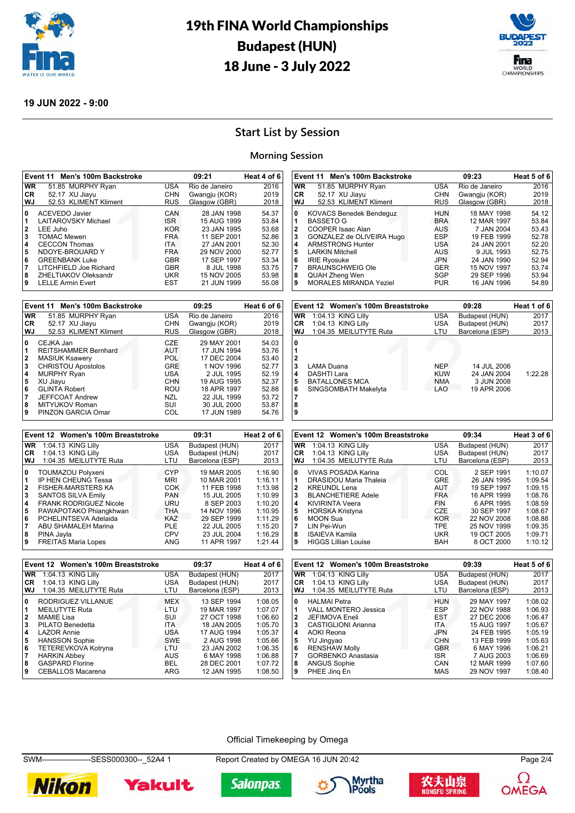



#### **19 JUN 2022 - 9:00**

# **Start List by Session**

#### **Morning Session**

|                         | Event 11 Men's 100m Backstroke                          |                          | 09:21                      | Heat 4 of 6        |                         | Event 11 Men's 100m Backstroke                   |                          | 09:23                      | Heat 5 of 6        |
|-------------------------|---------------------------------------------------------|--------------------------|----------------------------|--------------------|-------------------------|--------------------------------------------------|--------------------------|----------------------------|--------------------|
| WR                      | 51.85 MURPHY Ryan                                       | <b>USA</b>               | Rio de Janeiro             | 2016               | WR                      | 51.85 MURPHY Ryan                                | <b>USA</b>               | Rio de Janeiro             | 2016               |
| CR                      | 52.17 XU Jiayu                                          | <b>CHN</b>               | Gwangju (KOR)              | 2019               | CR                      | 52.17 XU Jiayu                                   | <b>CHN</b>               | Gwangju (KOR)              | 2019               |
| WJ                      | 52.53 KLIMENT Kliment                                   | <b>RUS</b>               | Glasgow (GBR)              | 2018               | WJ                      | 52.53 KLIMENT Kliment                            | <b>RUS</b>               | Glasgow (GBR)              | 2018               |
| 0                       | <b>ACEVEDO Javier</b>                                   | CAN                      | 28 JAN 1998                | 54.37              | 0                       | <b>KOVACS Benedek Bendeguz</b>                   | <b>HUN</b>               | 18 MAY 1998                | 54.12              |
| 1                       | LAITAROVSKY Michael                                     | <b>ISR</b>               | 15 AUG 1999                | 53.84              | 1                       | <b>BASSETO G</b>                                 | <b>BRA</b>               | 12 MAR 1997                | 53.84              |
| $\overline{\mathbf{2}}$ | LEE Juho                                                | <b>KOR</b>               | 23 JAN 1995                | 53.68              | $\bf 2$                 | COOPER Isaac Alan                                | <b>AUS</b>               | 7 JAN 2004                 | 53.43              |
| 3                       | <b>TOMAC Mewen</b>                                      | <b>FRA</b>               | 11 SEP 2001                | 52.86              | 3                       | GONZALEZ de OLIVEIRA Hugo                        | <b>ESP</b>               | 19 FEB 1999                | 52.78              |
| 4                       | <b>CECCON Thomas</b>                                    | ITA.                     | 27 JAN 2001                | 52.30              | 4                       | <b>ARMSTRONG Hunter</b>                          | <b>USA</b>               | 24 JAN 2001                | 52.20              |
| 5                       | NDOYE-BROUARD Y                                         | <b>FRA</b>               | 29 NOV 2000                | 52.77              | 5                       | <b>LARKIN Mitchell</b>                           | AUS                      | 9 JUL 1993                 | 52.75              |
| $\bf{6}$                | <b>GREENBANK Luke</b>                                   | <b>GBR</b>               | 17 SEP 1997                | 53.34              | 6                       | <b>IRIE Ryosuke</b>                              | <b>JPN</b>               | 24 JAN 1990                | 52.94              |
| 7                       | LITCHFIELD Joe Richard                                  | <b>GBR</b>               | 8 JUL 1998                 | 53.75              | 7                       | <b>BRAUNSCHWEIG Ole</b>                          | <b>GER</b>               | 15 NOV 1997                | 53.74              |
| 8<br>9                  | ZHELTIAKOV Oleksandr                                    | <b>UKR</b><br><b>EST</b> | 15 NOV 2005<br>21 JUN 1999 | 53.98              | 8<br>9                  | <b>QUAH Zheng Wen</b>                            | <b>SGP</b><br><b>PUR</b> | 29 SEP 1996                | 53.94              |
|                         | <b>LELLE Armin Evert</b>                                |                          |                            | 55.08              |                         | <b>MORALES MIRANDA Yeziel</b>                    |                          | 16 JAN 1996                | 54.89              |
|                         | Event 11 Men's 100m Backstroke                          |                          | 09:25                      | Heat 6 of 6        |                         | Event 12 Women's 100m Breaststroke               |                          | 09:28                      | Heat 1 of 6        |
| <b>WR</b>               | 51.85 MURPHY Ryan                                       | <b>USA</b>               | Rio de Janeiro             | 2016               | <b>WR</b>               | 1:04.13 KING Lilly                               | <b>USA</b>               | Budapest (HUN)             | 2017               |
| CR                      | 52.17 XU Jiayu                                          | CHN                      | Gwangju (KOR)              | 2019               | CR                      | 1:04.13 KING Lilly                               | <b>USA</b>               | Budapest (HUN)             | 2017               |
| WJ                      | 52.53 KLIMENT Kliment                                   | <b>RUS</b>               | Glasgow (GBR)              | 2018               | WJ                      | 1:04.35 MEILUTYTE Ruta                           | LTU                      | Barcelona (ESP)            | 2013               |
| 0                       | CEJKA Jan                                               | <b>CZE</b>               | 29 MAY 2001                | 54.03              | $\mathbf 0$             |                                                  |                          |                            |                    |
| 1                       | REITSHAMMER Bernhard                                    | <b>AUT</b>               | 17 JUN 1994                | 53.76              | 1                       |                                                  |                          |                            |                    |
| $\overline{\mathbf{2}}$ | <b>MASIUK Ksawery</b>                                   | <b>POL</b>               | 17 DEC 2004                | 53.40              | $\overline{\mathbf{2}}$ |                                                  |                          |                            |                    |
| 3                       | <b>CHRISTOU Apostolos</b>                               | <b>GRE</b>               | 1 NOV 1996                 | 52.77              | 3                       | <b>LAMA Duana</b>                                | <b>NEP</b>               | 14 JUL 2006                |                    |
| 4                       | <b>MURPHY Ryan</b>                                      | <b>USA</b>               | 2 JUL 1995                 | 52.19              | 4                       | DASHTI Lara                                      | <b>KUW</b>               | 24 JAN 2004                | 1:22.28            |
| 5                       | XU Jiayu                                                | <b>CHN</b>               | 19 AUG 1995                | 52.37              | 5                       | <b>BATALLONES MCA</b>                            | <b>NMA</b>               | 3 JUN 2008                 |                    |
| 6                       | <b>GLINTA Robert</b>                                    | <b>ROU</b>               | 18 APR 1997                | 52.88              | 6                       | SINGSOMBATH Makelyta                             | <b>LAO</b>               | 19 APR 2006                |                    |
| 7                       | <b>JEFFCOAT Andrew</b>                                  | <b>NZL</b>               | 22 JUL 1999                | 53.72              | 7                       |                                                  |                          |                            |                    |
| 8                       | MITYUKOV Roman                                          | SUI                      | 30 JUL 2000                | 53.87              | 8                       |                                                  |                          |                            |                    |
| 9                       | PINZON GARCIA Omar                                      | COL                      | 17 JUN 1989                | 54.76              | 9                       |                                                  |                          |                            |                    |
|                         |                                                         |                          |                            |                    |                         |                                                  |                          |                            |                    |
|                         |                                                         |                          |                            |                    |                         |                                                  |                          |                            |                    |
|                         | Event 12 Women's 100m Breaststroke                      |                          | 09:31                      | Heat 2 of 6        |                         | Event 12 Women's 100m Breaststroke               |                          | 09:34                      | Heat 3 of 6        |
| <b>WR</b>               | 1:04.13 KING Lilly                                      | <b>USA</b>               | Budapest (HUN)             | 2017               | <b>WR</b>               | 1:04.13 KING Lilly                               | <b>USA</b>               | Budapest (HUN)             | 2017               |
| CR                      | 1:04.13 KING Lilly                                      | <b>USA</b>               | Budapest (HUN)             | 2017               | CR                      | 1:04.13 KING Lilly                               | <b>USA</b>               | Budapest (HUN)             | 2017               |
| WJ                      | 1:04.35 MEILUTYTE Ruta                                  | LTU                      | Barcelona (ESP)            | 2013               | WJ                      | 1:04.35 MEILUTYTE Ruta                           | LTU                      | Barcelona (ESP)            | 2013               |
|                         |                                                         |                          |                            |                    |                         |                                                  |                          |                            |                    |
| 0                       | TOUMAZOU Polyxeni                                       | <b>CYP</b>               | 19 MAR 2005                | 1:16.90            | $\mathbf 0$             | VIVAS POSADA Karina                              | COL                      | 2 SEP 1991                 | 1:10.07            |
| 1                       | IP HEN CHEUNG Tessa                                     | MRI                      | 10 MAR 2001                | 1:16.11            | 1                       | DRASIDOU Maria Thaleia                           | <b>GRE</b>               | 26 JAN 1995                | 1:09.54            |
| 2                       | <b>FISHER-MARSTERS KA</b>                               | <b>COK</b>               | 11 FEB 1998                | 1:13.98            | 2                       | <b>KREUNDL Lena</b>                              | <b>AUT</b><br><b>FRA</b> | 19 SEP 1997                | 1:09.15            |
| 3<br>4                  | <b>SANTOS SILVA Emily</b>                               | <b>PAN</b><br>URU        | 15 JUL 2005                | 1:10.99<br>1:10.20 | 3<br>4                  | <b>BLANCHETIERE Adele</b>                        | FIN                      | 16 APR 1999                | 1:08.76<br>1:08.59 |
| 5                       | <b>FRANK RODRIGUEZ Nicole</b><br>PAWAPOTAKO Phiangkhwan | <b>THA</b>               | 8 SEP 2003<br>14 NOV 1996  | 1:10.95            | 5                       | <b>KIVIRINTA Veera</b><br><b>HORSKA Kristyna</b> | <b>CZE</b>               | 6 APR 1995<br>30 SEP 1997  | 1:08.67            |
| 6                       | PCHELINTSEVA Adelaida                                   | <b>KAZ</b>               | 29 SEP 1999                | 1:11.29            | 6                       | <b>MOON Sua</b>                                  | <b>KOR</b>               | 22 NOV 2008                | 1:08.88            |
| 7                       | ABU SHAMALEH Marina                                     | PLE                      | 22 JUL 2005                | 1:15.20            | 7                       | LIN Pei-Wun                                      | TPE                      | 25 NOV 1999                | 1:09.35            |
| 8                       | PINA Jayla                                              | <b>CPV</b>               | 23 JUL 2004                | 1:16.29            | 8                       | <b>ISAIEVA Kamila</b>                            | <b>UKR</b>               | 19 OCT 2005                | 1:09.71            |
| 9                       | <b>FREITAS Maria Lopes</b>                              | <b>ANG</b>               | 11 APR 1997                | 1:21.44            | 9                       | <b>HIGGS Lillian Louise</b>                      | <b>BAH</b>               | 8 OCT 2000                 | 1:10.12            |
|                         |                                                         |                          |                            |                    |                         |                                                  |                          |                            |                    |
|                         | Event 12 Women's 100m Breaststroke                      |                          | 09:37                      | Heat 4 of 6        |                         | Event 12 Women's 100m Breaststroke               |                          | 09:39                      | Heat 5 of 6        |
| WR.                     | 1:04.13 KING Lilly                                      | <b>USA</b>               | Budapest (HUN)             | 2017               |                         | WR 1:04.13 KING Lilly                            | <b>USA</b>               | Budapest (HUN)             | 2017               |
| CR.                     | 1:04.13 KING Lilly                                      | <b>USA</b>               | Budapest (HUN)             | 2017               | CR.                     | 1:04.13 KING Lilly                               | <b>USA</b>               | Budapest (HUN)             | 2017               |
| WJ                      | 1:04.35 MEILUTYTE Ruta                                  | LTU                      | Barcelona (ESP)            | 2013               | WJ                      | 1:04.35 MEILUTYTE Ruta                           | LTU                      | Barcelona (ESP)            | 2013               |
| 0                       | RODRIGUEZ VILLANUE                                      | <b>MEX</b>               | 13 SEP 1994                | 1:08.05            | 0                       | <b>HALMAI</b> Petra                              | <b>HUN</b>               | 29 MAY 1997                | 1:08.02            |
| 1                       | <b>MEILUTYTE Ruta</b>                                   | LTU                      | 19 MAR 1997                | 1:07.07            | 1                       | VALL MONTERO Jessica                             | <b>ESP</b>               | 22 NOV 1988                | 1:06.93            |
| 2                       | <b>MAMIE Lisa</b>                                       | SUI                      | 27 OCT 1998                | 1:06.60            | 2                       | <b>JEFIMOVA Eneli</b>                            | <b>EST</b>               | 27 DEC 2006                | 1:06.47            |
| 3                       | PILATO Benedetta                                        | ITA                      | 18 JAN 2005                | 1:05.70            | 3                       | CASTIGLIONI Arianna                              | ITA                      | 15 AUG 1997                | 1:05.67            |
| 4                       | <b>LAZOR Annie</b>                                      | <b>USA</b>               | 17 AUG 1994                | 1:05.37            | 4                       | <b>AOKI</b> Reona                                | <b>JPN</b>               | 24 FEB 1995                | 1:05.19            |
| 5                       | <b>HANSSON Sophie</b>                                   | <b>SWE</b>               | 2 AUG 1998                 | 1:05.66            | 5                       | YU Jingyao                                       | <b>CHN</b>               | 13 FEB 1999                | 1:05.63            |
| 6                       | TETEREVKOVA Kotryna                                     | LTU                      | 23 JAN 2002                | 1:06.35            | 6                       | <b>RENSHAW Molly</b>                             | <b>GBR</b>               | 6 MAY 1996                 | 1:06.21            |
| $\overline{7}$          | <b>HARKIN Abbey</b>                                     | <b>AUS</b>               | 6 MAY 1998                 | 1:06.88            | 7                       | GORBENKO Anastasia                               | ISR                      | 7 AUG 2003                 | 1:06.69            |
| 8<br>9                  | <b>GASPARD Florine</b><br>CEBALLOS Macarena             | BEL<br>ARG               | 28 DEC 2001<br>12 JAN 1995 | 1:07.72<br>1:08.50 | 8<br>9                  | <b>ANGUS Sophie</b><br>PHEE Jing En              | CAN<br>MAS               | 12 MAR 1999<br>29 NOV 1997 | 1:07.60<br>1:08.40 |

#### Official Timekeeping by Omega

SWM-------------------SESS000300--\_52A4 1 Report Created by OMEGA 16 JUN 20:42 Page 2/4



**Yakult Salonpas** 







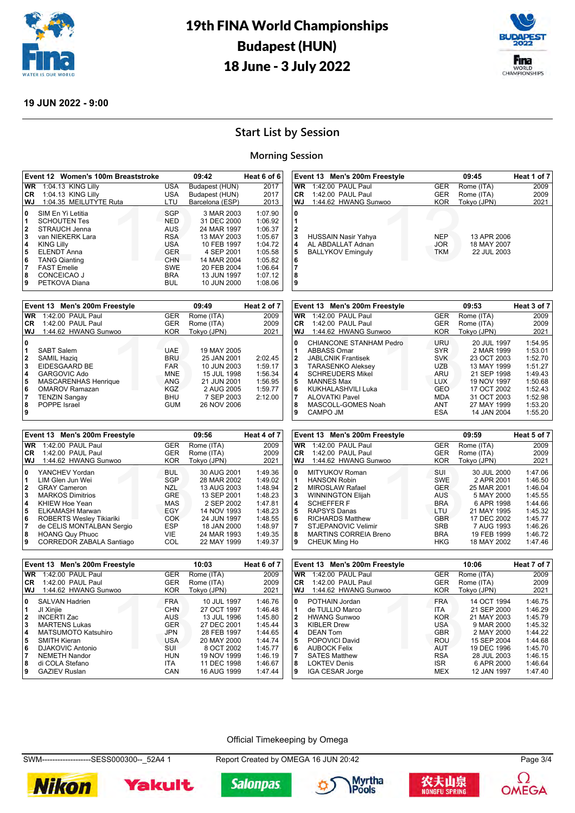



#### **19 JUN 2022 - 9:00**

**POPPE** Israel

**7**<br>8<br>9

# **Start List by Session**

#### **Morning Session**

|           | Event 12 Women's 100m Breaststroke |            | 09:42           | Heat 6 of $6 $ |
|-----------|------------------------------------|------------|-----------------|----------------|
| <b>WR</b> | 1:04.13 KING Lilly                 | <b>USA</b> | Budapest (HUN)  | 2017           |
| CR        | 1:04.13 KING Lilly                 | <b>USA</b> | Budapest (HUN)  | 2017           |
| WJ        | 1:04.35 MEILUTYTE Ruta             | LTU        | Barcelona (ESP) | 2013           |
| 0         | SIM En Yi Letitia                  | <b>SGP</b> | 3 MAR 2003      | 1:07.90        |
| 1         | <b>SCHOUTEN Tes</b>                | <b>NED</b> | 31 DEC 2000     | 1:06.92        |
| 2         | STRAUCH Jenna                      | <b>AUS</b> | 24 MAR 1997     | 1:06.37        |
| 3         | van NIEKERK Lara                   | <b>RSA</b> | 13 MAY 2003     | 1:05.67        |
| 4         | <b>KING Lilly</b>                  | <b>USA</b> | 10 FEB 1997     | 1:04.72        |
| 5         | <b>ELENDT Anna</b>                 | <b>GER</b> | 4 SEP 2001      | 1:05.58        |
| 6         | <b>TANG Qianting</b>               | <b>CHN</b> | 14 MAR 2004     | 1:05.82        |
| 7         | <b>FAST Emelie</b>                 | <b>SWE</b> | 20 FEB 2004     | 1:06.64        |
| 8         | CONCEICAO J                        | <b>BRA</b> | 13 JUN 1997     | 1:07.12        |
| 9         | PETKOVA Diana                      | <b>BUL</b> | 10 JUN 2000     | 1:08.06        |
|           |                                    |            |                 |                |
|           | Event 13 Men's 200m Freestyle      |            | 09:49           | Heat 2 of 7    |
| <b>WR</b> | 1:42.00 PAUL Paul                  | <b>GER</b> | Rome (ITA)      | 2009           |
| <b>CR</b> | 1:42.00 PAUL Paul                  | <b>GER</b> | Rome (ITA)      | 2009           |
| WJ        | 1:44.62 HWANG Sunwoo               | <b>KOR</b> | Tokyo (JPN)     | 2021           |
| 0         |                                    |            |                 |                |
| 1         | <b>SABT Salem</b>                  | <b>UAE</b> | 19 MAY 2005     |                |
| 2         | <b>SAMIL Haziq</b>                 | <b>BRU</b> | 25 JAN 2001     | 2:02.45        |
| 3         | EIDESGAARD BE                      | <b>FAR</b> | 10 JUN 2003     | 1:59.17        |
| 4         | <b>GARGOVIC Ado</b>                | <b>MNE</b> | 15 JUL 1998     | 1:56.34        |
| 5         | MASCARENHAS Henrique               | <b>ANG</b> | 21 JUN 2001     | 1:56.95        |
| 6         | <b>OMAROV Ramazan</b>              | KGZ        | 2 AUG 2005      | 1:59.77        |
| 7         | <b>TENZIN Sangay</b>               | <b>BHU</b> | 7 SEP 2003      | 2:12.00        |
| 8         | POPPE Israel                       | <b>GUM</b> | 26 NOV 2006     |                |

TENZIN Sangay **8** TENZIN Sangay **BHU** 7 SEP 2003<br>
POPPE Israel **BUCK 26 NOV 2006** 

| Event 13 Men's 200m Freestyle        |                                                                      |                                        | 09:45                                     | Heat 1 of 7 |
|--------------------------------------|----------------------------------------------------------------------|----------------------------------------|-------------------------------------------|-------------|
| <b>WR</b>                            | 1:42.00 PAUL Paul                                                    | <b>GER</b>                             | Rome (ITA)                                | 2009        |
| <b>CR</b>                            | 1:42.00 PAUL Paul                                                    | <b>GER</b>                             | Rome (ITA)                                | 2009        |
| WJ                                   | 1:44.62 HWANG Sunwoo                                                 | <b>KOR</b>                             | Tokyo (JPN)                               | 2021        |
| 0<br>1<br>2<br>3<br>4<br>5<br>6<br>8 | HUSSAIN Nasir Yahya<br>AL ABDALLAT Adnan<br><b>BALLYKOV Eminguly</b> | <b>NEP</b><br><b>JOR</b><br><b>TKM</b> | 13 APR 2006<br>18 MAY 2007<br>22 JUL 2003 |             |

|              | Event 13 Men's 200m Freestyle |            | 09:53       | Heat 3 of 7 |
|--------------|-------------------------------|------------|-------------|-------------|
| WR           | 1:42.00 PAUL Paul             | <b>GER</b> | Rome (ITA)  | 2009        |
| CR.          | 1:42.00 PAUL Paul             | <b>GER</b> | Rome (ITA)  | 2009        |
| WJ           | 1:44.62 HWANG Sunwoo          | <b>KOR</b> | Tokyo (JPN) | 2021        |
| 0            | CHIANCONE STANHAM Pedro       | URU        | 20 JUL 1997 | 1:54.95     |
| 1            | ABBASS Omar                   | <b>SYR</b> | 2 MAR 1999  | 1:53.01     |
| $\mathbf{2}$ | <b>JABLCNIK Frantisek</b>     | <b>SVK</b> | 23 OCT 2003 | 1:52.70     |
| 3            | <b>TARASENKO Aleksey</b>      | <b>UZB</b> | 13 MAY 1999 | 1:51.27     |
| 4            | <b>SCHREUDERS Mikel</b>       | ARU        | 21 SEP 1998 | 1:49.43     |
| 5            | <b>MANNES Max</b>             | <b>LUX</b> | 19 NOV 1997 | 1:50.68     |
| 6            | KUKHALASHVILI Luka            | GEO        | 17 OCT 2002 | 1:52.43     |
| 7            | <b>ALOVATKI Pavel</b>         | <b>MDA</b> | 31 OCT 2003 | 1:52.98     |
| 8            | MASCOLL-GOMES Noah            | <b>ANT</b> | 27 MAY 1999 | 1:53.20     |
| 9            | CAMPO JM                      | <b>ESA</b> | 14 JAN 2004 | 1:55.20     |

|                         | Event 13 Men's 200m Freestyle |            | Heat 4 of 7 |         |
|-------------------------|-------------------------------|------------|-------------|---------|
| WR                      | 1:42.00 PAUL Paul             | <b>GER</b> | Rome (ITA)  | 2009    |
| <b>CR</b>               | 1:42.00 PAUL Paul             | <b>GER</b> | Rome (ITA)  | 2009    |
| WJ                      | 1:44.62 HWANG Sunwoo          | <b>KOR</b> | Tokyo (JPN) | 2021    |
| 0                       | YANCHEV Yordan                | <b>BUL</b> | 30 AUG 2001 | 1:49.36 |
| l 1                     | LIM Glen Jun Wei              | SGP        | 28 MAR 2002 | 1:49.02 |
| 2                       | <b>GRAY Cameron</b>           | NZL        | 13 AUG 2003 | 1:48.94 |
| 3                       | <b>MARKOS Dimitrios</b>       | <b>GRE</b> | 13 SEP 2001 | 1:48.23 |
| $\overline{\mathbf{4}}$ | KHIEW Hoe Yean                | MAS        | 2 SEP 2002  | 1:47.81 |
| 5                       | ELKAMASH Marwan               | EGY        | 14 NOV 1993 | 1:48.23 |
| 6                       | ROBERTS Wesley Tikiariki      | COK        | 24 JUN 1997 | 1:48.55 |
| 17                      | de CELIS MONTALBAN Sergio     | <b>ESP</b> | 18 JAN 2000 | 1:48.97 |
| 8                       | <b>HOANG Quy Phuoc</b>        | VIE        | 24 MAR 1993 | 1:49.35 |
| 9                       | CORREDOR ZABALA Santiago      | COL        | 22 MAY 1999 | 1:49.37 |

|              | Event 13 Men's 200m Freestyle |            | Heat 5 of 7 |         |
|--------------|-------------------------------|------------|-------------|---------|
| <b>WR</b>    | 1:42.00 PAUL Paul             | <b>GER</b> | Rome (ITA)  | 2009    |
| CR.          | 1:42.00 PAUL Paul             | <b>GER</b> | Rome (ITA)  | 2009    |
| WJ           | 1:44.62 HWANG Sunwoo          | <b>KOR</b> | Tokyo (JPN) | 2021    |
| 0            | MITYUKOV Roman                | SUI        | 30 JUL 2000 | 1:47.06 |
| 1            | <b>HANSON Robin</b>           | <b>SWE</b> | 2 APR 2001  | 1:46.50 |
| $\mathbf{2}$ | <b>MIROSLAW Rafael</b>        | <b>GER</b> | 25 MAR 2001 | 1:46.04 |
| 3            | <b>WINNINGTON Elijah</b>      | <b>AUS</b> | 5 MAY 2000  | 1:45.55 |
| 4            | <b>SCHEFFER F</b>             | <b>BRA</b> | 6 APR 1998  | 1:44.66 |
| 5            | <b>RAPSYS Danas</b>           | LTU        | 21 MAY 1995 | 1:45.32 |
| 6            | <b>RICHARDS Matthew</b>       | <b>GBR</b> | 17 DEC 2002 | 1:45.77 |
| 7            | STJEPANOVIC Velimir           | <b>SRB</b> | 7 AUG 1993  | 1:46.26 |
| 8            | <b>MARTINS CORREIA Breno</b>  | <b>BRA</b> | 19 FEB 1999 | 1:46.72 |
| 9            | CHEUK Ming Ho                 | <b>HKG</b> | 18 MAY 2002 | 1:47.46 |
|              |                               |            |             |         |

|                                                 | Event 13 Men's 200m Freestyle                                                                                                                                                                               |                                                                                                                     | 10:03                                                                                                                              | Heat 6 of 7                                                                                     |
|-------------------------------------------------|-------------------------------------------------------------------------------------------------------------------------------------------------------------------------------------------------------------|---------------------------------------------------------------------------------------------------------------------|------------------------------------------------------------------------------------------------------------------------------------|-------------------------------------------------------------------------------------------------|
| <b>WR</b>                                       | 1:42.00 PAUL Paul                                                                                                                                                                                           | <b>GER</b>                                                                                                          | Rome (ITA)                                                                                                                         | 2009                                                                                            |
| <b>CR</b>                                       | 1:42.00 PAUL Paul                                                                                                                                                                                           | <b>GER</b>                                                                                                          | Rome (ITA)                                                                                                                         | 2009                                                                                            |
| WJ                                              | 1:44.62 HWANG Sunwoo                                                                                                                                                                                        | <b>KOR</b>                                                                                                          | Tokyo (JPN)                                                                                                                        | 2021                                                                                            |
| 0<br>$\mathbf{2}$<br>3<br>4<br>5<br>6<br>7<br>8 | <b>SALVAN Hadrien</b><br>JI Xinjie<br><b>INCERTI Zac</b><br><b>MARTENS Lukas</b><br><b>MATSUMOTO Katsuhiro</b><br><b>SMITH Kieran</b><br><b>DJAKOVIC Antonio</b><br><b>NEMETH Nandor</b><br>di COLA Stefano | <b>FRA</b><br><b>CHN</b><br><b>AUS</b><br><b>GER</b><br><b>JPN</b><br><b>USA</b><br>SUI<br><b>HUN</b><br><b>ITA</b> | 10 JUL 1997<br>27 OCT 1997<br>13 JUL 1996<br>27 DEC 2001<br>28 FEB 1997<br>20 MAY 2000<br>8 OCT 2002<br>19 NOV 1999<br>11 DEC 1998 | 1:46.76<br>1:46.48<br>1:45.80<br>1:45.44<br>1:44.65<br>1:44.74<br>1:45.77<br>1:46.19<br>1:46.67 |
| 9                                               | <b>GAZIEV Ruslan</b>                                                                                                                                                                                        | CAN                                                                                                                 | 16 AUG 1999                                                                                                                        | 1:47.44                                                                                         |

|                                 | Event 13 Men's 200m Freestyle                                                                                                              |                                                                                         | 10:06                                                                                               | Heat 7 of 7                                                               |
|---------------------------------|--------------------------------------------------------------------------------------------------------------------------------------------|-----------------------------------------------------------------------------------------|-----------------------------------------------------------------------------------------------------|---------------------------------------------------------------------------|
| WR                              | 1:42.00 PAUL Paul                                                                                                                          | <b>GER</b>                                                                              | Rome (ITA)                                                                                          | 2009                                                                      |
| <b>CR</b>                       | 1:42.00 PAUL Paul                                                                                                                          | <b>GER</b>                                                                              | Rome (ITA)                                                                                          | 2009                                                                      |
| WJ                              | 1:44.62 HWANG Sunwoo                                                                                                                       | <b>KOR</b>                                                                              | Tokyo (JPN)                                                                                         | 2021                                                                      |
| 0<br>1<br>2<br>3<br>4<br>5<br>6 | POTHAIN Jordan<br>de TULLIO Marco<br><b>HWANG Sunwoo</b><br><b>KIBLER Drew</b><br><b>DEAN Tom</b><br>POPOVICI David<br><b>AUBOCK Felix</b> | <b>FRA</b><br><b>ITA</b><br><b>KOR</b><br>USA<br><b>GBR</b><br><b>ROU</b><br><b>AUT</b> | 14 OCT 1994<br>21 SEP 2000<br>21 MAY 2003<br>9 MAR 2000<br>2 MAY 2000<br>15 SEP 2004<br>19 DEC 1996 | 1:46.75<br>1:46.29<br>1:45.79<br>1:45.32<br>1:44.22<br>1:44.68<br>1:45.70 |
| 8<br>9                          | <b>SATES Matthew</b><br><b>LOKTEV Denis</b><br><b>IGA CESAR Jorge</b>                                                                      | <b>RSA</b><br><b>ISR</b><br>MEX                                                         | 28 JUL 2003<br>6 APR 2000<br>12 JAN 1997                                                            | 1:46.15<br>1:46.64<br>1:47.40                                             |

#### Official Timekeeping by Omega

SWM---------------------SESS000300--\_52A4 1 Report Created by OMEGA 16 JUN 20:42 Page 3/4









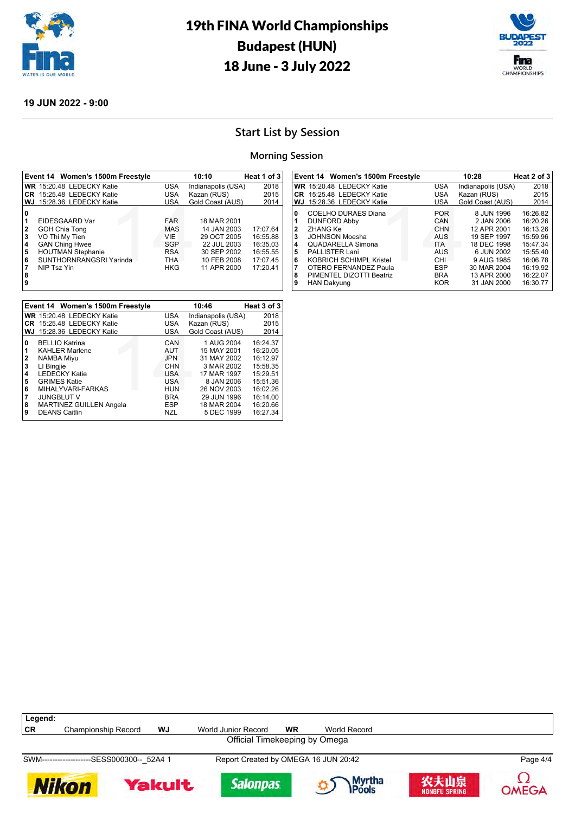



#### **19 JUN 2022 - 9:00**

# **Start List by Session**

### **Morning Session**

|                                                    | Event 14 Women's 1500m Freestyle                                                                                                                        |                                                                                         | 10:10                                                                                                 | Heat 1 of 3                                                          |
|----------------------------------------------------|---------------------------------------------------------------------------------------------------------------------------------------------------------|-----------------------------------------------------------------------------------------|-------------------------------------------------------------------------------------------------------|----------------------------------------------------------------------|
|                                                    | WR 15:20.48 LEDECKY Katie                                                                                                                               | <b>USA</b>                                                                              | Indianapolis (USA)                                                                                    | 2018                                                                 |
|                                                    | CR 15:25.48 LEDECKY Katie                                                                                                                               | <b>USA</b>                                                                              | Kazan (RUS)                                                                                           | 2015                                                                 |
| WJ.                                                | 15:28.36 LEDECKY Katie                                                                                                                                  | <b>USA</b>                                                                              | Gold Coast (AUS)                                                                                      | 2014                                                                 |
| 10<br>1<br>2<br>3<br>4<br>5<br>6<br>17<br>8<br>و ا | EIDESGAARD Var<br><b>GOH Chia Tong</b><br>VO Thi My Tien<br><b>GAN Ching Hwee</b><br><b>HOUTMAN Stephanie</b><br>SUNTHORNRANGSRI Yarinda<br>NIP Tsz Yin | <b>FAR</b><br><b>MAS</b><br><b>VIE</b><br>SGP<br><b>RSA</b><br><b>THA</b><br><b>HKG</b> | 18 MAR 2001<br>14 JAN 2003<br>29 OCT 2005<br>22 JUL 2003<br>30 SEP 2002<br>10 FEB 2008<br>11 APR 2000 | 17:07.64<br>16:55.88<br>16:35.03<br>16:55.55<br>17:07.45<br>17:20.41 |

|     | Event 14 Women's 1500m Freestyle |            | 10:28              | Heat 2 of 3 |
|-----|----------------------------------|------------|--------------------|-------------|
|     | WR 15:20.48 LEDECKY Katie        | <b>USA</b> | Indianapolis (USA) | 2018        |
|     | <b>CR</b> 15:25.48 LEDECKY Katie | USA        | Kazan (RUS)        | 2015        |
| WJ. | 15:28.36 LEDECKY Katie           | USA        | Gold Coast (AUS)   | 2014        |
| 0   | COELHO DURAES Diana              | <b>POR</b> | 8 JUN 1996         | 16:26.82    |
|     | <b>DUNFORD Abby</b>              | CAN        | 2 JAN 2006         | 16:20.26    |
| 2   | <b>ZHANG Ke</b>                  | <b>CHN</b> | 12 APR 2001        | 16:13.26    |
| 3   | JOHNSON Moesha                   | <b>AUS</b> | 19 SEP 1997        | 15:59.96    |
| 4   | <b>QUADARELLA Simona</b>         | <b>ITA</b> | 18 DEC 1998        | 15:47.34    |
| 5   | <b>PALLISTER Lani</b>            | <b>AUS</b> | 6 JUN 2002         | 15:55.40    |
| 6   | KOBRICH SCHIMPL Kristel          | CHI        | 9 AUG 1985         | 16:06.78    |
| 7   | OTERO FERNANDEZ Paula            | <b>ESP</b> | 30 MAR 2004        | 16:19.92    |
| 8   | PIMENTEL DIZOTTI Beatriz         | <b>BRA</b> | 13 APR 2000        | 16:22.07    |
| 9   | <b>HAN Dakyung</b>               | <b>KOR</b> | 31 JAN 2000        | 16:30.77    |
|     |                                  |            |                    |             |

|                       | Event 14 Women's 1500m Freestyle                                                                                        |                                                             | 10:46                                                                 | Heat 3 of 3                                              |
|-----------------------|-------------------------------------------------------------------------------------------------------------------------|-------------------------------------------------------------|-----------------------------------------------------------------------|----------------------------------------------------------|
|                       | WR 15:20.48 LEDECKY Katie                                                                                               | <b>USA</b>                                                  | Indianapolis (USA)                                                    | 2018                                                     |
|                       | CR 15:25.48 LEDECKY Katie                                                                                               | <b>USA</b>                                                  | Kazan (RUS)                                                           | 2015                                                     |
| WJ                    | 15:28.36 LEDECKY Katie                                                                                                  | <b>USA</b>                                                  | Gold Coast (AUS)                                                      | 2014                                                     |
| 0<br>1<br>2           | <b>BELLIO Katrina</b><br><b>KAHLER Marlene</b><br><b>NAMBA Miyu</b>                                                     | CAN<br><b>AUT</b><br><b>JPN</b>                             | 1 AUG 2004<br>15 MAY 2001<br>31 MAY 2002                              | 16:24.37<br>16:20.05<br>16:12.97                         |
| 3                     | LI Bingjie                                                                                                              | <b>CHN</b>                                                  | 3 MAR 2002                                                            | 15:58.35                                                 |
| 4                     | <b>LEDECKY Katie</b>                                                                                                    | <b>USA</b>                                                  | 17 MAR 1997                                                           | 15:29.51                                                 |
| 5<br>6<br>7<br>8<br>9 | <b>GRIMES Katie</b><br>MIHALYVARI-FARKAS<br><b>JUNGBLUT V</b><br><b>MARTINEZ GUILLEN Angela</b><br><b>DEANS Caitlin</b> | <b>USA</b><br><b>HUN</b><br><b>BRA</b><br><b>ESP</b><br>N71 | 8 JAN 2006<br>26 NOV 2003<br>29 JUN 1996<br>18 MAR 2004<br>5 DEC 1999 | 15:51.36<br>16:02.26<br>16:14.00<br>16:20.66<br>16:27.34 |

| Legend:                          |                            |           |                            |           |              |  |
|----------------------------------|----------------------------|-----------|----------------------------|-----------|--------------|--|
| ' CR                             | <b>Championship Record</b> | <b>WJ</b> | <b>World Junior Record</b> | <b>WR</b> | World Record |  |
| ∩fficial<br>Timekeening hy Omega |                            |           |                            |           |              |  |

Official Timekeeping by Omega

SWM-------------------SESS000300--\_52A4 1 Report Created by OMEGA 16 JUN 20:42 Page 4/4











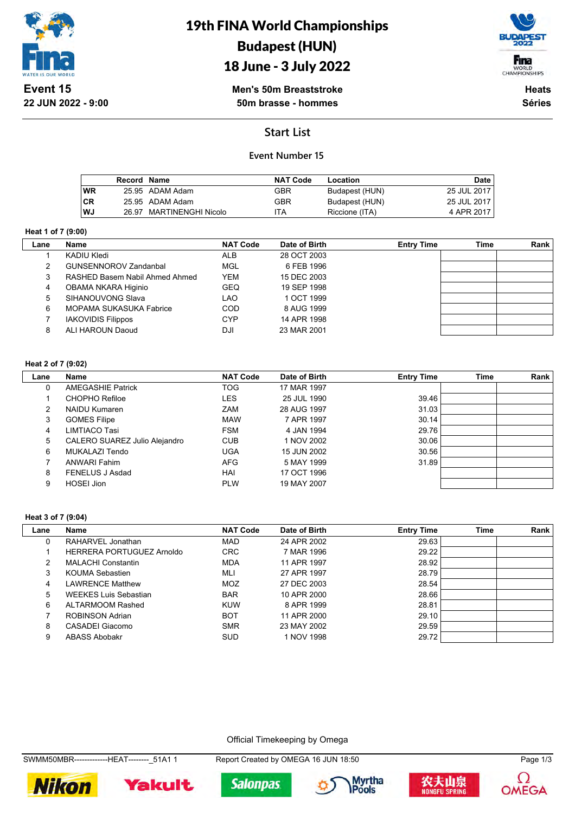

# 19th FINA World Championships Budapest (HUN)

## 18 June - 3 July 2022



**Men's 50m Breaststroke 50m brasse - hommes**

**Heats Séries**

## **Start List**

### **Event Number 15**

|           | Record Name |                          | <b>NAT Code</b> | Location       | Date        |
|-----------|-------------|--------------------------|-----------------|----------------|-------------|
| <b>WR</b> |             | 25.95 ADAM Adam          | GBR             | Budapest (HUN) | 25 JUL 2017 |
| <b>CR</b> |             | 25.95 ADAM Adam          | GBR             | Budapest (HUN) | 25 JUL 2017 |
| WJ        |             | 26.97 MARTINENGHI Nicolo | 'TA             | Riccione (ITA) | 4 APR 2017  |

#### **Heat 1 of 7 (9:00)**

| Name                           | <b>NAT Code</b> | Date of Birth | <b>Entry Time</b> | Time | Rank |
|--------------------------------|-----------------|---------------|-------------------|------|------|
| KADIU Kledi                    | <b>ALB</b>      | 28 OCT 2003   |                   |      |      |
| <b>GUNSENNOROV Zandanbal</b>   | MGL             | 6 FEB 1996    |                   |      |      |
| RASHED Basem Nabil Ahmed Ahmed | <b>YEM</b>      | 15 DEC 2003   |                   |      |      |
| OBAMA NKARA Higinio            | <b>GEQ</b>      | 19 SEP 1998   |                   |      |      |
| SIHANOUVONG Slava              | LAO             | 1 OCT 1999    |                   |      |      |
| MOPAMA SUKASUKA Fabrice        | COD             | 8 AUG 1999    |                   |      |      |
| <b>IAKOVIDIS Filippos</b>      | <b>CYP</b>      | 14 APR 1998   |                   |      |      |
| ALI HAROUN Daoud               | DJI             | 23 MAR 2001   |                   |      |      |
|                                |                 |               |                   |      |      |

#### **Heat 2 of 7 (9:02)**

 $\overline{\phantom{a}}$ 

| Lane          | <b>Name</b>                   | <b>NAT Code</b> | Date of Birth | <b>Entry Time</b> | <b>Time</b> | Rank |
|---------------|-------------------------------|-----------------|---------------|-------------------|-------------|------|
| 0             | <b>AMEGASHIE Patrick</b>      | TOG             | 17 MAR 1997   |                   |             |      |
|               | CHOPHO Refiloe                | <b>LES</b>      | 25 JUL 1990   | 39.46             |             |      |
| $\mathcal{P}$ | <b>NAIDU Kumaren</b>          | <b>ZAM</b>      | 28 AUG 1997   | 31.03             |             |      |
| 3             | <b>GOMES Filipe</b>           | <b>MAW</b>      | 7 APR 1997    | 30.14             |             |      |
| 4             | LIMTIACO Tasi                 | <b>FSM</b>      | 4 JAN 1994    | 29.76             |             |      |
| 5             | CALERO SUAREZ Julio Alejandro | <b>CUB</b>      | 1 NOV 2002    | 30.06             |             |      |
| 6             | MUKALAZI Tendo                | <b>UGA</b>      | 15 JUN 2002   | 30.56             |             |      |
|               | ANWARI Fahim                  | <b>AFG</b>      | 5 MAY 1999    | 31.89             |             |      |
| 8             | FENELUS J Asdad               | HAI             | 17 OCT 1996   |                   |             |      |
| 9             | <b>HOSEI Jion</b>             | <b>PLW</b>      | 19 MAY 2007   |                   |             |      |

#### **Heat 3 of 7 (9:04)**

| Lane | <b>Name</b>                  | <b>NAT Code</b> | Date of Birth | <b>Entry Time</b> | Time | Rank |
|------|------------------------------|-----------------|---------------|-------------------|------|------|
| 0    | RAHARVEL Jonathan            | <b>MAD</b>      | 24 APR 2002   | 29.63             |      |      |
|      | HERRERA PORTUGUEZ Arnoldo    | <b>CRC</b>      | 7 MAR 1996    | 29.22             |      |      |
| 2    | <b>MALACHI Constantin</b>    | <b>MDA</b>      | 11 APR 1997   | 28.92             |      |      |
| 3    | KOUMA Sebastien              | MLI             | 27 APR 1997   | 28.79             |      |      |
| 4    | <b>LAWRENCE Matthew</b>      | <b>MOZ</b>      | 27 DEC 2003   | 28.54             |      |      |
| 5    | <b>WEEKES Luis Sebastian</b> | <b>BAR</b>      | 10 APR 2000   | 28.66             |      |      |
| 6    | ALTARMOOM Rashed             | <b>KUW</b>      | 8 APR 1999    | 28.81             |      |      |
|      | ROBINSON Adrian              | <b>BOT</b>      | 11 APR 2000   | 29.10             |      |      |
| 8    | CASADEI Giacomo              | <b>SMR</b>      | 23 MAY 2002   | 29.59             |      |      |
| 9    | ABASS Abobakr                | <b>SUD</b>      | 1 NOV 1998    | 29.72             |      |      |

Official Timekeeping by Omega

SWMM50MBR--------------HEAT---------\_51A1 1 Report Created by OMEGA 16 JUN 18:50 Page 1/3









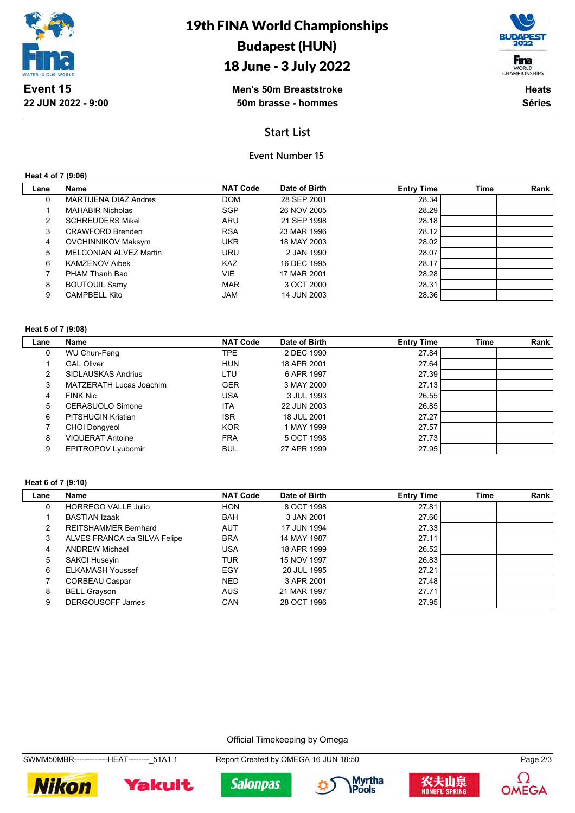

## 18 June - 3 July 2022



**Men's 50m Breaststroke 50m brasse - hommes**

**Heats Séries**

### **Start List**

### **Event Number 15**

**Heat 4 of 7 (9:06)**

| Lane | <b>Name</b>                  | <b>NAT Code</b> | Date of Birth | <b>Entry Time</b> | <b>Time</b> | Rank |
|------|------------------------------|-----------------|---------------|-------------------|-------------|------|
| 0    | <b>MARTIJENA DIAZ Andres</b> | <b>DOM</b>      | 28 SEP 2001   | 28.34             |             |      |
|      | <b>MAHABIR Nicholas</b>      | <b>SGP</b>      | 26 NOV 2005   | 28.29             |             |      |
| 2    | <b>SCHREUDERS Mikel</b>      | ARU             | 21 SEP 1998   | 28.18             |             |      |
| 3    | <b>CRAWFORD Brenden</b>      | <b>RSA</b>      | 23 MAR 1996   | 28.12             |             |      |
| 4    | <b>OVCHINNIKOV Maksym</b>    | <b>UKR</b>      | 18 MAY 2003   | 28.02             |             |      |
| 5    | MELCONIAN ALVEZ Martin       | URU             | 2 JAN 1990    | 28.07             |             |      |
| 6    | <b>KAMZENOV Aibek</b>        | <b>KAZ</b>      | 16 DEC 1995   | 28.17             |             |      |
|      | PHAM Thanh Bao               | <b>VIE</b>      | 17 MAR 2001   | 28.28             |             |      |
| 8    | <b>BOUTOUIL Samy</b>         | <b>MAR</b>      | 3 OCT 2000    | 28.31             |             |      |
| 9    | <b>CAMPBELL Kito</b>         | <b>JAM</b>      | 14 JUN 2003   | 28.36             |             |      |

### **Heat 5 of 7 (9:08)**

| Lane | Name                      | <b>NAT Code</b> | Date of Birth | <b>Entry Time</b> | <b>Time</b> | Rank |
|------|---------------------------|-----------------|---------------|-------------------|-------------|------|
| 0    | WU Chun-Feng              | TPE.            | 2 DEC 1990    | 27.84             |             |      |
|      | <b>GAL Oliver</b>         | <b>HUN</b>      | 18 APR 2001   | 27.64             |             |      |
| 2    | <b>SIDLAUSKAS Andrius</b> | LTU             | 6 APR 1997    | 27.39             |             |      |
| 3    | MATZERATH Lucas Joachim   | <b>GER</b>      | 3 MAY 2000    | 27.13             |             |      |
| 4    | <b>FINK Nic</b>           | USA             | 3 JUL 1993    | 26.55             |             |      |
| 5    | CERASUOLO Simone          | <b>ITA</b>      | 22 JUN 2003   | 26.85             |             |      |
| 6    | <b>PITSHUGIN Kristian</b> | <b>ISR</b>      | 18 JUL 2001   | 27.27             |             |      |
|      | <b>CHOI Dongyeol</b>      | <b>KOR</b>      | 1 MAY 1999    | 27.57             |             |      |
| 8    | <b>VIQUERAT Antoine</b>   | <b>FRA</b>      | 5 OCT 1998    | 27.73             |             |      |
| 9    | <b>EPITROPOV Lyubomir</b> | <b>BUL</b>      | 27 APR 1999   | 27.95             |             |      |

#### **Heat 6 of 7 (9:10)**

 $\overline{\phantom{a}}$ 

| Lane | Name                         | <b>NAT Code</b> | Date of Birth | <b>Entry Time</b> | <b>Time</b> | Rank |
|------|------------------------------|-----------------|---------------|-------------------|-------------|------|
| 0    | <b>HORREGO VALLE Julio</b>   | <b>HON</b>      | 8 OCT 1998    | 27.81             |             |      |
|      | <b>BASTIAN Izaak</b>         | <b>BAH</b>      | 3 JAN 2001    | 27.60             |             |      |
| 2    | <b>REITSHAMMER Bernhard</b>  | <b>AUT</b>      | 17 JUN 1994   | 27.33             |             |      |
| 3    | ALVES FRANCA da SILVA Felipe | <b>BRA</b>      | 14 MAY 1987   | 27.11             |             |      |
| 4    | <b>ANDREW Michael</b>        | USA             | 18 APR 1999   | 26.52             |             |      |
| 5    | <b>SAKCI Huseyin</b>         | TUR             | 15 NOV 1997   | 26.83             |             |      |
| 6    | <b>ELKAMASH Youssef</b>      | EGY             | 20 JUL 1995   | 27.21             |             |      |
|      | <b>CORBEAU Caspar</b>        | <b>NED</b>      | 3 APR 2001    | 27.48             |             |      |
| 8    | <b>BELL Grayson</b>          | <b>AUS</b>      | 21 MAR 1997   | 27.71             |             |      |
| 9    | <b>DERGOUSOFF James</b>      | CAN             | 28 OCT 1996   | 27.95             |             |      |

#### Official Timekeeping by Omega

SWMM50MBR--------------HEAT--------\_51A1 1 Report Created by OMEGA 16 JUN 18:50 Page 2/3











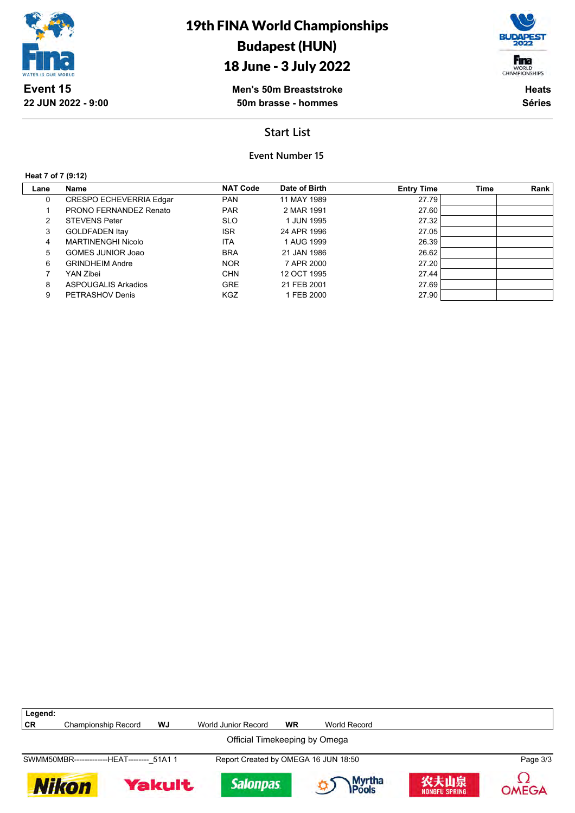

## 18 June - 3 July 2022



**Men's 50m Breaststroke 50m brasse - hommes**

**Heats Séries**

## **Start List**

**Event Number 15**

#### **Heat 7 of 7 (9:12)**

Г

| Lane | Name                      | <b>NAT Code</b> | Date of Birth | <b>Entry Time</b> | Time | Rank |
|------|---------------------------|-----------------|---------------|-------------------|------|------|
| 0    | CRESPO ECHEVERRIA Edgar   | <b>PAN</b>      | 11 MAY 1989   | 27.79             |      |      |
|      | PRONO FERNANDEZ Renato    | <b>PAR</b>      | 2 MAR 1991    | 27.60             |      |      |
| 2    | <b>STEVENS Peter</b>      | <b>SLO</b>      | 1 JUN 1995    | 27.32             |      |      |
| 3    | <b>GOLDFADEN Itay</b>     | <b>ISR</b>      | 24 APR 1996   | 27.05             |      |      |
| 4    | <b>MARTINENGHI Nicolo</b> | <b>ITA</b>      | 1 AUG 1999    | 26.39             |      |      |
| 5    | GOMES JUNIOR Joao         | <b>BRA</b>      | 21 JAN 1986   | 26.62             |      |      |
| 6    | <b>GRINDHEIM Andre</b>    | <b>NOR</b>      | 7 APR 2000    | 27.20             |      |      |
|      | YAN Zibei                 | <b>CHN</b>      | 12 OCT 1995   | 27.44             |      |      |
| 8    | ASPOUGALIS Arkadios       | <b>GRE</b>      | 21 FEB 2001   | 27.69             |      |      |
| 9    | PETRASHOV Denis           | <b>KGZ</b>      | 1 FEB 2000    | 27.90             |      |      |

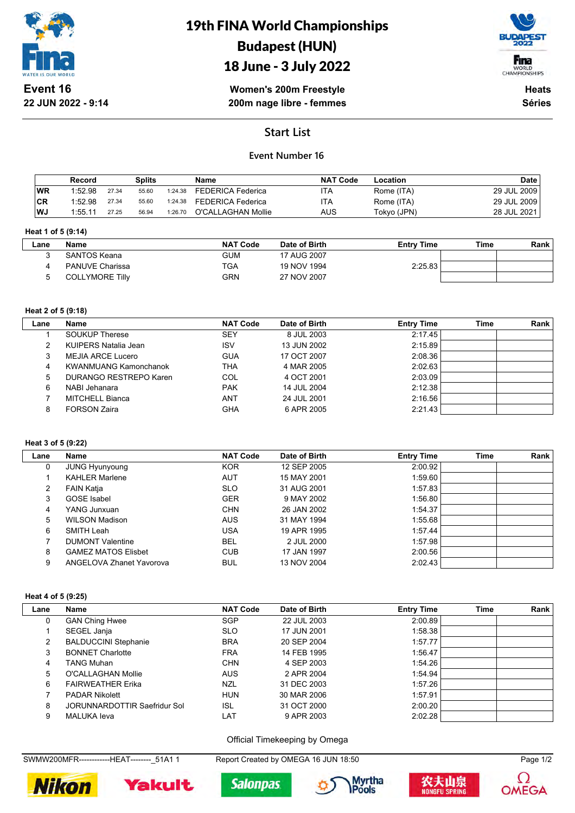

# 19th FINA World Championships Budapest (HUN)



## 18 June - 3 July 2022

**Women's 200m Freestyle 200m nage libre - femmes**

**Heats Séries**

## **Start List**

### **Event Number 16**

|           | Record  |       | Splits |         | Name               | <b>NAT Code</b> | Location    | <b>Date</b> |
|-----------|---------|-------|--------|---------|--------------------|-----------------|-------------|-------------|
| <b>WR</b> | 1:52.98 | 27.34 | 55.60  | 1:24.38 | FEDERICA Federica  | ITA             | Rome (ITA)  | 29 JUL 2009 |
| CR        | 1:52.98 | 27.34 | 55.60  | 1:24.38 | FEDERICA Federica  | ITA             | Rome (ITA)  | 29 JUL 2009 |
| WJ        | 1.55.11 | 27.25 | 56.94  | 1:26.70 | O'CALLAGHAN Mollie | AUS             | Tokyo (JPN) | 28 JUL 2021 |

#### **Heat 1 of 5 (9:14)**

| -ane | <b>Name</b>            | <b>NAT Code</b> | Date of Birth | <b>Entry Time</b> | Time | Rank |
|------|------------------------|-----------------|---------------|-------------------|------|------|
|      | SANTOS Keana           | <b>GUM</b>      | 17 AUG 2007   |                   |      |      |
|      | <b>PANUVE Charissa</b> | TGA             | 19 NOV 1994   | 2:25.83           |      |      |
|      | <b>COLLYMORE Tilly</b> | GRN             | 27 NOV 2007   |                   |      |      |

#### **Heat 2 of 5 (9:18)**

| Lane | Name                         | <b>NAT Code</b> | Date of Birth | <b>Entry Time</b> | Time | Rank |
|------|------------------------------|-----------------|---------------|-------------------|------|------|
|      | <b>SOUKUP Therese</b>        | SEY             | 8 JUL 2003    | 2:17.45           |      |      |
| 2    | KUIPERS Natalia Jean         | <b>ISV</b>      | 13 JUN 2002   | 2:15.89           |      |      |
| 3    | MEJIA ARCE Lucero            | <b>GUA</b>      | 17 OCT 2007   | 2:08.36           |      |      |
|      | <b>KWANMUANG Kamonchanok</b> | THA             | 4 MAR 2005    | 2:02.63           |      |      |
| 5    | DURANGO RESTREPO Karen       | COL             | 4 OCT 2001    | 2:03.09           |      |      |
| 6    | NABI Jehanara                | <b>PAK</b>      | 14 JUL 2004   | 2:12.38           |      |      |
|      | MITCHELL Bianca              | ANT             | 24 JUL 2001   | 2:16.56           |      |      |
| 8    | <b>FORSON Zaira</b>          | GHA             | 6 APR 2005    | 2:21.43           |      |      |

#### **Heat 3 of 5 (9:22)**

| Lane | Name                       | <b>NAT Code</b> | Date of Birth | <b>Entry Time</b> | <b>Time</b> | Rank |
|------|----------------------------|-----------------|---------------|-------------------|-------------|------|
| 0    | <b>JUNG Hyunyoung</b>      | <b>KOR</b>      | 12 SEP 2005   | 2:00.92           |             |      |
|      | <b>KAHLER Marlene</b>      | AUT             | 15 MAY 2001   | 1:59.60           |             |      |
| 2    | FAIN Katja                 | <b>SLO</b>      | 31 AUG 2001   | 1:57.83           |             |      |
| 3    | <b>GOSE</b> Isabel         | <b>GER</b>      | 9 MAY 2002    | 1:56.80           |             |      |
| 4    | YANG Junxuan               | <b>CHN</b>      | 26 JAN 2002   | 1:54.37           |             |      |
| 5    | <b>WILSON Madison</b>      | <b>AUS</b>      | 31 MAY 1994   | 1:55.68           |             |      |
| 6    | SMITH Leah                 | <b>USA</b>      | 19 APR 1995   | 1:57.44           |             |      |
|      | <b>DUMONT Valentine</b>    | <b>BEL</b>      | 2 JUL 2000    | 1:57.98           |             |      |
| 8    | <b>GAMEZ MATOS Elisbet</b> | <b>CUB</b>      | 17 JAN 1997   | 2:00.56           |             |      |
| 9    | ANGELOVA Zhanet Yavorova   | <b>BUL</b>      | 13 NOV 2004   | 2:02.43           |             |      |

#### **Heat 4 of 5 (9:25)**

| Lane | Name                         | <b>NAT Code</b> | Date of Birth | <b>Entry Time</b> | Time | Rank |
|------|------------------------------|-----------------|---------------|-------------------|------|------|
|      | <b>GAN Ching Hwee</b>        | <b>SGP</b>      | 22 JUL 2003   | 2:00.89           |      |      |
|      | SEGEL Janja                  | <b>SLO</b>      | 17 JUN 2001   | 1:58.38           |      |      |
| 2    | <b>BALDUCCINI Stephanie</b>  | <b>BRA</b>      | 20 SEP 2004   | 1:57.77           |      |      |
| 3    | <b>BONNET Charlotte</b>      | <b>FRA</b>      | 14 FEB 1995   | 1:56.47           |      |      |
| 4    | TANG Muhan                   | <b>CHN</b>      | 4 SEP 2003    | 1:54.26           |      |      |
| 5.   | O'CALLAGHAN Mollie           | <b>AUS</b>      | 2 APR 2004    | 1:54.94           |      |      |
| 6    | <b>FAIRWEATHER Erika</b>     | <b>NZL</b>      | 31 DEC 2003   | 1:57.26           |      |      |
|      | <b>PADAR Nikolett</b>        | <b>HUN</b>      | 30 MAR 2006   | 1:57.91           |      |      |
| 8    | JORUNNARDOTTIR Saefridur Sol | ISL             | 31 OCT 2000   | 2:00.20           |      |      |
| 9    | <b>MALUKA</b> leva           | LAT             | 9 APR 2003    | 2:02.28           |      |      |

Official Timekeeping by Omega

SWMW200MFR-------------HEAT--------\_51A1 1 Report Created by OMEGA 16 JUN 18:50 Page 1/2









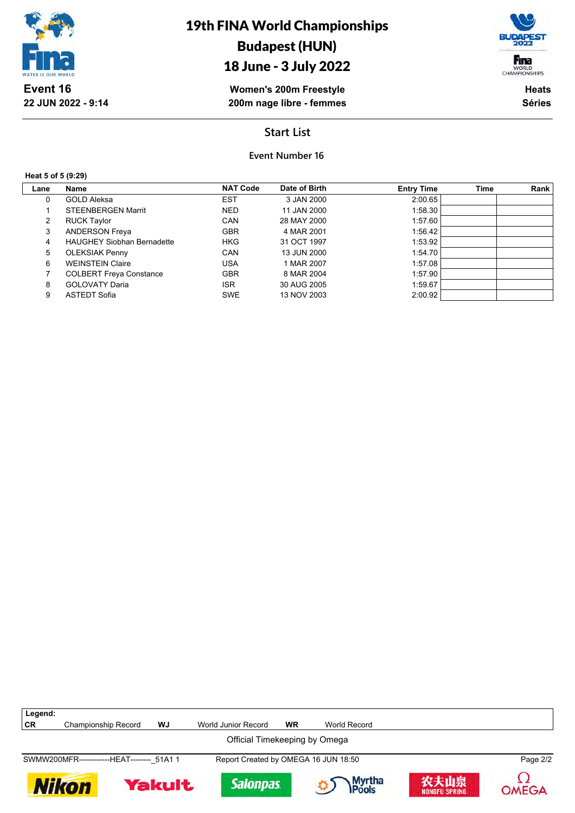

## 18 June - 3 July 2022

**Women's 200m Freestyle 200m nage libre - femmes**

**Heats Séries**

Fina WORLD<br>CHAMPIONSHIPS

## **Start List**

## **Event Number 16**

#### **Heat 5 of 5 (9:29)**

 $\sqrt{ }$ 

| Lane           | Name                              | <b>NAT Code</b> | Date of Birth | <b>Entry Time</b> | Time | Rank |
|----------------|-----------------------------------|-----------------|---------------|-------------------|------|------|
| 0              | <b>GOLD Aleksa</b>                | <b>EST</b>      | 3 JAN 2000    | 2:00.65           |      |      |
|                | <b>STEENBERGEN Marrit</b>         | <b>NED</b>      | 11 JAN 2000   | 1:58.30           |      |      |
| $\overline{2}$ | <b>RUCK Taylor</b>                | CAN             | 28 MAY 2000   | 1:57.60           |      |      |
| 3              | <b>ANDERSON Freya</b>             | <b>GBR</b>      | 4 MAR 2001    | 1:56.42           |      |      |
| 4              | <b>HAUGHEY Siobhan Bernadette</b> | <b>HKG</b>      | 31 OCT 1997   | 1:53.92           |      |      |
| 5              | <b>OLEKSIAK Penny</b>             | CAN             | 13 JUN 2000   | 1:54.70           |      |      |
| 6              | <b>WEINSTEIN Claire</b>           | USA             | 1 MAR 2007    | 1:57.08           |      |      |
|                | <b>COLBERT Freya Constance</b>    | <b>GBR</b>      | 8 MAR 2004    | 1:57.90           |      |      |
| 8              | <b>GOLOVATY Daria</b>             | <b>ISR</b>      | 30 AUG 2005   | 1:59.67           |      |      |
| 9              | ASTEDT Sofia                      | <b>SWE</b>      | 13 NOV 2003   | 2:00.92           |      |      |

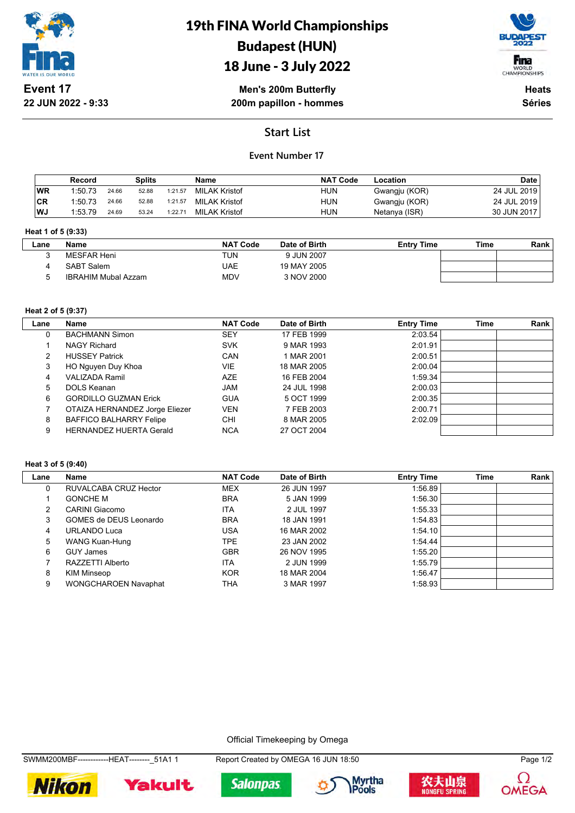



**Men's 200m Butterfly 200m papillon - hommes**

**Heats Séries**

## **Start List**

### **Event Number 17**

|     | Record  |       | Splits |         | Name          | <b>NAT Code</b> | Location      | Date        |
|-----|---------|-------|--------|---------|---------------|-----------------|---------------|-------------|
| 'WR | 1:50.73 | 24.66 | 52.88  | 1:21.57 | MILAK Kristof | HUN             | Gwangju (KOR) | 24 JUL 2019 |
| ∣CR | 1:50.73 | 24.66 | 52.88  | 1:21.57 | MILAK Kristof | HUN             | Gwangju (KOR) | 24 JUL 2019 |
| WJ  | 1:53.79 | 24.69 | 53.24  | 1:22.71 | MILAK Kristof | HUN             | Netanya (ISR) | 30 JUN 2017 |

#### **Heat 1 of 5 (9:33)**

| Lane | <b>Name</b>                | <b>NAT Code</b> | Date of Birth | <b>Entry Time</b> | Time | Rank |
|------|----------------------------|-----------------|---------------|-------------------|------|------|
|      | MESFAR Heni                | TUN             | 9 JUN 2007    |                   |      |      |
|      | <b>SABT Salem</b>          | UAE             | 19 MAY 2005   |                   |      |      |
|      | <b>IBRAHIM Mubal Azzam</b> | MDV             | 3 NOV 2000    |                   |      |      |

#### **Heat 2 of 5 (9:37)**

| Lane | Name                           | <b>NAT Code</b> | Date of Birth | <b>Entry Time</b> | <b>Time</b> | Rank |
|------|--------------------------------|-----------------|---------------|-------------------|-------------|------|
| 0    | <b>BACHMANN Simon</b>          | SEY             | 17 FEB 1999   | 2:03.54           |             |      |
|      | NAGY Richard                   | <b>SVK</b>      | 9 MAR 1993    | 2:01.91           |             |      |
| 2    | <b>HUSSEY Patrick</b>          | CAN             | 1 MAR 2001    | 2:00.51           |             |      |
| 3    | HO Nguyen Duy Khoa             | VIE             | 18 MAR 2005   | 2:00.04           |             |      |
| 4    | VALIZADA Ramil                 | <b>AZE</b>      | 16 FEB 2004   | 1:59.34           |             |      |
| 5    | DOLS Keanan                    | <b>JAM</b>      | 24 JUL 1998   | 2:00.03           |             |      |
| 6    | <b>GORDILLO GUZMAN Erick</b>   | <b>GUA</b>      | 5 OCT 1999    | 2:00.35           |             |      |
|      | OTAIZA HERNANDEZ Jorge Eliezer | VEN             | 7 FEB 2003    | 2:00.71           |             |      |
| 8    | <b>BAFFICO BALHARRY Felipe</b> | <b>CHI</b>      | 8 MAR 2005    | 2:02.09           |             |      |
| 9    | <b>HERNANDEZ HUERTA Gerald</b> | <b>NCA</b>      | 27 OCT 2004   |                   |             |      |

#### **Heat 3 of 5 (9:40)**

| Lane | Name                        | <b>NAT Code</b> | Date of Birth | <b>Entry Time</b> | Time | Rank |
|------|-----------------------------|-----------------|---------------|-------------------|------|------|
| 0    | RUVALCABA CRUZ Hector       | <b>MEX</b>      | 26 JUN 1997   | 1:56.89           |      |      |
|      | <b>GONCHE M</b>             | <b>BRA</b>      | 5 JAN 1999    | 1:56.30           |      |      |
| 2    | CARINI Giacomo              | <b>ITA</b>      | 2 JUL 1997    | 1:55.33           |      |      |
| 3    | GOMES de DEUS Leonardo      | <b>BRA</b>      | 18 JAN 1991   | 1.54.83           |      |      |
| 4    | <b>URLANDO Luca</b>         | USA             | 16 MAR 2002   | 1:54.10           |      |      |
| 5    | WANG Kuan-Hung              | TPE.            | 23 JAN 2002   | 1.54.44           |      |      |
| 6    | GUY James                   | <b>GBR</b>      | 26 NOV 1995   | 1:55.20           |      |      |
|      | RAZZETTI Alberto            | <b>ITA</b>      | 2 JUN 1999    | 1:55.79           |      |      |
| 8    | KIM Minseop                 | <b>KOR</b>      | 18 MAR 2004   | 1:56.47           |      |      |
| 9    | <b>WONGCHAROEN Navaphat</b> | THA             | 3 MAR 1997    | 1:58.93           |      |      |

Official Timekeeping by Omega



**Salonpas** 









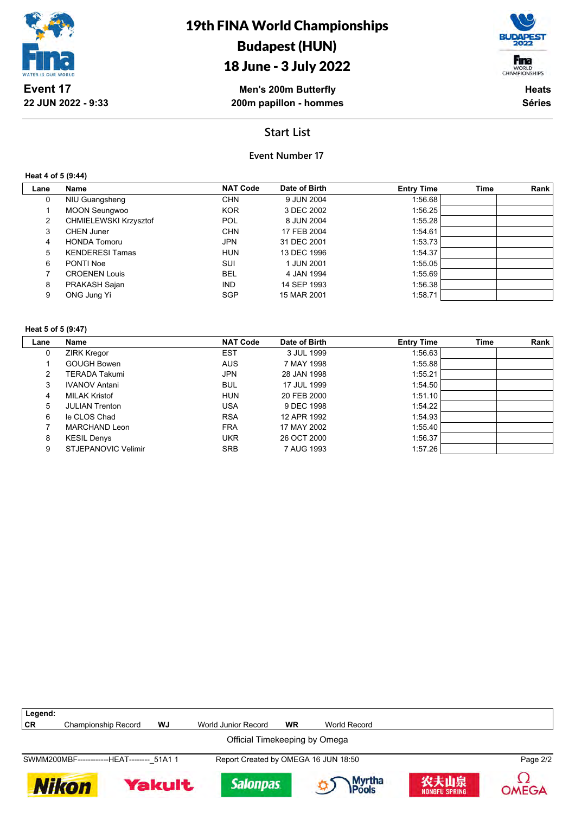

## 18 June - 3 July 2022

**Men's 200m Butterfly 200m papillon - hommes**



**Heats Séries**

## **Start List**

### **Event Number 17**

**Heat 4 of 5 (9:44)**

| Lane           | Name                   | <b>NAT Code</b> | Date of Birth | <b>Entry Time</b> | Time | Rank |
|----------------|------------------------|-----------------|---------------|-------------------|------|------|
| 0              | NIU Guangsheng         | <b>CHN</b>      | 9 JUN 2004    | 1:56.68           |      |      |
|                | <b>MOON Seungwoo</b>   | <b>KOR</b>      | 3 DEC 2002    | 1:56.25           |      |      |
| $\overline{2}$ | CHMIELEWSKI Krzysztof  | <b>POL</b>      | 8 JUN 2004    | 1:55.28           |      |      |
| 3              | CHEN Juner             | <b>CHN</b>      | 17 FEB 2004   | 1:54.61           |      |      |
| 4              | <b>HONDA Tomoru</b>    | <b>JPN</b>      | 31 DEC 2001   | 1:53.73           |      |      |
| 5              | <b>KENDERESI Tamas</b> | <b>HUN</b>      | 13 DEC 1996   | 1:54.37           |      |      |
| 6              | PONTI Noe              | SUI             | 1 JUN 2001    | 1:55.05           |      |      |
|                | <b>CROENEN Louis</b>   | <b>BEL</b>      | 4 JAN 1994    | 1:55.69           |      |      |
| 8              | PRAKASH Sajan          | <b>IND</b>      | 14 SEP 1993   | 1:56.38           |      |      |
| 9              | ONG Jung Yi            | <b>SGP</b>      | 15 MAR 2001   | 1:58.71           |      |      |

#### **Heat 5 of 5 (9:47)**

| Lane | <b>Name</b>           | <b>NAT Code</b> | Date of Birth | <b>Entry Time</b> | <b>Time</b> | Rank |
|------|-----------------------|-----------------|---------------|-------------------|-------------|------|
| 0    | <b>ZIRK Kregor</b>    | <b>EST</b>      | 3 JUL 1999    | 1:56.63           |             |      |
|      | <b>GOUGH Bowen</b>    | <b>AUS</b>      | 7 MAY 1998    | 1:55.88           |             |      |
| 2    | <b>TERADA Takumi</b>  | <b>JPN</b>      | 28 JAN 1998   | 1:55.21           |             |      |
| 3    | <b>IVANOV Antani</b>  | <b>BUL</b>      | 17 JUL 1999   | 1:54.50           |             |      |
| 4    | <b>MILAK Kristof</b>  | <b>HUN</b>      | 20 FEB 2000   | 1:51.10           |             |      |
| 5    | <b>JULIAN Trenton</b> | USA             | 9 DEC 1998    | 1:54.22           |             |      |
| 6    | le CLOS Chad          | <b>RSA</b>      | 12 APR 1992   | 1:54.93           |             |      |
|      | MARCHAND Leon         | <b>FRA</b>      | 17 MAY 2002   | 1:55.40           |             |      |
| 8    | <b>KESIL Denys</b>    | UKR             | 26 OCT 2000   | 1:56.37           |             |      |
| 9    | STJEPANOVIC Velimir   | <b>SRB</b>      | 7 AUG 1993    | 1:57.26           |             |      |

| Legend:                       |                                            |        |                                      |           |                         |                       |          |  |  |
|-------------------------------|--------------------------------------------|--------|--------------------------------------|-----------|-------------------------|-----------------------|----------|--|--|
| <b>CR</b>                     | Championship Record                        | WJ     | World Junior Record                  | <b>WR</b> | World Record            |                       |          |  |  |
| Official Timekeeping by Omega |                                            |        |                                      |           |                         |                       |          |  |  |
|                               | SWMM200MBF-------------HEAT-------- 51A1 1 |        | Report Created by OMEGA 16 JUN 18:50 |           |                         |                       | Page 2/2 |  |  |
| Nikon                         |                                            | Yakult | <b>Salonpas</b>                      |           | Myrtha<br><b>IPools</b> | 农夫山泉<br>NONGFU SPRING | OMEGA    |  |  |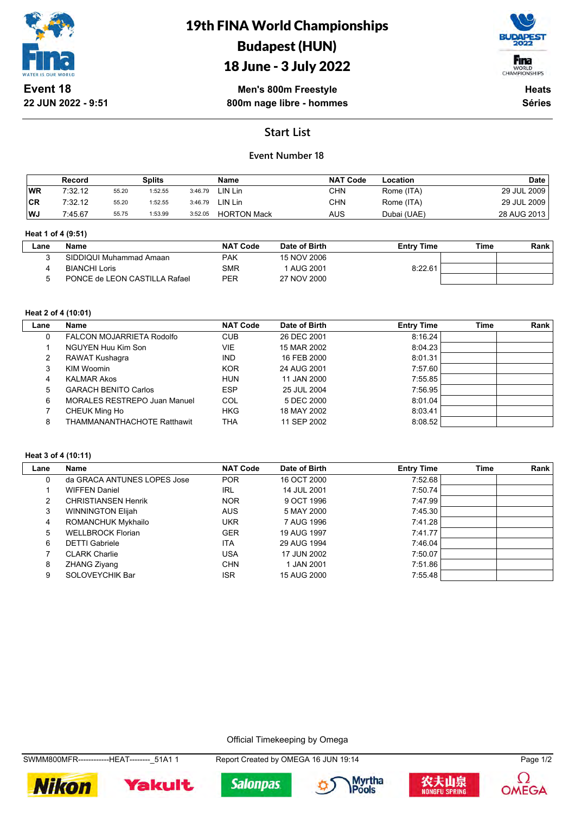

# 19th FINA World Championships Budapest (HUN)

## 18 June - 3 July 2022



**Men's 800m Freestyle 800m nage libre - hommes**

**Heats Séries**

## **Start List**

### **Event Number 18**

|           | Record  |       | Splits  |         | Name               | <b>NAT Code</b> | Location    | <b>Date</b> |
|-----------|---------|-------|---------|---------|--------------------|-----------------|-------------|-------------|
| <b>WR</b> | 7:32.12 | 55.20 | 1:52.55 | 3:46.79 | LIN Lin            | CHN             | Rome (ITA)  | 29 JUL 2009 |
| <b>CR</b> | 7:32.12 | 55.20 | 1:52.55 | 3:46.79 | LIN Lin            | CHN             | Rome (ITA)  | 29 JUL 2009 |
| <b>WJ</b> | 7:45.67 | 55.75 | 1:53.99 | 3:52.05 | <b>HORTON Mack</b> | AUS             | Dubai (UAE) | 28 AUG 2013 |

#### **Heat 1 of 4 (9:51)**

| _ane | Name                          | <b>NAT Code</b> | Date of Birth | <b>Entry Time</b> | Time | Rank |
|------|-------------------------------|-----------------|---------------|-------------------|------|------|
|      | SIDDIQUI Muhammad Amaan       | <b>PAK</b>      | 15 NOV 2006   |                   |      |      |
|      | <b>BIANCHI Loris</b>          | SMR             | 1 AUG 2001    | 8:22.61           |      |      |
|      | PONCE de LEON CASTILLA Rafael | <b>PER</b>      | 27 NOV 2000   |                   |      |      |

#### **Heat 2 of 4 (10:01)**

| Lane | Name                                | <b>NAT Code</b> | Date of Birth | <b>Entry Time</b> | Time | Rank |
|------|-------------------------------------|-----------------|---------------|-------------------|------|------|
|      | FALCON MOJARRIETA Rodolfo           | <b>CUB</b>      | 26 DEC 2001   | 8:16.24           |      |      |
|      | NGUYEN Huu Kim Son                  | <b>VIE</b>      | 15 MAR 2002   | 8:04.23           |      |      |
| 2    | RAWAT Kushagra                      | <b>IND</b>      | 16 FEB 2000   | 8:01.31           |      |      |
|      | KIM Woomin                          | <b>KOR</b>      | 24 AUG 2001   | 7:57.60           |      |      |
| 4    | <b>KALMAR Akos</b>                  | <b>HUN</b>      | 11 JAN 2000   | 7:55.85           |      |      |
| 5.   | <b>GARACH BENITO Carlos</b>         | <b>ESP</b>      | 25 JUL 2004   | 7:56.95           |      |      |
| 6    | <b>MORALES RESTREPO Juan Manuel</b> | COL             | 5 DEC 2000    | 8:01.04           |      |      |
|      | CHEUK Ming Ho                       | <b>HKG</b>      | 18 MAY 2002   | 8:03.41           |      |      |
| 8    | <b>THAMMANANTHACHOTE Ratthawit</b>  | THA             | 11 SEP 2002   | 8:08.52           |      |      |

#### **Heat 3 of 4 (10:11)**

| Lane | Name                        | <b>NAT Code</b> | Date of Birth | <b>Entry Time</b> | Time | Rank |
|------|-----------------------------|-----------------|---------------|-------------------|------|------|
| 0    | da GRACA ANTUNES LOPES Jose | <b>POR</b>      | 16 OCT 2000   | 7:52.68           |      |      |
|      | <b>WIFFEN Daniel</b>        | <b>IRL</b>      | 14 JUL 2001   | 7:50.74           |      |      |
| 2    | <b>CHRISTIANSEN Henrik</b>  | <b>NOR</b>      | 9 OCT 1996    | 7:47.99           |      |      |
| 3    | <b>WINNINGTON Elijah</b>    | <b>AUS</b>      | 5 MAY 2000    | 7:45.30           |      |      |
| 4    | ROMANCHUK Mykhailo          | UKR             | 7 AUG 1996    | 7:41.28           |      |      |
| 5    | <b>WELLBROCK Florian</b>    | <b>GER</b>      | 19 AUG 1997   | 7:41.77           |      |      |
| 6    | <b>DETTI Gabriele</b>       | <b>ITA</b>      | 29 AUG 1994   | 7:46.04           |      |      |
|      | <b>CLARK Charlie</b>        | USA             | 17 JUN 2002   | 7:50.07           |      |      |
| 8    | ZHANG Ziyang                | <b>CHN</b>      | 1 JAN 2001    | 7:51.86           |      |      |
| 9    | SOLOVEYCHIK Bar             | <b>ISR</b>      | 15 AUG 2000   | 7:55.48           |      |      |

Official Timekeeping by Omega











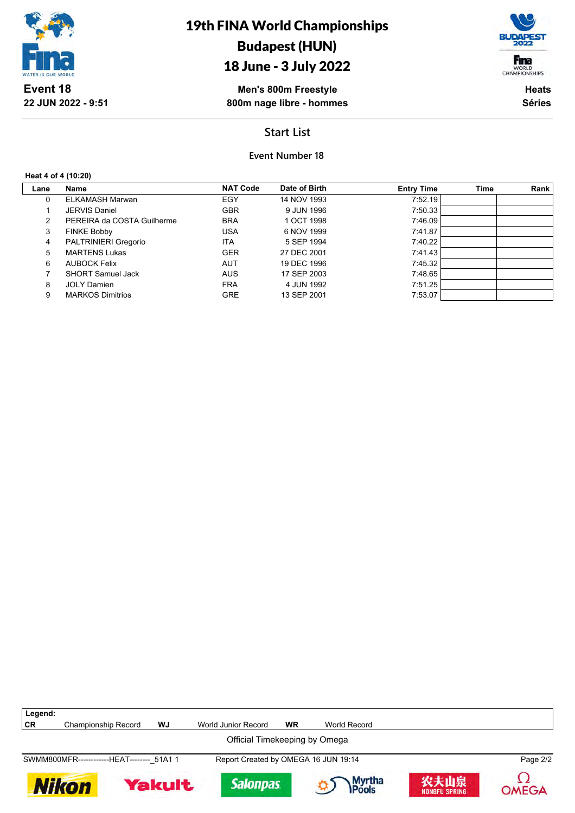

## 18 June - 3 July 2022

**Men's 800m Freestyle 800m nage libre - hommes**

Fina WORLD<br>CHAMPIONSHIPS

> **Heats Séries**

## **Start List**

**Event Number 18**

**Heat 4 of 4 (10:20)**

| Lane | <b>Name</b>                | <b>NAT Code</b> | Date of Birth | <b>Entry Time</b> | Time | Rank |
|------|----------------------------|-----------------|---------------|-------------------|------|------|
| 0    | ELKAMASH Marwan            | EGY             | 14 NOV 1993   | 7:52.19           |      |      |
|      | <b>JERVIS Daniel</b>       | <b>GBR</b>      | 9 JUN 1996    | 7:50.33           |      |      |
| 2    | PEREIRA da COSTA Guilherme | <b>BRA</b>      | 1 OCT 1998    | 7:46.09           |      |      |
| 3    | <b>FINKE Bobby</b>         | <b>USA</b>      | 6 NOV 1999    | 7:41.87           |      |      |
| 4    | PALTRINIERI Gregorio       | ITA             | 5 SEP 1994    | 7:40.22           |      |      |
| 5    | <b>MARTENS Lukas</b>       | <b>GER</b>      | 27 DEC 2001   | 7:41.43           |      |      |
| 6    | <b>AUBOCK Felix</b>        | <b>AUT</b>      | 19 DEC 1996   | 7:45.32           |      |      |
|      | <b>SHORT Samuel Jack</b>   | <b>AUS</b>      | 17 SEP 2003   | 7:48.65           |      |      |
| 8    | <b>JOLY Damien</b>         | <b>FRA</b>      | 4 JUN 1992    | 7:51.25           |      |      |
| 9    | <b>MARKOS Dimitrios</b>    | <b>GRE</b>      | 13 SEP 2001   | 7:53.07           |      |      |
|      |                            |                 |               |                   |      |      |

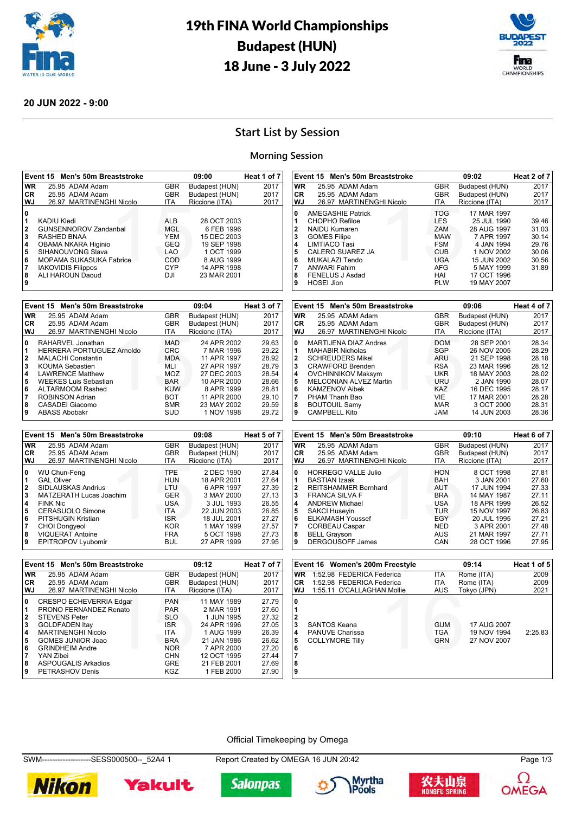



### **20 JUN 2022 - 9:00**

## **Start List by Session**

### **Morning Session**

|                         | Event 15 Men's 50m Breaststroke             |                          | 09:00                            | Heat 1 of 7    |                          | Event 15 Men's 50m Breaststroke                         |                          | 09:02                     | Heat 2 of 7  |
|-------------------------|---------------------------------------------|--------------------------|----------------------------------|----------------|--------------------------|---------------------------------------------------------|--------------------------|---------------------------|--------------|
| <b>WR</b>               | 25.95 ADAM Adam                             | <b>GBR</b>               | Budapest (HUN)                   | 2017           | <b>WR</b>                | 25.95 ADAM Adam                                         | <b>GBR</b>               | <b>Budapest (HUN)</b>     | 2017         |
| <b>CR</b>               | 25.95 ADAM Adam                             | <b>GBR</b>               | Budapest (HUN)                   | 2017           | <b>CR</b>                | 25.95 ADAM Adam                                         | <b>GBR</b>               | Budapest (HUN)            | 2017         |
| WJ                      | 26.97 MARTINENGHI Nicolo                    | <b>ITA</b>               | Riccione (ITA)                   | 2017           | WJ                       | 26.97 MARTINENGHI Nicolo                                | <b>ITA</b>               | Riccione (ITA)            | 2017         |
| $\mathbf 0$             |                                             |                          |                                  |                | 0                        | <b>AMEGASHIE Patrick</b>                                | <b>TOG</b>               | 17 MAR 1997               |              |
| 1                       | <b>KADIU Kledi</b>                          | <b>ALB</b>               | 28 OCT 2003                      |                | 1                        | <b>CHOPHO Refiloe</b>                                   | <b>LES</b>               | 25 JUL 1990               | 39.46        |
| $\overline{\mathbf{2}}$ | GUNSENNOROV Zandanbal                       | <b>MGL</b>               | 6 FEB 1996                       |                | 2                        | <b>NAIDU Kumaren</b>                                    | ZAM                      | 28 AUG 1997               | 31.03        |
| 3                       | <b>RASHED BNAA</b>                          | <b>YEM</b>               | 15 DEC 2003                      |                | 3                        | <b>GOMES Filipe</b>                                     | <b>MAW</b>               | 7 APR 1997                | 30.14        |
| 4                       | OBAMA NKARA Higinio                         | <b>GEQ</b>               | 19 SEP 1998                      |                | 4                        | <b>LIMTIACO Tasi</b>                                    | <b>FSM</b>               | 4 JAN 1994                | 29.76        |
| 5                       | SIHANOUVONG Slava                           | <b>LAO</b>               | 1 OCT 1999                       |                | 5                        | CALERO SUAREZ JA                                        | <b>CUB</b>               | 1 NOV 2002                | 30.06        |
| $6\phantom{1}6$         | MOPAMA SUKASUKA Fabrice                     | COD                      | 8 AUG 1999                       |                | 6                        | <b>MUKALAZI Tendo</b>                                   | <b>UGA</b>               | 15 JUN 2002               | 30.56        |
| 7                       | <b>IAKOVIDIS Filippos</b>                   | <b>CYP</b>               | 14 APR 1998                      |                | $\overline{7}$           | <b>ANWARI Fahim</b>                                     | <b>AFG</b>               | 5 MAY 1999                | 31.89        |
| 8                       | ALI HAROUN Daoud                            | <b>DJI</b>               | 23 MAR 2001                      |                | 8                        | <b>FENELUS J Asdad</b>                                  | HAI                      | 17 OCT 1996               |              |
| 9                       |                                             |                          |                                  |                | 9                        | <b>HOSEI Jion</b>                                       | <b>PLW</b>               | 19 MAY 2007               |              |
|                         | Event 15 Men's 50m Breaststroke             |                          | 09:04                            | Heat 3 of 7    |                          | Event 15 Men's 50m Breaststroke                         |                          | 09:06                     | Heat 4 of 7  |
| <b>WR</b>               | 25.95 ADAM Adam                             | <b>GBR</b>               | Budapest (HUN)                   | 2017           | $\overline{\mathsf{WR}}$ | 25.95 ADAM Adam                                         | <b>GBR</b>               | Budapest (HUN)            | 2017         |
| CR                      | 25.95 ADAM Adam                             | <b>GBR</b>               | Budapest (HUN)                   | 2017           | <b>CR</b>                | 25.95 ADAM Adam                                         | <b>GBR</b>               | Budapest (HUN)            | 2017         |
| WJ                      | 26.97 MARTINENGHI Nicolo                    | <b>ITA</b>               | Riccione (ITA)                   | 2017           | WJ                       | 26.97 MARTINENGHI Nicolo                                | ITA                      | Riccione (ITA)            | 2017         |
|                         |                                             |                          |                                  |                |                          |                                                         |                          |                           |              |
| $\mathbf 0$             | RAHARVEL Jonathan                           | <b>MAD</b>               | 24 APR 2002                      | 29.63          | $\mathbf 0$              | <b>MARTIJENA DIAZ Andres</b>                            | <b>DOM</b>               | 28 SEP 2001               | 28.34        |
| 1                       | HERRERA PORTUGUEZ Arnoldo                   | <b>CRC</b>               | 7 MAR 1996                       | 29.22          | 1                        | <b>MAHABIR Nicholas</b>                                 | <b>SGP</b>               | 26 NOV 2005               | 28.29        |
| $\mathbf 2$             | <b>MALACHI Constantin</b>                   | <b>MDA</b>               | 11 APR 1997                      | 28.92          | 2                        | <b>SCHREUDERS Mikel</b>                                 | <b>ARU</b>               | 21 SEP 1998               | 28.18        |
| 3                       | <b>KOUMA Sebastien</b>                      | MLI                      | 27 APR 1997                      | 28.79          | 3                        | <b>CRAWFORD Brenden</b>                                 | <b>RSA</b>               | 23 MAR 1996               | 28.12        |
| 4                       | <b>LAWRENCE Matthew</b>                     | MOZ                      | 27 DEC 2003                      | 28.54          | 4                        | <b>OVCHINNIKOV Maksym</b>                               | <b>UKR</b>               | 18 MAY 2003               | 28.02        |
| 5                       | <b>WEEKES Luis Sebastian</b>                | <b>BAR</b>               | 10 APR 2000                      | 28.66          | 5                        | MELCONIAN ALVEZ Martin                                  | URU                      | 2 JAN 1990                | 28.07        |
| 6                       | <b>ALTARMOOM Rashed</b>                     | <b>KUW</b>               | 8 APR 1999                       | 28.81          | 6                        | <b>KAMZENOV Aibek</b>                                   | KAZ                      | 16 DEC 1995               | 28.17        |
| $\overline{7}$          | <b>ROBINSON Adrian</b>                      | <b>BOT</b>               | 11 APR 2000                      | 29.10          | $\overline{7}$           | PHAM Thanh Bao                                          | <b>VIE</b>               | 17 MAR 2001               | 28.28        |
| 8                       | CASADEI Giacomo                             | <b>SMR</b>               | 23 MAY 2002                      | 29.59          | 8                        | <b>BOUTOUIL Samy</b>                                    | <b>MAR</b>               | 3 OCT 2000                | 28.31        |
| 9                       | <b>ABASS Abobakr</b>                        | <b>SUD</b>               | 1 NOV 1998                       | 29.72          | 9                        | <b>CAMPBELL Kito</b>                                    | <b>JAM</b>               | 14 JUN 2003               | 28.36        |
|                         |                                             |                          |                                  |                |                          |                                                         |                          |                           |              |
|                         |                                             |                          |                                  |                |                          |                                                         |                          |                           |              |
|                         | Event 15 Men's 50m Breaststroke             |                          | 09:08                            | Heat 5 of 7    |                          | Event 15 Men's 50m Breaststroke                         |                          | 09:10                     | Heat 6 of 7  |
| <b>WR</b>               | 25.95 ADAM Adam                             | <b>GBR</b>               | Budapest (HUN)                   | 2017           | <b>WR</b>                | 25.95 ADAM Adam                                         | <b>GBR</b>               | Budapest (HUN)            | 2017         |
| CR                      | 25.95 ADAM Adam                             | <b>GBR</b>               | Budapest (HUN)                   | 2017           | <b>CR</b>                | 25.95 ADAM Adam                                         | <b>GBR</b>               | Budapest (HUN)            | 2017         |
| <b>WJ</b>               | 26.97 MARTINENGHI Nicolo                    | <b>ITA</b>               | Riccione (ITA)                   | 2017           | <b>WJ</b>                | 26.97 MARTINENGHI Nicolo                                | <b>ITA</b>               | Riccione (ITA)            | 2017         |
| $\bf{0}$                | <b>WU Chun-Feng</b>                         | <b>TPE</b>               | 2 DEC 1990                       | 27.84          | 0                        | <b>HORREGO VALLE Julio</b>                              | <b>HON</b>               | 8 OCT 1998                | 27.81        |
| 1                       | <b>GAL Oliver</b>                           | <b>HUN</b>               | 18 APR 2001                      | 27.64          | 1                        | <b>BASTIAN Izaak</b>                                    | <b>BAH</b>               | 3 JAN 2001                | 27.60        |
| $\mathbf 2$             | SIDLAUSKAS Andrius                          | LTU                      | 6 APR 1997                       | 27.39          | $\overline{\mathbf{2}}$  | <b>REITSHAMMER Bernhard</b>                             | <b>AUT</b>               | 17 JUN 1994               | 27.33        |
| 3                       | MATZERATH Lucas Joachim                     | <b>GER</b>               | 3 MAY 2000                       | 27.13          | 3                        | <b>FRANCA SILVA F</b>                                   | <b>BRA</b>               | 14 MAY 1987               | 27.11        |
| $\overline{\mathbf{4}}$ | <b>FINK Nic</b>                             | <b>USA</b>               | 3 JUL 1993                       | 26.55          | 4                        | <b>ANDREW Michael</b>                                   | <b>USA</b>               | 18 APR 1999               | 26.52        |
| 5                       | CERASUOLO Simone                            | <b>ITA</b>               | 22 JUN 2003                      | 26.85          | 5                        | <b>SAKCI Huseyin</b>                                    | <b>TUR</b>               | 15 NOV 1997               | 26.83        |
| 6                       | PITSHUGIN Kristian                          | <b>ISR</b>               | 18 JUL 2001                      | 27.27          | 6                        | <b>ELKAMASH Youssef</b>                                 | <b>EGY</b>               | 20 JUL 1995               | 27.21        |
| $\overline{7}$          | <b>CHOI Dongyeol</b>                        | <b>KOR</b>               | 1 MAY 1999                       | 27.57          | 7                        | <b>CORBEAU Caspar</b>                                   | <b>NED</b>               | 3 APR 2001                | 27.48        |
| 8                       | <b>VIQUERAT Antoine</b>                     | <b>FRA</b>               | 5 OCT 1998                       | 27.73          | 8                        | <b>BELL Grayson</b>                                     | <b>AUS</b>               | 21 MAR 1997               | 27.71        |
| 9                       | <b>EPITROPOV Lyubomir</b>                   | <b>BUL</b>               | 27 APR 1999                      | 27.95          | 9                        | <b>DERGOUSOFF James</b>                                 | CAN                      | 28 OCT 1996               | 27.95        |
|                         |                                             |                          |                                  |                |                          |                                                         |                          |                           |              |
|                         | Event 15 Men's 50m Breaststroke             |                          | 09:12                            | Heat 7 of 7    |                          | Event 16 Women's 200m Freestyle                         |                          | 09:14                     | Heat 1 of 5  |
| <b>WR</b>               | 25.95 ADAM Adam                             | <b>GBR</b>               | Budapest (HUN)                   | 2017           | <b>WR</b>                | 1:52.98 FEDERICA Federica                               | <b>ITA</b>               | Rome (ITA)                | 2009         |
| <b>CR</b><br><b>WJ</b>  | 25.95 ADAM Adam<br>26.97 MARTINENGHI Nicolo | <b>GBR</b><br><b>ITA</b> | Budapest (HUN)<br>Riccione (ITA) | 2017<br>2017   | <b>CR</b><br><b>WJ</b>   | 1:52.98 FEDERICA Federica<br>1:55.11 O'CALLAGHAN Mollie | <b>ITA</b><br><b>AUS</b> | Rome (ITA)<br>Tokyo (JPN) | 2009<br>2021 |
|                         |                                             |                          |                                  |                |                          |                                                         |                          |                           |              |
| 0                       | CRESPO ECHEVERRIA Edgar                     | <b>PAN</b>               | 11 MAY 1989                      | 27.79          | $\pmb{0}$                |                                                         |                          |                           |              |
| $\mathbf{1}$            | PRONO FERNANDEZ Renato                      | <b>PAR</b>               | 2 MAR 1991                       | 27.60          | 1                        |                                                         |                          |                           |              |
| $\bf 2$                 | <b>STEVENS Peter</b>                        | <b>SLO</b>               | 1 JUN 1995                       | 27.32          | $\overline{\mathbf{2}}$  |                                                         |                          |                           |              |
| 3                       | <b>GOLDFADEN Itay</b>                       | <b>ISR</b>               | 24 APR 1996                      | 27.05          | 3                        | <b>SANTOS Keana</b>                                     | <b>GUM</b>               | 17 AUG 2007               |              |
| 4                       | <b>MARTINENGHI Nicolo</b>                   | <b>ITA</b>               | 1 AUG 1999                       | 26.39          | 4                        | PANUVE Charissa                                         | <b>TGA</b>               | 19 NOV 1994               | 2:25.83      |
| 5                       | <b>GOMES JUNIOR Joao</b>                    | <b>BRA</b>               | 21 JAN 1986                      | 26.62          | 5                        | <b>COLLYMORE Tilly</b>                                  | <b>GRN</b>               | 27 NOV 2007               |              |
| 6                       | <b>GRINDHEIM Andre</b>                      | <b>NOR</b>               | 7 APR 2000                       | 27.20          | 6                        |                                                         |                          |                           |              |
| $\overline{7}$<br>8     | YAN Zibei<br><b>ASPOUGALIS Arkadios</b>     | <b>CHN</b><br><b>GRE</b> | 12 OCT 1995<br>21 FEB 2001       | 27.44<br>27.69 | 7<br>8                   |                                                         |                          |                           |              |

Official Timekeeping by Omega

SWM-------------------SESS000500--\_52A4 1 Report Created by OMEGA 16 JUN 20:42 Page 1/3











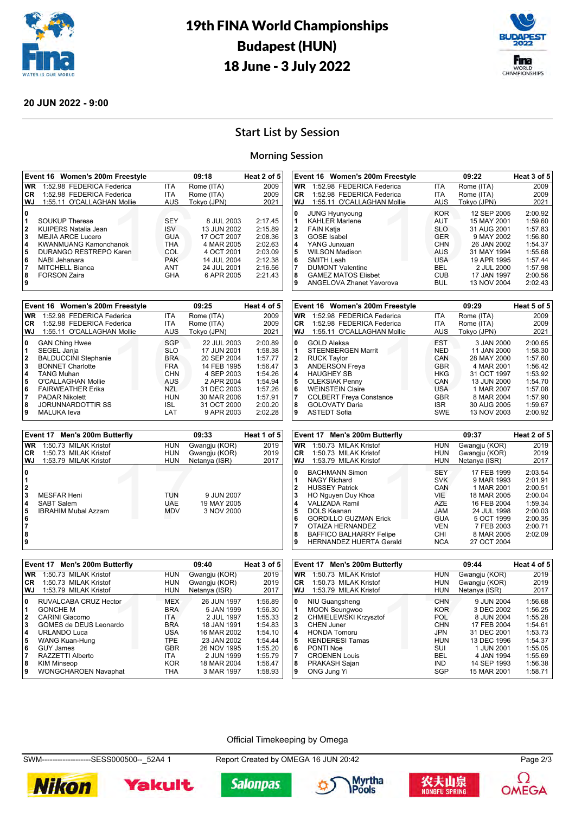



### **20 JUN 2022 - 9:00**

## **Start List by Session**

### **Morning Session**

|                         | Event 16 Women's 200m Freestyle                   |                          | 09:18                          | Heat 2 of 5        | Event 16 Women's 200m Freestyle                             |                          | 09:22                          | Heat 3 of 5        |
|-------------------------|---------------------------------------------------|--------------------------|--------------------------------|--------------------|-------------------------------------------------------------|--------------------------|--------------------------------|--------------------|
| W <sub>R</sub>          | 1:52.98 FEDERICA Federica                         | <b>ITA</b>               | Rome (ITA)                     | 2009               | WR 1:52.98 FEDERICA Federica                                | <b>ITA</b>               | Rome (ITA)                     | 2009               |
| <b>CR</b>               | 1:52.98 FEDERICA Federica                         | <b>ITA</b>               | Rome (ITA)                     | 2009               | <b>CR</b><br>1:52.98 FEDERICA Federica                      | <b>ITA</b>               | Rome (ITA)                     | 2009               |
| <b>WJ</b>               | 1:55.11 O'CALLAGHAN Mollie                        | <b>AUS</b>               | Tokyo (JPN)                    | 2021               | <b>WJ</b><br>1:55.11 O'CALLAGHAN Mollie                     | <b>AUS</b>               | Tokyo (JPN)                    | 2021               |
| $\mathbf{0}$            |                                                   |                          |                                |                    | $\mathbf 0$<br><b>JUNG Hyunyoung</b>                        | <b>KOR</b>               | 12 SEP 2005                    | 2:00.92            |
| 1                       | <b>SOUKUP Therese</b>                             | <b>SEY</b>               | 8 JUL 2003                     | 2:17.45            | 1<br><b>KAHLER Marlene</b>                                  | <b>AUT</b>               | 15 MAY 2001                    | 1:59.60            |
| $\overline{\mathbf{2}}$ | KUIPERS Natalia Jean                              | <b>ISV</b>               | 13 JUN 2002                    | 2:15.89            | $\mathbf{2}$<br><b>FAIN Katja</b>                           | <b>SLO</b>               | 31 AUG 2001                    | 1:57.83            |
| 3                       | <b>MEJIA ARCE Lucero</b>                          | <b>GUA</b>               | 17 OCT 2007                    | 2:08.36            | 3<br><b>GOSE</b> Isabel                                     | <b>GER</b>               | 9 MAY 2002                     | 1:56.80            |
| 4                       | <b>KWANMUANG Kamonchanok</b>                      | <b>THA</b>               | 4 MAR 2005                     | 2:02.63            | 4<br>YANG Junxuan                                           | <b>CHN</b>               | 26 JAN 2002                    | 1:54.37            |
| 5                       | DURANGO RESTREPO Karen                            | COL                      | 4 OCT 2001                     | 2:03.09            | 5<br><b>WILSON Madison</b>                                  | <b>AUS</b>               | 31 MAY 1994                    | 1:55.68            |
| 6<br>$\overline{7}$     | NABI Jehanara                                     | <b>PAK</b>               | 14 JUL 2004                    | 2:12.38            | 6<br>SMITH Leah<br>7                                        | <b>USA</b>               | 19 APR 1995                    | 1:57.44            |
| 8                       | <b>MITCHELL Bianca</b>                            | ANT<br><b>GHA</b>        | 24 JUL 2001                    | 2:16.56<br>2:21.43 | <b>DUMONT Valentine</b><br>8                                | <b>BEL</b><br><b>CUB</b> | 2 JUL 2000                     | 1:57.98<br>2:00.56 |
| 9                       | <b>FORSON Zaira</b>                               |                          | 6 APR 2005                     |                    | <b>GAMEZ MATOS Elisbet</b><br>9<br>ANGELOVA Zhanet Yavorova | <b>BUL</b>               | 17 JAN 1997<br>13 NOV 2004     | 2:02.43            |
|                         |                                                   |                          |                                |                    |                                                             |                          |                                |                    |
|                         | Event 16 Women's 200m Freestyle                   |                          | 09:25                          | Heat 4 of 5        | Event 16 Women's 200m Freestyle                             |                          | 09:29                          | Heat 5 of 5        |
| <b>WR</b>               | 1:52.98 FEDERICA Federica                         | <b>ITA</b>               | Rome (ITA)                     | 2009               | <b>WR</b><br>1:52.98 FEDERICA Federica                      | <b>ITA</b>               | Rome (ITA)                     | 2009               |
| CR                      | 1:52.98 FEDERICA Federica                         | <b>ITA</b>               | Rome (ITA)                     | 2009               | <b>CR</b><br>1:52.98 FEDERICA Federica                      | ITA                      | Rome (ITA)                     | 2009               |
| <b>WJ</b>               | 1:55.11 O'CALLAGHAN Mollie                        | <b>AUS</b>               | Tokyo (JPN)                    | 2021               | <b>WJ</b><br>1:55.11 O'CALLAGHAN Mollie                     | <b>AUS</b>               | Tokyo (JPN)                    | 2021               |
|                         |                                                   |                          |                                |                    |                                                             |                          |                                |                    |
| $\bf{0}$                | <b>GAN Ching Hwee</b>                             | SGP                      | 22 JUL 2003                    | 2:00.89            | 0<br><b>GOLD Aleksa</b>                                     | <b>EST</b>               | 3 JAN 2000                     | 2:00.65            |
| 1<br>$\overline{2}$     | SEGEL Janja                                       | <b>SLO</b>               | 17 JUN 2001                    | 1:58.38            | 1<br>STEENBERGEN Marrit<br>$\overline{\mathbf{2}}$          | <b>NED</b>               | 11 JAN 2000<br>28 MAY 2000     | 1:58.30            |
| 3                       | <b>BALDUCCINI Stephanie</b>                       | <b>BRA</b>               | 20 SEP 2004                    | 1:57.77            | <b>RUCK Taylor</b>                                          | CAN                      |                                | 1:57.60            |
|                         | <b>BONNET Charlotte</b>                           | <b>FRA</b>               | 14 FEB 1995                    | 1:56.47            | 3<br><b>ANDERSON Freya</b>                                  | <b>GBR</b>               | 4 MAR 2001                     | 1:56.42            |
| 4<br>5                  | <b>TANG Muhan</b><br>O'CALLAGHAN Mollie           | <b>CHN</b><br><b>AUS</b> | 4 SEP 2003<br>2 APR 2004       | 1:54.26<br>1:54.94 | 4<br><b>HAUGHEY SB</b><br>5<br><b>OLEKSIAK Penny</b>        | <b>HKG</b><br>CAN        | 31 OCT 1997<br>13 JUN 2000     | 1:53.92<br>1:54.70 |
| 6                       | <b>FAIRWEATHER Erika</b>                          | <b>NZL</b>               | 31 DEC 2003                    | 1:57.26            | 6<br><b>WEINSTEIN Claire</b>                                | <b>USA</b>               | 1 MAR 2007                     | 1:57.08            |
| $\overline{7}$          | <b>PADAR Nikolett</b>                             | <b>HUN</b>               | 30 MAR 2006                    | 1:57.91            | 7<br><b>COLBERT Freya Constance</b>                         | <b>GBR</b>               | 8 MAR 2004                     | 1:57.90            |
| 8                       | <b>JORUNNARDOTTIR SS</b>                          | <b>ISL</b>               | 31 OCT 2000                    | 2:00.20            | 8<br><b>GOLOVATY Daria</b>                                  | <b>ISR</b>               | 30 AUG 2005                    | 1:59.67            |
| 9                       | <b>MALUKA</b> leva                                | LAT                      | 9 APR 2003                     | 2:02.28            | 9<br><b>ASTEDT Sofia</b>                                    | <b>SWE</b>               | 13 NOV 2003                    | 2:00.92            |
|                         |                                                   |                          |                                |                    |                                                             |                          |                                |                    |
|                         |                                                   |                          |                                |                    |                                                             |                          |                                |                    |
|                         | Event 17 Men's 200m Butterfly                     |                          | 09:33                          | Heat 1 of 5        | Event 17 Men's 200m Butterfly                               |                          | 09:37                          | Heat 2 of 5        |
| <b>WR</b>               | 1:50.73 MILAK Kristof                             | <b>HUN</b>               |                                | 2019               | <b>WR</b><br>1:50.73 MILAK Kristof                          | <b>HUN</b>               |                                | 2019               |
| CR                      | 1:50.73 MILAK Kristof                             | <b>HUN</b>               | Gwangju (KOR)                  | 2019               | <b>CR</b><br>1:50.73 MILAK Kristof                          | <b>HUN</b>               | Gwangju (KOR)                  | 2019               |
| <b>WJ</b>               | 1:53.79 MILAK Kristof                             | <b>HUN</b>               | Gwangju (KOR)<br>Netanya (ISR) | 2017               | WJ<br>1:53.79 MILAK Kristof                                 | <b>HUN</b>               | Gwangju (KOR)<br>Netanya (ISR) | 2017               |
|                         |                                                   |                          |                                |                    |                                                             |                          |                                |                    |
| $\mathbf 0$             |                                                   |                          |                                |                    | $\pmb{0}$<br><b>BACHMANN Simon</b>                          | <b>SEY</b>               | 17 FEB 1999                    | 2:03.54            |
| 1                       |                                                   |                          |                                |                    | <b>NAGY Richard</b><br>1                                    | <b>SVK</b>               | 9 MAR 1993                     | 2:01.91            |
| $\bf{2}$                | <b>MESFAR Heni</b>                                | <b>TUN</b>               | 9 JUN 2007                     |                    | 2<br><b>HUSSEY Patrick</b><br>3                             | CAN<br>VIE               | 1 MAR 2001                     | 2:00.51<br>2:00.04 |
| 3                       | <b>SABT Salem</b>                                 | <b>UAE</b>               | 19 MAY 2005                    |                    | HO Nguyen Duy Khoa<br>4<br><b>VALIZADA Ramil</b>            | <b>AZE</b>               | 18 MAR 2005<br>16 FEB 2004     | 1:59.34            |
| $\frac{4}{5}$           | <b>IBRAHIM Mubal Azzam</b>                        | <b>MDV</b>               | 3 NOV 2000                     |                    | 5<br><b>DOLS Keanan</b>                                     | <b>JAM</b>               | 24 JUL 1998                    | 2:00.03            |
| 6                       |                                                   |                          |                                |                    | 6<br><b>GORDILLO GUZMAN Erick</b>                           | <b>GUA</b>               | 5 OCT 1999                     | 2:00.35            |
| $\overline{7}$          |                                                   |                          |                                |                    | 7<br>OTAIZA HERNANDEZ                                       | <b>VEN</b>               | 7 FEB 2003                     | 2:00.71            |
| 8                       |                                                   |                          |                                |                    | 8<br><b>BAFFICO BALHARRY Felipe</b>                         | CHI                      | 8 MAR 2005                     | 2:02.09            |
| 9                       |                                                   |                          |                                |                    | 9<br>HERNANDEZ HUERTA Gerald                                | <b>NCA</b>               | 27 OCT 2004                    |                    |
|                         |                                                   |                          |                                |                    |                                                             |                          |                                |                    |
|                         | Event 17 Men's 200m Butterfly                     |                          | 09:40                          | Heat 3 of 5        | Event 17 Men's 200m Butterfly                               |                          | 09:44                          | Heat 4 of 5        |
| <b>WR</b>               | 1:50.73 MILAK Kristof                             | <b>HUN</b>               | Gwangju (KOR)                  | 2019               | <b>WR</b><br>1:50.73 MILAK Kristof                          | <b>HUN</b>               | Gwangju (KOR)                  | 2019               |
| <b>CR</b>               | 1:50.73 MILAK Kristof                             | <b>HUN</b>               | Gwangju (KOR)                  | 2019               | <b>CR</b><br>1:50.73 MILAK Kristof                          | <b>HUN</b>               | Gwangju (KOR)                  | 2019               |
| WJ                      | 1:53.79 MILAK Kristof                             | <b>HUN</b>               | Netanya (ISR)                  | 2017               | WJ<br>1:53.79 MILAK Kristof                                 | <b>HUN</b>               | Netanya (ISR)                  | 2017               |
| $\mathbf{0}$            | RUVALCABA CRUZ Hector                             | <b>MEX</b>               | 26 JUN 1997                    | 1:56.89            | $\mathbf 0$<br>NIU Guangsheng                               | <b>CHN</b>               | 9 JUN 2004                     | 1:56.68            |
| $\mathbf{1}$            | <b>GONCHE M</b>                                   | <b>BRA</b>               | 5 JAN 1999                     | 1:56.30            | $\vert$ 1<br><b>MOON Seungwoo</b>                           | <b>KOR</b>               | 3 DEC 2002                     | 1:56.25            |
| $\bf{2}$                | CARINI Giacomo                                    | ITA                      | 2 JUL 1997                     | 1:55.33            | $\overline{\mathbf{2}}$<br>CHMIELEWSKI Krzysztof            | POL                      | 8 JUN 2004                     | 1:55.28            |
| 3                       | GOMES de DEUS Leonardo                            | <b>BRA</b>               | 18 JAN 1991                    | 1:54.83            | 3<br><b>CHEN Juner</b>                                      | <b>CHN</b>               | 17 FEB 2004                    | 1:54.61            |
| 4                       | <b>URLANDO Luca</b>                               | <b>USA</b>               | 16 MAR 2002                    | 1:54.10            | $\overline{\mathbf{4}}$<br><b>HONDA Tomoru</b>              | <b>JPN</b>               | 31 DEC 2001                    | 1:53.73            |
| 5                       | <b>WANG Kuan-Hung</b>                             | <b>TPE</b>               | 23 JAN 2002                    | 1:54.44            | 5<br><b>KENDERESI Tamas</b>                                 | HUN                      | 13 DEC 1996                    | 1:54.37            |
| 6                       | <b>GUY James</b>                                  | <b>GBR</b>               | 26 NOV 1995                    | 1:55.20            | 6<br>PONTI Noe                                              | SUI                      | 1 JUN 2001                     | 1:55.05            |
| $\overline{7}$          | RAZZETTI Alberto                                  | <b>ITA</b>               | 2 JUN 1999                     | 1:55.79            | 7<br><b>CROENEN Louis</b>                                   | <b>BEL</b>               | 4 JAN 1994                     | 1:55.69            |
| 8<br>9                  | <b>KIM Minseop</b><br><b>WONGCHAROEN Navaphat</b> | <b>KOR</b><br><b>THA</b> | 18 MAR 2004<br>3 MAR 1997      | 1:56.47<br>1:58.93 | 8<br>PRAKASH Sajan<br>9<br>ONG Jung Yi                      | <b>IND</b><br><b>SGP</b> | 14 SEP 1993<br>15 MAR 2001     | 1:56.38<br>1:58.71 |

#### Official Timekeeping by Omega

SWM-------------------SESS000500--\_52A4 1 Report Created by OMEGA 16 JUN 20:42 Page 2/3











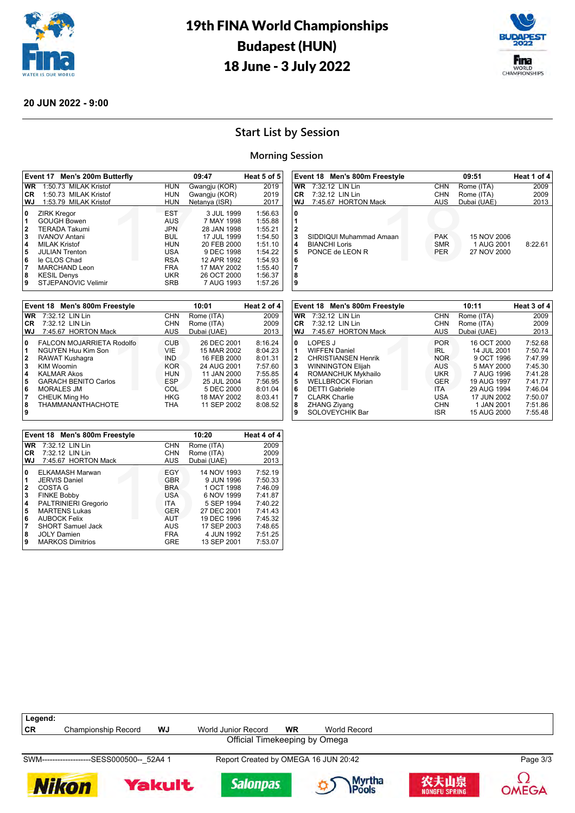



### **20 JUN 2022 - 9:00**

## **Start List by Session**

### **Morning Session**

 

|                                                | Event 17 Men's 200m Butterfly                                                                                                                                                                                                  |                                                                                                                     | 09:47                                                                                                                                          | Heat 5 of 5                                                                                                |
|------------------------------------------------|--------------------------------------------------------------------------------------------------------------------------------------------------------------------------------------------------------------------------------|---------------------------------------------------------------------------------------------------------------------|------------------------------------------------------------------------------------------------------------------------------------------------|------------------------------------------------------------------------------------------------------------|
| <b>WR</b>                                      | 1:50.73 MILAK Kristof                                                                                                                                                                                                          | <b>HUN</b>                                                                                                          | Gwangju (KOR)                                                                                                                                  | 2019                                                                                                       |
| CR.                                            | 1:50.73 MILAK Kristof                                                                                                                                                                                                          | <b>HUN</b>                                                                                                          | Gwangju (KOR)                                                                                                                                  | 2019                                                                                                       |
| WJ                                             | 1:53.79 MILAK Kristof                                                                                                                                                                                                          | <b>HUN</b>                                                                                                          | Netanya (ISR)                                                                                                                                  | 2017                                                                                                       |
| 0<br>1<br>2<br>3<br>4<br>5<br>6<br>7<br>8<br>9 | <b>ZIRK Kregor</b><br><b>GOUGH Bowen</b><br><b>TERADA Takumi</b><br><b>IVANOV Antani</b><br><b>MILAK Kristof</b><br><b>JULIAN Trenton</b><br>le CLOS Chad<br><b>MARCHAND Leon</b><br><b>KESIL Denys</b><br>STJEPANOVIC Velimir | <b>EST</b><br><b>AUS</b><br><b>JPN</b><br><b>BUL</b><br>HUN<br>USA<br><b>RSA</b><br><b>FRA</b><br>UKR<br><b>SRB</b> | 3 JUL 1999<br>7 MAY 1998<br>28 JAN 1998<br>17 JUL 1999<br>20 FEB 2000<br>9 DEC 1998<br>12 APR 1992<br>17 MAY 2002<br>26 OCT 2000<br>7 AUG 1993 | 1:56.63<br>1:55.88<br>1:55.21<br>1:54.50<br>1:51.10<br>1:54.22<br>1:54.93<br>1:55.40<br>1:56.37<br>1:57.26 |

|           | Event 18 Men's 800m Freestyle |            | 10:01       | Heat 2 of 4 |
|-----------|-------------------------------|------------|-------------|-------------|
| <b>WR</b> | 7:32.12 LIN Lin               | <b>CHN</b> | Rome (ITA)  | 2009        |
| СR        | 7:32.12 LIN Lin               | <b>CHN</b> | Rome (ITA)  | 2009        |
| WJ.       | 7:45.67 HORTON Mack           | AUS        | Dubai (UAE) | 2013        |
| 0         | FALCON MOJARRIETA Rodolfo     | <b>CUB</b> | 26 DEC 2001 | 8:16.24     |
| 1         | NGUYEN Huu Kim Son            | VIE        | 15 MAR 2002 | 8:04.23     |
| 2         | RAWAT Kushaqra                | <b>IND</b> | 16 FEB 2000 | 8:01.31     |
| 3         | <b>KIM Woomin</b>             | <b>KOR</b> | 24 AUG 2001 | 7:57.60     |
| 4         | <b>KALMAR Akos</b>            | HUN        | 11 JAN 2000 | 7:55.85     |
| 5         | <b>GARACH BENITO Carlos</b>   | ESP        | 25 JUL 2004 | 7:56.95     |
| 6         | <b>MORALES JM</b>             | COL        | 5 DEC 2000  | 8:01.04     |
| 7         | CHEUK Ming Ho                 | <b>HKG</b> | 18 MAY 2002 | 8:03.41     |
| 8<br>9    | <b>THAMMANANTHACHOTE</b>      | <b>THA</b> | 11 SEP 2002 | 8:08.52     |

|                                 | Event 18 Men's 800m Freestyle                                                                                                                                               |                                                                                                       | 10:20                                                                                                            | Heat 4 of 4                                                                          |
|---------------------------------|-----------------------------------------------------------------------------------------------------------------------------------------------------------------------------|-------------------------------------------------------------------------------------------------------|------------------------------------------------------------------------------------------------------------------|--------------------------------------------------------------------------------------|
| <b>WR</b>                       | 7:32.12 LIN Lin                                                                                                                                                             | <b>CHN</b>                                                                                            | Rome (ITA)                                                                                                       | 2009                                                                                 |
| CR.                             | 7:32.12 LIN Lin                                                                                                                                                             | <b>CHN</b>                                                                                            | Rome (ITA)                                                                                                       | 2009                                                                                 |
| WJ                              | 7:45.67 HORTON Mack                                                                                                                                                         | <b>AUS</b>                                                                                            | Dubai (UAE)                                                                                                      | 2013                                                                                 |
| 0<br>1<br>2<br>3<br>4<br>5<br>6 | ELKAMASH Marwan<br><b>JERVIS Daniel</b><br>COSTA G<br><b>FINKE Bobby</b><br>PALTRINIERI Gregorio<br><b>MARTENS Lukas</b><br><b>AUBOCK Felix</b><br><b>SHORT Samuel Jack</b> | <b>EGY</b><br><b>GBR</b><br><b>BRA</b><br><b>USA</b><br><b>ITA</b><br><b>GER</b><br><b>AUT</b><br>AUS | 14 NOV 1993<br>9 JUN 1996<br>1 OCT 1998<br>6 NOV 1999<br>5 SEP 1994<br>27 DEC 2001<br>19 DEC 1996<br>17 SEP 2003 | 7:52.19<br>7:50.33<br>7:46.09<br>7:41.87<br>7:40.22<br>7:41.43<br>7:45.32<br>7:48.65 |
| 8<br>9                          | <b>JOLY Damien</b><br><b>MARKOS Dimitrios</b>                                                                                                                               | <b>FRA</b><br>GRE                                                                                     | 4 JUN 1992<br>13 SEP 2001                                                                                        | 7:51.25<br>7:53.07                                                                   |

|                                            | Event 18 Men's 800m Freestyle                                      |                                        | 09:51                                    | Heat 1 of 4 |
|--------------------------------------------|--------------------------------------------------------------------|----------------------------------------|------------------------------------------|-------------|
| <b>WR</b>                                  | 7:32.12 LIN Lin                                                    | <b>CHN</b>                             | Rome (ITA)                               | 2009        |
| CR.                                        | 7:32.12 LIN Lin                                                    | CHN                                    | Rome (ITA)                               | 2009        |
| WJ.                                        | 7:45.67 HORTON Mack                                                | AUS                                    | Dubai (UAE)                              | 2013        |
| 0<br>$\mathbf{2}$<br>3<br>4<br>5<br>6<br>8 | SIDDIQUI Muhammad Amaan<br><b>BIANCHI Loris</b><br>PONCE de LEON R | <b>PAK</b><br><b>SMR</b><br><b>PER</b> | 15 NOV 2006<br>1 AUG 2001<br>27 NOV 2000 | 8:22.61     |

|              | Event 18 Men's 800m Freestyle |            | 10:11       | Heat 3 of 4 |
|--------------|-------------------------------|------------|-------------|-------------|
| <b>WR</b>    | 7:32.12 LIN Lin               | <b>CHN</b> | Rome (ITA)  | 2009        |
| CR.          | 7:32.12 LIN Lin               | <b>CHN</b> | Rome (ITA)  | 2009        |
| WJ.          | 7:45.67 HORTON Mack           | <b>AUS</b> | Dubai (UAE) | 2013        |
| 0            | LOPES J                       | <b>POR</b> | 16 OCT 2000 | 7:52.68     |
|              | <b>WIFFEN Daniel</b>          | <b>IRL</b> | 14 JUL 2001 | 7:50.74     |
| $\mathbf{2}$ | <b>CHRISTIANSEN Henrik</b>    | <b>NOR</b> | 9 OCT 1996  | 7:47.99     |
| 3            | <b>WINNINGTON Elijah</b>      | <b>AUS</b> | 5 MAY 2000  | 7:45.30     |
| 4            | ROMANCHUK Mykhailo            | <b>UKR</b> | 7 AUG 1996  | 7:41.28     |
| 5            | <b>WELLBROCK Florian</b>      | <b>GER</b> | 19 AUG 1997 | 7:41.77     |
| 6            | <b>DETTI Gabriele</b>         | <b>ITA</b> | 29 AUG 1994 | 7:46.04     |
| 7            | <b>CLARK Charlie</b>          | USA        | 17 JUN 2002 | 7:50.07     |
| 8            | <b>ZHANG Ziyang</b>           | <b>CHN</b> | 1 JAN 2001  | 7:51.86     |
| 9            | SOLOVEYCHIK Bar               | <b>ISR</b> | 15 AUG 2000 | 7:55.48     |

| Legend: |                                            |    |                                      |    |              |          |
|---------|--------------------------------------------|----|--------------------------------------|----|--------------|----------|
| ∣CR     | Championship Record                        | WJ | World Junior Record                  | WR | World Record |          |
|         |                                            |    | Official Timekeeping by Omega        |    |              |          |
|         | SWM--------------------SESS000500-- 52A4 1 |    | Report Created by OMEGA 16 JUN 20:42 |    |              | Page 3/3 |













**OMEGA**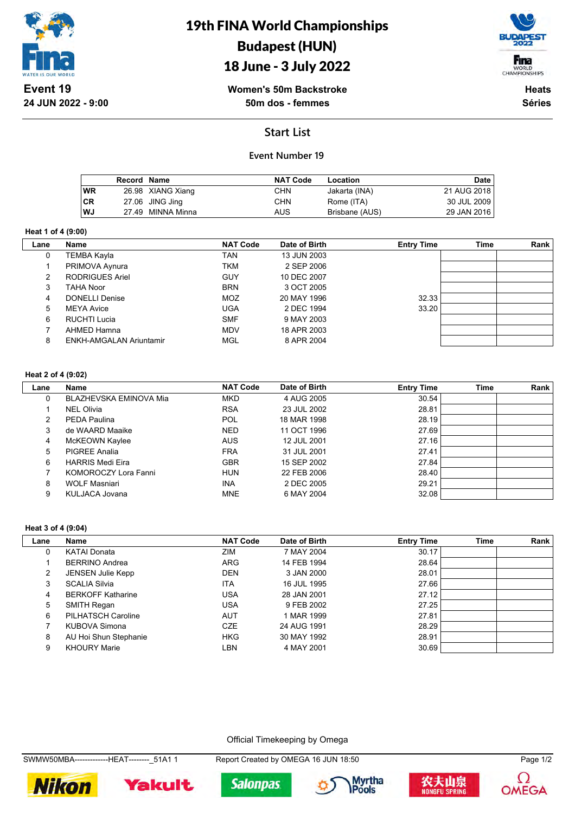

19th FINA World Championships Budapest (HUN)

## 18 June - 3 July 2022



**Women's 50m Backstroke 50m dos - femmes**

**Heats Séries**

## **Start List**

### **Event Number 19**

|           | Record Name |                   | <b>NAT Code</b> | Location       | Date        |
|-----------|-------------|-------------------|-----------------|----------------|-------------|
| <b>WR</b> |             | 26.98 XIANG Xiang | CHN             | Jakarta (INA)  | 21 AUG 2018 |
| <b>CR</b> |             | 27.06 JING Jing   | CHN             | Rome (ITA)     | 30 JUL 2009 |
| <b>WJ</b> |             | 27.49 MINNA Minna | AUS             | Brisbane (AUS) | 29 JAN 2016 |

#### **Heat 1 of 4 (9:00)**

| Lane | Name                    | <b>NAT Code</b> | Date of Birth | <b>Entry Time</b> | Time | Rank |
|------|-------------------------|-----------------|---------------|-------------------|------|------|
| 0    | TEMBA Kayla             | TAN             | 13 JUN 2003   |                   |      |      |
|      | PRIMOVA Aynura          | <b>TKM</b>      | 2 SEP 2006    |                   |      |      |
| 2    | <b>RODRIGUES Ariel</b>  | <b>GUY</b>      | 10 DEC 2007   |                   |      |      |
| 3    | TAHA Noor               | <b>BRN</b>      | 3 OCT 2005    |                   |      |      |
| 4    | <b>DONELLI Denise</b>   | <b>MOZ</b>      | 20 MAY 1996   | 32.33             |      |      |
| 5    | <b>MEYA Avice</b>       | <b>UGA</b>      | 2 DEC 1994    | 33.20             |      |      |
| 6    | RUCHTI Lucia            | <b>SMF</b>      | 9 MAY 2003    |                   |      |      |
|      | AHMED Hamna             | <b>MDV</b>      | 18 APR 2003   |                   |      |      |
| 8    | ENKH-AMGALAN Ariuntamir | <b>MGL</b>      | 8 APR 2004    |                   |      |      |

#### **Heat 2 of 4 (9:02)**

| Lane | <b>Name</b>             | <b>NAT Code</b> | Date of Birth | <b>Entry Time</b> | <b>Time</b> | Rank |
|------|-------------------------|-----------------|---------------|-------------------|-------------|------|
| 0    | BLAZHEVSKA EMINOVA Mia  | <b>MKD</b>      | 4 AUG 2005    | 30.54             |             |      |
|      | <b>NEL Olivia</b>       | <b>RSA</b>      | 23 JUL 2002   | 28.81             |             |      |
| 2    | PEDA Paulina            | <b>POL</b>      | 18 MAR 1998   | 28.19             |             |      |
| 3    | de WAARD Maaike         | <b>NED</b>      | 11 OCT 1996   | 27.69             |             |      |
| 4    | McKEOWN Kaylee          | <b>AUS</b>      | 12 JUL 2001   | 27.16             |             |      |
| 5    | <b>PIGREE Analia</b>    | <b>FRA</b>      | 31 JUL 2001   | 27.41             |             |      |
| 6    | <b>HARRIS Medi Eira</b> | <b>GBR</b>      | 15 SEP 2002   | 27.84             |             |      |
|      | KOMOROCZY Lora Fanni    | <b>HUN</b>      | 22 FEB 2006   | 28.40             |             |      |
| 8    | <b>WOLF Masniari</b>    | <b>INA</b>      | 2 DEC 2005    | 29.21             |             |      |
| 9    | KULJACA Jovana          | <b>MNE</b>      | 6 MAY 2004    | 32.08             |             |      |

#### **Heat 3 of 4 (9:04)**

| Lane           | Name                     | <b>NAT Code</b> | Date of Birth | <b>Entry Time</b> | <b>Time</b> | Rank |
|----------------|--------------------------|-----------------|---------------|-------------------|-------------|------|
|                | <b>KATAI Donata</b>      | ZIM             | 7 MAY 2004    | 30.17             |             |      |
|                | <b>BERRINO Andrea</b>    | <b>ARG</b>      | 14 FEB 1994   | 28.64             |             |      |
| $\overline{2}$ | <b>JENSEN Julie Kepp</b> | <b>DEN</b>      | 3 JAN 2000    | 28.01             |             |      |
| 3              | <b>SCALIA Silvia</b>     | <b>ITA</b>      | 16 JUL 1995   | 27.66             |             |      |
| 4              | <b>BERKOFF Katharine</b> | <b>USA</b>      | 28 JAN 2001   | 27.12             |             |      |
| 5              | SMITH Regan              | <b>USA</b>      | 9 FEB 2002    | 27.25             |             |      |
| 6              | PILHATSCH Caroline       | <b>AUT</b>      | 1 MAR 1999    | 27.81             |             |      |
|                | KUBOVA Simona            | CZE             | 24 AUG 1991   | 28.29             |             |      |
| 8              | AU Hoi Shun Stephanie    | <b>HKG</b>      | 30 MAY 1992   | 28.91             |             |      |
| 9              | <b>KHOURY Marie</b>      | LBN             | 4 MAY 2001    | 30.69             |             |      |

Official Timekeeping by Omega

SWMW50MBA--------------HEAT--------\_51A1 1 Report Created by OMEGA 16 JUN 18:50 Page 1/2









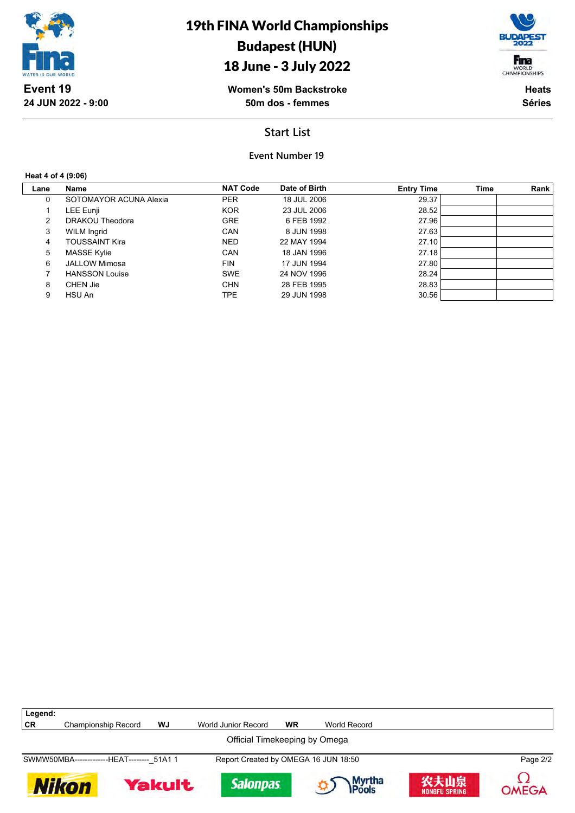





**Women's 50m Backstroke 50m dos - femmes**

**Heats Séries**

## **Start List**

**Event Number 19**

#### **Heat 4 of 4 (9:06)**

| Lane | Name                   | <b>NAT Code</b> | Date of Birth | <b>Entry Time</b> | <b>Time</b> | Rank |
|------|------------------------|-----------------|---------------|-------------------|-------------|------|
| 0    | SOTOMAYOR ACUNA Alexia | <b>PER</b>      | 18 JUL 2006   | 29.37             |             |      |
|      | LEE Eunji              | <b>KOR</b>      | 23 JUL 2006   | 28.52             |             |      |
| 2    | DRAKOU Theodora        | <b>GRE</b>      | 6 FEB 1992    | 27.96             |             |      |
| 3    | <b>WILM Ingrid</b>     | CAN             | 8 JUN 1998    | 27.63             |             |      |
| 4    | TOUSSAINT Kira         | <b>NED</b>      | 22 MAY 1994   | 27.10             |             |      |
| 5    | <b>MASSE Kylie</b>     | CAN             | 18 JAN 1996   | 27.18             |             |      |
| 6    | <b>JALLOW Mimosa</b>   | <b>FIN</b>      | 17 JUN 1994   | 27.80             |             |      |
|      | <b>HANSSON Louise</b>  | <b>SWE</b>      | 24 NOV 1996   | 28.24             |             |      |
| 8    | CHEN Jie               | <b>CHN</b>      | 28 FEB 1995   | 28.83             |             |      |
| 9    | HSU An                 | TPE             | 29 JUN 1998   | 30.56             |             |      |

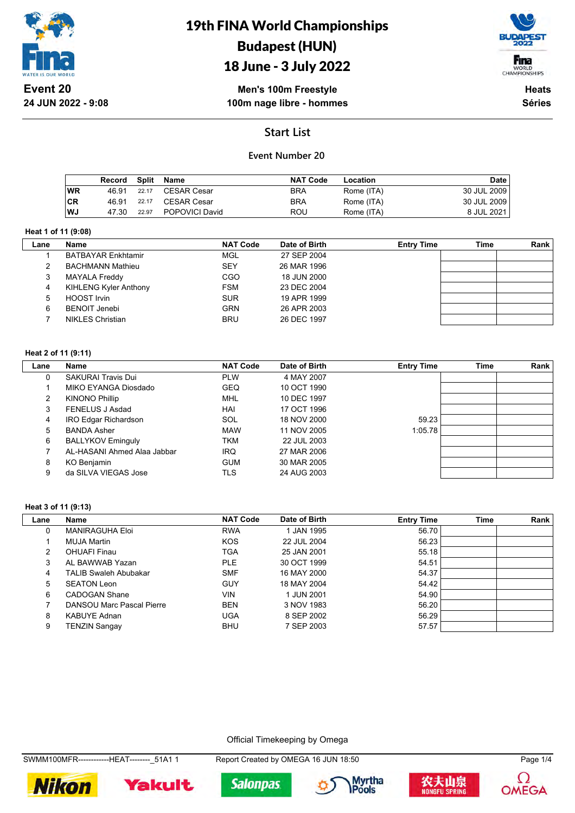

## 19th FINA World Championships Budapest (HUN) 18 June - 3 July 2022



**Men's 100m Freestyle 100m nage libre - hommes**

**Heats Séries**

## **Start List**

### **Event Number 20**

|    | Record | Split | Name                  | <b>NAT Code</b> | Location   | Date        |
|----|--------|-------|-----------------------|-----------------|------------|-------------|
| WR | 46.91  | 22.17 | CESAR Cesar           | <b>BRA</b>      | Rome (ITA) | 30 JUL 2009 |
| CR | 46.91  | 22.17 | CESAR Cesar           | <b>BRA</b>      | Rome (ITA) | 30 JUL 2009 |
| WJ | 47.30  | 22.97 | <b>POPOVICI David</b> | ROU             | Rome (ITA) | 8 JUL 2021  |

#### **Heat 1 of 11 (9:08)**

 $\overline{\phantom{a}}$ 

| Lane | <b>Name</b>                  | <b>NAT Code</b> | Date of Birth | <b>Entry Time</b> | Time | Rank |
|------|------------------------------|-----------------|---------------|-------------------|------|------|
|      | <b>BATBAYAR Enkhtamir</b>    | MGL             | 27 SEP 2004   |                   |      |      |
|      | <b>BACHMANN Mathieu</b>      | <b>SEY</b>      | 26 MAR 1996   |                   |      |      |
| 3    | <b>MAYALA Freddy</b>         | CGO             | 18 JUN 2000   |                   |      |      |
| 4    | <b>KIHLENG Kyler Anthony</b> | <b>FSM</b>      | 23 DEC 2004   |                   |      |      |
| 5.   | <b>HOOST Irvin</b>           | <b>SUR</b>      | 19 APR 1999   |                   |      |      |
| 6    | <b>BENOIT Jenebi</b>         | <b>GRN</b>      | 26 APR 2003   |                   |      |      |
|      | <b>NIKLES Christian</b>      | <b>BRU</b>      | 26 DEC 1997   |                   |      |      |

#### **Heat 2 of 11 (9:11)**

| Lane | Name                        | <b>NAT Code</b> | Date of Birth | <b>Entry Time</b> | <b>Time</b> | <b>Rank</b> |
|------|-----------------------------|-----------------|---------------|-------------------|-------------|-------------|
| 0    | <b>SAKURAI Travis Dui</b>   | <b>PLW</b>      | 4 MAY 2007    |                   |             |             |
|      | MIKO EYANGA Diosdado        | <b>GEQ</b>      | 10 OCT 1990   |                   |             |             |
| 2    | <b>KINONO Phillip</b>       | MHL             | 10 DEC 1997   |                   |             |             |
| 3    | FENELUS J Asdad             | HAI             | 17 OCT 1996   |                   |             |             |
| 4    | IRO Edgar Richardson        | <b>SOL</b>      | 18 NOV 2000   | 59.23             |             |             |
| 5.   | <b>BANDA Asher</b>          | <b>MAW</b>      | 11 NOV 2005   | 1:05.78           |             |             |
| 6    | <b>BALLYKOV Eminguly</b>    | TKM             | 22 JUL 2003   |                   |             |             |
|      | AL-HASANI Ahmed Alaa Jabbar | <b>IRQ</b>      | 27 MAR 2006   |                   |             |             |
| 8    | KO Benjamin                 | <b>GUM</b>      | 30 MAR 2005   |                   |             |             |
| 9    | da SILVA VIEGAS Jose        | TLS             | 24 AUG 2003   |                   |             |             |

#### **Heat 3 of 11 (9:13)**

| Lane | Name                         | <b>NAT Code</b> | Date of Birth | <b>Entry Time</b> | <b>Time</b> | Rank |
|------|------------------------------|-----------------|---------------|-------------------|-------------|------|
| 0    | <b>MANIRAGUHA Eloi</b>       | <b>RWA</b>      | 1 JAN 1995    | 56.70             |             |      |
|      | MUJA Martin                  | <b>KOS</b>      | 22 JUL 2004   | 56.23             |             |      |
| 2    | <b>OHUAFI Finau</b>          | TGA             | 25 JAN 2001   | 55.18             |             |      |
| 3    | AL BAWWAB Yazan              | PLE.            | 30 OCT 1999   | 54.51             |             |      |
| 4    | <b>TALIB Swaleh Abubakar</b> | <b>SMF</b>      | 16 MAY 2000   | 54.37             |             |      |
| 5    | <b>SEATON Leon</b>           | <b>GUY</b>      | 18 MAY 2004   | 54.42             |             |      |
| 6    | CADOGAN Shane                | <b>VIN</b>      | 1 JUN 2001    | 54.90             |             |      |
|      | DANSOU Marc Pascal Pierre    | <b>BEN</b>      | 3 NOV 1983    | 56.20             |             |      |
| 8    | <b>KABUYE Adnan</b>          | <b>UGA</b>      | 8 SEP 2002    | 56.29             |             |      |
| 9    | TENZIN Sangay                | <b>BHU</b>      | 7 SEP 2003    | 57.57             |             |      |

Official Timekeeping by Omega

SWMM100MFR------------HEAT--------\_51A1 1 Report Created by OMEGA 16 JUN 18:50 Page 1/4











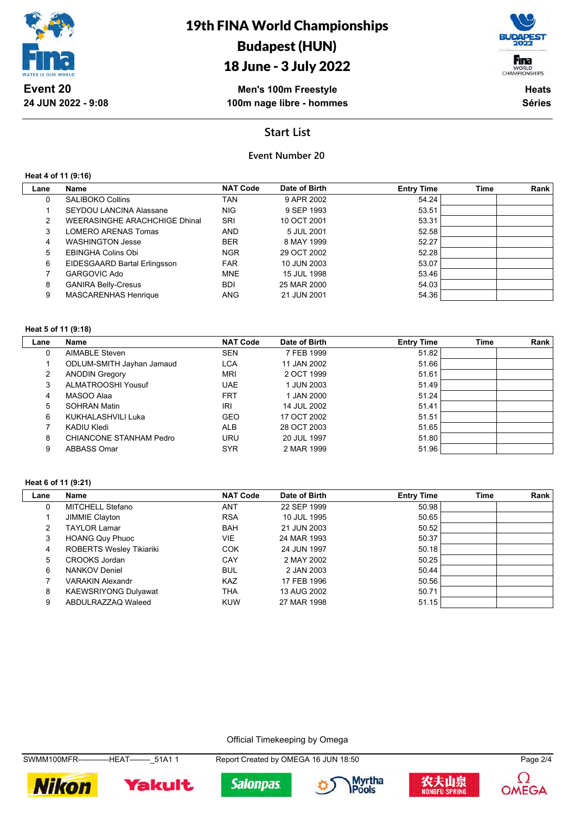

## 18 June - 3 July 2022



**Men's 100m Freestyle 100m nage libre - hommes**

**Heats Séries**

## **Start List**

## **Event Number 20**

**Heat 4 of 11 (9:16)**

| Lane | Name                           | <b>NAT Code</b> | Date of Birth | <b>Entry Time</b> | Time | Rank |
|------|--------------------------------|-----------------|---------------|-------------------|------|------|
| 0    | <b>SALIBOKO Collins</b>        | TAN             | 9 APR 2002    | 54.24             |      |      |
|      | <b>SEYDOU LANCINA Alassane</b> | NIG.            | 9 SEP 1993    | 53.51             |      |      |
| 2    | WEERASINGHE ARACHCHIGE Dhinal  | <b>SRI</b>      | 10 OCT 2001   | 53.31             |      |      |
| 3    | LOMERO ARENAS Tomas            | <b>AND</b>      | 5 JUL 2001    | 52.58             |      |      |
| 4    | <b>WASHINGTON Jesse</b>        | <b>BER</b>      | 8 MAY 1999    | 52.27             |      |      |
| 5    | EBINGHA Colins Obi             | <b>NGR</b>      | 29 OCT 2002   | 52.28             |      |      |
| 6    | EIDESGAARD Bartal Erlingsson   | <b>FAR</b>      | 10 JUN 2003   | 53.07             |      |      |
|      | <b>GARGOVIC Ado</b>            | <b>MNE</b>      | 15 JUL 1998   | 53.46             |      |      |
| 8    | <b>GANIRA Belly-Cresus</b>     | BDI             | 25 MAR 2000   | 54.03             |      |      |
| 9    | <b>MASCARENHAS Henrique</b>    | <b>ANG</b>      | 21 JUN 2001   | 54.36             |      |      |
|      |                                |                 |               |                   |      |      |

#### **Heat 5 of 11 (9:18)**

| Lane | Name                      | <b>NAT Code</b> | Date of Birth | <b>Entry Time</b> | <b>Time</b> | Rank |
|------|---------------------------|-----------------|---------------|-------------------|-------------|------|
| 0    | <b>AIMABLE Steven</b>     | <b>SEN</b>      | 7 FEB 1999    | 51.82             |             |      |
|      | ODLUM-SMITH Jayhan Jamaud | <b>LCA</b>      | 11 JAN 2002   | 51.66             |             |      |
| 2    | <b>ANODIN Gregory</b>     | <b>MRI</b>      | 2 OCT 1999    | 51.61             |             |      |
| 3    | ALMATROOSHI Yousuf        | <b>UAE</b>      | 1 JUN 2003    | 51.49             |             |      |
| 4    | MASOO Alaa                | <b>FRT</b>      | 1 JAN 2000    | 51.24             |             |      |
| 5    | <b>SOHRAN Matin</b>       | <b>IRI</b>      | 14 JUL 2002   | 51.41             |             |      |
| 6    | KUKHALASHVILI Luka        | <b>GEO</b>      | 17 OCT 2002   | 51.51             |             |      |
|      | KADIU Kledi               | <b>ALB</b>      | 28 OCT 2003   | 51.65             |             |      |
| 8    | CHIANCONE STANHAM Pedro   | <b>URU</b>      | 20 JUL 1997   | 51.80             |             |      |
| 9    | ABBASS Omar               | <b>SYR</b>      | 2 MAR 1999    | 51.96             |             |      |

#### **Heat 6 of 11 (9:21)**

| Lane | Name                            | <b>NAT Code</b> | Date of Birth | <b>Entry Time</b> | Time | Rank |
|------|---------------------------------|-----------------|---------------|-------------------|------|------|
| 0    | MITCHELL Stefano                | ANT             | 22 SEP 1999   | 50.98             |      |      |
|      | JIMMIE Clayton                  | <b>RSA</b>      | 10 JUL 1995   | 50.65             |      |      |
| 2    | <b>TAYLOR Lamar</b>             | <b>BAH</b>      | 21 JUN 2003   | 50.52             |      |      |
| 3    | <b>HOANG Quy Phuoc</b>          | <b>VIE</b>      | 24 MAR 1993   | 50.37             |      |      |
| 4    | <b>ROBERTS Wesley Tikiariki</b> | <b>COK</b>      | 24 JUN 1997   | 50.18             |      |      |
| 5    | CROOKS Jordan                   | CAY             | 2 MAY 2002    | 50.25             |      |      |
| 6    | <b>NANKOV Deniel</b>            | <b>BUL</b>      | 2 JAN 2003    | 50.44             |      |      |
|      | <b>VARAKIN Alexandr</b>         | <b>KAZ</b>      | 17 FEB 1996   | 50.56             |      |      |
| 8    | <b>KAEWSRIYONG Dulyawat</b>     | THA             | 13 AUG 2002   | 50.71             |      |      |
| 9    | ABDULRAZZAQ Waleed              | <b>KUW</b>      | 27 MAR 1998   | 51.15             |      |      |

Official Timekeeping by Omega

SWMM100MFR------------HEAT--------\_51A1 1 Report Created by OMEGA 16 JUN 18:50 Page 2/4









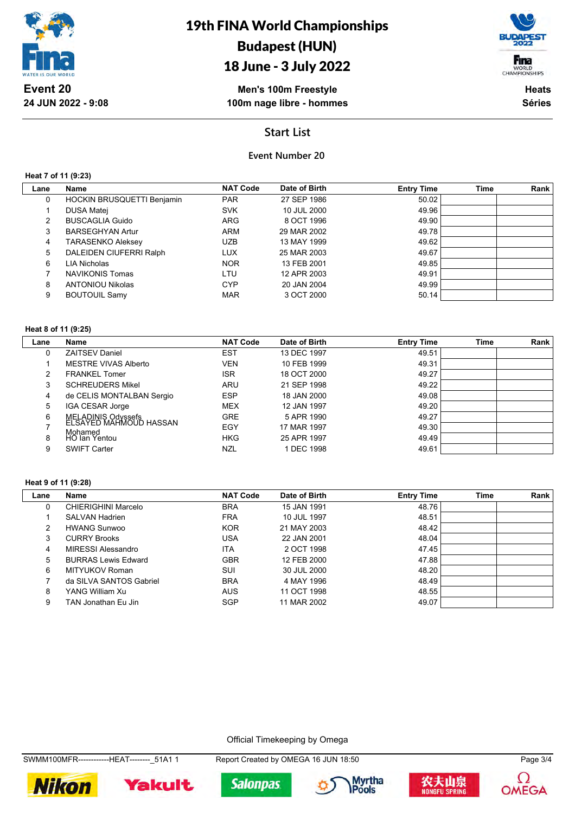

## 18 June - 3 July 2022

Fina WORLD<br>CHAMPIONSHIPS

**Men's 100m Freestyle 100m nage libre - hommes**

**Heats Séries**

## **Start List**

## **Event Number 20**

**Heat 7 of 11 (9:23)**

| Lane | Name                              | <b>NAT Code</b> | Date of Birth | <b>Entry Time</b> | <b>Time</b> | Rank |
|------|-----------------------------------|-----------------|---------------|-------------------|-------------|------|
| 0    | <b>HOCKIN BRUSQUETTI Benjamin</b> | <b>PAR</b>      | 27 SEP 1986   | 50.02             |             |      |
|      | <b>DUSA Matei</b>                 | <b>SVK</b>      | 10 JUL 2000   | 49.96             |             |      |
| 2    | <b>BUSCAGLIA Guido</b>            | <b>ARG</b>      | 8 OCT 1996    | 49.90             |             |      |
| 3    | <b>BARSEGHYAN Artur</b>           | <b>ARM</b>      | 29 MAR 2002   | 49.78             |             |      |
| 4    | <b>TARASENKO Aleksey</b>          | <b>UZB</b>      | 13 MAY 1999   | 49.62             |             |      |
| 5    | DALEIDEN CIUFERRI Ralph           | <b>LUX</b>      | 25 MAR 2003   | 49.67             |             |      |
| 6    | LIA Nicholas                      | <b>NOR</b>      | 13 FEB 2001   | 49.85             |             |      |
|      | <b>NAVIKONIS Tomas</b>            | LTU             | 12 APR 2003   | 49.91             |             |      |
| 8    | <b>ANTONIOU Nikolas</b>           | <b>CYP</b>      | 20 JAN 2004   | 49.99             |             |      |
| 9    | <b>BOUTOUIL Samy</b>              | <b>MAR</b>      | 3 OCT 2000    | 50.14             |             |      |
|      |                                   |                 |               |                   |             |      |

#### **Heat 8 of 11 (9:25)**

| Lane | <b>Name</b>                                  | <b>NAT Code</b> | Date of Birth | <b>Entry Time</b> | <b>Time</b> | Rank |
|------|----------------------------------------------|-----------------|---------------|-------------------|-------------|------|
| 0    | <b>ZAITSEV Daniel</b>                        | EST             | 13 DEC 1997   | 49.51             |             |      |
|      | MESTRE VIVAS Alberto                         | VEN             | 10 FEB 1999   | 49.31             |             |      |
|      | <b>FRANKEL Tomer</b>                         | <b>ISR</b>      | 18 OCT 2000   | 49.27             |             |      |
| 3    | <b>SCHREUDERS Mikel</b>                      | ARU             | 21 SEP 1998   | 49.22             |             |      |
| 4    | de CELIS MONTALBAN Sergio                    | <b>ESP</b>      | 18 JAN 2000   | 49.08             |             |      |
| 5    | IGA CESAR Jorge                              | <b>MEX</b>      | 12 JAN 1997   | 49.20             |             |      |
| 6    | MELADINIS Odyssefs<br>ELSAYED MAHMOUD HASSAN | <b>GRE</b>      | 5 APR 1990    | 49.27             |             |      |
|      | Mohamed                                      | EGY             | 17 MAR 1997   | 49.30             |             |      |
| 8    | <b>HO lan Yentou</b>                         | <b>HKG</b>      | 25 APR 1997   | 49.49             |             |      |
| 9    | <b>SWIFT Carter</b>                          | NZL             | 1 DEC 1998    | 49.61             |             |      |

#### **Heat 9 of 11 (9:28)**

| Lane | Name                       | <b>NAT Code</b> | Date of Birth | <b>Entry Time</b> | <b>Time</b> | Rank |
|------|----------------------------|-----------------|---------------|-------------------|-------------|------|
| 0    | CHIERIGHINI Marcelo        | <b>BRA</b>      | 15 JAN 1991   | 48.76             |             |      |
|      | <b>SALVAN Hadrien</b>      | <b>FRA</b>      | 10 JUL 1997   | 48.51             |             |      |
| 2    | <b>HWANG Sunwoo</b>        | <b>KOR</b>      | 21 MAY 2003   | 48.42             |             |      |
| 3    | <b>CURRY Brooks</b>        | USA             | 22 JAN 2001   | 48.04             |             |      |
| 4    | MIRESSI Alessandro         | ITA             | 2 OCT 1998    | 47.45             |             |      |
| 5    | <b>BURRAS Lewis Edward</b> | <b>GBR</b>      | 12 FEB 2000   | 47.88             |             |      |
| 6    | MITYUKOV Roman             | SUI             | 30 JUL 2000   | 48.20             |             |      |
|      | da SILVA SANTOS Gabriel    | <b>BRA</b>      | 4 MAY 1996    | 48.49             |             |      |
| 8    | YANG William Xu            | <b>AUS</b>      | 11 OCT 1998   | 48.55             |             |      |
| 9    | TAN Jonathan Eu Jin        | SGP             | 11 MAR 2002   | 49.07             |             |      |

Official Timekeeping by Omega

SWMM100MFR------------HEAT--------\_51A1 1 Report Created by OMEGA 16 JUN 18:50 Page 3/4

**Yakult** 

**Nikon** 







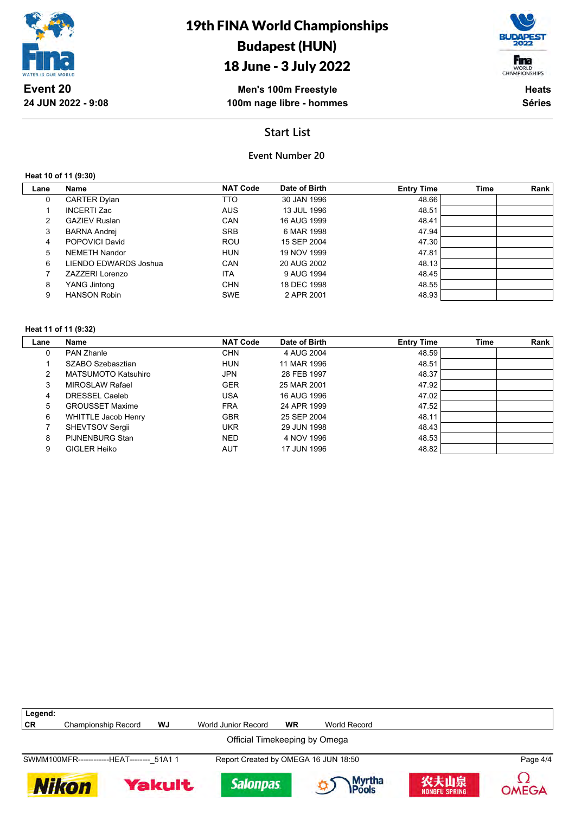

## 18 June - 3 July 2022



**Men's 100m Freestyle 100m nage libre - hommes**

**Heats Séries**

## **Start List**

### **Event Number 20**

**Heat 10 of 11 (9:30)**

| Lane | Name                  | <b>NAT Code</b> | Date of Birth | <b>Entry Time</b> | <b>Time</b> | Rank |
|------|-----------------------|-----------------|---------------|-------------------|-------------|------|
| 0    | <b>CARTER Dylan</b>   | TTO             | 30 JAN 1996   | 48.66             |             |      |
|      | INCERTI Zac           | <b>AUS</b>      | 13 JUL 1996   | 48.51             |             |      |
| 2    | <b>GAZIEV Ruslan</b>  | <b>CAN</b>      | 16 AUG 1999   | 48.41             |             |      |
| 3    | <b>BARNA Andrej</b>   | <b>SRB</b>      | 6 MAR 1998    | 47.94             |             |      |
| 4    | POPOVICI David        | <b>ROU</b>      | 15 SEP 2004   | 47.30             |             |      |
| 5.   | NEMETH Nandor         | <b>HUN</b>      | 19 NOV 1999   | 47.81             |             |      |
| 6    | LIENDO EDWARDS Joshua | <b>CAN</b>      | 20 AUG 2002   | 48.13             |             |      |
|      | ZAZZERI Lorenzo       | ITA             | 9 AUG 1994    | 48.45             |             |      |
| 8    | YANG Jintong          | <b>CHN</b>      | 18 DEC 1998   | 48.55             |             |      |
| 9    | <b>HANSON Robin</b>   | <b>SWE</b>      | 2 APR 2001    | 48.93             |             |      |

#### **Heat 11 of 11 (9:32)**

| Lane | Name                       | <b>NAT Code</b> | Date of Birth | <b>Entry Time</b> | Time | Rank |
|------|----------------------------|-----------------|---------------|-------------------|------|------|
| 0    | <b>PAN Zhanle</b>          | <b>CHN</b>      | 4 AUG 2004    | 48.59             |      |      |
|      | SZABO Szebasztian          | <b>HUN</b>      | 11 MAR 1996   | 48.51             |      |      |
|      | <b>MATSUMOTO Katsuhiro</b> | <b>JPN</b>      | 28 FEB 1997   | 48.37             |      |      |
| 3    | MIROSLAW Rafael            | <b>GER</b>      | 25 MAR 2001   | 47.92             |      |      |
| 4    | DRESSEL Caeleb             | <b>USA</b>      | 16 AUG 1996   | 47.02             |      |      |
| 5    | <b>GROUSSET Maxime</b>     | <b>FRA</b>      | 24 APR 1999   | 47.52             |      |      |
| 6    | <b>WHITTLE Jacob Henry</b> | <b>GBR</b>      | 25 SEP 2004   | 48.11             |      |      |
|      | <b>SHEVTSOV Sergii</b>     | <b>UKR</b>      | 29 JUN 1998   | 48.43             |      |      |
| 8    | PIJNENBURG Stan            | <b>NED</b>      | 4 NOV 1996    | 48.53             |      |      |
| 9    | GIGLER Heiko               | <b>AUT</b>      | 17 JUN 1996   | 48.82             |      |      |

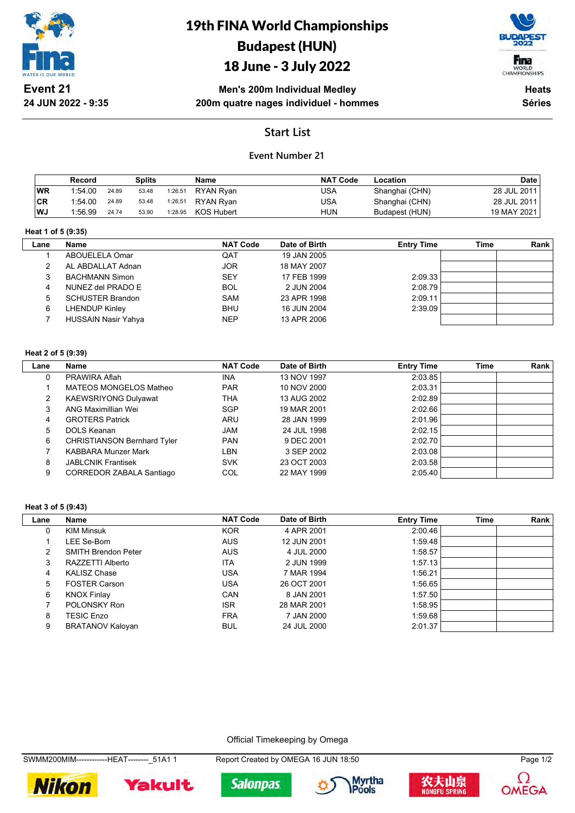

# 19th FINA World Championships Budapest (HUN)

## 18 June - 3 July 2022



**Men's 200m Individual Medley 200m quatre nages individuel - hommes**

**Heats Séries**

## **Start List**

### **Event Number 21**

|           | Record  |       | Splits |         | Name             | <b>NAT Code</b> | Location       | <b>Date</b> |
|-----------|---------|-------|--------|---------|------------------|-----------------|----------------|-------------|
| <b>WR</b> | 1:54.00 | 24.89 | 53.48  | 1:26.51 | <b>RYAN Ryan</b> | USA             | Shanghai (CHN) | 28 JUL 2011 |
| ∣CR       | 1:54.00 | 24.89 | 53.48  | 1:26.51 | RYAN Rvan        | USA             | Shanghai (CHN) | 28 JUL 2011 |
| l WJ      | 1:56.99 | 24.74 | 53.90  | 1:28.95 | KOS Hubert       | HUN             | Budapest (HUN) | 19 MAY 2021 |

#### **Heat 1 of 5 (9:35)**

| Lane | <b>Name</b>                | <b>NAT Code</b> | Date of Birth | <b>Entry Time</b> | Time | Rank |
|------|----------------------------|-----------------|---------------|-------------------|------|------|
|      | ABOUELELA Omar             | QAT             | 19 JAN 2005   |                   |      |      |
|      | AL ABDALLAT Adnan          | <b>JOR</b>      | 18 MAY 2007   |                   |      |      |
|      | <b>BACHMANN Simon</b>      | <b>SEY</b>      | 17 FEB 1999   | 2:09.33           |      |      |
|      | NUNEZ del PRADO E          | <b>BOL</b>      | 2 JUN 2004    | 2:08.79           |      |      |
| 5    | <b>SCHUSTER Brandon</b>    | <b>SAM</b>      | 23 APR 1998   | 2:09.11           |      |      |
| 6    | <b>LHENDUP Kinley</b>      | <b>BHU</b>      | 16 JUN 2004   | 2:39.09           |      |      |
|      | <b>HUSSAIN Nasir Yahya</b> | <b>NEP</b>      | 13 APR 2006   |                   |      |      |

#### **Heat 2 of 5 (9:39)**

| Lane | Name                               | <b>NAT Code</b> | Date of Birth | <b>Entry Time</b> | <b>Time</b> | Rank |
|------|------------------------------------|-----------------|---------------|-------------------|-------------|------|
| 0    | PRAWIRA Aflah                      | <b>INA</b>      | 13 NOV 1997   | 2:03.85           |             |      |
|      | MATEOS MONGELOS Matheo             | <b>PAR</b>      | 10 NOV 2000   | 2:03.31           |             |      |
| 2    | <b>KAEWSRIYONG Dulyawat</b>        | THA             | 13 AUG 2002   | 2:02.89           |             |      |
| 3    | ANG Maximillian Wei                | <b>SGP</b>      | 19 MAR 2001   | 2:02.66           |             |      |
| 4    | <b>GROTERS Patrick</b>             | ARU             | 28 JAN 1999   | 2:01.96           |             |      |
| 5    | DOLS Keanan                        | <b>JAM</b>      | 24 JUL 1998   | 2:02.15           |             |      |
| 6    | <b>CHRISTIANSON Bernhard Tyler</b> | <b>PAN</b>      | 9 DEC 2001    | 2:02.70           |             |      |
|      | <b>KABBARA Munzer Mark</b>         | LBN             | 3 SEP 2002    | 2:03.08           |             |      |
| 8    | <b>JABLCNIK Frantisek</b>          | <b>SVK</b>      | 23 OCT 2003   | 2:03.58           |             |      |
| 9    | <b>CORREDOR ZABALA Santiago</b>    | COL             | 22 MAY 1999   | 2:05.40           |             |      |

#### **Heat 3 of 5 (9:43)**

| Lane | Name                       | <b>NAT Code</b> | Date of Birth | <b>Entry Time</b> | <b>Time</b> | Rank |
|------|----------------------------|-----------------|---------------|-------------------|-------------|------|
| 0    | <b>KIM Minsuk</b>          | <b>KOR</b>      | 4 APR 2001    | 2:00.46           |             |      |
|      | LEE Se-Bom                 | <b>AUS</b>      | 12 JUN 2001   | 1:59.48           |             |      |
|      | <b>SMITH Brendon Peter</b> | <b>AUS</b>      | 4 JUL 2000    | 1:58.57           |             |      |
| 3    | RAZZETTI Alberto           | ITA             | 2 JUN 1999    | 1:57.13           |             |      |
| 4    | <b>KALISZ Chase</b>        | USA             | 7 MAR 1994    | 1:56.21           |             |      |
| 5.   | <b>FOSTER Carson</b>       | USA             | 26 OCT 2001   | 1:56.65           |             |      |
| 6    | <b>KNOX Finlay</b>         | CAN             | 8 JAN 2001    | 1:57.50           |             |      |
|      | POLONSKY Ron               | <b>ISR</b>      | 28 MAR 2001   | 1:58.95           |             |      |
| 8    | <b>TESIC Enzo</b>          | <b>FRA</b>      | 7 JAN 2000    | 1:59.68           |             |      |
| 9    | <b>BRATANOV Kaloyan</b>    | <b>BUL</b>      | 24 JUL 2000   | 2:01.37           |             |      |

Official Timekeeping by Omega

SWMM200MIM-------------HEAT---------\_51A1 1 Report Created by OMEGA 16 JUN 18:50 Page 1/2









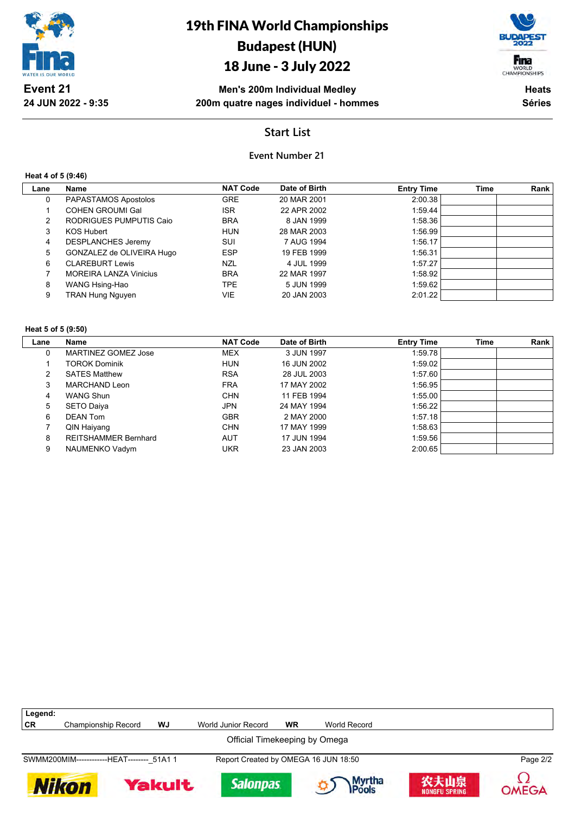

# 19th FINA World Championships Budapest (HUN)

## 18 June - 3 July 2022



**Men's 200m Individual Medley 200m quatre nages individuel - hommes**

**Heats Séries**

## **Start List**

### **Event Number 21**

#### **Heat 4 of 5 (9:46)**

| Lane | Name                          | <b>NAT Code</b> | Date of Birth | <b>Entry Time</b> | <b>Time</b> | Rank |
|------|-------------------------------|-----------------|---------------|-------------------|-------------|------|
| 0    | PAPASTAMOS Apostolos          | <b>GRE</b>      | 20 MAR 2001   | 2:00.38           |             |      |
|      | <b>COHEN GROUMI Gal</b>       | <b>ISR</b>      | 22 APR 2002   | 1:59.44           |             |      |
| 2    | RODRIGUES PUMPUTIS Caio       | <b>BRA</b>      | 8 JAN 1999    | 1:58.36           |             |      |
| 3    | <b>KOS Hubert</b>             | <b>HUN</b>      | 28 MAR 2003   | 1:56.99           |             |      |
| 4    | <b>DESPLANCHES Jeremy</b>     | SUI             | 7 AUG 1994    | 1:56.17           |             |      |
| 5    | GONZALEZ de OLIVEIRA Hugo     | <b>ESP</b>      | 19 FEB 1999   | 1:56.31           |             |      |
| 6    | <b>CLAREBURT Lewis</b>        | <b>NZL</b>      | 4 JUL 1999    | 1:57.27           |             |      |
|      | <b>MOREIRA LANZA Vinicius</b> | <b>BRA</b>      | 22 MAR 1997   | 1:58.92           |             |      |
| 8    | WANG Hsing-Hao                | TPE.            | 5 JUN 1999    | 1:59.62           |             |      |
| 9    | <b>TRAN Hung Nguyen</b>       | VIE             | 20 JAN 2003   | 2:01.22           |             |      |
|      |                               |                 |               |                   |             |      |

#### **Heat 5 of 5 (9:50)**

| Lane | Name                        | <b>NAT Code</b> | Date of Birth | <b>Entry Time</b> | Time | Rank |
|------|-----------------------------|-----------------|---------------|-------------------|------|------|
| 0    | MARTINEZ GOMEZ Jose         | <b>MEX</b>      | 3 JUN 1997    | 1:59.78           |      |      |
|      | <b>TOROK Dominik</b>        | <b>HUN</b>      | 16 JUN 2002   | 1:59.02           |      |      |
| 2    | <b>SATES Matthew</b>        | <b>RSA</b>      | 28 JUL 2003   | 1:57.60           |      |      |
| 3    | MARCHAND Leon               | <b>FRA</b>      | 17 MAY 2002   | 1:56.95           |      |      |
| 4    | <b>WANG Shun</b>            | <b>CHN</b>      | 11 FEB 1994   | 1:55.00           |      |      |
| 5    | <b>SETO Daiya</b>           | <b>JPN</b>      | 24 MAY 1994   | 1:56.22           |      |      |
| 6    | <b>DEAN Tom</b>             | <b>GBR</b>      | 2 MAY 2000    | 1:57.18           |      |      |
|      | QIN Haiyang                 | <b>CHN</b>      | 17 MAY 1999   | 1:58.63           |      |      |
| 8    | <b>REITSHAMMER Bernhard</b> | AUT             | 17 JUN 1994   | 1:59.56           |      |      |
| 9    | NAUMENKO Vadym              | UKR             | 23 JAN 2003   | 2:00.65           |      |      |

| Legend:      |                                            |        |                                      |           |                         |                       |          |  |  |  |
|--------------|--------------------------------------------|--------|--------------------------------------|-----------|-------------------------|-----------------------|----------|--|--|--|
| CR           | Championship Record                        | WJ     | World Junior Record                  | <b>WR</b> | World Record            |                       |          |  |  |  |
|              | Official Timekeeping by Omega              |        |                                      |           |                         |                       |          |  |  |  |
|              | SWMM200MIM-------------HEAT-------- 51A1 1 |        | Report Created by OMEGA 16 JUN 18:50 |           |                         |                       | Page 2/2 |  |  |  |
| <b>Nikon</b> |                                            | Yakult | <b>Salonpas</b>                      |           | Myrtha<br><b>IPools</b> | 农夫山泉<br>NONGFU SPRING | OMEGA    |  |  |  |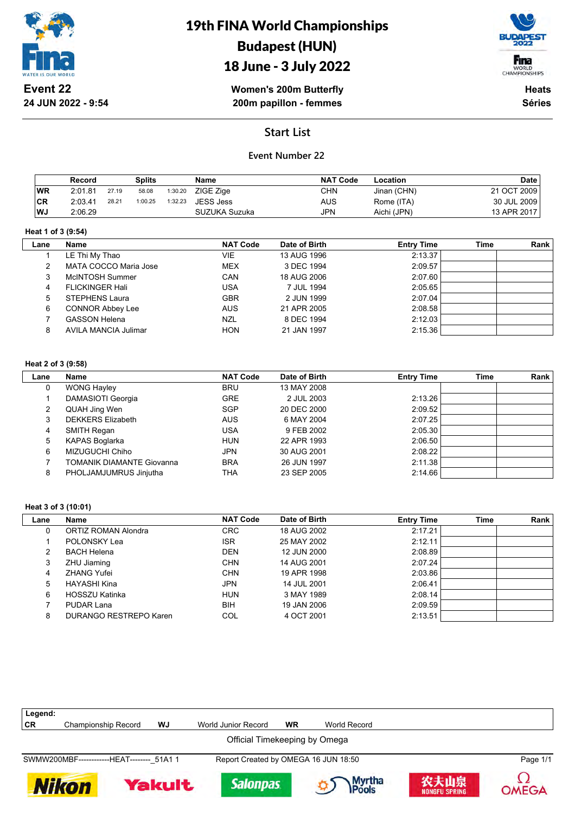

# 19th FINA World Championships Budapest (HUN)



## 18 June - 3 July 2022

**Women's 200m Butterfly 200m papillon - femmes**

**Heats Séries**

## **Start List**

### **Event Number 22**

|           | Record  |       | <b>Splits</b> |         | Name          | <b>NAT Code</b> | Location    | <b>Date</b> |
|-----------|---------|-------|---------------|---------|---------------|-----------------|-------------|-------------|
| <b>WR</b> | 2:01.81 | 27.19 | 58.08         | 1:30.20 | ZIGE Zige     | CHN             | Jinan (CHN) | 21 OCT 2009 |
| <b>CR</b> | 2:03.41 | 28.21 | 1:00.25       | 1:32.23 | JESS Jess     | AUS             | Rome (ITA)  | 30 JUL 2009 |
| l WJ      | 2:06.29 |       |               |         | SUZUKA Suzuka | JPN             | Aichi (JPN) | 13 APR 2017 |

#### **Heat 1 of 3 (9:54)**

 $\overline{\phantom{a}}$ 

| Name                    | <b>NAT Code</b> | Date of Birth | <b>Entry Time</b> | Time | Rank |
|-------------------------|-----------------|---------------|-------------------|------|------|
| LE Thi My Thao          | VIE             | 13 AUG 1996   | 2:13.37           |      |      |
| MATA COCCO Maria Jose   | <b>MEX</b>      | 3 DEC 1994    | 2:09.57           |      |      |
| McINTOSH Summer         | <b>CAN</b>      | 18 AUG 2006   | 2:07.60           |      |      |
| <b>FLICKINGER Hali</b>  | USA             | 7 JUL 1994    | 2:05.65           |      |      |
| <b>STEPHENS Laura</b>   | <b>GBR</b>      | 2 JUN 1999    | 2:07.04           |      |      |
| <b>CONNOR Abbey Lee</b> | <b>AUS</b>      | 21 APR 2005   | 2:08.58           |      |      |
| <b>GASSON Helena</b>    | <b>NZL</b>      | 8 DEC 1994    | 2:12.03           |      |      |
| AVILA MANCIA Julimar    | <b>HON</b>      | 21 JAN 1997   | 2:15.36           |      |      |
|                         |                 |               |                   |      |      |

#### **Heat 2 of 3 (9:58)**

| Lane | Name                             | <b>NAT Code</b> | Date of Birth | <b>Entry Time</b> | Time | Rank |
|------|----------------------------------|-----------------|---------------|-------------------|------|------|
| 0    | <b>WONG Hayley</b>               | <b>BRU</b>      | 13 MAY 2008   |                   |      |      |
|      | DAMASIOTI Georgia                | <b>GRE</b>      | 2 JUL 2003    | 2:13.26           |      |      |
|      | QUAH Jing Wen                    | <b>SGP</b>      | 20 DEC 2000   | 2:09.52           |      |      |
| 3    | <b>DEKKERS Elizabeth</b>         | <b>AUS</b>      | 6 MAY 2004    | 2:07.25           |      |      |
| 4    | SMITH Regan                      | USA             | 9 FEB 2002    | 2:05.30           |      |      |
| 5    | KAPAS Boglarka                   | <b>HUN</b>      | 22 APR 1993   | 2:06.50           |      |      |
| 6    | MIZUGUCHI Chiho                  | JPN             | 30 AUG 2001   | 2:08.22           |      |      |
|      | <b>TOMANIK DIAMANTE Giovanna</b> | <b>BRA</b>      | 26 JUN 1997   | 2:11.38           |      |      |
| 8    | PHOLJAMJUMRUS Jinjutha           | THA             | 23 SEP 2005   | 2:14.66           |      |      |

#### **Heat 3 of 3 (10:01)**

| Lane | <b>Name</b>                | <b>NAT Code</b> | Date of Birth | <b>Entry Time</b> | Time | Rank |
|------|----------------------------|-----------------|---------------|-------------------|------|------|
| 0    | <b>ORTIZ ROMAN Alondra</b> | <b>CRC</b>      | 18 AUG 2002   | 2:17.21           |      |      |
|      | POLONSKY Lea               | <b>ISR</b>      | 25 MAY 2002   | 2:12.11           |      |      |
|      | <b>BACH Helena</b>         | <b>DEN</b>      | 12 JUN 2000   | 2:08.89           |      |      |
|      | ZHU Jiaming                | <b>CHN</b>      | 14 AUG 2001   | 2:07.24           |      |      |
|      | <b>ZHANG Yufei</b>         | <b>CHN</b>      | 19 APR 1998   | 2:03.86           |      |      |
| 5    | HAYASHI Kina               | <b>JPN</b>      | 14 JUL 2001   | 2:06.41           |      |      |
| 6    | HOSSZU Katinka             | <b>HUN</b>      | 3 MAY 1989    | 2:08.14           |      |      |
|      | PUDAR Lana                 | BIH             | 19 JAN 2006   | 2:09.59           |      |      |
| 8    | DURANGO RESTREPO Karen     | COL             | 4 OCT 2001    | 2:13.51           |      |      |

| Legend:   |                                            |        |                                      |           |                         |                              |          |
|-----------|--------------------------------------------|--------|--------------------------------------|-----------|-------------------------|------------------------------|----------|
| <b>CR</b> | <b>Championship Record</b>                 | WJ     | World Junior Record                  | <b>WR</b> | World Record            |                              |          |
|           |                                            |        | Official Timekeeping by Omega        |           |                         |                              |          |
|           | SWMW200MBF-------------HEAT-------- 51A1 1 |        | Report Created by OMEGA 16 JUN 18:50 |           |                         |                              | Page 1/1 |
|           | <b>Nikon</b>                               | Yakult | <b>Salonpas</b>                      |           | Myrtha<br><b>IPools</b> | 农夫山泉<br><b>NONGFU SPRING</b> | OMEGA    |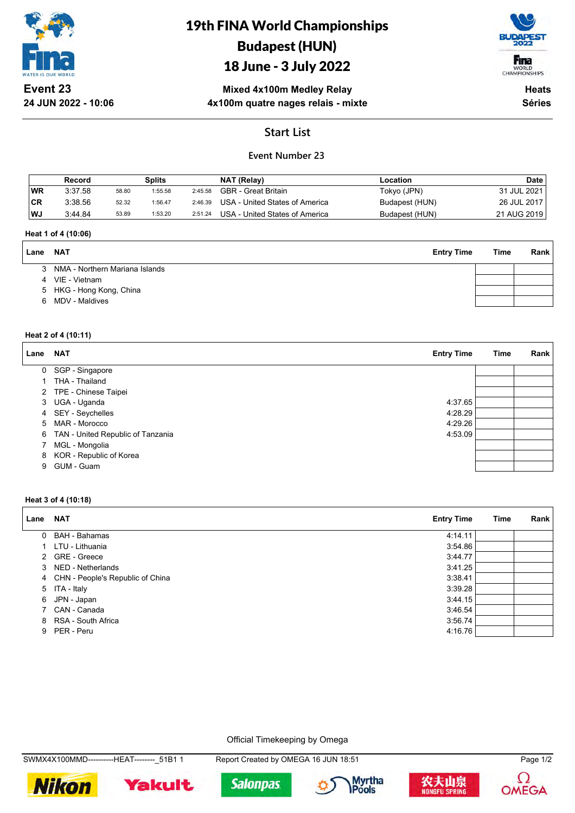

**24 JUN 2022 - 10:06**

## 19th FINA World Championships Budapest (HUN)

## 18 June - 3 July 2022



**Mixed 4x100m Medley Relay 4x100m quatre nages relais - mixte**

**Heats Séries**

## **Start List**

## **Event Number 23**

|           | Record  |       | Splits  |         | NAT (Relay)                    | Location       | <b>Date</b> |
|-----------|---------|-------|---------|---------|--------------------------------|----------------|-------------|
| <b>WR</b> | 3:37.58 | 58.80 | 1:55.58 | 2:45.58 | GBR - Great Britain            | Tokyo (JPN)    | 31 JUL 2021 |
| <b>CR</b> | 3:38.56 | 52.32 | 1:56.47 | 2:46.39 | USA - United States of America | Budapest (HUN) | 26 JUL 2017 |
| WJ        | 3:44.84 | 53.89 | 1:53.20 | 2:51.24 | USA - United States of America | Budapest (HUN) | 21 AUG 2019 |

#### **Heat 1 of 4 (10:06)**

| Lane | NAT                              | <b>Entry Time</b> | Time | Rank |
|------|----------------------------------|-------------------|------|------|
|      | 3 NMA - Northern Mariana Islands |                   |      |      |
|      | 4 VIE - Vietnam                  |                   |      |      |
|      | 5 HKG - Hong Kong, China         |                   |      |      |
| 6    | MDV - Maldives                   |                   |      |      |
|      |                                  |                   |      |      |

#### **Heat 2 of 4 (10:11)**

| Lane | <b>NAT</b>                        | <b>Entry Time</b> | Time | Rank |
|------|-----------------------------------|-------------------|------|------|
|      | 0 SGP - Singapore                 |                   |      |      |
|      | THA - Thailand                    |                   |      |      |
| 2    | TPE - Chinese Taipei              |                   |      |      |
|      | 3 UGA - Uganda                    | 4:37.65           |      |      |
|      | 4 SEY - Seychelles                | 4:28.29           |      |      |
|      | 5 MAR - Morocco                   | 4:29.26           |      |      |
| 6    | TAN - United Republic of Tanzania | 4:53.09           |      |      |
|      | MGL - Mongolia                    |                   |      |      |
| 8    | KOR - Republic of Korea           |                   |      |      |
| 9    | GUM - Guam                        |                   |      |      |

#### **Heat 3 of 4 (10:18)**

| Lane     | <b>NAT</b>                         | <b>Entry Time</b> | Time | Rank |
|----------|------------------------------------|-------------------|------|------|
| $\Omega$ | BAH - Bahamas                      | 4:14.11           |      |      |
|          | LTU - Lithuania                    | 3:54.86           |      |      |
|          | 2 GRE - Greece                     | 3:44.77           |      |      |
|          | 3 NED - Netherlands                | 3:41.25           |      |      |
|          | 4 CHN - People's Republic of China | 3:38.41           |      |      |
|          | 5 ITA - Italy                      | 3:39.28           |      |      |
| 6        | JPN - Japan                        | 3:44.15           |      |      |
|          | 7 CAN - Canada                     | 3:46.54           |      |      |
|          | 8 RSA - South Africa               | 3:56.74           |      |      |
|          | 9 PER - Peru                       | 4:16.76           |      |      |

Official Timekeeping by Omega









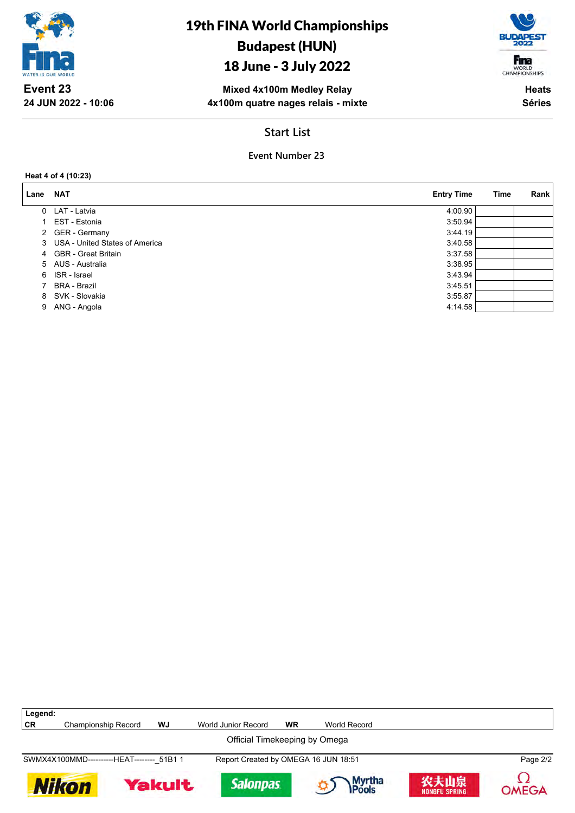

## 18 June - 3 July 2022



**Mixed 4x100m Medley Relay 4x100m quatre nages relais - mixte**

**Heats Séries**

## **Start List**

## **Event Number 23**

#### **Heat 4 of 4 (10:23)**

**24 JUN 2022 - 10:06**

| Lane | <b>NAT</b>                       | <b>Entry Time</b> | Time | Rank |
|------|----------------------------------|-------------------|------|------|
|      | 0 LAT - Latvia                   | 4:00.90           |      |      |
|      | EST - Estonia                    | 3:50.94           |      |      |
|      | 2 GER - Germany                  | 3:44.19           |      |      |
|      | 3 USA - United States of America | 3:40.58           |      |      |
|      | 4 GBR - Great Britain            | 3:37.58           |      |      |
|      | 5 AUS - Australia                | 3:38.95           |      |      |
| 6    | ISR - Israel                     | 3:43.94           |      |      |
|      | BRA - Brazil                     | 3:45.51           |      |      |
| 8    | SVK - Slovakia                   | 3:55.87           |      |      |
| 9    | ANG - Angola                     | 4:14.58           |      |      |

| Legend: |                                            |               |                                      |           |                         |                              |              |
|---------|--------------------------------------------|---------------|--------------------------------------|-----------|-------------------------|------------------------------|--------------|
| CR      | Championship Record                        | WJ            | World Junior Record                  | <b>WR</b> | World Record            |                              |              |
|         |                                            |               | Official Timekeeping by Omega        |           |                         |                              |              |
|         | SWMX4X100MMD-----------HEAT-------- 51B1 1 |               | Report Created by OMEGA 16 JUN 18:51 |           |                         |                              | Page 2/2     |
|         | <b>Nikon</b>                               | <b>Yakult</b> | <b>Salonpas</b>                      |           | Myrtha<br><b>IPools</b> | 农夫山泉<br><b>NONGFU SPRING</b> | <b>OMEGA</b> |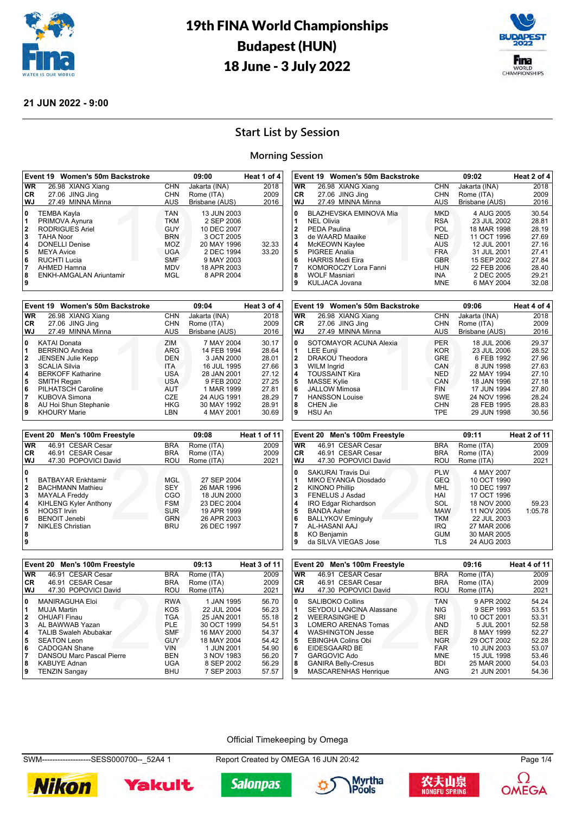



### **21 JUN 2022 - 9:00**

## **Start List by Session**

### **Morning Session**

|                                                           | Event 19 Women's 50m Backstroke                                                                                                                                                                          |                                                                                                              | 09:00                                                                                                                          | Heat 1 of 4    |
|-----------------------------------------------------------|----------------------------------------------------------------------------------------------------------------------------------------------------------------------------------------------------------|--------------------------------------------------------------------------------------------------------------|--------------------------------------------------------------------------------------------------------------------------------|----------------|
| <b>WR</b>                                                 | 26.98 XIANG Xiang                                                                                                                                                                                        | CHN                                                                                                          | Jakarta (INA)                                                                                                                  | 2018           |
| CR.                                                       | 27.06 JING Jing                                                                                                                                                                                          | <b>CHN</b>                                                                                                   | Rome (ITA)                                                                                                                     | 2009           |
| <b>WJ</b>                                                 | 27.49 MINNA Minna                                                                                                                                                                                        | <b>AUS</b>                                                                                                   | Brisbane (AUS)                                                                                                                 | 2016           |
| 0<br>1<br>$\mathbf{2}$<br>3<br>4<br>5<br>6<br>7<br>8<br>9 | <b>TEMBA Kayla</b><br>PRIMOVA Aynura<br><b>RODRIGUES Ariel</b><br><b>TAHA Noor</b><br><b>DONELLI Denise</b><br><b>MEYA Avice</b><br><b>RUCHTI Lucia</b><br>AHMED Hamna<br><b>ENKH-AMGALAN Ariuntamir</b> | <b>TAN</b><br><b>TKM</b><br><b>GUY</b><br><b>BRN</b><br>MOZ<br><b>UGA</b><br><b>SMF</b><br><b>MDV</b><br>MGL | 13 JUN 2003<br>2 SEP 2006<br>10 DEC 2007<br>3 OCT 2005<br>20 MAY 1996<br>2 DEC 1994<br>9 MAY 2003<br>18 APR 2003<br>8 APR 2004 | 32.33<br>33.20 |

|           | Event 19 Women's 50m Backstroke |            | 09:04          | Heat 3 of 4 |
|-----------|---------------------------------|------------|----------------|-------------|
| <b>WR</b> | 26.98 XIANG Xiang               | <b>CHN</b> | Jakarta (INA)  | 2018        |
| CR.       | 27.06 JING Jing                 | <b>CHN</b> | Rome (ITA)     | 2009        |
| WJ        | 27.49 MINNA Minna               | AUS        | Brisbane (AUS) | 2016        |
| 0         | <b>KATAI Donata</b>             | ZIM        | 7 MAY 2004     | 30.17       |
| 1         | <b>BERRINO Andrea</b>           | <b>ARG</b> | 14 FEB 1994    | 28.64       |
| 2         | <b>JENSEN Julie Kepp</b>        | DEN        | 3 JAN 2000     | 28.01       |
| 3         | <b>SCALIA Silvia</b>            | <b>ITA</b> | 16 JUL 1995    | 27.66       |
| 4         | <b>BERKOFF Katharine</b>        | USA        | 28 JAN 2001    | 27.12       |
| 5         | <b>SMITH Regan</b>              | USA        | 9 FEB 2002     | 27.25       |
| 6         | PILHATSCH Caroline              | <b>AUT</b> | 1 MAR 1999     | 27.81       |
| 7         | KUBOVA Simona                   | CZE        | 24 AUG 1991    | 28.29       |
| 8         | AU Hoi Shun Stephanie           | <b>HKG</b> | 30 MAY 1992    | 28.91       |
| 9         | <b>KHOURY Marie</b>             | LBN        | 4 MAY 2001     | 30.69       |

|              | Event 20 Men's 100m Freestyle |            | 09:08       | Heat 1 of 11 |
|--------------|-------------------------------|------------|-------------|--------------|
| <b>WR</b>    | 46.91 CESAR Cesar             | <b>BRA</b> | Rome (ITA)  | 2009         |
| CR.          | 46.91 CESAR Cesar             | <b>BRA</b> | Rome (ITA)  | 2009         |
| WJ           | 47.30 POPOVICI David          | ROU        | Rome (ITA)  | 2021         |
| 0            |                               |            |             |              |
|              | <b>BATBAYAR Enkhtamir</b>     | <b>MGL</b> | 27 SEP 2004 |              |
| $\mathbf{2}$ | <b>BACHMANN Mathieu</b>       | <b>SEY</b> | 26 MAR 1996 |              |
| 3            | <b>MAYALA Freddy</b>          | CGO        | 18 JUN 2000 |              |
| 4            | <b>KIHLENG Kyler Anthony</b>  | <b>FSM</b> | 23 DEC 2004 |              |
| 5            | <b>HOOST Irvin</b>            | <b>SUR</b> | 19 APR 1999 |              |
| 6            | <b>BENOIT Jenebi</b>          | <b>GRN</b> | 26 APR 2003 |              |
| 7            | <b>NIKLES Christian</b>       | <b>BRU</b> | 26 DEC 1997 |              |
| 8            |                               |            |             |              |

| <b>WR</b><br><b>CHN</b><br>Jakarta (INA)<br>26.98 XIANG Xiang<br>27.06 JING Jing<br>Rome (ITA)<br><b>CHN</b><br>CR.<br>Brisbane (AUS)<br>27.49 MINNA Minna<br><b>WJ</b><br><b>AUS</b><br>0<br><b>MKD</b><br>4 AUG 2005<br>BLAZHEVSKA EMINOVA Mia<br>1<br><b>NEL Olivia</b><br><b>RSA</b><br>23 JUL 2002<br>PEDA Paulina<br><b>POL</b><br>18 MAR 1998<br>$\mathbf{2}$<br>11 OCT 1996<br>3<br>de WAARD Maaike<br><b>NED</b><br>AUS<br>McKEOWN Kaylee<br>4<br>12 JUL 2001<br><b>PIGREE Analia</b><br><b>FRA</b><br>31 JUL 2001<br>5<br><b>HARRIS Medi Eira</b><br>6 | 2018<br>2009                                                                                               |
|------------------------------------------------------------------------------------------------------------------------------------------------------------------------------------------------------------------------------------------------------------------------------------------------------------------------------------------------------------------------------------------------------------------------------------------------------------------------------------------------------------------------------------------------------------------|------------------------------------------------------------------------------------------------------------|
|                                                                                                                                                                                                                                                                                                                                                                                                                                                                                                                                                                  |                                                                                                            |
|                                                                                                                                                                                                                                                                                                                                                                                                                                                                                                                                                                  |                                                                                                            |
|                                                                                                                                                                                                                                                                                                                                                                                                                                                                                                                                                                  | 2016                                                                                                       |
| <b>KOMOROCZY Lora Fanni</b><br><b>HUN</b><br>7<br>22 FEB 2006<br><b>WOLF Masniari</b><br>2 DEC 2005<br>8<br><b>INA</b><br><b>MNE</b><br>6 MAY 2004<br>9<br>KULJACA Jovana                                                                                                                                                                                                                                                                                                                                                                                        | 30.54<br>28.81<br>28.19<br>27.69<br>27.16<br>27.41<br><b>GBR</b><br>15 SEP 2002<br>27.84<br>28.40<br>29.21 |

|                | Event 19 Women's 50m Backstroke |            | 09:06          | Heat 4 of 4 |
|----------------|---------------------------------|------------|----------------|-------------|
| <b>WR</b>      | 26.98 XIANG Xiang               | <b>CHN</b> | Jakarta (INA)  | 2018        |
| <b>CR</b>      | 27.06 JING Jing                 | <b>CHN</b> | Rome (ITA)     | 2009        |
| <b>WJ</b>      | 27.49 MINNA Minna               | AUS        | Brisbane (AUS) | 2016        |
| 0              | SOTOMAYOR ACUNA Alexia          | <b>PER</b> | 18 JUL 2006    | 29.37       |
| 1              | <b>LEE Eunji</b>                | <b>KOR</b> | 23 JUL 2006    | 28.52       |
| $\overline{2}$ | DRAKOU Theodora                 | GRE        | 6 FEB 1992     | 27.96       |
| 3              | <b>WILM Ingrid</b>              | CAN        | 8 JUN 1998     | 27.63       |
| 4              | <b>TOUSSAINT Kira</b>           | <b>NED</b> | 22 MAY 1994    | 27.10       |
| 5              | <b>MASSE Kylie</b>              | CAN        | 18 JAN 1996    | 27.18       |
| 6              | <b>JALLOW Mimosa</b>            | <b>FIN</b> | 17 JUN 1994    | 27.80       |
| 7              | <b>HANSSON Louise</b>           | <b>SWE</b> | 24 NOV 1996    | 28.24       |
| 8              | CHEN Jie                        | <b>CHN</b> | 28 FEB 1995    | 28.83       |
| 9              | HSU An                          | <b>TPE</b> | 29 JUN 1998    | 30.56       |

|                                                                              | Event 20 Men's 100m Freestyle                                                                                                                                                                           |                                                                                                              | 09:11                                                                                                                              | Heat 2 of 11     |
|------------------------------------------------------------------------------|---------------------------------------------------------------------------------------------------------------------------------------------------------------------------------------------------------|--------------------------------------------------------------------------------------------------------------|------------------------------------------------------------------------------------------------------------------------------------|------------------|
| <b>WR</b>                                                                    | 46.91 CESAR Cesar                                                                                                                                                                                       | <b>BRA</b>                                                                                                   | Rome (ITA)                                                                                                                         | 2009             |
| CR.                                                                          | 46.91 CESAR Cesar                                                                                                                                                                                       | <b>BRA</b>                                                                                                   | Rome (ITA)                                                                                                                         | 2009             |
| <b>WJ</b>                                                                    | 47.30 POPOVICI David                                                                                                                                                                                    | ROU                                                                                                          | Rome (ITA)                                                                                                                         | 2021             |
| 0<br>1<br>$\mathbf{2}$<br>$\mathbf{3}$<br>4<br>5<br>6<br>$\overline{7}$<br>8 | <b>SAKURAI Travis Dui</b><br>MIKO EYANGA Diosdado<br><b>KINONO Phillip</b><br>FENELUS J Asdad<br>IRO Edgar Richardson<br><b>BANDA Asher</b><br><b>BALLYKOV Eminguly</b><br>AL-HASANI AAJ<br>KO Benjamin | <b>PLW</b><br><b>GEQ</b><br><b>MHL</b><br>HAI<br>SOL<br><b>MAW</b><br><b>TKM</b><br><b>IRQ</b><br><b>GUM</b> | 4 MAY 2007<br>10 OCT 1990<br>10 DEC 1997<br>17 OCT 1996<br>18 NOV 2000<br>11 NOV 2005<br>22 JUL 2003<br>27 MAR 2006<br>30 MAR 2005 | 59.23<br>1:05.78 |
| 9                                                                            | da SILVA VIEGAS Jose                                                                                                                                                                                    | TLS                                                                                                          | 24 AUG 2003                                                                                                                        |                  |

|           | Event 20 Men's 100m Freestyle |            | 09:13       | Heat 3 of 11 |
|-----------|-------------------------------|------------|-------------|--------------|
| <b>WR</b> | 46.91 CESAR Cesar             | <b>BRA</b> | Rome (ITA)  | 2009         |
| CR.       | 46.91 CESAR Cesar             | <b>BRA</b> | Rome (ITA)  | 2009         |
| WJ        | 47.30 POPOVICI David          | ROU        | Rome (ITA)  | 2021         |
| 0         | <b>MANIRAGUHA Eloi</b>        | <b>RWA</b> | 1 JAN 1995  | 56.70        |
|           | <b>MUJA Martin</b>            | KOS        | 22 JUL 2004 | 56.23        |
| 2         | <b>OHUAFI Finau</b>           | <b>TGA</b> | 25 JAN 2001 | 55.18        |
| 3         | AL BAWWAB Yazan               | PLE        | 30 OCT 1999 | 54.51        |
| 4         | <b>TALIB Swaleh Abubakar</b>  | <b>SMF</b> | 16 MAY 2000 | 54.37        |
| 5         | <b>SEATON Leon</b>            | <b>GUY</b> | 18 MAY 2004 | 54.42        |
| 6         | CADOGAN Shane                 | <b>VIN</b> | 1 JUN 2001  | 54.90        |
| 7         | DANSOU Marc Pascal Pierre     | <b>BEN</b> | 3 NOV 1983  | 56.20        |
| 8         | <b>KABUYE Adnan</b>           | UGA        | 8 SEP 2002  | 56.29        |
| 9         | <b>TENZIN Sangay</b>          | <b>BHU</b> | 7 SEP 2003  | 57.57        |

|                                                      | Event 20 Men's 100m Freestyle                                                                                                                                                                                                                                  |                                                                                                                            | 09:16                                                                                                                                          | Heat 4 of 11                                                                           |
|------------------------------------------------------|----------------------------------------------------------------------------------------------------------------------------------------------------------------------------------------------------------------------------------------------------------------|----------------------------------------------------------------------------------------------------------------------------|------------------------------------------------------------------------------------------------------------------------------------------------|----------------------------------------------------------------------------------------|
| <b>WR</b>                                            | 46.91 CESAR Cesar                                                                                                                                                                                                                                              | <b>BRA</b>                                                                                                                 | Rome (ITA)                                                                                                                                     | 2009                                                                                   |
| CR.                                                  | 46.91 CESAR Cesar                                                                                                                                                                                                                                              | <b>BRA</b>                                                                                                                 | Rome (ITA)                                                                                                                                     | 2009                                                                                   |
| WJ                                                   | 47.30 POPOVICI David                                                                                                                                                                                                                                           | ROU                                                                                                                        | Rome (ITA)                                                                                                                                     | 2021                                                                                   |
| 0<br>$\mathbf{2}$<br>3<br>4<br>5<br>6<br>7<br>8<br>9 | <b>SALIBOKO Collins</b><br><b>SEYDOU LANCINA Alassane</b><br><b>WEERASINGHE D</b><br>LOMERO ARENAS Tomas<br><b>WASHINGTON Jesse</b><br><b>EBINGHA Colins Obi</b><br>EIDESGAARD BE<br>GARGOVIC Ado<br><b>GANIRA Belly-Cresus</b><br><b>MASCARENHAS Henrique</b> | <b>TAN</b><br><b>NIG</b><br>SRI<br><b>AND</b><br><b>BER</b><br><b>NGR</b><br><b>FAR</b><br><b>MNE</b><br><b>BDI</b><br>ANG | 9 APR 2002<br>9 SEP 1993<br>10 OCT 2001<br>5 JUL 2001<br>8 MAY 1999<br>29 OCT 2002<br>10 JUN 2003<br>15 JUL 1998<br>25 MAR 2000<br>21 JUN 2001 | 54.24<br>53.51<br>53.31<br>52.58<br>52.27<br>52.28<br>53.07<br>53.46<br>54.03<br>54.36 |

#### Official Timekeeping by Omega

SWM-------------------SESS000700--\_52A4 1 Report Created by OMEGA 16 JUN 20:42 Page 1/4











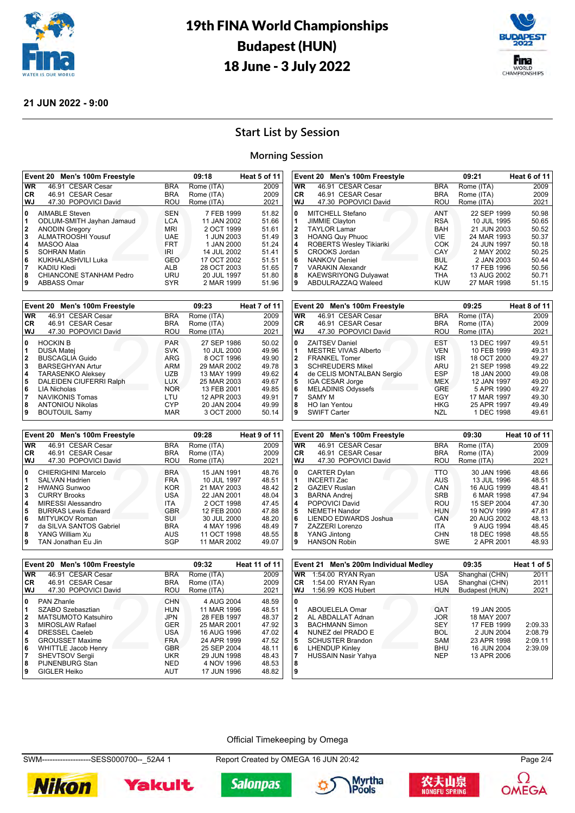



#### **21 JUN 2022 - 9:00**

## **Start List by Session**

#### **Morning Session**

46.91 CESAR Cesar

**KAEWSRIYONG Dulyawat 9** ABDULRAZZAQ Waleed

| <b>WR</b><br>46.91 CESAR Cesar<br><b>BRA</b><br>46.91 CESAR Cesar<br>CR.<br><b>BRA</b><br>47.30 POPOVICI David<br>WJ<br>ROU                                                                                                                                                                                                                                                                                             | Rome (ITA)<br>Rome (ITA)<br>Rome (ITA)<br>7 FEB 1999                                                                            | 2009<br>2009<br>2021                                                                   |
|-------------------------------------------------------------------------------------------------------------------------------------------------------------------------------------------------------------------------------------------------------------------------------------------------------------------------------------------------------------------------------------------------------------------------|---------------------------------------------------------------------------------------------------------------------------------|----------------------------------------------------------------------------------------|
|                                                                                                                                                                                                                                                                                                                                                                                                                         |                                                                                                                                 |                                                                                        |
|                                                                                                                                                                                                                                                                                                                                                                                                                         |                                                                                                                                 |                                                                                        |
|                                                                                                                                                                                                                                                                                                                                                                                                                         |                                                                                                                                 |                                                                                        |
| <b>AIMABLE Steven</b><br><b>SEN</b><br>0<br><b>LCA</b><br>ODLUM-SMITH Jayhan Jamaud<br>1<br><b>ANODIN Gregory</b><br><b>MRI</b><br>$\mathbf{2}$<br>ALMATROOSHI Yousuf<br>3<br><b>UAE</b><br>MASOO Alaa<br><b>FRT</b><br>4<br><b>SOHRAN Matin</b><br>IRI<br>5<br>KUKHALASHVILI Luka<br><b>GEO</b><br>6<br><b>ALB</b><br>7<br>KADIU Kledi<br>CHIANCONE STANHAM Pedro<br>URU<br>8<br>9<br><b>SYR</b><br><b>ABBASS Omar</b> | 11 JAN 2002<br>2 OCT 1999<br>1 JUN 2003<br>1 JAN 2000<br>14 JUL 2002<br>17 OCT 2002<br>28 OCT 2003<br>20 JUL 1997<br>2 MAR 1999 | 51.82<br>51.66<br>51.61<br>51.49<br>51.24<br>51.41<br>51.51<br>51.65<br>51.80<br>51.96 |

|              | Event 20 Men's 100m Freestyle |            | 09:23       | Heat 7 of 11 |
|--------------|-------------------------------|------------|-------------|--------------|
| <b>WR</b>    | 46.91 CESAR Cesar             | <b>BRA</b> | Rome (ITA)  | 2009         |
| CR.          | 46.91 CESAR Cesar             | <b>BRA</b> | Rome (ITA)  | 2009         |
| WJ           | 47.30 POPOVICI David          | ROU        | Rome (ITA)  | 2021         |
| 0            | <b>HOCKIN B</b>               | <b>PAR</b> | 27 SEP 1986 | 50.02        |
| 1            | <b>DUSA Matej</b>             | <b>SVK</b> | 10 JUL 2000 | 49.96        |
| $\mathbf{2}$ | <b>BUSCAGLIA Guido</b>        | ARG        | 8 OCT 1996  | 49.90        |
| 3            | <b>BARSEGHYAN Artur</b>       | ARM        | 29 MAR 2002 | 49.78        |
| 4            | <b>TARASENKO Aleksey</b>      | <b>UZB</b> | 13 MAY 1999 | 49.62        |
| 5            | DALEIDEN CIUFERRI Ralph       | <b>LUX</b> | 25 MAR 2003 | 49.67        |
| 6            | LIA Nicholas                  | <b>NOR</b> | 13 FEB 2001 | 49.85        |
| 7            | <b>NAVIKONIS Tomas</b>        | LTU        | 12 APR 2003 | 49.91        |
| 8            | <b>ANTONIOU Nikolas</b>       | <b>CYP</b> | 20 JAN 2004 | 49.99        |
| 9            | <b>BOUTOUIL Samy</b>          | <b>MAR</b> | 3 OCT 2000  | 50.14        |

|           | Event 20 Men's 100m Freestyle |            | 09:28       | Heat 9 of 11 |
|-----------|-------------------------------|------------|-------------|--------------|
| <b>WR</b> | 46.91 CESAR Cesar             | <b>BRA</b> | Rome (ITA)  | 2009         |
| CR.       | 46.91 CESAR Cesar             | <b>BRA</b> | Rome (ITA)  | 2009         |
| WJ        | 47.30 POPOVICI David          | <b>ROU</b> | Rome (ITA)  | 2021         |
| 0         | CHIERIGHINI Marcelo           | <b>BRA</b> | 15 JAN 1991 | 48.76        |
| 1         | <b>SALVAN Hadrien</b>         | <b>FRA</b> | 10 JUL 1997 | 48.51        |
| 2         | <b>HWANG Sunwoo</b>           | <b>KOR</b> | 21 MAY 2003 | 48.42        |
| 3         | <b>CURRY Brooks</b>           | USA        | 22 JAN 2001 | 48.04        |
| 4         | <b>MIRESSI Alessandro</b>     | <b>ITA</b> | 2 OCT 1998  | 47.45        |
| 5         | <b>BURRAS Lewis Edward</b>    | <b>GBR</b> | 12 FEB 2000 | 47.88        |
| 6         | MITYUKOV Roman                | SUI        | 30 JUL 2000 | 48.20        |
| 7         | da SILVA SANTOS Gabriel       | <b>BRA</b> | 4 MAY 1996  | 48.49        |
| 8         | YANG William Xu               | AUS        | 11 OCT 1998 | 48.55        |
| 9         | TAN Jonathan Eu Jin           | SGP        | 11 MAR 2002 | 49.07        |

|                                           | Event 20 Men's 100m Freestyle                                                                                                                                                                                         |                                                                                                              | 09:30                                                                                                                                           | Heat 10 of 11                                                                          |
|-------------------------------------------|-----------------------------------------------------------------------------------------------------------------------------------------------------------------------------------------------------------------------|--------------------------------------------------------------------------------------------------------------|-------------------------------------------------------------------------------------------------------------------------------------------------|----------------------------------------------------------------------------------------|
| WR                                        | 46.91 CESAR Cesar                                                                                                                                                                                                     | <b>BRA</b>                                                                                                   | Rome (ITA)                                                                                                                                      | 2009                                                                                   |
| <b>CR</b>                                 | 46.91 CESAR Cesar                                                                                                                                                                                                     | <b>BRA</b>                                                                                                   | Rome (ITA)                                                                                                                                      | 2009                                                                                   |
| WJ                                        | 47.30 POPOVICI David                                                                                                                                                                                                  | ROU                                                                                                          | Rome (ITA)                                                                                                                                      | 2021                                                                                   |
| 0<br>2<br>3<br>4<br>5<br>6<br>7<br>8<br>9 | <b>CARTER Dylan</b><br><b>INCERTI Zac</b><br><b>GAZIEV Ruslan</b><br><b>BARNA Andrei</b><br>POPOVICI David<br><b>NEMETH Nandor</b><br>LIENDO EDWARDS Joshua<br>ZAZZERI Lorenzo<br>YANG Jintong<br><b>HANSON Robin</b> | <b>TTO</b><br>AUS<br>CAN<br><b>SRB</b><br>ROU<br><b>HUN</b><br>CAN<br><b>ITA</b><br><b>CHN</b><br><b>SWE</b> | 30 JAN 1996<br>13 JUL 1996<br>16 AUG 1999<br>6 MAR 1998<br>15 SEP 2004<br>19 NOV 1999<br>20 AUG 2002<br>9 AUG 1994<br>18 DEC 1998<br>2 APR 2001 | 48.66<br>48.51<br>48.41<br>47.94<br>47.30<br>47.81<br>48.13<br>48.45<br>48.55<br>48.93 |

200 KOU KOU<br>2012 VEN<br>2013 ARU<br>2013 ARU<br>2013 ARU<br>2015 ARU<br>2015 ARU<br>2015 ARU<br>2015 ARU<br>2015 ARU<br>2015 ARU<br>2015 ARU<br>2015 ARU<br>2015 ARU<br>2015 ARU<br>2015 ARU

**8** HO Ian Yentou HKG 25 APR 1997 49.49 **9** SWIFT Carter **NZL 1 DEC 1998** 49.61

 ZAITSEV Daniel **EST** 13 DEC 1997 49.51<br>**1** MESTRE VIVAS Alberto **10 VEN** 10 FEB 1999 49.31 MESTRE VIVAS Alberto **10 FEB 1999** 49.31<br>**2** FRANKFI Tomer **18 COLL 11 ISR** 18 OCT 2000 49.27 FRANKEL Tomer ISR 18 OCT 2000 49.27<br>**3** SCHREUDERS Mikel ARU 21 SEP 1998 49.22 SCHREUDERS Mikel **1998**<br>**49.22 4** de CELIS MONTALBAN Sergio ESP 18 JAN 2000 49.08 **49.08**<br> **49.08**<br> **49.08**<br> **49.20

IGA CESAR Jorge MEX**<br>
12 JAN 1997<br>
49.20 IGA CESAR Jorge MEX 12 JAN 1997 49.20<br>**6** MELADINIS Odvssefs GRE 5 APR 1990 49.27 MELADINIS Odyssefs GRE 5 APR 1990 49.27<br>**7** SAMY M 68.30 CGY 17 MAR 1997 49.30

**Event 20 Men's 100m Freestyle 09:25 Heat 8 of 11 WR** 46.91 CESAR Cesar BRA Rome (ITA) 2009 **CR** 46.91 CESAR Cesar BRA Rome (ITA) 2009 47.30 POPOVICI David ROU Rome (ITA)

avid ROU RO<br>
ANT<br>
RSAH<br>
RIK<br>
PUE<br>
COK<br>
CAY<br>
BUL<br>
KAZ<br>
Mat<br>
THA

 HOANG Quy Phuoc VIE 24 MAR 1993 50.37 ROBERTS Wesley Tikiariki COK 24 JUN 1997 50.18 CROOKS Jordan **CAY 2 MAY 2002** 50.25<br> **6** NANKOV Deniel **BUL** 2 JAN 2003 50.44 NANKOV Deniel **6** NANKOV Deniel **BUL 2 JAN 2003** 50.44<br>**7** NARAKIN Alexandr **KAZ** 17 FEB 1996 50.56 VARAKIN Alexandr KAZ 17 FEB 1996 50.56

**21 JUN 2003**<br> **24 MAR 1993** 

**77 MAR 1997<br>25 APR 1997<br>1 DEC 1998** 

**Event 20 Men's 100m Freestyle 09:21 Heat 6 of 11 WR** 46.91 CESAR Cesar BRA Rome (ITA) 2009<br>**CR** 46.91 CESAR Cesar BRA Rome (ITA) 2009

**WJ** 47.30 POPOVICI David ROU Rome (ITA) 2021 **0** MITCHELL Stefano **ANT** 22 SEP 1999 50.98<br>1 JIMMIE Clayton **ANT** RSA 10 JUL 1995 50.65 **1** JIMMIE Clayton **11 CONTRESS 10 CONTRESS 10 JUL 1995** 50.65<br> **2** TAYLOR Lamar **BAH** 21 JUN 2003 50.52<br> **3** HOANG Quy Phuoc VIE 24 MAR 1993 50.37

|                                                 | Event 20 Men's 100m Freestyle                                                                                                                                                        |                                                                                                              | 09:32                                                                                                               | <b>Heat 11 of 11</b>                                                 |
|-------------------------------------------------|--------------------------------------------------------------------------------------------------------------------------------------------------------------------------------------|--------------------------------------------------------------------------------------------------------------|---------------------------------------------------------------------------------------------------------------------|----------------------------------------------------------------------|
| <b>WR</b>                                       | 46.91 CESAR Cesar                                                                                                                                                                    | <b>BRA</b>                                                                                                   | Rome (ITA)                                                                                                          | 2009                                                                 |
| CR.                                             | 46.91 CESAR Cesar                                                                                                                                                                    | <b>BRA</b>                                                                                                   | Rome (ITA)                                                                                                          | 2009                                                                 |
| WJ                                              | 47.30 POPOVICI David                                                                                                                                                                 | <b>ROU</b>                                                                                                   | Rome (ITA)                                                                                                          | 2021                                                                 |
| 0<br>1<br>$\mathbf{2}$<br>3<br>4<br>5<br>6<br>7 | <b>PAN Zhanle</b><br>SZABO Szebasztian<br><b>MATSUMOTO Katsuhiro</b><br>MIROSLAW Rafael<br>DRESSEL Caeleb<br><b>GROUSSET Maxime</b><br><b>WHITTLE Jacob Henry</b><br>SHEVTSOV Sergii | <b>CHN</b><br><b>HUN</b><br><b>JPN</b><br><b>GER</b><br><b>USA</b><br><b>FRA</b><br><b>GBR</b><br><b>UKR</b> | 4 AUG 2004<br>11 MAR 1996<br>28 FEB 1997<br>25 MAR 2001<br>16 AUG 1996<br>24 APR 1999<br>25 SEP 2004<br>29 JUN 1998 | 48.59<br>48.51<br>48.37<br>47.92<br>47.02<br>47.52<br>48.11<br>48.43 |
| 8<br>9                                          | PIJNENBURG Stan<br><b>GIGLER Heiko</b>                                                                                                                                               | <b>NED</b><br>AUT                                                                                            | 4 NOV 1996<br>17 JUN 1996                                                                                           | 48.53<br>48.82                                                       |

|              | Event 21 Men's 200m Individual Medley |            | 09:35          | Heat 1 of 5 |
|--------------|---------------------------------------|------------|----------------|-------------|
| <b>WR</b>    | 1:54.00 RYAN Ryan                     | <b>USA</b> | Shanghai (CHN) | 2011        |
| <b>CR</b>    | 1:54.00 RYAN Ryan                     | <b>USA</b> | Shanghai (CHN) | 2011        |
| WJ           | 1:56.99 KOS Hubert                    | <b>HUN</b> | Budapest (HUN) | 2021        |
| 0            |                                       |            |                |             |
|              | ABOUELELA Omar                        | <b>QAT</b> | 19 JAN 2005    |             |
| $\mathbf{2}$ | AL ABDALLAT Adnan                     | <b>JOR</b> | 18 MAY 2007    |             |
| 3            | <b>BACHMANN Simon</b>                 | <b>SEY</b> | 17 FEB 1999    | 2:09.33     |
| 4            | NUNEZ del PRADO E                     | <b>BOL</b> | 2 JUN 2004     | 2:08.79     |
| 5            | <b>SCHUSTER Brandon</b>               | SAM        | 23 APR 1998    | 2:09.11     |
| 6            | <b>LHENDUP Kinley</b>                 | <b>BHU</b> | 16 JUN 2004    | 2:39.09     |
| 7            | <b>HUSSAIN Nasir Yahya</b>            | <b>NEP</b> | 13 APR 2006    |             |
| 8            |                                       |            |                |             |
| 9            |                                       |            |                |             |

#### Official Timekeeping by Omega

SWM-------------------SESS000700--\_52A4 1 Report Created by OMEGA 16 JUN 20:42 Page 2/4









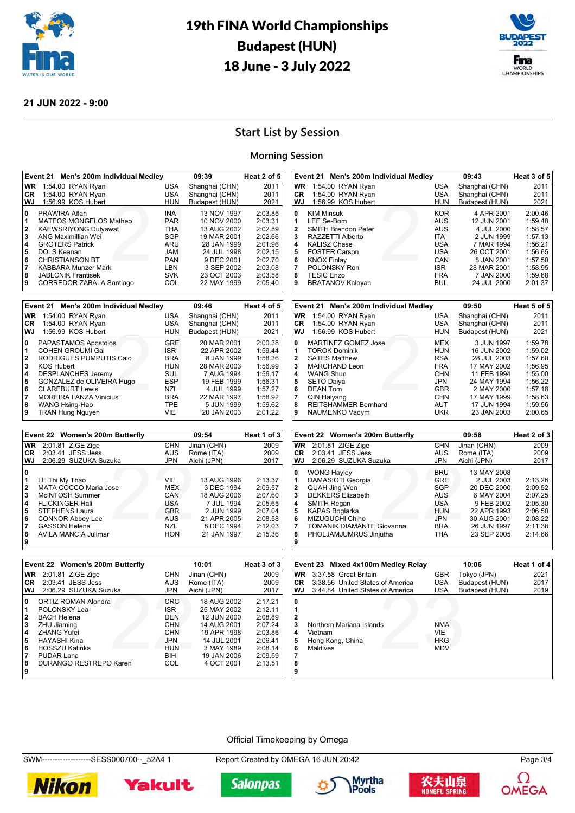



### **21 JUN 2022 - 9:00**

## **Start List by Session**

#### **Morning Session**

| <b>WR</b><br>Shanghai (CHN)<br>1:54.00 RYAN Ryan<br><b>USA</b><br>Shanghai (CHN)<br>1:54.00 RYAN Ryan<br><b>USA</b><br><b>CR</b><br>1:56.99 KOS Hubert<br>Budapest (HUN)<br>WJ<br><b>HUN</b><br><b>INA</b><br>0<br>PRAWIRA Aflah<br>MATEOS MONGELOS Matheo<br><b>PAR</b><br>1<br><b>KAEWSRIYONG Dulyawat</b><br><b>THA</b><br>$\overline{2}$<br>ANG Maximillian Wei<br>3<br><b>SGP</b><br><b>GROTERS Patrick</b><br>ARU<br>4 | 2011<br>2011                                                                                                                                                                                                                                                   |
|------------------------------------------------------------------------------------------------------------------------------------------------------------------------------------------------------------------------------------------------------------------------------------------------------------------------------------------------------------------------------------------------------------------------------|----------------------------------------------------------------------------------------------------------------------------------------------------------------------------------------------------------------------------------------------------------------|
|                                                                                                                                                                                                                                                                                                                                                                                                                              |                                                                                                                                                                                                                                                                |
|                                                                                                                                                                                                                                                                                                                                                                                                                              |                                                                                                                                                                                                                                                                |
|                                                                                                                                                                                                                                                                                                                                                                                                                              | 2021                                                                                                                                                                                                                                                           |
| DOLS Keanan<br><b>MAL</b><br>5<br><b>CHRISTIANSON BT</b><br><b>PAN</b><br>6<br><b>KABBARA Munzer Mark</b><br>LBN<br>7<br><b>JABLCNIK Frantisek</b><br><b>SVK</b><br>8<br><b>CORREDOR ZABALA Santiago</b><br>COL<br>9                                                                                                                                                                                                         | 2:03.85<br>13 NOV 1997<br>10 NOV 2000<br>2:03.31<br>13 AUG 2002<br>2:02.89<br>19 MAR 2001<br>2:02.66<br>28 JAN 1999<br>2:01.96<br>24 JUL 1998<br>2:02.15<br>9 DEC 2001<br>2:02.70<br>3 SEP 2002<br>2:03.08<br>23 OCT 2003<br>2:03.58<br>22 MAY 1999<br>2:05.40 |

|                   | Event 21 Men's 200m Individual Medley              |                          | 09:46                     | Heat 4 of 5        |
|-------------------|----------------------------------------------------|--------------------------|---------------------------|--------------------|
| <b>WR</b>         | 1:54.00 RYAN Ryan                                  | <b>USA</b>               | Shanghai (CHN)            | 2011               |
| <b>CR</b>         | 1:54.00 RYAN Ryan                                  | <b>USA</b>               | Shanghai (CHN)            | 2011               |
| WJ                | 1:56.99 KOS Hubert                                 | <b>HUN</b>               | Budapest (HUN)            | 2021               |
| 0                 | PAPASTAMOS Apostolos                               | <b>GRE</b>               | 20 MAR 2001               | 2:00.38            |
| 1<br>$\mathbf{2}$ | <b>COHEN GROUMI Gal</b><br>RODRIGUES PUMPUTIS Caio | <b>ISR</b><br><b>BRA</b> | 22 APR 2002<br>8 JAN 1999 | 1:59.44<br>1:58.36 |
| 3                 | <b>KOS Hubert</b>                                  | <b>HUN</b>               | 28 MAR 2003               | 1:56.99            |
| 4                 | <b>DESPLANCHES Jeremy</b>                          | SUI                      | 7 AUG 1994                | 1:56.17            |
| 5                 | GONZALEZ de OLIVEIRA Hugo                          | <b>ESP</b>               | 19 FEB 1999               | 1:56.31            |
| 6                 | <b>CLAREBURT Lewis</b>                             | <b>NZL</b>               | 4 JUL 1999                | 1:57.27            |
|                   | <b>MOREIRA LANZA Vinicius</b>                      | <b>BRA</b>               | 22 MAR 1997               | 1:58.92            |
| 8                 | WANG Hsing-Hao                                     | <b>TPE</b>               | 5 JUN 1999                | 1:59.62            |
| 9                 | <b>TRAN Hung Nguyen</b>                            | VIE                      | 20 JAN 2003               | 2:01.22            |

|              | Event 22 Women's 200m Butterfly |            | 09:54       | Heat 1 of 3 |
|--------------|---------------------------------|------------|-------------|-------------|
| <b>WR</b>    | 2:01.81 ZIGE Zige               | <b>CHN</b> | Jinan (CHN) | 2009        |
| <b>CR</b>    | 2:03.41 JESS Jess               | <b>AUS</b> | Rome (ITA)  | 2009        |
| WJ           | 2:06.29 SUZUKA Suzuka           | <b>JPN</b> | Aichi (JPN) | 2017        |
| 0            |                                 |            |             |             |
|              | LE Thi My Thao                  | VIF        | 13 AUG 1996 | 2:13.37     |
| $\mathbf{2}$ | MATA COCCO Maria Jose           | <b>MEX</b> | 3 DEC 1994  | 2:09.57     |
| 3            | McINTOSH Summer                 | CAN        | 18 AUG 2006 | 2:07.60     |
| 4            | <b>FLICKINGER Hali</b>          | USA        | 7 JUL 1994  | 2:05.65     |
| 5            | <b>STEPHENS Laura</b>           | <b>GBR</b> | 2 JUN 1999  | 2:07.04     |
| 6            | <b>CONNOR Abbey Lee</b>         | AUS        | 21 APR 2005 | 2:08.58     |
| 7            | <b>GASSON Helena</b>            | NZL        | 8 DEC 1994  | 2:12.03     |
| 8            | <b>AVILA MANCIA Julimar</b>     | <b>HON</b> | 21 JAN 1997 | 2:15.36     |
| 9            |                                 |            |             |             |

| CR                                        | 1:54.00 RYAN Ryan                                                                                                                                                                           | <b>USA</b>                                                                                                   | Shanghai (CHN)                                                                                                                | 2011                                                                                            |
|-------------------------------------------|---------------------------------------------------------------------------------------------------------------------------------------------------------------------------------------------|--------------------------------------------------------------------------------------------------------------|-------------------------------------------------------------------------------------------------------------------------------|-------------------------------------------------------------------------------------------------|
| WJ                                        | 1:56.99 KOS Hubert                                                                                                                                                                          | <b>HUN</b>                                                                                                   | Budapest (HUN)                                                                                                                | 2021                                                                                            |
| 0<br>1<br>2<br>3<br>4<br>5<br>6<br>7<br>8 | <b>KIM Minsuk</b><br>LEE Se-Bom<br><b>SMITH Brendon Peter</b><br>RAZZETTI Alberto<br><b>KALISZ Chase</b><br><b>FOSTER Carson</b><br><b>KNOX Finlay</b><br>POLONSKY Ron<br><b>TESIC Enzo</b> | <b>KOR</b><br><b>AUS</b><br>AUS<br><b>ITA</b><br><b>USA</b><br><b>USA</b><br>CAN<br><b>ISR</b><br><b>FRA</b> | 4 APR 2001<br>12 JUN 2001<br>4 JUL 2000<br>2 JUN 1999<br>7 MAR 1994<br>26 OCT 2001<br>8 JAN 2001<br>28 MAR 2001<br>7 JAN 2000 | 2:00.46<br>1:59.48<br>1:58.57<br>1:57.13<br>1:56.21<br>1:56.65<br>1:57.50<br>1:58.95<br>1:59.68 |
| 9                                         | <b>BRATANOV Kaloyan</b>                                                                                                                                                                     | <b>BUL</b>                                                                                                   | 24 JUL 2000                                                                                                                   | 2:01.37                                                                                         |
|                                           |                                                                                                                                                                                             |                                                                                                              |                                                                                                                               |                                                                                                 |
|                                           |                                                                                                                                                                                             |                                                                                                              |                                                                                                                               |                                                                                                 |

**Event 21 Men's 200m Individual Medley 09:43 Heat 3 of 5 WR** 1:54.00 RYAN Ryan USA Shanghai (CHN) 2011

|                                                   | Event 21 Men's 200m Individual Medley                                                                                                                                         |                                                                                                       | 09:50                                                                                                              | Heat 5 of 5                                                                          |
|---------------------------------------------------|-------------------------------------------------------------------------------------------------------------------------------------------------------------------------------|-------------------------------------------------------------------------------------------------------|--------------------------------------------------------------------------------------------------------------------|--------------------------------------------------------------------------------------|
| <b>WR</b>                                         | 1:54.00 RYAN Ryan                                                                                                                                                             | <b>USA</b>                                                                                            | Shanghai (CHN)                                                                                                     | 2011                                                                                 |
| CR.                                               | 1:54.00 RYAN Ryan                                                                                                                                                             | <b>USA</b>                                                                                            | Shanghai (CHN)                                                                                                     | 2011                                                                                 |
| <b>WJ</b>                                         | 1:56.99 KOS Hubert                                                                                                                                                            | HUN                                                                                                   | Budapest (HUN)                                                                                                     | 2021                                                                                 |
| 0<br>1<br>$\overline{2}$<br>3<br>4<br>5<br>6<br>7 | <b>MARTINEZ GOMEZ Jose</b><br><b>TOROK Dominik</b><br><b>SATES Matthew</b><br><b>MARCHAND Leon</b><br><b>WANG Shun</b><br><b>SETO Daiya</b><br><b>DEAN Tom</b><br>QIN Haiyang | MEX<br><b>HUN</b><br><b>RSA</b><br><b>FRA</b><br><b>CHN</b><br><b>JPN</b><br><b>GBR</b><br><b>CHN</b> | 3 JUN 1997<br>16 JUN 2002<br>28 JUL 2003<br>17 MAY 2002<br>11 FEB 1994<br>24 MAY 1994<br>2 MAY 2000<br>17 MAY 1999 | 1:59.78<br>1:59.02<br>1:57.60<br>1:56.95<br>1:55.00<br>1:56.22<br>1:57.18<br>1:58.63 |
| 8<br>9                                            | <b>REITSHAMMER Bernhard</b><br>NAUMENKO Vadym                                                                                                                                 | <b>AUT</b><br><b>UKR</b>                                                                              | 17 JUN 1994<br>23 JAN 2003                                                                                         | 1:59.56<br>2:00.65                                                                   |

|                                      | Event 22 Women's 200m Butterfly                                                                                                                                                                                      |                                                                                                       | 09:58                                                                                                                            | Heat 2 of 3                                                                          |
|--------------------------------------|----------------------------------------------------------------------------------------------------------------------------------------------------------------------------------------------------------------------|-------------------------------------------------------------------------------------------------------|----------------------------------------------------------------------------------------------------------------------------------|--------------------------------------------------------------------------------------|
| <b>WR</b>                            | 2:01.81 ZIGE Zige                                                                                                                                                                                                    | <b>CHN</b>                                                                                            | Jinan (CHN)                                                                                                                      | 2009                                                                                 |
| CR.                                  | 2:03.41 JESS Jess                                                                                                                                                                                                    | <b>AUS</b>                                                                                            | Rome (ITA)                                                                                                                       | 2009                                                                                 |
| WJ                                   | 2:06.29 SUZUKA Suzuka                                                                                                                                                                                                | <b>JPN</b>                                                                                            | Aichi (JPN)                                                                                                                      | 2017                                                                                 |
| 0<br>2<br>3<br>4<br>5<br>6<br>8<br>9 | <b>WONG Hayley</b><br>DAMASIOTI Georgia<br><b>QUAH Jing Wen</b><br><b>DEKKERS Elizabeth</b><br>SMITH Regan<br><b>KAPAS Boglarka</b><br>MIZUGUCHI Chiho<br><b>TOMANIK DIAMANTE Giovanna</b><br>PHOLJAMJUMRUS Jinjutha | <b>BRU</b><br><b>GRE</b><br>SGP<br>AUS<br><b>USA</b><br><b>HUN</b><br><b>JPN</b><br><b>BRA</b><br>THA | 13 MAY 2008<br>2 JUL 2003<br>20 DEC 2000<br>6 MAY 2004<br>9 FEB 2002<br>22 APR 1993<br>30 AUG 2001<br>26 JUN 1997<br>23 SEP 2005 | 2:13.26<br>2:09.52<br>2:07.25<br>2:05.30<br>2:06.50<br>2:08.22<br>2:11.38<br>2:14.66 |

|           | Event 22 Women's 200m Butterfly |            | 10:01       | Heat 3 of 3 |
|-----------|---------------------------------|------------|-------------|-------------|
| <b>WR</b> | 2:01.81 ZIGE Zige               | <b>CHN</b> | Jinan (CHN) | 2009        |
| CR.       | 2:03.41 JESS Jess               | <b>AUS</b> | Rome (ITA)  | 2009        |
| WJ        | 2:06.29 SUZUKA Suzuka           | <b>JPN</b> | Aichi (JPN) | 2017        |
| 0         | ORTIZ ROMAN Alondra             | <b>CRC</b> | 18 AUG 2002 | 2:17.21     |
| 1         | POLONSKY Lea                    | <b>ISR</b> | 25 MAY 2002 | 2:12.11     |
| 2         | <b>BACH Helena</b>              | DEN        | 12 JUN 2000 | 2:08.89     |
| 3         | ZHU Jiaming                     | <b>CHN</b> | 14 AUG 2001 | 2:07.24     |
| 4         | <b>ZHANG Yufei</b>              | <b>CHN</b> | 19 APR 1998 | 2:03.86     |
| 5         | HAYASHI Kina                    | <b>JPN</b> | 14 JUL 2001 | 2:06.41     |
| 6         | <b>HOSSZU Katinka</b>           | <b>HUN</b> | 3 MAY 1989  | 2:08.14     |
| 7         | PUDAR Lana                      | <b>BIH</b> | 19 JAN 2006 | 2:09.59     |
| 8         | DURANGO RESTREPO Karen          | COL        | 4 OCT 2001  | 2:13.51     |
| 9         |                                 |            |             |             |

|                                 | Event 23 Mixed 4x100m Medley Relay                                  |                                        | 10:06          | Heat 1 of 4 |
|---------------------------------|---------------------------------------------------------------------|----------------------------------------|----------------|-------------|
| WR                              | 3:37.58 Great Britain                                               | <b>GBR</b>                             | Tokyo (JPN)    | 2021        |
| <b>CR</b>                       | 3:38.56 United States of America                                    | USA                                    | Budapest (HUN) | 2017        |
| WJ                              | 3:44.84 United States of America                                    | <b>USA</b>                             | Budapest (HUN) | 2019        |
| 0<br>3<br>4<br>5<br>6<br>8<br>9 | Northern Mariana Islands<br>Vietnam<br>Hong Kong, China<br>Maldives | <b>NMA</b><br>VIE<br>HKG<br><b>MDV</b> |                |             |

#### Official Timekeeping by Omega

SWM-------------------SESS000700--\_52A4 1 Report Created by OMEGA 16 JUN 20:42 Page 3/4











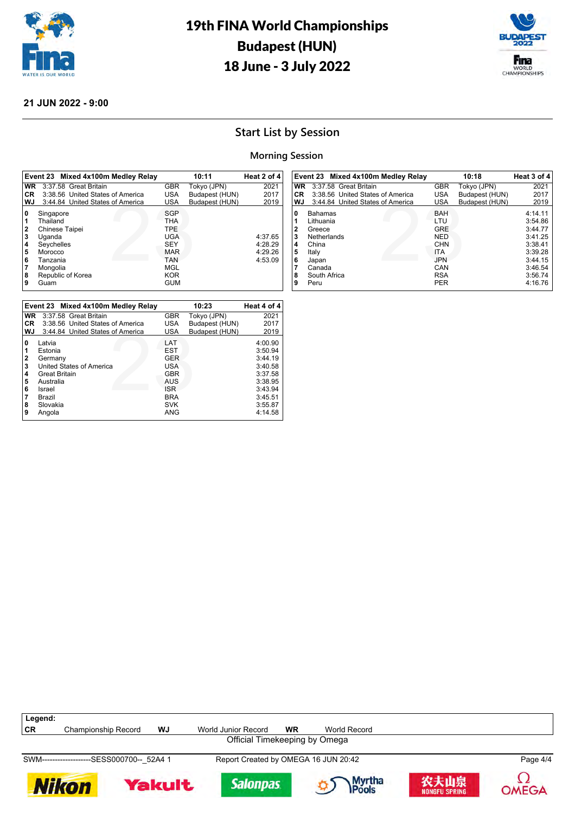



### **21 JUN 2022 - 9:00**

## **Start List by Session**

### **Morning Session**

|              | Event 23 Mixed 4x100m Medley Relay |            | 10:11          | Heat 2 of 4 |
|--------------|------------------------------------|------------|----------------|-------------|
| <b>WR</b>    | 3:37.58 Great Britain              | <b>GBR</b> | Tokyo (JPN)    | 2021        |
| CR.          | 3:38.56 United States of America   | USA        | Budapest (HUN) | 2017        |
| WJ           | 3:44.84 United States of America   | USA        | Budapest (HUN) | 2019        |
| 0            | Singapore                          | <b>SGP</b> |                |             |
|              | Thailand                           | THA        |                |             |
| $\mathbf{2}$ | Chinese Taipei                     | <b>TPE</b> |                |             |
| 3            | Uganda                             | <b>UGA</b> |                | 4:37.65     |
| 4            | Seychelles                         | <b>SEY</b> |                | 4:28.29     |
| 5            | Morocco                            | <b>MAR</b> |                | 4:29.26     |
| 6            | Tanzania                           | <b>TAN</b> |                | 4:53.09     |
| 7            | Mongolia                           | MGL        |                |             |
| 8            | Republic of Korea                  | <b>KOR</b> |                |             |
| 9            | Guam                               | GUM        |                |             |

|           | Event 23 Mixed 4x100m Medley Relay |            | 10:23          | Heat 4 of 4 |
|-----------|------------------------------------|------------|----------------|-------------|
| <b>WR</b> | 3:37.58 Great Britain              | <b>GBR</b> | Tokyo (JPN)    | 2021        |
| CR.       | 3:38.56 United States of America   | USA        | Budapest (HUN) | 2017        |
| WJ        | 3:44.84 United States of America   | <b>USA</b> | Budapest (HUN) | 2019        |
| 0         | Latvia                             | LAT        |                | 4:00.90     |
| 1         | Estonia                            | <b>EST</b> |                | 3:50.94     |
| 2         | Germany                            | <b>GER</b> |                | 3:44.19     |
| 3         | United States of America           | USA        |                | 3:40.58     |
| 4         | <b>Great Britain</b>               | <b>GBR</b> |                | 3:37.58     |
| 5         | Australia                          | AUS        |                | 3:38.95     |
| 6         | Israel                             | <b>ISR</b> |                | 3:43.94     |
|           | Brazil                             | <b>BRA</b> |                | 3:45.51     |
| 8         | Slovakia                           | <b>SVK</b> |                | 3:55.87     |
| 9         | Angola                             | ANG        |                | 4:14.58     |

| Event 23 Mixed 4x100m Medley Relay                                                                        |                                                                                                              | 10:18          | Heat 3 of 4                                                                                                |
|-----------------------------------------------------------------------------------------------------------|--------------------------------------------------------------------------------------------------------------|----------------|------------------------------------------------------------------------------------------------------------|
| 3:37.58 Great Britain                                                                                     | <b>GBR</b>                                                                                                   | Tokyo (JPN)    | 2021                                                                                                       |
| 3:38.56 United States of America                                                                          | USA                                                                                                          | Budapest (HUN) | 2017                                                                                                       |
| 3:44.84 United States of America                                                                          | <b>USA</b>                                                                                                   | Budapest (HUN) | 2019                                                                                                       |
| <b>Bahamas</b><br>Lithuania<br>Greece<br>Netherlands<br>China<br>Italy<br>Japan<br>Canada<br>South Africa | <b>BAH</b><br>LTU<br><b>GRE</b><br><b>NED</b><br><b>CHN</b><br><b>ITA</b><br><b>JPN</b><br>CAN<br><b>RSA</b> |                | 4:14.11<br>3:54.86<br>3:44.77<br>3:41.25<br>3:38.41<br>3:39.28<br>3:44.15<br>3:46.54<br>3:56.74<br>4:16.76 |
|                                                                                                           | Peru                                                                                                         | <b>PER</b>     |                                                                                                            |

| Legend:                       |                     |           |                     |    |              |  |  |  |
|-------------------------------|---------------------|-----------|---------------------|----|--------------|--|--|--|
| CR                            | Championship Record | <b>WJ</b> | World Junior Record | WR | World Record |  |  |  |
| Official Timekeeping by Omega |                     |           |                     |    |              |  |  |  |
|                               |                     |           |                     |    |              |  |  |  |

SWM-------------------SESS000700--\_52A4 1 Report Created by OMEGA 16 JUN 20:42 Page 4/4











Ω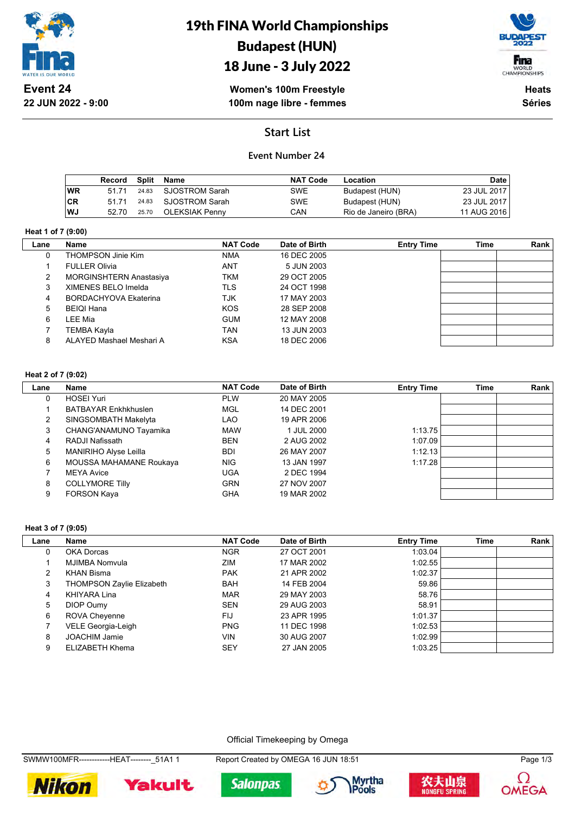

19th FINA World Championships Budapest (HUN) 18 June - 3 July 2022



**Women's 100m Freestyle 100m nage libre - femmes**

**Heats Séries**

## **Start List**

### **Event Number 24**

|           | Record | Split | Name           | <b>NAT Code</b> | Location             | Date        |
|-----------|--------|-------|----------------|-----------------|----------------------|-------------|
| <b>WR</b> | 51 71  | 24.83 | SJOSTROM Sarah | SWE             | Budapest (HUN)       | 23 JUL 2017 |
| CR        | 51 71  | 24.83 | SJOSTROM Sarah | <b>SWE</b>      | Budapest (HUN)       | 23 JUL 2017 |
| ∣WJ       | 52.70  | 25.70 | OLEKSIAK Penny | CAN             | Rio de Janeiro (BRA) | 11 AUG 2016 |

#### **Heat 1 of 7 (9:00)**

| Lane | Name                     | <b>NAT Code</b> | Date of Birth | <b>Entry Time</b> | Time | Rank |
|------|--------------------------|-----------------|---------------|-------------------|------|------|
| 0    | THOMPSON Jinie Kim       | <b>NMA</b>      | 16 DEC 2005   |                   |      |      |
|      | <b>FULLER Olivia</b>     | <b>ANT</b>      | 5 JUN 2003    |                   |      |      |
| 2    | MORGINSHTERN Anastasiya  | <b>TKM</b>      | 29 OCT 2005   |                   |      |      |
| 3    | XIMENES BELO Imelda      | <b>TLS</b>      | 24 OCT 1998   |                   |      |      |
| 4    | BORDACHYOVA Ekaterina    | <b>TJK</b>      | 17 MAY 2003   |                   |      |      |
| 5    | <b>BEIQI Hana</b>        | <b>KOS</b>      | 28 SEP 2008   |                   |      |      |
| 6    | LEE Mia                  | <b>GUM</b>      | 12 MAY 2008   |                   |      |      |
|      | TEMBA Kayla              | TAN             | 13 JUN 2003   |                   |      |      |
| 8    | ALAYED Mashael Meshari A | <b>KSA</b>      | 18 DEC 2006   |                   |      |      |

#### **Heat 2 of 7 (9:02)**

| Lane | Name                        | <b>NAT Code</b> | Date of Birth | <b>Entry Time</b> | Time | <b>Rank</b> |
|------|-----------------------------|-----------------|---------------|-------------------|------|-------------|
| 0    | <b>HOSEI Yuri</b>           | <b>PLW</b>      | 20 MAY 2005   |                   |      |             |
|      | <b>BATBAYAR Enkhkhuslen</b> | <b>MGL</b>      | 14 DEC 2001   |                   |      |             |
| 2    | SINGSOMBATH Makelyta        | LAO             | 19 APR 2006   |                   |      |             |
| 3    | CHANG'ANAMUNO Tayamika      | <b>MAW</b>      | 1 JUL 2000    | 1:13.75           |      |             |
| 4    | RADJI Nafissath             | <b>BEN</b>      | 2 AUG 2002    | 1:07.09           |      |             |
| 5    | MANIRIHO Alyse Leilla       | <b>BDI</b>      | 26 MAY 2007   | 1:12.13           |      |             |
| 6    | MOUSSA MAHAMANE Roukaya     | <b>NIG</b>      | 13 JAN 1997   | 1:17.28           |      |             |
|      | <b>MEYA Avice</b>           | <b>UGA</b>      | 2 DEC 1994    |                   |      |             |
| 8    | <b>COLLYMORE Tilly</b>      | <b>GRN</b>      | 27 NOV 2007   |                   |      |             |
| 9    | <b>FORSON Kaya</b>          | <b>GHA</b>      | 19 MAR 2002   |                   |      |             |

#### **Heat 3 of 7 (9:05)**

| Lane | Name                             | <b>NAT Code</b> | Date of Birth | <b>Entry Time</b> | <b>Time</b> | Rank |
|------|----------------------------------|-----------------|---------------|-------------------|-------------|------|
| 0    | OKA Dorcas                       | <b>NGR</b>      | 27 OCT 2001   | 1.03.04           |             |      |
|      | MJIMBA Nomvula                   | ZIM             | 17 MAR 2002   | 1:02.55           |             |      |
| 2    | <b>KHAN Bisma</b>                | <b>PAK</b>      | 21 APR 2002   | 1:02.37           |             |      |
| 3    | <b>THOMPSON Zaylie Elizabeth</b> | <b>BAH</b>      | 14 FEB 2004   | 59.86             |             |      |
| 4    | KHIYARA Lina                     | <b>MAR</b>      | 29 MAY 2003   | 58.76             |             |      |
| 5    | DIOP Oumy                        | <b>SEN</b>      | 29 AUG 2003   | 58.91             |             |      |
| 6    | <b>ROVA Cheyenne</b>             | FIJ             | 23 APR 1995   | 1:01.37           |             |      |
|      | VELE Georgia-Leigh               | <b>PNG</b>      | 11 DEC 1998   | 1:02.53           |             |      |
| 8    | <b>JOACHIM Jamie</b>             | VIN             | 30 AUG 2007   | 1:02.99           |             |      |
| 9    | ELIZABETH Khema                  | SEY             | 27 JAN 2005   | 1:03.25           |             |      |

Official Timekeeping by Omega

SWMW100MFR------------HEAT--------\_51A1 1 Report Created by OMEGA 16 JUN 18:51 Page 1/3









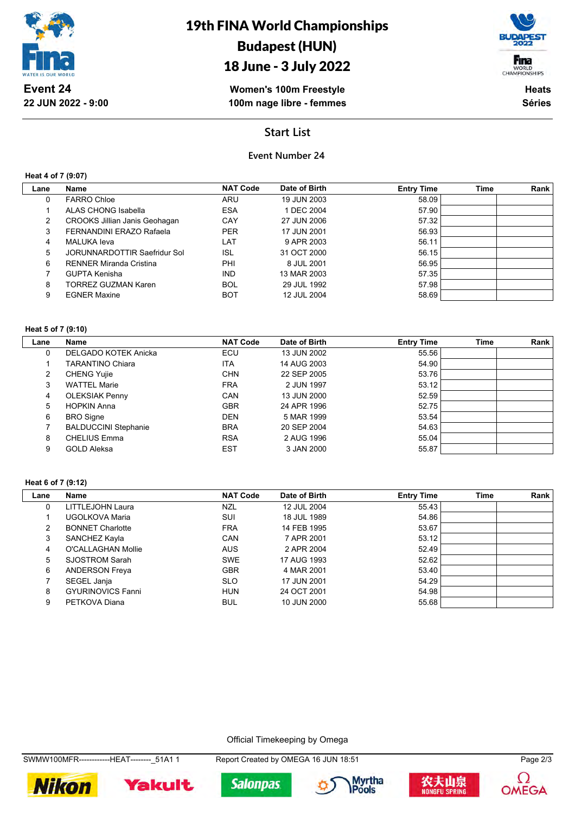

## 18 June - 3 July 2022

Fina WORLD<br>CHAMPIONSHIPS

**Women's 100m Freestyle 100m nage libre - femmes**

**Heats Séries**

## **Start List**

## **Event Number 24**

**Heat 4 of 7 (9:07)**

| Lane           | <b>Name</b>                    | <b>NAT Code</b> | Date of Birth | <b>Entry Time</b> | Time | Rank |
|----------------|--------------------------------|-----------------|---------------|-------------------|------|------|
| 0              | <b>FARRO Chloe</b>             | ARU             | 19 JUN 2003   | 58.09             |      |      |
|                | <b>ALAS CHONG Isabella</b>     | <b>ESA</b>      | 1 DEC 2004    | 57.90             |      |      |
| $\overline{2}$ | CROOKS Jillian Janis Geohagan  | CAY             | 27 JUN 2006   | 57.32             |      |      |
| 3              | FERNANDINI ERAZO Rafaela       | <b>PER</b>      | 17 JUN 2001   | 56.93             |      |      |
| 4              | MALUKA leva                    | LAT             | 9 APR 2003    | 56.11             |      |      |
| 5              | JORUNNARDOTTIR Saefridur Sol   | ISL             | 31 OCT 2000   | 56.15             |      |      |
| 6              | <b>RENNER Miranda Cristina</b> | PHI             | 8 JUL 2001    | 56.95             |      |      |
|                | <b>GUPTA Kenisha</b>           | <b>IND</b>      | 13 MAR 2003   | 57.35             |      |      |
| 8              | <b>TORREZ GUZMAN Karen</b>     | <b>BOL</b>      | 29 JUL 1992   | 57.98             |      |      |
| 9              | <b>EGNER Maxine</b>            | BOT             | 12 JUL 2004   | 58.69             |      |      |
|                |                                |                 |               |                   |      |      |

#### **Heat 5 of 7 (9:10)**

| Lane | Name                        | <b>NAT Code</b> | Date of Birth | <b>Entry Time</b> | <b>Time</b> | Rank |
|------|-----------------------------|-----------------|---------------|-------------------|-------------|------|
| 0    | DELGADO KOTEK Anicka        | ECU             | 13 JUN 2002   | 55.56             |             |      |
|      | <b>TARANTINO Chiara</b>     | <b>ITA</b>      | 14 AUG 2003   | 54.90             |             |      |
| 2    | <b>CHENG Yujie</b>          | <b>CHN</b>      | 22 SEP 2005   | 53.76             |             |      |
| 3    | <b>WATTEL Marie</b>         | <b>FRA</b>      | 2 JUN 1997    | 53.12             |             |      |
| 4    | <b>OLEKSIAK Penny</b>       | CAN             | 13 JUN 2000   | 52.59             |             |      |
| 5    | <b>HOPKIN Anna</b>          | <b>GBR</b>      | 24 APR 1996   | 52.75             |             |      |
| 6    | <b>BRO</b> Signe            | <b>DEN</b>      | 5 MAR 1999    | 53.54             |             |      |
|      | <b>BALDUCCINI Stephanie</b> | <b>BRA</b>      | 20 SEP 2004   | 54.63             |             |      |
| 8    | <b>CHELIUS Emma</b>         | <b>RSA</b>      | 2 AUG 1996    | 55.04             |             |      |
| 9    | <b>GOLD Aleksa</b>          | <b>EST</b>      | 3 JAN 2000    | 55.87             |             |      |

#### **Heat 6 of 7 (9:12)**

| Lane | Name                     | <b>NAT Code</b> | Date of Birth | <b>Entry Time</b> | <b>Time</b> | Rank |
|------|--------------------------|-----------------|---------------|-------------------|-------------|------|
| 0    | LITTLEJOHN Laura         | <b>NZL</b>      | 12 JUL 2004   | 55.43             |             |      |
|      | UGOLKOVA Maria           | SUI             | 18 JUL 1989   | 54.86             |             |      |
| 2    | <b>BONNET Charlotte</b>  | <b>FRA</b>      | 14 FEB 1995   | 53.67             |             |      |
| 3    | SANCHEZ Kayla            | CAN             | 7 APR 2001    | 53.12             |             |      |
| 4    | O'CALLAGHAN Mollie       | <b>AUS</b>      | 2 APR 2004    | 52.49             |             |      |
| 5    | SJOSTROM Sarah           | <b>SWE</b>      | 17 AUG 1993   | 52.62             |             |      |
| 6    | <b>ANDERSON Freya</b>    | <b>GBR</b>      | 4 MAR 2001    | 53.40             |             |      |
|      | SEGEL Janja              | <b>SLO</b>      | 17 JUN 2001   | 54.29             |             |      |
| 8    | <b>GYURINOVICS Fanni</b> | <b>HUN</b>      | 24 OCT 2001   | 54.98             |             |      |
| 9    | PETKOVA Diana            | <b>BUL</b>      | 10 JUN 2000   | 55.68             |             |      |

Official Timekeeping by Omega

SWMW100MFR-------------HEAT--------\_51A1 1 Report Created by OMEGA 16 JUN 18:51 Page 2/3

**Salonpas** 









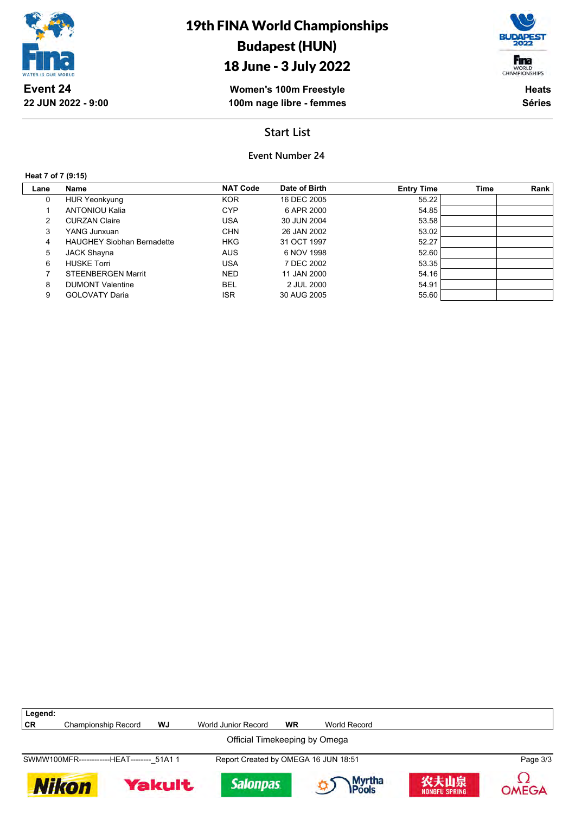

## 18 June - 3 July 2022

**Women's 100m Freestyle 100m nage libre - femmes** WORLD<br>CHAMPIONSHIPS **Heats Séries**

Fina

## **Start List**

### **Event Number 24**

**Heat 7 of 7 (9:15)**

Г

**Legend:**

| Lane | <b>Name</b>                       | <b>NAT Code</b> | Date of Birth | <b>Entry Time</b> | <b>Time</b> | Rank |
|------|-----------------------------------|-----------------|---------------|-------------------|-------------|------|
| 0    | <b>HUR Yeonkyung</b>              | <b>KOR</b>      | 16 DEC 2005   | 55.22             |             |      |
|      | <b>ANTONIOU Kalia</b>             | <b>CYP</b>      | 6 APR 2000    | 54.85             |             |      |
| 2    | <b>CURZAN Claire</b>              | <b>USA</b>      | 30 JUN 2004   | 53.58             |             |      |
| 3    | YANG Junxuan                      | <b>CHN</b>      | 26 JAN 2002   | 53.02             |             |      |
| 4    | <b>HAUGHEY Siobhan Bernadette</b> | <b>HKG</b>      | 31 OCT 1997   | 52.27             |             |      |
| 5    | <b>JACK Shayna</b>                | <b>AUS</b>      | 6 NOV 1998    | 52.60             |             |      |
| 6    | <b>HUSKE Torri</b>                | USA             | 7 DEC 2002    | 53.35             |             |      |
|      | <b>STEENBERGEN Marrit</b>         | <b>NED</b>      | 11 JAN 2000   | 54.16             |             |      |
| 8    | <b>DUMONT Valentine</b>           | <b>BEL</b>      | 2 JUL 2000    | 54.91             |             |      |
| 9    | <b>GOLOVATY Daria</b>             | <b>ISR</b>      | 30 AUG 2005   | 55.60             |             |      |
|      |                                   |                 |               |                   |             |      |



**CR** Championship Record **WJ** World Junior Record **WR** World Record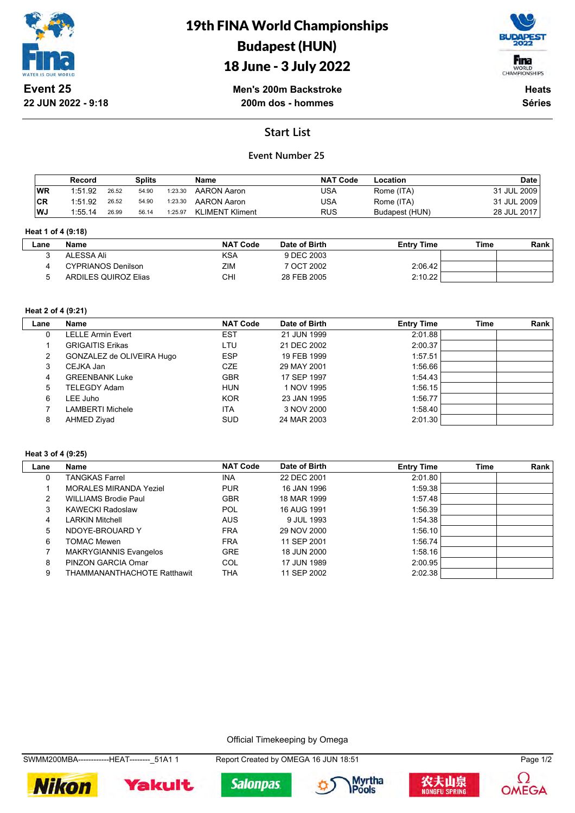

19th FINA World Championships Budapest (HUN)

## 18 June - 3 July 2022



**Men's 200m Backstroke 200m dos - hommes**

**Heats Séries**

## **Start List**

### **Event Number 25**

|           | Record  |       | Splits |         | Name                   | <b>NAT Code</b> | Location       | <b>Date</b> |
|-----------|---------|-------|--------|---------|------------------------|-----------------|----------------|-------------|
| <b>WR</b> | 1:51.92 | 26.52 | 54.90  | 1:23.30 | AARON Aaron            | USA             | Rome (ITA)     | 31 JUL 2009 |
| <b>CR</b> | 1:51.92 | 26.52 | 54.90  | 1:23.30 | AARON Aaron            | USA             | Rome (ITA)     | 31 JUL 2009 |
| WJ        | 1:55.14 | 26.99 | 56.14  | 1:25.97 | <b>KLIMENT Kliment</b> | <b>RUS</b>      | Budapest (HUN) | 28 JUL 2017 |

#### **Heat 1 of 4 (9:18)**

| -ane | Name                      | <b>NAT Code</b> | Date of Birth | <b>Entry Time</b> | Time | Rank |
|------|---------------------------|-----------------|---------------|-------------------|------|------|
|      | ALESSA Ali                | <b>KSA</b>      | 9 DEC 2003    |                   |      |      |
|      | <b>CYPRIANOS Denilson</b> | ZIM             | 7 OCT 2002    | 2:06.42           |      |      |
|      | ARDILES QUIROZ Elias      | СHI             | 28 FEB 2005   | 2:10.22           |      |      |

### **Heat 2 of 4 (9:21)**

| Lane | <b>Name</b>               | <b>NAT Code</b> | Date of Birth | <b>Entry Time</b> | Time | Rank |
|------|---------------------------|-----------------|---------------|-------------------|------|------|
| 0    | LELLE Armin Evert         | EST             | 21 JUN 1999   | 2:01.88           |      |      |
|      | <b>GRIGAITIS Erikas</b>   | LTU             | 21 DEC 2002   | 2:00.37           |      |      |
| 2    | GONZALEZ de OLIVEIRA Hugo | <b>ESP</b>      | 19 FEB 1999   | 1:57.51           |      |      |
| 3    | CEJKA Jan                 | CZE.            | 29 MAY 2001   | 1:56.66           |      |      |
| 4    | <b>GREENBANK Luke</b>     | <b>GBR</b>      | 17 SEP 1997   | 1.54.43           |      |      |
| 5    | TELEGDY Adam              | <b>HUN</b>      | 1 NOV 1995    | 1:56.15           |      |      |
| 6    | LEE Juho                  | <b>KOR</b>      | 23 JAN 1995   | 1:56.77           |      |      |
|      | LAMBERTI Michele          | <b>ITA</b>      | 3 NOV 2000    | 1:58.40           |      |      |
| 8    | AHMED Ziyad               | <b>SUD</b>      | 24 MAR 2003   | 2:01.30           |      |      |

#### **Heat 3 of 4 (9:25)**

| Lane | Name                          | <b>NAT Code</b> | Date of Birth | <b>Entry Time</b> | <b>Time</b> | Rank |
|------|-------------------------------|-----------------|---------------|-------------------|-------------|------|
| 0    | <b>TANGKAS Farrel</b>         | <b>INA</b>      | 22 DEC 2001   | 2:01.80           |             |      |
|      | <b>MORALES MIRANDA Yeziel</b> | <b>PUR</b>      | 16 JAN 1996   | 1:59.38           |             |      |
| 2    | <b>WILLIAMS Brodie Paul</b>   | <b>GBR</b>      | 18 MAR 1999   | 1:57.48           |             |      |
| 3    | <b>KAWECKI Radoslaw</b>       | POL             | 16 AUG 1991   | 1:56.39           |             |      |
| 4    | <b>LARKIN Mitchell</b>        | <b>AUS</b>      | 9 JUL 1993    | 1:54.38           |             |      |
| 5    | NDOYE-BROUARD Y               | <b>FRA</b>      | 29 NOV 2000   | 1:56.10           |             |      |
| 6    | <b>TOMAC Mewen</b>            | <b>FRA</b>      | 11 SEP 2001   | 1:56.74           |             |      |
|      | <b>MAKRYGIANNIS Evangelos</b> | <b>GRE</b>      | 18 JUN 2000   | 1:58.16           |             |      |
| 8    | PINZON GARCIA Omar            | <b>COL</b>      | 17 JUN 1989   | 2:00.95           |             |      |
| 9    | THAMMANANTHACHOTE Ratthawit   | THA             | 11 SEP 2002   | 2:02.38           |             |      |

Official Timekeeping by Omega











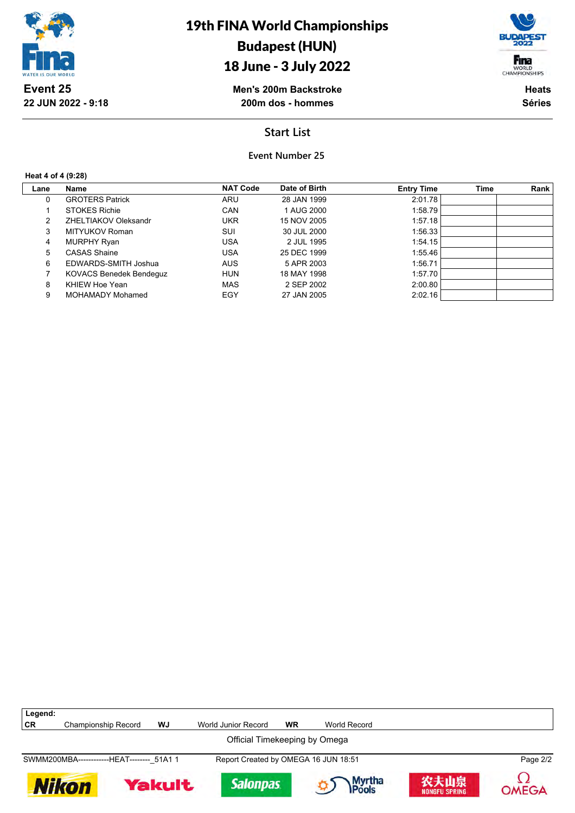

## 18 June - 3 July 2022



**Men's 200m Backstroke 200m dos - hommes**

**Heats Séries**

## **Start List**

**Event Number 25**

**Heat 4 of 4 (9:28)**

| Lane | Name                           | <b>NAT Code</b> | Date of Birth | <b>Entry Time</b> | Time | Rank |
|------|--------------------------------|-----------------|---------------|-------------------|------|------|
| 0    | <b>GROTERS Patrick</b>         | ARU             | 28 JAN 1999   | 2:01.78           |      |      |
|      | <b>STOKES Richie</b>           | CAN             | 1 AUG 2000    | 1:58.79           |      |      |
| 2    | ZHELTIAKOV Oleksandr           | <b>UKR</b>      | 15 NOV 2005   | 1:57.18           |      |      |
| 3    | MITYUKOV Roman                 | SUI             | 30 JUL 2000   | 1:56.33           |      |      |
| 4    | MURPHY Ryan                    | <b>USA</b>      | 2 JUL 1995    | 1:54.15           |      |      |
| 5    | <b>CASAS Shaine</b>            | <b>USA</b>      | 25 DEC 1999   | 1:55.46           |      |      |
| 6    | EDWARDS-SMITH Joshua           | <b>AUS</b>      | 5 APR 2003    | 1:56.71           |      |      |
|      | <b>KOVACS Benedek Bendeguz</b> | <b>HUN</b>      | 18 MAY 1998   | 1:57.70           |      |      |
| 8    | KHIEW Hoe Yean                 | <b>MAS</b>      | 2 SEP 2002    | 2:00.80           |      |      |
| 9    | <b>MOHAMADY Mohamed</b>        | EGY             | 27 JAN 2005   | 2:02.16           |      |      |

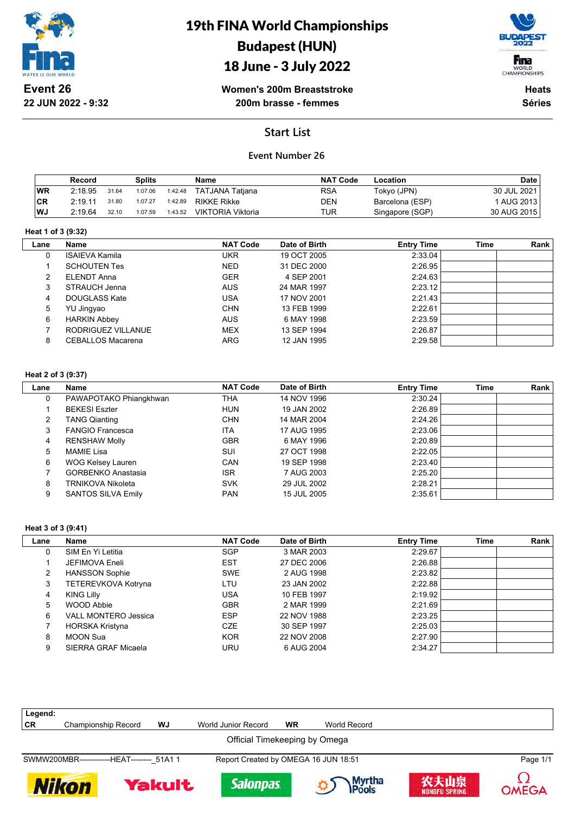

19th FINA World Championships Budapest (HUN)

## 18 June - 3 July 2022



**Women's 200m Breaststroke 200m brasse - femmes**

**Heats Séries**

## **Start List**

### **Event Number 26**

|      | Record  |       | Splits  |         | Name              | <b>NAT Code</b> | Location        | <b>Date</b> |
|------|---------|-------|---------|---------|-------------------|-----------------|-----------------|-------------|
| WR   | 2:18.95 | 31.64 | 1:07.06 | 1:42.48 | TATJANA Tatjana   | RSA             | Tokyo (JPN)     | 30 JUL 2021 |
| ∣CR  | 2:19.11 | 31.80 | 1:07.27 | 1:42.89 | RIKKE Rikke       | DEN             | Barcelona (ESP) | AUG 2013    |
| l WJ | 2:19.64 | 32.10 | 1:07.59 | 1:43.52 | VIKTORIA Viktoria | TUR             | Singapore (SGP) | 30 AUG 2015 |

#### **Heat 1 of 3 (9:32)**

| Lane | Name                     | <b>NAT Code</b><br>Date of Birth |             | <b>Entry Time</b> | Time | Rank |
|------|--------------------------|----------------------------------|-------------|-------------------|------|------|
| 0    | <b>ISAIEVA Kamila</b>    | UKR                              | 19 OCT 2005 | 2:33.04           |      |      |
|      | <b>SCHOUTEN Tes</b>      | <b>NED</b>                       | 31 DEC 2000 | 2:26.95           |      |      |
| 2    | ELENDT Anna              | <b>GER</b>                       | 4 SEP 2001  | 2:24.63           |      |      |
| 3    | STRAUCH Jenna            | <b>AUS</b>                       | 24 MAR 1997 | 2:23.12           |      |      |
| 4    | DOUGLASS Kate            | <b>USA</b>                       | 17 NOV 2001 | 2:21.43           |      |      |
| 5    | YU Jingyao               | <b>CHN</b>                       | 13 FEB 1999 | 2:22.61           |      |      |
| 6    | <b>HARKIN Abbey</b>      | <b>AUS</b>                       | 6 MAY 1998  | 2:23.59           |      |      |
|      | RODRIGUEZ VILLANUE       | <b>MEX</b>                       | 13 SEP 1994 | 2:26.87           |      |      |
| 8    | <b>CEBALLOS Macarena</b> | <b>ARG</b>                       | 12 JAN 1995 | 2:29.58           |      |      |
|      |                          |                                  |             |                   |      |      |

#### **Heat 2 of 3 (9:37)**

| Lane | Name                      | <b>NAT Code</b> | Date of Birth | <b>Entry Time</b> | <b>Time</b> | <b>Rank</b> |
|------|---------------------------|-----------------|---------------|-------------------|-------------|-------------|
| 0    | PAWAPOTAKO Phiangkhwan    | THA             | 14 NOV 1996   | 2:30.24           |             |             |
|      | <b>BEKESI Eszter</b>      | <b>HUN</b>      | 19 JAN 2002   | 2:26.89           |             |             |
| 2    | <b>TANG Qianting</b>      | <b>CHN</b>      | 14 MAR 2004   | 2:24.26           |             |             |
| 3    | <b>FANGIO Francesca</b>   | <b>ITA</b>      | 17 AUG 1995   | 2:23.06           |             |             |
| 4    | <b>RENSHAW Molly</b>      | <b>GBR</b>      | 6 MAY 1996    | 2:20.89           |             |             |
| 5    | MAMIE Lisa                | SUI             | 27 OCT 1998   | 2:22.05           |             |             |
| 6    | WOG Kelsey Lauren         | CAN             | 19 SEP 1998   | 2:23.40           |             |             |
|      | <b>GORBENKO Anastasia</b> | <b>ISR</b>      | 7 AUG 2003    | 2:25.20           |             |             |
| 8    | <b>TRNIKOVA Nikoleta</b>  | <b>SVK</b>      | 29 JUL 2002   | 2:28.21           |             |             |
| 9    | <b>SANTOS SILVA Emily</b> | <b>PAN</b>      | 15 JUL 2005   | 2:35.61           |             |             |

#### **Heat 3 of 3 (9:41)**

| Lane | Name                        | <b>NAT Code</b> | Date of Birth | <b>Entry Time</b> | <b>Time</b> | Rank |
|------|-----------------------------|-----------------|---------------|-------------------|-------------|------|
| 0    | SIM En Yi Letitia           | <b>SGP</b>      | 3 MAR 2003    | 2:29.67           |             |      |
|      | JEFIMOVA Eneli              | <b>EST</b>      | 27 DEC 2006   | 2:26.88           |             |      |
| 2    | <b>HANSSON Sophie</b>       | <b>SWE</b>      | 2 AUG 1998    | 2:23.82           |             |      |
| 3    | TETEREVKOVA Kotryna         | LTU             | 23 JAN 2002   | 2:22.88           |             |      |
| 4    | <b>KING Lilly</b>           | USA             | 10 FEB 1997   | 2:19.92           |             |      |
| 5    | WOOD Abbie                  | <b>GBR</b>      | 2 MAR 1999    | 2:21.69           |             |      |
| 6    | <b>VALL MONTERO Jessica</b> | <b>ESP</b>      | 22 NOV 1988   | 2:23.25           |             |      |
|      | HORSKA Kristyna             | CZE             | 30 SEP 1997   | 2:25.03           |             |      |
| 8    | <b>MOON Sua</b>             | <b>KOR</b>      | 22 NOV 2008   | 2:27.90           |             |      |
| 9    | SIERRA GRAF Micaela         | URU             | 6 AUG 2004    | 2:34.27           |             |      |

| Legend:                       |                                            |               |                                      |           |                         |                              |          |  |  |
|-------------------------------|--------------------------------------------|---------------|--------------------------------------|-----------|-------------------------|------------------------------|----------|--|--|
| CR.                           | Championship Record                        | WJ            | World Junior Record                  | <b>WR</b> | World Record            |                              |          |  |  |
| Official Timekeeping by Omega |                                            |               |                                      |           |                         |                              |          |  |  |
|                               | SWMW200MBR-------------HEAT-------- 51A1 1 |               | Report Created by OMEGA 16 JUN 18:51 |           |                         |                              | Page 1/1 |  |  |
| <b>Nikon</b>                  |                                            | <b>Yakult</b> | <b>Salonpas</b>                      |           | Myrtha<br><b>IPools</b> | 农夫山泉<br><b>NONGFU SPRING</b> | OMEGA    |  |  |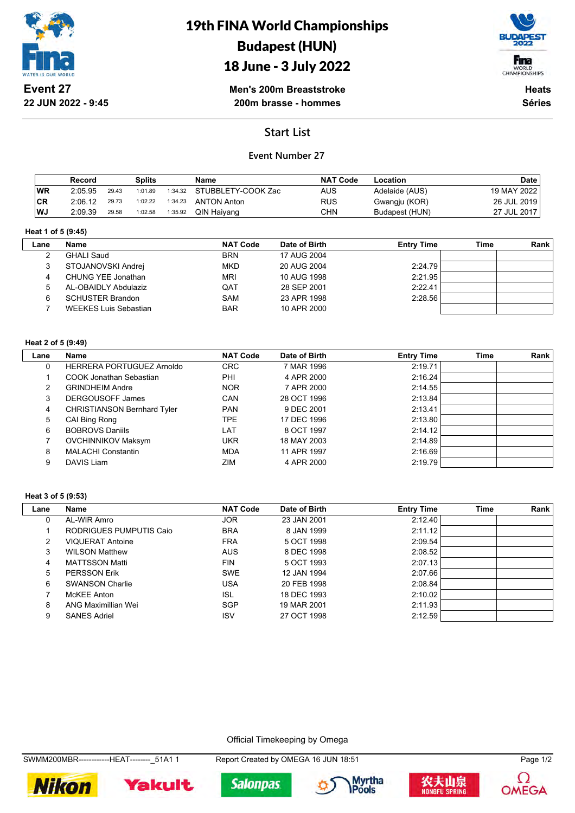

# 19th FINA World Championships Budapest (HUN)





**Men's 200m Breaststroke 200m brasse - hommes**

**Heats Séries**

## **Start List**

### **Event Number 27**

|     | Record  |       | Splits  |         | Name               | <b>NAT Code</b> | Location       | <b>Date</b>   |
|-----|---------|-------|---------|---------|--------------------|-----------------|----------------|---------------|
| WR  | 2:05.95 | 29.43 | 1:01.89 | 1:34.32 | STUBBLETY-COOK Zac | AUS.            | Adelaide (AUS) | 19 MAY 2022   |
| ∣CR | 2:06.12 | 29.73 | 1:02.22 | 1:34.23 | <b>ANTON Anton</b> | <b>RUS</b>      | Gwangju (KOR)  | 26 JUL 2019 i |
| WJ  | 2:09.39 | 29.58 | 1:02.58 | 1:35.92 | QIN Haiyang        | CHN             | Budapest (HUN) | 27 JUL 2017   |

#### **Heat 1 of 5 (9:45)**

| Lane | Name                         | <b>NAT Code</b> | Date of Birth | <b>Entry Time</b> | Time | Rank |
|------|------------------------------|-----------------|---------------|-------------------|------|------|
|      | <b>GHALI Saud</b>            | <b>BRN</b>      | 17 AUG 2004   |                   |      |      |
|      | STOJANOVSKI Andrej           | <b>MKD</b>      | 20 AUG 2004   | 2:24.79           |      |      |
|      | CHUNG YEE Jonathan           | <b>MRI</b>      | 10 AUG 1998   | 2:21.95           |      |      |
|      | AL-OBAIDLY Abdulaziz         | QAT             | 28 SEP 2001   | 2:22.41           |      |      |
|      | <b>SCHUSTER Brandon</b>      | SAM             | 23 APR 1998   | 2:28.56           |      |      |
|      | <b>WEEKES Luis Sebastian</b> | <b>BAR</b>      | 10 APR 2000   |                   |      |      |
|      |                              |                 |               |                   |      |      |

#### **Heat 2 of 5 (9:49)**

| Lane | Name                               | <b>NAT Code</b> | Date of Birth | <b>Entry Time</b> | Time | Rank |
|------|------------------------------------|-----------------|---------------|-------------------|------|------|
| 0    | <b>HERRERA PORTUGUEZ Arnoldo</b>   | <b>CRC</b>      | 7 MAR 1996    | 2:19.71           |      |      |
|      | COOK Jonathan Sebastian            | PHI             | 4 APR 2000    | 2:16.24           |      |      |
| 2    | <b>GRINDHEIM Andre</b>             | <b>NOR</b>      | 7 APR 2000    | 2:14.55           |      |      |
| 3    | DERGOUSOFF James                   | CAN             | 28 OCT 1996   | 2:13.84           |      |      |
| 4    | <b>CHRISTIANSON Bernhard Tyler</b> | <b>PAN</b>      | 9 DEC 2001    | 2:13.41           |      |      |
| 5    | CAI Bing Rong                      | TPE.            | 17 DEC 1996   | 2:13.80           |      |      |
| 6    | <b>BOBROVS Daniils</b>             | LAT             | 8 OCT 1997    | 2:14.12           |      |      |
|      | <b>OVCHINNIKOV Maksym</b>          | <b>UKR</b>      | 18 MAY 2003   | 2:14.89           |      |      |
| 8    | <b>MALACHI Constantin</b>          | <b>MDA</b>      | 11 APR 1997   | 2:16.69           |      |      |
| 9    | DAVIS Liam                         | ZIM             | 4 APR 2000    | 2:19.79           |      |      |

#### **Heat 3 of 5 (9:53)**

| Lane | Name                    | <b>NAT Code</b> | Date of Birth | <b>Entry Time</b> | Time | Rank |
|------|-------------------------|-----------------|---------------|-------------------|------|------|
| 0    | AL-WIR Amro             | <b>JOR</b>      | 23 JAN 2001   | 2:12.40           |      |      |
|      | RODRIGUES PUMPUTIS Caio | <b>BRA</b>      | 8 JAN 1999    | 2:11.12           |      |      |
| 2    | <b>VIQUERAT Antoine</b> | <b>FRA</b>      | 5 OCT 1998    | 2:09.54           |      |      |
| 3    | <b>WILSON Matthew</b>   | <b>AUS</b>      | 8 DEC 1998    | 2:08.52           |      |      |
| 4    | <b>MATTSSON Matti</b>   | <b>FIN</b>      | 5 OCT 1993    | 2:07.13           |      |      |
| 5    | <b>PERSSON Erik</b>     | <b>SWE</b>      | 12 JAN 1994   | 2:07.66           |      |      |
| 6    | <b>SWANSON Charlie</b>  | USA             | 20 FEB 1998   | 2:08.84           |      |      |
|      | McKEE Anton             | ISL             | 18 DEC 1993   | 2:10.02           |      |      |
| 8    | ANG Maximillian Wei     | SGP             | 19 MAR 2001   | 2:11.93           |      |      |
| 9    | <b>SANES Adriel</b>     | <b>ISV</b>      | 27 OCT 1998   | 2:12.59           |      |      |

#### Official Timekeeping by Omega

SWMM200MBR------------HEAT--------\_51A1 1 Report Created by OMEGA 16 JUN 18:51 Page 1/2











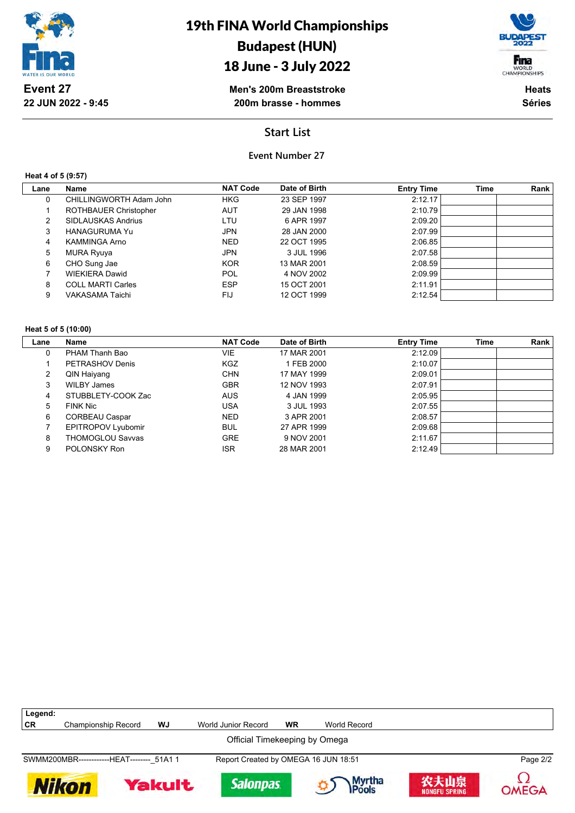

## 18 June - 3 July 2022



**Men's 200m Breaststroke 200m brasse - hommes**

**Heats Séries**

## **Start List**

### **Event Number 27**

### **Heat 4 of 5 (9:57)**

| Lane | Name                         | <b>NAT Code</b> | Date of Birth | <b>Entry Time</b> | <b>Time</b> | Rank |
|------|------------------------------|-----------------|---------------|-------------------|-------------|------|
| 0    | CHILLINGWORTH Adam John      | <b>HKG</b>      | 23 SEP 1997   | 2:12.17           |             |      |
|      | <b>ROTHBAUER Christopher</b> | AUT             | 29 JAN 1998   | 2:10.79           |             |      |
| 2    | SIDLAUSKAS Andrius           | LTU             | 6 APR 1997    | 2:09.20           |             |      |
| 3    | <b>HANAGURUMA Yu</b>         | <b>JPN</b>      | 28 JAN 2000   | 2:07.99           |             |      |
| 4    | <b>KAMMINGA Arno</b>         | <b>NED</b>      | 22 OCT 1995   | 2:06.85           |             |      |
| 5    | <b>MURA Ryuya</b>            | JPN             | 3 JUL 1996    | 2:07.58           |             |      |
| 6    | CHO Sung Jae                 | <b>KOR</b>      | 13 MAR 2001   | 2:08.59           |             |      |
|      | <b>WIEKIERA Dawid</b>        | POL             | 4 NOV 2002    | 2:09.99           |             |      |
| 8    | <b>COLL MARTI Carles</b>     | <b>ESP</b>      | 15 OCT 2001   | 2:11.91           |             |      |
| 9    | VAKASAMA Taichi              | FIJ             | 12 OCT 1999   | 2:12.54           |             |      |

#### **Heat 5 of 5 (10:00)**

| Lane | Name                      | <b>NAT Code</b> | Date of Birth | <b>Entry Time</b> | Time | Rank |
|------|---------------------------|-----------------|---------------|-------------------|------|------|
| 0    | PHAM Thanh Bao            | VIE             | 17 MAR 2001   | 2:12.09           |      |      |
|      | PETRASHOV Denis           | <b>KGZ</b>      | 1 FEB 2000    | 2:10.07           |      |      |
| 2    | QIN Haiyang               | <b>CHN</b>      | 17 MAY 1999   | 2:09.01           |      |      |
| 3    | WILBY James               | <b>GBR</b>      | 12 NOV 1993   | 2:07.91           |      |      |
| 4    | STUBBLETY-COOK Zac        | <b>AUS</b>      | 4 JAN 1999    | 2:05.95           |      |      |
| 5    | FINK Nic                  | USA             | 3 JUL 1993    | 2:07.55           |      |      |
| 6    | <b>CORBEAU Caspar</b>     | <b>NED</b>      | 3 APR 2001    | 2:08.57           |      |      |
|      | <b>EPITROPOV Lyubomir</b> | <b>BUL</b>      | 27 APR 1999   | 2:09.68           |      |      |
| 8    | <b>THOMOGLOU Savvas</b>   | <b>GRE</b>      | 9 NOV 2001    | 2:11.67           |      |      |
| 9    | POLONSKY Ron              | <b>ISR</b>      | 28 MAR 2001   | 2:12.49           |      |      |

| Legend: |                                            |        |                                      |           |                         |                              |          |
|---------|--------------------------------------------|--------|--------------------------------------|-----------|-------------------------|------------------------------|----------|
| CR      | Championship Record                        | WJ     | World Junior Record                  | <b>WR</b> | World Record            |                              |          |
|         |                                            |        | Official Timekeeping by Omega        |           |                         |                              |          |
|         | SWMM200MBR-------------HEAT-------- 51A1 1 |        | Report Created by OMEGA 16 JUN 18:51 |           |                         |                              | Page 2/2 |
| Nikon   |                                            | Yakult | <b>Salonpas</b>                      |           | Myrtha<br><b>IPools</b> | 农夫山泉<br><b>NONGFU SPRING</b> | OMEGA    |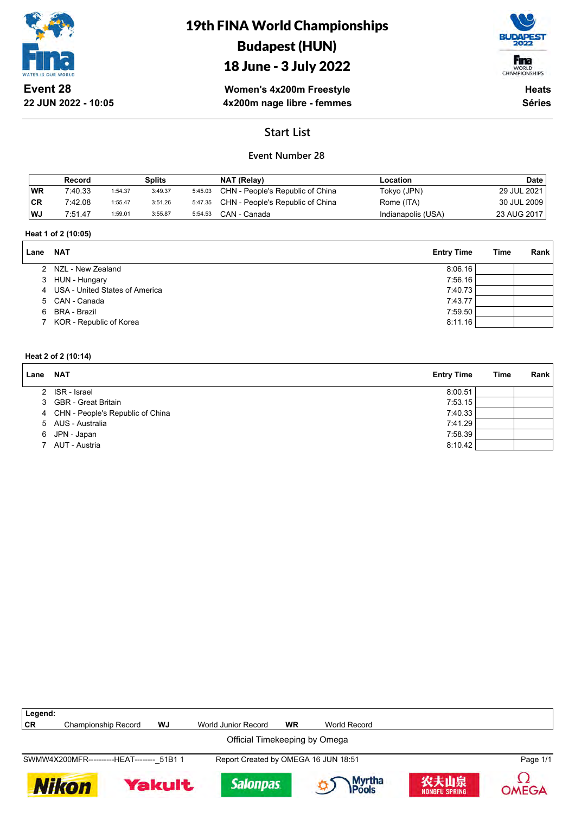

**22 JUN 2022 - 10:05**

## 19th FINA World Championships Budapest (HUN)

## 18 June - 3 July 2022



**Women's 4x200m Freestyle 4x200m nage libre - femmes**

**Heats Séries**

## **Start List**

## **Event Number 28**

|           | Record  |         | Splits  |         | NAT (Relay)                              | Location           | Date        |
|-----------|---------|---------|---------|---------|------------------------------------------|--------------------|-------------|
| <b>WR</b> | 7:40.33 | 1:54.37 | 3:49.37 | 5:45.03 | CHN - People's Republic of China         | Tokyo (JPN)        | 29 JUL 2021 |
| 'CR       | 7:42.08 | 1:55.47 | 3:51.26 |         | 5:47.35 CHN - People's Republic of China | Rome (ITA)         | 30 JUL 2009 |
| WJ        | 7:51.47 | 1:59.01 | 3:55.87 | 5:54.53 | CAN - Canada                             | Indianapolis (USA) | 23 AUG 2017 |

#### **Heat 1 of 2 (10:05)**

| Lane | <b>NAT</b>                       | <b>Entry Time</b> | Time | Rank |
|------|----------------------------------|-------------------|------|------|
|      | 2 NZL - New Zealand              | 8:06.16           |      |      |
|      | 3 HUN - Hungary                  | 7:56.16           |      |      |
|      | 4 USA - United States of America | 7:40.73           |      |      |
|      | 5 CAN - Canada                   | 7:43.77           |      |      |
| 6.   | BRA - Brazil                     | 7:59.50           |      |      |
|      | 7 KOR - Republic of Korea        | 8:11.16           |      |      |

#### **Heat 2 of 2 (10:14)**

| Lane | <b>NAT</b>                         | <b>Entry Time</b> | Time | Rank |
|------|------------------------------------|-------------------|------|------|
|      | 2 ISR - Israel                     | 8:00.51           |      |      |
|      | 3 GBR - Great Britain              | 7:53.15           |      |      |
|      | 4 CHN - People's Republic of China | 7:40.33           |      |      |
|      | 5 AUS - Australia                  | 7:41.29           |      |      |
|      | 6 JPN - Japan                      | 7:58.39           |      |      |
|      | AUT - Austria                      | 8:10.42           |      |      |

| Legend:<br>CR                 | Championship Record                        | WJ            | World Junior Record                  | <b>WR</b> | World Record    |                              |              |
|-------------------------------|--------------------------------------------|---------------|--------------------------------------|-----------|-----------------|------------------------------|--------------|
|                               |                                            |               |                                      |           |                 |                              |              |
| Official Timekeeping by Omega |                                            |               |                                      |           |                 |                              |              |
|                               | SWMW4X200MFR-----------HEAT-------- 51B1 1 |               | Report Created by OMEGA 16 JUN 18:51 |           |                 |                              | Page 1/1     |
|                               | <b>Nikon</b>                               | <b>Yakult</b> | <b>Salonpas</b>                      |           | Myrtha<br>Pools | 农夫山泉<br><b>NONGFU SPRING</b> | <b>OMEGA</b> |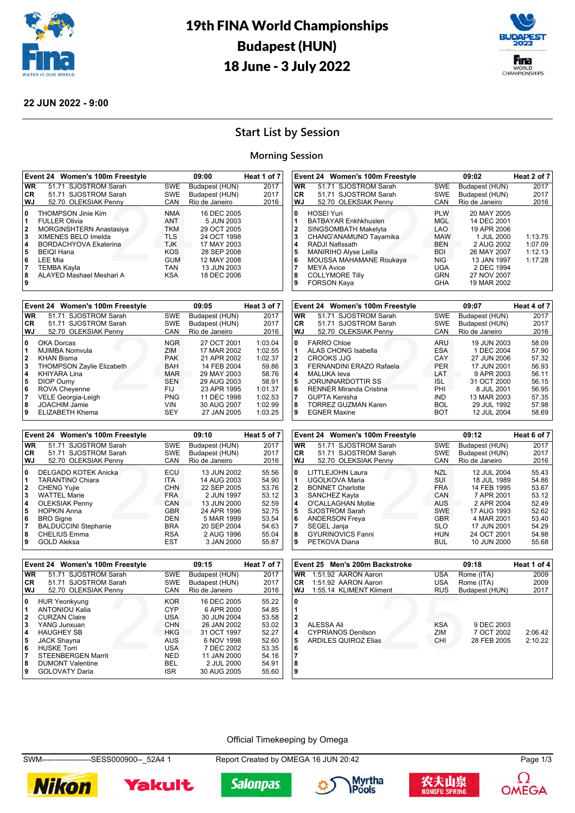



#### **22 JUN 2022 - 9:00**

## **Start List by Session**

#### **Morning Session**

|                                                | Event 24 Women's 100m Freestyle                                                                                                                                                                                 |                                                                                                              | 09:00                                                                                                                              | Heat 1 of 7 |
|------------------------------------------------|-----------------------------------------------------------------------------------------------------------------------------------------------------------------------------------------------------------------|--------------------------------------------------------------------------------------------------------------|------------------------------------------------------------------------------------------------------------------------------------|-------------|
| <b>WR</b>                                      | 51.71 SJOSTROM Sarah                                                                                                                                                                                            | <b>SWE</b>                                                                                                   | Budapest (HUN)                                                                                                                     | 2017        |
| CR.                                            | 51.71 SJOSTROM Sarah                                                                                                                                                                                            | <b>SWE</b>                                                                                                   | Budapest (HUN)                                                                                                                     | 2017        |
| WJ                                             | 52.70 OLEKSIAK Penny                                                                                                                                                                                            | CAN                                                                                                          | Rio de Janeiro                                                                                                                     | 2016        |
| 0<br>1<br>2<br>3<br>4<br>5<br>6<br>7<br>8<br>9 | <b>THOMPSON Jinie Kim</b><br><b>FULLER Olivia</b><br>MORGINSHTERN Anastasiya<br>XIMENES BELO Imelda<br>BORDACHYOVA Ekaterina<br><b>BEIQI Hana</b><br>LEE Mia<br><b>TEMBA Kayla</b><br>AI AYED Mashael Meshari A | <b>NMA</b><br><b>ANT</b><br><b>TKM</b><br><b>TLS</b><br><b>TJK</b><br>KOS<br><b>GUM</b><br><b>TAN</b><br>KSA | 16 DEC 2005<br>5 JUN 2003<br>29 OCT 2005<br>24 OCT 1998<br>17 MAY 2003<br>28 SEP 2008<br>12 MAY 2008<br>13 JUN 2003<br>18 DEC 2006 |             |

|              | Event 24 Women's 100m Freestyle  |            | 09:05          | Heat 3 of 7 |
|--------------|----------------------------------|------------|----------------|-------------|
| <b>WR</b>    | 51.71 SJOSTROM Sarah             | <b>SWE</b> | Budapest (HUN) | 2017        |
| CR.          | 51.71 SJOSTROM Sarah             | <b>SWE</b> | Budapest (HUN) | 2017        |
| WJ           | 52.70 OLEKSIAK Penny             | CAN        | Rio de Janeiro | 2016        |
| 0            | OKA Dorcas                       | <b>NGR</b> | 27 OCT 2001    | 1:03.04     |
| 1            | MJIMBA Nomvula                   | ZIM        | 17 MAR 2002    | 1:02.55     |
| $\mathbf{2}$ | <b>KHAN Bisma</b>                | <b>PAK</b> | 21 APR 2002    | 1:02.37     |
| 3            | <b>THOMPSON Zaylie Elizabeth</b> | <b>BAH</b> | 14 FEB 2004    | 59.86       |
| 4            | <b>KHIYARA Lina</b>              | <b>MAR</b> | 29 MAY 2003    | 58.76       |
| 5            | DIOP Oumy                        | <b>SEN</b> | 29 AUG 2003    | 58.91       |
| 6            | <b>ROVA Cheyenne</b>             | FIJ        | 23 APR 1995    | 1:01.37     |
| 7            | VELE Georgia-Leigh               | <b>PNG</b> | 11 DEC 1998    | 1:02.53     |
| 8            | <b>JOACHIM Jamie</b>             | <b>VIN</b> | 30 AUG 2007    | 1:02.99     |
| 9            | ELIZABETH Khema                  | <b>SEY</b> | 27 JAN 2005    | 1:03.25     |

|           | Event 24 Women's 100m Freestyle |            | 09:10          | Heat 5 of 7 |
|-----------|---------------------------------|------------|----------------|-------------|
| <b>WR</b> | 51.71 SJOSTROM Sarah            | <b>SWE</b> | Budapest (HUN) | 2017        |
| CR.       | 51.71 SJOSTROM Sarah            | <b>SWE</b> | Budapest (HUN) | 2017        |
| WJ        | 52.70 OLEKSIAK Penny            | CAN        | Rio de Janeiro | 2016        |
| 0         | DELGADO KOTEK Anicka            | ECU        | 13 JUN 2002    | 55.56       |
|           | <b>TARANTINO Chiara</b>         | <b>ITA</b> | 14 AUG 2003    | 54.90       |
| 2         | <b>CHENG Yujie</b>              | <b>CHN</b> | 22 SEP 2005    | 53.76       |
| 3         | <b>WATTEL Marie</b>             | <b>FRA</b> | 2 JUN 1997     | 53.12       |
| 4         | <b>OLEKSIAK Penny</b>           | CAN        | 13 JUN 2000    | 52.59       |
| 5         | <b>HOPKIN Anna</b>              | <b>GBR</b> | 24 APR 1996    | 52.75       |
| 6         | <b>BRO</b> Signe                | DEN        | 5 MAR 1999     | 53.54       |
| 7         | <b>BALDUCCINI Stephanie</b>     | <b>BRA</b> | 20 SEP 2004    | 54.63       |
| 8         | <b>CHELIUS Emma</b>             | <b>RSA</b> | 2 AUG 1996     | 55.04       |
| 9         | <b>GOLD Aleksa</b>              | <b>EST</b> | 3 JAN 2000     | 55.87       |

| 9         | <b>EGNER Maxine</b>             | BOT        | 12 JUL 2004    | 58.69       |
|-----------|---------------------------------|------------|----------------|-------------|
|           |                                 |            |                |             |
|           | Event 24 Women's 100m Freestyle |            | 09:12          | Heat 6 of 7 |
| <b>WR</b> | 51.71 SJOSTROM Sarah            | <b>SWE</b> | Budapest (HUN) | 2017        |
| CR        | 51.71 SJOSTROM Sarah            | <b>SWE</b> | Budapest (HUN) | 2017        |
| <b>WJ</b> | 52.70 OLEKSIAK Penny            | CAN        | Rio de Janeiro | 2016        |
| 0         | LITTLEJOHN Laura                | NZL        | 12 JUL 2004    | 55.43       |
| 1         | UGOLKOVA Maria                  | SUI        | 18 JUL 1989    | 54.86       |
| 2         | <b>BONNET Charlotte</b>         | <b>FRA</b> | 14 FEB 1995    | 53.67       |
| 3         | SANCHEZ Kayla                   | CAN        | 7 APR 2001     | 53.12       |
| 4         | O'CALLAGHAN Mollie              | <b>AUS</b> | 2 APR 2004     | 52.49       |
| 5         | <b>SJOSTROM Sarah</b>           | <b>SWE</b> | 17 AUG 1993    | 52.62       |
| 6         | <b>ANDERSON Freya</b>           | <b>GBR</b> | 4 MAR 2001     | 53.40       |
| 7         | SEGEL Janja                     | <b>SLO</b> | 17 JUN 2001    | 54.29       |
| 8         | <b>GYURINOVICS Fanni</b>        | HUN        | 24 OCT 2001    | 54.98       |
| 9         | PETKOVA Diana                   | <b>BUL</b> | 10 JUN 2000    | 55.68       |

enny CAN RI<br>
ARU<br>
244 ESA<br>
244 PER<br>
24 PER<br>
24 PER<br>
24 PER<br>
24 PER<br>
24 PER<br>
24 PER<br>
24 PER<br>
24 PER<br>
24 PER<br>
24 PER<br>
24 PER<br>
24 PER<br>
24 PER<br>
24 PER

**8** TORREZ GUZMAN Karen **BOL 29 JUL 1992 57.98**<br>**BOL 29 JUL 1992 57.98** 

**0** FARRO Chloe **ARU** 19 JUN 2003 58.09<br> **1** ALAS CHONG Isabella **ARU 10 HDC 2004** 57.90<br> **2** CROOKS JJG CAY 27 JUN 2006 57.32

 CROOKS JJG CAY 27 JUN 2006 57.32 FERNANDINI ERAZO Rafaela PER 17 JUN 2001 56.93<br>**4** MALUKA leva **LAT** 9 APR 2003 56.11 MALUKA Ieva<br> **44 JORUNNARDOTTIR SS**<br> **44 AU COLOROF SOLOROF SOLOROF SS ALSO ADDEN SS AND SS AT ST AU COLOROF SS AT SS AND RESPONDENCE**  JORUNNARDOTTIR SS ISL 31 OCT 2000 56.15 RENNER Miranda Cristina **PHI 8 JUL 2001** 56.95<br>**7** GUPTA Kenisha **PHI 12 SANA 2003** 57.35

enny CAN RI<br>PLW MGL<br>*tta* LAO<br>*yamika* MAW<br>Roukaya NIG<br>Roukaya NIG<br>UGA<br>GRN

**3** CHANG'ANAMUNO Tayamika MAW 1 JUL 2000 1:13.75 **4** RADJI Nafissath BEN 2 AUG 2002 1:07.09 **5** MANIRIHO Alyse Leilla BDI 26 MAY 2007 1:12.13

**Event 24 Women's 100m Freestyle 09:07 Heat 4 of 7 WR** 51.71 SJOSTROM Sarah SWE Budapest (HUN) 2017<br> **CR** 51.71 SJOSTROM Sarah SWE Budapest (HUN) 2017 **CR** 51.71 SJOSTROM Sarah SWE Budapest (HUN) 2017<br> **WJ** 52.70 OLEKSIAK Penny CAN Rio de Janeiro 2016 52.70 OLEKSIAK Penny CAN Rio de Janeiro

**Event 24 Women's 100m Freestyle 09:02 Heat 2 of 7 WR** 51.71 SJOSTROM Sarah SWE Budapest (HUN) 2017<br> **CR** 51.71 SJOSTROM Sarah SWE Budapest (HUN) 2017

WJ 52.70 OLEKSIAK Penny CAN Rio de Janeiro 2016

**0** HOSEI Yuri **PLW** 20 MAY 2005<br>**1** BATBAYAR Enkhkhuslen MGL 14 DEC 2001 1 BATBAYAR Enkhkhuslen MGL 14 DEC 2001<br>2 SINGSOMBATH Makelyta LAO 19 APR 2006<br>3 CHANG'ANAMUNO Tayamika MAW 1 JUL 2000 **2** SINGSOMBATH Makelyta LAO 19 APR 2006

**6** MOUSSA MAHAMANE Roukaya NIG 13 JAN 1997<br>**7** MEYA Avice UGA 2 DEC 1994 **7** MEYA Avice **1994**<br> **8** COLLYMORE Tilly **1994**<br> **9** FORSON Kava **19 MAR 2002**<br> **9** FORSON Kava **19 MAR 2002** 

**1** ALAS CHONG Isabella **ESA** 1 DEC 2004<br>**2** CROOKS JJG

51.71 SJOSTROM Sarah

**COLLYMORE Tilly 9** FORSON Kaya

**GUPTA Kenisha** 

|              | Event 24 Women's 100m Freestyle |            | 09:15          | Heat 7 of 7 |
|--------------|---------------------------------|------------|----------------|-------------|
| <b>WR</b>    | 51.71 SJOSTROM Sarah            | <b>SWE</b> | Budapest (HUN) | 2017        |
| CR.          | 51.71 SJOSTROM Sarah            | <b>SWE</b> | Budapest (HUN) | 2017        |
| WJ           | 52.70 OLEKSIAK Penny            | CAN        | Rio de Janeiro | 2016        |
| 0            | <b>HUR Yeonkyung</b>            | <b>KOR</b> | 16 DEC 2005    | 55.22       |
| 1            | <b>ANTONIOU Kalia</b>           | <b>CYP</b> | 6 APR 2000     | 54.85       |
| $\mathbf{2}$ | <b>CURZAN Claire</b>            | <b>USA</b> | 30 JUN 2004    | 53.58       |
| 3            | YANG Junxuan                    | <b>CHN</b> | 26 JAN 2002    | 53.02       |
| 4            | <b>HAUGHEY SB</b>               | <b>HKG</b> | 31 OCT 1997    | 52.27       |
| 5            | <b>JACK Shayna</b>              | AUS        | 6 NOV 1998     | 52.60       |
| 6            | <b>HUSKE Torri</b>              | USA        | 7 DEC 2002     | 53.35       |
| 7            | <b>STEENBERGEN Marrit</b>       | <b>NED</b> | 11 JAN 2000    | 54.16       |
| 8            | <b>DUMONT Valentine</b>         | BEL        | 2 JUL 2000     | 54.91       |
| 9            | <b>GOLOVATY Daria</b>           | <b>ISR</b> | 30 AUG 2005    | 55.60       |

|                                 | Event 25 Men's 200m Backstroke                                         |                          | 09:18                                   | Heat 1 of 4        |
|---------------------------------|------------------------------------------------------------------------|--------------------------|-----------------------------------------|--------------------|
| <b>WR</b>                       | 1:51.92 AARON Aaron                                                    | <b>USA</b>               | Rome (ITA)                              | 2009               |
| <b>CR</b>                       | 1:51.92 AARON Aaron                                                    | <b>USA</b>               | Rome (ITA)                              | 2009               |
| WJ                              | 1:55.14 KLIMENT Kliment                                                | <b>RUS</b>               | Budapest (HUN)                          | 2017               |
| 0<br>3<br>4<br>5<br>6<br>8<br>9 | ALESSA Ali<br><b>CYPRIANOS Denilson</b><br><b>ARDILES QUIROZ Elias</b> | <b>KSA</b><br>ZIM<br>CHI | 9 DEC 2003<br>7 OCT 2002<br>28 FEB 2005 | 2:06.42<br>2:10.22 |

#### Official Timekeeping by Omega

SWM-------------------SESS000900--\_52A4 1 Report Created by OMEGA 16 JUN 20:42 Page 1/3

**Salonpas** 











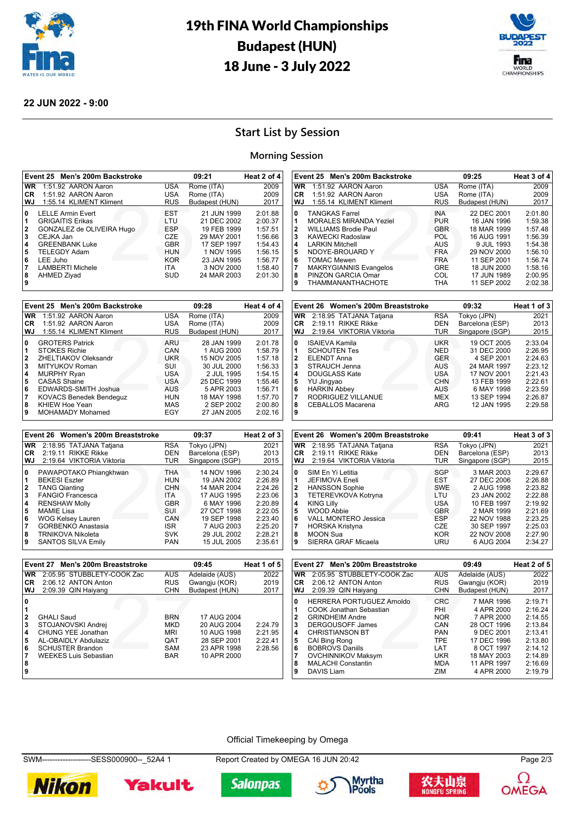



#### **22 JUN 2022 - 9:00**

## **Start List by Session**

#### **Morning Session**

|                                                | Event 25 Men's 200m Backstroke                                                                                                                                                                             |                                                                                                       | 09:21                                                                                                                             | Heat 2 of 4                                                                                     |
|------------------------------------------------|------------------------------------------------------------------------------------------------------------------------------------------------------------------------------------------------------------|-------------------------------------------------------------------------------------------------------|-----------------------------------------------------------------------------------------------------------------------------------|-------------------------------------------------------------------------------------------------|
| <b>WR</b>                                      | 1:51.92 AARON Aaron                                                                                                                                                                                        | <b>USA</b>                                                                                            | Rome (ITA)                                                                                                                        | 2009                                                                                            |
| CR.                                            | 1:51.92 AARON Aaron                                                                                                                                                                                        | USA                                                                                                   | Rome (ITA)                                                                                                                        | 2009                                                                                            |
| WJ.                                            | 1:55.14 KLIMENT Kliment                                                                                                                                                                                    | <b>RUS</b>                                                                                            | Budapest (HUN)                                                                                                                    | 2017                                                                                            |
| 0<br>1<br>2<br>3<br>4<br>5<br>6<br>7<br>8<br>9 | <b>LELLE Armin Evert</b><br><b>GRIGAITIS Erikas</b><br>GONZALEZ de OLIVEIRA Hugo<br>CEJKA Jan<br><b>GREENBANK Luke</b><br><b>TELEGDY Adam</b><br>LEE Juho<br><b>LAMBERTI Michele</b><br><b>AHMED Ziyad</b> | <b>EST</b><br>LTU<br><b>ESP</b><br>CZE<br><b>GBR</b><br><b>HUN</b><br><b>KOR</b><br><b>ITA</b><br>SUD | 21 JUN 1999<br>21 DEC 2002<br>19 FEB 1999<br>29 MAY 2001<br>17 SEP 1997<br>1 NOV 1995<br>23 JAN 1995<br>3 NOV 2000<br>24 MAR 2003 | 2:01.88<br>2:00.37<br>1:57.51<br>1:56.66<br>1:54.43<br>1:56.15<br>1:56.77<br>1:58.40<br>2:01.30 |
|                                                |                                                                                                                                                                                                            |                                                                                                       |                                                                                                                                   |                                                                                                 |

|              | Event 25 Men's 200m Backstroke |            | 09:28          | Heat 4 of 4 |
|--------------|--------------------------------|------------|----------------|-------------|
| <b>WR</b>    | 1:51.92 AARON Aaron            | <b>USA</b> | Rome (ITA)     | 2009        |
| CR.          | 1:51.92 AARON Aaron            | <b>USA</b> | Rome (ITA)     | 2009        |
| WJ           | 1:55.14 KLIMENT Kliment        | <b>RUS</b> | Budapest (HUN) | 2017        |
| 0            | <b>GROTERS Patrick</b>         | ARU        | 28 JAN 1999    | 2:01.78     |
| 1            | <b>STOKES Richie</b>           | CAN        | 1 AUG 2000     | 1:58.79     |
| $\mathbf{2}$ | ZHELTIAKOV Oleksandr           | <b>UKR</b> | 15 NOV 2005    | 1:57.18     |
| 3            | MITYUKOV Roman                 | SUI        | 30 JUL 2000    | 1:56.33     |
| 4            | <b>MURPHY Ryan</b>             | <b>USA</b> | 2 JUL 1995     | 1:54.15     |
| 5            | <b>CASAS Shaine</b>            | USA        | 25 DEC 1999    | 1:55.46     |
| 6            | EDWARDS-SMITH Joshua           | <b>AUS</b> | 5 APR 2003     | 1:56.71     |
| 7            | <b>KOVACS Benedek Bendeguz</b> | <b>HUN</b> | 18 MAY 1998    | 1:57.70     |
| 8            | KHIEW Hoe Yean                 | MAS        | 2 SEP 2002     | 2:00.80     |
| 9            | MOHAMADY Mohamed               | EGY        | 27 JAN 2005    | 2:02.16     |

|              | Event 26 Women's 200m Breaststroke |            | 09:37           | Heat 2 of 3 |
|--------------|------------------------------------|------------|-----------------|-------------|
| <b>WR</b>    | 2:18.95 TATJANA Tatjana            | <b>RSA</b> | Tokyo (JPN)     | 2021        |
| <b>CR</b>    | 2:19.11 RIKKE Rikke                | DEN        | Barcelona (ESP) | 2013        |
| WJ           | 2:19.64 VIKTORIA Viktoria          | <b>TUR</b> | Singapore (SGP) | 2015        |
| 0            | PAWAPOTAKO Phiangkhwan             | <b>THA</b> | 14 NOV 1996     | 2:30.24     |
| 1            | <b>BEKESI Eszter</b>               | <b>HUN</b> | 19 JAN 2002     | 2:26.89     |
| $\mathbf{2}$ | <b>TANG Qianting</b>               | <b>CHN</b> | 14 MAR 2004     | 2:24.26     |
| 3            | <b>FANGIO Francesca</b>            | <b>ITA</b> | 17 AUG 1995     | 2:23.06     |
| 4            | <b>RENSHAW Molly</b>               | <b>GBR</b> | 6 MAY 1996      | 2:20.89     |
| 5            | <b>MAMIE Lisa</b>                  | SUI        | 27 OCT 1998     | 2:22.05     |
| 6            | <b>WOG Kelsey Lauren</b>           | CAN        | 19 SEP 1998     | 2:23.40     |
| 7            | <b>GORBENKO Anastasia</b>          | <b>ISR</b> | 7 AUG 2003      | 2:25.20     |
| 8            | <b>TRNIKOVA Nikoleta</b>           | <b>SVK</b> | 29 JUL 2002     | 2:28.21     |
| 9            | <b>SANTOS SILVA Emily</b>          | <b>PAN</b> | 15 JUL 2005     | 2:35.61     |

| wJ        | 1:55.14 KLIMENT KIIMENT            | RUS        | Budapest (HUN)  | 2017        |
|-----------|------------------------------------|------------|-----------------|-------------|
| 10        | <b>TANGKAS Farrel</b>              | <b>INA</b> | 22 DEC 2001     | 2:01.80     |
|           |                                    |            |                 |             |
| 1         | <b>MORALES MIRANDA Yeziel</b>      | <b>PUR</b> | 16 JAN 1996     | 1:59.38     |
| 12        | <b>WILLIAMS Brodie Paul</b>        | <b>GBR</b> | 18 MAR 1999     | 1:57.48     |
| 3         | <b>KAWECKI Radoslaw</b>            | <b>POL</b> | 16 AUG 1991     | 1:56.39     |
| 14        | <b>LARKIN Mitchell</b>             | AUS        | 9 JUL 1993      | 1:54.38     |
| 5         | NDOYE-BROUARD Y                    | FRA.       | 29 NOV 2000     | 1:56.10     |
| 6         | <b>TOMAC Mewen</b>                 | <b>FRA</b> | 11 SEP 2001     | 1:56.74     |
| 17        | <b>MAKRYGIANNIS Evangelos</b>      | <b>GRE</b> | 18 JUN 2000     | 1:58.16     |
| 8         | PINZON GARCIA Omar                 | COL.       | 17 JUN 1989     | 2:00.95     |
| ا 9       | <b>THAMMANANTHACHOTE</b>           | <b>THA</b> | 11 SEP 2002     | 2:02.38     |
|           |                                    |            |                 |             |
|           | Event 26 Women's 200m Breaststroke |            | 09:32           | Heat 1 of 3 |
| <b>WR</b> | 2:18.95 TATJANA Tatjana            | <b>RSA</b> | Tokyo (JPN)     | 2021        |
| CR.       | 2:19.11 RIKKE Rikke                | DEN        | Barcelona (ESP) | 2013        |
| l WJ      | 2:19.64 VIKTORIA Viktoria          | <b>TUR</b> | Singapore (SGP) | 2015        |
| 0         | <b>ISAIEVA Kamila</b>              | <b>UKR</b> | 19 OCT 2005     | 2:33.04     |
| 11        | <b>SCHOUTEN Tes</b>                | <b>NED</b> | 31 DEC 2000     | 2:26.95     |
|           |                                    |            |                 |             |

**Event 25 Men's 200m Backstroke 09:25 Heat 3 of 4 WR** 1:51.92 AARON Aaron USA Rome (ITA) 2009<br> **CR** 1:51.92 AARON Aaron USA Rome (ITA) 2009 **CR** 1:51.92 AARON Aaron USA Rome (ITA) 2009 **WJ** 1:55.14 KLIMENT Kliment RUS Budapest (HUN) 2017 **0** TANGKAS Farrel **INA** 22 DEC 2001 2:01.80<br>1 MORALES MIRANDA Yeziel PUR 16 JAN 1996 1:59.38

| WJ | 2:19.64 VIKTORIA Viktoria | <b>TUR</b> | Singapore (SGP) | 2015    |
|----|---------------------------|------------|-----------------|---------|
| 0  | <b>ISAIEVA Kamila</b>     | <b>UKR</b> | 19 OCT 2005     | 2:33.04 |
| 1  | <b>SCHOUTEN Tes</b>       | <b>NED</b> | 31 DEC 2000     | 2:26.95 |
| 2  | <b>ELENDT Anna</b>        | <b>GER</b> | 4 SEP 2001      | 2:24.63 |
| 3  | STRAUCH Jenna             | <b>AUS</b> | 24 MAR 1997     | 2:23.12 |
| 4  | DOUGLASS Kate             | <b>USA</b> | 17 NOV 2001     | 2:21.43 |
| 5  | YU Jingyao                | <b>CHN</b> | 13 FEB 1999     | 2:22.61 |
| 6  | <b>HARKIN Abbey</b>       | <b>AUS</b> | 6 MAY 1998      | 2:23.59 |
| 7  | RODRIGUEZ VILLANUE        | MEX        | 13 SEP 1994     | 2:26.87 |
| 8  | <b>CEBALLOS Macarena</b>  | ARG        | 12 JAN 1995     | 2:29.58 |
| 9  |                           |            |                 |         |
|    |                           |            |                 |         |

|                                                | Event 26 Women's 200m Breaststroke                                                                                                                                                                                               |                                                                                                        | 09:41                                                                                                                                          | Heat 3 of 3                                                                                                |
|------------------------------------------------|----------------------------------------------------------------------------------------------------------------------------------------------------------------------------------------------------------------------------------|--------------------------------------------------------------------------------------------------------|------------------------------------------------------------------------------------------------------------------------------------------------|------------------------------------------------------------------------------------------------------------|
| WR.                                            | 2:18.95 TATJANA Tatjana                                                                                                                                                                                                          | <b>RSA</b>                                                                                             | Tokyo (JPN)                                                                                                                                    | 2021                                                                                                       |
| CR.                                            | 2:19.11 RIKKE Rikke                                                                                                                                                                                                              | DEN                                                                                                    | Barcelona (ESP)                                                                                                                                | 2013                                                                                                       |
| WJ.                                            | 2:19.64 VIKTORIA Viktoria                                                                                                                                                                                                        | <b>TUR</b>                                                                                             | Singapore (SGP)                                                                                                                                | 2015                                                                                                       |
| 0<br>1<br>2<br>3<br>4<br>5<br>6<br>7<br>8<br>9 | SIM En Yi Letitia<br><b>JEFIMOVA Eneli</b><br><b>HANSSON Sophie</b><br>TETEREVKOVA Kotryna<br><b>KING Lilly</b><br>WOOD Abbie<br><b>VALL MONTERO Jessica</b><br><b>HORSKA Kristyna</b><br><b>MOON Sua</b><br>SIERRA GRAF Micaela | SGP<br><b>EST</b><br><b>SWE</b><br>LTU<br><b>USA</b><br><b>GBR</b><br>ESP.<br>CZE<br><b>KOR</b><br>URU | 3 MAR 2003<br>27 DEC 2006<br>2 AUG 1998<br>23 JAN 2002<br>10 FEB 1997<br>2 MAR 1999<br>22 NOV 1988<br>30 SEP 1997<br>22 NOV 2008<br>6 AUG 2004 | 2:29.67<br>2:26.88<br>2:23.82<br>2:22.88<br>2:19.92<br>2:21.69<br>2:23.25<br>2:25.03<br>2:27.90<br>2:34.27 |

|                                                      | Event 27 Men's 200m Breaststroke                                                                                                                 |                                                                                  | 09:45                                                                                  | Heat 1 of 5                              |
|------------------------------------------------------|--------------------------------------------------------------------------------------------------------------------------------------------------|----------------------------------------------------------------------------------|----------------------------------------------------------------------------------------|------------------------------------------|
| <b>WR</b>                                            | 2:05.95 STUBBLETY-COOK Zac                                                                                                                       | AUS                                                                              | Adelaide (AUS)                                                                         | 2022                                     |
| <b>CR</b>                                            | 2:06.12 ANTON Anton                                                                                                                              | <b>RUS</b>                                                                       | Gwangju (KOR)                                                                          | 2019                                     |
| l WJ                                                 | 2:09.39 QIN Haiyang                                                                                                                              | <b>CHN</b>                                                                       | Budapest (HUN)                                                                         | 2017                                     |
| ٥<br>11<br>12<br>3<br>14<br>5<br>6<br>17<br>8<br>و ا | <b>GHALI Saud</b><br>STOJANOVSKI Andrei<br>CHUNG YEE Jonathan<br>AL-OBAIDLY Abdulaziz<br><b>SCHUSTER Brandon</b><br><b>WEEKES Luis Sebastian</b> | <b>BRN</b><br><b>MKD</b><br><b>MRI</b><br><b>OAT</b><br><b>SAM</b><br><b>BAR</b> | 17 AUG 2004<br>20 AUG 2004<br>10 AUG 1998<br>28 SEP 2001<br>23 APR 1998<br>10 APR 2000 | 2:24.79<br>2:21.95<br>2:22.41<br>2:28.56 |

|    | Event 27 Men's 200m Breaststroke                            |                    | 09:49                    | Heat 2 of 5        |
|----|-------------------------------------------------------------|--------------------|--------------------------|--------------------|
| WR | 2:05.95 STUBBLETY-COOK Zac                                  | AUS                | Adelaide (AUS)           | 2022               |
| СR | 2:06.12 ANTON Anton                                         | <b>RUS</b>         | Gwangju (KOR)            | 2019               |
| WJ | 2:09.39 QIN Haiyang                                         | <b>CHN</b>         | Budapest (HUN)           | 2017               |
| 0  | <b>HERRERA PORTUGUEZ Arnoldo</b><br>COOK Jonathan Sebastian | <b>CRC</b><br>PHI. | 7 MAR 1996<br>4 APR 2000 | 2:19.71<br>2:16.24 |
| 2  | <b>GRINDHEIM Andre</b>                                      | <b>NOR</b>         | 7 APR 2000               | 2:14.55            |
| 3  | DERGOUSOFF James                                            | CAN                | 28 OCT 1996              | 2:13.84            |
| 4  | <b>CHRISTIANSON BT</b>                                      | <b>PAN</b>         | 9 DEC 2001               | 2:13.41            |
| 5  | CAI Bing Rong                                               | <b>TPE</b>         | 17 DEC 1996              | 2:13.80            |
| 6  | <b>BOBROVS Daniils</b>                                      | LAT                | 8 OCT 1997               | 2:14.12            |
| 7  | <b>OVCHINNIKOV Maksym</b>                                   | UKR                | 18 MAY 2003              | 2:14.89            |
| 8  | <b>MALACHI Constantin</b>                                   | <b>MDA</b>         | 11 APR 1997              | 2:16.69            |
| 9  | DAVIS Liam                                                  | ZIM                | 4 APR 2000               | 2:19.79            |

#### Official Timekeeping by Omega

SWM-------------------SESS000900--\_52A4 1 Report Created by OMEGA 16 JUN 20:42 Page 2/3











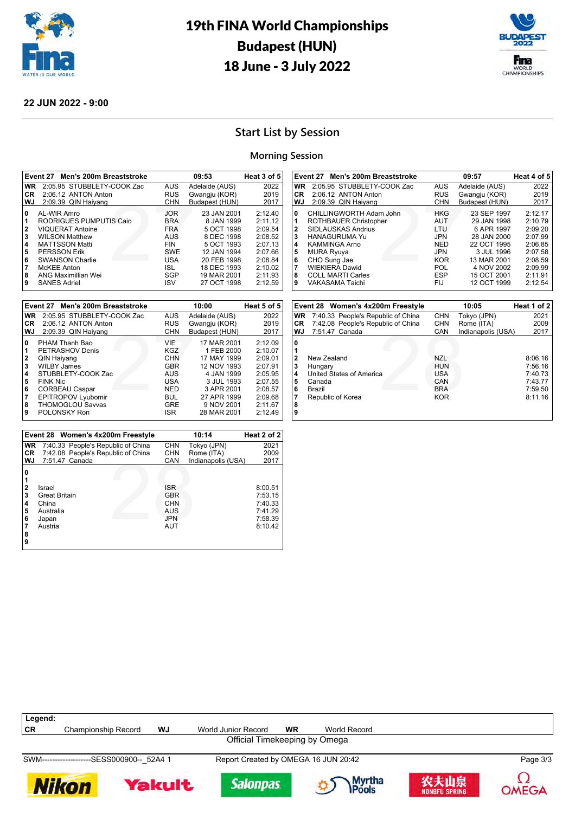



## **22 JUN 2022 - 9:00**

## **Start List by Session**

### **Morning Session**

|           | Event 27<br>Men's 200m Breaststroke |            | 09:53          |         |  |
|-----------|-------------------------------------|------------|----------------|---------|--|
| <b>WR</b> | 2:05.95 STUBBLETY-COOK Zac          | <b>AUS</b> | Adelaide (AUS) | 2022    |  |
| <b>CR</b> | 2:06.12 ANTON Anton                 | <b>RUS</b> | Gwangju (KOR)  | 2019    |  |
| WJ        | 2:09.39 QIN Haiyang                 | <b>CHN</b> | Budapest (HUN) | 2017    |  |
| 0         | AL-WIR Amro                         | <b>JOR</b> | 23 JAN 2001    | 2:12.40 |  |
| 11        | RODRIGUES PUMPUTIS Caio             | <b>BRA</b> | 8 JAN 1999     | 2:11.12 |  |
| 2         | <b>VIQUERAT Antoine</b>             | <b>FRA</b> | 5 OCT 1998     | 2:09.54 |  |
| 3         | <b>WILSON Matthew</b>               | AUS        | 8 DEC 1998     | 2:08.52 |  |
| 14        | <b>MATTSSON Matti</b>               | <b>FIN</b> | 5 OCT 1993     | 2:07.13 |  |
| 5         | <b>PERSSON Erik</b>                 | <b>SWE</b> | 12 JAN 1994    | 2:07.66 |  |
| 6         | <b>SWANSON Charlie</b>              | USA        | 20 FEB 1998    | 2:08.84 |  |
| 17        | <b>McKEE</b> Anton                  | ISL.       | 18 DEC 1993    | 2:10.02 |  |
| 8         | ANG Maximillian Wei                 | SGP        | 19 MAR 2001    | 2:11.93 |  |
| 9         | <b>SANES Adriel</b>                 | <b>ISV</b> | 27 OCT 1998    | 2:12.59 |  |

|              | Event 27 Men's 200m Breaststroke |            | 10:00          | Heat 5 of 5 |
|--------------|----------------------------------|------------|----------------|-------------|
| <b>WR</b>    | 2:05.95 STUBBLETY-COOK Zac       | <b>AUS</b> | Adelaide (AUS) | 2022        |
| CR.          | 2:06.12 ANTON Anton              | <b>RUS</b> | Gwangju (KOR)  | 2019        |
| WJ           | 2:09.39 QIN Haiyang              | <b>CHN</b> | Budapest (HUN) | 2017        |
| 0            | PHAM Thanh Bao                   | VIF        | 17 MAR 2001    | 2:12.09     |
| 1            | PETRASHOV Denis                  | KGZ        | 1 FEB 2000     | 2:10.07     |
| $\mathbf{2}$ | QIN Haiyang                      | <b>CHN</b> | 17 MAY 1999    | 2:09.01     |
| 3            | <b>WILBY James</b>               | <b>GBR</b> | 12 NOV 1993    | 2:07.91     |
| 4            | STUBBLETY-COOK Zac               | AUS        | 4 JAN 1999     | 2:05.95     |
| 5            | <b>FINK Nic</b>                  | USA        | 3 JUL 1993     | 2:07.55     |
| 6            | CORBEAU Caspar                   | <b>NED</b> | 3 APR 2001     | 2:08.57     |
| 7            | EPITROPOV Lyubomir               | <b>BUL</b> | 27 APR 1999    | 2:09.68     |
| 8            | <b>THOMOGLOU Savvas</b>          | <b>GRE</b> | 9 NOV 2001     | 2:11.67     |
| 9            | POLONSKY Ron                     | ISR.       | 28 MAR 2001    | 2:12.49     |

|                            | Event 28 Women's 4x200m Freestyle                                        |                                                                    | 10:14              | Heat 2 of 2                                                    |
|----------------------------|--------------------------------------------------------------------------|--------------------------------------------------------------------|--------------------|----------------------------------------------------------------|
| <b>WR</b>                  | 7:40.33 People's Republic of China                                       | <b>CHN</b>                                                         | Tokyo (JPN)        | 2021                                                           |
| <b>CR</b>                  | 7:42.08 People's Republic of China                                       | <b>CHN</b>                                                         | Rome (ITA)         | 2009                                                           |
| WJ                         | 7:51.47 Canada                                                           | CAN                                                                | Indianapolis (USA) | 2017                                                           |
| 0<br>2<br>3<br>4<br>5<br>6 | Israel<br><b>Great Britain</b><br>China<br>Australia<br>Japan<br>Austria | <b>ISR</b><br><b>GBR</b><br><b>CHN</b><br>AUS<br><b>JPN</b><br>AUT |                    | 8:00.51<br>7:53.15<br>7:40.33<br>7:41.29<br>7:58.39<br>8:10.42 |
| 8<br>9                     |                                                                          |                                                                    |                    |                                                                |

|                       | Event 27 Men's 200m Breaststroke                                                                                       |                                                             | 09:57                                                                  | Heat 4 of 5                                         |
|-----------------------|------------------------------------------------------------------------------------------------------------------------|-------------------------------------------------------------|------------------------------------------------------------------------|-----------------------------------------------------|
| WR                    | 2:05.95 STUBBLETY-COOK Zac                                                                                             | <b>AUS</b>                                                  | Adelaide (AUS)                                                         | 2022                                                |
| CR                    | 2:06.12 ANTON Anton                                                                                                    | <b>RUS</b>                                                  | Gwangju (KOR)                                                          | 2019                                                |
| WJ                    | 2:09.39 QIN Haiyang                                                                                                    | <b>CHN</b>                                                  | Budapest (HUN)                                                         | 2017                                                |
| 0<br>1<br>2<br>3<br>4 | CHILLINGWORTH Adam John<br>ROTHBAUER Christopher<br>SIDLAUSKAS Andrius<br><b>HANAGURUMA Yu</b><br><b>KAMMINGA Arno</b> | <b>HKG</b><br><b>AUT</b><br>LTU<br><b>JPN</b><br><b>NED</b> | 23 SEP 1997<br>29 JAN 1998<br>6 APR 1997<br>28 JAN 2000<br>22 OCT 1995 | 2:12.17<br>2:10.79<br>2:09.20<br>2:07.99<br>2:06.85 |
| 5                     | <b>MURA Ryuya</b>                                                                                                      | <b>JPN</b>                                                  | 3 JUL 1996                                                             | 2:07.58                                             |
| 6                     | CHO Sung Jae                                                                                                           | <b>KOR</b>                                                  | 13 MAR 2001                                                            | 2:08.59                                             |
| 7                     | <b>WIEKIERA Dawid</b>                                                                                                  | POL                                                         | 4 NOV 2002                                                             | 2:09.99                                             |
| 8                     | <b>COLL MARTI Carles</b>                                                                                               | <b>ESP</b>                                                  | 15 OCT 2001                                                            | 2:11.91                                             |
| 9                     | VAKASAMA Taichi                                                                                                        | FIJ                                                         | 12 OCT 1999                                                            | 2:12.54                                             |

|                                                                     | Event 28 Women's 4x200m Freestyle                                                           |                                                                           | 10:05                     | Heat 1 of 2                                                    |
|---------------------------------------------------------------------|---------------------------------------------------------------------------------------------|---------------------------------------------------------------------------|---------------------------|----------------------------------------------------------------|
| <b>WR</b><br><b>CR</b>                                              | 7:40.33 People's Republic of China<br>7:42.08 People's Republic of China                    | <b>CHN</b><br><b>CHN</b>                                                  | Tokyo (JPN)<br>Rome (ITA) | 2021<br>2009                                                   |
| WJ.                                                                 | 7:51.47 Canada                                                                              | CAN                                                                       | Indianapolis (USA)        | 2017                                                           |
| $\mathbf 0$<br>1<br>$\mathbf{2}$<br>3<br>4<br>5<br>6<br>7<br>8<br>9 | New Zealand<br>Hungary<br>United States of America<br>Canada<br>Brazil<br>Republic of Korea | <b>NZL</b><br><b>HUN</b><br><b>USA</b><br>CAN<br><b>BRA</b><br><b>KOR</b> |                           | 8:06.16<br>7:56.16<br>7:40.73<br>7:43.77<br>7:59.50<br>8:11.16 |

| Legend: |                                           |    |                                      |    |              |          |  |  |
|---------|-------------------------------------------|----|--------------------------------------|----|--------------|----------|--|--|
| CR      | Championship Record                       | WJ | World Junior Record                  | WR | World Record |          |  |  |
|         | Official Timekeeping by Omega             |    |                                      |    |              |          |  |  |
|         | SWM-------------------SESS000900-- 52A4 1 |    | Report Created by OMEGA 16 JUN 20:42 |    |              | Page 3/3 |  |  |













O

**OMEGA**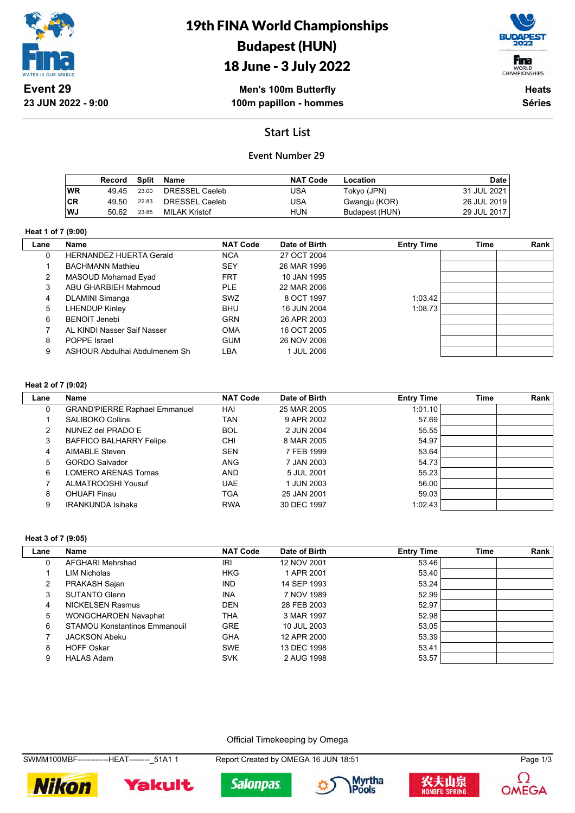

# 19th FINA World Championships Budapest (HUN)



# 18 June - 3 July 2022

**Men's 100m Butterfly 100m papillon - hommes**

**Heats Séries**

## **Start List**

## **Event Number 29**

|     | Record | Split | Name           | <b>NAT Code</b> | Location       | Date        |
|-----|--------|-------|----------------|-----------------|----------------|-------------|
| ∣WR | 49.45  | 23.00 | DRESSEL Caeleb | USA             | Tokyo (JPN)    | 31 JUL 2021 |
| ∣CR | 49.50  | 22.83 | DRESSEL Caeleb | USA             | Gwangju (KOR)  | 26 JUL 2019 |
| lWJ | 50.62  | 23.85 | MILAK Kristof  | HUN             | Budapest (HUN) | 29 JUL 2017 |

#### **Heat 1 of 7 (9:00)**

 $\mathbf{L}$ 

| Lane | <b>Name</b>                    | <b>NAT Code</b> | Date of Birth | <b>Entry Time</b> | <b>Time</b> | Rank |
|------|--------------------------------|-----------------|---------------|-------------------|-------------|------|
| 0    | <b>HERNANDEZ HUERTA Gerald</b> | <b>NCA</b>      | 27 OCT 2004   |                   |             |      |
|      | <b>BACHMANN Mathieu</b>        | <b>SEY</b>      | 26 MAR 1996   |                   |             |      |
| 2    | MASOUD Mohamad Eyad            | <b>FRT</b>      | 10 JAN 1995   |                   |             |      |
| 3    | ABU GHARBIEH Mahmoud           | <b>PLE</b>      | 22 MAR 2006   |                   |             |      |
| 4    | <b>DLAMINI Simanga</b>         | SWZ             | 8 OCT 1997    | 1:03.42           |             |      |
| 5    | <b>LHENDUP Kinley</b>          | <b>BHU</b>      | 16 JUN 2004   | 1:08.73           |             |      |
| 6    | <b>BENOIT Jenebi</b>           | <b>GRN</b>      | 26 APR 2003   |                   |             |      |
|      | AL KINDI Nasser Saif Nasser    | <b>OMA</b>      | 16 OCT 2005   |                   |             |      |
| 8    | POPPE Israel                   | <b>GUM</b>      | 26 NOV 2006   |                   |             |      |
| 9    | ASHOUR Abdulhai Abdulmenem Sh  | LBA             | 1 JUL 2006    |                   |             |      |

#### **Heat 2 of 7 (9:02)**

| Lane        | Name                                 | <b>NAT Code</b> | Date of Birth | <b>Entry Time</b> | <b>Time</b> | Rank |
|-------------|--------------------------------------|-----------------|---------------|-------------------|-------------|------|
| $\mathbf 0$ | <b>GRAND'PIERRE Raphael Emmanuel</b> | HAI             | 25 MAR 2005   | 1:01.10           |             |      |
|             | <b>SALIBOKO Collins</b>              | TAN             | 9 APR 2002    | 57.69             |             |      |
| 2           | NUNEZ del PRADO E                    | <b>BOL</b>      | 2 JUN 2004    | 55.55             |             |      |
| 3           | <b>BAFFICO BALHARRY Felipe</b>       | CHI             | 8 MAR 2005    | 54.97             |             |      |
| 4           | AIMABLE Steven                       | <b>SEN</b>      | 7 FEB 1999    | 53.64             |             |      |
| 5           | <b>GORDO Salvador</b>                | <b>ANG</b>      | 7 JAN 2003    | 54.73             |             |      |
| 6           | LOMERO ARENAS Tomas                  | <b>AND</b>      | 5 JUL 2001    | 55.23             |             |      |
|             | ALMATROOSHI Yousuf                   | <b>UAE</b>      | 1 JUN 2003    | 56.00             |             |      |
| 8           | <b>OHUAFI Finau</b>                  | TGA             | 25 JAN 2001   | 59.03             |             |      |
| 9           | <b>IRANKUNDA Isihaka</b>             | <b>RWA</b>      | 30 DEC 1997   | 1:02.43           |             |      |

#### **Heat 3 of 7 (9:05)**

| Lane | Name                                 | <b>NAT Code</b> | Date of Birth | <b>Entry Time</b> | Time | <b>Rank</b> |
|------|--------------------------------------|-----------------|---------------|-------------------|------|-------------|
| 0    | AFGHARI Mehrshad                     | IRI             | 12 NOV 2001   | 53.46             |      |             |
|      | LIM Nicholas                         | <b>HKG</b>      | 1 APR 2001    | 53.40             |      |             |
| 2    | PRAKASH Sajan                        | <b>IND</b>      | 14 SEP 1993   | 53.24             |      |             |
| 3    | SUTANTO Glenn                        | <b>INA</b>      | 7 NOV 1989    | 52.99             |      |             |
| 4    | <b>NICKELSEN Rasmus</b>              | <b>DEN</b>      | 28 FEB 2003   | 52.97             |      |             |
| 5    | <b>WONGCHAROEN Navaphat</b>          | <b>THA</b>      | 3 MAR 1997    | 52.98             |      |             |
| 6    | <b>STAMOU Konstantinos Emmanouil</b> | <b>GRE</b>      | 10 JUL 2003   | 53.05             |      |             |
|      | <b>JACKSON Abeku</b>                 | <b>GHA</b>      | 12 APR 2000   | 53.39             |      |             |
| 8    | <b>HOFF Oskar</b>                    | <b>SWE</b>      | 13 DEC 1998   | 53.41             |      |             |
| 9    | <b>HALAS Adam</b>                    | <b>SVK</b>      | 2 AUG 1998    | 53.57             |      |             |

Official Timekeeping by Omega

SWMM100MBF------------HEAT--------\_51A1 1 Report Created by OMEGA 16 JUN 18:51 Page 1/3









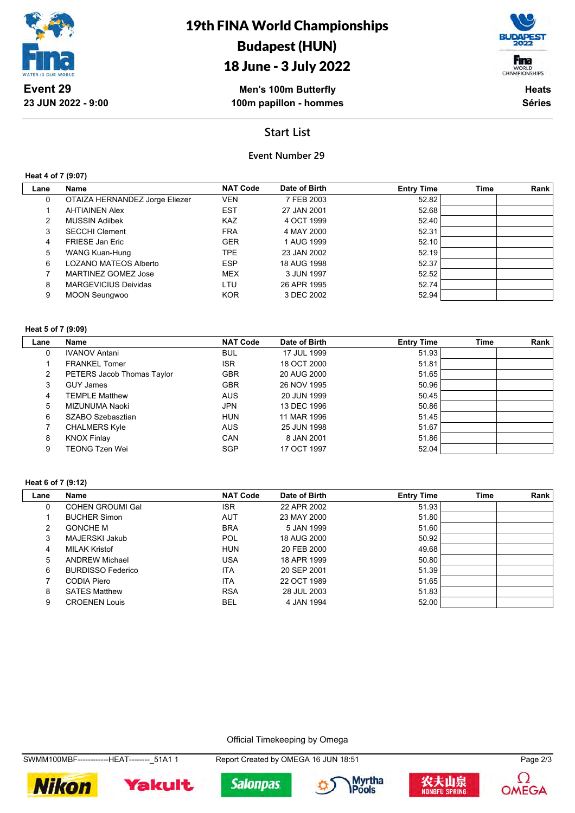

# 18 June - 3 July 2022

**Men's 100m Butterfly 100m papillon - hommes**

Fina WORLD<br>CHAMPIONSHIPS

> **Heats Séries**

**Start List**

### **Event Number 29**

**Heat 4 of 7 (9:07)**

| Lane | Name                           | <b>NAT Code</b> | Date of Birth | <b>Entry Time</b> | <b>Time</b> | Rank |
|------|--------------------------------|-----------------|---------------|-------------------|-------------|------|
|      |                                |                 |               |                   |             |      |
| 0    | OTAIZA HERNANDEZ Jorge Eliezer | <b>VEN</b>      | 7 FEB 2003    | 52.82             |             |      |
|      | <b>AHTIAINEN Alex</b>          | <b>EST</b>      | 27 JAN 2001   | 52.68             |             |      |
| 2    | <b>MUSSIN Adilbek</b>          | <b>KAZ</b>      | 4 OCT 1999    | 52.40             |             |      |
| 3    | <b>SECCHI Clement</b>          | <b>FRA</b>      | 4 MAY 2000    | 52.31             |             |      |
| 4    | <b>FRIESE Jan Eric</b>         | <b>GER</b>      | 1 AUG 1999    | 52.10             |             |      |
| 5    | WANG Kuan-Hung                 | <b>TPE</b>      | 23 JAN 2002   | 52.19             |             |      |
| 6    | <b>LOZANO MATEOS Alberto</b>   | <b>ESP</b>      | 18 AUG 1998   | 52.37             |             |      |
|      | MARTINEZ GOMEZ Jose            | MEX             | 3 JUN 1997    | 52.52             |             |      |
| 8    | <b>MARGEVICIUS Deividas</b>    | LTU             | 26 APR 1995   | 52.74             |             |      |
| 9    | <b>MOON Seungwoo</b>           | <b>KOR</b>      | 3 DEC 2002    | 52.94             |             |      |
|      |                                |                 |               |                   |             |      |

### **Heat 5 of 7 (9:09)**

| Lane | Name                       | <b>NAT Code</b> | Date of Birth | <b>Entry Time</b> | <b>Time</b> | Rank |
|------|----------------------------|-----------------|---------------|-------------------|-------------|------|
| 0    | <b>IVANOV Antani</b>       | <b>BUL</b>      | 17 JUL 1999   | 51.93             |             |      |
|      | <b>FRANKEL Tomer</b>       | <b>ISR</b>      | 18 OCT 2000   | 51.81             |             |      |
| 2    | PETERS Jacob Thomas Taylor | <b>GBR</b>      | 20 AUG 2000   | 51.65             |             |      |
| 3    | <b>GUY James</b>           | <b>GBR</b>      | 26 NOV 1995   | 50.96             |             |      |
| 4    | <b>TEMPLE Matthew</b>      | <b>AUS</b>      | 20 JUN 1999   | 50.45             |             |      |
| 5    | MIZUNUMA Naoki             | <b>JPN</b>      | 13 DEC 1996   | 50.86             |             |      |
| 6    | SZABO Szebasztian          | <b>HUN</b>      | 11 MAR 1996   | 51.45             |             |      |
|      | <b>CHALMERS Kyle</b>       | <b>AUS</b>      | 25 JUN 1998   | 51.67             |             |      |
| 8    | <b>KNOX Finlay</b>         | CAN             | 8 JAN 2001    | 51.86             |             |      |
| 9    | <b>TEONG Tzen Wei</b>      | <b>SGP</b>      | 17 OCT 1997   | 52.04             |             |      |

#### **Heat 6 of 7 (9:12)**

| Lane | Name                     | <b>NAT Code</b> | Date of Birth | <b>Entry Time</b> | <b>Time</b> | Rank |
|------|--------------------------|-----------------|---------------|-------------------|-------------|------|
| 0    | <b>COHEN GROUMI Gal</b>  | <b>ISR</b>      | 22 APR 2002   | 51.93             |             |      |
|      | <b>BUCHER Simon</b>      | <b>AUT</b>      | 23 MAY 2000   | 51.80             |             |      |
| 2    | <b>GONCHE M</b>          | <b>BRA</b>      | 5 JAN 1999    | 51.60             |             |      |
| 3    | MAJERSKI Jakub           | POL             | 18 AUG 2000   | 50.92             |             |      |
| 4    | <b>MILAK Kristof</b>     | <b>HUN</b>      | 20 FEB 2000   | 49.68             |             |      |
| 5    | <b>ANDREW Michael</b>    | <b>USA</b>      | 18 APR 1999   | 50.80             |             |      |
| 6    | <b>BURDISSO Federico</b> | <b>ITA</b>      | 20 SEP 2001   | 51.39             |             |      |
|      | CODIA Piero              | <b>ITA</b>      | 22 OCT 1989   | 51.65             |             |      |
| 8    | <b>SATES Matthew</b>     | <b>RSA</b>      | 28 JUL 2003   | 51.83             |             |      |
| 9    | <b>CROENEN Louis</b>     | BEL             | 4 JAN 1994    | 52.00             |             |      |

Official Timekeeping by Omega

SWMM100MBF------------HEAT--------\_51A1 1 Report Created by OMEGA 16 JUN 18:51 Page 2/3











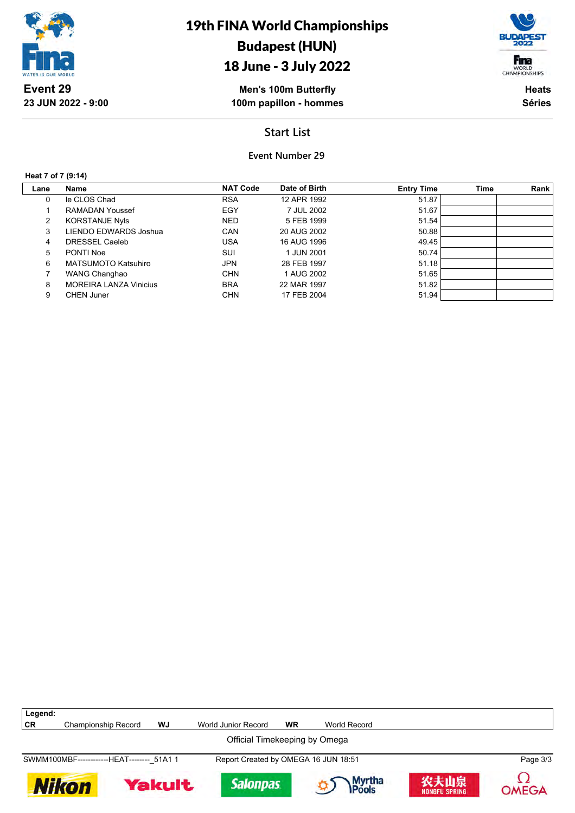

# 19th FINA World Championships Budapest (HUN)



# 18 June - 3 July 2022

**Men's 100m Butterfly 100m papillon - hommes**

**Heats Séries**

## **Start List**

**Event Number 29**

**Heat 7 of 7 (9:14)**

| Lane | Name                          | <b>NAT Code</b> | Date of Birth | <b>Entry Time</b> | Time | Rank |
|------|-------------------------------|-----------------|---------------|-------------------|------|------|
| 0    | le CLOS Chad                  | <b>RSA</b>      | 12 APR 1992   | 51.87             |      |      |
|      | RAMADAN Youssef               | EGY             | 7 JUL 2002    | 51.67             |      |      |
| 2    | <b>KORSTANJE Nyls</b>         | <b>NED</b>      | 5 FEB 1999    | 51.54             |      |      |
| 3    | LIENDO EDWARDS Joshua         | CAN             | 20 AUG 2002   | 50.88             |      |      |
| 4    | DRESSEL Caeleb                | USA             | 16 AUG 1996   | 49.45             |      |      |
| 5    | PONTI Noe                     | SUI             | 1 JUN 2001    | 50.74             |      |      |
| 6    | <b>MATSUMOTO Katsuhiro</b>    | <b>JPN</b>      | 28 FEB 1997   | 51.18             |      |      |
|      | WANG Changhao                 | <b>CHN</b>      | 1 AUG 2002    | 51.65             |      |      |
| 8    | <b>MOREIRA LANZA Vinicius</b> | <b>BRA</b>      | 22 MAR 1997   | 51.82             |      |      |
| 9    | <b>CHEN Juner</b>             | <b>CHN</b>      | 17 FEB 2004   | 51.94             |      |      |

| Legend:                                    |                               |    |                                      |    |                 |                              |              |  |  |  |
|--------------------------------------------|-------------------------------|----|--------------------------------------|----|-----------------|------------------------------|--------------|--|--|--|
| <b>CR</b>                                  | <b>Championship Record</b>    | WJ | World Junior Record                  | WR | World Record    |                              |              |  |  |  |
|                                            | Official Timekeeping by Omega |    |                                      |    |                 |                              |              |  |  |  |
| SWMM100MBF-------------HEAT-------- 51A1 1 |                               |    | Report Created by OMEGA 16 JUN 18:51 |    |                 |                              | Page 3/3     |  |  |  |
| <b>Yakult</b><br><b>Nikon</b>              |                               |    | <b>Salonpas</b>                      |    | Myrtha<br>Pools | 农夫山泉<br><b>NONGFU SPRING</b> | <b>OMEGA</b> |  |  |  |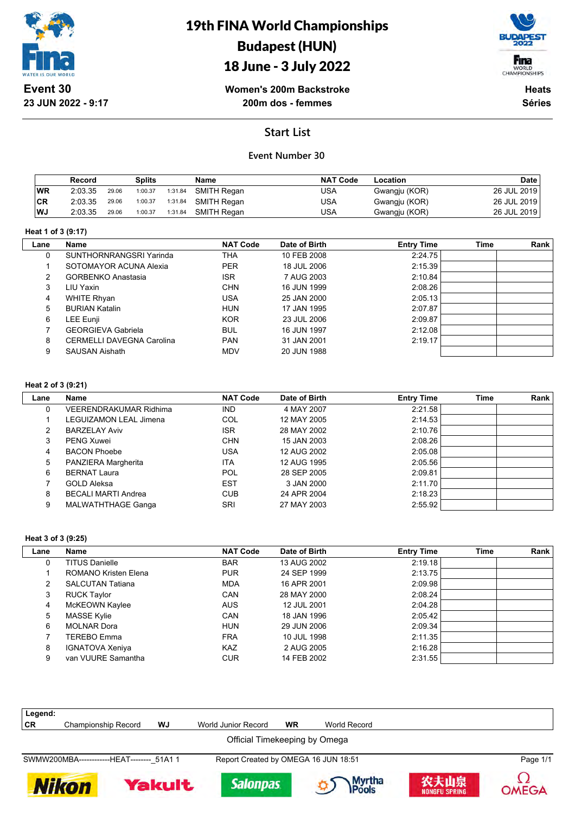

19th FINA World Championships Budapest (HUN)

## 18 June - 3 July 2022



**Women's 200m Backstroke 200m dos - femmes**

**Heats Séries**

## **Start List**

### **Event Number 30**

|           | Record  |       | Splits  |         | Name        | <b>NAT Code</b> | Location      | <b>Date</b> |
|-----------|---------|-------|---------|---------|-------------|-----------------|---------------|-------------|
| <b>WR</b> | 2:03.35 | 29.06 | 1:00.37 | 1:31.84 | SMITH Regan | USA             | Gwangju (KOR) | 26 JUL 2019 |
| <b>CR</b> | 2:03.35 | 29.06 | 1:00.37 | 1:31.84 | SMITH Regan | USA             | Gwangju (KOR) | 26 JUL 2019 |
| WJ        | 2:03.35 | 29.06 | 1:00.37 | 1:31.84 | SMITH Regan | USA             | Gwangju (KOR) | 26 JUL 2019 |

#### **Heat 1 of 3 (9:17)**

| Lane | <b>Name</b>                      | <b>NAT Code</b> | Date of Birth | <b>Entry Time</b> | <b>Time</b> | Rank |
|------|----------------------------------|-----------------|---------------|-------------------|-------------|------|
| 0    | SUNTHORNRANGSRI Yarinda          | THA             | 10 FEB 2008   | 2:24.75           |             |      |
|      | SOTOMAYOR ACUNA Alexia           | <b>PER</b>      | 18 JUL 2006   | 2:15.39           |             |      |
| 2    | <b>GORBENKO Anastasia</b>        | <b>ISR</b>      | 7 AUG 2003    | 2:10.84           |             |      |
| 3    | LIU Yaxin                        | <b>CHN</b>      | 16 JUN 1999   | 2:08.26           |             |      |
| 4    | <b>WHITE Rhyan</b>               | USA             | 25 JAN 2000   | 2:05.13           |             |      |
| 5    | <b>BURIAN Katalin</b>            | <b>HUN</b>      | 17 JAN 1995   | 2:07.87           |             |      |
| 6    | LEE Eunji                        | <b>KOR</b>      | 23 JUL 2006   | 2:09.87           |             |      |
|      | <b>GEORGIEVA Gabriela</b>        | <b>BUL</b>      | 16 JUN 1997   | 2:12.08           |             |      |
| 8    | <b>CERMELLI DAVEGNA Carolina</b> | <b>PAN</b>      | 31 JAN 2001   | 2:19.17           |             |      |
| 9    | <b>SAUSAN Aishath</b>            | <b>MDV</b>      | 20 JUN 1988   |                   |             |      |

#### **Heat 2 of 3 (9:21)**

 $\overline{\phantom{a}}$ 

| Lane | <b>Name</b>                | <b>NAT Code</b> | Date of Birth | <b>Entry Time</b> | <b>Time</b> | Rank |
|------|----------------------------|-----------------|---------------|-------------------|-------------|------|
| 0    | VEERENDRAKUMAR Ridhima     | <b>IND</b>      | 4 MAY 2007    | 2:21.58           |             |      |
|      | LEGUIZAMON LEAL Jimena     | COL             | 12 MAY 2005   | 2:14.53           |             |      |
| 2    | <b>BARZELAY Aviv</b>       | <b>ISR</b>      | 28 MAY 2002   | 2:10.76           |             |      |
| 3    | <b>PENG Xuwei</b>          | <b>CHN</b>      | 15 JAN 2003   | 2:08.26           |             |      |
| 4    | <b>BACON Phoebe</b>        | USA             | 12 AUG 2002   | 2:05.08           |             |      |
| 5    | PANZIERA Margherita        | <b>ITA</b>      | 12 AUG 1995   | 2:05.56           |             |      |
| 6    | <b>BERNAT Laura</b>        | POL             | 28 SEP 2005   | 2:09.81           |             |      |
|      | <b>GOLD Aleksa</b>         | <b>EST</b>      | 3 JAN 2000    | 2:11.70           |             |      |
| 8    | <b>BECALI MARTI Andrea</b> | <b>CUB</b>      | 24 APR 2004   | 2:18.23           |             |      |
| 9    | MALWATHTHAGE Ganga         | SRI             | 27 MAY 2003   | 2:55.92           |             |      |

#### **Heat 3 of 3 (9:25)**

| Lane | Name                    | <b>NAT Code</b> | Date of Birth | <b>Entry Time</b> | Time | <b>Rank</b> |
|------|-------------------------|-----------------|---------------|-------------------|------|-------------|
| 0    | <b>TITUS Danielle</b>   | <b>BAR</b>      | 13 AUG 2002   | 2:19.18           |      |             |
|      | ROMANO Kristen Elena    | <b>PUR</b>      | 24 SEP 1999   | 2:13.75           |      |             |
|      | <b>SALCUTAN Tatiana</b> | <b>MDA</b>      | 16 APR 2001   | 2:09.98           |      |             |
| 3    | <b>RUCK Taylor</b>      | <b>CAN</b>      | 28 MAY 2000   | 2:08.24           |      |             |
| 4    | McKEOWN Kaylee          | <b>AUS</b>      | 12 JUL 2001   | 2:04.28           |      |             |
| 5    | <b>MASSE Kylie</b>      | CAN             | 18 JAN 1996   | 2:05.42           |      |             |
| 6    | <b>MOLNAR Dora</b>      | <b>HUN</b>      | 29 JUN 2006   | 2:09.34           |      |             |
|      | TEREBO Emma             | <b>FRA</b>      | 10 JUL 1998   | 2:11.35           |      |             |
| 8    | <b>IGNATOVA Xeniya</b>  | <b>KAZ</b>      | 2 AUG 2005    | 2:16.28           |      |             |
| 9    | van VUURE Samantha      | <b>CUR</b>      | 14 FEB 2002   | 2:31.55           |      |             |

| Legend:                       |                                            |    |                                      |           |              |  |          |  |  |
|-------------------------------|--------------------------------------------|----|--------------------------------------|-----------|--------------|--|----------|--|--|
| <b>CR</b>                     | Championship Record                        | WJ | World Junior Record                  | <b>WR</b> | World Record |  |          |  |  |
| Official Timekeeping by Omega |                                            |    |                                      |           |              |  |          |  |  |
|                               | SWMW200MBA-------------HEAT-------- 51A1 1 |    | Report Created by OMEGA 16 JUN 18:51 |           |              |  | Page 1/1 |  |  |
|                               |                                            |    |                                      |           |              |  | $\sim$   |  |  |









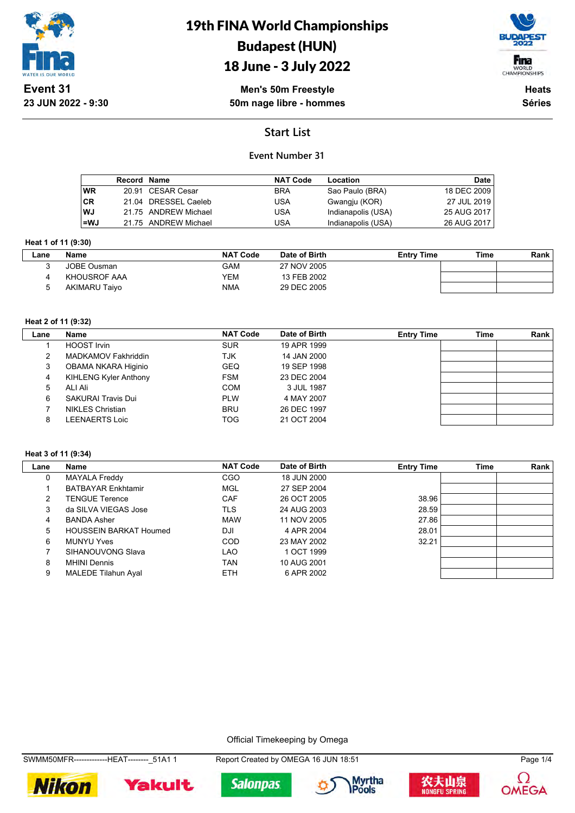

# 19th FINA World Championships Budapest (HUN)

## 18 June - 3 July 2022



**Men's 50m Freestyle 50m nage libre - hommes**

**Heats Séries**

## **Start List**

## **Event Number 31**

|           | Record Name |                      | <b>NAT Code</b> | Location           | Date        |
|-----------|-------------|----------------------|-----------------|--------------------|-------------|
| <b>WR</b> |             | 20.91 CESAR Cesar    | <b>BRA</b>      | Sao Paulo (BRA)    | 18 DEC 2009 |
| ICR       |             | 21.04 DRESSEL Caeleb | USA             | Gwangju (KOR)      | 27 JUL 2019 |
| l WJ      |             | 21.75 ANDREW Michael | USA             | Indianapolis (USA) | 25 AUG 2017 |
| l=WJ      |             | 21.75 ANDREW Michael | USA             | Indianapolis (USA) | 26 AUG 2017 |

#### **Heat 1 of 11 (9:30)**

| Lane | <b>NAT Code</b><br>Date of Birth<br><b>Entry Time</b><br>Name |            | Time        | Rank |  |  |
|------|---------------------------------------------------------------|------------|-------------|------|--|--|
|      | JOBE Ousman                                                   | GAM        | 27 NOV 2005 |      |  |  |
|      | KHOUSROF AAA                                                  | YEM        | 13 FEB 2002 |      |  |  |
|      | <b>AKIMARU Taiyo</b>                                          | <b>NMA</b> | 29 DEC 2005 |      |  |  |

#### **Heat 2 of 11 (9:32)**

| Lane | Name                         | <b>NAT Code</b> | Date of Birth | <b>Entry Time</b> | Time | Rank |
|------|------------------------------|-----------------|---------------|-------------------|------|------|
|      | HOOST Irvin                  | <b>SUR</b>      | 19 APR 1999   |                   |      |      |
|      | MADKAMOV Fakhriddin          | TJK             | 14 JAN 2000   |                   |      |      |
| 3    | OBAMA NKARA Higinio          | <b>GEQ</b>      | 19 SEP 1998   |                   |      |      |
| 4    | <b>KIHLENG Kyler Anthony</b> | <b>FSM</b>      | 23 DEC 2004   |                   |      |      |
| 5    | ALI Ali                      | <b>COM</b>      | 3 JUL 1987    |                   |      |      |
| 6    | <b>SAKURAI Travis Dui</b>    | <b>PLW</b>      | 4 MAY 2007    |                   |      |      |
|      | NIKLES Christian             | <b>BRU</b>      | 26 DEC 1997   |                   |      |      |
| 8    | LEENAERTS Loic               | <b>TOG</b>      | 21 OCT 2004   |                   |      |      |

#### **Heat 3 of 11 (9:34)**

| Lane | Name                          | <b>NAT Code</b> | Date of Birth | <b>Entry Time</b> | <b>Time</b> | Rank |
|------|-------------------------------|-----------------|---------------|-------------------|-------------|------|
| 0    | <b>MAYALA Freddy</b>          | <b>CGO</b>      | 18 JUN 2000   |                   |             |      |
|      | <b>BATBAYAR Enkhtamir</b>     | <b>MGL</b>      | 27 SEP 2004   |                   |             |      |
| 2    | <b>TENGUE Terence</b>         | CAF             | 26 OCT 2005   | 38.96             |             |      |
| 3    | da SILVA VIEGAS Jose          | TLS             | 24 AUG 2003   | 28.59             |             |      |
| 4    | <b>BANDA Asher</b>            | <b>MAW</b>      | 11 NOV 2005   | 27.86             |             |      |
| 5    | <b>HOUSSEIN BARKAT Houmed</b> | DJI             | 4 APR 2004    | 28.01             |             |      |
| 6    | <b>MUNYU Yves</b>             | <b>COD</b>      | 23 MAY 2002   | 32.21             |             |      |
|      | SIHANOUVONG Slava             | LAO             | 1 OCT 1999    |                   |             |      |
| 8    | <b>MHINI Dennis</b>           | TAN             | 10 AUG 2001   |                   |             |      |
| 9    | <b>MALEDE Tilahun Ayal</b>    | <b>ETH</b>      | 6 APR 2002    |                   |             |      |

Official Timekeeping by Omega













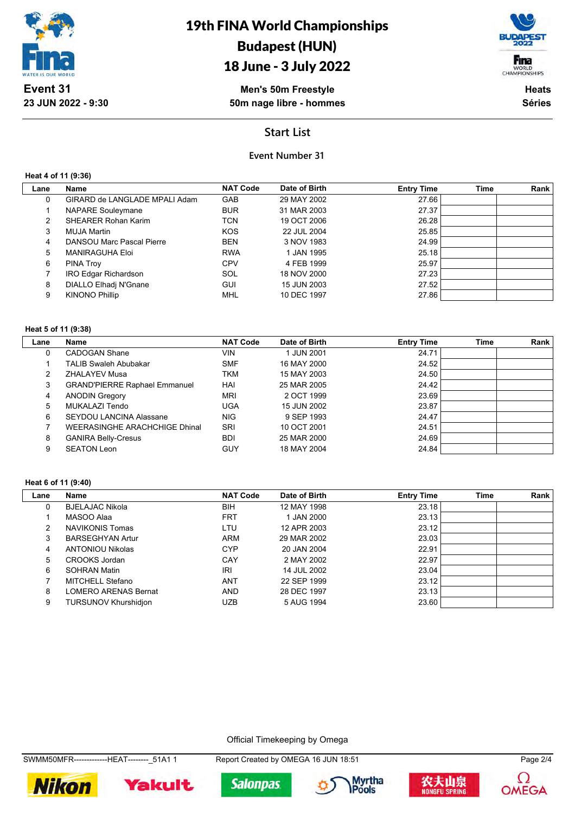

# 18 June - 3 July 2022

Fina WORLD<br>CHAMPIONSHIPS

**Men's 50m Freestyle 50m nage libre - hommes**

**Heats Séries**

## **Start List**

### **Event Number 31**

**Heat 4 of 11 (9:36)**

| Lane | Name                          | <b>NAT Code</b> | Date of Birth | <b>Entry Time</b> | <b>Time</b> | Rank |
|------|-------------------------------|-----------------|---------------|-------------------|-------------|------|
| 0    | GIRARD de LANGLADE MPALI Adam | <b>GAB</b>      | 29 MAY 2002   | 27.66             |             |      |
|      | <b>NAPARE Souleymane</b>      | <b>BUR</b>      | 31 MAR 2003   | 27.37             |             |      |
| 2    | <b>SHEARER Rohan Karim</b>    | <b>TCN</b>      | 19 OCT 2006   | 26.28             |             |      |
| 3    | MUJA Martin                   | <b>KOS</b>      | 22 JUL 2004   | 25.85             |             |      |
| 4    | DANSOU Marc Pascal Pierre     | <b>BEN</b>      | 3 NOV 1983    | 24.99             |             |      |
| 5    | <b>MANIRAGUHA Eloi</b>        | <b>RWA</b>      | 1 JAN 1995    | 25.18             |             |      |
| 6    | <b>PINA Troy</b>              | <b>CPV</b>      | 4 FEB 1999    | 25.97             |             |      |
|      | IRO Edgar Richardson          | SOL             | 18 NOV 2000   | 27.23             |             |      |
| 8    | DIALLO Elhadj N'Gnane         | <b>GUI</b>      | 15 JUN 2003   | 27.52             |             |      |
| 9    | <b>KINONO Phillip</b>         | <b>MHL</b>      | 10 DEC 1997   | 27.86             |             |      |
|      |                               |                 |               |                   |             |      |

#### **Heat 5 of 11 (9:38)**

| Lane | <b>Name</b>                          | <b>NAT Code</b> | Date of Birth | <b>Entry Time</b> | <b>Time</b> | Rank |
|------|--------------------------------------|-----------------|---------------|-------------------|-------------|------|
| 0    | CADOGAN Shane                        | <b>VIN</b>      | 1 JUN 2001    | 24.71             |             |      |
|      | <b>TALIB Swaleh Abubakar</b>         | <b>SMF</b>      | 16 MAY 2000   | 24.52             |             |      |
| 2    | <b>ZHALAYEV Musa</b>                 | <b>TKM</b>      | 15 MAY 2003   | 24.50             |             |      |
| 3    | <b>GRAND'PIERRE Raphael Emmanuel</b> | HAI             | 25 MAR 2005   | 24.42             |             |      |
| 4    | <b>ANODIN Gregory</b>                | <b>MRI</b>      | 2 OCT 1999    | 23.69             |             |      |
| 5    | MUKALAZI Tendo                       | <b>UGA</b>      | 15 JUN 2002   | 23.87             |             |      |
| 6    | <b>SEYDOU LANCINA Alassane</b>       | <b>NIG</b>      | 9 SEP 1993    | 24.47             |             |      |
|      | <b>WEERASINGHE ARACHCHIGE Dhinal</b> | SRI             | 10 OCT 2001   | 24.51             |             |      |
| 8    | <b>GANIRA Belly-Cresus</b>           | <b>BDI</b>      | 25 MAR 2000   | 24.69             |             |      |
| 9    | <b>SEATON Leon</b>                   | GUY             | 18 MAY 2004   | 24.84             |             |      |

#### **Heat 6 of 11 (9:40)**

| Lane | Name                        | <b>NAT Code</b>                    | Date of Birth | <b>Entry Time</b> | <b>Time</b> | Rank |
|------|-----------------------------|------------------------------------|---------------|-------------------|-------------|------|
| 0    | <b>BJELAJAC Nikola</b>      | 23.18<br><b>BIH</b><br>12 MAY 1998 |               |                   |             |      |
|      | MASOO Alaa                  | <b>FRT</b>                         | 1 JAN 2000    | 23.13             |             |      |
| 2    | <b>NAVIKONIS Tomas</b>      | LTU                                | 12 APR 2003   | 23.12             |             |      |
| 3    | <b>BARSEGHYAN Artur</b>     | ARM                                | 29 MAR 2002   | 23.03             |             |      |
| 4    | ANTONIOU Nikolas            | <b>CYP</b>                         | 20 JAN 2004   | 22.91             |             |      |
| 5    | CROOKS Jordan               | CAY                                | 2 MAY 2002    | 22.97             |             |      |
| 6    | <b>SOHRAN Matin</b>         | <b>IRI</b>                         | 14 JUL 2002   | 23.04             |             |      |
|      | MITCHELL Stefano            | <b>ANT</b>                         | 22 SEP 1999   | 23.12             |             |      |
| 8    | <b>LOMERO ARENAS Bernat</b> | <b>AND</b>                         | 28 DEC 1997   | 23.13             |             |      |
| 9    | <b>TURSUNOV Khurshidjon</b> | <b>UZB</b>                         | 5 AUG 1994    | 23.60             |             |      |

Official Timekeeping by Omega

**Yakult** 

**Nikon** 





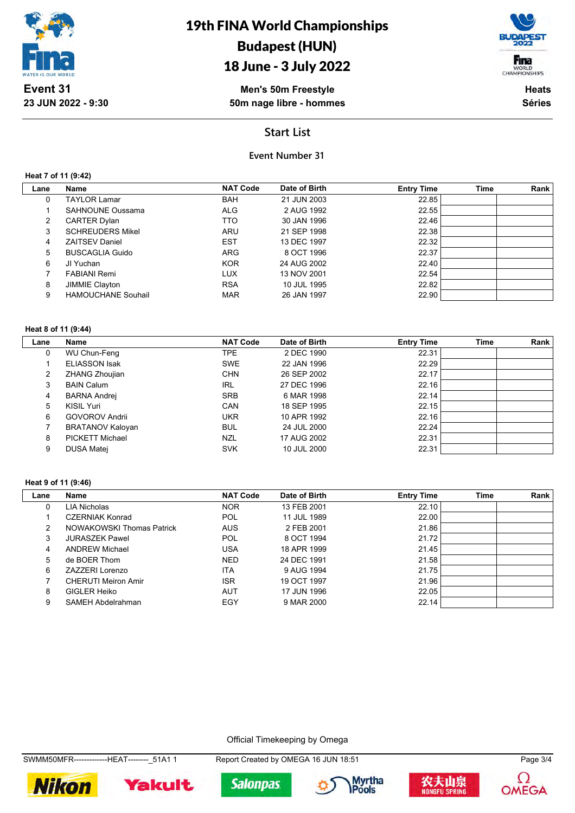

# 18 June - 3 July 2022



**Men's 50m Freestyle 50m nage libre - hommes**

**Heats Séries**

### **Start List**

### **Event Number 31**

#### **Heat 7 of 11 (9:42)**

| Lane | Name                      | <b>NAT Code</b> | Date of Birth | <b>Entry Time</b> | <b>Time</b> | Rank |
|------|---------------------------|-----------------|---------------|-------------------|-------------|------|
| 0    | <b>TAYLOR Lamar</b>       | <b>BAH</b>      | 21 JUN 2003   | 22.85             |             |      |
|      | SAHNOUNE Oussama          | <b>ALG</b>      | 2 AUG 1992    | 22.55             |             |      |
| 2    | <b>CARTER Dylan</b>       | TTO             | 30 JAN 1996   | 22.46             |             |      |
| 3    | <b>SCHREUDERS Mikel</b>   | <b>ARU</b>      | 21 SEP 1998   | 22.38             |             |      |
| 4    | <b>ZAITSEV Daniel</b>     | <b>EST</b>      | 13 DEC 1997   | 22.32             |             |      |
| 5    | <b>BUSCAGLIA Guido</b>    | <b>ARG</b>      | 8 OCT 1996    | 22.37             |             |      |
| 6    | JI Yuchan                 | <b>KOR</b>      | 24 AUG 2002   | 22.40             |             |      |
|      | <b>FABIANI Remi</b>       | <b>LUX</b>      | 13 NOV 2001   | 22.54             |             |      |
| 8    | JIMMIE Clayton            | <b>RSA</b>      | 10 JUL 1995   | 22.82             |             |      |
| 9    | <b>HAMOUCHANE Souhail</b> | <b>MAR</b>      | 26 JAN 1997   | 22.90             |             |      |

#### **Heat 8 of 11 (9:44)**

| Lane | Name                    | <b>NAT Code</b> | Date of Birth | <b>Entry Time</b> | <b>Time</b> | Rank |
|------|-------------------------|-----------------|---------------|-------------------|-------------|------|
| 0    | WU Chun-Feng            | TPE.            | 2 DEC 1990    | 22.31             |             |      |
|      | <b>ELIASSON Isak</b>    | <b>SWE</b>      | 22 JAN 1996   | 22.29             |             |      |
| 2    | ZHANG Zhoujian          | <b>CHN</b>      | 26 SEP 2002   | 22.17             |             |      |
| 3    | <b>BAIN Calum</b>       | <b>IRL</b>      | 27 DEC 1996   | 22.16             |             |      |
| 4    | BARNA Andrej            | <b>SRB</b>      | 6 MAR 1998    | 22.14             |             |      |
| 5    | KISIL Yuri              | CAN             | 18 SEP 1995   | 22.15             |             |      |
| 6    | <b>GOVOROV Andrii</b>   | <b>UKR</b>      | 10 APR 1992   | 22.16             |             |      |
|      | <b>BRATANOV Kaloyan</b> | <b>BUL</b>      | 24 JUL 2000   | 22.24             |             |      |
| 8    | PICKETT Michael         | NZL             | 17 AUG 2002   | 22.31             |             |      |
| 9    | <b>DUSA Matej</b>       | <b>SVK</b>      | 10 JUL 2000   | 22.31             |             |      |

#### **Heat 9 of 11 (9:46)**

| Lane | Name                       | <b>NAT Code</b> | Date of Birth | <b>Entry Time</b> | <b>Time</b> | Rank |
|------|----------------------------|-----------------|---------------|-------------------|-------------|------|
| 0    | LIA Nicholas               | <b>NOR</b>      | 13 FEB 2001   | 22.10             |             |      |
|      | <b>CZERNIAK Konrad</b>     | POL             | 11 JUL 1989   | 22.00             |             |      |
| 2    | NOWAKOWSKI Thomas Patrick  | <b>AUS</b>      | 2 FEB 2001    | 21.86             |             |      |
| 3    | <b>JURASZEK Pawel</b>      | POL             | 8 OCT 1994    | 21.72             |             |      |
| 4    | <b>ANDREW Michael</b>      | USA             | 18 APR 1999   | 21.45             |             |      |
| 5    | de BOER Thom               | <b>NED</b>      | 24 DEC 1991   | 21.58             |             |      |
| 6    | ZAZZERI Lorenzo            | <b>ITA</b>      | 9 AUG 1994    | 21.75             |             |      |
|      | <b>CHERUTI Meiron Amir</b> | <b>ISR</b>      | 19 OCT 1997   | 21.96             |             |      |
| 8    | GIGLER Heiko               | <b>AUT</b>      | 17 JUN 1996   | 22.05             |             |      |
| 9    | SAMEH Abdelrahman          | EGY             | 9 MAR 2000    | 22.14             |             |      |

#### Official Timekeeping by Omega

**Salonpas** 









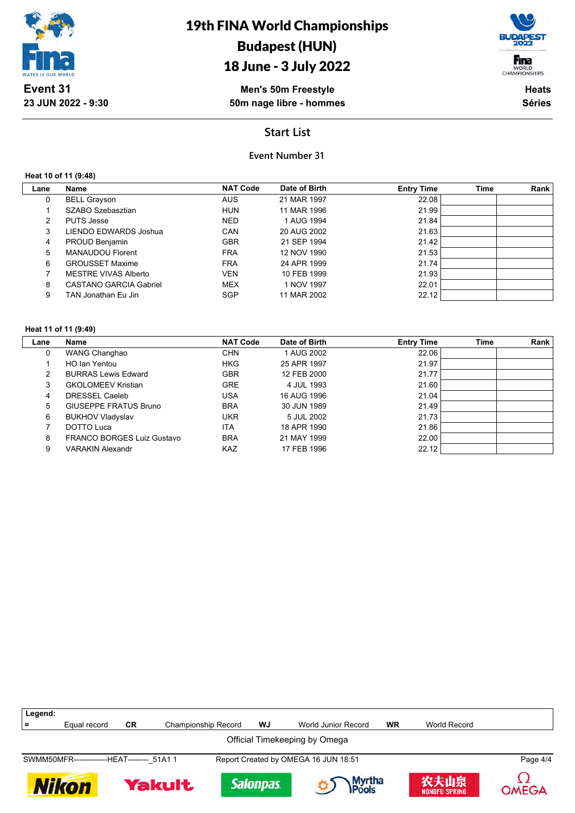

## 18 June - 3 July 2022



**Men's 50m Freestyle 50m nage libre - hommes**

**Heats Séries**

## **Start List**

### **Event Number 31**

**Heat 10 of 11 (9:48)**

| Lane | Name                    | <b>NAT Code</b> | Date of Birth | <b>Entry Time</b> | Time | Rank |
|------|-------------------------|-----------------|---------------|-------------------|------|------|
| 0    | <b>BELL Grayson</b>     | <b>AUS</b>      | 21 MAR 1997   | 22.08             |      |      |
|      | SZABO Szebasztian       | <b>HUN</b>      | 11 MAR 1996   | 21.99             |      |      |
| 2    | <b>PUTS Jesse</b>       | <b>NED</b>      | 1 AUG 1994    | 21.84             |      |      |
| 3    | LIENDO EDWARDS Joshua   | CAN             | 20 AUG 2002   | 21.63             |      |      |
| 4    | PROUD Benjamin          | <b>GBR</b>      | 21 SEP 1994   | 21.42             |      |      |
| 5.   | <b>MANAUDOU Florent</b> | <b>FRA</b>      | 12 NOV 1990   | 21.53             |      |      |
| 6    | <b>GROUSSET Maxime</b>  | <b>FRA</b>      | 24 APR 1999   | 21.74             |      |      |
|      | MESTRE VIVAS Alberto    | <b>VEN</b>      | 10 FEB 1999   | 21.93             |      |      |
| 8    | CASTANO GARCIA Gabriel  | <b>MEX</b>      | 1 NOV 1997    | 22.01             |      |      |
| 9    | TAN Jonathan Eu Jin     | <b>SGP</b>      | 11 MAR 2002   | 22.12             |      |      |

#### **Heat 11 of 11 (9:49)**

| Lane | Name                              | <b>NAT Code</b> | Date of Birth | <b>Entry Time</b> | Time | Rank |
|------|-----------------------------------|-----------------|---------------|-------------------|------|------|
| 0    | WANG Changhao                     | <b>CHN</b>      | 1 AUG 2002    | 22.06             |      |      |
|      | HO Ian Yentou                     | <b>HKG</b>      | 25 APR 1997   | 21.97             |      |      |
|      | <b>BURRAS Lewis Edward</b>        | <b>GBR</b>      | 12 FEB 2000   | 21.77             |      |      |
| 3    | <b>GKOLOMEEV Kristian</b>         | <b>GRE</b>      | 4 JUL 1993    | 21.60             |      |      |
| 4    | DRESSEL Caeleb                    | <b>USA</b>      | 16 AUG 1996   | 21.04             |      |      |
| 5    | GIUSEPPE FRATUS Bruno             | <b>BRA</b>      | 30 JUN 1989   | 21.49             |      |      |
| 6    | <b>BUKHOV Vladyslav</b>           | <b>UKR</b>      | 5 JUL 2002    | 21.73             |      |      |
|      | DOTTO Luca                        | <b>ITA</b>      | 18 APR 1990   | 21.86             |      |      |
| 8    | <b>FRANCO BORGES Luiz Gustavo</b> | <b>BRA</b>      | 21 MAY 1999   | 22.00             |      |      |
| 9    | <b>VARAKIN Alexandr</b>           | <b>KAZ</b>      | 17 FEB 1996   | 22.12             |      |      |

| Legend:                                                                            |              |    |                            |                 |                            |    |                              |              |  |
|------------------------------------------------------------------------------------|--------------|----|----------------------------|-----------------|----------------------------|----|------------------------------|--------------|--|
|                                                                                    | Equal record | CR | <b>Championship Record</b> | WJ              | <b>World Junior Record</b> | WR | World Record                 |              |  |
| Official Timekeeping by Omega                                                      |              |    |                            |                 |                            |    |                              |              |  |
| SWMM50MFR--------------HEAT-------- 51A1 1<br>Report Created by OMEGA 16 JUN 18:51 |              |    |                            |                 |                            |    |                              | Page 4/4     |  |
|                                                                                    | Nikon        |    | <b>Yakult</b>              | <b>Salonpas</b> | Myrtha<br><b>IPools</b>    |    | 农夫山泉<br><b>NONGFU SPRING</b> | <b>OMEGA</b> |  |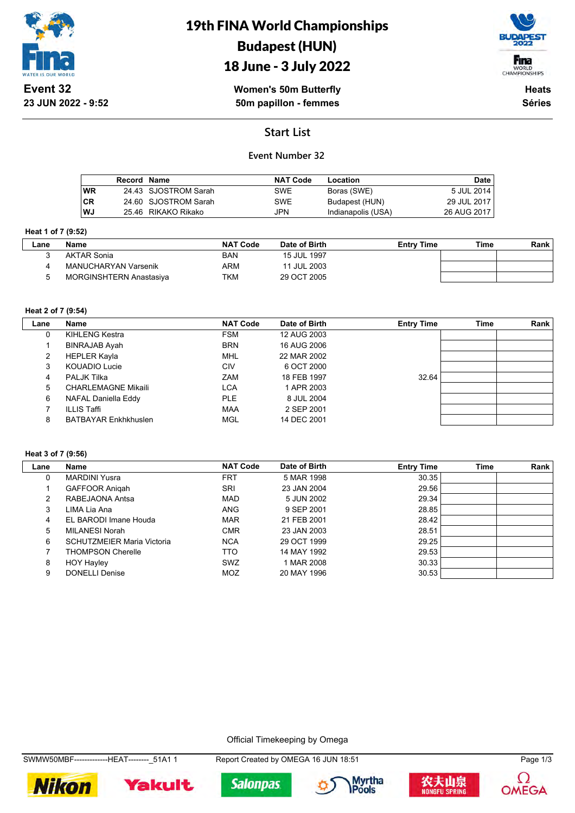

## 18 June - 3 July 2022



**Women's 50m Butterfly 50m papillon - femmes**

**Heats Séries**

## **Start List**

### **Event Number 32**

|           | Record Name |                      | <b>NAT Code</b> | Location           | Date I        |
|-----------|-------------|----------------------|-----------------|--------------------|---------------|
| <b>WR</b> |             | 24.43 SJOSTROM Sarah | <b>SWE</b>      | Boras (SWE)        | 5 JUL 2014    |
| <b>CR</b> |             | 24.60 SJOSTROM Sarah | <b>SWE</b>      | Budapest (HUN)     | 29 JUL 2017   |
| WJ        |             | 25.46 RIKAKO Rikako  | JPN             | Indianapolis (USA) | 26 AUG 2017 I |

#### **Heat 1 of 7 (9:52)**

| ∟ane | Name                           | <b>NAT Code</b> | Date of Birth | <b>Entry Time</b> | Time | Rank |
|------|--------------------------------|-----------------|---------------|-------------------|------|------|
|      | <b>AKTAR Sonia</b>             | BAN             | 15 JUL 1997   |                   |      |      |
|      | MANUCHARYAN Varsenik           | ARM             | 11 JUL 2003   |                   |      |      |
|      | <b>MORGINSHTERN Anastasiva</b> | TKM             | 29 OCT 2005   |                   |      |      |

#### **Heat 2 of 7 (9:54)**

| Lane | Name                        | <b>NAT Code</b> | Date of Birth | <b>Entry Time</b> | <b>Time</b> | Rank |
|------|-----------------------------|-----------------|---------------|-------------------|-------------|------|
| 0    | KIHLENG Kestra              | <b>FSM</b>      | 12 AUG 2003   |                   |             |      |
|      | <b>BINRAJAB Ayah</b>        | <b>BRN</b>      | 16 AUG 2006   |                   |             |      |
| 2    | <b>HEPLER Kayla</b>         | MHL             | 22 MAR 2002   |                   |             |      |
| 3    | KOUADIO Lucie               | CIV             | 6 OCT 2000    |                   |             |      |
| 4    | <b>PALJK Tilka</b>          | ZAM             | 18 FEB 1997   | 32.64             |             |      |
| 5    | <b>CHARLEMAGNE Mikaili</b>  | LCA             | 1 APR 2003    |                   |             |      |
| 6    | NAFAL Daniella Eddy         | <b>PLE</b>      | 8 JUL 2004    |                   |             |      |
|      | <b>ILLIS Taffi</b>          | <b>MAA</b>      | 2 SEP 2001    |                   |             |      |
| 8    | <b>BATBAYAR Enkhkhuslen</b> | MGL             | 14 DEC 2001   |                   |             |      |

#### **Heat 3 of 7 (9:56)**

| Lane | Name                              | <b>NAT Code</b> | Date of Birth | <b>Entry Time</b> | <b>Time</b> | Rank |
|------|-----------------------------------|-----------------|---------------|-------------------|-------------|------|
| 0    | <b>MARDINI Yusra</b>              | FRT             | 5 MAR 1998    | 30.35             |             |      |
|      | <b>GAFFOOR Anigah</b>             | SRI             | 23 JAN 2004   | 29.56             |             |      |
| 2    | RABEJAONA Antsa                   | MAD             | 5 JUN 2002    | 29.34             |             |      |
| 3    | LIMA Lia Ana                      | <b>ANG</b>      | 9 SEP 2001    | 28.85             |             |      |
| 4    | EL BARODI Imane Houda             | <b>MAR</b>      | 21 FEB 2001   | 28.42             |             |      |
| 5    | MILANESI Norah                    | <b>CMR</b>      | 23 JAN 2003   | 28.51             |             |      |
| 6    | <b>SCHUTZMEIER Maria Victoria</b> | <b>NCA</b>      | 29 OCT 1999   | 29.25             |             |      |
|      | <b>THOMPSON Cherelle</b>          | TTO             | 14 MAY 1992   | 29.53             |             |      |
| 8    | <b>HOY Hayley</b>                 | SWZ             | 1 MAR 2008    | 30.33             |             |      |
| 9    | <b>DONELLI Denise</b>             | MOZ             | 20 MAY 1996   | 30.53             |             |      |

Official Timekeeping by Omega













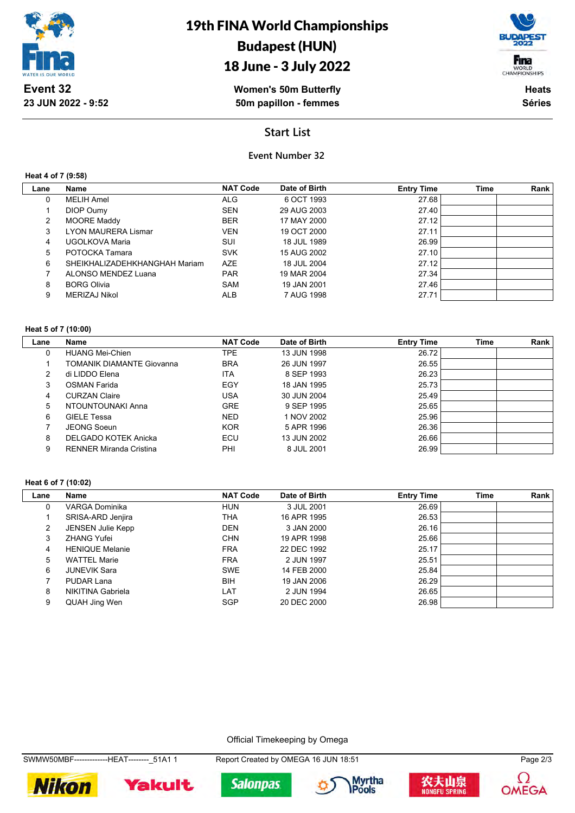

## 18 June - 3 July 2022

**Women's 50m Butterfly 50m papillon - femmes**

Fina WORLD<br>CHAMPIONSHIPS

> **Heats Séries**

### **Start List**

### **Event Number 32**

**Heat 4 of 7 (9:58)**

| Lane | <b>Name</b>                   | <b>NAT Code</b> | Date of Birth | <b>Entry Time</b> | Time | Rank |
|------|-------------------------------|-----------------|---------------|-------------------|------|------|
| 0    | MELIH Amel                    | ALG             | 6 OCT 1993    | 27.68             |      |      |
|      | DIOP Oumy                     | <b>SEN</b>      | 29 AUG 2003   | 27.40             |      |      |
| 2    | <b>MOORE Maddy</b>            | <b>BER</b>      | 17 MAY 2000   | 27.12             |      |      |
| 3    | LYON MAURERA Lismar           | <b>VEN</b>      | 19 OCT 2000   | 27.11             |      |      |
| 4    | UGOLKOVA Maria                | SUI             | 18 JUL 1989   | 26.99             |      |      |
| 5    | POTOCKA Tamara                | <b>SVK</b>      | 15 AUG 2002   | 27.10             |      |      |
| 6    | SHEIKHALIZADEHKHANGHAH Mariam | <b>AZE</b>      | 18 JUL 2004   | 27.12             |      |      |
| 7    | ALONSO MENDEZ Luana           | <b>PAR</b>      | 19 MAR 2004   | 27.34             |      |      |
| 8    | <b>BORG Olivia</b>            | SAM             | 19 JAN 2001   | 27.46             |      |      |
| 9    | MERIZAJ Nikol                 | <b>ALB</b>      | 7 AUG 1998    | 27.71             |      |      |
|      |                               |                 |               |                   |      |      |

#### **Heat 5 of 7 (10:00)**

| Lane | Name                             | <b>NAT Code</b> | Date of Birth | <b>Entry Time</b> | Time | Rank |
|------|----------------------------------|-----------------|---------------|-------------------|------|------|
| 0    | <b>HUANG Mei-Chien</b>           | TPE.            | 13 JUN 1998   | 26.72             |      |      |
|      | <b>TOMANIK DIAMANTE Giovanna</b> | <b>BRA</b>      | 26 JUN 1997   | 26.55             |      |      |
| 2    | di LIDDO Flena                   | ITA             | 8 SEP 1993    | 26.23             |      |      |
| 3    | <b>OSMAN Farida</b>              | EGY             | 18 JAN 1995   | 25.73             |      |      |
| 4    | <b>CURZAN Claire</b>             | USA             | 30 JUN 2004   | 25.49             |      |      |
| 5    | NTOUNTOUNAKI Anna                | <b>GRE</b>      | 9 SEP 1995    | 25.65             |      |      |
| 6    | <b>GIELE Tessa</b>               | <b>NED</b>      | 1 NOV 2002    | 25.96             |      |      |
|      | JEONG Soeun                      | <b>KOR</b>      | 5 APR 1996    | 26.36             |      |      |
| 8    | DELGADO KOTEK Anicka             | ECU             | 13 JUN 2002   | 26.66             |      |      |
| 9    | <b>RENNER Miranda Cristina</b>   | PHI             | 8 JUL 2001    | 26.99             |      |      |

#### **Heat 6 of 7 (10:02)**

| Lane | Name                     | <b>NAT Code</b> | Date of Birth | <b>Entry Time</b> | <b>Time</b> | Rank |
|------|--------------------------|-----------------|---------------|-------------------|-------------|------|
| 0    | VARGA Dominika           | <b>HUN</b>      | 3 JUL 2001    | 26.69             |             |      |
|      | SRISA-ARD Jenjira        | THA             | 16 APR 1995   | 26.53             |             |      |
| 2    | <b>JENSEN Julie Kepp</b> | <b>DEN</b>      | 3 JAN 2000    | 26.16             |             |      |
| 3    | <b>ZHANG Yufei</b>       | <b>CHN</b>      | 19 APR 1998   | 25.66             |             |      |
| 4    | <b>HENIQUE Melanie</b>   | <b>FRA</b>      | 22 DEC 1992   | 25.17             |             |      |
| 5    | <b>WATTEL Marie</b>      | <b>FRA</b>      | 2 JUN 1997    | 25.51             |             |      |
| 6    | <b>JUNEVIK Sara</b>      | <b>SWE</b>      | 14 FEB 2000   | 25.84             |             |      |
|      | PUDAR Lana               | <b>BIH</b>      | 19 JAN 2006   | 26.29             |             |      |
| 8    | NIKITINA Gabriela        | LAT             | 2 JUN 1994    | 26.65             |             |      |
| 9    | QUAH Jing Wen            | <b>SGP</b>      | 20 DEC 2000   | 26.98             |             |      |

#### Official Timekeeping by Omega

SWMW50MBF--------------HEAT--------\_51A1 1 Report Created by OMEGA 16 JUN 18:51 Page 2/3









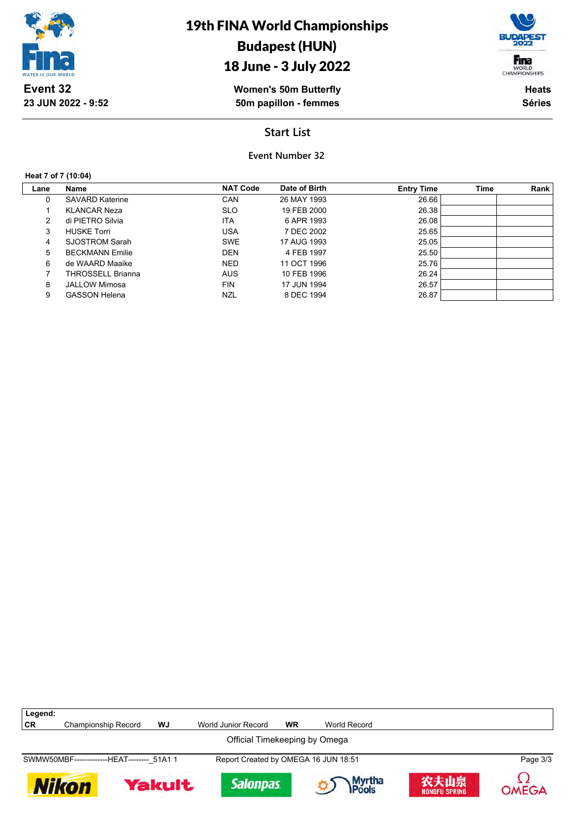

## 18 June - 3 July 2022

**Women's 50m Butterfly 50m papillon - femmes**

Fina WORLD<br>CHAMPIONSHIPS

> **Heats Séries**

## **Start List**

**Event Number 32**

#### **Heat 7 of 7 (10:04)**

| Lane | Name                   | <b>NAT Code</b> | Date of Birth | <b>Entry Time</b> | <b>Time</b> | Rank |
|------|------------------------|-----------------|---------------|-------------------|-------------|------|
| 0    | <b>SAVARD Katerine</b> | CAN             | 26 MAY 1993   | 26.66             |             |      |
|      | <b>KLANCAR Neza</b>    | <b>SLO</b>      | 19 FEB 2000   | 26.38             |             |      |
| 2    | di PIETRO Silvia       | <b>ITA</b>      | 6 APR 1993    | 26.08             |             |      |
| 3    | <b>HUSKE Torri</b>     | <b>USA</b>      | 7 DEC 2002    | 25.65             |             |      |
| 4    | SJOSTROM Sarah         | <b>SWE</b>      | 17 AUG 1993   | 25.05             |             |      |
| 5    | <b>BECKMANN Emilie</b> | <b>DEN</b>      | 4 FEB 1997    | 25.50             |             |      |
| 6    | de WAARD Maaike        | <b>NED</b>      | 11 OCT 1996   | 25.76             |             |      |
|      | THROSSELL Brianna      | <b>AUS</b>      | 10 FEB 1996   | 26.24             |             |      |
| 8    | <b>JALLOW Mimosa</b>   | <b>FIN</b>      | 17 JUN 1994   | 26.57             |             |      |
| 9    | <b>GASSON Helena</b>   | NZL             | 8 DEC 1994    | 26.87             |             |      |

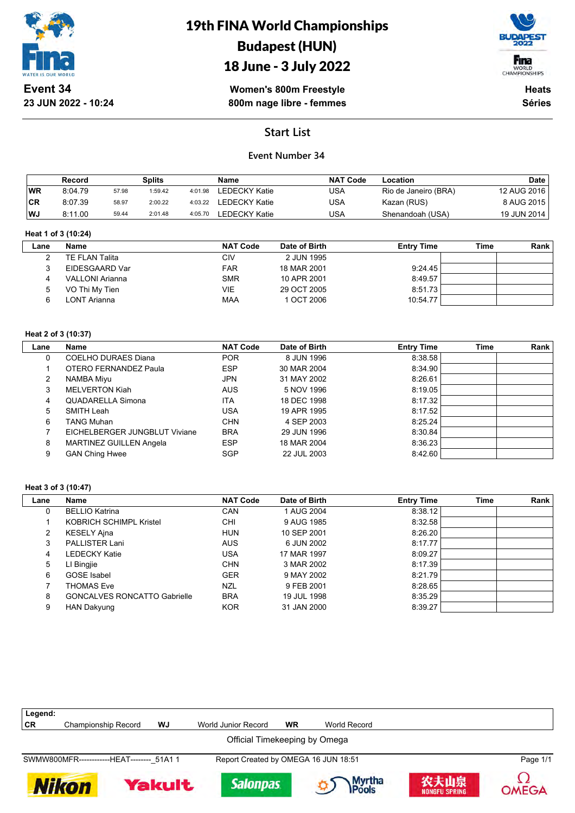

**23 JUN 2022 - 10:24**

# 19th FINA World Championships Budapest (HUN)



**Women's 800m Freestyle** 18 June - 3 July 2022

**800m nage libre - femmes**

**Heats Séries**

## **Start List**

### **Event Number 34**

|           | Record  |       | Splits  |         | Name                  | <b>NAT Code</b> | Location             | <b>Date</b> |
|-----------|---------|-------|---------|---------|-----------------------|-----------------|----------------------|-------------|
| <b>WR</b> | 8:04.79 | 57.98 | 1:59.42 | 4:01.98 | LEDECKY Katie         | USA             | Rio de Janeiro (BRA) | 12 AUG 2016 |
| CR        | 8:07.39 | 58.97 | 2:00.22 |         | 4:03.22 LEDECKY Katie | USA             | Kazan (RUS)          | 8 AUG 2015  |
| WJ        | 8:11.00 | 59.44 | 2:01.48 | 4:05.70 | <b>LEDECKY Katie</b>  | USA             | Shenandoah (USA)     | 19 JUN 2014 |

#### **Heat 1 of 3 (10:24)**

| Lane | Name            | <b>NAT Code</b> | Date of Birth | <b>Entry Time</b> | Time | <b>Rank</b> |
|------|-----------------|-----------------|---------------|-------------------|------|-------------|
|      | TE FLAN Talita  | CIV             | 2 JUN 1995    |                   |      |             |
|      | EIDESGAARD Var  | <b>FAR</b>      | 18 MAR 2001   | 9:24.45           |      |             |
|      | VALLONI Arianna | <b>SMR</b>      | 10 APR 2001   | 8:49.57           |      |             |
|      | VO Thi My Tien  | VIE             | 29 OCT 2005   | 8:51.73           |      |             |
|      | LONT Arianna    | <b>MAA</b>      | 1 OCT 2006    | 10:54.77          |      |             |

#### **Heat 2 of 3 (10:37)**

| Lane | Name                           | <b>NAT Code</b> | Date of Birth | <b>Entry Time</b> | Time | Rank |
|------|--------------------------------|-----------------|---------------|-------------------|------|------|
| 0    | COELHO DURAES Diana            | <b>POR</b>      | 8 JUN 1996    | 8:38.58           |      |      |
|      | OTERO FERNANDEZ Paula          | <b>ESP</b>      | 30 MAR 2004   | 8:34.90           |      |      |
|      | NAMBA Miyu                     | JPN             | 31 MAY 2002   | 8:26.61           |      |      |
| 3    | <b>MELVERTON Kiah</b>          | <b>AUS</b>      | 5 NOV 1996    | 8:19.05           |      |      |
| 4    | QUADARELLA Simona              | <b>ITA</b>      | 18 DEC 1998   | 8:17.32           |      |      |
| 5    | SMITH Leah                     | USA             | 19 APR 1995   | 8:17.52           |      |      |
| 6    | TANG Muhan                     | <b>CHN</b>      | 4 SEP 2003    | 8:25.24           |      |      |
|      | EICHELBERGER JUNGBLUT Viviane  | <b>BRA</b>      | 29 JUN 1996   | 8:30.84           |      |      |
| 8    | <b>MARTINEZ GUILLEN Angela</b> | <b>ESP</b>      | 18 MAR 2004   | 8:36.23           |      |      |
| 9    | <b>GAN Ching Hwee</b>          | <b>SGP</b>      | 22 JUL 2003   | 8.42.60           |      |      |

#### **Heat 3 of 3 (10:47)**

| Name                                | <b>NAT Code</b> | Date of Birth | <b>Entry Time</b> | <b>Time</b> | Rank |
|-------------------------------------|-----------------|---------------|-------------------|-------------|------|
| <b>BELLIO Katrina</b>               | CAN             | 1 AUG 2004    | 8:38.12           |             |      |
| <b>KOBRICH SCHIMPL Kristel</b>      | CHI             | 9 AUG 1985    | 8:32.58           |             |      |
| <b>KESELY Ajna</b>                  | <b>HUN</b>      | 10 SEP 2001   | 8:26.20           |             |      |
| PALLISTER Lani                      | <b>AUS</b>      | 6 JUN 2002    | 8:17.77           |             |      |
| <b>LEDECKY Katie</b>                | USA             | 17 MAR 1997   | 8:09.27           |             |      |
| LI Bingjie                          | <b>CHN</b>      | 3 MAR 2002    | 8:17.39           |             |      |
| <b>GOSE</b> Isabel                  | <b>GER</b>      | 9 MAY 2002    | 8:21.79           |             |      |
| <b>THOMAS Eve</b>                   | NZL             | 9 FEB 2001    | 8:28.65           |             |      |
| <b>GONCALVES RONCATTO Gabrielle</b> | <b>BRA</b>      | 19 JUL 1998   | 8:35.29           |             |      |
| <b>HAN Dakyung</b>                  | <b>KOR</b>      | 31 JAN 2000   | 8:39.27           |             |      |
|                                     |                 |               |                   |             |      |

| Legend:                       |                                            |               |                                      |           |                         |                              |          |  |
|-------------------------------|--------------------------------------------|---------------|--------------------------------------|-----------|-------------------------|------------------------------|----------|--|
| CR                            | <b>Championship Record</b>                 | WJ            | World Junior Record                  | <b>WR</b> | World Record            |                              |          |  |
| Official Timekeeping by Omega |                                            |               |                                      |           |                         |                              |          |  |
|                               | SWMW800MFR-------------HEAT-------- 51A1 1 |               | Report Created by OMEGA 16 JUN 18:51 |           |                         |                              | Page 1/1 |  |
| <b>Nikon</b>                  |                                            | <b>Yakult</b> | <b>Salonpas</b>                      |           | Myrtha<br><b>IPools</b> | 农夫山泉<br><b>NONGFU SPRING</b> | OMEGA    |  |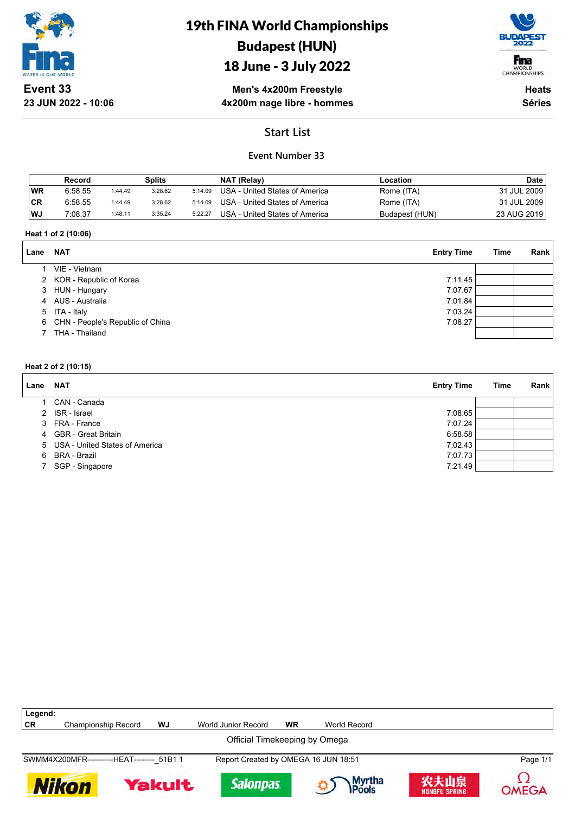

**23 JUN 2022 - 10:06**

# 19th FINA World Championships Budapest (HUN)

## 18 June - 3 July 2022



**Men's 4x200m Freestyle 4x200m nage libre - hommes**

**Heats Séries**

## **Start List**

## **Event Number 33**

|           | Record  |         | Splits  |         | NAT (Relay)                    | Location       | Date        |
|-----------|---------|---------|---------|---------|--------------------------------|----------------|-------------|
| WR        | 6:58.55 | 1:44.49 | 3:28.62 | 5:14.09 | USA - United States of America | Rome (ITA)     | 31 JUL 2009 |
| <b>CR</b> | 6:58.55 | 1:44.49 | 3:28.62 | 5:14.09 | USA - United States of America | Rome (ITA)     | 31 JUL 2009 |
| WJ        | 7:08.37 | 1:48.11 | 3:35.24 | 5:22.27 | USA - United States of America | Budapest (HUN) | 23 AUG 2019 |

#### **Heat 1 of 2 (10:06)**

| Lane | <b>NAT</b>                         | <b>Entry Time</b> | Time | Rank |
|------|------------------------------------|-------------------|------|------|
|      | VIE - Vietnam                      |                   |      |      |
|      | 2 KOR - Republic of Korea          | 7:11.45           |      |      |
|      | 3 HUN - Hungary                    | 7:07.67           |      |      |
|      | 4 AUS - Australia                  | 7:01.84           |      |      |
|      | 5 ITA - Italy                      | 7:03.24           |      |      |
|      | 6 CHN - People's Republic of China | 7:08.27           |      |      |
|      | THA - Thailand                     |                   |      |      |

#### **Heat 2 of 2 (10:15)**

| Lane | <b>NAT</b>                       | <b>Entry Time</b> | Time | Rank |
|------|----------------------------------|-------------------|------|------|
|      | CAN - Canada                     |                   |      |      |
|      | 2 ISR - Israel                   | 7:08.65           |      |      |
|      | 3 FRA - France                   | 7:07.24           |      |      |
|      | 4 GBR - Great Britain            | 6:58.58           |      |      |
|      | 5 USA - United States of America | 7:02.43           |      |      |
|      | 6 BRA - Brazil                   | 7:07.73           |      |      |
|      | 7 SGP - Singapore                | 7:21.49           |      |      |

| Legend:                                                                                                                    |                                            |    |                                      |           |              |  |          |
|----------------------------------------------------------------------------------------------------------------------------|--------------------------------------------|----|--------------------------------------|-----------|--------------|--|----------|
| CR                                                                                                                         | Championship Record                        | WJ | World Junior Record                  | <b>WR</b> | World Record |  |          |
|                                                                                                                            |                                            |    | Official Timekeeping by Omega        |           |              |  |          |
|                                                                                                                            | SWMM4X200MFR-----------HEAT-------- 51B1 1 |    | Report Created by OMEGA 16 JUN 18:51 |           |              |  | Page 1/1 |
| 农夫山泉<br><b>Myrtha</b><br>Pools<br><b>Salonpas</b><br><b>Nikon</b><br><b>Yakult</b><br><b>OMEGA</b><br><b>NONGFU SPRING</b> |                                            |    |                                      |           |              |  |          |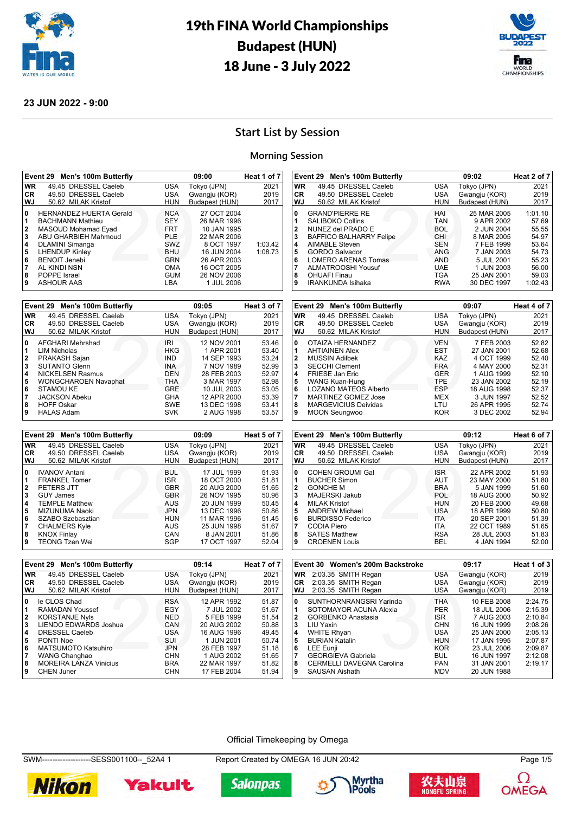



#### **23 JUN 2022 - 9:00**

## **Start List by Session**

#### **Morning Session**

|                                                                        | Event 29 Men's 100m Butterfly                                                                                                                               |                                                                           | 09:00                                                                                 | Heat 1 of 7        |
|------------------------------------------------------------------------|-------------------------------------------------------------------------------------------------------------------------------------------------------------|---------------------------------------------------------------------------|---------------------------------------------------------------------------------------|--------------------|
| <b>WR</b>                                                              | 49.45 DRESSEL Caeleb                                                                                                                                        | <b>USA</b>                                                                | Tokyo (JPN)                                                                           | 2021               |
| CR.                                                                    | 49.50 DRESSEL Caeleb                                                                                                                                        | <b>USA</b>                                                                | Gwangju (KOR)                                                                         | 2019               |
| <b>WJ</b>                                                              | 50.62 MILAK Kristof                                                                                                                                         | HUN                                                                       | Budapest (HUN)                                                                        | 2017               |
| 0<br>1<br>$\overline{\mathbf{2}}$<br>$\overline{\mathbf{3}}$<br>4<br>5 | <b>HERNANDEZ HUERTA Gerald</b><br><b>BACHMANN Mathieu</b><br>MASOUD Mohamad Eyad<br>ABU GHARBIEH Mahmoud<br><b>DLAMINI Simanga</b><br><b>LHENDUP Kinley</b> | <b>NCA</b><br><b>SEY</b><br><b>FRT</b><br><b>PLE</b><br>SWZ<br><b>BHU</b> | 27 OCT 2004<br>26 MAR 1996<br>10 JAN 1995<br>22 MAR 2006<br>8 OCT 1997<br>16 JUN 2004 | 1:03.42<br>1:08.73 |
| 6                                                                      | <b>BENOIT Jenebi</b>                                                                                                                                        | <b>GRN</b>                                                                | 26 APR 2003                                                                           |                    |
| $\overline{7}$<br>8                                                    | AL KINDI NSN<br>POPPE Israel                                                                                                                                | <b>OMA</b><br><b>GUM</b>                                                  | 16 OCT 2005<br>26 NOV 2006                                                            |                    |
| 9                                                                      | <b>ASHOUR AAS</b>                                                                                                                                           | LBA                                                                       | 1 JUL 2006                                                                            |                    |

|              | Event 29 Men's 100m Butterfly |            | 09:05          | Heat 3 of 7 |
|--------------|-------------------------------|------------|----------------|-------------|
| <b>WR</b>    | 49.45 DRESSEL Caeleb          | <b>USA</b> | Tokyo (JPN)    | 2021        |
| CR.          | 49.50 DRESSEL Caeleb          | <b>USA</b> | Gwangju (KOR)  | 2019        |
| WJ           | 50.62 MILAK Kristof           | HUN        | Budapest (HUN) | 2017        |
| 0            | AFGHARI Mehrshad              | IRI        | 12 NOV 2001    | 53.46       |
| 1            | <b>LIM Nicholas</b>           | <b>HKG</b> | 1 APR 2001     | 53.40       |
| $\mathbf{2}$ | PRAKASH Sajan                 | <b>IND</b> | 14 SEP 1993    | 53.24       |
| 3            | <b>SUTANTO Glenn</b>          | <b>INA</b> | 7 NOV 1989     | 52.99       |
| 4            | <b>NICKELSEN Rasmus</b>       | DEN        | 28 FEB 2003    | 52.97       |
| 5            | <b>WONGCHAROEN Navaphat</b>   | <b>THA</b> | 3 MAR 1997     | 52.98       |
| 6            | STAMOU KE                     | <b>GRE</b> | 10 JUL 2003    | 53.05       |
| 7            | <b>JACKSON Abeku</b>          | GHA        | 12 APR 2000    | 53.39       |
| 8            | <b>HOFF Oskar</b>             | <b>SWE</b> | 13 DEC 1998    | 53.41       |
| 9            | <b>HALAS Adam</b>             | <b>SVK</b> | 2 AUG 1998     | 53.57       |

|    | HUFF USKAI                    | <b>SWE</b> | 13 DEC 1998    | 53.4T       | ة ا       | <b>MARGEVICIUS DEIVIGAS</b>   | LIU        | 20 APR 1995    | 52.74       |
|----|-------------------------------|------------|----------------|-------------|-----------|-------------------------------|------------|----------------|-------------|
|    | <b>HALAS Adam</b>             | <b>SVK</b> | 2 AUG 1998     | 53.57       | و ا       | <b>MOON Seungwoo</b>          | <b>KOR</b> | 3 DEC 2002     | 52.94       |
|    | Event 29 Men's 100m Butterfly |            | 09:09          | Heat 5 of 7 |           | Event 29 Men's 100m Butterfly |            | 09:12          | Heat 6 of 7 |
|    |                               |            |                |             |           |                               |            |                |             |
| WR | 49.45 DRESSEL Caeleb          | <b>USA</b> | Tokyo (JPN)    | 2021        | <b>WR</b> | 49.45 DRESSEL Caeleb          | <b>USA</b> | Tokyo (JPN)    | 2021        |
| CR | 49.50 DRESSEL Caeleb          | USA        | Gwangju (KOR)  | 2019        | CR        | 49.50 DRESSEL Caeleb          | USA        | Gwangju (KOR)  | 2019        |
| WJ | 50.62 MILAK Kristof           | <b>HUN</b> | Budapest (HUN) | 2017        | WJ        | 50.62 MILAK Kristof           | <b>HUN</b> | Budapest (HUN) | 2017        |
| 0  | <b>IVANOV Antani</b>          | <b>BUL</b> | 17 JUL 1999    | 51.93       | 10        | <b>COHEN GROUMI Gal</b>       | <b>ISR</b> | 22 APR 2002    | 51.93       |
|    | <b>FRANKEL Tomer</b>          | <b>ISR</b> | 18 OCT 2000    | 51.81       |           | <b>BUCHER Simon</b>           | <b>AUT</b> | 23 MAY 2000    | 51.80       |
|    | PETERS JTT                    | <b>GBR</b> | 20 AUG 2000    | 51.65       |           | <b>GONCHE M</b>               | <b>BRA</b> | 5 JAN 1999     | 51.60       |
|    | <b>GUY James</b>              | <b>GBR</b> | 26 NOV 1995    | 50.96       |           | MAJERSKI Jakub                | <b>POL</b> | 18 AUG 2000    | 50.92       |
|    | <b>TEMPLE Matthew</b>         | <b>AUS</b> | 20 JUN 1999    | 50.45       |           | <b>MILAK Kristof</b>          | <b>HUN</b> | 20 FEB 2000    | 49.68       |
| 5  | MIZUNUMA Naoki                | <b>JPN</b> | 13 DEC 1996    | 50.86       |           | <b>ANDREW Michael</b>         | <b>USA</b> | 18 APR 1999    | 50.80       |
|    | SZABO Szebasztian             | <b>HUN</b> | 11 MAR 1996    | 51.45       |           | <b>BURDISSO Federico</b>      | <b>ITA</b> | 20 SEP 2001    | 51.39       |
|    | <b>CHALMERS Kyle</b>          | <b>AUS</b> | 25 JUN 1998    | 51.67       |           | CODIA Piero                   | ITA        | 22 OCT 1989    | 51.65       |
|    | <b>KNOX Finlay</b>            | CAN        | 8 JAN 2001     | 51.86       |           | <b>SATES Matthew</b>          | <b>RSA</b> | 28 JUL 2003    | 51.83       |
|    | <b>TEONG Tzen Wei</b>         | SGP        | 17 OCT 1997    | 52.04       |           | <b>CROENEN Louis</b>          | BEL        | 4 JAN 1994     | 52.00       |

| VVJ       | 50.62 MILAK KRSIOT            | HUN        | Budapest (HUN) | 2017        |
|-----------|-------------------------------|------------|----------------|-------------|
| 0         | OTAIZA HERNANDEZ              | <b>VEN</b> | 7 FEB 2003     | 52.82       |
| 1         | <b>AHTIAINEN Alex</b>         | <b>EST</b> | 27 JAN 2001    | 52.68       |
| 2         | <b>MUSSIN Adilbek</b>         | KAZ.       | 4 OCT 1999     | 52.40       |
| 3         | <b>SECCHI Clement</b>         | <b>FRA</b> | 4 MAY 2000     | 52.31       |
| 4         | <b>FRIESE Jan Eric</b>        | <b>GER</b> | 1 AUG 1999     | 52.10       |
| 5         | <b>WANG Kuan-Hung</b>         | TPE.       | 23 JAN 2002    | 52.19       |
| 6         | <b>LOZANO MATEOS Alberto</b>  | <b>ESP</b> | 18 AUG 1998    | 52.37       |
| 7         | <b>MARTINEZ GOMEZ Jose</b>    | MEX        | 3 JUN 1997     | 52.52       |
| 8         | <b>MARGEVICIUS Deividas</b>   | LTU        | 26 APR 1995    | 52.74       |
| 9         | <b>MOON Seungwoo</b>          | KOR.       | 3 DEC 2002     | 52.94       |
|           |                               |            |                |             |
|           |                               |            |                |             |
|           | Event 29 Men's 100m Butterfly |            | 09:12          | Heat 6 of 7 |
| <b>WR</b> | 49.45 DRESSEL Caeleb          | <b>USA</b> | Tokyo (JPN)    | 2021        |
| CR        | 49.50 DRESSEL Caeleb          | <b>USA</b> | Gwangju (KOR)  | 2019        |
| WJ        | 50.62 MILAK Kristof           | <b>HUN</b> | Budapest (HUN) | 2017        |
| 0         | <b>COHEN GROUMI Gal</b>       | <b>ISR</b> | 22 APR 2002    | 51.93       |
| 1         | <b>BUCHER Simon</b>           | <b>AUT</b> | 23 MAY 2000    | 51.80       |
| 2         | <b>GONCHE M</b>               | <b>BRA</b> | 5 JAN 1999     | 51.60       |
| 3         | <b>MAJERSKI Jakub</b>         | <b>POL</b> | 18 AUG 2000    | 50.92       |
| 4         | <b>MILAK Kristof</b>          | <b>HUN</b> | 20 FEB 2000    | 49.68       |
| 5         | <b>ANDREW Michael</b>         | USA.       | 18 APR 1999    | 50.80       |
| 6         | <b>BURDISSO Federico</b>      | <b>ITA</b> | 20 SEP 2001    | 51.39       |
| 7         | <b>CODIA Piero</b>            | ITA        | 22 OCT 1989    | 51.65       |

HUN BUT<br>
HAI<br>
TAN<br>
TAN<br>
TGUT<br>
CHI<br>
SEN<br>
ANG<br>
MAG<br>
MAD<br>
TGA<br>
TGA

**Event 29 Men's 100m Butterfly 09:07 Heat 4 of 7 WR** 49.45 DRESSEL Caeleb USA Tokyo (JPN) 2021 **CR** 49.50 DRESSEL Caeleb USA Gwangju (KOR) 2019

**88 JAN 2001<br>30 DEC 1997** 

**Event 29 Men's 100m Butterfly 09:02 Heat 2 of 7 WR** 49.45 DRESSEL Caeleb USA Tokyo (JPN) 2021

**WJ** 50.62 MILAK Kristof HUN Budapest (HUN) 2017 GRAND'PIERRE RE HAI 25 MAR 2005 1:01.10<br>1 SALIBOKO Collins TAN 9 APR 2002 57.69 SALIBOKO Collins TAN 9 APR 2002 57.69 NUNEZ del PRADO E BOL 2 JUN 2004 55.55<br>BAFFICO BALHARRY Felipe CHI 8 MAR 2005 54.97 BAFFICO BALHARRY Felipe CHI 8 MAR 2005 54.97<br>AIMABLE Steven SEN 7 FEB 1999 53.64 AIMABLE Steven SEN 7 FEB 1999 53.64<br> **5** GORDO Salvador **SEN ANG 7 JAN 2003** 54.73 GORDO Salvador **ANG** 7 JAN 2003 54.73<br>**6** LOMERO ARENAS Tomas AND 5 JUL 2001 55.23 LOMERO ARENAS Tomas AND 5 JUL 2001 55.23 ALMATROOSHI Yousuf UAE 1 JUN 2003 56.00

49.50 DRESSEL Caeleb

**9** IRANKUNDA Isihaka

50.62 MILAK Kristof

|                         | Event 29 Men's 100m Butterfly |            | 09:14          | Heat 7 of 7 |
|-------------------------|-------------------------------|------------|----------------|-------------|
| <b>WR</b>               | 49.45 DRESSEL Caeleb          | <b>USA</b> | Tokyo (JPN)    | 2021        |
| <b>CR</b>               | 49.50 DRESSEL Caeleb          | <b>USA</b> | Gwangju (KOR)  | 2019        |
| <b>WJ</b>               | 50.62 MILAK Kristof           | <b>HUN</b> | Budapest (HUN) | 2017        |
| 0                       | le CLOS Chad                  | <b>RSA</b> | 12 APR 1992    | 51.87       |
| 1                       | RAMADAN Youssef               | EGY        | 7 JUL 2002     | 51.67       |
| $\overline{2}$          | <b>KORSTANJE Nyls</b>         | <b>NED</b> | 5 FEB 1999     | 51.54       |
| $\overline{\mathbf{3}}$ | LIENDO EDWARDS Joshua         | CAN        | 20 AUG 2002    | 50.88       |
| 4                       | DRESSEL Caeleb                | <b>USA</b> | 16 AUG 1996    | 49.45       |
| 5                       | PONTI Noe                     | SUI        | 1 JUN 2001     | 50.74       |
| 6                       | <b>MATSUMOTO Katsuhiro</b>    | <b>JPN</b> | 28 FEB 1997    | 51.18       |
| $\overline{7}$          | WANG Changhao                 | <b>CHN</b> | 1 AUG 2002     | 51.65       |
| 8                       | <b>MOREIRA LANZA Vinicius</b> | <b>BRA</b> | 22 MAR 1997    | 51.82       |
| 9                       | <b>CHEN Juner</b>             | <b>CHN</b> | 17 FEB 2004    | 51.94       |

|              | Event 30 Women's 200m Backstroke |            | 09:17         | Heat 1 of 3 |
|--------------|----------------------------------|------------|---------------|-------------|
| <b>WR</b>    | 2:03.35 SMITH Regan              | <b>USA</b> | Gwangju (KOR) | 2019        |
| <b>CR</b>    | 2:03.35 SMITH Regan              | <b>USA</b> | Gwangju (KOR) | 2019        |
| WJ           | 2:03.35 SMITH Regan              | <b>USA</b> | Gwangju (KOR) | 2019        |
| 0            | SUNTHORNRANGSRI Yarinda          | <b>THA</b> | 10 FEB 2008   | 2:24.75     |
| 1            | SOTOMAYOR ACUNA Alexia           | <b>PER</b> | 18 JUL 2006   | 2:15.39     |
| $\mathbf{2}$ | <b>GORBENKO Anastasia</b>        | <b>ISR</b> | 7 AUG 2003    | 2:10.84     |
| 3            | LIU Yaxin                        | <b>CHN</b> | 16 JUN 1999   | 2:08.26     |
| 4            | <b>WHITE Rhyan</b>               | <b>USA</b> | 25 JAN 2000   | 2:05.13     |
| 5            | <b>BURIAN Katalin</b>            | <b>HUN</b> | 17 JAN 1995   | 2:07.87     |
| 6            | <b>LEE Eunji</b>                 | <b>KOR</b> | 23 JUL 2006   | 2:09.87     |
|              | <b>GEORGIEVA Gabriela</b>        | <b>BUL</b> | 16 JUN 1997   | 2:12.08     |
| 8            | CERMELLI DAVEGNA Carolina        | <b>PAN</b> | 31 JAN 2001   | 2:19.17     |
| 9            | <b>SAUSAN Aishath</b>            | <b>MDV</b> | 20 JUN 1988   |             |

#### Official Timekeeping by Omega

SWM-------------------SESS001100--\_52A4 1 Report Created by OMEGA 16 JUN 20:42 Page 1/5











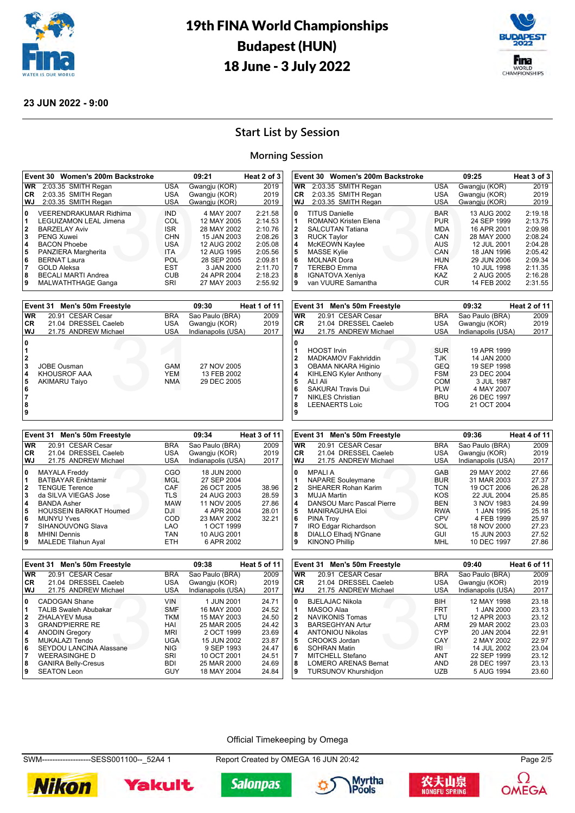



#### **23 JUN 2022 - 9:00**

## **Start List by Session**

#### **Morning Session**

| Event 30 Women's 200m Backstroke                |            | 09:21              | Heat 2 of 3  | Event 30 Women's 200m Backstroke                     |                   | 09:25                      | Heat 3 of 3           |
|-------------------------------------------------|------------|--------------------|--------------|------------------------------------------------------|-------------------|----------------------------|-----------------------|
| WR 2:03.35 SMITH Regan                          | USA        | Gwangju (KOR)      | 2019         | WR 2:03.35 SMITH Regan                               | USA               | Gwangju (KOR)              | 2019                  |
| 2:03.35 SMITH Regan<br>CR                       | <b>USA</b> | Gwangju (KOR)      | 2019         | 2:03.35 SMITH Regan<br>CR.                           | <b>USA</b>        | Gwangju (KOR)              | 2019                  |
| WJ<br>2:03.35 SMITH Regan                       | <b>USA</b> | Gwangju (KOR)      | 2019         | WJ<br>2:03.35 SMITH Regan                            | USA               | Gwangju (KOR)              | 2019                  |
| 0<br><b>VEERENDRAKUMAR Ridhima</b>              | <b>IND</b> | 4 MAY 2007         | 2:21.58      | 0<br><b>TITUS Danielle</b>                           | <b>BAR</b>        | 13 AUG 2002                | 2:19.18               |
| 1<br>LEGUIZAMON LEAL Jimena                     | COL        | 12 MAY 2005        | 2:14.53      | 11<br><b>ROMANO Kristen Elena</b>                    | <b>PUR</b>        | 24 SEP 1999                | 2:13.75               |
| $\overline{\mathbf{2}}$<br><b>BARZELAY Aviv</b> | <b>ISR</b> | 28 MAY 2002        | 2:10.76      | 2<br><b>SALCUTAN Tatiana</b>                         | <b>MDA</b>        | 16 APR 2001                | 2:09.98               |
| 3<br><b>PENG Xuwei</b>                          | <b>CHN</b> | 15 JAN 2003        | 2:08.26      | 3<br><b>RUCK Taylor</b>                              | CAN               | 28 MAY 2000                | 2:08.24               |
| 4<br><b>BACON Phoebe</b>                        | USA        | 12 AUG 2002        | 2:05.08      | 14<br>McKEOWN Kaylee                                 | AUS               | 12 JUL 2001                | 2:04.28               |
| 5<br>PANZIERA Margherita                        | ITA        | 12 AUG 1995        | 2:05.56      | 5<br><b>MASSE Kylie</b>                              | CAN               | 18 JAN 1996                | 2:05.42               |
| 6<br><b>BERNAT Laura</b>                        | POL        | 28 SEP 2005        | 2:09.81      | 6<br><b>MOLNAR Dora</b>                              | <b>HUN</b>        | 29 JUN 2006                | 2:09.34               |
| 17<br><b>GOLD Aleksa</b>                        | <b>EST</b> | 3 JAN 2000         | 2:11.70      | 17<br><b>TEREBO Emma</b>                             | <b>FRA</b>        | 10 JUL 1998                | 2:11.35               |
| 8<br><b>BECALI MARTI Andrea</b>                 | <b>CUB</b> | 24 APR 2004        | 2:18.23      | 8<br><b>IGNATOVA Xeniya</b>                          | KAZ               | 2 AUG 2005                 | 2:16.28               |
| 9<br><b>MALWATHTHAGE Ganga</b>                  | SRI        | 27 MAY 2003        | 2:55.92      | 9<br>van VUURE Samantha                              | <b>CUR</b>        | 14 FEB 2002                | 2:31.55               |
|                                                 |            |                    |              |                                                      |                   |                            |                       |
| Event 31 Men's 50m Freestyle                    |            | 09:30              | Heat 1 of 11 | Event 31 Men's 50m Freestyle                         |                   | 09:32                      | Heat 2 of 11          |
| WR<br>20.91 CESAR Cesar                         | <b>BRA</b> | Sao Paulo (BRA)    | 2009         | <b>WR</b><br>20.91 CESAR Cesar                       | <b>BRA</b>        | Sao Paulo (BRA)            | 2009                  |
| CR<br>21.04 DRESSEL Caeleb                      | USA        | Gwangju (KOR)      | 2019         | CR<br>21.04 DRESSEL Caeleb                           | USA               | Gwangju (KOR)              | 2019                  |
| WJ<br>21.75 ANDREW Michael                      | <b>USA</b> | Indianapolis (USA) | 2017         | WJ<br>21.75 ANDREW Michael                           | USA               | Indianapolis (USA)         | 2017                  |
|                                                 |            |                    |              |                                                      |                   |                            |                       |
| 0                                               |            |                    |              | 0<br>1<br><b>HOOST Irvin</b>                         | <b>SUR</b>        |                            |                       |
| 1<br>$\overline{\mathbf{2}}$                    |            |                    |              |                                                      |                   | 19 APR 1999                |                       |
| 3<br><b>JOBE Ousman</b>                         | GAM        | 27 NOV 2005        |              | 2<br>MADKAMOV Fakhriddin<br>3<br>OBAMA NKARA Higinio | TJK<br><b>GEQ</b> | 14 JAN 2000<br>19 SEP 1998 |                       |
| 4<br>KHOUSROF AAA                               | <b>YEM</b> | 13 FEB 2002        |              | $\overline{\mathbf{4}}$                              | <b>FSM</b>        | 23 DEC 2004                |                       |
| 5<br><b>AKIMARU Taiyo</b>                       | <b>NMA</b> | 29 DEC 2005        |              | <b>KIHLENG Kyler Anthony</b><br>5<br>ALI Ali         | <b>COM</b>        | 3 JUL 1987                 |                       |
| 6                                               |            |                    |              | 6<br><b>SAKURAI Travis Dui</b>                       | <b>PLW</b>        | 4 MAY 2007                 |                       |
| 7                                               |            |                    |              | 17<br><b>NIKLES Christian</b>                        | <b>BRU</b>        | 26 DEC 1997                |                       |
| 8                                               |            |                    |              | 8<br><b>LEENAERTS Loic</b>                           | TOG               | 21 OCT 2004                |                       |
| 9                                               |            |                    |              | و ا                                                  |                   |                            |                       |
|                                                 |            |                    |              |                                                      |                   |                            |                       |
|                                                 |            |                    |              |                                                      |                   |                            |                       |
|                                                 |            |                    |              |                                                      |                   |                            |                       |
| Event 31 Men's 50m Freestyle                    |            | 09:34              | Heat 3 of 11 | Event 31 Men's 50m Freestyle                         |                   | 09:36                      | Heat 4 of 11          |
| <b>WR</b><br>20.91 CESAR Cesar                  | <b>BRA</b> | Sao Paulo (BRA)    | 2009         | <b>WR</b><br>20.91 CESAR Cesar                       | <b>BRA</b>        | Sao Paulo (BRA)            | 2009                  |
| CR<br>21.04 DRESSEL Caeleb                      | <b>USA</b> | Gwangju (KOR)      | 2019         | <b>CR</b><br>21.04 DRESSEL Caeleb                    | <b>USA</b>        | Gwangju (KOR)              | 2019                  |
| WJ<br>21.75 ANDREW Michael                      | USA        | Indianapolis (USA) | 2017         | WJ<br>21.75 ANDREW Michael                           | USA               | Indianapolis (USA)         | 2017                  |
| 0<br><b>MAYALA Freddy</b>                       | CGO        | 18 JUN 2000        |              | $\mathbf{0}$<br><b>MPALIA</b>                        | GAB               | 29 MAY 2002                | 27.66                 |
| 1<br><b>BATBAYAR Enkhtamir</b>                  | MGL        | 27 SEP 2004        |              | 1<br><b>NAPARE Souleymane</b>                        | <b>BUR</b>        | 31 MAR 2003                | 27.37                 |
| 2<br><b>TENGUE Terence</b>                      | CAF        | 26 OCT 2005        | 38.96        | 2<br><b>SHEARER Rohan Karim</b>                      | <b>TCN</b>        | 19 OCT 2006                | 26.28                 |
| 3<br>da SILVA VIEGAS Jose                       | <b>TLS</b> | 24 AUG 2003        | 28.59        | 3<br><b>MUJA Martin</b>                              | KOS               | 22 JUL 2004                | 25.85                 |
| 4<br><b>BANDA Asher</b>                         | MAW        | 11 NOV 2005        | 27.86        | 4<br>DANSOU Marc Pascal Pierre                       | BEN               | 3 NOV 1983                 | 24.99                 |
| 5<br><b>HOUSSEIN BARKAT Houmed</b>              | DJI        | 4 APR 2004         | 28.01        | 5<br><b>MANIRAGUHA Eloi</b>                          | <b>RWA</b>        | 1 JAN 1995                 | 25.18                 |
| 6<br><b>MUNYU Yves</b>                          | COD        | 23 MAY 2002        | 32.21        | 6<br><b>PINA Troy</b>                                | CPV               | 4 FEB 1999                 | 25.97                 |
| 17<br>SIHANOUVONG Slava                         | LAO        | 1 OCT 1999         |              | 17<br>IRO Edgar Richardson                           | SOL               | 18 NOV 2000                | 27.23                 |
| 8<br><b>MHINI Dennis</b>                        | <b>TAN</b> | 10 AUG 2001        |              | 8<br>DIALLO Elhadj N'Gnane                           | <b>GUI</b>        | 15 JUN 2003                | 27.52                 |
| 9<br>MALEDE Tilahun Ayal                        | <b>ETH</b> | 6 APR 2002         |              | 9<br><b>KINONO Phillip</b>                           | MHL               | 10 DEC 1997                | 27.86                 |
|                                                 |            |                    |              |                                                      |                   |                            |                       |
| Event 31 Men's 50m Freestyle                    |            | 09:38              | Heat 5 of 11 | Event 31 Men's 50m Freestyle                         |                   | 09:40                      |                       |
| <b>WR</b><br>20.91 CESAR Cesar                  | <b>BRA</b> | Sao Paulo (BRA)    | 2009         | <b>WR</b><br>20.91 CESAR Cesar                       | <b>BRA</b>        | Sao Paulo (BRA)            | 2009                  |
| CR<br>21.04 DRESSEL Caeleb                      | <b>USA</b> | Gwangju (KOR)      | 2019         | 21.04 DRESSEL Caeleb<br>CR                           | <b>USA</b>        | Gwangju (KOR)              | 2019                  |
| WJ<br>21.75 ANDREW Michael                      | USA        | Indianapolis (USA) | 2017         | WJ<br>21.75 ANDREW Michael                           | USA               | Indianapolis (USA)         | 2017                  |
| 0<br><b>CADOGAN Shane</b>                       | <b>VIN</b> | 1 JUN 2001         | 24.71        | 0<br><b>BJELAJAC Nikola</b>                          | BIH               | 12 MAY 1998                | Heat 6 of 11<br>23.18 |
| <b>TALIB Swaleh Abubakar</b><br>1               | <b>SMF</b> | 16 MAY 2000        | 24.52        | MASOO Alaa<br>11                                     | <b>FRT</b>        | 1 JAN 2000                 | 23.13                 |
| $\overline{\mathbf{2}}$<br><b>ZHALAYEV Musa</b> | TKM        | 15 MAY 2003        | 24.50        | 2<br><b>NAVIKONIS Tomas</b>                          | LTU               | 12 APR 2003                | 23.12                 |
| 3<br><b>GRAND'PIERRE RE</b>                     | HAI        | 25 MAR 2005        | 24.42        | 3<br><b>BARSEGHYAN Artur</b>                         | ARM               | 29 MAR 2002                | 23.03                 |
| <b>ANODIN Gregory</b><br>4                      | MRI        | 2 OCT 1999         | 23.69        | 4<br><b>ANTONIOU Nikolas</b>                         | <b>CYP</b>        | 20 JAN 2004                | 22.91                 |
| 5<br>MUKALAZI Tendo                             | UGA        | 15 JUN 2002        | 23.87        | 5<br><b>CROOKS Jordan</b>                            | CAY               | 2 MAY 2002                 | 22.97                 |
| 6<br><b>SEYDOU LANCINA Alassane</b>             | NIG.       | 9 SEP 1993         | 24.47        | 6<br>SOHRAN Matin                                    | iri               | 14 JUL 2002                | 23.04                 |
| $\overline{7}$<br><b>WEERASINGHE D</b>          | SRI        | 10 OCT 2001        | 24.51        | 17<br>MITCHELL Stefano                               | ANT               | 22 SEP 1999                | 23.12                 |
| 8<br><b>GANIRA Belly-Cresus</b>                 | BDI        | 25 MAR 2000        | 24.69        | 8<br><b>LOMERO ARENAS Bernat</b>                     | AND               | 28 DEC 1997                | 23.13                 |
| 9<br><b>SEATON Leon</b>                         | <b>GUY</b> | 18 MAY 2004        | 24.84        | 9<br><b>TURSUNOV Khurshidjon</b>                     | UZB               | 5 AUG 1994                 | 23.60                 |

#### Official Timekeeping by Omega

SWM-------------------SESS001100--\_52A4 1 Report Created by OMEGA 16 JUN 20:42 Page 2/5











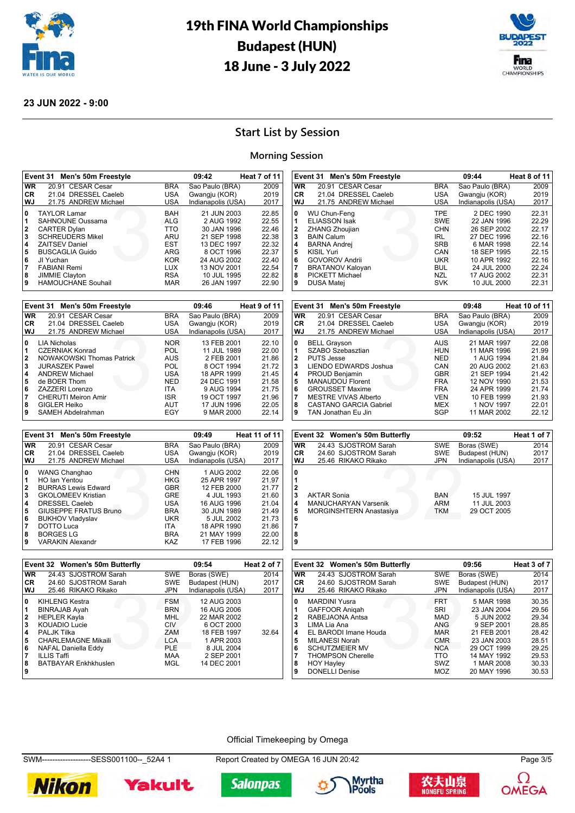



#### **23 JUN 2022 - 9:00**

## **Start List by Session**

#### **Morning Session**

**CR** 21.04 DRESSEL Caeleb<br>**WJ** 21.75 ANDREW Michael

|                                                           | Event 31 Men's 50m Freestyle                                                                                                                                                                                                           |                                                                                                                     | 09:42                                                                                                                                            | Heat 7 of 11                                                                           |
|-----------------------------------------------------------|----------------------------------------------------------------------------------------------------------------------------------------------------------------------------------------------------------------------------------------|---------------------------------------------------------------------------------------------------------------------|--------------------------------------------------------------------------------------------------------------------------------------------------|----------------------------------------------------------------------------------------|
| <b>WR</b>                                                 | 20.91 CESAR Cesar                                                                                                                                                                                                                      | <b>BRA</b>                                                                                                          | Sao Paulo (BRA)                                                                                                                                  | 2009                                                                                   |
| <b>CR</b>                                                 | 21.04 DRESSEL Caeleb                                                                                                                                                                                                                   | USA                                                                                                                 | Gwangju (KOR)                                                                                                                                    | 2019                                                                                   |
| WJ                                                        | 21.75 ANDREW Michael                                                                                                                                                                                                                   | <b>USA</b>                                                                                                          | Indianapolis (USA)                                                                                                                               | 2017                                                                                   |
| 0<br>1<br>$\mathbf{2}$<br>3<br>4<br>5<br>6<br>7<br>8<br>9 | <b>TAYLOR Lamar</b><br>SAHNOUNE Oussama<br><b>CARTER Dylan</b><br><b>SCHREUDERS Mikel</b><br><b>ZAITSEV Daniel</b><br><b>BUSCAGLIA Guido</b><br>JI Yuchan<br><b>FABIANI Remi</b><br><b>JIMMIE Clayton</b><br><b>HAMOUCHANE Souhail</b> | <b>BAH</b><br><b>ALG</b><br>TTO<br>ARU<br><b>EST</b><br>ARG<br><b>KOR</b><br><b>LUX</b><br><b>RSA</b><br><b>MAR</b> | 21 JUN 2003<br>2 AUG 1992<br>30 JAN 1996<br>21 SEP 1998<br>13 DEC 1997<br>8 OCT 1996<br>24 AUG 2002<br>13 NOV 2001<br>10 JUL 1995<br>26 JAN 1997 | 22.85<br>22.55<br>22.46<br>22.38<br>22.32<br>22.37<br>22.40<br>22.54<br>22.82<br>22.90 |

|           | Event 31 Men's 50m Freestyle     |            | 09:46              | Heat 9 of 11 |
|-----------|----------------------------------|------------|--------------------|--------------|
| <b>WR</b> | 20.91 CESAR Cesar                | <b>BRA</b> | Sao Paulo (BRA)    | 2009         |
| <b>CR</b> | 21.04 DRESSEL Caeleb             | USA        | Gwangju (KOR)      | 2019         |
| WJ        | 21.75 ANDREW Michael             | USA        | Indianapolis (USA) | 2017         |
| 0         | <b>LIA Nicholas</b>              | <b>NOR</b> | 13 FEB 2001        | 22.10        |
|           | <b>CZERNIAK Konrad</b>           | <b>POL</b> | 11 JUL 1989        | 22.00        |
| 2         | <b>NOWAKOWSKI Thomas Patrick</b> | AUS        | 2 FEB 2001         | 21.86        |
| 3         | <b>JURASZEK Pawel</b>            | POL        | 8 OCT 1994         | 21.72        |
| 4         | <b>ANDREW Michael</b>            | USA        | 18 APR 1999        | 21.45        |
| 5         | de BOER Thom                     | <b>NED</b> | 24 DEC 1991        | 21.58        |
| 6         | ZAZZERI Lorenzo                  | <b>ITA</b> | 9 AUG 1994         | 21.75        |
| 7         | <b>CHERUTI Meiron Amir</b>       | <b>ISR</b> | 19 OCT 1997        | 21.96        |
| 8         | <b>GIGLER Heiko</b>              | <b>AUT</b> | 17 JUN 1996        | 22.05        |
| 9         | SAMEH Abdelrahman                | EGY        | 9 MAR 2000         | 22.14        |

| 7                                         | <b>BRATANOV Kaloyan</b>                                                                                                                                                                                                                       | <b>BUL</b>                                                                                      | 24 JUL 2000                                                                                                                                      | 22.24                                                                                  |
|-------------------------------------------|-----------------------------------------------------------------------------------------------------------------------------------------------------------------------------------------------------------------------------------------------|-------------------------------------------------------------------------------------------------|--------------------------------------------------------------------------------------------------------------------------------------------------|----------------------------------------------------------------------------------------|
| 8                                         | <b>PICKETT Michael</b>                                                                                                                                                                                                                        | NZL                                                                                             | 17 AUG 2002                                                                                                                                      | 22.31                                                                                  |
| 9                                         | <b>DUSA Matej</b>                                                                                                                                                                                                                             | <b>SVK</b>                                                                                      | 10 JUL 2000                                                                                                                                      | 22.31                                                                                  |
|                                           | Event 31<br>Men's 50m Freestyle                                                                                                                                                                                                               |                                                                                                 | 09:48                                                                                                                                            | <b>Heat 10 of 11</b>                                                                   |
| <b>WR</b>                                 | 20.91 CESAR Cesar                                                                                                                                                                                                                             | <b>BRA</b>                                                                                      | Sao Paulo (BRA)                                                                                                                                  | 2009                                                                                   |
| <b>CR</b>                                 | 21.04 DRESSEL Caeleb                                                                                                                                                                                                                          | <b>USA</b>                                                                                      | Gwangju (KOR)                                                                                                                                    | 2019                                                                                   |
| WJ                                        | 21.75 ANDREW Michael                                                                                                                                                                                                                          | <b>USA</b>                                                                                      | Indianapolis (USA)                                                                                                                               | 2017                                                                                   |
| 0<br>1<br>2<br>3<br>4<br>5<br>6<br>8<br>9 | <b>BELL Grayson</b><br>SZABO Szebasztian<br><b>PUTS Jesse</b><br>LIENDO EDWARDS Joshua<br>PROUD Benjamin<br><b>MANAUDOU Florent</b><br><b>GROUSSET Maxime</b><br><b>MESTRE VIVAS Alberto</b><br>CASTANO GARCIA Gabriel<br>TAN Jonathan Eu Jin | AUS<br><b>HUN</b><br>NED.<br>CAN<br><b>GBR</b><br><b>FRA</b><br><b>FRA</b><br>VEN<br>MEX<br>SGP | 21 MAR 1997<br>11 MAR 1996<br>1 AUG 1994<br>20 AUG 2002<br>21 SEP 1994<br>12 NOV 1990<br>24 APR 1999<br>10 FEB 1999<br>1 NOV 1997<br>11 MAR 2002 | 22.08<br>21.99<br>21.84<br>21.63<br>21.42<br>21.53<br>21.74<br>21.93<br>22.01<br>22.12 |

THE SWE<br>TPE SWE<br>CHN<br>CHN<br>CAN<br>CAN<br>CAN<br>BUL<br>BUL<br>NZL

1 WU Chun-Feng TPE 2 DEC 1990 22.31<br>
1 ELIASSON Isak SWE 22 JAN 1996 22.29<br>
2 ZHANG Zhoujian CHN 26 SEP 2002 22.17<br>
3 BAIN Calum IRL 27 DEC 1996 22.16

 ZHANG Zhoujian CHN 26 SEP 2002 22.17 BAIN Calum **IRL 27 DEC 1996** 22.16 BARNA Andrej SRB 6 MAR 1998 22.14 **KISIL Yuri** CAN 18 SEP 1995 22.15<br> **6** GOVOROV Andrii CAN 18 SEP 1995 22.15 GOVOROV Andrii UKR 10 APR 1992 22.16

1 ELIASSON Isak SWE 22 JAN 1996<br>2 ZHANG Zhoujian CHN 26 SEP 2002<br>3 BAIN Calum

**Event 31 Men's 50m Freestyle 09:44 Heat 8 of 11 WR** 20.91 CESAR Cesar BRA Sao Paulo (BRA) 2009

21.75 ANDREW Michael **USA** Indianapolis (USA) 2017

|           | Event 31 Men's 50m Freestyle |            | 09:49              | <b>Heat 11 of 11</b> |
|-----------|------------------------------|------------|--------------------|----------------------|
| <b>WR</b> | 20.91 CESAR Cesar            | <b>BRA</b> | Sao Paulo (BRA)    | 2009                 |
| <b>CR</b> | 21.04 DRESSEL Caeleb         | <b>USA</b> | Gwangju (KOR)      | 2019                 |
| <b>WJ</b> | 21.75 ANDREW Michael         | USA        | Indianapolis (USA) | 2017                 |
| 0         | WANG Changhao                | <b>CHN</b> | 1 AUG 2002         | 22.06                |
| 1         | HO Ian Yentou                | <b>HKG</b> | 25 APR 1997        | 21.97                |
| 2         | <b>BURRAS Lewis Edward</b>   | <b>GBR</b> | 12 FEB 2000        | 21.77                |
| 3         | <b>GKOLOMEEV Kristian</b>    | <b>GRE</b> | 4 JUL 1993         | 21.60                |
| 4         | <b>DRESSEL Caeleb</b>        | USA.       | 16 AUG 1996        | 21.04                |
| 5         | <b>GIUSEPPE FRATUS Bruno</b> | <b>BRA</b> | 30 JUN 1989        | 21.49                |
| 6         | <b>BUKHOV Vladyslav</b>      | UKR.       | 5 JUL 2002         | 21.73                |
| 17        | DOTTO Luca                   | ITA.       | 18 APR 1990        | 21.86                |
| 8         | <b>BORGES LG</b>             | <b>BRA</b> | 21 MAY 1999        | 22.00                |
| 9         | <b>VARAKIN Alexandr</b>      | KAZ        | 17 FEB 1996        | 22.12                |

|                       | Event 32 Women's 50m Butterfly                                                      |                                        | 09:52                                     | Heat 1 of 7 |
|-----------------------|-------------------------------------------------------------------------------------|----------------------------------------|-------------------------------------------|-------------|
| <b>WR</b>             | 24.43 SJOSTROM Sarah                                                                | <b>SWE</b>                             | Boras (SWE)                               | 2014        |
| <b>CR</b>             | 24.60 SJOSTROM Sarah                                                                | <b>SWE</b>                             | Budapest (HUN)                            | 2017        |
| <b>WJ</b>             | 25.46 RIKAKO Rikako                                                                 | <b>JPN</b>                             | Indianapolis (USA)                        | 2017        |
| 0<br>3<br>4<br>5<br>6 | <b>AKTAR Sonia</b><br><b>MANUCHARYAN Varsenik</b><br><b>MORGINSHTERN Anastasiya</b> | <b>BAN</b><br><b>ARM</b><br><b>TKM</b> | 15 JUL 1997<br>11 JUL 2003<br>29 OCT 2005 |             |

|                                            | Event 32 Women's 50m Butterfly                                                                                                                                          |                                                                                         | 09:54                                                                                              | Heat 2 of 7 |
|--------------------------------------------|-------------------------------------------------------------------------------------------------------------------------------------------------------------------------|-----------------------------------------------------------------------------------------|----------------------------------------------------------------------------------------------------|-------------|
| <b>WR</b>                                  | 24.43 SJOSTROM Sarah                                                                                                                                                    | <b>SWE</b>                                                                              | Boras (SWE)                                                                                        | 2014        |
| CR.                                        | 24.60 SJOSTROM Sarah                                                                                                                                                    | <b>SWE</b>                                                                              | Budapest (HUN)                                                                                     | 2017        |
| <b>WJ</b>                                  | 25.46 RIKAKO Rikako                                                                                                                                                     | <b>JPN</b>                                                                              | Indianapolis (USA)                                                                                 | 2017        |
| 0<br>1<br>$\mathbf{2}$<br>3<br>4<br>5<br>6 | <b>KIHLENG Kestra</b><br><b>BINRAJAB Ayah</b><br><b>HEPLER Kayla</b><br><b>KOUADIO Lucie</b><br><b>PALJK Tilka</b><br><b>CHARLEMAGNE Mikaili</b><br>NAFAL Daniella Eddy | <b>FSM</b><br><b>BRN</b><br><b>MHL</b><br><b>CIV</b><br>ZAM<br><b>LCA</b><br><b>PLE</b> | 12 AUG 2003<br>16 AUG 2006<br>22 MAR 2002<br>6 OCT 2000<br>18 FEB 1997<br>1 APR 2003<br>8 JUL 2004 | 32.64       |
| 7<br>8<br>9                                | ILLIS Taffi<br><b>BATBAYAR Enkhkhuslen</b>                                                                                                                              | <b>MAA</b><br>MGL                                                                       | 2 SEP 2001<br>14 DEC 2001                                                                          |             |

|                                                           | Event 32 Women's 50m Butterfly                                                                                                                                                                                                 |                                                                                                              | 09:56                                                                                                                                          | Heat 3 of 7                                                                            |
|-----------------------------------------------------------|--------------------------------------------------------------------------------------------------------------------------------------------------------------------------------------------------------------------------------|--------------------------------------------------------------------------------------------------------------|------------------------------------------------------------------------------------------------------------------------------------------------|----------------------------------------------------------------------------------------|
| <b>WR</b>                                                 | 24.43 SJOSTROM Sarah                                                                                                                                                                                                           | SWE                                                                                                          | Boras (SWE)                                                                                                                                    | 2014                                                                                   |
| <b>CR</b>                                                 | 24.60 SJOSTROM Sarah                                                                                                                                                                                                           | <b>SWE</b>                                                                                                   | Budapest (HUN)                                                                                                                                 | 2017                                                                                   |
| WJ                                                        | 25.46 RIKAKO Rikako                                                                                                                                                                                                            | <b>JPN</b>                                                                                                   | Indianapolis (USA)                                                                                                                             | 2017                                                                                   |
| 0<br>1<br>$\mathbf{2}$<br>3<br>4<br>5<br>6<br>7<br>8<br>9 | <b>MARDINI Yusra</b><br><b>GAFFOOR Anigah</b><br>RABEJAONA Antsa<br>LIMA Lia Ana<br>EL BARODI Imane Houda<br>MILANESI Norah<br><b>SCHUTZMEIER MV</b><br><b>THOMPSON Cherelle</b><br><b>HOY Hayley</b><br><b>DONELLI Denise</b> | <b>FRT</b><br>SRI<br><b>MAD</b><br>ANG<br><b>MAR</b><br><b>CMR</b><br><b>NCA</b><br>TTO<br>SWZ<br><b>MOZ</b> | 5 MAR 1998<br>23 JAN 2004<br>5 JUN 2002<br>9 SEP 2001<br>21 FEB 2001<br>23 JAN 2003<br>29 OCT 1999<br>14 MAY 1992<br>1 MAR 2008<br>20 MAY 1996 | 30.35<br>29.56<br>29.34<br>28.85<br>28.42<br>28.51<br>29.25<br>29.53<br>30.33<br>30.53 |

#### Official Timekeeping by Omega

SWM-------------------SESS001100--\_52A4 1 Report Created by OMEGA 16 JUN 20:42 Page 3/5













**OMEGA**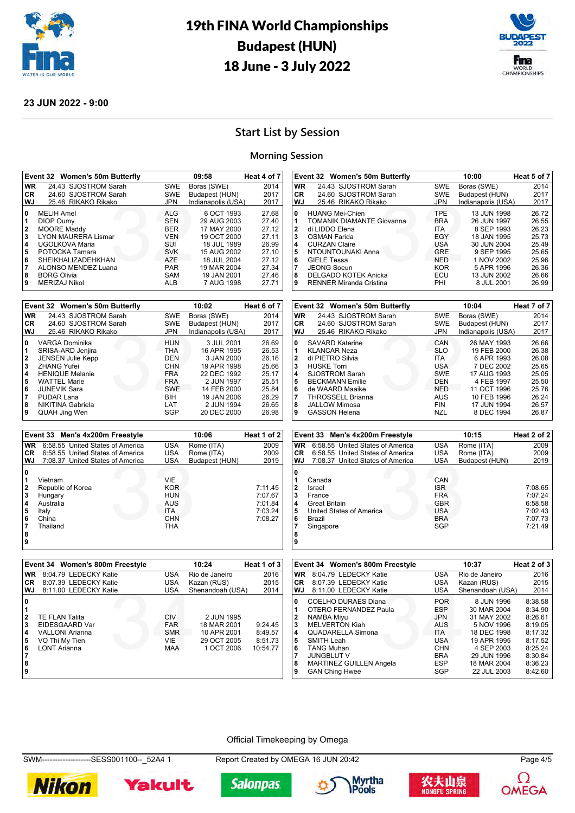



#### **23 JUN 2022 - 9:00**

## **Start List by Session**

#### **Morning Session**

|                                             | Event 32 Women's 50m Butterfly                                                                                                                                                                          |                                                                                                                     | 09:58                                                                                                                              | Heat 4 of 7                                                                   |
|---------------------------------------------|---------------------------------------------------------------------------------------------------------------------------------------------------------------------------------------------------------|---------------------------------------------------------------------------------------------------------------------|------------------------------------------------------------------------------------------------------------------------------------|-------------------------------------------------------------------------------|
| WR.                                         | 24.43 SJOSTROM Sarah                                                                                                                                                                                    | SWE                                                                                                                 | Boras (SWE)                                                                                                                        | 2014                                                                          |
| CR.                                         | 24.60 SJOSTROM Sarah                                                                                                                                                                                    | <b>SWE</b>                                                                                                          | Budapest (HUN)                                                                                                                     | 2017                                                                          |
| WJ                                          | 25.46 RIKAKO Rikako                                                                                                                                                                                     | <b>JPN</b>                                                                                                          | Indianapolis (USA)                                                                                                                 | 2017                                                                          |
| 10<br>11<br>2<br>3<br>4<br>5<br>6<br>7<br>8 | <b>MELIH Amel</b><br><b>DIOP Oumy</b><br><b>MOORE Maddv</b><br><b>LYON MAURERA Lismar</b><br>UGOLKOVA Maria<br>POTOCKA Tamara<br><b>SHEIKHALIZADEHKHAN</b><br>ALONSO MENDEZ Luana<br><b>BORG Olivia</b> | <b>ALG</b><br><b>SEN</b><br><b>BER</b><br><b>VEN</b><br>SUI<br><b>SVK</b><br><b>AZE</b><br><b>PAR</b><br><b>SAM</b> | 6 OCT 1993<br>29 AUG 2003<br>17 MAY 2000<br>19 OCT 2000<br>18 JUL 1989<br>15 AUG 2002<br>18 JUL 2004<br>19 MAR 2004<br>19 JAN 2001 | 27.68<br>27.40<br>27.12<br>27.11<br>26.99<br>27.10<br>27.12<br>27.34<br>27.46 |
| 9                                           | MERIZAJ Nikol                                                                                                                                                                                           | <b>ALB</b>                                                                                                          | 7 AUG 1998                                                                                                                         | 27.71                                                                         |

|              | Event 32 Women's 50m Butterfly |            | 10:02              | Heat 6 of 7 |
|--------------|--------------------------------|------------|--------------------|-------------|
| <b>WR</b>    | 24.43 SJOSTROM Sarah           | <b>SWE</b> | Boras (SWE)        | 2014        |
| CR.          | 24.60 SJOSTROM Sarah           | <b>SWE</b> | Budapest (HUN)     | 2017        |
| WJ           | 25.46 RIKAKO Rikako            | <b>JPN</b> | Indianapolis (USA) | 2017        |
| 0            | VARGA Dominika                 | <b>HUN</b> | 3 JUL 2001         | 26.69       |
| 1            | SRISA-ARD Jenjira              | <b>THA</b> | 16 APR 1995        | 26.53       |
| $\mathbf{2}$ | <b>JENSEN Julie Kepp</b>       | <b>DEN</b> | 3 JAN 2000         | 26.16       |
| 3            | <b>ZHANG Yufei</b>             | <b>CHN</b> | 19 APR 1998        | 25.66       |
| 4            | <b>HENIQUE Melanie</b>         | <b>FRA</b> | 22 DEC 1992        | 25.17       |
| 5            | <b>WATTEL Marie</b>            | <b>FRA</b> | 2 JUN 1997         | 25.51       |
| 6            | <b>JUNEVIK Sara</b>            | <b>SWE</b> | 14 FEB 2000        | 25.84       |
|              | PUDAR Lana                     | <b>BIH</b> | 19 JAN 2006        | 26.29       |
| 8            | NIKITINA Gabriela              | LAT        | 2 JUN 1994         | 26.65       |
| 9            | <b>QUAH Jing Wen</b>           | SGP        | 20 DEC 2000        | 26.98       |

|           | Event 33 Men's 4x200m Freestyle  |            | 10:06          | Heat 1 of 2 |
|-----------|----------------------------------|------------|----------------|-------------|
| <b>WR</b> | 6:58.55 United States of America | <b>USA</b> | Rome (ITA)     | 2009        |
| <b>CR</b> | 6:58.55 United States of America | <b>USA</b> | Rome (ITA)     | 2009        |
| WJ        | 7:08.37 United States of America | <b>USA</b> | Budapest (HUN) | 2019        |
| 0         | Vietnam                          | VIE        |                |             |
| 2         | Republic of Korea                | <b>KOR</b> |                | 7:11.45     |
| 3         | Hungary                          | <b>HUN</b> |                | 7:07.67     |
| 4         | Australia                        | AUS        |                | 7:01.84     |
| 5         | Italy                            | <b>ITA</b> |                | 7:03.24     |
| 6         | China                            | <b>CHN</b> |                | 7:08.27     |
|           | Thailand                         | <b>THA</b> |                |             |
| 8<br>9    |                                  |            |                |             |

|           | Event 33 Men's 4x200m Freestyle  |            | 10:15          | Heat 2 of 2 |
|-----------|----------------------------------|------------|----------------|-------------|
| <b>WR</b> | 6:58.55 United States of America | <b>USA</b> | Rome (ITA)     | 2009        |
| <b>CR</b> | 6:58.55 United States of America | <b>USA</b> | Rome (ITA)     | 2009        |
| WJ        | 7:08.37 United States of America | <b>USA</b> | Budapest (HUN) | 2019        |
| 0         |                                  |            |                |             |
|           | Canada                           | CAN        |                |             |
| 2         | Israel                           | <b>ISR</b> |                | 7:08.65     |
| 3         | France                           | <b>FRA</b> |                | 7:07.24     |
| 4         | <b>Great Britain</b>             | <b>GBR</b> |                | 6:58.58     |
| 5         | United States of America         | <b>USA</b> |                | 7:02.43     |
| 6         | Brazil                           | <b>BRA</b> |                | 7:07.73     |
|           | Singapore                        | SGP        |                | 7:21.49     |
| 8         |                                  |            |                |             |

KO JPN Index<br>
CAN<br>
SLO ITA<br>
ITA<br>
USA<br>
SWE<br>
DEN<br>
NED<br>
AUS<br>
FIN<br>
FIN

 SAVARD Katerine CAN 26 MAY 1993 26.66<br>1 KI ANCAR Neza SLO 19 FEB 2000 26.38 KLANCAR Neza SLO 19 FEB 2000 26.38 di PIETRO Silvia **ITA** 6 APR 1993 26.08<br>**3** HUSKE Torri **ITA** USA 7 DEC 2002 25.65 HUSKE Torri USA 7 DEC 2002 25.65 SJOSTROM Sarah SWE 17 AUG 1993 25.05<br>BECKMANN Emilie DEN 4 FEB 1997 25.50 BECKMANN Emilie **1997** 25.50<br> **6** de WAARD Maaike **11 OCT 1996** 25.76 de WAARD Maaike **NED** 11 OCT 1996 25.76<br>**7** THROSSELL Brianna **NED** AUS 10 FEB 1996 26.24 THROSSELL Brianna **AUS** 10 FEB 1996<br>
JALLOW Mimosa **AUS** FIN 17 JUN 1994 JALLOW Mimosa **FIN** 17 JUN 1994 26.57<br>**9** GASSON Helena **FIN** NZL 8 DEC 1994 26.87

**Event 32 Women's 50m Butterfly 10:04 Heat 7 of 7 WR** 24.43 SJOSTROM Sarah SWE Boras (SWE) 2014<br> **CR** 24.60 SJOSTROM Sarah SWE Budapest (HUN) 2017 **CR** 24.60 SJOSTROM Sarah SWE Budapest (HUN) 2017

Example of the Magnus Sidewanna<br>32<br>32 BRA EGY<br>52<br>52 BRA GRE<br>52<br>22 Magnus Sidewan<br>52<br>22 Magnus Sidewan<br>52<br>22 Magnus Sidewan<br>52<br>22 Magnus Sidewanna<br>52<br>22 Magnus Sidewanna<br>52

**Event 32 Women's 50m Butterfly 10:00 Heat 5 of 7 WR** 24.43 SJOSTROM Sarah SWE Boras (SWE) 2014<br> **CR** 24.60 SJOSTROM Sarah SWE Budapest (HUN) 2017

**WJ** 25.46 RIKAKO Rikako JPN Indianapolis (USA) 2017 HUANG Mei-Chien **Canadian TPE** 13 JUN 1998 26.72<br>1 TOMANIK DIAMANTE Giovanna BRA 26 JUN 1997 26.55 TOMANIK DIAMANTE Giovanna **1997** 26.55<br> **2** di LIDDO Elena **111** 111 2 1114 8 SEP 1993 26.23<br> **3** OSMAN Farida **1995** 25.73 di LIDDO Elena ITA 8 SEP 1993 26.23 OSMAN Farida EGY 18 JAN 1995 25.73 CURZAN Chaire **1988**<br> **4** CURZAN Claire **1988**<br> **5** NTOUNTOUNAKI Anna **1988** GRE 9 SEP 1995 25.65 NTOUNTOUNAKI Anna GRE 9 SEP 1995 25.65 GIELE Tessa **NED** 1 NOV 2002 25.96<br> **7** JEONG Soeun **1 NOV 2002** 25.96<br> **7** JEONG Soeun **KOR** 5 APR 1996 26.36 JEONG Soeun KOR 5 APR 1996 26.36

24.60 SJOSTROM Sarah

**BELGADO KOTEK Anicka 9** RENNER Miranda Cristina

25.46 RIKAKO Rikako

**9** GASSON Helena

|                                                                         | Event 34 Women's 800m Freestyle                                                                     |                                                             | 10:24                                                                 | Heat 1 of 3                               |
|-------------------------------------------------------------------------|-----------------------------------------------------------------------------------------------------|-------------------------------------------------------------|-----------------------------------------------------------------------|-------------------------------------------|
| <b>WR</b>                                                               | 8:04.79 LEDECKY Katie                                                                               | USA                                                         | Rio de Janeiro                                                        | 2016                                      |
| CR.                                                                     | 8:07.39 LEDECKY Katie                                                                               | USA                                                         | Kazan (RUS)                                                           | 2015                                      |
| <b>WJ</b>                                                               | 8:11.00 LEDECKY Katie                                                                               | <b>USA</b>                                                  | Shenandoah (USA)                                                      | 2014                                      |
| 0<br>$\overline{2}$<br>3<br>$\overline{\mathbf{4}}$<br>5<br>6<br>8<br>9 | <b>TE FLAN Talita</b><br>EIDESGAARD Var<br>VALLONI Arianna<br>VO Thi My Tien<br><b>LONT Arianna</b> | CIV<br><b>FAR</b><br><b>SMR</b><br><b>VIE</b><br><b>MAA</b> | 2 JUN 1995<br>18 MAR 2001<br>10 APR 2001<br>29 OCT 2005<br>1 OCT 2006 | 9:24.45<br>8:49.57<br>8:51.73<br>10:54.77 |

|                        | Event 34 Women's 800m Freestyle                                                            |                                                      | 10:37                                                   | Heat 2 of 3                              |
|------------------------|--------------------------------------------------------------------------------------------|------------------------------------------------------|---------------------------------------------------------|------------------------------------------|
| <b>WR</b>              | 8:04.79 LEDECKY Katie                                                                      | USA                                                  | Rio de Janeiro                                          | 2016                                     |
| <b>CR</b>              | 8:07.39 LEDECKY Katie                                                                      | <b>USA</b>                                           | Kazan (RUS)                                             | 2015                                     |
| <b>WJ</b>              | 8:11.00 LEDECKY Katie                                                                      | <b>USA</b>                                           | Shenandoah (USA)                                        | 2014                                     |
| 0<br>$\mathbf{2}$<br>3 | COELHO DURAES Diana<br>OTERO FERNANDEZ Paula<br><b>NAMBA Miyu</b><br><b>MELVERTON Kiah</b> | <b>POR</b><br><b>ESP</b><br><b>JPN</b><br>AUS        | 8 JUN 1996<br>30 MAR 2004<br>31 MAY 2002<br>5 NOV 1996  | 8:38.58<br>8:34.90<br>8:26.61<br>8:19.05 |
| 4                      | <b>QUADARELLA Simona</b>                                                                   | <b>ITA</b>                                           | 18 DEC 1998                                             | 8:17.32                                  |
| 5<br>6<br>8            | SMITH Leah<br><b>TANG Muhan</b><br><b>JUNGBLUT V</b><br><b>MARTINEZ GUILLEN Angela</b>     | <b>USA</b><br><b>CHN</b><br><b>BRA</b><br><b>ESP</b> | 19 APR 1995<br>4 SEP 2003<br>29 JUN 1996<br>18 MAR 2004 | 8:17.52<br>8:25.24<br>8:30.84<br>8:36.23 |
| 9                      | <b>GAN Ching Hwee</b>                                                                      | SGP                                                  | 22 JUL 2003                                             | 8:42.60                                  |

#### Official Timekeeping by Omega

**9**

SWM-------------------SESS001100--\_52A4 1 Report Created by OMEGA 16 JUN 20:42 Page 4/5













**OMEGA**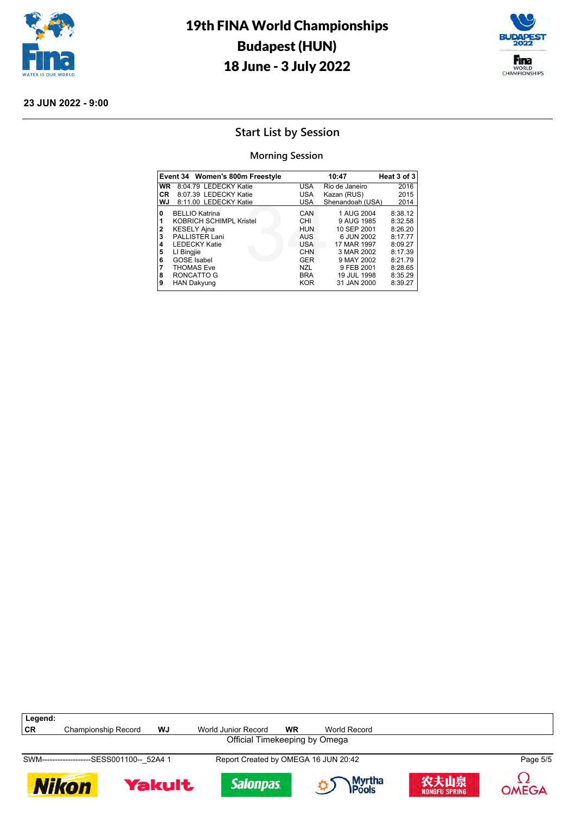



## **Start List by Session**

#### **Morning Session**

|                                              | Event 34 Women's 800m Freestyle                                                                                                                                                         |                                                                                         | 10:47                                                                                                          | Heat 3 of 3                                                                          |
|----------------------------------------------|-----------------------------------------------------------------------------------------------------------------------------------------------------------------------------------------|-----------------------------------------------------------------------------------------|----------------------------------------------------------------------------------------------------------------|--------------------------------------------------------------------------------------|
| WR                                           | 8:04.79 LEDECKY Katie                                                                                                                                                                   | USA                                                                                     | Rio de Janeiro                                                                                                 | 2016                                                                                 |
| <b>CR</b>                                    | 8:07.39 LEDECKY Katie                                                                                                                                                                   | <b>USA</b>                                                                              | Kazan (RUS)                                                                                                    | 2015                                                                                 |
| WJ                                           | 8:11.00 LEDECKY Katie                                                                                                                                                                   | <b>USA</b>                                                                              | Shenandoah (USA)                                                                                               | 2014                                                                                 |
| 0<br>1<br>$\overline{2}$<br>3<br>4<br>5<br>6 | <b>BELLIO Katrina</b><br><b>KOBRICH SCHIMPL Kristel</b><br><b>KESELY Ajna</b><br><b>PALLISTER Lani</b><br><b>LEDECKY Katie</b><br>LI Bingjie<br><b>GOSE</b> Isabel<br><b>THOMAS Eve</b> | CAN<br>CHI<br><b>HUN</b><br><b>AUS</b><br><b>USA</b><br><b>CHN</b><br><b>GER</b><br>NZL | 1 AUG 2004<br>9 AUG 1985<br>10 SEP 2001<br>6 JUN 2002<br>17 MAR 1997<br>3 MAR 2002<br>9 MAY 2002<br>9 FEB 2001 | 8:38.12<br>8:32.58<br>8:26.20<br>8:17.77<br>8:09.27<br>8:17.39<br>8:21.79<br>8:28.65 |
| 8<br>9                                       | RONCATTO G<br><b>HAN Dakyung</b>                                                                                                                                                        | <b>BRA</b><br><b>KOR</b>                                                                | 19 JUL 1998<br>31 JAN 2000                                                                                     | 8:35.29<br>8:39.27                                                                   |













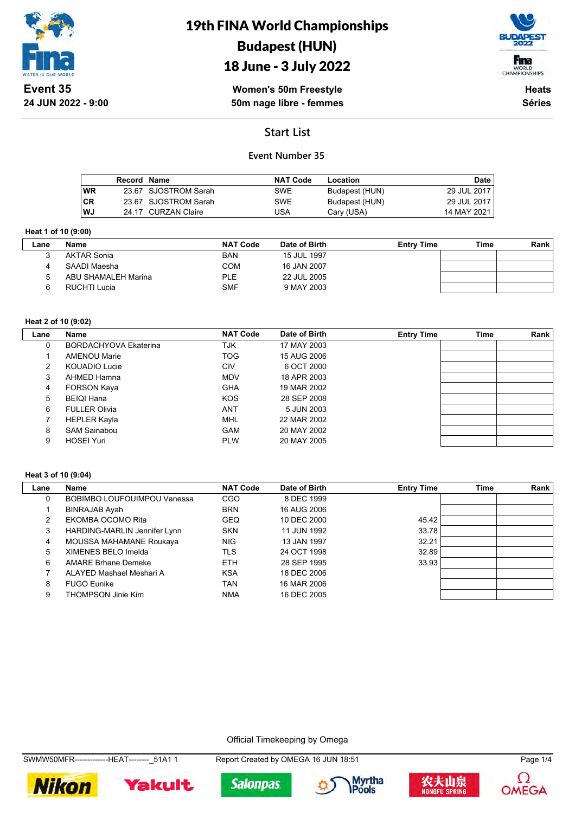

## 18 June - 3 July 2022



**Women's 50m Freestyle 50m nage libre - femmes**

**Heats Séries**

## **Start List**

### **Event Number 35**

|           | Record Name |                      | <b>NAT Code</b> | Location       | Date          |
|-----------|-------------|----------------------|-----------------|----------------|---------------|
| <b>WR</b> |             | 23.67 SJOSTROM Sarah | SWE             | Budapest (HUN) | 29 JUL 2017   |
| <b>CR</b> |             | 23.67 SJOSTROM Sarah | <b>SWE</b>      | Budapest (HUN) | 29 JUL 2017   |
| WJ        |             | 24.17 CURZAN Claire  | JSA             | Cary (USA)     | 14 MAY 2021 I |

#### **Heat 1 of 10 (9:00)**

| Lane | Name                | <b>NAT Code</b> | Date of Birth | <b>Entry Time</b> | Time | Rank |
|------|---------------------|-----------------|---------------|-------------------|------|------|
|      | <b>AKTAR Sonia</b>  | <b>BAN</b>      | 15 JUL 1997   |                   |      |      |
|      | SAADI Maesha        | <b>COM</b>      | 16 JAN 2007   |                   |      |      |
|      | ABU SHAMALEH Marina | <b>PLE</b>      | 22 JUL 2005   |                   |      |      |
|      | RUCHTI Lucia        | <b>SMF</b>      | 9 MAY 2003    |                   |      |      |

#### **Heat 2 of 10 (9:02)**

| Lane | <b>Name</b>                  | <b>NAT Code</b> | Date of Birth | <b>Entry Time</b> | <b>Time</b> | Rank |
|------|------------------------------|-----------------|---------------|-------------------|-------------|------|
| 0    | <b>BORDACHYOVA Ekaterina</b> | <b>TJK</b>      | 17 MAY 2003   |                   |             |      |
|      | <b>AMENOU Marie</b>          | <b>TOG</b>      | 15 AUG 2006   |                   |             |      |
|      | KOUADIO Lucie                | CIV             | 6 OCT 2000    |                   |             |      |
| 3    | AHMED Hamna                  | <b>MDV</b>      | 18 APR 2003   |                   |             |      |
| 4    | <b>FORSON Kaya</b>           | <b>GHA</b>      | 19 MAR 2002   |                   |             |      |
| 5    | <b>BEIQI Hana</b>            | <b>KOS</b>      | 28 SEP 2008   |                   |             |      |
| 6    | <b>FULLER Olivia</b>         | <b>ANT</b>      | 5 JUN 2003    |                   |             |      |
|      | <b>HEPLER Kayla</b>          | <b>MHL</b>      | 22 MAR 2002   |                   |             |      |
| 8    | SAM Sainabou                 | <b>GAM</b>      | 20 MAY 2002   |                   |             |      |
| 9    | <b>HOSEI Yuri</b>            | <b>PLW</b>      | 20 MAY 2005   |                   |             |      |

#### **Heat 3 of 10 (9:04)**

 $\overline{\phantom{a}}$ 

| Lane | <b>Name</b>                        | <b>NAT Code</b> | Date of Birth | <b>Entry Time</b> | <b>Time</b> | Rank |
|------|------------------------------------|-----------------|---------------|-------------------|-------------|------|
| 0    | <b>BOBIMBO LOUFOUIMPOU Vanessa</b> | CGO             | 8 DEC 1999    |                   |             |      |
|      | <b>BINRAJAB Ayah</b>               | <b>BRN</b>      | 16 AUG 2006   |                   |             |      |
|      | EKOMBA OCOMO Rita                  | <b>GEQ</b>      | 10 DEC 2000   | 45.42             |             |      |
| 3    | HARDING-MARLIN Jennifer Lynn       | <b>SKN</b>      | 11 JUN 1992   | 33.78             |             |      |
| 4    | MOUSSA MAHAMANE Roukaya            | <b>NIG</b>      | 13 JAN 1997   | 32.21             |             |      |
| 5    | XIMENES BELO Imelda                | <b>TLS</b>      | 24 OCT 1998   | 32.89             |             |      |
| 6    | <b>AMARE Brhane Demeke</b>         | ETH.            | 28 SEP 1995   | 33.93             |             |      |
|      | ALAYED Mashael Meshari A           | <b>KSA</b>      | 18 DEC 2006   |                   |             |      |
| 8    | <b>FUGO Eunike</b>                 | TAN             | 16 MAR 2006   |                   |             |      |
| 9    | THOMPSON Jinie Kim                 | <b>NMA</b>      | 16 DEC 2005   |                   |             |      |

Official Timekeeping by Omega











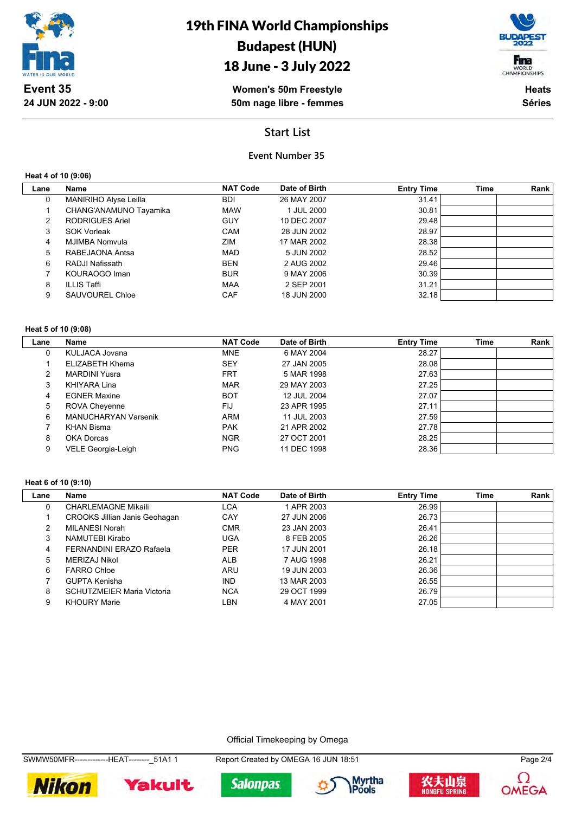

## 18 June - 3 July 2022

**Women's 50m Freestyle 50m nage libre - femmes**



**Heats Séries**

## **Start List**

### **Event Number 35**

#### **Heat 4 of 10 (9:06)**

| Lane | Name                   | <b>NAT Code</b> | Date of Birth | <b>Entry Time</b> | <b>Time</b> | Rank |
|------|------------------------|-----------------|---------------|-------------------|-------------|------|
| 0    | MANIRIHO Alyse Leilla  | <b>BDI</b>      | 26 MAY 2007   | 31.41             |             |      |
|      | CHANG'ANAMUNO Tayamika | <b>MAW</b>      | 1 JUL 2000    | 30.81             |             |      |
| 2    | <b>RODRIGUES Ariel</b> | <b>GUY</b>      | 10 DEC 2007   | 29.48             |             |      |
| 3    | <b>SOK Vorleak</b>     | <b>CAM</b>      | 28 JUN 2002   | 28.97             |             |      |
| 4    | MJIMBA Nomvula         | ZIM             | 17 MAR 2002   | 28.38             |             |      |
| 5    | RABEJAONA Antsa        | <b>MAD</b>      | 5 JUN 2002    | 28.52             |             |      |
| 6    | RADJI Nafissath        | <b>BEN</b>      | 2 AUG 2002    | 29.46             |             |      |
|      | KOURAOGO Iman          | <b>BUR</b>      | 9 MAY 2006    | 30.39             |             |      |
| 8    | ILLIS Taffi            | <b>MAA</b>      | 2 SEP 2001    | 31.21             |             |      |
| 9    | SAUVOUREL Chloe        | <b>CAF</b>      | 18 JUN 2000   | 32.18             |             |      |

#### **Heat 5 of 10 (9:08)**

| Lane | Name                        | <b>NAT Code</b> | Date of Birth | <b>Entry Time</b> | Time | Rank |
|------|-----------------------------|-----------------|---------------|-------------------|------|------|
| 0    | KULJACA Jovana              | <b>MNE</b>      | 6 MAY 2004    | 28.27             |      |      |
|      | ELIZABETH Khema             | <b>SEY</b>      | 27 JAN 2005   | 28.08             |      |      |
| 2    | <b>MARDINI Yusra</b>        | <b>FRT</b>      | 5 MAR 1998    | 27.63             |      |      |
| 3    | KHIYARA Lina                | <b>MAR</b>      | 29 MAY 2003   | 27.25             |      |      |
| 4    | <b>EGNER Maxine</b>         | <b>BOT</b>      | 12 JUL 2004   | 27.07             |      |      |
| 5    | ROVA Cheyenne               | FIJ             | 23 APR 1995   | 27.11             |      |      |
| 6    | <b>MANUCHARYAN Varsenik</b> | <b>ARM</b>      | 11 JUL 2003   | 27.59             |      |      |
|      | KHAN Bisma                  | <b>PAK</b>      | 21 APR 2002   | 27.78             |      |      |
| 8    | OKA Dorcas                  | <b>NGR</b>      | 27 OCT 2001   | 28.25             |      |      |
| 9    | VELE Georgia-Leigh          | <b>PNG</b>      | 11 DEC 1998   | 28.36             |      |      |

#### **Heat 6 of 10 (9:10)**

 $\overline{\phantom{a}}$ 

| Lane | Name                                 | <b>NAT Code</b> | Date of Birth | <b>Entry Time</b> | Time | Rank |
|------|--------------------------------------|-----------------|---------------|-------------------|------|------|
| 0    | <b>CHARLEMAGNE Mikaili</b>           | LCA             | 1 APR 2003    | 26.99             |      |      |
|      | <b>CROOKS Jillian Janis Geohagan</b> | CAY             | 27 JUN 2006   | 26.73             |      |      |
| 2    | MILANESI Norah                       | <b>CMR</b>      | 23 JAN 2003   | 26.41             |      |      |
| 3    | NAMUTEBI Kirabo                      | <b>UGA</b>      | 8 FEB 2005    | 26.26             |      |      |
| 4    | FERNANDINI ERAZO Rafaela             | <b>PER</b>      | 17 JUN 2001   | 26.18             |      |      |
| 5    | MERIZAJ Nikol                        | <b>ALB</b>      | 7 AUG 1998    | 26.21             |      |      |
| 6    | <b>FARRO Chloe</b>                   | <b>ARU</b>      | 19 JUN 2003   | 26.36             |      |      |
|      | <b>GUPTA Kenisha</b>                 | <b>IND</b>      | 13 MAR 2003   | 26.55             |      |      |
| 8    | <b>SCHUTZMEIER Maria Victoria</b>    | <b>NCA</b>      | 29 OCT 1999   | 26.79             |      |      |
| 9    | <b>KHOURY Marie</b>                  | LBN             | 4 MAY 2001    | 27.05             |      |      |

Official Timekeeping by Omega











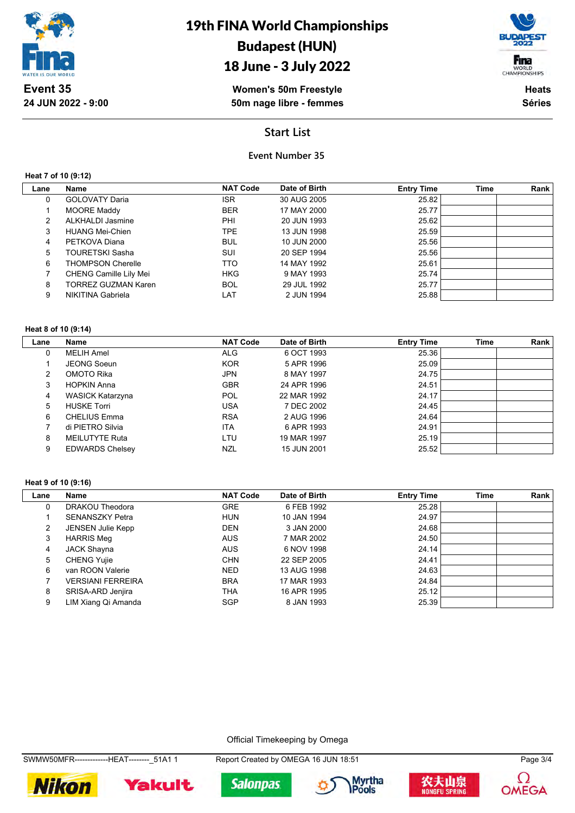

## 18 June - 3 July 2022

**Women's 50m Freestyle 50m nage libre - femmes**



**Heats Séries**

## **Start List**

## **Event Number 35**

**Heat 7 of 10 (9:12)**

| Lane | Name                          | <b>NAT Code</b> | Date of Birth | <b>Entry Time</b> | <b>Time</b> | Rank |
|------|-------------------------------|-----------------|---------------|-------------------|-------------|------|
| 0    | <b>GOLOVATY Daria</b>         | ISR.            | 30 AUG 2005   | 25.82             |             |      |
|      | <b>MOORE Maddy</b>            | <b>BER</b>      | 17 MAY 2000   | 25.77             |             |      |
| 2    | <b>ALKHALDI Jasmine</b>       | PHI             | 20 JUN 1993   | 25.62             |             |      |
| 3    | <b>HUANG Mei-Chien</b>        | TPE.            | 13 JUN 1998   | 25.59             |             |      |
| 4    | PETKOVA Diana                 | <b>BUL</b>      | 10 JUN 2000   | 25.56             |             |      |
| 5.   | <b>TOURETSKI Sasha</b>        | SUI             | 20 SEP 1994   | 25.56             |             |      |
| 6    | <b>THOMPSON Cherelle</b>      | TTO             | 14 MAY 1992   | 25.61             |             |      |
|      | <b>CHENG Camille Lily Mei</b> | <b>HKG</b>      | 9 MAY 1993    | 25.74             |             |      |
| 8    | TORREZ GUZMAN Karen           | <b>BOL</b>      | 29 JUL 1992   | 25.77             |             |      |
| 9    | NIKITINA Gabriela             | LAT             | 2 JUN 1994    | 25.88             |             |      |

#### **Heat 8 of 10 (9:14)**

| Lane | Name                   | <b>NAT Code</b> | Date of Birth | <b>Entry Time</b> | <b>Time</b> | Rank |
|------|------------------------|-----------------|---------------|-------------------|-------------|------|
| 0    | <b>MELIH Amel</b>      | <b>ALG</b>      | 6 OCT 1993    | 25.36             |             |      |
|      | <b>JEONG Soeun</b>     | <b>KOR</b>      | 5 APR 1996    | 25.09             |             |      |
| 2    | OMOTO Rika             | <b>JPN</b>      | 8 MAY 1997    | 24.75             |             |      |
| 3    | <b>HOPKIN Anna</b>     | <b>GBR</b>      | 24 APR 1996   | 24.51             |             |      |
| 4    | WASICK Katarzyna       | POL             | 22 MAR 1992   | 24.17             |             |      |
| 5    | <b>HUSKE Torri</b>     | <b>USA</b>      | 7 DEC 2002    | 24.45             |             |      |
| 6    | <b>CHELIUS Emma</b>    | <b>RSA</b>      | 2 AUG 1996    | 24.64             |             |      |
|      | di PIETRO Silvia       | <b>ITA</b>      | 6 APR 1993    | 24.91             |             |      |
| 8    | MEILUTYTE Ruta         | LTU             | 19 MAR 1997   | 25.19             |             |      |
| 9    | <b>EDWARDS Chelsey</b> | NZL             | 15 JUN 2001   | 25.52             |             |      |

#### **Heat 9 of 10 (9:16)**

| Lane | Name                     | <b>NAT Code</b> | Date of Birth | <b>Entry Time</b> | <b>Time</b> | Rank |
|------|--------------------------|-----------------|---------------|-------------------|-------------|------|
| 0    | DRAKOU Theodora          | <b>GRE</b>      | 6 FEB 1992    | 25.28             |             |      |
|      | <b>SENANSZKY Petra</b>   | <b>HUN</b>      | 10 JAN 1994   | 24.97             |             |      |
| 2    | <b>JENSEN Julie Kepp</b> | <b>DEN</b>      | 3 JAN 2000    | 24.68             |             |      |
| 3    | <b>HARRIS Meg</b>        | <b>AUS</b>      | 7 MAR 2002    | 24.50             |             |      |
| 4    | <b>JACK Shayna</b>       | <b>AUS</b>      | 6 NOV 1998    | 24.14             |             |      |
| 5    | <b>CHENG Yujie</b>       | <b>CHN</b>      | 22 SEP 2005   | 24.41             |             |      |
| 6    | van ROON Valerie         | <b>NED</b>      | 13 AUG 1998   | 24.63             |             |      |
|      | <b>VERSIANI FERREIRA</b> | <b>BRA</b>      | 17 MAR 1993   | 24.84             |             |      |
| 8    | SRISA-ARD Jenjira        | <b>THA</b>      | 16 APR 1995   | 25.12             |             |      |
| 9    | LIM Xiang Qi Amanda      | <b>SGP</b>      | 8 JAN 1993    | 25.39             |             |      |

Official Timekeeping by Omega

SWMW50MFR--------------HEAT--------\_51A1 1 Report Created by OMEGA 16 JUN 18:51 Page 3/4











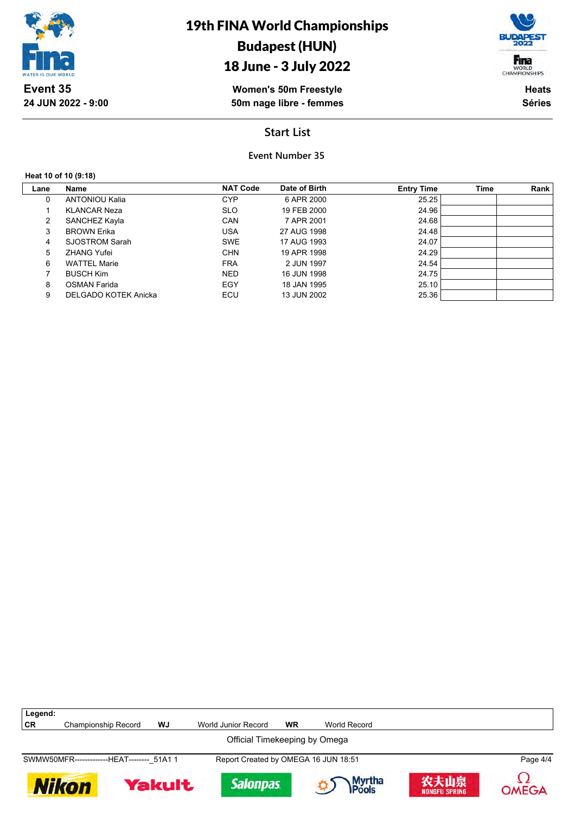

## 18 June - 3 July 2022

**Women's 50m Freestyle 50m nage libre - femmes**

**Heats Séries**

Fina WORLD<br>CHAMPIONSHIPS

## **Start List**

**Event Number 35**

#### **Heat 10 of 10 (9:18)**

 $\lceil$ 

| Lane | Name                  | <b>NAT Code</b> | Date of Birth | <b>Entry Time</b> | <b>Time</b> | Rank |
|------|-----------------------|-----------------|---------------|-------------------|-------------|------|
| 0    | <b>ANTONIOU Kalia</b> | <b>CYP</b>      | 6 APR 2000    | 25.25             |             |      |
|      | <b>KLANCAR Neza</b>   | <b>SLO</b>      | 19 FEB 2000   | 24.96             |             |      |
| 2    | SANCHEZ Kayla         | CAN             | 7 APR 2001    | 24.68             |             |      |
| 3    | <b>BROWN Erika</b>    | USA             | 27 AUG 1998   | 24.48             |             |      |
| 4    | SJOSTROM Sarah        | <b>SWE</b>      | 17 AUG 1993   | 24.07             |             |      |
| 5    | <b>ZHANG Yufei</b>    | <b>CHN</b>      | 19 APR 1998   | 24.29             |             |      |
| 6    | <b>WATTEL Marie</b>   | <b>FRA</b>      | 2 JUN 1997    | 24.54             |             |      |
|      | <b>BUSCH Kim</b>      | <b>NED</b>      | 16 JUN 1998   | 24.75             |             |      |
| 8    | <b>OSMAN Farida</b>   | EGY             | 18 JAN 1995   | 25.10             |             |      |
| 9    | DELGADO KOTEK Anicka  | ECU             | 13 JUN 2002   | 25.36             |             |      |

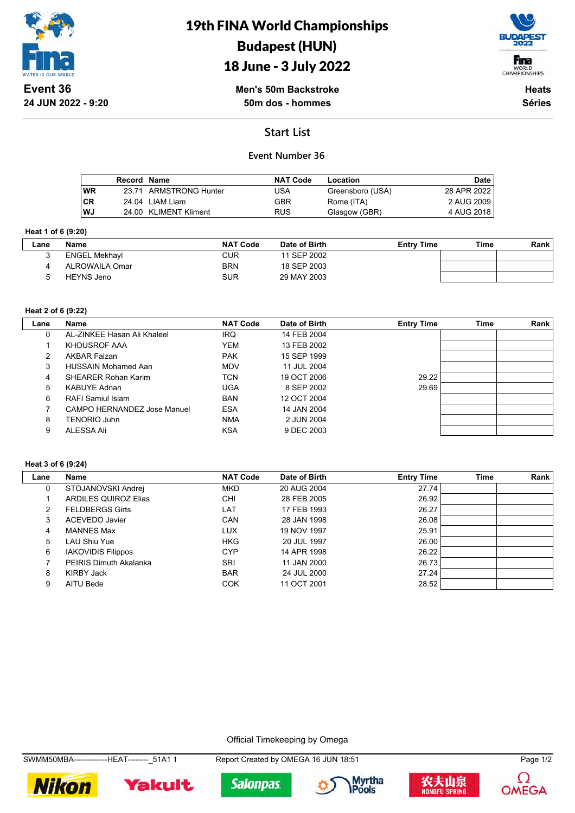

# 19th FINA World Championships Budapest (HUN)





**Men's 50m Backstroke 50m dos - hommes**

**Heats Séries**

## **Start List**

## **Event Number 36**

|           | Record Name |                        | <b>NAT Code</b> | Location         | <b>Date</b>  |
|-----------|-------------|------------------------|-----------------|------------------|--------------|
| <b>WR</b> |             | 23.71 ARMSTRONG Hunter | USA             | Greensboro (USA) | 28 APR 2022  |
| l CR      |             | 24.04 LIAM Liam        | GBR             | Rome (ITA)       | 2 AUG 2009 I |
| l WJ      |             | 24.00 KLIMENT Kliment  | <b>RUS</b>      | Glasgow (GBR)    | 4 AUG 2018 I |

#### **Heat 1 of 6 (9:20)**

| Lane | Name                 | <b>NAT Code</b> | Date of Birth | <b>Entry Time</b> | Time | Rank |
|------|----------------------|-----------------|---------------|-------------------|------|------|
|      | <b>ENGEL Mekhayl</b> | CUR             | 11 SEP 2002   |                   |      |      |
|      | ALROWAILA Omar       | <b>BRN</b>      | 18 SEP 2003   |                   |      |      |
|      | HEYNS Jeno           | <b>SUR</b>      | 29 MAY 2003   |                   |      |      |

### **Heat 2 of 6 (9:22)**

| Lane | Name                               | <b>NAT Code</b> | Date of Birth | <b>Entry Time</b> | <b>Time</b> | Rank |
|------|------------------------------------|-----------------|---------------|-------------------|-------------|------|
| 0    | AL-ZINKEE Hasan Ali Khaleel        | <b>IRQ</b>      | 14 FEB 2004   |                   |             |      |
|      | KHOUSROF AAA                       | <b>YEM</b>      | 13 FEB 2002   |                   |             |      |
| 2    | <b>AKBAR Faizan</b>                | <b>PAK</b>      | 15 SEP 1999   |                   |             |      |
| 3    | <b>HUSSAIN Mohamed Aan</b>         | <b>MDV</b>      | 11 JUL 2004   |                   |             |      |
| 4    | <b>SHEARER Rohan Karim</b>         | TCN             | 19 OCT 2006   | 29.22             |             |      |
| 5    | <b>KABUYE Adnan</b>                | <b>UGA</b>      | 8 SEP 2002    | 29.69             |             |      |
| 6    | RAFI Samiul Islam                  | <b>BAN</b>      | 12 OCT 2004   |                   |             |      |
|      | <b>CAMPO HERNANDEZ Jose Manuel</b> | <b>ESA</b>      | 14 JAN 2004   |                   |             |      |
| 8    | TENORIO Juhn                       | <b>NMA</b>      | 2 JUN 2004    |                   |             |      |
| 9    | ALESSA Ali                         | <b>KSA</b>      | 9 DEC 2003    |                   |             |      |

#### **Heat 3 of 6 (9:24)**

| Lane | Name                          | <b>NAT Code</b> | Date of Birth | <b>Entry Time</b> | Time | Rank |
|------|-------------------------------|-----------------|---------------|-------------------|------|------|
| 0    | STOJANOVSKI Andrej            | <b>MKD</b>      | 20 AUG 2004   | 27.74             |      |      |
|      | <b>ARDILES QUIROZ Elias</b>   | <b>CHI</b>      | 28 FEB 2005   | 26.92             |      |      |
| 2    | <b>FELDBERGS Girts</b>        | LAT             | 17 FEB 1993   | 26.27             |      |      |
| 3    | ACEVEDO Javier                | <b>CAN</b>      | 28 JAN 1998   | 26.08             |      |      |
| 4    | <b>MANNES Max</b>             | LUX             | 19 NOV 1997   | 25.91             |      |      |
| 5    | LAU Shiu Yue                  | <b>HKG</b>      | 20 JUL 1997   | 26.00             |      |      |
| 6    | <b>IAKOVIDIS Filippos</b>     | <b>CYP</b>      | 14 APR 1998   | 26.22             |      |      |
|      | <b>PEIRIS Dimuth Akalanka</b> | SRI             | 11 JAN 2000   | 26.73             |      |      |
| 8    | <b>KIRBY Jack</b>             | <b>BAR</b>      | 24 JUL 2000   | 27.24             |      |      |
| 9    | AITU Bede                     | <b>COK</b>      | 11 OCT 2001   | 28.52             |      |      |

Official Timekeeping by Omega













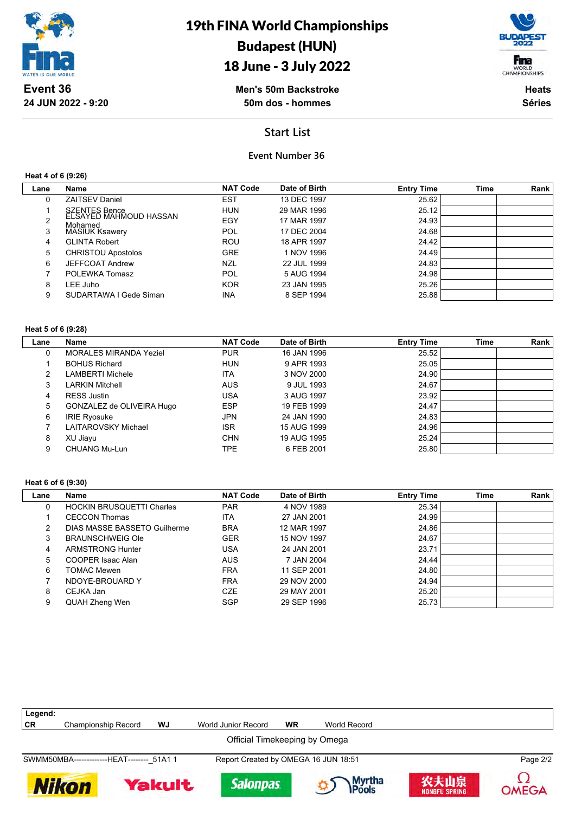

# 19th FINA World Championships Budapest (HUN)

# 18 June - 3 July 2022



**Men's 50m Backstroke 50m dos - hommes**

**Heats Séries**

## **Start List**

### **Event Number 36**

**Heat 4 of 6 (9:26)**

| Lane | <b>Name</b>                             | <b>NAT Code</b> | Date of Birth | <b>Entry Time</b> | Time | Rank |
|------|-----------------------------------------|-----------------|---------------|-------------------|------|------|
| 0    | <b>ZAITSEV Daniel</b>                   | <b>EST</b>      | 13 DEC 1997   | 25.62             |      |      |
|      | SZENTES Bence<br>ELSAYED MAHMOUD HASSAN | <b>HUN</b>      | 29 MAR 1996   | 25.12             |      |      |
| 2    | Mohamed                                 | EGY             | 17 MAR 1997   | 24.93             |      |      |
| 3    | <b>MASIUK Ksawery</b>                   | POL             | 17 DEC 2004   | 24.68             |      |      |
| 4    | <b>GLINTA Robert</b>                    | <b>ROU</b>      | 18 APR 1997   | 24.42             |      |      |
| 5    | <b>CHRISTOU Apostolos</b>               | <b>GRE</b>      | 1 NOV 1996    | 24.49             |      |      |
| 6    | <b>JEFFCOAT Andrew</b>                  | <b>NZL</b>      | 22 JUL 1999   | 24.83             |      |      |
|      | POLEWKA Tomasz                          | <b>POL</b>      | 5 AUG 1994    | 24.98             |      |      |
| 8    | LEE Juho                                | <b>KOR</b>      | 23 JAN 1995   | 25.26             |      |      |
| 9    | SUDARTAWA I Gede Siman                  | <b>INA</b>      | 8 SEP 1994    | 25.88             |      |      |

#### **Heat 5 of 6 (9:28)**

| Lane | <b>Name</b>                   | <b>NAT Code</b> | Date of Birth | <b>Entry Time</b> | <b>Time</b> | Rank |
|------|-------------------------------|-----------------|---------------|-------------------|-------------|------|
| 0    | <b>MORALES MIRANDA Yeziel</b> | <b>PUR</b>      | 16 JAN 1996   | 25.52             |             |      |
|      | <b>BOHUS Richard</b>          | <b>HUN</b>      | 9 APR 1993    | 25.05             |             |      |
| 2    | <b>LAMBERTI Michele</b>       | <b>ITA</b>      | 3 NOV 2000    | 24.90             |             |      |
| 3    | <b>LARKIN Mitchell</b>        | <b>AUS</b>      | 9 JUL 1993    | 24.67             |             |      |
| 4    | RESS Justin                   | USA             | 3 AUG 1997    | 23.92             |             |      |
| 5    | GONZALEZ de OLIVEIRA Hugo     | <b>ESP</b>      | 19 FEB 1999   | 24.47             |             |      |
| 6    | <b>IRIE Ryosuke</b>           | <b>JPN</b>      | 24 JAN 1990   | 24.83             |             |      |
|      | LAITAROVSKY Michael           | <b>ISR</b>      | 15 AUG 1999   | 24.96             |             |      |
| 8    | XU Jiayu                      | <b>CHN</b>      | 19 AUG 1995   | 25.24             |             |      |
| 9    | CHUANG Mu-Lun                 | TPE.            | 6 FEB 2001    | 25.80             |             |      |

#### **Heat 6 of 6 (9:30)**

| Lane | Name                             | <b>NAT Code</b> | Date of Birth | <b>Entry Time</b> | <b>Time</b> | Rank |
|------|----------------------------------|-----------------|---------------|-------------------|-------------|------|
|      | <b>HOCKIN BRUSQUETTI Charles</b> | <b>PAR</b>      | 4 NOV 1989    | 25.34             |             |      |
|      | <b>CECCON Thomas</b>             | ITA             | 27 JAN 2001   | 24.99             |             |      |
| 2    | DIAS MASSE BASSETO Guilherme     | <b>BRA</b>      | 12 MAR 1997   | 24.86             |             |      |
| 3    | <b>BRAUNSCHWEIG Ole</b>          | <b>GER</b>      | 15 NOV 1997   | 24.67             |             |      |
| 4    | <b>ARMSTRONG Hunter</b>          | USA             | 24 JAN 2001   | 23.71             |             |      |
| 5    | COOPER Isaac Alan                | <b>AUS</b>      | 7 JAN 2004    | 24.44             |             |      |
| 6    | <b>TOMAC Mewen</b>               | <b>FRA</b>      | 11 SEP 2001   | 24.80             |             |      |
|      | NDOYE-BROUARD Y                  | <b>FRA</b>      | 29 NOV 2000   | 24.94             |             |      |
| 8    | CEJKA Jan                        | <b>CZE</b>      | 29 MAY 2001   | 25.20             |             |      |
| 9    | QUAH Zheng Wen                   | <b>SGP</b>      | 29 SEP 1996   | 25.73             |             |      |

| Legend:                                    |                               |        |                                      |           |                  |                              |          |  |  |
|--------------------------------------------|-------------------------------|--------|--------------------------------------|-----------|------------------|------------------------------|----------|--|--|
| <b>CR</b>                                  | <b>Championship Record</b>    | WJ     | World Junior Record                  | <b>WR</b> | World Record     |                              |          |  |  |
|                                            | Official Timekeeping by Omega |        |                                      |           |                  |                              |          |  |  |
| SWMM50MBA--------------HEAT-------- 51A1 1 |                               |        | Report Created by OMEGA 16 JUN 18:51 |           |                  |                              | Page 2/2 |  |  |
|                                            | <b>Nikon</b>                  | Yakult | <b>Salonpas</b>                      |           | Myrtha<br>IPools | 农夫山泉<br><b>NONGFU SPRING</b> | OMEGA    |  |  |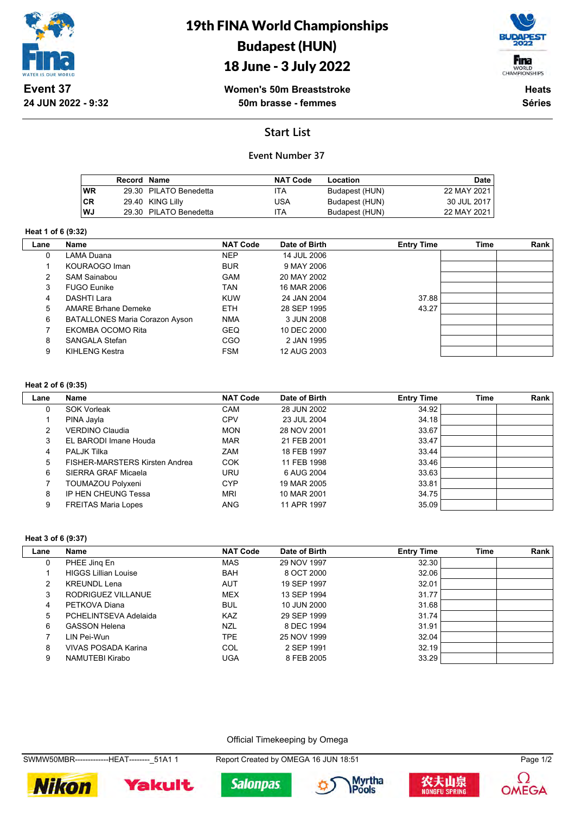

## 18 June - 3 July 2022



**Women's 50m Breaststroke 50m brasse - femmes**

**Heats Séries**

## **Start List**

## **Event Number 37**

|      | Record Name |                        | <b>NAT Code</b> | Location       | Date        |
|------|-------------|------------------------|-----------------|----------------|-------------|
| l WR |             | 29.30 PILATO Benedetta | ITA             | Budapest (HUN) | 22 MAY 2021 |
| l CR |             | 29.40 KING Lilly       | USA             | Budapest (HUN) | 30 JUL 2017 |
| l WJ |             | 29.30 PILATO Benedetta | ITA             | Budapest (HUN) | 22 MAY 2021 |

#### **Heat 1 of 6 (9:32)**

| Lane | Name                                  | <b>NAT Code</b><br>Date of Birth |             | <b>Entry Time</b> | <b>Time</b> | Rank |
|------|---------------------------------------|----------------------------------|-------------|-------------------|-------------|------|
| 0    | LAMA Duana                            | <b>NEP</b>                       | 14 JUL 2006 |                   |             |      |
|      | KOURAOGO Iman                         | <b>BUR</b>                       | 9 MAY 2006  |                   |             |      |
| 2    | <b>SAM Sainabou</b>                   | <b>GAM</b>                       | 20 MAY 2002 |                   |             |      |
| 3    | <b>FUGO Eunike</b>                    | <b>TAN</b>                       | 16 MAR 2006 |                   |             |      |
| 4    | DASHTI Lara                           | <b>KUW</b>                       | 24 JAN 2004 | 37.88             |             |      |
| 5    | <b>AMARE Brhane Demeke</b>            | <b>ETH</b>                       | 28 SEP 1995 | 43.27             |             |      |
| 6    | <b>BATALLONES Maria Corazon Ayson</b> | <b>NMA</b>                       | 3 JUN 2008  |                   |             |      |
|      | EKOMBA OCOMO Rita                     | <b>GEQ</b>                       | 10 DEC 2000 |                   |             |      |
| 8    | SANGALA Stefan                        | CGO                              | 2 JAN 1995  |                   |             |      |
| 9    | KIHLENG Kestra                        | <b>FSM</b>                       | 12 AUG 2003 |                   |             |      |

#### **Heat 2 of 6 (9:35)**

| Lane | Name                           | <b>NAT Code</b> | Date of Birth | <b>Entry Time</b> | <b>Time</b> | Rank |
|------|--------------------------------|-----------------|---------------|-------------------|-------------|------|
| 0    | <b>SOK Vorleak</b>             | <b>CAM</b>      | 28 JUN 2002   | 34.92             |             |      |
|      | PINA Jayla                     | <b>CPV</b>      | 23 JUL 2004   | 34.18             |             |      |
| 2    | VERDINO Claudia                | <b>MON</b>      | 28 NOV 2001   | 33.67             |             |      |
| 3    | EL BARODI Imane Houda          | <b>MAR</b>      | 21 FEB 2001   | 33.47             |             |      |
| 4    | <b>PALJK Tilka</b>             | <b>ZAM</b>      | 18 FEB 1997   | 33.44             |             |      |
| 5    | FISHER-MARSTERS Kirsten Andrea | <b>COK</b>      | 11 FEB 1998   | 33.46             |             |      |
| 6    | SIERRA GRAF Micaela            | <b>URU</b>      | 6 AUG 2004    | 33.63             |             |      |
|      | TOUMAZOU Polyxeni              | CYP             | 19 MAR 2005   | 33.81             |             |      |
| 8    | <b>IP HEN CHEUNG Tessa</b>     | <b>MRI</b>      | 10 MAR 2001   | 34.75             |             |      |
| 9    | <b>FREITAS Maria Lopes</b>     | <b>ANG</b>      | 11 APR 1997   | 35.09             |             |      |

#### **Heat 3 of 6 (9:37)**

| Lane | Name                        | <b>NAT Code</b> | Date of Birth | <b>Entry Time</b> | <b>Time</b> | Rank |
|------|-----------------------------|-----------------|---------------|-------------------|-------------|------|
| 0    | PHEE Jing En                | <b>MAS</b>      | 29 NOV 1997   | 32.30             |             |      |
|      | <b>HIGGS Lillian Louise</b> | <b>BAH</b>      | 8 OCT 2000    | 32.06             |             |      |
| 2    | <b>KREUNDL Lena</b>         | <b>AUT</b>      | 19 SEP 1997   | 32.01             |             |      |
| 3    | RODRIGUEZ VILLANUE          | <b>MEX</b>      | 13 SEP 1994   | 31.77             |             |      |
| 4    | PETKOVA Diana               | <b>BUL</b>      | 10 JUN 2000   | 31.68             |             |      |
| 5    | PCHELINTSEVA Adelaida       | <b>KAZ</b>      | 29 SEP 1999   | 31.74             |             |      |
| 6    | <b>GASSON Helena</b>        | <b>NZL</b>      | 8 DEC 1994    | 31.91             |             |      |
|      | LIN Pei-Wun                 | TPE.            | 25 NOV 1999   | 32.04             |             |      |
| 8    | VIVAS POSADA Karina         | COL             | 2 SEP 1991    | 32.19             |             |      |
| 9    | NAMUTEBI Kirabo             | UGA             | 8 FEB 2005    | 33.29             |             |      |

Official Timekeeping by Omega

SWMW50MBR-------------HEAT--------\_51A1 1 Report Created by OMEGA 16 JUN 18:51 Page 1/2









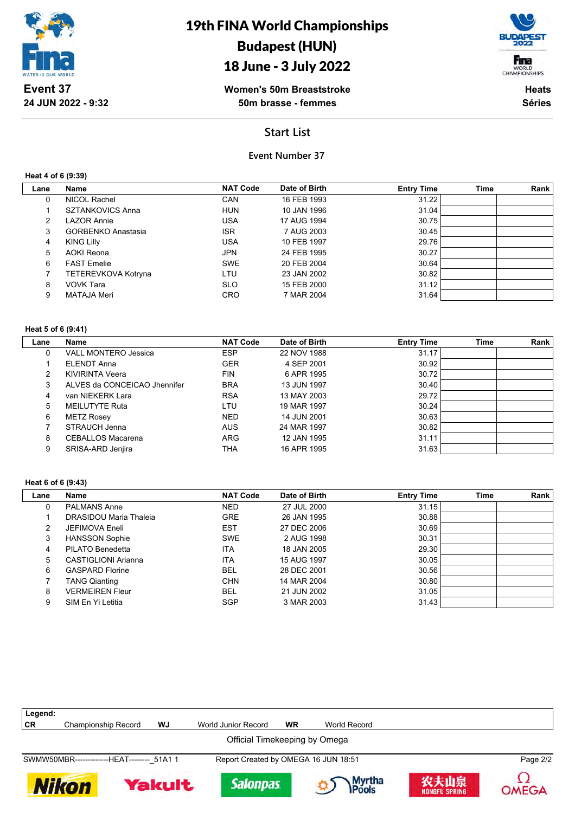

## 18 June - 3 July 2022



**Women's 50m Breaststroke 50m brasse - femmes**

**Heats Séries**

## **Start List**

### **Event Number 37**

**Heat 4 of 6 (9:39)**

| Lane | Name                      | <b>NAT Code</b> | Date of Birth | <b>Entry Time</b> | Time | Rank |
|------|---------------------------|-----------------|---------------|-------------------|------|------|
| 0    | NICOL Rachel              | <b>CAN</b>      | 16 FEB 1993   | 31.22             |      |      |
|      | <b>SZTANKOVICS Anna</b>   | <b>HUN</b>      | 10 JAN 1996   | 31.04             |      |      |
| 2    | LAZOR Annie               | <b>USA</b>      | 17 AUG 1994   | 30.75             |      |      |
| 3    | <b>GORBENKO Anastasia</b> | <b>ISR</b>      | 7 AUG 2003    | 30.45             |      |      |
| 4    | <b>KING Lilly</b>         | <b>USA</b>      | 10 FEB 1997   | 29.76             |      |      |
| 5    | <b>AOKI Reona</b>         | <b>JPN</b>      | 24 FEB 1995   | 30.27             |      |      |
| 6    | <b>FAST Emelie</b>        | <b>SWE</b>      | 20 FEB 2004   | 30.64             |      |      |
|      | TETEREVKOVA Kotryna       | LTU             | 23 JAN 2002   | 30.82             |      |      |
| 8    | VOVK Tara                 | <b>SLO</b>      | 15 FEB 2000   | 31.12             |      |      |
| 9    | MATAJA Meri               | <b>CRO</b>      | 7 MAR 2004    | 31.64             |      |      |

#### **Heat 5 of 6 (9:41)**

| Lane | Name                         | <b>NAT Code</b> | Date of Birth | <b>Entry Time</b> | <b>Time</b> | Rank |
|------|------------------------------|-----------------|---------------|-------------------|-------------|------|
| 0    | <b>VALL MONTERO Jessica</b>  | <b>ESP</b>      | 22 NOV 1988   | 31.17             |             |      |
|      | ELENDT Anna                  | <b>GER</b>      | 4 SEP 2001    | 30.92             |             |      |
| 2    | <b>KIVIRINTA Veera</b>       | <b>FIN</b>      | 6 APR 1995    | 30.72             |             |      |
| 3    | ALVES da CONCEICAO Jhennifer | <b>BRA</b>      | 13 JUN 1997   | 30.40             |             |      |
| 4    | van NIEKERK Lara             | <b>RSA</b>      | 13 MAY 2003   | 29.72             |             |      |
| 5    | MEILUTYTE Ruta               | LTU             | 19 MAR 1997   | 30.24             |             |      |
| 6    | <b>METZ Rosey</b>            | <b>NED</b>      | 14 JUN 2001   | 30.63             |             |      |
|      | STRAUCH Jenna                | <b>AUS</b>      | 24 MAR 1997   | 30.82             |             |      |
| 8    | <b>CEBALLOS Macarena</b>     | <b>ARG</b>      | 12 JAN 1995   | 31.11             |             |      |
| 9    | SRISA-ARD Jenjira            | THA             | 16 APR 1995   | 31.63             |             |      |

#### **Heat 6 of 6 (9:43)**

| Lane | Name                   | <b>NAT Code</b> | Date of Birth | <b>Entry Time</b> | <b>Time</b> | Rank |
|------|------------------------|-----------------|---------------|-------------------|-------------|------|
| 0    | <b>PALMANS Anne</b>    | <b>NED</b>      | 27 JUL 2000   | 31.15             |             |      |
|      | DRASIDOU Maria Thaleia | <b>GRE</b>      | 26 JAN 1995   | 30.88             |             |      |
| 2    | JEFIMOVA Eneli         | <b>EST</b>      | 27 DEC 2006   | 30.69             |             |      |
| 3    | <b>HANSSON Sophie</b>  | <b>SWE</b>      | 2 AUG 1998    | 30.31             |             |      |
| 4    | PILATO Benedetta       | ITA             | 18 JAN 2005   | 29.30             |             |      |
| 5    | CASTIGLIONI Arianna    | <b>ITA</b>      | 15 AUG 1997   | 30.05             |             |      |
| 6    | <b>GASPARD Florine</b> | <b>BEL</b>      | 28 DEC 2001   | 30.56             |             |      |
|      | <b>TANG Qianting</b>   | <b>CHN</b>      | 14 MAR 2004   | 30.80             |             |      |
| 8    | <b>VERMEIREN Fleur</b> | BEL             | 21 JUN 2002   | 31.05             |             |      |
| 9    | SIM En Yi Letitia      | <b>SGP</b>      | 3 MAR 2003    | 31.43             |             |      |

| Legend:                       |                                            |               |                     |                                      |                 |                              |              |  |  |
|-------------------------------|--------------------------------------------|---------------|---------------------|--------------------------------------|-----------------|------------------------------|--------------|--|--|
| CR                            | <b>Championship Record</b>                 | WJ            | World Junior Record | <b>WR</b>                            | World Record    |                              |              |  |  |
| Official Timekeeping by Omega |                                            |               |                     |                                      |                 |                              |              |  |  |
|                               | SWMW50MBR--------------HEAT-------- 51A1 1 |               |                     | Report Created by OMEGA 16 JUN 18:51 |                 |                              | Page 2/2     |  |  |
| <b>Nikon</b>                  |                                            | <b>Yakult</b> | <b>Salonpas</b>     |                                      | Myrtha<br>Pools | 农夫山泉<br><b>NONGFU SPRING</b> | <b>OMEGA</b> |  |  |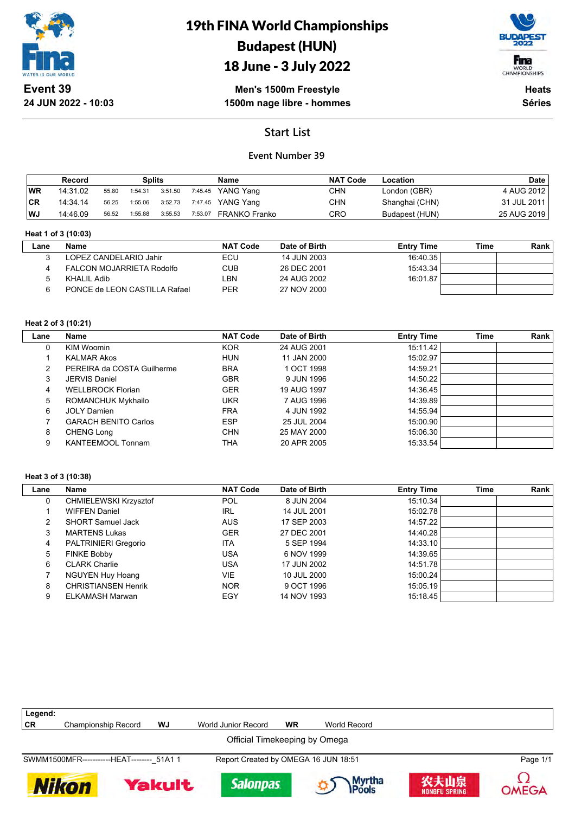

**24 JUN 2022 - 10:03**

# 19th FINA World Championships Budapest (HUN)





**Men's 1500m Freestyle 1500m nage libre - hommes**

**Heats Séries**

## **Start List**

### **Event Number 39**

|           | Record   |       | Splits  |         |         | <b>Name</b>       | <b>NAT Code</b> | Location       | <b>Date</b> |
|-----------|----------|-------|---------|---------|---------|-------------------|-----------------|----------------|-------------|
| 'WR       | 14:31.02 | 55.80 | 1:54.31 | 3:51.50 |         | 7:45.45 YANG Yang | CHN             | London (GBR)   | 4 AUG 2012  |
| <b>CR</b> | 14:34:14 | 56.25 | 1:55.06 | 3:52.73 |         | 7:47.45 YANG Yang | CHN             | Shanghai (CHN) | 31 JUL 2011 |
| WJ        | 14:46.09 | 56.52 | 1:55.88 | 3:55.53 | 7:53.07 | FRANKO Franko     | CRO             | Budapest (HUN) | 25 AUG 2019 |

#### **Heat 1 of 3 (10:03)**

| _ane | Name                          | <b>NAT Code</b> | Date of Birth | <b>Entry Time</b> | Time | Rank |
|------|-------------------------------|-----------------|---------------|-------------------|------|------|
|      | LOPEZ CANDELARIO Jahir        | ECU             | 14 JUN 2003   | 16:40.35          |      |      |
|      | FALCON MOJARRIETA Rodolfo     | CUB             | 26 DEC 2001   | 15:43.34          |      |      |
|      | KHALIL Adib                   | LBN.            | 24 AUG 2002   | 16:01.87          |      |      |
|      | PONCE de LEON CASTILLA Rafael | <b>PER</b>      | 27 NOV 2000   |                   |      |      |

### **Heat 2 of 3 (10:21)**

| Lane | <b>Name</b>                 | <b>NAT Code</b> | Date of Birth | <b>Entry Time</b> | <b>Time</b> | Rank |
|------|-----------------------------|-----------------|---------------|-------------------|-------------|------|
| 0    | <b>KIM Woomin</b>           | <b>KOR</b>      | 24 AUG 2001   | 15:11.42          |             |      |
|      | <b>KALMAR Akos</b>          | <b>HUN</b>      | 11 JAN 2000   | 15:02.97          |             |      |
| 2    | PEREIRA da COSTA Guilherme  | <b>BRA</b>      | 1 OCT 1998    | 14:59.21          |             |      |
| 3    | <b>JERVIS Daniel</b>        | <b>GBR</b>      | 9 JUN 1996    | 14:50.22          |             |      |
| 4    | <b>WELLBROCK Florian</b>    | <b>GER</b>      | 19 AUG 1997   | 14:36.45          |             |      |
| 5    | <b>ROMANCHUK Mykhailo</b>   | UKR             | 7 AUG 1996    | 14:39.89          |             |      |
| 6    | <b>JOLY Damien</b>          | <b>FRA</b>      | 4 JUN 1992    | 14:55.94          |             |      |
|      | <b>GARACH BENITO Carlos</b> | <b>ESP</b>      | 25 JUL 2004   | 15:00.90          |             |      |
| 8    | <b>CHENG Long</b>           | <b>CHN</b>      | 25 MAY 2000   | 15:06.30          |             |      |
| 9    | <b>KANTEEMOOL Tonnam</b>    | THA             | 20 APR 2005   | 15:33.54          |             |      |

#### **Heat 3 of 3 (10:38)**

| Lane | Name                       | <b>NAT Code</b> | Date of Birth | <b>Entry Time</b> | <b>Time</b> | <b>Rank</b> |
|------|----------------------------|-----------------|---------------|-------------------|-------------|-------------|
|      | CHMIELEWSKI Krzysztof      | <b>POL</b>      | 8 JUN 2004    | 15:10.34          |             |             |
|      | <b>WIFFEN Daniel</b>       | <b>IRL</b>      | 14 JUL 2001   | 15:02.78          |             |             |
|      | <b>SHORT Samuel Jack</b>   | <b>AUS</b>      | 17 SEP 2003   | 14:57.22          |             |             |
| 3    | <b>MARTENS Lukas</b>       | <b>GER</b>      | 27 DEC 2001   | 14:40.28          |             |             |
| 4    | PALTRINIERI Gregorio       | ITA             | 5 SEP 1994    | 14:33.10          |             |             |
| 5    | <b>FINKE Bobby</b>         | USA             | 6 NOV 1999    | 14:39.65          |             |             |
| 6    | <b>CLARK Charlie</b>       | USA             | 17 JUN 2002   | 14:51.78          |             |             |
|      | <b>NGUYEN Huy Hoang</b>    | VIE.            | 10 JUL 2000   | 15:00.24          |             |             |
| 8    | <b>CHRISTIANSEN Henrik</b> | <b>NOR</b>      | 9 OCT 1996    | 15:05.19          |             |             |
| 9    | ELKAMASH Marwan            | EGY             | 14 NOV 1993   | 15:18.45          |             |             |

| Legend:                       |                                            |               |                                      |           |                 |                              |              |  |  |
|-------------------------------|--------------------------------------------|---------------|--------------------------------------|-----------|-----------------|------------------------------|--------------|--|--|
| CR                            | Championship Record                        | WJ            | World Junior Record                  | <b>WR</b> | World Record    |                              |              |  |  |
| Official Timekeeping by Omega |                                            |               |                                      |           |                 |                              |              |  |  |
|                               | SWMM1500MFR------------HEAT-------- 51A1 1 |               | Report Created by OMEGA 16 JUN 18:51 |           |                 |                              | Page 1/1     |  |  |
|                               | <b>Nikon</b>                               | <b>Yakult</b> | <b>Salonpas</b>                      |           | Myrtha<br>Pools | 农夫山泉<br><b>NONGFU SPRING</b> | <b>OMEGA</b> |  |  |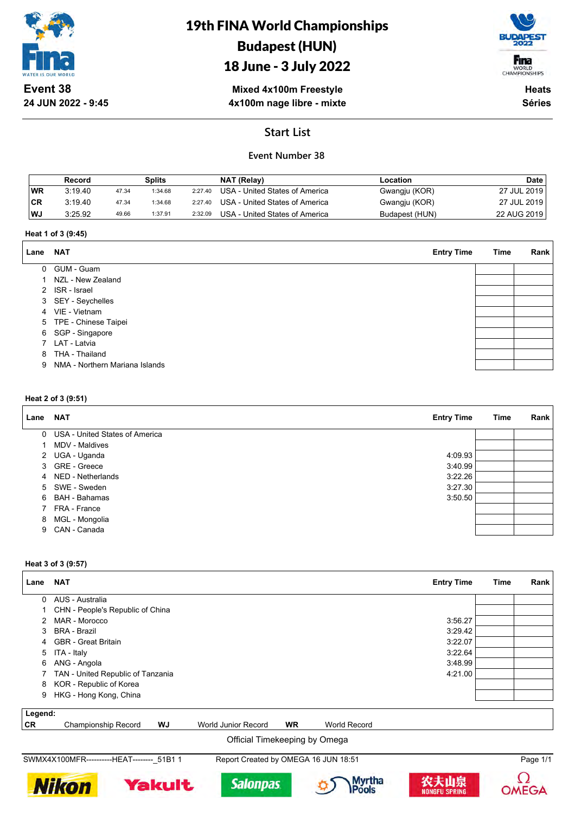

# 19th FINA World Championships Budapest (HUN)

## 18 June - 3 July 2022



**Mixed 4x100m Freestyle 4x100m nage libre - mixte**

**Heats Séries**

## **Start List**

## **Event Number 38**

|           | Record  |       | Splits  |         | NAT (Relay)                    | ∟ocation       | <b>Date</b> |
|-----------|---------|-------|---------|---------|--------------------------------|----------------|-------------|
| <b>WR</b> | 3.19.40 | 47.34 | 1:34.68 | 2:27.40 | USA - United States of America | Gwangju (KOR)  | 27 JUL 2019 |
| ∣CR       | 3:19.40 | 47.34 | 1:34.68 | 2:27.40 | USA - United States of America | Gwangju (KOR)  | 27 JUL 2019 |
| WJ        | 3:25.92 | 49.66 | 1:37.91 | 2:32.09 | USA - United States of America | Budapest (HUN) | 22 AUG 2019 |

#### **Heat 1 of 3 (9:45)**

| Lane         | <b>NAT</b>                     | <b>Entry Time</b> | Time | Rank |
|--------------|--------------------------------|-------------------|------|------|
| $\mathbf{0}$ | GUM - Guam                     |                   |      |      |
|              | 1 NZL - New Zealand            |                   |      |      |
|              | 2 ISR - Israel                 |                   |      |      |
|              | 3 SEY - Seychelles             |                   |      |      |
|              | 4 VIE - Vietnam                |                   |      |      |
|              | 5 TPE - Chinese Taipei         |                   |      |      |
|              | 6 SGP - Singapore              |                   |      |      |
|              | 7 LAT - Latvia                 |                   |      |      |
| 8            | THA - Thailand                 |                   |      |      |
| 9            | NMA - Northern Mariana Islands |                   |      |      |
|              |                                |                   |      |      |

#### **Heat 2 of 3 (9:51)**

| Lane | NAT                              | <b>Entry Time</b> | Time | Rank |
|------|----------------------------------|-------------------|------|------|
|      | 0 USA - United States of America |                   |      |      |
|      | MDV - Maldives                   |                   |      |      |
|      | 2 UGA - Uganda                   | 4:09.93           |      |      |
|      | 3 GRE - Greece                   | 3:40.99           |      |      |
|      | 4 NED - Netherlands              | 3:22.26           |      |      |
|      | 5 SWE - Sweden                   | 3:27.30           |      |      |
|      | 6 BAH - Bahamas                  | 3:50.50           |      |      |
|      | 7 FRA - France                   |                   |      |      |
|      | 8 MGL - Mongolia                 |                   |      |      |
| 9    | CAN - Canada                     |                   |      |      |

#### **Heat 3 of 3 (9:57)**

| Lane     | <b>NAT</b>                        | <b>Entry Time</b> | Time | <b>Rank</b> |
|----------|-----------------------------------|-------------------|------|-------------|
| $\Omega$ | AUS - Australia                   |                   |      |             |
|          | CHN - People's Republic of China  |                   |      |             |
| 2        | MAR - Morocco                     | 3:56.27           |      |             |
| 3        | BRA - Brazil                      | 3:29.42           |      |             |
|          | 4 GBR - Great Britain             | 3:22.07           |      |             |
|          | 5 ITA - Italy                     | 3:22.64           |      |             |
|          | 6 ANG - Angola                    | 3:48.99           |      |             |
|          | TAN - United Republic of Tanzania | 4:21.00           |      |             |
|          | 8 KOR - Republic of Korea         |                   |      |             |
| 9        | HKG - Hong Kong, China            |                   |      |             |
| Legend:  |                                   |                   |      |             |

| CR | Championship L.<br>Record | w. | World<br>Junioi<br>Record | WR              | Record<br>oric |  |
|----|---------------------------|----|---------------------------|-----------------|----------------|--|
|    |                           |    | ∩fficial<br>. nev         | keening hv<br>. | ∐m≏ua          |  |

Official Timekeeping by Omega

SWMX4X100MFR----------HEAT--------\_51B1 1 Report Created by OMEGA 16 JUN 18:51 Page 1/1

**Yakult** 

**Nikon** 









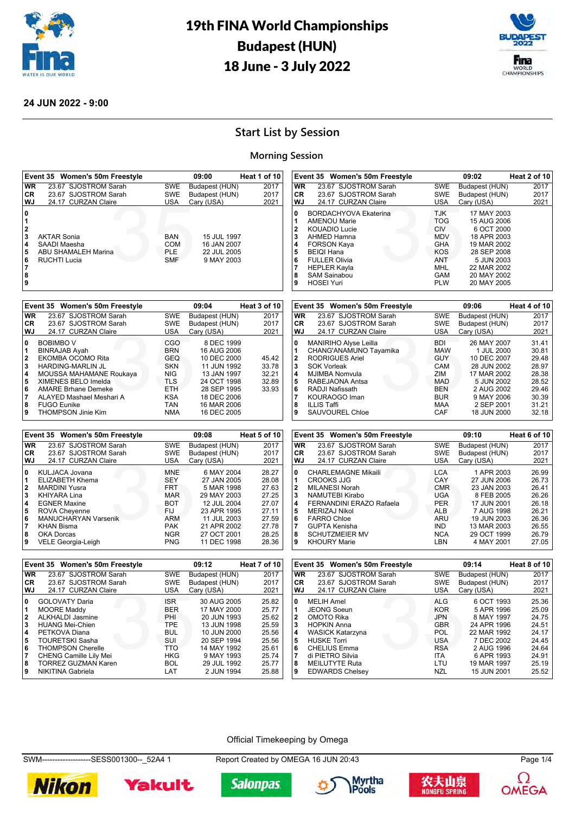



#### **24 JUN 2022 - 9:00**

## **Start List by Session**

### **Morning Session**

|                         | Event 35 Women's 50m Freestyle              |                                    | 09:00                        | Heat 1 of 10   | Event 35 Women's 50m Freestyle                          |                          | 09:02                        | Heat 2 of 10                  |
|-------------------------|---------------------------------------------|------------------------------------|------------------------------|----------------|---------------------------------------------------------|--------------------------|------------------------------|-------------------------------|
| WR                      | 23.67 SJOSTROM Sarah                        | <b>SWE</b>                         | Budapest (HUN)               | 2017           | WR<br>23.67 SJOSTROM Sarah                              | <b>SWE</b>               | Budapest (HUN)               | 2017                          |
| CR                      | 23.67 SJOSTROM Sarah                        | <b>SWE</b>                         | Budapest (HUN)               | 2017           | CR<br>23.67 SJOSTROM Sarah                              | <b>SWE</b>               | Budapest (HUN)               | 2017                          |
| WJ                      | 24.17 CURZAN Claire                         | USA                                | Cary (USA)                   | 2021           | WJ<br>24.17 CURZAN Claire                               | <b>USA</b>               | Cary (USA)                   | 2021                          |
| 0                       |                                             |                                    |                              |                | 0<br><b>BORDACHYOVA Ekaterina</b>                       | <b>TJK</b>               | 17 MAY 2003                  |                               |
| 1                       |                                             |                                    |                              |                | 1<br><b>AMENOU Marie</b>                                | <b>TOG</b>               | 15 AUG 2006                  |                               |
| $\overline{\mathbf{2}}$ |                                             |                                    |                              |                | $\mathbf{2}$<br><b>KOUADIO Lucie</b>                    | <b>CIV</b>               | 6 OCT 2000                   |                               |
| 3                       | <b>AKTAR Sonia</b>                          | BAN                                | 15 JUL 1997                  |                | 3<br>AHMED Hamna                                        | <b>MDV</b>               | 18 APR 2003                  |                               |
| 4                       | SAADI Maesha                                | <b>COM</b>                         | 16 JAN 2007                  |                | 4<br><b>FORSON Kaya</b>                                 | GHA                      | 19 MAR 2002                  |                               |
| 5                       | ABU SHAMALEH Marina                         | <b>PLE</b>                         | 22 JUL 2005                  |                | 5<br><b>BEIQI Hana</b>                                  | <b>KOS</b>               | 28 SEP 2008                  |                               |
| 6                       | <b>RUCHTI Lucia</b>                         | <b>SMF</b>                         | 9 MAY 2003                   |                | 6<br><b>FULLER Olivia</b>                               | ANT                      | 5 JUN 2003                   |                               |
| 7                       |                                             |                                    |                              |                | 7<br><b>HEPLER Kayla</b>                                | MHL                      | 22 MAR 2002                  |                               |
| 8<br>9                  |                                             |                                    |                              |                | 8<br><b>SAM Sainabou</b><br>9<br><b>HOSEI Yuri</b>      | <b>GAM</b><br><b>PLW</b> | 20 MAY 2002<br>20 MAY 2005   |                               |
|                         |                                             |                                    |                              |                |                                                         |                          |                              |                               |
|                         | Event 35 Women's 50m Freestyle              |                                    | 09:04                        | Heat 3 of 10   | Event 35 Women's 50m Freestyle                          |                          | 09:06                        | Heat 4 of 10                  |
| <b>WR</b>               | 23.67 SJOSTROM Sarah                        | <b>SWE</b>                         | Budapest (HUN)               | 2017           | WR<br>23.67 SJOSTROM Sarah                              | <b>SWE</b>               | Budapest (HUN)               | 2017                          |
| CR                      | 23.67 SJOSTROM Sarah                        | <b>SWE</b>                         | Budapest (HUN)               | 2017           | <b>CR</b><br>23.67 SJOSTROM Sarah                       | SWE                      | Budapest (HUN)               | 2017                          |
| WJ                      | 24.17 CURZAN Claire                         | USA                                | Cary (USA)                   | 2021           | WJ<br>24.17 CURZAN Claire                               | <b>USA</b>               | Cary (USA)                   | 2021                          |
| 0                       | <b>BOBIMBO V</b>                            | CGO                                | 8 DEC 1999                   |                | 0<br>MANIRIHO Alyse Leilla                              | <b>BDI</b>               | 26 MAY 2007                  | 31.41                         |
| 1                       | <b>BINRAJAB Ayah</b>                        | <b>BRN</b>                         | 16 AUG 2006                  |                | 1<br>CHANG'ANAMUNO Tayamika                             | <b>MAW</b>               | 1 JUL 2000                   | 30.81                         |
| 2                       | EKOMBA OCOMO Rita                           | <b>GEQ</b>                         | 10 DEC 2000                  | 45.42          | 2<br><b>RODRIGUES Ariel</b>                             | <b>GUY</b>               | 10 DEC 2007                  | 29.48                         |
| 3                       | HARDING-MARLIN JL                           | SKN                                | 11 JUN 1992                  | 33.78          | 3<br><b>SOK Vorleak</b>                                 | CAM                      | 28 JUN 2002                  | 28.97                         |
| 4                       | MOUSSA MAHAMANE Roukaya                     | NIG                                | 13 JAN 1997                  | 32.21          | 4<br><b>MJIMBA Nomvula</b>                              | ZIM                      | 17 MAR 2002                  | 28.38                         |
| 5                       | XIMENES BELO Imelda                         | TLS                                | 24 OCT 1998                  | 32.89          | 5<br>RABEJAONA Antsa                                    | <b>MAD</b>               | 5 JUN 2002                   | 28.52                         |
| 6                       | <b>AMARE Brhane Demeke</b>                  | <b>ETH</b>                         | 28 SEP 1995                  | 33.93          | 6<br>RADJI Nafissath                                    | <b>BEN</b>               | 2 AUG 2002                   | 29.46                         |
| $\overline{7}$          | ALAYED Mashael Meshari A                    | <b>KSA</b>                         | 18 DEC 2006                  |                | 7<br>KOURAOGO Iman                                      | <b>BUR</b>               | 9 MAY 2006                   | 30.39                         |
| 8                       | <b>FUGO Eunike</b>                          | TAN                                | 16 MAR 2006                  |                | 8<br><b>ILLIS Taffi</b>                                 | MAA                      | 2 SEP 2001                   | 31.21                         |
| 9                       | THOMPSON Jinie Kim                          | <b>NMA</b>                         | 16 DEC 2005                  |                | 9<br>SAUVOUREL Chloe                                    | CAF                      | 18 JUN 2000                  | 32.18                         |
|                         | Event 35 Women's 50m Freestyle              |                                    |                              |                | Event 35 Women's 50m Freestyle                          |                          | 09:10                        | Heat 6 of 10                  |
|                         |                                             |                                    |                              |                |                                                         |                          |                              |                               |
|                         |                                             |                                    | 09:08                        | Heat 5 of 10   |                                                         |                          |                              |                               |
| <b>WR</b>               | 23.67 SJOSTROM Sarah                        | SWE                                | Budapest (HUN)               | 2017           | <b>WR</b><br>23.67 SJOSTROM Sarah                       | SWE                      | Budapest (HUN)               | 2017                          |
| CR<br>WJ                | 23.67 SJOSTROM Sarah                        | <b>SWE</b>                         | Budapest (HUN)               | 2017           | CR<br>23.67 SJOSTROM Sarah<br>WJ                        | <b>SWE</b><br><b>USA</b> | Budapest (HUN)               | 2017                          |
|                         | 24.17 CURZAN Claire                         | <b>USA</b>                         | Cary (USA)                   | 2021           | 24.17 CURZAN Claire                                     |                          | Cary (USA)                   | 2021                          |
| 0                       | KULJACA Jovana                              | <b>MNE</b>                         | 6 MAY 2004                   | 28.27          | 0<br><b>CHARLEMAGNE Mikaili</b>                         | <b>LCA</b>               | 1 APR 2003                   | 26.99                         |
| 1                       | ELIZABETH Khema                             | <b>SEY</b>                         | 27 JAN 2005                  | 28.08          | 1<br>CROOKS JJG                                         | CAY                      | 27 JUN 2006                  | 26.73                         |
| 2                       | <b>MARDINI Yusra</b>                        | <b>FRT</b>                         | 5 MAR 1998                   | 27.63          | $\mathbf{2}$<br><b>MILANESI Norah</b>                   | <b>CMR</b>               | 23 JAN 2003                  | 26.41                         |
| 3                       | <b>KHIYARA Lina</b>                         | <b>MAR</b>                         | 29 MAY 2003                  | 27.25          | 3<br>NAMUTEBI Kirabo                                    | <b>UGA</b>               | 8 FEB 2005                   | 26.26                         |
| 4                       | <b>EGNER Maxine</b>                         | BOT                                | 12 JUL 2004                  | 27.07          | 4<br>FERNANDINI ERAZO Rafaela                           | <b>PER</b>               | 17 JUN 2001                  | 26.18                         |
| 5<br>6                  | <b>ROVA Cheyenne</b>                        | FIJ<br><b>ARM</b>                  | 23 APR 1995<br>11 JUL 2003   | 27.11<br>27.59 | 5<br><b>MERIZAJ Nikol</b><br>6<br><b>FARRO Chloe</b>    | ALB<br>ARU               | 7 AUG 1998<br>19 JUN 2003    | 26.21                         |
| $\overline{7}$          | MANUCHARYAN Varsenik<br><b>KHAN Bisma</b>   | <b>PAK</b>                         | 21 APR 2002                  | 27.78          | $\overline{7}$<br>GUPTA Kenisha                         | <b>IND</b>               | 13 MAR 2003                  | 26.36<br>26.55                |
| 8                       | <b>OKA Dorcas</b>                           | <b>NGR</b>                         | 27 OCT 2001                  | 28.25          | 8<br><b>SCHUTZMEIER MV</b>                              | <b>NCA</b>               | 29 OCT 1999                  | 26.79                         |
| 9                       | VELE Georgia-Leigh                          | <b>PNG</b>                         | 11 DEC 1998                  | 28.36          | 9<br><b>KHOURY Marie</b>                                | LBN                      | 4 MAY 2001                   | 27.05                         |
|                         |                                             |                                    |                              |                |                                                         |                          |                              |                               |
|                         | Event 35 Women's 50m Freestyle              |                                    | 09:12                        | Heat 7 of 10   | Event 35 Women's 50m Freestyle                          |                          | 09:14                        |                               |
| <b>WR</b>               | 23.67 SJOSTROM Sarah                        | <b>SWE</b>                         | Budapest (HUN)               | 2017           | <b>WR</b><br>23.67 SJOSTROM Sarah                       | <b>SWE</b>               | Budapest (HUN)               |                               |
| <b>CR</b><br>WJ         | 23.67 SJOSTROM Sarah<br>24.17 CURZAN Claire | <b>SWE</b><br>USA                  | Budapest (HUN)<br>Cary (USA) | 2017<br>2021   | CR<br>23.67 SJOSTROM Sarah<br>WJ<br>24.17 CURZAN Claire | SWE<br><b>USA</b>        | Budapest (HUN)<br>Cary (USA) | 2017<br>2021                  |
| 0                       |                                             |                                    | 30 AUG 2005                  |                | $\mathbf{0}$                                            |                          |                              |                               |
| 1                       | GOLOVATY Daria<br><b>MOORE Maddy</b>        | $\ensuremath{\mathsf{ISR}}$<br>BER | 17 MAY 2000                  | 25.82<br>25.77 | <b>MELIH Amel</b><br>1<br><b>JEONG Soeun</b>            | <b>ALG</b><br><b>KOR</b> | 6 OCT 1993<br>5 APR 1996     | 25.36<br>25.09                |
| 2                       | ALKHALDI Jasmine                            | PHI                                | 20 JUN 1993                  | 25.62          | 2<br>OMOTO Rika                                         | <b>JPN</b>               | 8 MAY 1997                   | 24.75                         |
| 3                       | <b>HUANG Mei-Chien</b>                      | TPE                                | 13 JUN 1998                  | 25.59          | 3<br><b>HOPKIN Anna</b>                                 | <b>GBR</b>               | 24 APR 1996                  | 24.51                         |
| 4                       | PETKOVA Diana                               | <b>BUL</b>                         | 10 JUN 2000                  | 25.56          | 4<br>WASICK Katarzyna                                   | POL                      | 22 MAR 1992                  | 24.17                         |
| 5                       | <b>TOURETSKI Sasha</b>                      | SUI                                | 20 SEP 1994                  | 25.56          | 5<br><b>HUSKE Torri</b>                                 | <b>USA</b>               | 7 DEC 2002                   | 24.45                         |
| 6                       | <b>THOMPSON Cherelle</b>                    | TTO                                | 14 MAY 1992                  | 25.61          | 6<br><b>CHELIUS Emma</b>                                | <b>RSA</b>               | 2 AUG 1996                   | 24.64                         |
| $\overline{7}$          | CHENG Camille Lily Mei                      | <b>HKG</b>                         | 9 MAY 1993                   | 25.74          | di PIETRO Silvia<br>7                                   | ITA                      | 6 APR 1993                   | 24.91                         |
| 8                       | <b>TORREZ GUZMAN Karen</b>                  | <b>BOL</b>                         | 29 JUL 1992                  | 25.77          | 8<br><b>MEILUTYTE Ruta</b>                              | LTU                      | 19 MAR 1997                  | 25.19                         |
| 9                       | NIKITINA Gabriela                           | LAT                                | 2 JUN 1994                   | 25.88          | 9<br><b>EDWARDS Chelsey</b>                             | NZL                      | 15 JUN 2001                  | Heat 8 of 10<br>2017<br>25.52 |

#### Official Timekeeping by Omega

SWM-------------------SESS001300--\_52A4 1 Report Created by OMEGA 16 JUN 20:43 Page 1/4











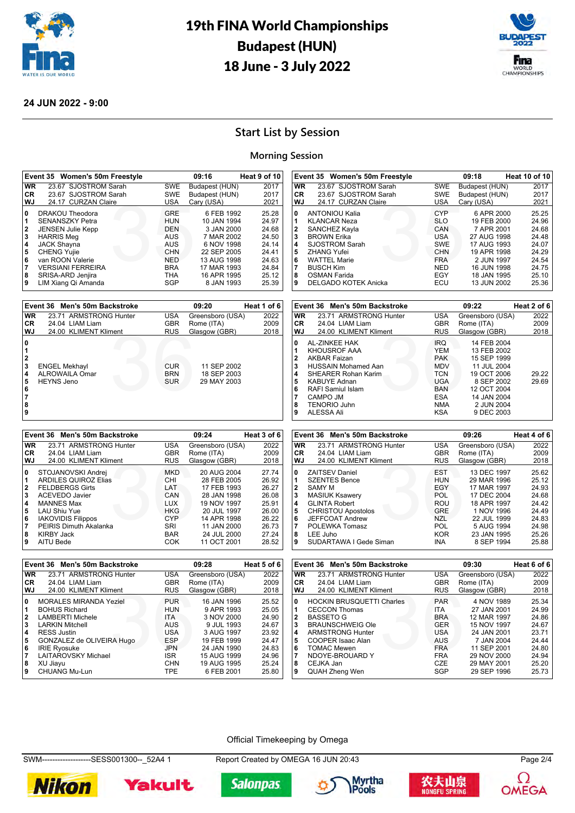



#### **24 JUN 2022 - 9:00**

## **Start List by Session**

### **Morning Session**

| Event 35 Women's 50m Freestyle                       |                          | 09:16                       | Heat 9 of 10 |                | Event 35 Women's 50m Freestyle           |                   | 09:18                       | Heat 10 of 10 |
|------------------------------------------------------|--------------------------|-----------------------------|--------------|----------------|------------------------------------------|-------------------|-----------------------------|---------------|
| WR<br>23.67 SJOSTROM Sarah                           | <b>SWE</b>               | Budapest (HUN)              | 2017         | <b>WR</b>      | 23.67 SJOSTROM Sarah                     | SWE               | Budapest (HUN)              | 2017          |
| СR<br>23.67 SJOSTROM Sarah                           | <b>SWE</b>               | Budapest (HUN)              | 2017         | CR             | 23.67 SJOSTROM Sarah                     | <b>SWE</b>        | Budapest (HUN)              | 2017          |
| WJ<br>24.17 CURZAN Claire                            | <b>USA</b>               | Cary (USA)                  | 2021         | WJ             | 24.17 CURZAN Claire                      | <b>USA</b>        | Cary (USA)                  | 2021          |
| 0<br><b>DRAKOU Theodora</b>                          | <b>GRE</b>               | 6 FEB 1992                  | 25.28        | 0              | <b>ANTONIOU Kalia</b>                    | <b>CYP</b>        | 6 APR 2000                  | 25.25         |
| 1<br><b>SENANSZKY Petra</b>                          | <b>HUN</b>               | 10 JAN 1994                 | 24.97        | 1              | <b>KLANCAR Neza</b>                      | <b>SLO</b>        | 19 FEB 2000                 | 24.96         |
| 2<br><b>JENSEN Julie Kepp</b>                        | DEN                      | 3 JAN 2000                  | 24.68        | $\mathbf{2}$   | SANCHEZ Kayla                            | CAN               | 7 APR 2001                  | 24.68         |
| 3<br><b>HARRIS Meg</b>                               | <b>AUS</b>               | 7 MAR 2002                  | 24.50        | 3              | <b>BROWN Erika</b>                       | <b>USA</b>        | 27 AUG 1998                 | 24.48         |
| 4<br><b>JACK Shayna</b>                              | AUS                      | 6 NOV 1998                  | 24.14        | 4              | <b>SJOSTROM Sarah</b>                    | <b>SWE</b>        | 17 AUG 1993                 | 24.07         |
| 5<br><b>CHENG Yujie</b>                              | <b>CHN</b>               | 22 SEP 2005                 | 24.41        | 5              | <b>ZHANG Yufei</b>                       | <b>CHN</b>        | 19 APR 1998                 | 24.29         |
| 6<br>van ROON Valerie                                | <b>NED</b>               | 13 AUG 1998                 | 24.63        | 6              | <b>WATTEL Marie</b>                      | <b>FRA</b>        | 2 JUN 1997                  | 24.54         |
| 7<br><b>VERSIANI FERREIRA</b>                        | <b>BRA</b>               | 17 MAR 1993                 | 24.84        | $\overline{7}$ | <b>BUSCH Kim</b>                         | <b>NED</b>        | 16 JUN 1998                 | 24.75         |
| 8<br>SRISA-ARD Jenjira                               | THA                      | 16 APR 1995                 | 25.12        | 8              | <b>OSMAN Farida</b>                      | EGY               | 18 JAN 1995                 | 25.10         |
| 9<br>LIM Xiang Qi Amanda                             | <b>SGP</b>               | 8 JAN 1993                  | 25.39        | 9              | <b>DELGADO KOTEK Anicka</b>              | ECU               | 13 JUN 2002                 | 25.36         |
|                                                      |                          |                             |              |                |                                          |                   |                             |               |
| Event 36 Men's 50m Backstroke                        |                          | 09:20                       | Heat 1 of 6  |                | Event 36 Men's 50m Backstroke            |                   | 09:22                       | Heat 2 of 6   |
| 23.71 ARMSTRONG Hunter<br>WR                         | USA                      | Greensboro (USA)            | 2022         | <b>WR</b>      | 23.71 ARMSTRONG Hunter                   | USA               | Greensboro (USA)            | 2022          |
| CR<br>24.04 LIAM Liam                                | <b>GBR</b>               | Rome (ITA)                  | 2009         | <b>CR</b>      | 24.04 LIAM Liam                          | <b>GBR</b>        | Rome (ITA)                  | 2009          |
| WJ<br>24.00 KLIMENT Kliment                          | <b>RUS</b>               | Glasgow (GBR)               | 2018         | WJ             | 24.00 KLIMENT Kliment                    | <b>RUS</b>        | Glasgow (GBR)               | 2018          |
| 0                                                    |                          |                             |              | 0              | AL-ZINKEE HAK                            | <b>IRQ</b>        | 14 FEB 2004                 |               |
| 1                                                    |                          |                             |              | 1              | KHOUSROF AAA                             | <b>YEM</b>        | 13 FEB 2002                 |               |
| 2                                                    |                          |                             |              | $\mathbf{2}$   | <b>AKBAR Faizan</b>                      | <b>PAK</b>        | 15 SEP 1999                 |               |
| 3<br><b>ENGEL Mekhayl</b>                            | <b>CUR</b>               | 11 SEP 2002                 |              | 3              | <b>HUSSAIN Mohamed Aan</b>               | <b>MDV</b>        | 11 JUL 2004                 |               |
| 4<br><b>ALROWAILA Omar</b>                           | <b>BRN</b>               | 18 SEP 2003                 |              | 4              | <b>SHEARER Rohan Karim</b>               | <b>TCN</b>        | 19 OCT 2006                 | 29.22         |
| 5<br><b>HEYNS Jeno</b>                               | <b>SUR</b>               | 29 MAY 2003                 |              | 5              | <b>KABUYE Adnan</b>                      | <b>UGA</b>        | 8 SEP 2002                  | 29.69         |
| 6                                                    |                          |                             |              | 6              | <b>RAFI Samiul Islam</b>                 | <b>BAN</b>        | 12 OCT 2004                 |               |
| 7                                                    |                          |                             |              | $\overline{7}$ | <b>CAMPO JM</b>                          | <b>ESA</b>        | 14 JAN 2004                 |               |
| 8                                                    |                          |                             |              | 8              | <b>TENORIO Juhn</b>                      | <b>NMA</b>        | 2 JUN 2004                  |               |
| 9                                                    |                          |                             |              | 9              | ALESSA Ali                               | <b>KSA</b>        | 9 DEC 2003                  |               |
|                                                      |                          |                             |              |                |                                          |                   |                             |               |
| Event 36 Men's 50m Backstroke                        |                          | 09:24                       | Heat 3 of 6  |                | Event 36 Men's 50m Backstroke            |                   | 09:26                       | Heat 4 of 6   |
|                                                      |                          |                             |              |                |                                          |                   |                             |               |
| <b>WR</b><br>23.71 ARMSTRONG Hunter                  | <b>USA</b>               |                             | 2022         | <b>WR</b>      | 23.71 ARMSTRONG Hunter                   | <b>USA</b>        | Greensboro (USA)            | 2022          |
|                                                      |                          | Greensboro (USA)            |              |                |                                          |                   |                             |               |
| СR<br>24.04 LIAM Liam<br>WJ<br>24.00 KLIMENT Kliment | <b>GBR</b><br><b>RUS</b> | Rome (ITA)<br>Glasgow (GBR) | 2009<br>2018 | CR<br>WJ       | 24.04 LIAM Liam<br>24.00 KLIMENT Kliment | GBR<br><b>RUS</b> | Rome (ITA)<br>Glasgow (GBR) | 2009<br>2018  |
|                                                      |                          |                             |              |                |                                          |                   |                             |               |
| 0<br>STOJANOVSKI Andrej                              | <b>MKD</b>               | 20 AUG 2004                 | 27.74        | 0              | <b>ZAITSEV Daniel</b>                    | <b>EST</b>        | 13 DEC 1997                 | 25.62         |
| 1<br><b>ARDILES QUIROZ Elias</b>                     | CHI                      | 28 FEB 2005                 | 26.92        | 1              | <b>SZENTES Bence</b>                     | <b>HUN</b>        | 29 MAR 1996                 | 25.12         |
| $\mathbf{2}$<br><b>FELDBERGS Girts</b>               | LAT                      | 17 FEB 1993                 | 26.27        | $\mathbf{2}$   | <b>SAMY M</b>                            | <b>EGY</b>        | 17 MAR 1997                 | 24.93         |
| 3<br><b>ACEVEDO Javier</b>                           | CAN                      | 28 JAN 1998                 | 26.08        | 3              | <b>MASIUK Ksawery</b>                    | <b>POL</b>        | 17 DEC 2004                 | 24.68         |
| 4<br><b>MANNES Max</b>                               | <b>LUX</b>               | 19 NOV 1997                 | 25.91        | 4              | <b>GLINTA Robert</b>                     | ROU               | 18 APR 1997                 | 24.42         |
| 5<br><b>LAU Shiu Yue</b>                             | <b>HKG</b>               | 20 JUL 1997                 | 26.00        | 5              | <b>CHRISTOU Apostolos</b>                | GRE               | 1 NOV 1996                  | 24.49         |
| 6<br><b>IAKOVIDIS Filippos</b>                       | <b>CYP</b>               | 14 APR 1998                 | 26.22        | 6              | JEFFCOAT Andrew                          | <b>NZL</b>        | 22 JUL 1999                 | 24.83         |
| 7<br>PEIRIS Dimuth Akalanka                          | SRI                      | 11 JAN 2000                 | 26.73        | $\overline{7}$ | POLEWKA Tomasz                           | POL               | 5 AUG 1994                  | 24.98         |
| 8<br><b>KIRBY Jack</b>                               | <b>BAR</b>               | 24 JUL 2000                 | 27.24        | 8              | LEE Juho                                 | <b>KOR</b>        | 23 JAN 1995                 | 25.26         |
| 9<br>AITU Bede                                       | <b>COK</b>               | 11 OCT 2001                 | 28.52        | 9              | SUDARTAWA I Gede Siman                   | INA               | 8 SEP 1994                  | 25.88         |
| Event 36 Men's 50m Backstroke                        |                          | 09:28                       | Heat 5 of 6  |                | Event 36 Men's 50m Backstroke            |                   | 09:30                       |               |
|                                                      |                          |                             |              |                |                                          |                   |                             | Heat 6 of 6   |
| WR<br>23.71 ARMSTRONG Hunter                         | <b>USA</b>               | Greensboro (USA)            | 2022         | <b>WR</b>      | 23.71 ARMSTRONG Hunter                   | USA               | Greensboro (USA)            | 2022          |
| СR<br>24.04 LIAM Liam<br>WJ<br>24.00 KLIMENT Kliment | <b>GBR</b><br><b>RUS</b> | Rome (ITA)                  | 2009<br>2018 | CR<br>WJ       | 24.04 LIAM Liam<br>24.00 KLIMENT Kliment | GBR<br><b>RUS</b> | Rome (ITA)                  | 2009<br>2018  |
|                                                      |                          | Glasgow (GBR)               |              |                |                                          |                   | Glasgow (GBR)               |               |
| 0<br><b>MORALES MIRANDA Yeziel</b>                   | <b>PUR</b>               | 16 JAN 1996                 | 25.52        | 0              | HOCKIN BRUSQUETTI Charles                | <b>PAR</b>        | 4 NOV 1989                  | 25.34         |
| <b>BOHUS Richard</b><br>1                            | HUN                      | 9 APR 1993                  | 25.05        | 1              | <b>CECCON Thomas</b>                     | <b>ITA</b>        | 27 JAN 2001                 | 24.99         |
| 2<br><b>LAMBERTI Michele</b>                         | ITA                      | 3 NOV 2000                  | 24.90        | $\mathbf{2}$   | <b>BASSETO G</b>                         | <b>BRA</b>        | 12 MAR 1997                 | 24.86         |
| 3<br><b>LARKIN Mitchell</b>                          | AUS                      | 9 JUL 1993                  | 24.67        | 3              | <b>BRAUNSCHWEIG Ole</b>                  | <b>GER</b>        | 15 NOV 1997                 | 24.67         |
| 4<br><b>RESS Justin</b>                              | <b>USA</b>               | 3 AUG 1997                  | 23.92        | 4              | <b>ARMSTRONG Hunter</b>                  | <b>USA</b>        | 24 JAN 2001                 | 23.71         |
| 5<br>GONZALEZ de OLIVEIRA Hugo                       | <b>ESP</b>               | 19 FEB 1999                 | 24.47        | 5              | COOPER Isaac Alan                        | <b>AUS</b>        | 7 JAN 2004                  | 24.44         |
| 6<br><b>IRIE Ryosuke</b>                             | <b>JPN</b>               | 24 JAN 1990                 | 24.83        | 6              | <b>TOMAC Mewen</b>                       | <b>FRA</b>        | 11 SEP 2001                 | 24.80         |
| 7<br>LAITAROVSKY Michael                             | ISR                      | 15 AUG 1999                 | 24.96        | $\overline{7}$ | NDOYE-BROUARD Y                          | <b>FRA</b>        | 29 NOV 2000                 | 24.94         |
| 8<br>XU Jiavu                                        | <b>CHN</b>               | 19 AUG 1995                 | 25.24        | 8              | CEJKA Jan                                | CZE               | 29 MAY 2001                 | 25.20         |
| 9<br>CHUANG Mu-Lun                                   | <b>TPE</b>               | 6 FEB 2001                  | 25.80        | 9              | QUAH Zheng Wen                           | <b>SGP</b>        | 29 SEP 1996                 | 25.73         |

Official Timekeeping by Omega

SWM-------------------SESS001300--\_52A4 1 Report Created by OMEGA 16 JUN 20:43 Page 2/4











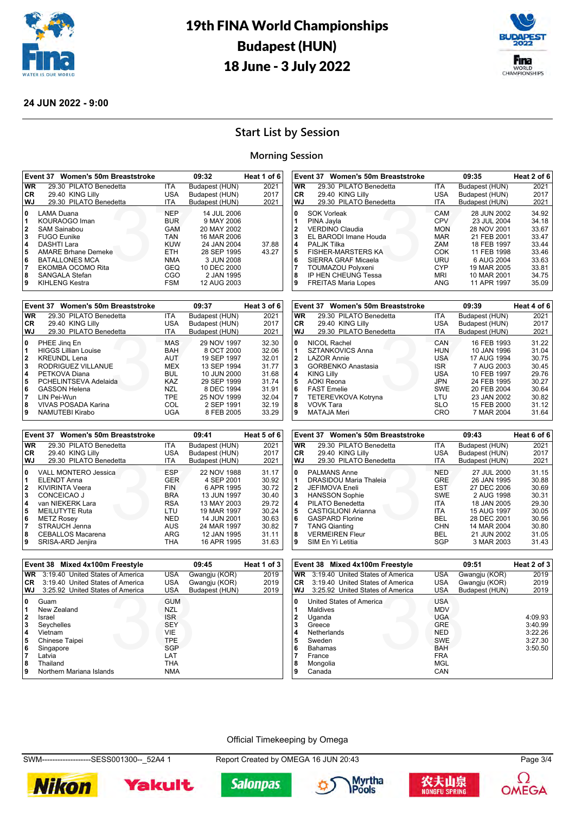



#### **24 JUN 2022 - 9:00**

## **Start List by Session**

#### **Morning Session**

|                                                   | Event 37 Women's 50m Breaststroke                                                                                                                                                                              |                                                                                                                     | 09:32                                                                                                                                           | Heat 1 of 6    |
|---------------------------------------------------|----------------------------------------------------------------------------------------------------------------------------------------------------------------------------------------------------------------|---------------------------------------------------------------------------------------------------------------------|-------------------------------------------------------------------------------------------------------------------------------------------------|----------------|
| WR.                                               | 29.30 PILATO Benedetta                                                                                                                                                                                         | <b>ITA</b>                                                                                                          | Budapest (HUN)                                                                                                                                  | 2021           |
| CR.                                               | 29.40 KING Lilly                                                                                                                                                                                               | <b>USA</b>                                                                                                          | Budapest (HUN)                                                                                                                                  | 2017           |
| WJ                                                | 29.30 PILATO Benedetta                                                                                                                                                                                         | <b>ITA</b>                                                                                                          | Budapest (HUN)                                                                                                                                  | 2021           |
| 0<br>11<br>2<br>3<br>14<br>5<br>6<br>17<br>8<br>9 | LAMA Duana<br>KOURAOGO Iman<br>SAM Sainabou<br><b>FUGO Eunike</b><br>DASHTI Lara<br><b>AMARE Brhane Demeke</b><br><b>BATALLONES MCA</b><br>EKOMBA OCOMO Rita<br><b>SANGALA Stefan</b><br><b>KIHLENG Kestra</b> | <b>NFP</b><br><b>BUR</b><br>GAM<br><b>TAN</b><br><b>KUW</b><br><b>ETH</b><br><b>NMA</b><br>GEQ<br>CGO<br><b>FSM</b> | 14 JUL 2006<br>9 MAY 2006<br>20 MAY 2002<br>16 MAR 2006<br>24 JAN 2004<br>28 SEP 1995<br>3 JUN 2008<br>10 DEC 2000<br>2 JAN 1995<br>12 AUG 2003 | 37.88<br>43.27 |

|              | Event 37 Women's 50m Breaststroke |            | 09:37          | Heat 3 of 6 |
|--------------|-----------------------------------|------------|----------------|-------------|
| <b>WR</b>    | 29.30 PILATO Benedetta            | ITA.       | Budapest (HUN) | 2021        |
| <b>CR</b>    | 29.40 KING Lilly                  | <b>USA</b> | Budapest (HUN) | 2017        |
| WJ           | 29.30 PILATO Benedetta            | <b>ITA</b> | Budapest (HUN) | 2021        |
| 0            | PHEE Jing En                      | MAS        | 29 NOV 1997    | 32.30       |
| 1            | <b>HIGGS Lillian Louise</b>       | <b>BAH</b> | 8 OCT 2000     | 32.06       |
| $\mathbf{2}$ | <b>KREUNDL Lena</b>               | <b>AUT</b> | 19 SEP 1997    | 32.01       |
| 3            | RODRIGUEZ VILLANUE                | <b>MEX</b> | 13 SEP 1994    | 31.77       |
| 4            | PETKOVA Diana                     | BUL        | 10 JUN 2000    | 31.68       |
| 5            | PCHELINTSEVA Adelaida             | KAZ        | 29 SEP 1999    | 31.74       |
| 6            | <b>GASSON Helena</b>              | <b>NZL</b> | 8 DEC 1994     | 31.91       |
| 7            | LIN Pei-Wun                       | <b>TPE</b> | 25 NOV 1999    | 32.04       |
| 8            | <b>VIVAS POSADA Karina</b>        | COL        | 2 SEP 1991     | 32.19       |
| 9            | NAMUTEBI Kirabo                   | UGA        | 8 FEB 2005     | 33.29       |

|              | Event 37 Women's 50m Breaststroke |            | 09:41          | Heat 5 of 6 |
|--------------|-----------------------------------|------------|----------------|-------------|
| <b>WR</b>    | 29.30 PILATO Benedetta            | <b>ITA</b> | Budapest (HUN) | 2021        |
| <b>CR</b>    | 29.40 KING Lilly                  | USA        | Budapest (HUN) | 2017        |
| WJ           | 29.30 PILATO Benedetta            | ITA        | Budapest (HUN) | 2021        |
| 0            | <b>VALL MONTERO Jessica</b>       | <b>ESP</b> | 22 NOV 1988    | 31.17       |
| 1            | <b>ELENDT Anna</b>                | <b>GER</b> | 4 SEP 2001     | 30.92       |
| $\mathbf{2}$ | <b>KIVIRINTA Veera</b>            | <b>FIN</b> | 6 APR 1995     | 30.72       |
| 3            | CONCEICAO J                       | <b>BRA</b> | 13 JUN 1997    | 30.40       |
| 4            | van NIEKERK Lara                  | <b>RSA</b> | 13 MAY 2003    | 29.72       |
| 5            | <b>MEILUTYTE Ruta</b>             | LTU        | 19 MAR 1997    | 30.24       |
| 6            | <b>METZ Rosey</b>                 | <b>NED</b> | 14 JUN 2001    | 30.63       |
|              | STRAUCH Jenna                     | <b>AUS</b> | 24 MAR 1997    | 30.82       |
| 8            | <b>CEBALLOS Macarena</b>          | ARG        | 12 JAN 1995    | 31.11       |
| 9            | SRISA-ARD Jenjira                 | THA        | 16 APR 1995    | 31.63       |

|     | Event 38 Mixed 4x100m Freestyle  |            | 09:45          | Heat 1 of 3 |
|-----|----------------------------------|------------|----------------|-------------|
| WR. | 3:19.40 United States of America | <b>USA</b> | Gwangju (KOR)  | 2019        |
| CR  | 3:19.40 United States of America | <b>USA</b> | Gwangju (KOR)  | 2019        |
| WJ  | 3:25.92 United States of America | <b>USA</b> | Budapest (HUN) | 2019        |
| 0   | Guam                             | <b>GUM</b> |                |             |
| 1   | New Zealand                      | <b>NZL</b> |                |             |
| 2   | Israel                           | <b>ISR</b> |                |             |
| 3   | Seychelles                       | <b>SEY</b> |                |             |
| 4   | Vietnam                          | <b>VIE</b> |                |             |
| 5   | Chinese Taipei                   | <b>TPE</b> |                |             |
| 6   | Singapore                        | <b>SGP</b> |                |             |
| 7   | Latvia                           | LAT        |                |             |
| 8   | Thailand                         | THA        |                |             |
| 9   | Northern Mariana Islands         | <b>NMA</b> |                |             |
|     |                                  |            |                |             |

|           | Event 38 Mixed 4x100m Freestyle  |            | 09:51          | Heat 2 of 3 |
|-----------|----------------------------------|------------|----------------|-------------|
| <b>WR</b> | 3:19.40 United States of America | <b>USA</b> | Gwangju (KOR)  | 2019        |
| CR.       | 3:19.40 United States of America | USA        | Gwangju (KOR)  | 2019        |
| WJ        | 3:25.92 United States of America | USA        | Budapest (HUN) | 2019        |
| 0         | United States of America         | <b>USA</b> |                |             |
|           | Maldives                         | <b>MDV</b> |                |             |
| 2         | Uganda                           | <b>UGA</b> |                | 4:09.93     |
| 3         | Greece                           | <b>GRE</b> |                | 3:40.99     |
| 4         | Netherlands                      | <b>NED</b> |                | 3:22.26     |
| 5         | Sweden                           | <b>SWE</b> |                | 3:27.30     |
| 6         | <b>Bahamas</b>                   | <b>BAH</b> |                | 3:50.50     |
| 7         | France                           | <b>FRA</b> |                |             |
| 8         | Mongolia                         | MGL        |                |             |
| 9         | Canada                           | CAN        |                |             |

#### Official Timekeeping by Omega

SWM-------------------SESS001300--\_52A4 1 Report Created by OMEGA 16 JUN 20:43 Page 3/4













| VVJ                     | 29.30 PILATO Benedetta                      | 11 A              | Budapest (HUN)             | 2021           |
|-------------------------|---------------------------------------------|-------------------|----------------------------|----------------|
| 0                       | <b>SOK Vorleak</b>                          | CAM               | 28 JUN 2002                | 34.92          |
| 1                       | PINA Jayla                                  | <b>CPV</b>        | 23 JUL 2004                | 34.18          |
| $\overline{2}$          | <b>VERDINO Claudia</b>                      | <b>MON</b>        | 28 NOV 2001                | 33.67          |
| 3                       | EL BARODI Imane Houda                       | MAR               | 21 FEB 2001                | 33.47          |
| 4                       | <b>PALJK Tilka</b>                          | ZAM               | 18 FEB 1997                | 33.44          |
| 5                       | <b>FISHER-MARSTERS KA</b>                   | COK               | 11 FEB 1998                | 33.46          |
| 6                       | SIERRA GRAF Micaela                         | URU               | 6 AUG 2004                 | 33.63          |
| 7                       | <b>TOUMAZOU Polyxeni</b>                    | <b>CYP</b>        | 19 MAR 2005                | 33.81          |
| 8                       | IP HEN CHEUNG Tessa                         | <b>MRI</b>        | 10 MAR 2001                | 34.75          |
| 9                       | <b>FREITAS Maria Lopes</b>                  | <b>ANG</b>        | 11 APR 1997                | 35.09          |
|                         |                                             |                   |                            |                |
|                         | Event 37<br><b>Women's 50m Breaststroke</b> |                   | 09:39                      | Heat 4 of 6    |
|                         |                                             |                   |                            |                |
| <b>WR</b>               | 29.30 PILATO Benedetta                      | ITA.              | Budapest (HUN)             | 2021           |
| CR                      | 29.40 KING Lilly                            | <b>USA</b>        | Budapest (HUN)             | 2017           |
| WJ                      | 29.30 PILATO Benedetta                      | <b>ITA</b>        | Budapest (HUN)             | 2021           |
| 0                       | <b>NICOL Rachel</b>                         | CAN               | 16 FEB 1993                | 31.22          |
| 1                       | <b>SZTANKOVICS Anna</b>                     | <b>HUN</b>        | 10 JAN 1996                | 31.04          |
| $\overline{\mathbf{2}}$ | <b>LAZOR Annie</b>                          | USA.              | 17 AUG 1994                | 30.75          |
| 3                       | <b>GORBENKO Anastasia</b>                   | <b>ISR</b>        | 7 AUG 2003                 | 30.45          |
| 4                       | <b>KING Lilly</b>                           | <b>USA</b>        | 10 FEB 1997                | 29.76          |
| 5                       | <b>AOKI Reona</b>                           | JPN               | 24 FEB 1995                | 30.27          |
| 6                       | <b>FAST Emelie</b>                          | <b>SWE</b>        | 20 FEB 2004                | 30.64          |
| 7<br>8                  | TETEREVKOVA Kotryna<br>VOVK Tara            | LTU<br><b>SLO</b> | 23 JAN 2002<br>15 FEB 2000 | 30.82<br>31.12 |

**Event 37 Women's 50m Breaststroke 09:35 Heat 2 of 6 WR** 29.30 PILATO Benedetta ITA Budapest (HUN) 2021<br> **CR** 29.40 KING Lilly USA Budapest (HUN) 2017 **CR** 29.40 KING Lilly USA Budapest (HUN) 2017 **WJ** 29.30 PILATO Benedetta ITA Budapest (HUN) 2021 SOK Vorleak **CAM** 28 JUN 2002 34.92<br>1 PINA Jayla **CPV** 23 JUL 2004 34.18 PINA Jayla CPV 23 JUL 2004 34.18 VERDINO Claudia MON 28 NOV 2001 33.67 EL BARODI Imane Houda MAR 21 FEB 2001 33.47 PALJK Tilka 2000<br>**4** PALJK Tilka 2000<br>**5** FISHER-MARSTERS KA 2000 2000 2000 11 FEB 1998 33.46

| 9                       | <b>MATAJA Meri</b>                | CRO        | 7 MAR 2004     | 31.64       |
|-------------------------|-----------------------------------|------------|----------------|-------------|
|                         |                                   |            |                |             |
|                         | Event 37 Women's 50m Breaststroke |            | 09:43          | Heat 6 of 6 |
| <b>WR</b>               | 29.30 PILATO Benedetta            | <b>ITA</b> | Budapest (HUN) | 2021        |
| <b>CR</b>               | 29.40 KING Lilly                  | <b>USA</b> | Budapest (HUN) | 2017        |
| <b>WJ</b>               | 29.30 PILATO Benedetta            | ITA        | Budapest (HUN) | 2021        |
| 0                       | <b>PALMANS Anne</b>               | <b>NED</b> | 27 JUL 2000    | 31.15       |
| 1                       | <b>DRASIDOU Maria Thaleia</b>     | GRE        | 26 JAN 1995    | 30.88       |
| $\overline{\mathbf{2}}$ | <b>JEFIMOVA Eneli</b>             | <b>EST</b> | 27 DEC 2006    | 30.69       |
| 3                       | <b>HANSSON Sophie</b>             | <b>SWE</b> | 2 AUG 1998     | 30.31       |
| 4                       | PILATO Benedetta                  | <b>ITA</b> | 18 JAN 2005    | 29.30       |
| 5                       | <b>CASTIGLIONI Arianna</b>        | <b>ITA</b> | 15 AUG 1997    | 30.05       |
| 6                       | <b>GASPARD Florine</b>            | BEL        | 28 DEC 2001    | 30.56       |
| 7                       | <b>TANG Qianting</b>              | CHN        | 14 MAR 2004    | 30.80       |
| 8                       | <b>VERMEIREN Fleur</b>            | BEL        | 21 JUN 2002    | 31.05       |
| 9                       | SIM En Yi Letitia                 | SGP        | 3 MAR 2003     | 31.43       |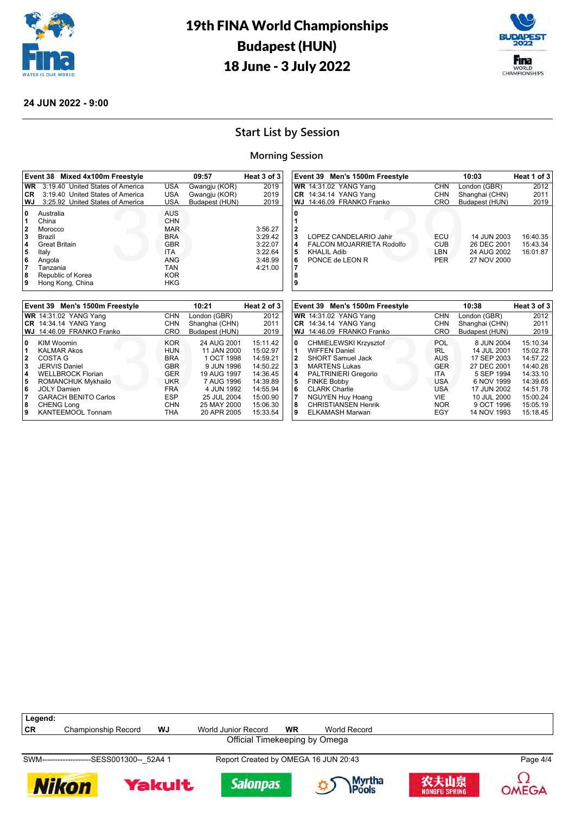



#### **24 JUN 2022 - 9:00**

## **Start List by Session**

#### **Morning Session**

| Event 38 Mixed 4x100m Freestyle                                                                                                                                                                            |                                                                                                                                          | 09:57                            | Heat 3 of 3                                                    | Event 39 Men's 1500m Freestyle                                                                                                                                                      |                                               | 10:03                                                    | Heat 1 of 3                      |
|------------------------------------------------------------------------------------------------------------------------------------------------------------------------------------------------------------|------------------------------------------------------------------------------------------------------------------------------------------|----------------------------------|----------------------------------------------------------------|-------------------------------------------------------------------------------------------------------------------------------------------------------------------------------------|-----------------------------------------------|----------------------------------------------------------|----------------------------------|
| 3:19.40 United States of America<br><b>WR</b>                                                                                                                                                              | <b>USA</b>                                                                                                                               | Gwangju (KOR)                    | 2019                                                           | <b>WR</b> 14:31.02 YANG Yang                                                                                                                                                        | <b>CHN</b>                                    | London (GBR)                                             | 2012                             |
| 3:19.40 United States of America<br><b>CR</b>                                                                                                                                                              | <b>USA</b>                                                                                                                               | Gwangju (KOR)                    | 2019                                                           | <b>CR</b> 14:34.14 YANG Yang                                                                                                                                                        | <b>CHN</b>                                    | Shanghai (CHN)                                           | 2011                             |
| WJ<br>3:25.92 United States of America                                                                                                                                                                     | <b>USA</b>                                                                                                                               | Budapest (HUN)                   | 2019                                                           | WJ 14:46.09 FRANKO Franko                                                                                                                                                           | <b>CRO</b>                                    | Budapest (HUN)                                           | 2019                             |
| 0<br>Australia<br>China<br>$\overline{\mathbf{2}}$<br>Morocco<br>3<br>Brazil<br>4<br><b>Great Britain</b><br>5<br>Italy<br>6<br>Angola<br>7<br>Tanzania<br>8<br>Republic of Korea<br>9<br>Hong Kong, China | <b>AUS</b><br><b>CHN</b><br><b>MAR</b><br><b>BRA</b><br><b>GBR</b><br><b>ITA</b><br><b>ANG</b><br><b>TAN</b><br><b>KOR</b><br><b>HKG</b> |                                  | 3:56.27<br>3:29.42<br>3:22.07<br>3:22.64<br>3:48.99<br>4:21.00 | 0<br>$\overline{\mathbf{2}}$<br>3<br>LOPEZ CANDELARIO Jahir<br>4<br><b>FALCON MOJARRIETA Rodolfo</b><br>5<br><b>KHALIL Adib</b><br>6<br>PONCE de LEON R<br>$\overline{7}$<br>8<br>9 | ECU<br><b>CUB</b><br><b>LBN</b><br><b>PER</b> | 14 JUN 2003<br>26 DEC 2001<br>24 AUG 2002<br>27 NOV 2000 | 16:40.35<br>15:43.34<br>16:01.87 |
|                                                                                                                                                                                                            |                                                                                                                                          |                                  |                                                                |                                                                                                                                                                                     |                                               |                                                          |                                  |
| Event 39 Men's 1500m Freestyle                                                                                                                                                                             |                                                                                                                                          | 10:21                            | Heat 2 of 3                                                    | Event 39 Men's 1500m Freestyle                                                                                                                                                      |                                               | 10:38                                                    | Heat 3 of 3                      |
|                                                                                                                                                                                                            |                                                                                                                                          |                                  |                                                                |                                                                                                                                                                                     |                                               |                                                          |                                  |
| <b>WR</b> 14:31.02 YANG Yang<br><b>CR</b> 14:34.14 YANG Yang                                                                                                                                               | <b>CHN</b><br><b>CHN</b>                                                                                                                 | London (GBR)                     | 2012<br>2011                                                   | <b>WR</b> 14:31.02 YANG Yang<br><b>CR</b> 14:34.14 YANG Yang                                                                                                                        | <b>CHN</b><br><b>CHN</b>                      | London (GBR)<br>Shanghai (CHN)                           | 2012<br>2011                     |
| 14:46.09 FRANKO Franko<br>WJ                                                                                                                                                                               | <b>CRO</b>                                                                                                                               | Shanghai (CHN)<br>Budapest (HUN) | 2019                                                           | 14:46.09 FRANKO Franko<br>WJ                                                                                                                                                        | <b>CRO</b>                                    | Budapest (HUN)                                           | 2019                             |



SWM-------------------SESS001300--\_52A4 1 Report Created by OMEGA 16 JUN 20:43 Page 4/4













**OMEGA**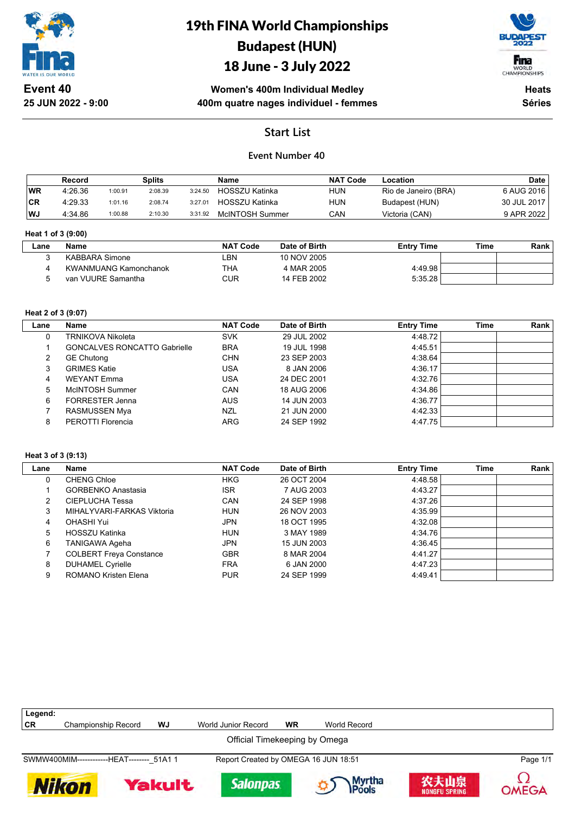

# 19th FINA World Championships Budapest (HUN)

## 18 June - 3 July 2022



**Women's 400m Individual Medley 400m quatre nages individuel - femmes**

**Heats Séries**

## **Start List**

### **Event Number 40**

|           | Record  |         | Splits  |         | <b>Name</b>           | <b>NAT Code</b> | ∟ocation             | <b>Date</b> |
|-----------|---------|---------|---------|---------|-----------------------|-----------------|----------------------|-------------|
| <b>WR</b> | 4:26.36 | 1:00.91 | 2:08.39 | 3:24.50 | <b>HOSSZU Katinka</b> | <b>HUN</b>      | Rio de Janeiro (BRA) | 6 AUG 2016  |
| <b>CR</b> | 4.29.33 | 1:01.16 | 2:08.74 | 3:27.01 | HOSSZU Katinka        | <b>HUN</b>      | Budapest (HUN)       | 30 JUL 2017 |
| WJ        | 4:34.86 | 1:00.88 | 2:10.30 | 3:31.92 | McINTOSH Summer       | CAN             | Victoria (CAN)       | 9 APR 2022  |

#### **Heat 1 of 3 (9:00)**

| <b>Entry Time</b> | Time | Rank |
|-------------------|------|------|
|                   |      |      |
|                   |      |      |
| 4:49.98           |      |      |
| 5:35.28           |      |      |
|                   |      |      |

#### **Heat 2 of 3 (9:07)**

| Lane | Name                                | <b>NAT Code</b> | Date of Birth | <b>Entry Time</b> | Time | Rank |
|------|-------------------------------------|-----------------|---------------|-------------------|------|------|
|      | TRNIKOVA Nikoleta                   | <b>SVK</b>      | 29 JUL 2002   | 4:48.72           |      |      |
|      | <b>GONCALVES RONCATTO Gabrielle</b> | <b>BRA</b>      | 19 JUL 1998   | 4:45.51           |      |      |
| 2    | <b>GE Chutong</b>                   | <b>CHN</b>      | 23 SEP 2003   | 4:38.64           |      |      |
| 3    | <b>GRIMES Katie</b>                 | USA             | 8 JAN 2006    | 4:36.17           |      |      |
| 4    | <b>WEYANT Emma</b>                  | USA             | 24 DEC 2001   | 4:32.76           |      |      |
| 5    | McINTOSH Summer                     | CAN             | 18 AUG 2006   | 4:34.86           |      |      |
| 6    | <b>FORRESTER Jenna</b>              | <b>AUS</b>      | 14 JUN 2003   | 4:36.77           |      |      |
|      | RASMUSSEN Mya                       | <b>NZL</b>      | 21 JUN 2000   | 4:42.33           |      |      |
| 8    | PEROTTI Florencia                   | <b>ARG</b>      | 24 SEP 1992   | 4:47.75           |      |      |

#### **Heat 3 of 3 (9:13)**

| Lane | Name                           | <b>NAT Code</b> | Date of Birth | <b>Entry Time</b> | Time | Rank |
|------|--------------------------------|-----------------|---------------|-------------------|------|------|
| 0    | <b>CHENG Chloe</b>             | <b>HKG</b>      | 26 OCT 2004   | 4:48.58           |      |      |
|      | <b>GORBENKO Anastasia</b>      | <b>ISR</b>      | 7 AUG 2003    | 4:43.27           |      |      |
| 2    | CIEPLUCHA Tessa                | CAN             | 24 SEP 1998   | 4:37.26           |      |      |
| 3    | MIHALYVARI-FARKAS Viktoria     | <b>HUN</b>      | 26 NOV 2003   | 4:35.99           |      |      |
| 4    | OHASHI Yui                     | JPN             | 18 OCT 1995   | 4:32.08           |      |      |
| 5    | HOSSZU Katinka                 | <b>HUN</b>      | 3 MAY 1989    | 4:34.76           |      |      |
| 6    | TANIGAWA Ageha                 | JPN             | 15 JUN 2003   | 4:36.45           |      |      |
|      | <b>COLBERT Freya Constance</b> | <b>GBR</b>      | 8 MAR 2004    | 4:41.27           |      |      |
| 8    | <b>DUHAMEL Cyrielle</b>        | <b>FRA</b>      | 6 JAN 2000    | 4:47.23           |      |      |
| 9    | <b>ROMANO Kristen Elena</b>    | <b>PUR</b>      | 24 SEP 1999   | 4.49.41           |      |      |

| Legend:                                    |                     |        |                                      |           |                  |                              |          |
|--------------------------------------------|---------------------|--------|--------------------------------------|-----------|------------------|------------------------------|----------|
| CR                                         | Championship Record | WJ     | World Junior Record                  | <b>WR</b> | World Record     |                              |          |
|                                            |                     |        | Official Timekeeping by Omega        |           |                  |                              |          |
| SWMW400MIM-------------HEAT-------- 51A1 1 |                     |        | Report Created by OMEGA 16 JUN 18:51 |           |                  |                              | Page 1/1 |
| <b>Nikon</b>                               |                     | Yakult | <b>Salonpas</b>                      |           | Myrtha<br>IPools | 农夫山泉<br><b>NONGFU SPRING</b> | OMEGA    |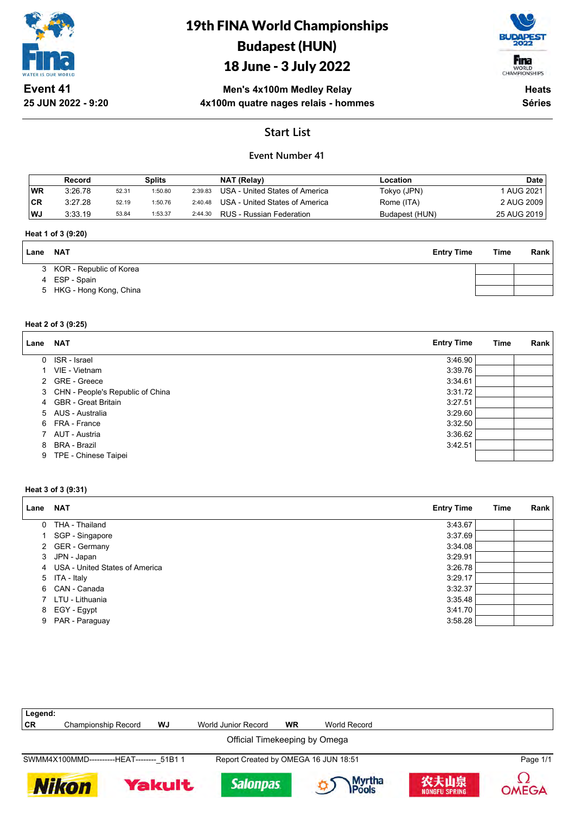

# 19th FINA World Championships Budapest (HUN)

# 18 June - 3 July 2022



**Event 41 25 JUN 2022 - 9:20**

### **Men's 4x100m Medley Relay 4x100m quatre nages relais - hommes**

**Heats Séries**

## **Start List**

### **Event Number 41**

|     | Record  |       | Splits  |         | NAT (Relay)                    | Location       | <b>Date</b> |
|-----|---------|-------|---------|---------|--------------------------------|----------------|-------------|
| 'WR | 3:26.78 | 52.31 | 1:50.80 | 2:39.83 | USA - United States of America | Tokyo (JPN)    | AUG 2021    |
| ∣CR | 3:27.28 | 52.19 | 1:50.76 | 2:40.48 | USA - United States of America | Rome (ITA)     | 2 AUG 2009  |
| WJ  | 3:33.19 | 53.84 | 1:53.37 | 2:44.30 | RUS - Russian Federation       | Budapest (HUN) | 25 AUG 2019 |

#### **Heat 1 of 3 (9:20)**

| Lane | <b>NAT</b>                | <b>Entry Time</b> | Time | <b>Rank</b> |
|------|---------------------------|-------------------|------|-------------|
|      | 3 KOR - Republic of Korea |                   |      |             |
|      | 4 ESP - Spain             |                   |      |             |
|      | 5 HKG - Hong Kong, China  |                   |      |             |
|      |                           |                   |      |             |

#### **Heat 2 of 3 (9:25)**

| Lane | <b>NAT</b>                       | <b>Entry Time</b> | Time | Rank |
|------|----------------------------------|-------------------|------|------|
| 0    | ISR - Israel                     | 3:46.90           |      |      |
|      | VIE - Vietnam                    | 3:39.76           |      |      |
| 2    | <b>GRE - Greece</b>              | 3:34.61           |      |      |
| 3    | CHN - People's Republic of China | 3:31.72           |      |      |
|      | 4 GBR - Great Britain            | 3:27.51           |      |      |
|      | 5 AUS - Australia                | 3:29.60           |      |      |
| 6    | FRA - France                     | 3:32.50           |      |      |
|      | AUT - Austria                    | 3:36.62           |      |      |
| 8    | BRA - Brazil                     | 3:42.51           |      |      |
| 9    | TPE - Chinese Taipei             |                   |      |      |

#### **Heat 3 of 3 (9:31)**

| Lane NAT |                                  | <b>Entry Time</b> | Time | Rank |
|----------|----------------------------------|-------------------|------|------|
|          | 0 THA - Thailand                 | 3:43.67           |      |      |
|          | 1 SGP - Singapore                | 3:37.69           |      |      |
|          | 2 GER - Germany                  | 3:34.08           |      |      |
|          | 3 JPN - Japan                    | 3:29.91           |      |      |
|          | 4 USA - United States of America | 3:26.78           |      |      |
|          | 5 ITA - Italy                    | 3:29.17           |      |      |
|          | 6 CAN - Canada                   | 3:32.37           |      |      |
|          | 7 LTU - Lithuania                | 3:35.48           |      |      |
|          | 8 EGY - Egypt                    | 3:41.70           |      |      |
| 9        | PAR - Paraguay                   | 3:58.28           |      |      |

| Legend:                       |                                            |        |                     |                                      |                         |                              |          |  |  |
|-------------------------------|--------------------------------------------|--------|---------------------|--------------------------------------|-------------------------|------------------------------|----------|--|--|
| CR                            | <b>Championship Record</b>                 | WJ     | World Junior Record | <b>WR</b>                            | World Record            |                              |          |  |  |
| Official Timekeeping by Omega |                                            |        |                     |                                      |                         |                              |          |  |  |
|                               | SWMM4X100MMD-----------HEAT-------- 51B1 1 |        |                     | Report Created by OMEGA 16 JUN 18:51 |                         |                              | Page 1/1 |  |  |
|                               | <b>Nikon</b>                               | Yakult | <b>Salonpas</b>     |                                      | Myrtha<br><b>IPools</b> | 农夫山泉<br><b>NONGFU SPRING</b> | OMEGA    |  |  |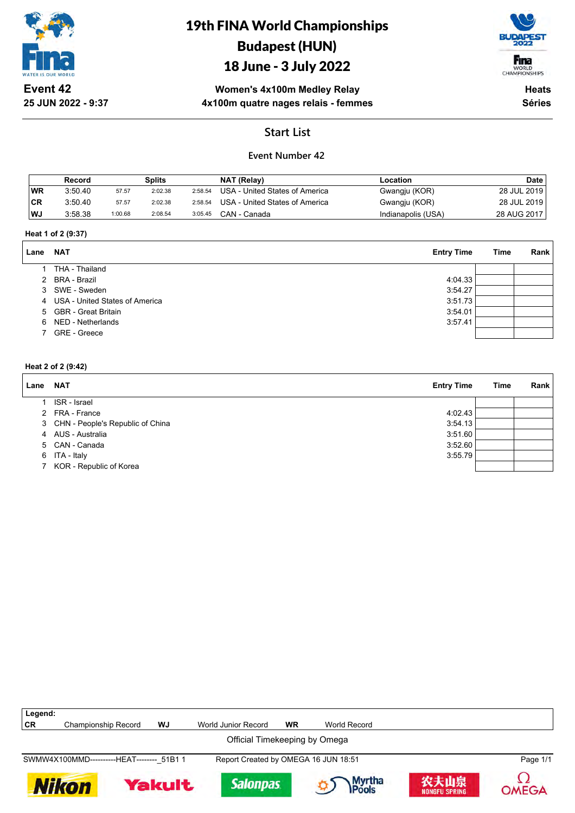

**25 JUN 2022 - 9:37**

# 19th FINA World Championships Budapest (HUN)

## 18 June - 3 July 2022



**Women's 4x100m Medley Relay 4x100m quatre nages relais - femmes**

**Heats Séries**

## **Start List**

### **Event Number 42**

|           | Record  |         | <b>Splits</b> |         | NAT (Relay)                    | Location           | <b>Date</b> |
|-----------|---------|---------|---------------|---------|--------------------------------|--------------------|-------------|
| <b>WR</b> | 3.50.40 | 57.57   | 2:02.38       | 2:58.54 | USA - United States of America | Gwangju (KOR)      | 28 JUL 2019 |
| <b>CR</b> | 3:50.40 | 57.57   | 2:02.38       | 2:58.54 | USA - United States of America | Gwangju (KOR)      | 28 JUL 2019 |
| WJ        | 3:58.38 | 1:00.68 | 2:08.54       | 3:05.45 | CAN - Canada                   | Indianapolis (USA) | 28 AUG 2017 |

#### **Heat 1 of 2 (9:37)**

| Lane | <b>NAT</b>                       | <b>Entry Time</b> | Time | Rank |
|------|----------------------------------|-------------------|------|------|
|      | THA - Thailand                   |                   |      |      |
|      | 2 BRA - Brazil                   | 4:04.33           |      |      |
|      | 3 SWE - Sweden                   | 3:54.27           |      |      |
|      | 4 USA - United States of America | 3:51.73           |      |      |
|      | 5 GBR - Great Britain            | 3:54.01           |      |      |
|      | 6 NED - Netherlands              | 3:57.41           |      |      |
|      | GRE - Greece                     |                   |      |      |

### **Heat 2 of 2 (9:42)**

| Lane | <b>NAT</b>                         | <b>Entry Time</b> | Time | Rank |
|------|------------------------------------|-------------------|------|------|
|      | ISR - Israel                       |                   |      |      |
|      | 2 FRA - France                     | 4:02.43           |      |      |
|      | 3 CHN - People's Republic of China | 3:54.13           |      |      |
|      | 4 AUS - Australia                  | 3:51.60           |      |      |
|      | 5 CAN - Canada                     | 3:52.60           |      |      |
|      | 6 ITA - Italy                      | 3:55.79           |      |      |
|      | 7 KOR - Republic of Korea          |                   |      |      |

| Legend:                                    |                            |               |                                      |           |                        |                              |              |  |  |
|--------------------------------------------|----------------------------|---------------|--------------------------------------|-----------|------------------------|------------------------------|--------------|--|--|
| <b>CR</b>                                  | <b>Championship Record</b> | WJ            | World Junior Record                  | <b>WR</b> | World Record           |                              |              |  |  |
| Official Timekeeping by Omega              |                            |               |                                      |           |                        |                              |              |  |  |
| SWMW4X100MMD-----------HEAT-------- 51B1 1 |                            |               | Report Created by OMEGA 16 JUN 18:51 |           |                        |                              | Page 1/1     |  |  |
|                                            | <b>Nikon</b>               | <b>Yakult</b> | <b>Salonpas</b>                      |           | <b>Myrtha</b><br>Pools | 农夫山泉<br><b>NONGFU SPRING</b> | <b>OMEGA</b> |  |  |